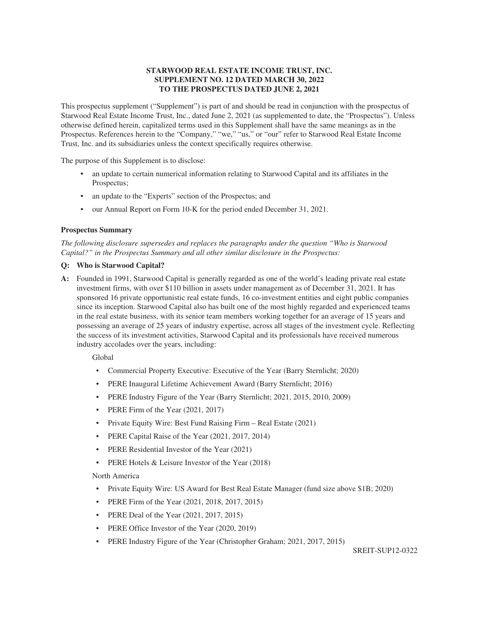# **STARWOOD REAL ESTATE INCOME TRUST, INC. SUPPLEMENT NO. 12 DATED MARCH 30, 2022 TO THE PROSPECTUS DATED JUNE 2, 2021**

This prospectus supplement ("Supplement") is part of and should be read in conjunction with the prospectus of Starwood Real Estate Income Trust, Inc., dated June 2, 2021 (as supplemented to date, the "Prospectus"). Unless otherwise defined herein, capitalized terms used in this Supplement shall have the same meanings as in the Prospectus. References herein to the "Company," "we," "us," or "our" refer to Starwood Real Estate Income Trust, Inc. and its subsidiaries unless the context specifically requires otherwise.

The purpose of this Supplement is to disclose:

- an update to certain numerical information relating to Starwood Capital and its affiliates in the Prospectus;
- an update to the "Experts" section of the Prospectus; and
- our Annual Report on Form 10-K for the period ended December 31, 2021.

# **Prospectus Summary**

*The following disclosure supersedes and replaces the paragraphs under the question "Who is Starwood Capital?" in the Prospectus Summary and all other similar disclosure in the Prospectus:*

## **Q: Who is Starwood Capital?**

**A:** Founded in 1991, Starwood Capital is generally regarded as one of the world's leading private real estate investment firms, with over \$110 billion in assets under management as of December 31, 2021. It has sponsored 16 private opportunistic real estate funds, 16 co-investment entities and eight public companies since its inception. Starwood Capital also has built one of the most highly regarded and experienced teams in the real estate business, with its senior team members working together for an average of 15 years and possessing an average of 25 years of industry expertise, across all stages of the investment cycle. Reflecting the success of its investment activities, Starwood Capital and its professionals have received numerous industry accolades over the years, including:

Global

- Commercial Property Executive: Executive of the Year (Barry Sternlicht; 2020)
- PERE Inaugural Lifetime Achievement Award (Barry Sternlicht; 2016)
- PERE Industry Figure of the Year (Barry Sternlicht; 2021, 2015, 2010, 2009)
- PERE Firm of the Year (2021, 2017)
- Private Equity Wire: Best Fund Raising Firm Real Estate (2021)
- PERE Capital Raise of the Year (2021, 2017, 2014)
- PERE Residential Investor of the Year (2021)
- PERE Hotels & Leisure Investor of the Year (2018)

North America

- Private Equity Wire: US Award for Best Real Estate Manager (fund size above \$1B; 2020)
- PERE Firm of the Year (2021, 2018, 2017, 2015)
- PERE Deal of the Year (2021, 2017, 2015)
- PERE Office Investor of the Year (2020, 2019)
- PERE Industry Figure of the Year (Christopher Graham; 2021, 2017, 2015)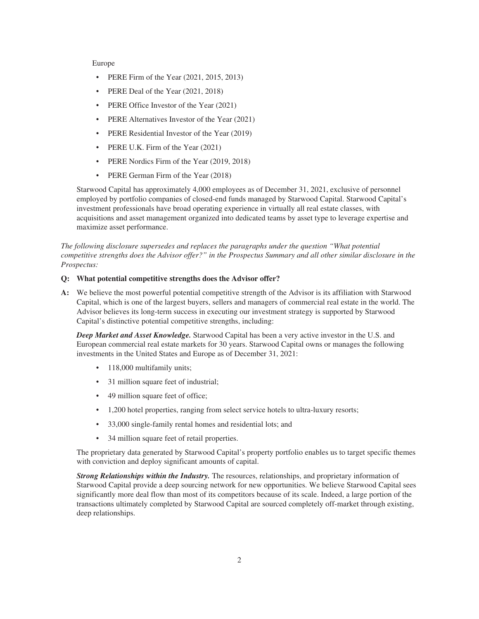## Europe

- PERE Firm of the Year (2021, 2015, 2013)
- PERE Deal of the Year (2021, 2018)
- PERE Office Investor of the Year (2021)
- PERE Alternatives Investor of the Year (2021)
- PERE Residential Investor of the Year (2019)
- PERE U.K. Firm of the Year (2021)
- PERE Nordics Firm of the Year (2019, 2018)
- PERE German Firm of the Year (2018)

Starwood Capital has approximately 4,000 employees as of December 31, 2021, exclusive of personnel employed by portfolio companies of closed-end funds managed by Starwood Capital. Starwood Capital's investment professionals have broad operating experience in virtually all real estate classes, with acquisitions and asset management organized into dedicated teams by asset type to leverage expertise and maximize asset performance.

*The following disclosure supersedes and replaces the paragraphs under the question "What potential competitive strengths does the Advisor offer?" in the Prospectus Summary and all other similar disclosure in the Prospectus:*

# **Q: What potential competitive strengths does the Advisor offer?**

**A:** We believe the most powerful potential competitive strength of the Advisor is its affiliation with Starwood Capital, which is one of the largest buyers, sellers and managers of commercial real estate in the world. The Advisor believes its long-term success in executing our investment strategy is supported by Starwood Capital's distinctive potential competitive strengths, including:

*Deep Market and Asset Knowledge.* Starwood Capital has been a very active investor in the U.S. and European commercial real estate markets for 30 years. Starwood Capital owns or manages the following investments in the United States and Europe as of December 31, 2021:

- 118,000 multifamily units;
- 31 million square feet of industrial;
- 49 million square feet of office;
- 1,200 hotel properties, ranging from select service hotels to ultra-luxury resorts;
- 33,000 single-family rental homes and residential lots; and
- 34 million square feet of retail properties.

The proprietary data generated by Starwood Capital's property portfolio enables us to target specific themes with conviction and deploy significant amounts of capital.

*Strong Relationships within the Industry.* The resources, relationships, and proprietary information of Starwood Capital provide a deep sourcing network for new opportunities. We believe Starwood Capital sees significantly more deal flow than most of its competitors because of its scale. Indeed, a large portion of the transactions ultimately completed by Starwood Capital are sourced completely off-market through existing, deep relationships.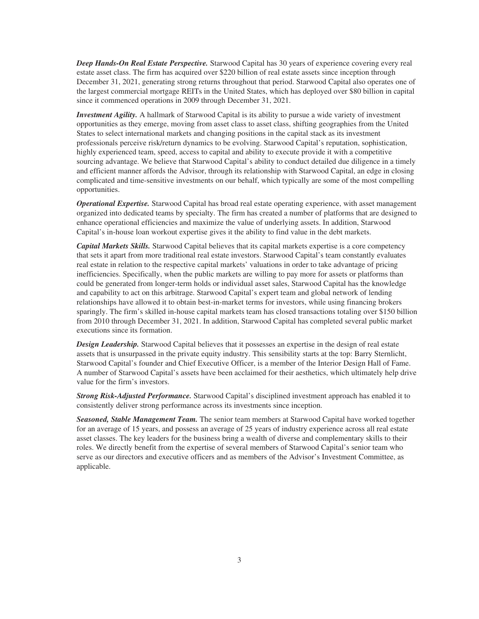*Deep Hands-On Real Estate Perspective.* Starwood Capital has 30 years of experience covering every real estate asset class. The firm has acquired over \$220 billion of real estate assets since inception through December 31, 2021, generating strong returns throughout that period. Starwood Capital also operates one of the largest commercial mortgage REITs in the United States, which has deployed over \$80 billion in capital since it commenced operations in 2009 through December 31, 2021.

*Investment Agility.* A hallmark of Starwood Capital is its ability to pursue a wide variety of investment opportunities as they emerge, moving from asset class to asset class, shifting geographies from the United States to select international markets and changing positions in the capital stack as its investment professionals perceive risk/return dynamics to be evolving. Starwood Capital's reputation, sophistication, highly experienced team, speed, access to capital and ability to execute provide it with a competitive sourcing advantage. We believe that Starwood Capital's ability to conduct detailed due diligence in a timely and efficient manner affords the Advisor, through its relationship with Starwood Capital, an edge in closing complicated and time-sensitive investments on our behalf, which typically are some of the most compelling opportunities.

*Operational Expertise.* Starwood Capital has broad real estate operating experience, with asset management organized into dedicated teams by specialty. The firm has created a number of platforms that are designed to enhance operational efficiencies and maximize the value of underlying assets. In addition, Starwood Capital's in-house loan workout expertise gives it the ability to find value in the debt markets.

*Capital Markets Skills.* Starwood Capital believes that its capital markets expertise is a core competency that sets it apart from more traditional real estate investors. Starwood Capital's team constantly evaluates real estate in relation to the respective capital markets' valuations in order to take advantage of pricing inefficiencies. Specifically, when the public markets are willing to pay more for assets or platforms than could be generated from longer-term holds or individual asset sales, Starwood Capital has the knowledge and capability to act on this arbitrage. Starwood Capital's expert team and global network of lending relationships have allowed it to obtain best-in-market terms for investors, while using financing brokers sparingly. The firm's skilled in-house capital markets team has closed transactions totaling over \$150 billion from 2010 through December 31, 2021. In addition, Starwood Capital has completed several public market executions since its formation.

**Design Leadership.** Starwood Capital believes that it possesses an expertise in the design of real estate assets that is unsurpassed in the private equity industry. This sensibility starts at the top: Barry Sternlicht, Starwood Capital's founder and Chief Executive Officer, is a member of the Interior Design Hall of Fame. A number of Starwood Capital's assets have been acclaimed for their aesthetics, which ultimately help drive value for the firm's investors.

*Strong Risk-Adjusted Performance.* Starwood Capital's disciplined investment approach has enabled it to consistently deliver strong performance across its investments since inception.

*Seasoned, Stable Management Team.* The senior team members at Starwood Capital have worked together for an average of 15 years, and possess an average of 25 years of industry experience across all real estate asset classes. The key leaders for the business bring a wealth of diverse and complementary skills to their roles. We directly benefit from the expertise of several members of Starwood Capital's senior team who serve as our directors and executive officers and as members of the Advisor's Investment Committee, as applicable.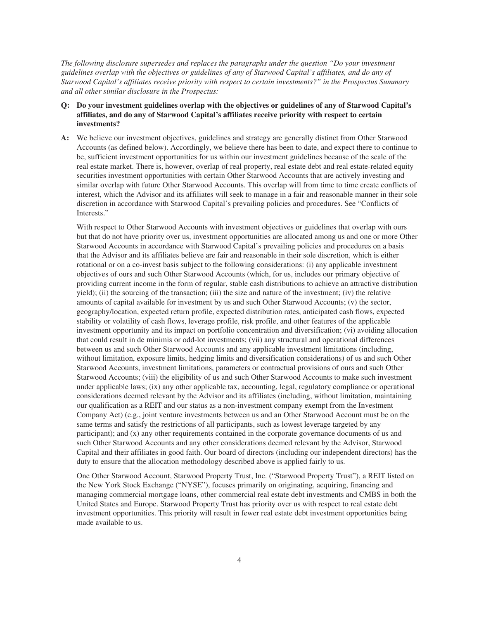*The following disclosure supersedes and replaces the paragraphs under the question "Do your investment guidelines overlap with the objectives or guidelines of any of Starwood Capital's affiliates, and do any of Starwood Capital's affiliates receive priority with respect to certain investments?" in the Prospectus Summary and all other similar disclosure in the Prospectus:*

- **Q: Do your investment guidelines overlap with the objectives or guidelines of any of Starwood Capital's affiliates, and do any of Starwood Capital's affiliates receive priority with respect to certain investments?**
- **A:** We believe our investment objectives, guidelines and strategy are generally distinct from Other Starwood Accounts (as defined below). Accordingly, we believe there has been to date, and expect there to continue to be, sufficient investment opportunities for us within our investment guidelines because of the scale of the real estate market. There is, however, overlap of real property, real estate debt and real estate-related equity securities investment opportunities with certain Other Starwood Accounts that are actively investing and similar overlap with future Other Starwood Accounts. This overlap will from time to time create conflicts of interest, which the Advisor and its affiliates will seek to manage in a fair and reasonable manner in their sole discretion in accordance with Starwood Capital's prevailing policies and procedures. See "Conflicts of Interests."

With respect to Other Starwood Accounts with investment objectives or guidelines that overlap with ours but that do not have priority over us, investment opportunities are allocated among us and one or more Other Starwood Accounts in accordance with Starwood Capital's prevailing policies and procedures on a basis that the Advisor and its affiliates believe are fair and reasonable in their sole discretion, which is either rotational or on a co-invest basis subject to the following considerations: (i) any applicable investment objectives of ours and such Other Starwood Accounts (which, for us, includes our primary objective of providing current income in the form of regular, stable cash distributions to achieve an attractive distribution yield); (ii) the sourcing of the transaction; (iii) the size and nature of the investment; (iv) the relative amounts of capital available for investment by us and such Other Starwood Accounts; (v) the sector, geography/location, expected return profile, expected distribution rates, anticipated cash flows, expected stability or volatility of cash flows, leverage profile, risk profile, and other features of the applicable investment opportunity and its impact on portfolio concentration and diversification; (vi) avoiding allocation that could result in de minimis or odd-lot investments; (vii) any structural and operational differences between us and such Other Starwood Accounts and any applicable investment limitations (including, without limitation, exposure limits, hedging limits and diversification considerations) of us and such Other Starwood Accounts, investment limitations, parameters or contractual provisions of ours and such Other Starwood Accounts; (viii) the eligibility of us and such Other Starwood Accounts to make such investment under applicable laws; (ix) any other applicable tax, accounting, legal, regulatory compliance or operational considerations deemed relevant by the Advisor and its affiliates (including, without limitation, maintaining our qualification as a REIT and our status as a non-investment company exempt from the Investment Company Act) (e.g., joint venture investments between us and an Other Starwood Account must be on the same terms and satisfy the restrictions of all participants, such as lowest leverage targeted by any participant); and (x) any other requirements contained in the corporate governance documents of us and such Other Starwood Accounts and any other considerations deemed relevant by the Advisor, Starwood Capital and their affiliates in good faith. Our board of directors (including our independent directors) has the duty to ensure that the allocation methodology described above is applied fairly to us.

One Other Starwood Account, Starwood Property Trust, Inc. ("Starwood Property Trust"), a REIT listed on the New York Stock Exchange ("NYSE"), focuses primarily on originating, acquiring, financing and managing commercial mortgage loans, other commercial real estate debt investments and CMBS in both the United States and Europe. Starwood Property Trust has priority over us with respect to real estate debt investment opportunities. This priority will result in fewer real estate debt investment opportunities being made available to us.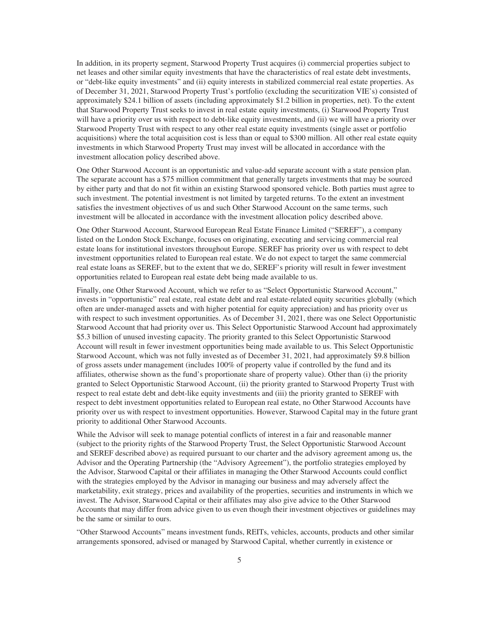In addition, in its property segment, Starwood Property Trust acquires (i) commercial properties subject to net leases and other similar equity investments that have the characteristics of real estate debt investments, or "debt-like equity investments" and (ii) equity interests in stabilized commercial real estate properties. As of December 31, 2021, Starwood Property Trust's portfolio (excluding the securitization VIE's) consisted of approximately \$24.1 billion of assets (including approximately \$1.2 billion in properties, net). To the extent that Starwood Property Trust seeks to invest in real estate equity investments, (i) Starwood Property Trust will have a priority over us with respect to debt-like equity investments, and (ii) we will have a priority over Starwood Property Trust with respect to any other real estate equity investments (single asset or portfolio acquisitions) where the total acquisition cost is less than or equal to \$300 million. All other real estate equity investments in which Starwood Property Trust may invest will be allocated in accordance with the investment allocation policy described above.

One Other Starwood Account is an opportunistic and value-add separate account with a state pension plan. The separate account has a \$75 million commitment that generally targets investments that may be sourced by either party and that do not fit within an existing Starwood sponsored vehicle. Both parties must agree to such investment. The potential investment is not limited by targeted returns. To the extent an investment satisfies the investment objectives of us and such Other Starwood Account on the same terms, such investment will be allocated in accordance with the investment allocation policy described above.

One Other Starwood Account, Starwood European Real Estate Finance Limited ("SEREF"), a company listed on the London Stock Exchange, focuses on originating, executing and servicing commercial real estate loans for institutional investors throughout Europe. SEREF has priority over us with respect to debt investment opportunities related to European real estate. We do not expect to target the same commercial real estate loans as SEREF, but to the extent that we do, SEREF's priority will result in fewer investment opportunities related to European real estate debt being made available to us.

Finally, one Other Starwood Account, which we refer to as "Select Opportunistic Starwood Account," invests in "opportunistic" real estate, real estate debt and real estate-related equity securities globally (which often are under-managed assets and with higher potential for equity appreciation) and has priority over us with respect to such investment opportunities. As of December 31, 2021, there was one Select Opportunistic Starwood Account that had priority over us. This Select Opportunistic Starwood Account had approximately \$5.3 billion of unused investing capacity. The priority granted to this Select Opportunistic Starwood Account will result in fewer investment opportunities being made available to us. This Select Opportunistic Starwood Account, which was not fully invested as of December 31, 2021, had approximately \$9.8 billion of gross assets under management (includes 100% of property value if controlled by the fund and its affiliates, otherwise shown as the fund's proportionate share of property value). Other than (i) the priority granted to Select Opportunistic Starwood Account, (ii) the priority granted to Starwood Property Trust with respect to real estate debt and debt-like equity investments and (iii) the priority granted to SEREF with respect to debt investment opportunities related to European real estate, no Other Starwood Accounts have priority over us with respect to investment opportunities. However, Starwood Capital may in the future grant priority to additional Other Starwood Accounts.

While the Advisor will seek to manage potential conflicts of interest in a fair and reasonable manner (subject to the priority rights of the Starwood Property Trust, the Select Opportunistic Starwood Account and SEREF described above) as required pursuant to our charter and the advisory agreement among us, the Advisor and the Operating Partnership (the "Advisory Agreement"), the portfolio strategies employed by the Advisor, Starwood Capital or their affiliates in managing the Other Starwood Accounts could conflict with the strategies employed by the Advisor in managing our business and may adversely affect the marketability, exit strategy, prices and availability of the properties, securities and instruments in which we invest. The Advisor, Starwood Capital or their affiliates may also give advice to the Other Starwood Accounts that may differ from advice given to us even though their investment objectives or guidelines may be the same or similar to ours.

"Other Starwood Accounts" means investment funds, REITs, vehicles, accounts, products and other similar arrangements sponsored, advised or managed by Starwood Capital, whether currently in existence or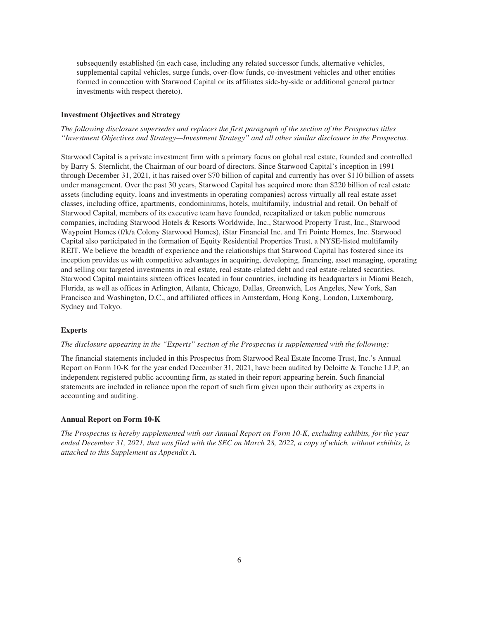subsequently established (in each case, including any related successor funds, alternative vehicles, supplemental capital vehicles, surge funds, over-flow funds, co-investment vehicles and other entities formed in connection with Starwood Capital or its affiliates side-by-side or additional general partner investments with respect thereto).

## **Investment Objectives and Strategy**

## *The following disclosure supersedes and replaces the first paragraph of the section of the Prospectus titles "Investment Objectives and Strategy—Investment Strategy" and all other similar disclosure in the Prospectus.*

Starwood Capital is a private investment firm with a primary focus on global real estate, founded and controlled by Barry S. Sternlicht, the Chairman of our board of directors. Since Starwood Capital's inception in 1991 through December 31, 2021, it has raised over \$70 billion of capital and currently has over \$110 billion of assets under management. Over the past 30 years, Starwood Capital has acquired more than \$220 billion of real estate assets (including equity, loans and investments in operating companies) across virtually all real estate asset classes, including office, apartments, condominiums, hotels, multifamily, industrial and retail. On behalf of Starwood Capital, members of its executive team have founded, recapitalized or taken public numerous companies, including Starwood Hotels & Resorts Worldwide, Inc., Starwood Property Trust, Inc., Starwood Waypoint Homes (f/k/a Colony Starwood Homes), iStar Financial Inc. and Tri Pointe Homes, Inc. Starwood Capital also participated in the formation of Equity Residential Properties Trust, a NYSE-listed multifamily REIT. We believe the breadth of experience and the relationships that Starwood Capital has fostered since its inception provides us with competitive advantages in acquiring, developing, financing, asset managing, operating and selling our targeted investments in real estate, real estate-related debt and real estate-related securities. Starwood Capital maintains sixteen offices located in four countries, including its headquarters in Miami Beach, Florida, as well as offices in Arlington, Atlanta, Chicago, Dallas, Greenwich, Los Angeles, New York, San Francisco and Washington, D.C., and affiliated offices in Amsterdam, Hong Kong, London, Luxembourg, Sydney and Tokyo.

## **Experts**

#### *The disclosure appearing in the "Experts" section of the Prospectus is supplemented with the following:*

The financial statements included in this Prospectus from Starwood Real Estate Income Trust, Inc.'s Annual Report on Form 10-K for the year ended December 31, 2021, have been audited by Deloitte & Touche LLP, an independent registered public accounting firm, as stated in their report appearing herein. Such financial statements are included in reliance upon the report of such firm given upon their authority as experts in accounting and auditing.

#### **Annual Report on Form 10-K**

*The Prospectus is hereby supplemented with our Annual Report on Form 10-K, excluding exhibits, for the year ended December 31, 2021, that was filed with the SEC on March 28, 2022, a copy of which, without exhibits, is attached to this Supplement as Appendix A.*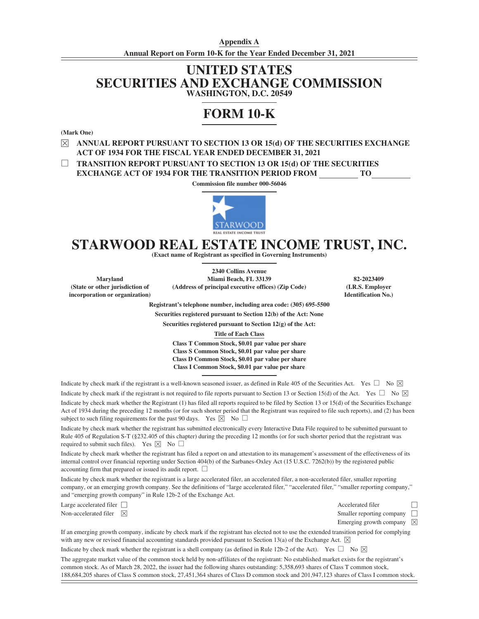# **UNITED STATES SECURITIES AND EXCHANGE COMMISSION WASHINGTON, D.C. 20549**

# **FORM 10-K**

**(Mark One)**

È **ANNUAL REPORT PURSUANT TO SECTION 13 OR 15(d) OF THE SECURITIES EXCHANGE ACT OF 1934 FOR THE FISCAL YEAR ENDED DECEMBER 31, 2021**

Ë **TRANSITION REPORT PURSUANT TO SECTION 13 OR 15(d) OF THE SECURITIES EXCHANGE ACT OF 1934 FOR THE TRANSITION PERIOD FROM TO**

**Commission file number 000-56046**



# **STARWOOD REAL ESTATE INCOME TRUST, INC.**

**(Exact name of Registrant as specified in Governing Instruments)**

**Maryland (State or other jurisdiction of incorporation or organization)**

subject to such filing requirements for the past 90 days. Yes  $\boxtimes$  No  $\Box$ 

**2340 Collins Avenue Miami Beach, FL 33139** 82-2023409 **(Address of principal executive offices) (Zip Code) (I.R.S. Employer**

**Identification No.)**

**Registrant's telephone number, including area code: (305) 695-5500**

**Securities registered pursuant to Section 12(b) of the Act: None**

**Securities registered pursuant to Section 12(g) of the Act:**

**Title of Each Class**

**Class T Common Stock, \$0.01 par value per share Class S Common Stock, \$0.01 par value per share Class D Common Stock, \$0.01 par value per share Class I Common Stock, \$0.01 par value per share**

Indicate by check mark if the registrant is a well-known seasoned issuer, as defined in Rule 405 of the Securities Act. Yes  $\Box$  No  $\boxtimes$ Indicate by check mark if the registrant is not required to file reports pursuant to Section 13 or Section 15(d) of the Act. Yes  $\square$  No  $\boxtimes$ Indicate by check mark whether the Registrant (1) has filed all reports required to be filed by Section 13 or 15(d) of the Securities Exchange Act of 1934 during the preceding 12 months (or for such shorter period that the Registrant was required to file such reports), and (2) has been

Indicate by check mark whether the registrant has submitted electronically every Interactive Data File required to be submitted pursuant to Rule 405 of Regulation S-T (§232.405 of this chapter) during the preceding 12 months (or for such shorter period that the registrant was required to submit such files). Yes  $\boxtimes$  No  $\Box$ 

Indicate by check mark whether the registrant has filed a report on and attestation to its management's assessment of the effectiveness of its internal control over financial reporting under Section 404(b) of the Sarbanes-Oxley Act (15 U.S.C. 7262(b)) by the registered public accounting firm that prepared or issued its audit report.  $\Box$ 

Indicate by check mark whether the registrant is a large accelerated filer, an accelerated filer, a non-accelerated filer, smaller reporting company, or an emerging growth company. See the definitions of "large accelerated filer," "accelerated filer," "smaller reporting company," and "emerging growth company" in Rule 12b-2 of the Exchange Act.

Large accelerated filer  $\Box$ Non-accelerated filer  $\boxtimes$ 

| ccelerated filer |  |
|------------------|--|
|                  |  |

|  | Smaller reporting company |  |
|--|---------------------------|--|
|  |                           |  |

Emerging growth company  $\boxtimes$ 

If an emerging growth company, indicate by check mark if the registrant has elected not to use the extended transition period for complying with any new or revised financial accounting standards provided pursuant to Section 13(a) of the Exchange Act.  $\boxtimes$ Indicate by check mark whether the registrant is a shell company (as defined in Rule 12b-2 of the Act). Yes  $\Box$  No  $\boxtimes$ 

The aggregate market value of the common stock held by non-affiliates of the registrant: No established market exists for the registrant's common stock. As of March 28, 2022, the issuer had the following shares outstanding: 5,358,693 shares of Class T common stock, 188,684,205 shares of Class S common stock, 27,451,364 shares of Class D common stock and 201,947,123 shares of Class I common stock.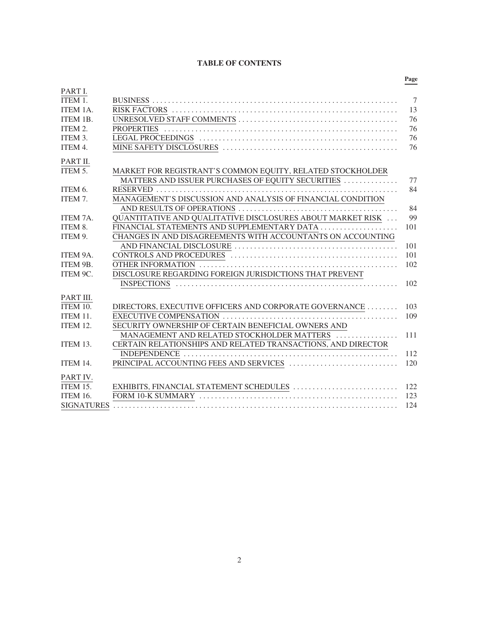# **TABLE OF CONTENTS**

| PART I.         |                                                              |                 |
|-----------------|--------------------------------------------------------------|-----------------|
| ITEM 1.         |                                                              | $7\phantom{.0}$ |
| ITEM 1A.        |                                                              | 13              |
| ITEM 1B.        |                                                              | 76              |
| ITEM 2.         |                                                              | 76              |
| ITEM 3.         |                                                              | 76              |
| ITEM 4.         |                                                              | 76              |
| PART II.        |                                                              |                 |
| ITEM 5.         | MARKET FOR REGISTRANT'S COMMON EQUITY, RELATED STOCKHOLDER   |                 |
|                 | MATTERS AND ISSUER PURCHASES OF EQUITY SECURITIES            | 77              |
| ITEM 6.         |                                                              | 84              |
| ITEM 7.         | MANAGEMENT'S DISCUSSION AND ANALYSIS OF FINANCIAL CONDITION  |                 |
|                 |                                                              | 84              |
| ITEM 7A.        | QUANTITATIVE AND QUALITATIVE DISCLOSURES ABOUT MARKET RISK   | 99              |
| ITEM 8.         | FINANCIAL STATEMENTS AND SUPPLEMENTARY DATA                  | 101             |
| ITEM 9.         | CHANGES IN AND DISAGREEMENTS WITH ACCOUNTANTS ON ACCOUNTING  |                 |
|                 |                                                              | 101             |
| ITEM 9A.        |                                                              | 101             |
| ITEM 9B.        |                                                              | 102             |
| ITEM 9C.        | DISCLOSURE REGARDING FOREIGN JURISDICTIONS THAT PREVENT      |                 |
|                 |                                                              | 102             |
| PART III.       |                                                              |                 |
| ITEM 10.        | DIRECTORS, EXECUTIVE OFFICERS AND CORPORATE GOVERNANCE       | 103             |
| ITEM 11.        |                                                              | 109             |
| <b>ITEM 12.</b> | SECURITY OWNERSHIP OF CERTAIN BENEFICIAL OWNERS AND          |                 |
|                 | MANAGEMENT AND RELATED STOCKHOLDER MATTERS                   | 111             |
| <b>ITEM 13.</b> | CERTAIN RELATIONSHIPS AND RELATED TRANSACTIONS, AND DIRECTOR |                 |
|                 |                                                              | 112             |
| ITEM 14.        | PRINCIPAL ACCOUNTING FEES AND SERVICES                       | 120             |
| PART IV.        |                                                              |                 |
| ITEM 15.        | EXHIBITS, FINANCIAL STATEMENT SCHEDULES                      | 122             |
| <b>ITEM 16.</b> |                                                              | 123             |
|                 |                                                              | 124             |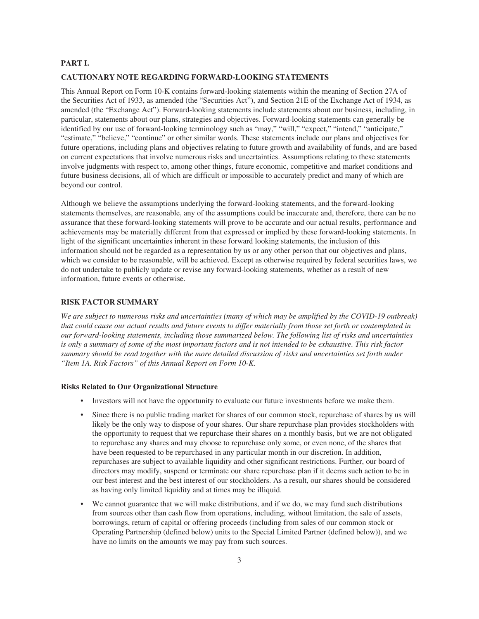## <span id="page-8-0"></span>**PART I.**

## **CAUTIONARY NOTE REGARDING FORWARD-LOOKING STATEMENTS**

This Annual Report on Form 10-K contains forward-looking statements within the meaning of Section 27A of the Securities Act of 1933, as amended (the "Securities Act"), and Section 21E of the Exchange Act of 1934, as amended (the "Exchange Act"). Forward-looking statements include statements about our business, including, in particular, statements about our plans, strategies and objectives. Forward-looking statements can generally be identified by our use of forward-looking terminology such as "may," "will," "expect," "intend," "anticipate," "estimate," "believe," "continue" or other similar words. These statements include our plans and objectives for future operations, including plans and objectives relating to future growth and availability of funds, and are based on current expectations that involve numerous risks and uncertainties. Assumptions relating to these statements involve judgments with respect to, among other things, future economic, competitive and market conditions and future business decisions, all of which are difficult or impossible to accurately predict and many of which are beyond our control.

Although we believe the assumptions underlying the forward-looking statements, and the forward-looking statements themselves, are reasonable, any of the assumptions could be inaccurate and, therefore, there can be no assurance that these forward-looking statements will prove to be accurate and our actual results, performance and achievements may be materially different from that expressed or implied by these forward-looking statements. In light of the significant uncertainties inherent in these forward looking statements, the inclusion of this information should not be regarded as a representation by us or any other person that our objectives and plans, which we consider to be reasonable, will be achieved. Except as otherwise required by federal securities laws, we do not undertake to publicly update or revise any forward-looking statements, whether as a result of new information, future events or otherwise.

#### **RISK FACTOR SUMMARY**

*We are subject to numerous risks and uncertainties (many of which may be amplified by the COVID-19 outbreak) that could cause our actual results and future events to differ materially from those set forth or contemplated in our forward-looking statements, including those summarized below. The following list of risks and uncertainties is only a summary of some of the most important factors and is not intended to be exhaustive. This risk factor summary should be read together with the more detailed discussion of risks and uncertainties set forth under "Item 1A. Risk Factors" of this Annual Report on Form 10-K.*

## **Risks Related to Our Organizational Structure**

- Investors will not have the opportunity to evaluate our future investments before we make them.
- Since there is no public trading market for shares of our common stock, repurchase of shares by us will likely be the only way to dispose of your shares. Our share repurchase plan provides stockholders with the opportunity to request that we repurchase their shares on a monthly basis, but we are not obligated to repurchase any shares and may choose to repurchase only some, or even none, of the shares that have been requested to be repurchased in any particular month in our discretion. In addition, repurchases are subject to available liquidity and other significant restrictions. Further, our board of directors may modify, suspend or terminate our share repurchase plan if it deems such action to be in our best interest and the best interest of our stockholders. As a result, our shares should be considered as having only limited liquidity and at times may be illiquid.
- We cannot guarantee that we will make distributions, and if we do, we may fund such distributions from sources other than cash flow from operations, including, without limitation, the sale of assets, borrowings, return of capital or offering proceeds (including from sales of our common stock or Operating Partnership (defined below) units to the Special Limited Partner (defined below)), and we have no limits on the amounts we may pay from such sources.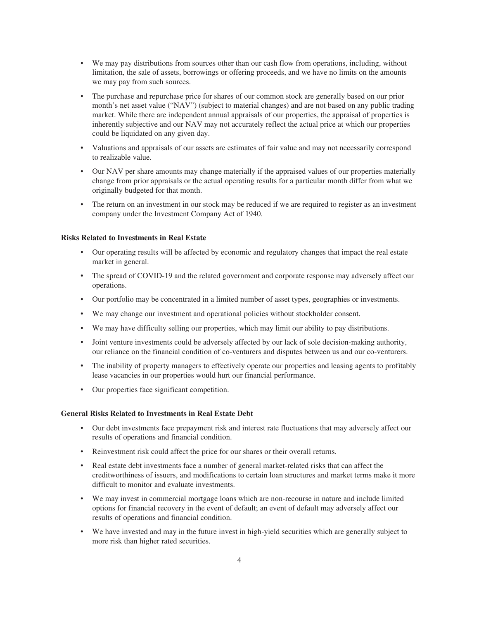- We may pay distributions from sources other than our cash flow from operations, including, without limitation, the sale of assets, borrowings or offering proceeds, and we have no limits on the amounts we may pay from such sources.
- The purchase and repurchase price for shares of our common stock are generally based on our prior month's net asset value ("NAV") (subject to material changes) and are not based on any public trading market. While there are independent annual appraisals of our properties, the appraisal of properties is inherently subjective and our NAV may not accurately reflect the actual price at which our properties could be liquidated on any given day.
- Valuations and appraisals of our assets are estimates of fair value and may not necessarily correspond to realizable value.
- Our NAV per share amounts may change materially if the appraised values of our properties materially change from prior appraisals or the actual operating results for a particular month differ from what we originally budgeted for that month.
- The return on an investment in our stock may be reduced if we are required to register as an investment company under the Investment Company Act of 1940.

## **Risks Related to Investments in Real Estate**

- Our operating results will be affected by economic and regulatory changes that impact the real estate market in general.
- The spread of COVID-19 and the related government and corporate response may adversely affect our operations.
- Our portfolio may be concentrated in a limited number of asset types, geographies or investments.
- We may change our investment and operational policies without stockholder consent.
- We may have difficulty selling our properties, which may limit our ability to pay distributions.
- Joint venture investments could be adversely affected by our lack of sole decision-making authority, our reliance on the financial condition of co-venturers and disputes between us and our co-venturers.
- The inability of property managers to effectively operate our properties and leasing agents to profitably lease vacancies in our properties would hurt our financial performance.
- Our properties face significant competition.

## **General Risks Related to Investments in Real Estate Debt**

- Our debt investments face prepayment risk and interest rate fluctuations that may adversely affect our results of operations and financial condition.
- Reinvestment risk could affect the price for our shares or their overall returns.
- Real estate debt investments face a number of general market-related risks that can affect the creditworthiness of issuers, and modifications to certain loan structures and market terms make it more difficult to monitor and evaluate investments.
- We may invest in commercial mortgage loans which are non-recourse in nature and include limited options for financial recovery in the event of default; an event of default may adversely affect our results of operations and financial condition.
- We have invested and may in the future invest in high-yield securities which are generally subject to more risk than higher rated securities.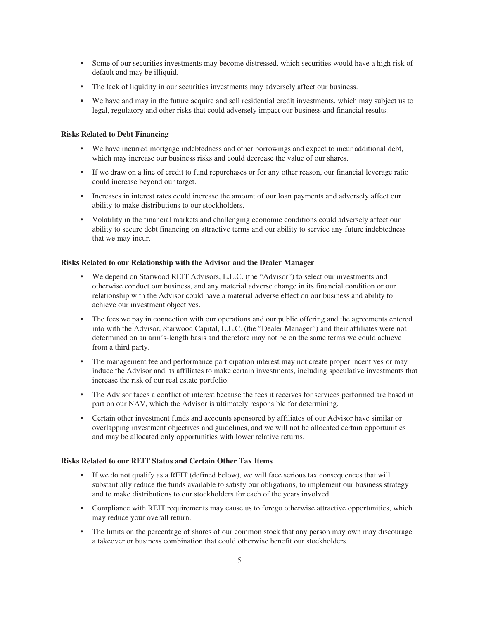- Some of our securities investments may become distressed, which securities would have a high risk of default and may be illiquid.
- The lack of liquidity in our securities investments may adversely affect our business.
- We have and may in the future acquire and sell residential credit investments, which may subject us to legal, regulatory and other risks that could adversely impact our business and financial results.

### **Risks Related to Debt Financing**

- We have incurred mortgage indebtedness and other borrowings and expect to incur additional debt, which may increase our business risks and could decrease the value of our shares.
- If we draw on a line of credit to fund repurchases or for any other reason, our financial leverage ratio could increase beyond our target.
- Increases in interest rates could increase the amount of our loan payments and adversely affect our ability to make distributions to our stockholders.
- Volatility in the financial markets and challenging economic conditions could adversely affect our ability to secure debt financing on attractive terms and our ability to service any future indebtedness that we may incur.

## **Risks Related to our Relationship with the Advisor and the Dealer Manager**

- We depend on Starwood REIT Advisors, L.L.C. (the "Advisor") to select our investments and otherwise conduct our business, and any material adverse change in its financial condition or our relationship with the Advisor could have a material adverse effect on our business and ability to achieve our investment objectives.
- The fees we pay in connection with our operations and our public offering and the agreements entered into with the Advisor, Starwood Capital, L.L.C. (the "Dealer Manager") and their affiliates were not determined on an arm's-length basis and therefore may not be on the same terms we could achieve from a third party.
- The management fee and performance participation interest may not create proper incentives or may induce the Advisor and its affiliates to make certain investments, including speculative investments that increase the risk of our real estate portfolio.
- The Advisor faces a conflict of interest because the fees it receives for services performed are based in part on our NAV, which the Advisor is ultimately responsible for determining.
- Certain other investment funds and accounts sponsored by affiliates of our Advisor have similar or overlapping investment objectives and guidelines, and we will not be allocated certain opportunities and may be allocated only opportunities with lower relative returns.

## **Risks Related to our REIT Status and Certain Other Tax Items**

- If we do not qualify as a REIT (defined below), we will face serious tax consequences that will substantially reduce the funds available to satisfy our obligations, to implement our business strategy and to make distributions to our stockholders for each of the years involved.
- Compliance with REIT requirements may cause us to forego otherwise attractive opportunities, which may reduce your overall return.
- The limits on the percentage of shares of our common stock that any person may own may discourage a takeover or business combination that could otherwise benefit our stockholders.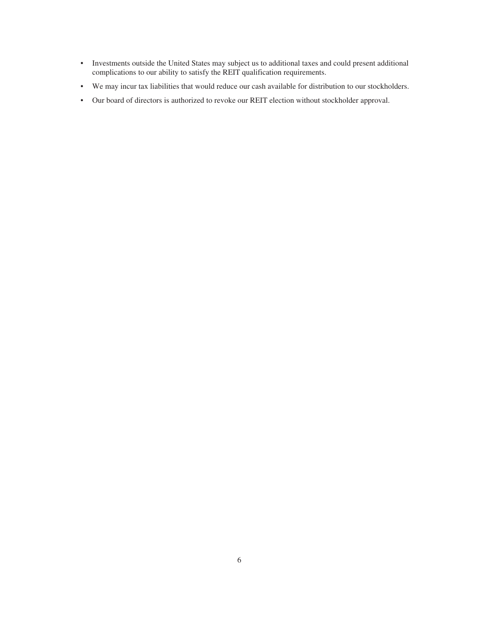- Investments outside the United States may subject us to additional taxes and could present additional complications to our ability to satisfy the REIT qualification requirements.
- We may incur tax liabilities that would reduce our cash available for distribution to our stockholders.
- Our board of directors is authorized to revoke our REIT election without stockholder approval.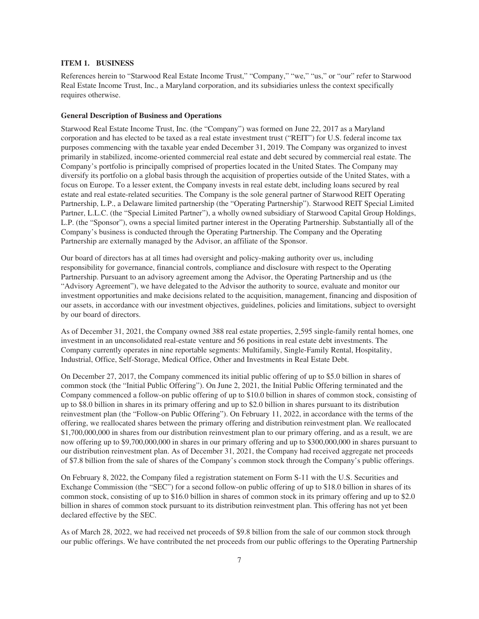## <span id="page-12-0"></span>**ITEM 1. BUSINESS**

References herein to "Starwood Real Estate Income Trust," "Company," "we," "us," or "our" refer to Starwood Real Estate Income Trust, Inc., a Maryland corporation, and its subsidiaries unless the context specifically requires otherwise.

## **General Description of Business and Operations**

Starwood Real Estate Income Trust, Inc. (the "Company") was formed on June 22, 2017 as a Maryland corporation and has elected to be taxed as a real estate investment trust ("REIT") for U.S. federal income tax purposes commencing with the taxable year ended December 31, 2019. The Company was organized to invest primarily in stabilized, income-oriented commercial real estate and debt secured by commercial real estate. The Company's portfolio is principally comprised of properties located in the United States. The Company may diversify its portfolio on a global basis through the acquisition of properties outside of the United States, with a focus on Europe. To a lesser extent, the Company invests in real estate debt, including loans secured by real estate and real estate-related securities. The Company is the sole general partner of Starwood REIT Operating Partnership, L.P., a Delaware limited partnership (the "Operating Partnership"). Starwood REIT Special Limited Partner, L.L.C. (the "Special Limited Partner"), a wholly owned subsidiary of Starwood Capital Group Holdings, L.P. (the "Sponsor"), owns a special limited partner interest in the Operating Partnership. Substantially all of the Company's business is conducted through the Operating Partnership. The Company and the Operating Partnership are externally managed by the Advisor, an affiliate of the Sponsor.

Our board of directors has at all times had oversight and policy-making authority over us, including responsibility for governance, financial controls, compliance and disclosure with respect to the Operating Partnership. Pursuant to an advisory agreement among the Advisor, the Operating Partnership and us (the "Advisory Agreement"), we have delegated to the Advisor the authority to source, evaluate and monitor our investment opportunities and make decisions related to the acquisition, management, financing and disposition of our assets, in accordance with our investment objectives, guidelines, policies and limitations, subject to oversight by our board of directors.

As of December 31, 2021, the Company owned 388 real estate properties, 2,595 single-family rental homes, one investment in an unconsolidated real-estate venture and 56 positions in real estate debt investments. The Company currently operates in nine reportable segments: Multifamily, Single-Family Rental, Hospitality, Industrial, Office, Self-Storage, Medical Office, Other and Investments in Real Estate Debt.

On December 27, 2017, the Company commenced its initial public offering of up to \$5.0 billion in shares of common stock (the "Initial Public Offering"). On June 2, 2021, the Initial Public Offering terminated and the Company commenced a follow-on public offering of up to \$10.0 billion in shares of common stock, consisting of up to \$8.0 billion in shares in its primary offering and up to \$2.0 billion in shares pursuant to its distribution reinvestment plan (the "Follow-on Public Offering"). On February 11, 2022, in accordance with the terms of the offering, we reallocated shares between the primary offering and distribution reinvestment plan. We reallocated \$1,700,000,000 in shares from our distribution reinvestment plan to our primary offering, and as a result, we are now offering up to \$9,700,000,000 in shares in our primary offering and up to \$300,000,000 in shares pursuant to our distribution reinvestment plan. As of December 31, 2021, the Company had received aggregate net proceeds of \$7.8 billion from the sale of shares of the Company's common stock through the Company's public offerings.

On February 8, 2022, the Company filed a registration statement on Form S-11 with the U.S. Securities and Exchange Commission (the "SEC") for a second follow-on public offering of up to \$18.0 billion in shares of its common stock, consisting of up to \$16.0 billion in shares of common stock in its primary offering and up to \$2.0 billion in shares of common stock pursuant to its distribution reinvestment plan. This offering has not yet been declared effective by the SEC.

As of March 28, 2022, we had received net proceeds of \$9.8 billion from the sale of our common stock through our public offerings. We have contributed the net proceeds from our public offerings to the Operating Partnership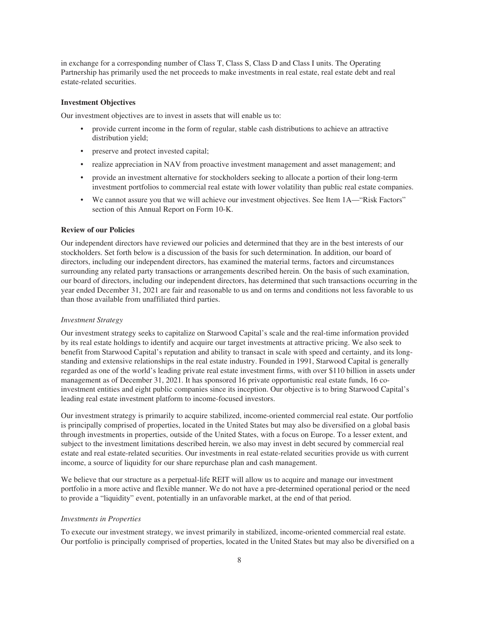in exchange for a corresponding number of Class T, Class S, Class D and Class I units. The Operating Partnership has primarily used the net proceeds to make investments in real estate, real estate debt and real estate-related securities.

# **Investment Objectives**

Our investment objectives are to invest in assets that will enable us to:

- provide current income in the form of regular, stable cash distributions to achieve an attractive distribution yield;
- preserve and protect invested capital;
- realize appreciation in NAV from proactive investment management and asset management; and
- provide an investment alternative for stockholders seeking to allocate a portion of their long-term investment portfolios to commercial real estate with lower volatility than public real estate companies.
- We cannot assure you that we will achieve our investment objectives. See Item 1A—"Risk Factors" section of this Annual Report on Form 10-K.

#### **Review of our Policies**

Our independent directors have reviewed our policies and determined that they are in the best interests of our stockholders. Set forth below is a discussion of the basis for such determination. In addition, our board of directors, including our independent directors, has examined the material terms, factors and circumstances surrounding any related party transactions or arrangements described herein. On the basis of such examination, our board of directors, including our independent directors, has determined that such transactions occurring in the year ended December 31, 2021 are fair and reasonable to us and on terms and conditions not less favorable to us than those available from unaffiliated third parties.

## *Investment Strategy*

Our investment strategy seeks to capitalize on Starwood Capital's scale and the real-time information provided by its real estate holdings to identify and acquire our target investments at attractive pricing. We also seek to benefit from Starwood Capital's reputation and ability to transact in scale with speed and certainty, and its longstanding and extensive relationships in the real estate industry. Founded in 1991, Starwood Capital is generally regarded as one of the world's leading private real estate investment firms, with over \$110 billion in assets under management as of December 31, 2021. It has sponsored 16 private opportunistic real estate funds, 16 coinvestment entities and eight public companies since its inception. Our objective is to bring Starwood Capital's leading real estate investment platform to income-focused investors.

Our investment strategy is primarily to acquire stabilized, income-oriented commercial real estate. Our portfolio is principally comprised of properties, located in the United States but may also be diversified on a global basis through investments in properties, outside of the United States, with a focus on Europe. To a lesser extent, and subject to the investment limitations described herein, we also may invest in debt secured by commercial real estate and real estate-related securities. Our investments in real estate-related securities provide us with current income, a source of liquidity for our share repurchase plan and cash management.

We believe that our structure as a perpetual-life REIT will allow us to acquire and manage our investment portfolio in a more active and flexible manner. We do not have a pre-determined operational period or the need to provide a "liquidity" event, potentially in an unfavorable market, at the end of that period.

#### *Investments in Properties*

To execute our investment strategy, we invest primarily in stabilized, income-oriented commercial real estate. Our portfolio is principally comprised of properties, located in the United States but may also be diversified on a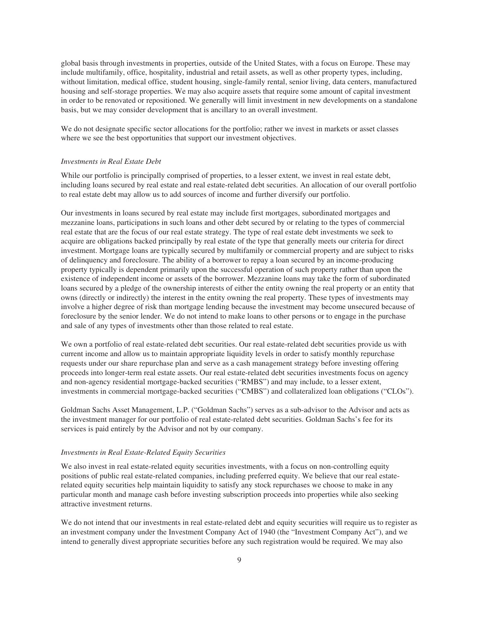global basis through investments in properties, outside of the United States, with a focus on Europe. These may include multifamily, office, hospitality, industrial and retail assets, as well as other property types, including, without limitation, medical office, student housing, single-family rental, senior living, data centers, manufactured housing and self-storage properties. We may also acquire assets that require some amount of capital investment in order to be renovated or repositioned. We generally will limit investment in new developments on a standalone basis, but we may consider development that is ancillary to an overall investment.

We do not designate specific sector allocations for the portfolio; rather we invest in markets or asset classes where we see the best opportunities that support our investment objectives.

## *Investments in Real Estate Debt*

While our portfolio is principally comprised of properties, to a lesser extent, we invest in real estate debt, including loans secured by real estate and real estate-related debt securities. An allocation of our overall portfolio to real estate debt may allow us to add sources of income and further diversify our portfolio.

Our investments in loans secured by real estate may include first mortgages, subordinated mortgages and mezzanine loans, participations in such loans and other debt secured by or relating to the types of commercial real estate that are the focus of our real estate strategy. The type of real estate debt investments we seek to acquire are obligations backed principally by real estate of the type that generally meets our criteria for direct investment. Mortgage loans are typically secured by multifamily or commercial property and are subject to risks of delinquency and foreclosure. The ability of a borrower to repay a loan secured by an income-producing property typically is dependent primarily upon the successful operation of such property rather than upon the existence of independent income or assets of the borrower. Mezzanine loans may take the form of subordinated loans secured by a pledge of the ownership interests of either the entity owning the real property or an entity that owns (directly or indirectly) the interest in the entity owning the real property. These types of investments may involve a higher degree of risk than mortgage lending because the investment may become unsecured because of foreclosure by the senior lender. We do not intend to make loans to other persons or to engage in the purchase and sale of any types of investments other than those related to real estate.

We own a portfolio of real estate-related debt securities. Our real estate-related debt securities provide us with current income and allow us to maintain appropriate liquidity levels in order to satisfy monthly repurchase requests under our share repurchase plan and serve as a cash management strategy before investing offering proceeds into longer-term real estate assets. Our real estate-related debt securities investments focus on agency and non-agency residential mortgage-backed securities ("RMBS") and may include, to a lesser extent, investments in commercial mortgage-backed securities ("CMBS") and collateralized loan obligations ("CLOs").

Goldman Sachs Asset Management, L.P. ("Goldman Sachs") serves as a sub-advisor to the Advisor and acts as the investment manager for our portfolio of real estate-related debt securities. Goldman Sachs's fee for its services is paid entirely by the Advisor and not by our company.

## *Investments in Real Estate-Related Equity Securities*

We also invest in real estate-related equity securities investments, with a focus on non-controlling equity positions of public real estate-related companies, including preferred equity. We believe that our real estaterelated equity securities help maintain liquidity to satisfy any stock repurchases we choose to make in any particular month and manage cash before investing subscription proceeds into properties while also seeking attractive investment returns.

We do not intend that our investments in real estate-related debt and equity securities will require us to register as an investment company under the Investment Company Act of 1940 (the "Investment Company Act"), and we intend to generally divest appropriate securities before any such registration would be required. We may also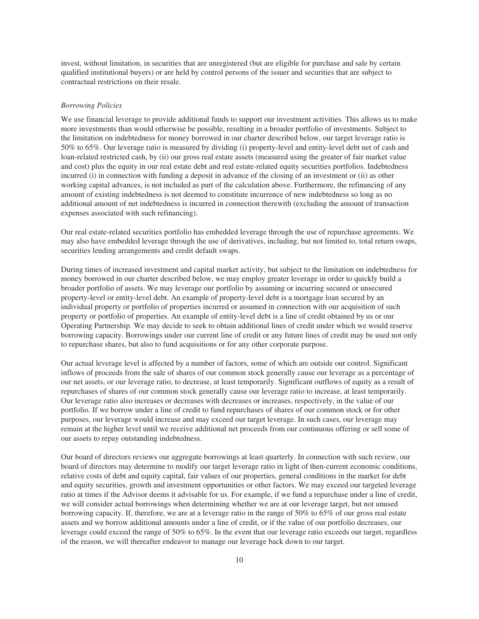invest, without limitation, in securities that are unregistered (but are eligible for purchase and sale by certain qualified institutional buyers) or are held by control persons of the issuer and securities that are subject to contractual restrictions on their resale.

#### *Borrowing Policies*

We use financial leverage to provide additional funds to support our investment activities. This allows us to make more investments than would otherwise be possible, resulting in a broader portfolio of investments. Subject to the limitation on indebtedness for money borrowed in our charter described below, our target leverage ratio is 50% to 65%. Our leverage ratio is measured by dividing (i) property-level and entity-level debt net of cash and loan-related restricted cash, by (ii) our gross real estate assets (measured using the greater of fair market value and cost) plus the equity in our real estate debt and real estate-related equity securities portfolios. Indebtedness incurred (i) in connection with funding a deposit in advance of the closing of an investment or (ii) as other working capital advances, is not included as part of the calculation above. Furthermore, the refinancing of any amount of existing indebtedness is not deemed to constitute incurrence of new indebtedness so long as no additional amount of net indebtedness is incurred in connection therewith (excluding the amount of transaction expenses associated with such refinancing).

Our real estate-related securities portfolio has embedded leverage through the use of repurchase agreements. We may also have embedded leverage through the use of derivatives, including, but not limited to, total return swaps, securities lending arrangements and credit default swaps.

During times of increased investment and capital market activity, but subject to the limitation on indebtedness for money borrowed in our charter described below, we may employ greater leverage in order to quickly build a broader portfolio of assets. We may leverage our portfolio by assuming or incurring secured or unsecured property-level or entity-level debt. An example of property-level debt is a mortgage loan secured by an individual property or portfolio of properties incurred or assumed in connection with our acquisition of such property or portfolio of properties. An example of entity-level debt is a line of credit obtained by us or our Operating Partnership. We may decide to seek to obtain additional lines of credit under which we would reserve borrowing capacity. Borrowings under our current line of credit or any future lines of credit may be used not only to repurchase shares, but also to fund acquisitions or for any other corporate purpose.

Our actual leverage level is affected by a number of factors, some of which are outside our control. Significant inflows of proceeds from the sale of shares of our common stock generally cause our leverage as a percentage of our net assets, or our leverage ratio, to decrease, at least temporarily. Significant outflows of equity as a result of repurchases of shares of our common stock generally cause our leverage ratio to increase, at least temporarily. Our leverage ratio also increases or decreases with decreases or increases, respectively, in the value of our portfolio. If we borrow under a line of credit to fund repurchases of shares of our common stock or for other purposes, our leverage would increase and may exceed our target leverage. In such cases, our leverage may remain at the higher level until we receive additional net proceeds from our continuous offering or sell some of our assets to repay outstanding indebtedness.

Our board of directors reviews our aggregate borrowings at least quarterly. In connection with such review, our board of directors may determine to modify our target leverage ratio in light of then-current economic conditions, relative costs of debt and equity capital, fair values of our properties, general conditions in the market for debt and equity securities, growth and investment opportunities or other factors. We may exceed our targeted leverage ratio at times if the Advisor deems it advisable for us. For example, if we fund a repurchase under a line of credit, we will consider actual borrowings when determining whether we are at our leverage target, but not unused borrowing capacity. If, therefore, we are at a leverage ratio in the range of 50% to 65% of our gross real estate assets and we borrow additional amounts under a line of credit, or if the value of our portfolio decreases, our leverage could exceed the range of 50% to 65%. In the event that our leverage ratio exceeds our target, regardless of the reason, we will thereafter endeavor to manage our leverage back down to our target.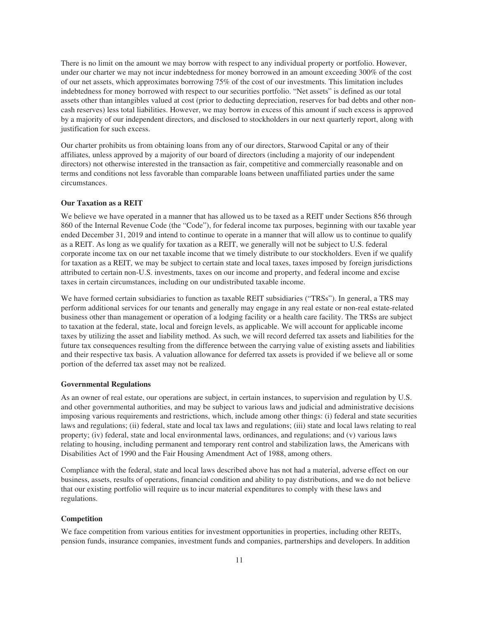There is no limit on the amount we may borrow with respect to any individual property or portfolio. However, under our charter we may not incur indebtedness for money borrowed in an amount exceeding 300% of the cost of our net assets, which approximates borrowing 75% of the cost of our investments. This limitation includes indebtedness for money borrowed with respect to our securities portfolio. "Net assets" is defined as our total assets other than intangibles valued at cost (prior to deducting depreciation, reserves for bad debts and other noncash reserves) less total liabilities. However, we may borrow in excess of this amount if such excess is approved by a majority of our independent directors, and disclosed to stockholders in our next quarterly report, along with justification for such excess.

Our charter prohibits us from obtaining loans from any of our directors, Starwood Capital or any of their affiliates, unless approved by a majority of our board of directors (including a majority of our independent directors) not otherwise interested in the transaction as fair, competitive and commercially reasonable and on terms and conditions not less favorable than comparable loans between unaffiliated parties under the same circumstances.

## **Our Taxation as a REIT**

We believe we have operated in a manner that has allowed us to be taxed as a REIT under Sections 856 through 860 of the Internal Revenue Code (the "Code"), for federal income tax purposes, beginning with our taxable year ended December 31, 2019 and intend to continue to operate in a manner that will allow us to continue to qualify as a REIT. As long as we qualify for taxation as a REIT, we generally will not be subject to U.S. federal corporate income tax on our net taxable income that we timely distribute to our stockholders. Even if we qualify for taxation as a REIT, we may be subject to certain state and local taxes, taxes imposed by foreign jurisdictions attributed to certain non-U.S. investments, taxes on our income and property, and federal income and excise taxes in certain circumstances, including on our undistributed taxable income.

We have formed certain subsidiaries to function as taxable REIT subsidiaries ("TRSs"). In general, a TRS may perform additional services for our tenants and generally may engage in any real estate or non-real estate-related business other than management or operation of a lodging facility or a health care facility. The TRSs are subject to taxation at the federal, state, local and foreign levels, as applicable. We will account for applicable income taxes by utilizing the asset and liability method. As such, we will record deferred tax assets and liabilities for the future tax consequences resulting from the difference between the carrying value of existing assets and liabilities and their respective tax basis. A valuation allowance for deferred tax assets is provided if we believe all or some portion of the deferred tax asset may not be realized.

#### **Governmental Regulations**

As an owner of real estate, our operations are subject, in certain instances, to supervision and regulation by U.S. and other governmental authorities, and may be subject to various laws and judicial and administrative decisions imposing various requirements and restrictions, which, include among other things: (i) federal and state securities laws and regulations; (ii) federal, state and local tax laws and regulations; (iii) state and local laws relating to real property; (iv) federal, state and local environmental laws, ordinances, and regulations; and (v) various laws relating to housing, including permanent and temporary rent control and stabilization laws, the Americans with Disabilities Act of 1990 and the Fair Housing Amendment Act of 1988, among others.

Compliance with the federal, state and local laws described above has not had a material, adverse effect on our business, assets, results of operations, financial condition and ability to pay distributions, and we do not believe that our existing portfolio will require us to incur material expenditures to comply with these laws and regulations.

#### **Competition**

We face competition from various entities for investment opportunities in properties, including other REITs, pension funds, insurance companies, investment funds and companies, partnerships and developers. In addition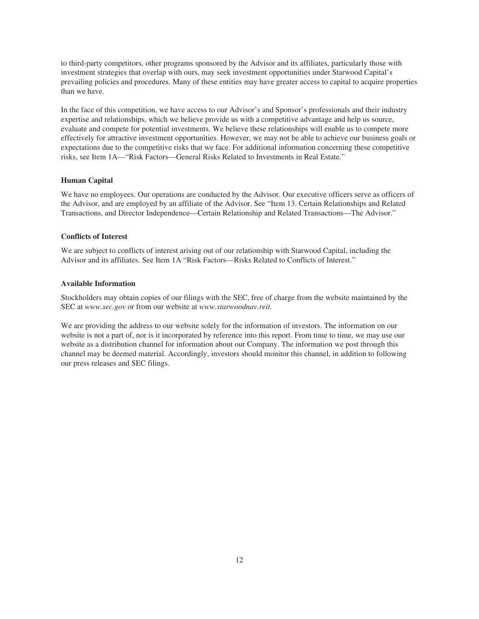to third-party competitors, other programs sponsored by the Advisor and its affiliates, particularly those with investment strategies that overlap with ours, may seek investment opportunities under Starwood Capital's prevailing policies and procedures. Many of these entities may have greater access to capital to acquire properties than we have.

In the face of this competition, we have access to our Advisor's and Sponsor's professionals and their industry expertise and relationships, which we believe provide us with a competitive advantage and help us source, evaluate and compete for potential investments. We believe these relationships will enable us to compete more effectively for attractive investment opportunities. However, we may not be able to achieve our business goals or expectations due to the competitive risks that we face. For additional information concerning these competitive risks, see Item 1A—"Risk Factors—General Risks Related to Investments in Real Estate."

## **Human Capital**

We have no employees. Our operations are conducted by the Advisor. Our executive officers serve as officers of the Advisor, and are employed by an affiliate of the Advisor. See "Item 13. Certain Relationships and Related Transactions, and Director Independence—Certain Relationship and Related Transactions—The Advisor."

## **Conflicts of Interest**

We are subject to conflicts of interest arising out of our relationship with Starwood Capital, including the Advisor and its affiliates. See Item 1A "Risk Factors—Risks Related to Conflicts of Interest."

## **Available Information**

Stockholders may obtain copies of our filings with the SEC, free of charge from the website maintained by the SEC at *www.sec.gov* or from our website at *www.starwoodnav.reit.*

We are providing the address to our website solely for the information of investors. The information on our website is not a part of, nor is it incorporated by reference into this report. From time to time, we may use our website as a distribution channel for information about our Company. The information we post through this channel may be deemed material. Accordingly, investors should monitor this channel, in addition to following our press releases and SEC filings.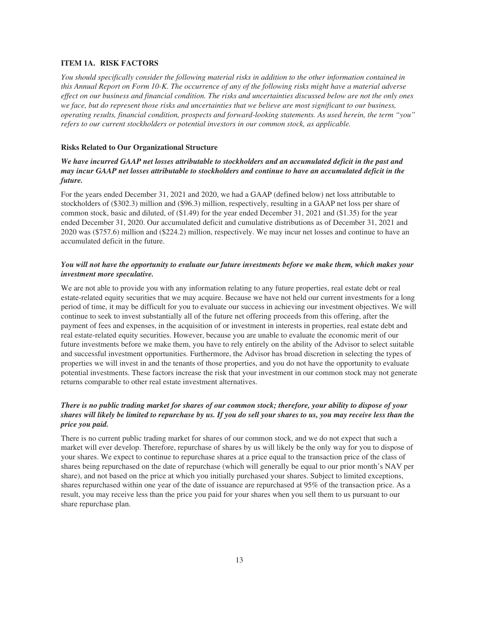## <span id="page-18-0"></span>**ITEM 1A. RISK FACTORS**

*You should specifically consider the following material risks in addition to the other information contained in this Annual Report on Form 10-K. The occurrence of any of the following risks might have a material adverse effect on our business and financial condition. The risks and uncertainties discussed below are not the only ones we face, but do represent those risks and uncertainties that we believe are most significant to our business, operating results, financial condition, prospects and forward-looking statements. As used herein, the term "you" refers to our current stockholders or potential investors in our common stock, as applicable.*

#### **Risks Related to Our Organizational Structure**

# *We have incurred GAAP net losses attributable to stockholders and an accumulated deficit in the past and may incur GAAP net losses attributable to stockholders and continue to have an accumulated deficit in the future.*

For the years ended December 31, 2021 and 2020, we had a GAAP (defined below) net loss attributable to stockholders of (\$302.3) million and (\$96.3) million, respectively, resulting in a GAAP net loss per share of common stock, basic and diluted, of (\$1.49) for the year ended December 31, 2021 and (\$1.35) for the year ended December 31, 2020. Our accumulated deficit and cumulative distributions as of December 31, 2021 and 2020 was (\$757.6) million and (\$224.2) million, respectively. We may incur net losses and continue to have an accumulated deficit in the future.

## *You will not have the opportunity to evaluate our future investments before we make them, which makes your investment more speculative.*

We are not able to provide you with any information relating to any future properties, real estate debt or real estate-related equity securities that we may acquire. Because we have not held our current investments for a long period of time, it may be difficult for you to evaluate our success in achieving our investment objectives. We will continue to seek to invest substantially all of the future net offering proceeds from this offering, after the payment of fees and expenses, in the acquisition of or investment in interests in properties, real estate debt and real estate-related equity securities. However, because you are unable to evaluate the economic merit of our future investments before we make them, you have to rely entirely on the ability of the Advisor to select suitable and successful investment opportunities. Furthermore, the Advisor has broad discretion in selecting the types of properties we will invest in and the tenants of those properties, and you do not have the opportunity to evaluate potential investments. These factors increase the risk that your investment in our common stock may not generate returns comparable to other real estate investment alternatives.

# *There is no public trading market for shares of our common stock; therefore, your ability to dispose of your shares will likely be limited to repurchase by us. If you do sell your shares to us, you may receive less than the price you paid.*

There is no current public trading market for shares of our common stock, and we do not expect that such a market will ever develop. Therefore, repurchase of shares by us will likely be the only way for you to dispose of your shares. We expect to continue to repurchase shares at a price equal to the transaction price of the class of shares being repurchased on the date of repurchase (which will generally be equal to our prior month's NAV per share), and not based on the price at which you initially purchased your shares. Subject to limited exceptions, shares repurchased within one year of the date of issuance are repurchased at 95% of the transaction price. As a result, you may receive less than the price you paid for your shares when you sell them to us pursuant to our share repurchase plan.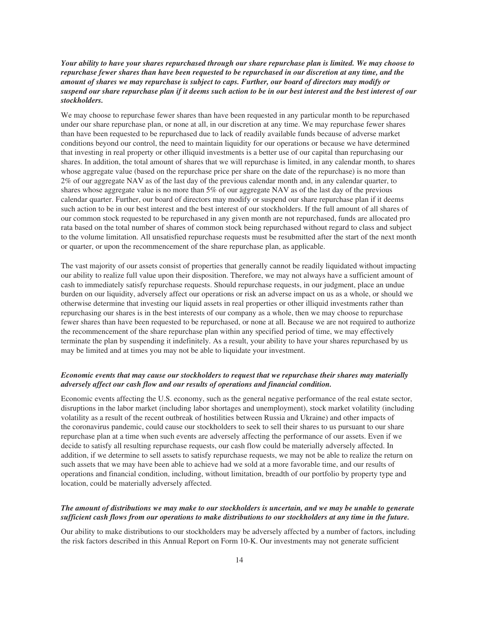# *Your ability to have your shares repurchased through our share repurchase plan is limited. We may choose to repurchase fewer shares than have been requested to be repurchased in our discretion at any time, and the amount of shares we may repurchase is subject to caps. Further, our board of directors may modify or suspend our share repurchase plan if it deems such action to be in our best interest and the best interest of our stockholders.*

We may choose to repurchase fewer shares than have been requested in any particular month to be repurchased under our share repurchase plan, or none at all, in our discretion at any time. We may repurchase fewer shares than have been requested to be repurchased due to lack of readily available funds because of adverse market conditions beyond our control, the need to maintain liquidity for our operations or because we have determined that investing in real property or other illiquid investments is a better use of our capital than repurchasing our shares. In addition, the total amount of shares that we will repurchase is limited, in any calendar month, to shares whose aggregate value (based on the repurchase price per share on the date of the repurchase) is no more than 2% of our aggregate NAV as of the last day of the previous calendar month and, in any calendar quarter, to shares whose aggregate value is no more than 5% of our aggregate NAV as of the last day of the previous calendar quarter. Further, our board of directors may modify or suspend our share repurchase plan if it deems such action to be in our best interest and the best interest of our stockholders. If the full amount of all shares of our common stock requested to be repurchased in any given month are not repurchased, funds are allocated pro rata based on the total number of shares of common stock being repurchased without regard to class and subject to the volume limitation. All unsatisfied repurchase requests must be resubmitted after the start of the next month or quarter, or upon the recommencement of the share repurchase plan, as applicable.

The vast majority of our assets consist of properties that generally cannot be readily liquidated without impacting our ability to realize full value upon their disposition. Therefore, we may not always have a sufficient amount of cash to immediately satisfy repurchase requests. Should repurchase requests, in our judgment, place an undue burden on our liquidity, adversely affect our operations or risk an adverse impact on us as a whole, or should we otherwise determine that investing our liquid assets in real properties or other illiquid investments rather than repurchasing our shares is in the best interests of our company as a whole, then we may choose to repurchase fewer shares than have been requested to be repurchased, or none at all. Because we are not required to authorize the recommencement of the share repurchase plan within any specified period of time, we may effectively terminate the plan by suspending it indefinitely. As a result, your ability to have your shares repurchased by us may be limited and at times you may not be able to liquidate your investment.

## *Economic events that may cause our stockholders to request that we repurchase their shares may materially adversely affect our cash flow and our results of operations and financial condition.*

Economic events affecting the U.S. economy, such as the general negative performance of the real estate sector, disruptions in the labor market (including labor shortages and unemployment), stock market volatility (including volatility as a result of the recent outbreak of hostilities between Russia and Ukraine) and other impacts of the coronavirus pandemic, could cause our stockholders to seek to sell their shares to us pursuant to our share repurchase plan at a time when such events are adversely affecting the performance of our assets. Even if we decide to satisfy all resulting repurchase requests, our cash flow could be materially adversely affected. In addition, if we determine to sell assets to satisfy repurchase requests, we may not be able to realize the return on such assets that we may have been able to achieve had we sold at a more favorable time, and our results of operations and financial condition, including, without limitation, breadth of our portfolio by property type and location, could be materially adversely affected.

## *The amount of distributions we may make to our stockholders is uncertain, and we may be unable to generate sufficient cash flows from our operations to make distributions to our stockholders at any time in the future.*

Our ability to make distributions to our stockholders may be adversely affected by a number of factors, including the risk factors described in this Annual Report on Form 10-K. Our investments may not generate sufficient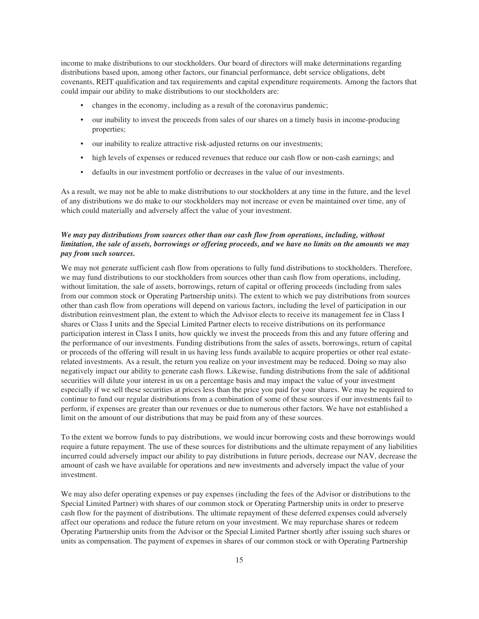income to make distributions to our stockholders. Our board of directors will make determinations regarding distributions based upon, among other factors, our financial performance, debt service obligations, debt covenants, REIT qualification and tax requirements and capital expenditure requirements. Among the factors that could impair our ability to make distributions to our stockholders are:

- changes in the economy, including as a result of the coronavirus pandemic;
- our inability to invest the proceeds from sales of our shares on a timely basis in income-producing properties;
- our inability to realize attractive risk-adjusted returns on our investments;
- high levels of expenses or reduced revenues that reduce our cash flow or non-cash earnings; and
- defaults in our investment portfolio or decreases in the value of our investments.

As a result, we may not be able to make distributions to our stockholders at any time in the future, and the level of any distributions we do make to our stockholders may not increase or even be maintained over time, any of which could materially and adversely affect the value of your investment.

# *We may pay distributions from sources other than our cash flow from operations, including, without limitation, the sale of assets, borrowings or offering proceeds, and we have no limits on the amounts we may pay from such sources.*

We may not generate sufficient cash flow from operations to fully fund distributions to stockholders. Therefore, we may fund distributions to our stockholders from sources other than cash flow from operations, including, without limitation, the sale of assets, borrowings, return of capital or offering proceeds (including from sales from our common stock or Operating Partnership units). The extent to which we pay distributions from sources other than cash flow from operations will depend on various factors, including the level of participation in our distribution reinvestment plan, the extent to which the Advisor elects to receive its management fee in Class I shares or Class I units and the Special Limited Partner elects to receive distributions on its performance participation interest in Class I units, how quickly we invest the proceeds from this and any future offering and the performance of our investments. Funding distributions from the sales of assets, borrowings, return of capital or proceeds of the offering will result in us having less funds available to acquire properties or other real estaterelated investments. As a result, the return you realize on your investment may be reduced. Doing so may also negatively impact our ability to generate cash flows. Likewise, funding distributions from the sale of additional securities will dilute your interest in us on a percentage basis and may impact the value of your investment especially if we sell these securities at prices less than the price you paid for your shares. We may be required to continue to fund our regular distributions from a combination of some of these sources if our investments fail to perform, if expenses are greater than our revenues or due to numerous other factors. We have not established a limit on the amount of our distributions that may be paid from any of these sources.

To the extent we borrow funds to pay distributions, we would incur borrowing costs and these borrowings would require a future repayment. The use of these sources for distributions and the ultimate repayment of any liabilities incurred could adversely impact our ability to pay distributions in future periods, decrease our NAV, decrease the amount of cash we have available for operations and new investments and adversely impact the value of your investment.

We may also defer operating expenses or pay expenses (including the fees of the Advisor or distributions to the Special Limited Partner) with shares of our common stock or Operating Partnership units in order to preserve cash flow for the payment of distributions. The ultimate repayment of these deferred expenses could adversely affect our operations and reduce the future return on your investment. We may repurchase shares or redeem Operating Partnership units from the Advisor or the Special Limited Partner shortly after issuing such shares or units as compensation. The payment of expenses in shares of our common stock or with Operating Partnership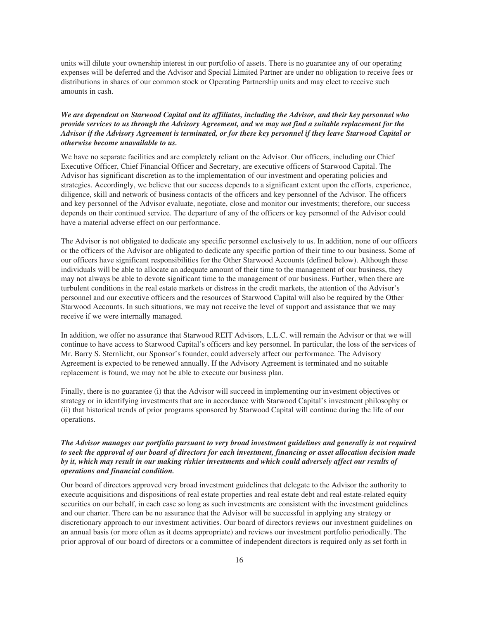units will dilute your ownership interest in our portfolio of assets. There is no guarantee any of our operating expenses will be deferred and the Advisor and Special Limited Partner are under no obligation to receive fees or distributions in shares of our common stock or Operating Partnership units and may elect to receive such amounts in cash.

# *We are dependent on Starwood Capital and its affiliates, including the Advisor, and their key personnel who provide services to us through the Advisory Agreement, and we may not find a suitable replacement for the Advisor if the Advisory Agreement is terminated, or for these key personnel if they leave Starwood Capital or otherwise become unavailable to us.*

We have no separate facilities and are completely reliant on the Advisor. Our officers, including our Chief Executive Officer, Chief Financial Officer and Secretary, are executive officers of Starwood Capital. The Advisor has significant discretion as to the implementation of our investment and operating policies and strategies. Accordingly, we believe that our success depends to a significant extent upon the efforts, experience, diligence, skill and network of business contacts of the officers and key personnel of the Advisor. The officers and key personnel of the Advisor evaluate, negotiate, close and monitor our investments; therefore, our success depends on their continued service. The departure of any of the officers or key personnel of the Advisor could have a material adverse effect on our performance.

The Advisor is not obligated to dedicate any specific personnel exclusively to us. In addition, none of our officers or the officers of the Advisor are obligated to dedicate any specific portion of their time to our business. Some of our officers have significant responsibilities for the Other Starwood Accounts (defined below). Although these individuals will be able to allocate an adequate amount of their time to the management of our business, they may not always be able to devote significant time to the management of our business. Further, when there are turbulent conditions in the real estate markets or distress in the credit markets, the attention of the Advisor's personnel and our executive officers and the resources of Starwood Capital will also be required by the Other Starwood Accounts. In such situations, we may not receive the level of support and assistance that we may receive if we were internally managed.

In addition, we offer no assurance that Starwood REIT Advisors, L.L.C. will remain the Advisor or that we will continue to have access to Starwood Capital's officers and key personnel. In particular, the loss of the services of Mr. Barry S. Sternlicht, our Sponsor's founder, could adversely affect our performance. The Advisory Agreement is expected to be renewed annually. If the Advisory Agreement is terminated and no suitable replacement is found, we may not be able to execute our business plan.

Finally, there is no guarantee (i) that the Advisor will succeed in implementing our investment objectives or strategy or in identifying investments that are in accordance with Starwood Capital's investment philosophy or (ii) that historical trends of prior programs sponsored by Starwood Capital will continue during the life of our operations.

# *The Advisor manages our portfolio pursuant to very broad investment guidelines and generally is not required to seek the approval of our board of directors for each investment, financing or asset allocation decision made by it, which may result in our making riskier investments and which could adversely affect our results of operations and financial condition.*

Our board of directors approved very broad investment guidelines that delegate to the Advisor the authority to execute acquisitions and dispositions of real estate properties and real estate debt and real estate-related equity securities on our behalf, in each case so long as such investments are consistent with the investment guidelines and our charter. There can be no assurance that the Advisor will be successful in applying any strategy or discretionary approach to our investment activities. Our board of directors reviews our investment guidelines on an annual basis (or more often as it deems appropriate) and reviews our investment portfolio periodically. The prior approval of our board of directors or a committee of independent directors is required only as set forth in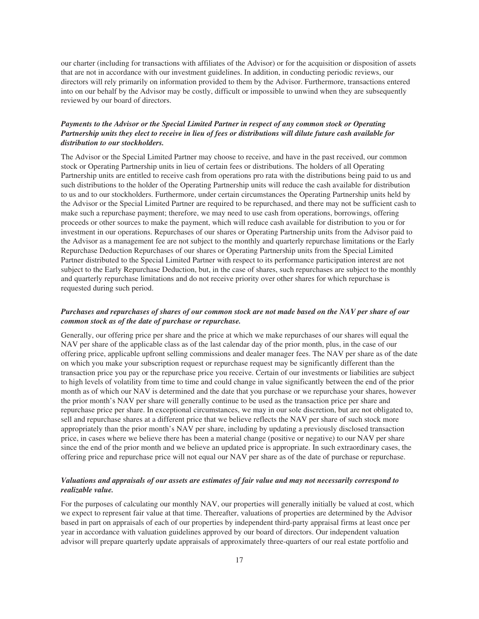our charter (including for transactions with affiliates of the Advisor) or for the acquisition or disposition of assets that are not in accordance with our investment guidelines. In addition, in conducting periodic reviews, our directors will rely primarily on information provided to them by the Advisor. Furthermore, transactions entered into on our behalf by the Advisor may be costly, difficult or impossible to unwind when they are subsequently reviewed by our board of directors.

# *Payments to the Advisor or the Special Limited Partner in respect of any common stock or Operating Partnership units they elect to receive in lieu of fees or distributions will dilute future cash available for distribution to our stockholders.*

The Advisor or the Special Limited Partner may choose to receive, and have in the past received, our common stock or Operating Partnership units in lieu of certain fees or distributions. The holders of all Operating Partnership units are entitled to receive cash from operations pro rata with the distributions being paid to us and such distributions to the holder of the Operating Partnership units will reduce the cash available for distribution to us and to our stockholders. Furthermore, under certain circumstances the Operating Partnership units held by the Advisor or the Special Limited Partner are required to be repurchased, and there may not be sufficient cash to make such a repurchase payment; therefore, we may need to use cash from operations, borrowings, offering proceeds or other sources to make the payment, which will reduce cash available for distribution to you or for investment in our operations. Repurchases of our shares or Operating Partnership units from the Advisor paid to the Advisor as a management fee are not subject to the monthly and quarterly repurchase limitations or the Early Repurchase Deduction Repurchases of our shares or Operating Partnership units from the Special Limited Partner distributed to the Special Limited Partner with respect to its performance participation interest are not subject to the Early Repurchase Deduction, but, in the case of shares, such repurchases are subject to the monthly and quarterly repurchase limitations and do not receive priority over other shares for which repurchase is requested during such period.

# *Purchases and repurchases of shares of our common stock are not made based on the NAV per share of our common stock as of the date of purchase or repurchase.*

Generally, our offering price per share and the price at which we make repurchases of our shares will equal the NAV per share of the applicable class as of the last calendar day of the prior month, plus, in the case of our offering price, applicable upfront selling commissions and dealer manager fees. The NAV per share as of the date on which you make your subscription request or repurchase request may be significantly different than the transaction price you pay or the repurchase price you receive. Certain of our investments or liabilities are subject to high levels of volatility from time to time and could change in value significantly between the end of the prior month as of which our NAV is determined and the date that you purchase or we repurchase your shares, however the prior month's NAV per share will generally continue to be used as the transaction price per share and repurchase price per share. In exceptional circumstances, we may in our sole discretion, but are not obligated to, sell and repurchase shares at a different price that we believe reflects the NAV per share of such stock more appropriately than the prior month's NAV per share, including by updating a previously disclosed transaction price, in cases where we believe there has been a material change (positive or negative) to our NAV per share since the end of the prior month and we believe an updated price is appropriate. In such extraordinary cases, the offering price and repurchase price will not equal our NAV per share as of the date of purchase or repurchase.

# *Valuations and appraisals of our assets are estimates of fair value and may not necessarily correspond to realizable value.*

For the purposes of calculating our monthly NAV, our properties will generally initially be valued at cost, which we expect to represent fair value at that time. Thereafter, valuations of properties are determined by the Advisor based in part on appraisals of each of our properties by independent third-party appraisal firms at least once per year in accordance with valuation guidelines approved by our board of directors. Our independent valuation advisor will prepare quarterly update appraisals of approximately three-quarters of our real estate portfolio and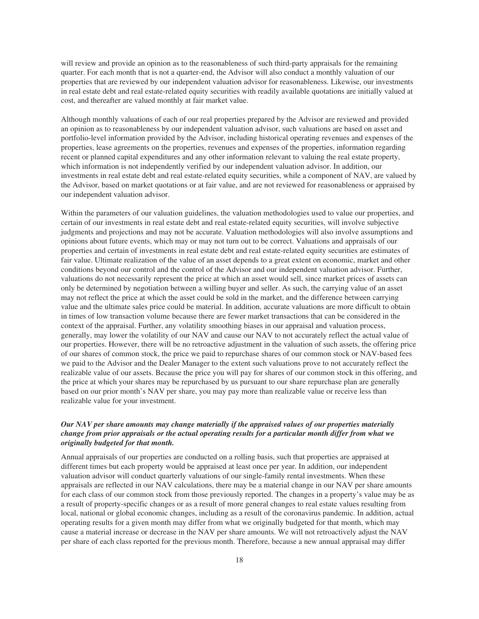will review and provide an opinion as to the reasonableness of such third-party appraisals for the remaining quarter. For each month that is not a quarter-end, the Advisor will also conduct a monthly valuation of our properties that are reviewed by our independent valuation advisor for reasonableness. Likewise, our investments in real estate debt and real estate-related equity securities with readily available quotations are initially valued at cost, and thereafter are valued monthly at fair market value.

Although monthly valuations of each of our real properties prepared by the Advisor are reviewed and provided an opinion as to reasonableness by our independent valuation advisor, such valuations are based on asset and portfolio-level information provided by the Advisor, including historical operating revenues and expenses of the properties, lease agreements on the properties, revenues and expenses of the properties, information regarding recent or planned capital expenditures and any other information relevant to valuing the real estate property, which information is not independently verified by our independent valuation advisor. In addition, our investments in real estate debt and real estate-related equity securities, while a component of NAV, are valued by the Advisor, based on market quotations or at fair value, and are not reviewed for reasonableness or appraised by our independent valuation advisor.

Within the parameters of our valuation guidelines, the valuation methodologies used to value our properties, and certain of our investments in real estate debt and real estate-related equity securities, will involve subjective judgments and projections and may not be accurate. Valuation methodologies will also involve assumptions and opinions about future events, which may or may not turn out to be correct. Valuations and appraisals of our properties and certain of investments in real estate debt and real estate-related equity securities are estimates of fair value. Ultimate realization of the value of an asset depends to a great extent on economic, market and other conditions beyond our control and the control of the Advisor and our independent valuation advisor. Further, valuations do not necessarily represent the price at which an asset would sell, since market prices of assets can only be determined by negotiation between a willing buyer and seller. As such, the carrying value of an asset may not reflect the price at which the asset could be sold in the market, and the difference between carrying value and the ultimate sales price could be material. In addition, accurate valuations are more difficult to obtain in times of low transaction volume because there are fewer market transactions that can be considered in the context of the appraisal. Further, any volatility smoothing biases in our appraisal and valuation process, generally, may lower the volatility of our NAV and cause our NAV to not accurately reflect the actual value of our properties. However, there will be no retroactive adjustment in the valuation of such assets, the offering price of our shares of common stock, the price we paid to repurchase shares of our common stock or NAV-based fees we paid to the Advisor and the Dealer Manager to the extent such valuations prove to not accurately reflect the realizable value of our assets. Because the price you will pay for shares of our common stock in this offering, and the price at which your shares may be repurchased by us pursuant to our share repurchase plan are generally based on our prior month's NAV per share, you may pay more than realizable value or receive less than realizable value for your investment.

# *Our NAV per share amounts may change materially if the appraised values of our properties materially change from prior appraisals or the actual operating results for a particular month differ from what we originally budgeted for that month.*

Annual appraisals of our properties are conducted on a rolling basis, such that properties are appraised at different times but each property would be appraised at least once per year. In addition, our independent valuation advisor will conduct quarterly valuations of our single-family rental investments. When these appraisals are reflected in our NAV calculations, there may be a material change in our NAV per share amounts for each class of our common stock from those previously reported. The changes in a property's value may be as a result of property-specific changes or as a result of more general changes to real estate values resulting from local, national or global economic changes, including as a result of the coronavirus pandemic. In addition, actual operating results for a given month may differ from what we originally budgeted for that month, which may cause a material increase or decrease in the NAV per share amounts. We will not retroactively adjust the NAV per share of each class reported for the previous month. Therefore, because a new annual appraisal may differ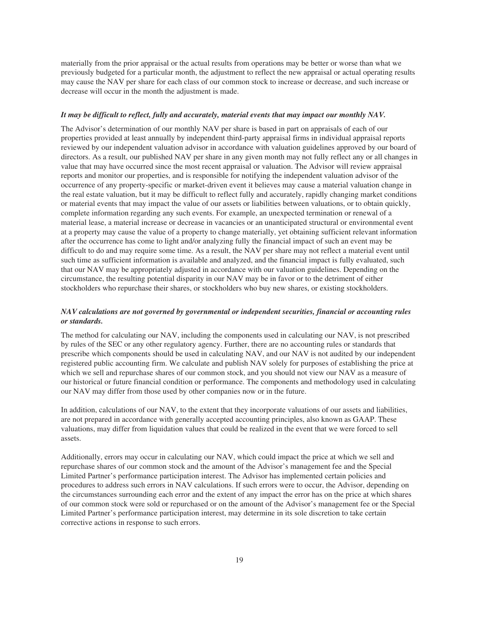materially from the prior appraisal or the actual results from operations may be better or worse than what we previously budgeted for a particular month, the adjustment to reflect the new appraisal or actual operating results may cause the NAV per share for each class of our common stock to increase or decrease, and such increase or decrease will occur in the month the adjustment is made.

#### *It may be difficult to reflect, fully and accurately, material events that may impact our monthly NAV.*

The Advisor's determination of our monthly NAV per share is based in part on appraisals of each of our properties provided at least annually by independent third-party appraisal firms in individual appraisal reports reviewed by our independent valuation advisor in accordance with valuation guidelines approved by our board of directors. As a result, our published NAV per share in any given month may not fully reflect any or all changes in value that may have occurred since the most recent appraisal or valuation. The Advisor will review appraisal reports and monitor our properties, and is responsible for notifying the independent valuation advisor of the occurrence of any property-specific or market-driven event it believes may cause a material valuation change in the real estate valuation, but it may be difficult to reflect fully and accurately, rapidly changing market conditions or material events that may impact the value of our assets or liabilities between valuations, or to obtain quickly, complete information regarding any such events. For example, an unexpected termination or renewal of a material lease, a material increase or decrease in vacancies or an unanticipated structural or environmental event at a property may cause the value of a property to change materially, yet obtaining sufficient relevant information after the occurrence has come to light and/or analyzing fully the financial impact of such an event may be difficult to do and may require some time. As a result, the NAV per share may not reflect a material event until such time as sufficient information is available and analyzed, and the financial impact is fully evaluated, such that our NAV may be appropriately adjusted in accordance with our valuation guidelines. Depending on the circumstance, the resulting potential disparity in our NAV may be in favor or to the detriment of either stockholders who repurchase their shares, or stockholders who buy new shares, or existing stockholders.

# *NAV calculations are not governed by governmental or independent securities, financial or accounting rules or standards.*

The method for calculating our NAV, including the components used in calculating our NAV, is not prescribed by rules of the SEC or any other regulatory agency. Further, there are no accounting rules or standards that prescribe which components should be used in calculating NAV, and our NAV is not audited by our independent registered public accounting firm. We calculate and publish NAV solely for purposes of establishing the price at which we sell and repurchase shares of our common stock, and you should not view our NAV as a measure of our historical or future financial condition or performance. The components and methodology used in calculating our NAV may differ from those used by other companies now or in the future.

In addition, calculations of our NAV, to the extent that they incorporate valuations of our assets and liabilities, are not prepared in accordance with generally accepted accounting principles, also known as GAAP. These valuations, may differ from liquidation values that could be realized in the event that we were forced to sell assets.

Additionally, errors may occur in calculating our NAV, which could impact the price at which we sell and repurchase shares of our common stock and the amount of the Advisor's management fee and the Special Limited Partner's performance participation interest. The Advisor has implemented certain policies and procedures to address such errors in NAV calculations. If such errors were to occur, the Advisor, depending on the circumstances surrounding each error and the extent of any impact the error has on the price at which shares of our common stock were sold or repurchased or on the amount of the Advisor's management fee or the Special Limited Partner's performance participation interest, may determine in its sole discretion to take certain corrective actions in response to such errors.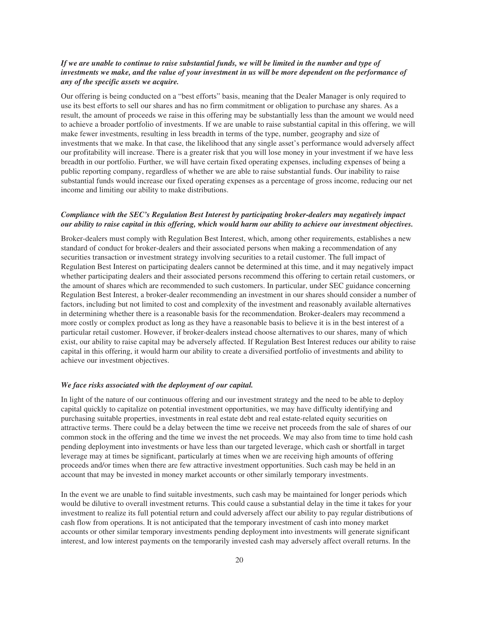# *If we are unable to continue to raise substantial funds, we will be limited in the number and type of investments we make, and the value of your investment in us will be more dependent on the performance of any of the specific assets we acquire.*

Our offering is being conducted on a "best efforts" basis, meaning that the Dealer Manager is only required to use its best efforts to sell our shares and has no firm commitment or obligation to purchase any shares. As a result, the amount of proceeds we raise in this offering may be substantially less than the amount we would need to achieve a broader portfolio of investments. If we are unable to raise substantial capital in this offering, we will make fewer investments, resulting in less breadth in terms of the type, number, geography and size of investments that we make. In that case, the likelihood that any single asset's performance would adversely affect our profitability will increase. There is a greater risk that you will lose money in your investment if we have less breadth in our portfolio. Further, we will have certain fixed operating expenses, including expenses of being a public reporting company, regardless of whether we are able to raise substantial funds. Our inability to raise substantial funds would increase our fixed operating expenses as a percentage of gross income, reducing our net income and limiting our ability to make distributions.

## *Compliance with the SEC's Regulation Best Interest by participating broker-dealers may negatively impact our ability to raise capital in this offering, which would harm our ability to achieve our investment objectives.*

Broker-dealers must comply with Regulation Best Interest, which, among other requirements, establishes a new standard of conduct for broker-dealers and their associated persons when making a recommendation of any securities transaction or investment strategy involving securities to a retail customer. The full impact of Regulation Best Interest on participating dealers cannot be determined at this time, and it may negatively impact whether participating dealers and their associated persons recommend this offering to certain retail customers, or the amount of shares which are recommended to such customers. In particular, under SEC guidance concerning Regulation Best Interest, a broker-dealer recommending an investment in our shares should consider a number of factors, including but not limited to cost and complexity of the investment and reasonably available alternatives in determining whether there is a reasonable basis for the recommendation. Broker-dealers may recommend a more costly or complex product as long as they have a reasonable basis to believe it is in the best interest of a particular retail customer. However, if broker-dealers instead choose alternatives to our shares, many of which exist, our ability to raise capital may be adversely affected. If Regulation Best Interest reduces our ability to raise capital in this offering, it would harm our ability to create a diversified portfolio of investments and ability to achieve our investment objectives.

#### *We face risks associated with the deployment of our capital.*

In light of the nature of our continuous offering and our investment strategy and the need to be able to deploy capital quickly to capitalize on potential investment opportunities, we may have difficulty identifying and purchasing suitable properties, investments in real estate debt and real estate-related equity securities on attractive terms. There could be a delay between the time we receive net proceeds from the sale of shares of our common stock in the offering and the time we invest the net proceeds. We may also from time to time hold cash pending deployment into investments or have less than our targeted leverage, which cash or shortfall in target leverage may at times be significant, particularly at times when we are receiving high amounts of offering proceeds and/or times when there are few attractive investment opportunities. Such cash may be held in an account that may be invested in money market accounts or other similarly temporary investments.

In the event we are unable to find suitable investments, such cash may be maintained for longer periods which would be dilutive to overall investment returns. This could cause a substantial delay in the time it takes for your investment to realize its full potential return and could adversely affect our ability to pay regular distributions of cash flow from operations. It is not anticipated that the temporary investment of cash into money market accounts or other similar temporary investments pending deployment into investments will generate significant interest, and low interest payments on the temporarily invested cash may adversely affect overall returns. In the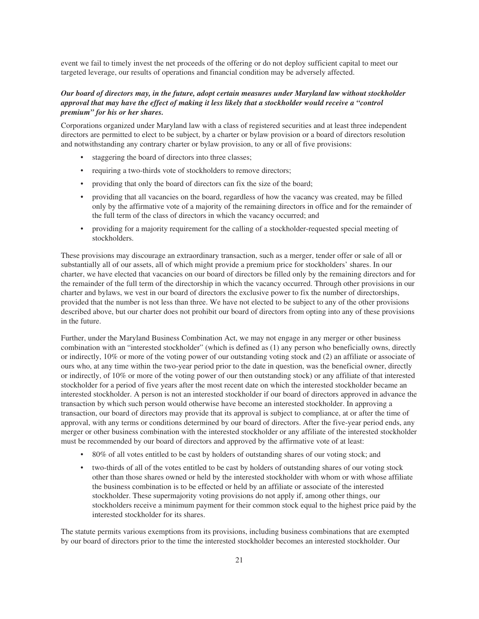event we fail to timely invest the net proceeds of the offering or do not deploy sufficient capital to meet our targeted leverage, our results of operations and financial condition may be adversely affected.

# *Our board of directors may, in the future, adopt certain measures under Maryland law without stockholder approval that may have the effect of making it less likely that a stockholder would receive a "control premium" for his or her shares.*

Corporations organized under Maryland law with a class of registered securities and at least three independent directors are permitted to elect to be subject, by a charter or bylaw provision or a board of directors resolution and notwithstanding any contrary charter or bylaw provision, to any or all of five provisions:

- staggering the board of directors into three classes;
- requiring a two-thirds vote of stockholders to remove directors;
- providing that only the board of directors can fix the size of the board;
- providing that all vacancies on the board, regardless of how the vacancy was created, may be filled only by the affirmative vote of a majority of the remaining directors in office and for the remainder of the full term of the class of directors in which the vacancy occurred; and
- providing for a majority requirement for the calling of a stockholder-requested special meeting of stockholders.

These provisions may discourage an extraordinary transaction, such as a merger, tender offer or sale of all or substantially all of our assets, all of which might provide a premium price for stockholders' shares. In our charter, we have elected that vacancies on our board of directors be filled only by the remaining directors and for the remainder of the full term of the directorship in which the vacancy occurred. Through other provisions in our charter and bylaws, we vest in our board of directors the exclusive power to fix the number of directorships, provided that the number is not less than three. We have not elected to be subject to any of the other provisions described above, but our charter does not prohibit our board of directors from opting into any of these provisions in the future.

Further, under the Maryland Business Combination Act, we may not engage in any merger or other business combination with an "interested stockholder" (which is defined as (1) any person who beneficially owns, directly or indirectly, 10% or more of the voting power of our outstanding voting stock and (2) an affiliate or associate of ours who, at any time within the two-year period prior to the date in question, was the beneficial owner, directly or indirectly, of 10% or more of the voting power of our then outstanding stock) or any affiliate of that interested stockholder for a period of five years after the most recent date on which the interested stockholder became an interested stockholder. A person is not an interested stockholder if our board of directors approved in advance the transaction by which such person would otherwise have become an interested stockholder. In approving a transaction, our board of directors may provide that its approval is subject to compliance, at or after the time of approval, with any terms or conditions determined by our board of directors. After the five-year period ends, any merger or other business combination with the interested stockholder or any affiliate of the interested stockholder must be recommended by our board of directors and approved by the affirmative vote of at least:

- 80% of all votes entitled to be cast by holders of outstanding shares of our voting stock; and
- two-thirds of all of the votes entitled to be cast by holders of outstanding shares of our voting stock other than those shares owned or held by the interested stockholder with whom or with whose affiliate the business combination is to be effected or held by an affiliate or associate of the interested stockholder. These supermajority voting provisions do not apply if, among other things, our stockholders receive a minimum payment for their common stock equal to the highest price paid by the interested stockholder for its shares.

The statute permits various exemptions from its provisions, including business combinations that are exempted by our board of directors prior to the time the interested stockholder becomes an interested stockholder. Our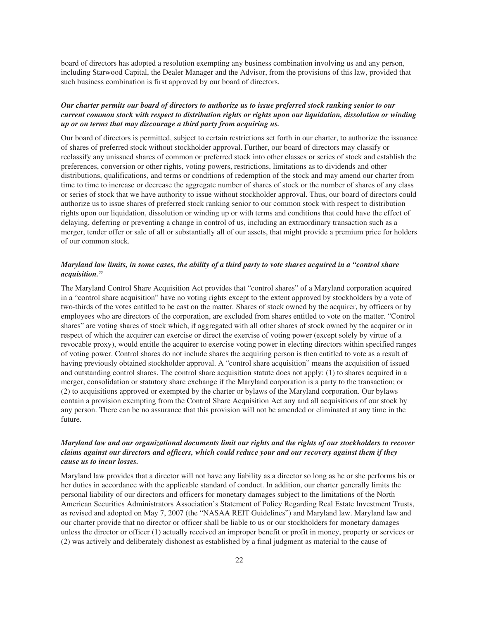board of directors has adopted a resolution exempting any business combination involving us and any person, including Starwood Capital, the Dealer Manager and the Advisor, from the provisions of this law, provided that such business combination is first approved by our board of directors.

# *Our charter permits our board of directors to authorize us to issue preferred stock ranking senior to our current common stock with respect to distribution rights or rights upon our liquidation, dissolution or winding up or on terms that may discourage a third party from acquiring us.*

Our board of directors is permitted, subject to certain restrictions set forth in our charter, to authorize the issuance of shares of preferred stock without stockholder approval. Further, our board of directors may classify or reclassify any unissued shares of common or preferred stock into other classes or series of stock and establish the preferences, conversion or other rights, voting powers, restrictions, limitations as to dividends and other distributions, qualifications, and terms or conditions of redemption of the stock and may amend our charter from time to time to increase or decrease the aggregate number of shares of stock or the number of shares of any class or series of stock that we have authority to issue without stockholder approval. Thus, our board of directors could authorize us to issue shares of preferred stock ranking senior to our common stock with respect to distribution rights upon our liquidation, dissolution or winding up or with terms and conditions that could have the effect of delaying, deferring or preventing a change in control of us, including an extraordinary transaction such as a merger, tender offer or sale of all or substantially all of our assets, that might provide a premium price for holders of our common stock.

## *Maryland law limits, in some cases, the ability of a third party to vote shares acquired in a "control share acquisition."*

The Maryland Control Share Acquisition Act provides that "control shares" of a Maryland corporation acquired in a "control share acquisition" have no voting rights except to the extent approved by stockholders by a vote of two-thirds of the votes entitled to be cast on the matter. Shares of stock owned by the acquirer, by officers or by employees who are directors of the corporation, are excluded from shares entitled to vote on the matter. "Control shares" are voting shares of stock which, if aggregated with all other shares of stock owned by the acquirer or in respect of which the acquirer can exercise or direct the exercise of voting power (except solely by virtue of a revocable proxy), would entitle the acquirer to exercise voting power in electing directors within specified ranges of voting power. Control shares do not include shares the acquiring person is then entitled to vote as a result of having previously obtained stockholder approval. A "control share acquisition" means the acquisition of issued and outstanding control shares. The control share acquisition statute does not apply: (1) to shares acquired in a merger, consolidation or statutory share exchange if the Maryland corporation is a party to the transaction; or (2) to acquisitions approved or exempted by the charter or bylaws of the Maryland corporation. Our bylaws contain a provision exempting from the Control Share Acquisition Act any and all acquisitions of our stock by any person. There can be no assurance that this provision will not be amended or eliminated at any time in the future.

# *Maryland law and our organizational documents limit our rights and the rights of our stockholders to recover claims against our directors and officers, which could reduce your and our recovery against them if they cause us to incur losses.*

Maryland law provides that a director will not have any liability as a director so long as he or she performs his or her duties in accordance with the applicable standard of conduct. In addition, our charter generally limits the personal liability of our directors and officers for monetary damages subject to the limitations of the North American Securities Administrators Association's Statement of Policy Regarding Real Estate Investment Trusts, as revised and adopted on May 7, 2007 (the "NASAA REIT Guidelines") and Maryland law. Maryland law and our charter provide that no director or officer shall be liable to us or our stockholders for monetary damages unless the director or officer (1) actually received an improper benefit or profit in money, property or services or (2) was actively and deliberately dishonest as established by a final judgment as material to the cause of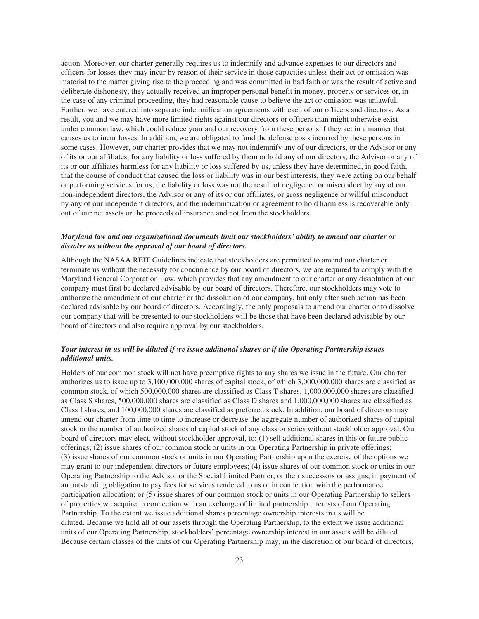action. Moreover, our charter generally requires us to indemnify and advance expenses to our directors and officers for losses they may incur by reason of their service in those capacities unless their act or omission was material to the matter giving rise to the proceeding and was committed in bad faith or was the result of active and deliberate dishonesty, they actually received an improper personal benefit in money, property or services or, in the case of any criminal proceeding, they had reasonable cause to believe the act or omission was unlawful. Further, we have entered into separate indemnification agreements with each of our officers and directors. As a result, you and we may have more limited rights against our directors or officers than might otherwise exist under common law, which could reduce your and our recovery from these persons if they act in a manner that causes us to incur losses. In addition, we are obligated to fund the defense costs incurred by these persons in some cases. However, our charter provides that we may not indemnify any of our directors, or the Advisor or any of its or our affiliates, for any liability or loss suffered by them or hold any of our directors, the Advisor or any of its or our affiliates harmless for any liability or loss suffered by us, unless they have determined, in good faith, that the course of conduct that caused the loss or liability was in our best interests, they were acting on our behalf or performing services for us, the liability or loss was not the result of negligence or misconduct by any of our non-independent directors, the Advisor or any of its or our affiliates, or gross negligence or willful misconduct by any of our independent directors, and the indemnification or agreement to hold harmless is recoverable only out of our net assets or the proceeds of insurance and not from the stockholders.

## *Maryland law and our organizational documents limit our stockholders' ability to amend our charter or dissolve us without the approval of our board of directors.*

Although the NASAA REIT Guidelines indicate that stockholders are permitted to amend our charter or terminate us without the necessity for concurrence by our board of directors, we are required to comply with the Maryland General Corporation Law, which provides that any amendment to our charter or any dissolution of our company must first be declared advisable by our board of directors. Therefore, our stockholders may vote to authorize the amendment of our charter or the dissolution of our company, but only after such action has been declared advisable by our board of directors. Accordingly, the only proposals to amend our charter or to dissolve our company that will be presented to our stockholders will be those that have been declared advisable by our board of directors and also require approval by our stockholders.

# *Your interest in us will be diluted if we issue additional shares or if the Operating Partnership issues additional units.*

Holders of our common stock will not have preemptive rights to any shares we issue in the future. Our charter authorizes us to issue up to 3,100,000,000 shares of capital stock, of which 3,000,000,000 shares are classified as common stock, of which 500,000,000 shares are classified as Class T shares, 1,000,000,000 shares are classified as Class S shares, 500,000,000 shares are classified as Class D shares and 1,000,000,000 shares are classified as Class I shares, and 100,000,000 shares are classified as preferred stock. In addition, our board of directors may amend our charter from time to time to increase or decrease the aggregate number of authorized shares of capital stock or the number of authorized shares of capital stock of any class or series without stockholder approval. Our board of directors may elect, without stockholder approval, to: (1) sell additional shares in this or future public offerings; (2) issue shares of our common stock or units in our Operating Partnership in private offerings; (3) issue shares of our common stock or units in our Operating Partnership upon the exercise of the options we may grant to our independent directors or future employees; (4) issue shares of our common stock or units in our Operating Partnership to the Advisor or the Special Limited Partner, or their successors or assigns, in payment of an outstanding obligation to pay fees for services rendered to us or in connection with the performance participation allocation; or (5) issue shares of our common stock or units in our Operating Partnership to sellers of properties we acquire in connection with an exchange of limited partnership interests of our Operating Partnership. To the extent we issue additional shares percentage ownership interests in us will be diluted. Because we hold all of our assets through the Operating Partnership, to the extent we issue additional units of our Operating Partnership, stockholders' percentage ownership interest in our assets will be diluted. Because certain classes of the units of our Operating Partnership may, in the discretion of our board of directors,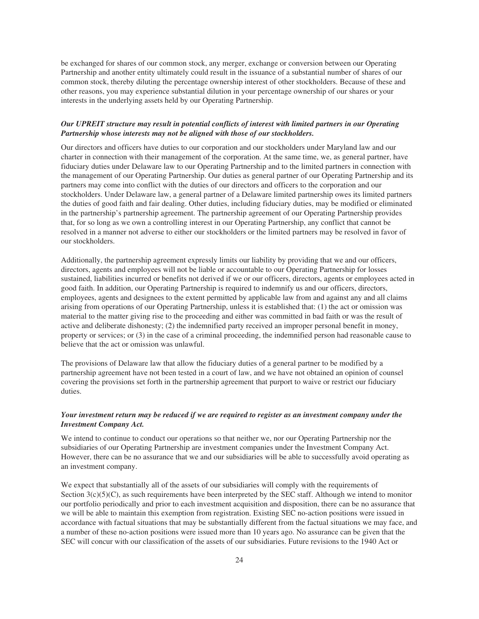be exchanged for shares of our common stock, any merger, exchange or conversion between our Operating Partnership and another entity ultimately could result in the issuance of a substantial number of shares of our common stock, thereby diluting the percentage ownership interest of other stockholders. Because of these and other reasons, you may experience substantial dilution in your percentage ownership of our shares or your interests in the underlying assets held by our Operating Partnership.

# *Our UPREIT structure may result in potential conflicts of interest with limited partners in our Operating Partnership whose interests may not be aligned with those of our stockholders.*

Our directors and officers have duties to our corporation and our stockholders under Maryland law and our charter in connection with their management of the corporation. At the same time, we, as general partner, have fiduciary duties under Delaware law to our Operating Partnership and to the limited partners in connection with the management of our Operating Partnership. Our duties as general partner of our Operating Partnership and its partners may come into conflict with the duties of our directors and officers to the corporation and our stockholders. Under Delaware law, a general partner of a Delaware limited partnership owes its limited partners the duties of good faith and fair dealing. Other duties, including fiduciary duties, may be modified or eliminated in the partnership's partnership agreement. The partnership agreement of our Operating Partnership provides that, for so long as we own a controlling interest in our Operating Partnership, any conflict that cannot be resolved in a manner not adverse to either our stockholders or the limited partners may be resolved in favor of our stockholders.

Additionally, the partnership agreement expressly limits our liability by providing that we and our officers, directors, agents and employees will not be liable or accountable to our Operating Partnership for losses sustained, liabilities incurred or benefits not derived if we or our officers, directors, agents or employees acted in good faith. In addition, our Operating Partnership is required to indemnify us and our officers, directors, employees, agents and designees to the extent permitted by applicable law from and against any and all claims arising from operations of our Operating Partnership, unless it is established that: (1) the act or omission was material to the matter giving rise to the proceeding and either was committed in bad faith or was the result of active and deliberate dishonesty; (2) the indemnified party received an improper personal benefit in money, property or services; or (3) in the case of a criminal proceeding, the indemnified person had reasonable cause to believe that the act or omission was unlawful.

The provisions of Delaware law that allow the fiduciary duties of a general partner to be modified by a partnership agreement have not been tested in a court of law, and we have not obtained an opinion of counsel covering the provisions set forth in the partnership agreement that purport to waive or restrict our fiduciary duties.

# *Your investment return may be reduced if we are required to register as an investment company under the Investment Company Act.*

We intend to continue to conduct our operations so that neither we, nor our Operating Partnership nor the subsidiaries of our Operating Partnership are investment companies under the Investment Company Act. However, there can be no assurance that we and our subsidiaries will be able to successfully avoid operating as an investment company.

We expect that substantially all of the assets of our subsidiaries will comply with the requirements of Section  $3(c)(5)(C)$ , as such requirements have been interpreted by the SEC staff. Although we intend to monitor our portfolio periodically and prior to each investment acquisition and disposition, there can be no assurance that we will be able to maintain this exemption from registration. Existing SEC no-action positions were issued in accordance with factual situations that may be substantially different from the factual situations we may face, and a number of these no-action positions were issued more than 10 years ago. No assurance can be given that the SEC will concur with our classification of the assets of our subsidiaries. Future revisions to the 1940 Act or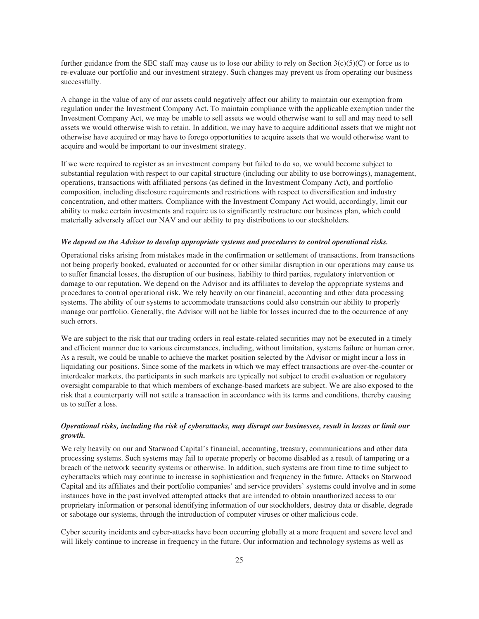further guidance from the SEC staff may cause us to lose our ability to rely on Section  $3(c)(5)(C)$  or force us to re-evaluate our portfolio and our investment strategy. Such changes may prevent us from operating our business successfully.

A change in the value of any of our assets could negatively affect our ability to maintain our exemption from regulation under the Investment Company Act. To maintain compliance with the applicable exemption under the Investment Company Act, we may be unable to sell assets we would otherwise want to sell and may need to sell assets we would otherwise wish to retain. In addition, we may have to acquire additional assets that we might not otherwise have acquired or may have to forego opportunities to acquire assets that we would otherwise want to acquire and would be important to our investment strategy.

If we were required to register as an investment company but failed to do so, we would become subject to substantial regulation with respect to our capital structure (including our ability to use borrowings), management, operations, transactions with affiliated persons (as defined in the Investment Company Act), and portfolio composition, including disclosure requirements and restrictions with respect to diversification and industry concentration, and other matters. Compliance with the Investment Company Act would, accordingly, limit our ability to make certain investments and require us to significantly restructure our business plan, which could materially adversely affect our NAV and our ability to pay distributions to our stockholders.

## *We depend on the Advisor to develop appropriate systems and procedures to control operational risks.*

Operational risks arising from mistakes made in the confirmation or settlement of transactions, from transactions not being properly booked, evaluated or accounted for or other similar disruption in our operations may cause us to suffer financial losses, the disruption of our business, liability to third parties, regulatory intervention or damage to our reputation. We depend on the Advisor and its affiliates to develop the appropriate systems and procedures to control operational risk. We rely heavily on our financial, accounting and other data processing systems. The ability of our systems to accommodate transactions could also constrain our ability to properly manage our portfolio. Generally, the Advisor will not be liable for losses incurred due to the occurrence of any such errors.

We are subject to the risk that our trading orders in real estate-related securities may not be executed in a timely and efficient manner due to various circumstances, including, without limitation, systems failure or human error. As a result, we could be unable to achieve the market position selected by the Advisor or might incur a loss in liquidating our positions. Since some of the markets in which we may effect transactions are over-the-counter or interdealer markets, the participants in such markets are typically not subject to credit evaluation or regulatory oversight comparable to that which members of exchange-based markets are subject. We are also exposed to the risk that a counterparty will not settle a transaction in accordance with its terms and conditions, thereby causing us to suffer a loss.

# *Operational risks, including the risk of cyberattacks, may disrupt our businesses, result in losses or limit our growth.*

We rely heavily on our and Starwood Capital's financial, accounting, treasury, communications and other data processing systems. Such systems may fail to operate properly or become disabled as a result of tampering or a breach of the network security systems or otherwise. In addition, such systems are from time to time subject to cyberattacks which may continue to increase in sophistication and frequency in the future. Attacks on Starwood Capital and its affiliates and their portfolio companies' and service providers' systems could involve and in some instances have in the past involved attempted attacks that are intended to obtain unauthorized access to our proprietary information or personal identifying information of our stockholders, destroy data or disable, degrade or sabotage our systems, through the introduction of computer viruses or other malicious code.

Cyber security incidents and cyber-attacks have been occurring globally at a more frequent and severe level and will likely continue to increase in frequency in the future. Our information and technology systems as well as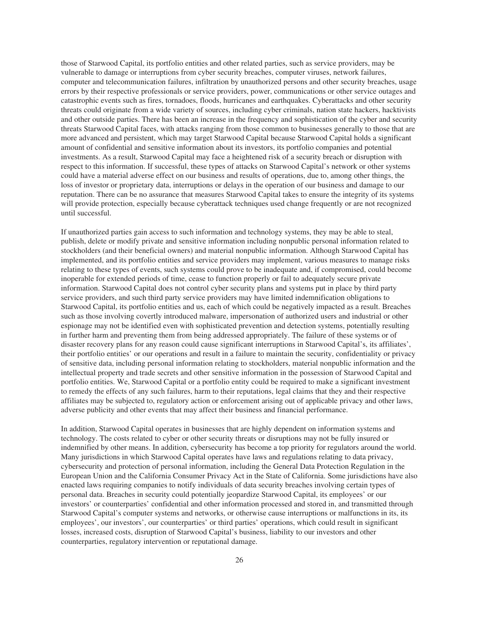those of Starwood Capital, its portfolio entities and other related parties, such as service providers, may be vulnerable to damage or interruptions from cyber security breaches, computer viruses, network failures, computer and telecommunication failures, infiltration by unauthorized persons and other security breaches, usage errors by their respective professionals or service providers, power, communications or other service outages and catastrophic events such as fires, tornadoes, floods, hurricanes and earthquakes. Cyberattacks and other security threats could originate from a wide variety of sources, including cyber criminals, nation state hackers, hacktivists and other outside parties. There has been an increase in the frequency and sophistication of the cyber and security threats Starwood Capital faces, with attacks ranging from those common to businesses generally to those that are more advanced and persistent, which may target Starwood Capital because Starwood Capital holds a significant amount of confidential and sensitive information about its investors, its portfolio companies and potential investments. As a result, Starwood Capital may face a heightened risk of a security breach or disruption with respect to this information. If successful, these types of attacks on Starwood Capital's network or other systems could have a material adverse effect on our business and results of operations, due to, among other things, the loss of investor or proprietary data, interruptions or delays in the operation of our business and damage to our reputation. There can be no assurance that measures Starwood Capital takes to ensure the integrity of its systems will provide protection, especially because cyberattack techniques used change frequently or are not recognized until successful.

If unauthorized parties gain access to such information and technology systems, they may be able to steal, publish, delete or modify private and sensitive information including nonpublic personal information related to stockholders (and their beneficial owners) and material nonpublic information. Although Starwood Capital has implemented, and its portfolio entities and service providers may implement, various measures to manage risks relating to these types of events, such systems could prove to be inadequate and, if compromised, could become inoperable for extended periods of time, cease to function properly or fail to adequately secure private information. Starwood Capital does not control cyber security plans and systems put in place by third party service providers, and such third party service providers may have limited indemnification obligations to Starwood Capital, its portfolio entities and us, each of which could be negatively impacted as a result. Breaches such as those involving covertly introduced malware, impersonation of authorized users and industrial or other espionage may not be identified even with sophisticated prevention and detection systems, potentially resulting in further harm and preventing them from being addressed appropriately. The failure of these systems or of disaster recovery plans for any reason could cause significant interruptions in Starwood Capital's, its affiliates', their portfolio entities' or our operations and result in a failure to maintain the security, confidentiality or privacy of sensitive data, including personal information relating to stockholders, material nonpublic information and the intellectual property and trade secrets and other sensitive information in the possession of Starwood Capital and portfolio entities. We, Starwood Capital or a portfolio entity could be required to make a significant investment to remedy the effects of any such failures, harm to their reputations, legal claims that they and their respective affiliates may be subjected to, regulatory action or enforcement arising out of applicable privacy and other laws, adverse publicity and other events that may affect their business and financial performance.

In addition, Starwood Capital operates in businesses that are highly dependent on information systems and technology. The costs related to cyber or other security threats or disruptions may not be fully insured or indemnified by other means. In addition, cybersecurity has become a top priority for regulators around the world. Many jurisdictions in which Starwood Capital operates have laws and regulations relating to data privacy, cybersecurity and protection of personal information, including the General Data Protection Regulation in the European Union and the California Consumer Privacy Act in the State of California. Some jurisdictions have also enacted laws requiring companies to notify individuals of data security breaches involving certain types of personal data. Breaches in security could potentially jeopardize Starwood Capital, its employees' or our investors' or counterparties' confidential and other information processed and stored in, and transmitted through Starwood Capital's computer systems and networks, or otherwise cause interruptions or malfunctions in its, its employees', our investors', our counterparties' or third parties' operations, which could result in significant losses, increased costs, disruption of Starwood Capital's business, liability to our investors and other counterparties, regulatory intervention or reputational damage.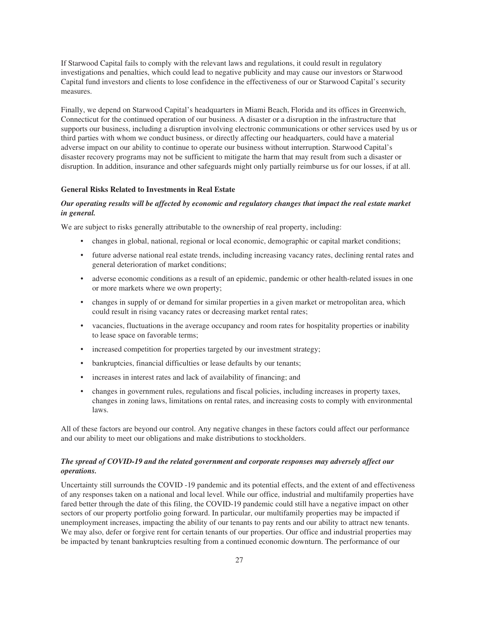If Starwood Capital fails to comply with the relevant laws and regulations, it could result in regulatory investigations and penalties, which could lead to negative publicity and may cause our investors or Starwood Capital fund investors and clients to lose confidence in the effectiveness of our or Starwood Capital's security measures.

Finally, we depend on Starwood Capital's headquarters in Miami Beach, Florida and its offices in Greenwich, Connecticut for the continued operation of our business. A disaster or a disruption in the infrastructure that supports our business, including a disruption involving electronic communications or other services used by us or third parties with whom we conduct business, or directly affecting our headquarters, could have a material adverse impact on our ability to continue to operate our business without interruption. Starwood Capital's disaster recovery programs may not be sufficient to mitigate the harm that may result from such a disaster or disruption. In addition, insurance and other safeguards might only partially reimburse us for our losses, if at all.

## **General Risks Related to Investments in Real Estate**

# *Our operating results will be affected by economic and regulatory changes that impact the real estate market in general.*

We are subject to risks generally attributable to the ownership of real property, including:

- changes in global, national, regional or local economic, demographic or capital market conditions;
- future adverse national real estate trends, including increasing vacancy rates, declining rental rates and general deterioration of market conditions;
- adverse economic conditions as a result of an epidemic, pandemic or other health-related issues in one or more markets where we own property;
- changes in supply of or demand for similar properties in a given market or metropolitan area, which could result in rising vacancy rates or decreasing market rental rates;
- vacancies, fluctuations in the average occupancy and room rates for hospitality properties or inability to lease space on favorable terms;
- increased competition for properties targeted by our investment strategy;
- bankruptcies, financial difficulties or lease defaults by our tenants;
- increases in interest rates and lack of availability of financing; and
- changes in government rules, regulations and fiscal policies, including increases in property taxes, changes in zoning laws, limitations on rental rates, and increasing costs to comply with environmental laws.

All of these factors are beyond our control. Any negative changes in these factors could affect our performance and our ability to meet our obligations and make distributions to stockholders.

# *The spread of COVID-19 and the related government and corporate responses may adversely affect our operations.*

Uncertainty still surrounds the COVID -19 pandemic and its potential effects, and the extent of and effectiveness of any responses taken on a national and local level. While our office, industrial and multifamily properties have fared better through the date of this filing, the COVID-19 pandemic could still have a negative impact on other sectors of our property portfolio going forward. In particular, our multifamily properties may be impacted if unemployment increases, impacting the ability of our tenants to pay rents and our ability to attract new tenants. We may also, defer or forgive rent for certain tenants of our properties. Our office and industrial properties may be impacted by tenant bankruptcies resulting from a continued economic downturn. The performance of our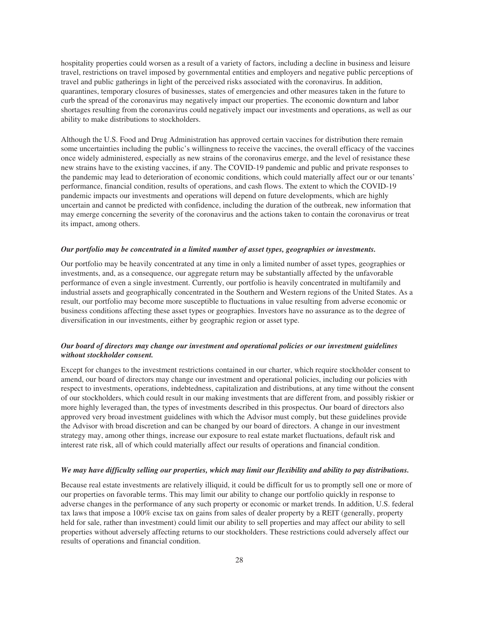hospitality properties could worsen as a result of a variety of factors, including a decline in business and leisure travel, restrictions on travel imposed by governmental entities and employers and negative public perceptions of travel and public gatherings in light of the perceived risks associated with the coronavirus. In addition, quarantines, temporary closures of businesses, states of emergencies and other measures taken in the future to curb the spread of the coronavirus may negatively impact our properties. The economic downturn and labor shortages resulting from the coronavirus could negatively impact our investments and operations, as well as our ability to make distributions to stockholders.

Although the U.S. Food and Drug Administration has approved certain vaccines for distribution there remain some uncertainties including the public's willingness to receive the vaccines, the overall efficacy of the vaccines once widely administered, especially as new strains of the coronavirus emerge, and the level of resistance these new strains have to the existing vaccines, if any. The COVID-19 pandemic and public and private responses to the pandemic may lead to deterioration of economic conditions, which could materially affect our or our tenants' performance, financial condition, results of operations, and cash flows. The extent to which the COVID-19 pandemic impacts our investments and operations will depend on future developments, which are highly uncertain and cannot be predicted with confidence, including the duration of the outbreak, new information that may emerge concerning the severity of the coronavirus and the actions taken to contain the coronavirus or treat its impact, among others.

## *Our portfolio may be concentrated in a limited number of asset types, geographies or investments.*

Our portfolio may be heavily concentrated at any time in only a limited number of asset types, geographies or investments, and, as a consequence, our aggregate return may be substantially affected by the unfavorable performance of even a single investment. Currently, our portfolio is heavily concentrated in multifamily and industrial assets and geographically concentrated in the Southern and Western regions of the United States. As a result, our portfolio may become more susceptible to fluctuations in value resulting from adverse economic or business conditions affecting these asset types or geographies. Investors have no assurance as to the degree of diversification in our investments, either by geographic region or asset type.

## *Our board of directors may change our investment and operational policies or our investment guidelines without stockholder consent.*

Except for changes to the investment restrictions contained in our charter, which require stockholder consent to amend, our board of directors may change our investment and operational policies, including our policies with respect to investments, operations, indebtedness, capitalization and distributions, at any time without the consent of our stockholders, which could result in our making investments that are different from, and possibly riskier or more highly leveraged than, the types of investments described in this prospectus. Our board of directors also approved very broad investment guidelines with which the Advisor must comply, but these guidelines provide the Advisor with broad discretion and can be changed by our board of directors. A change in our investment strategy may, among other things, increase our exposure to real estate market fluctuations, default risk and interest rate risk, all of which could materially affect our results of operations and financial condition.

#### *We may have difficulty selling our properties, which may limit our flexibility and ability to pay distributions.*

Because real estate investments are relatively illiquid, it could be difficult for us to promptly sell one or more of our properties on favorable terms. This may limit our ability to change our portfolio quickly in response to adverse changes in the performance of any such property or economic or market trends. In addition, U.S. federal tax laws that impose a 100% excise tax on gains from sales of dealer property by a REIT (generally, property held for sale, rather than investment) could limit our ability to sell properties and may affect our ability to sell properties without adversely affecting returns to our stockholders. These restrictions could adversely affect our results of operations and financial condition.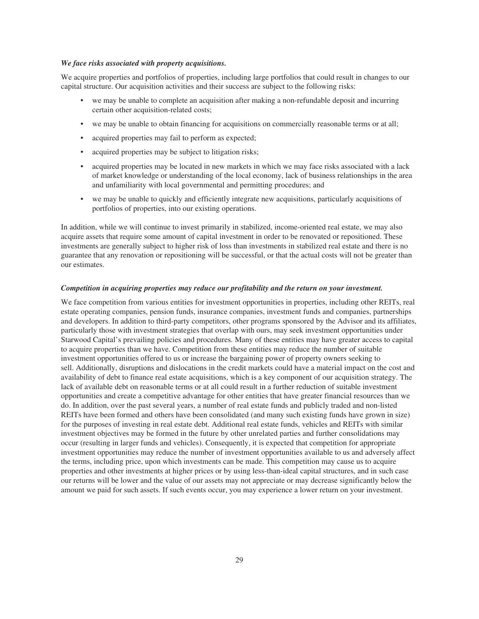### *We face risks associated with property acquisitions.*

We acquire properties and portfolios of properties, including large portfolios that could result in changes to our capital structure. Our acquisition activities and their success are subject to the following risks:

- we may be unable to complete an acquisition after making a non-refundable deposit and incurring certain other acquisition-related costs;
- we may be unable to obtain financing for acquisitions on commercially reasonable terms or at all;
- acquired properties may fail to perform as expected;
- acquired properties may be subject to litigation risks;
- acquired properties may be located in new markets in which we may face risks associated with a lack of market knowledge or understanding of the local economy, lack of business relationships in the area and unfamiliarity with local governmental and permitting procedures; and
- we may be unable to quickly and efficiently integrate new acquisitions, particularly acquisitions of portfolios of properties, into our existing operations.

In addition, while we will continue to invest primarily in stabilized, income-oriented real estate, we may also acquire assets that require some amount of capital investment in order to be renovated or repositioned. These investments are generally subject to higher risk of loss than investments in stabilized real estate and there is no guarantee that any renovation or repositioning will be successful, or that the actual costs will not be greater than our estimates.

#### *Competition in acquiring properties may reduce our profitability and the return on your investment.*

We face competition from various entities for investment opportunities in properties, including other REITs, real estate operating companies, pension funds, insurance companies, investment funds and companies, partnerships and developers. In addition to third-party competitors, other programs sponsored by the Advisor and its affiliates, particularly those with investment strategies that overlap with ours, may seek investment opportunities under Starwood Capital's prevailing policies and procedures. Many of these entities may have greater access to capital to acquire properties than we have. Competition from these entities may reduce the number of suitable investment opportunities offered to us or increase the bargaining power of property owners seeking to sell. Additionally, disruptions and dislocations in the credit markets could have a material impact on the cost and availability of debt to finance real estate acquisitions, which is a key component of our acquisition strategy. The lack of available debt on reasonable terms or at all could result in a further reduction of suitable investment opportunities and create a competitive advantage for other entities that have greater financial resources than we do. In addition, over the past several years, a number of real estate funds and publicly traded and non-listed REITs have been formed and others have been consolidated (and many such existing funds have grown in size) for the purposes of investing in real estate debt. Additional real estate funds, vehicles and REITs with similar investment objectives may be formed in the future by other unrelated parties and further consolidations may occur (resulting in larger funds and vehicles). Consequently, it is expected that competition for appropriate investment opportunities may reduce the number of investment opportunities available to us and adversely affect the terms, including price, upon which investments can be made. This competition may cause us to acquire properties and other investments at higher prices or by using less-than-ideal capital structures, and in such case our returns will be lower and the value of our assets may not appreciate or may decrease significantly below the amount we paid for such assets. If such events occur, you may experience a lower return on your investment.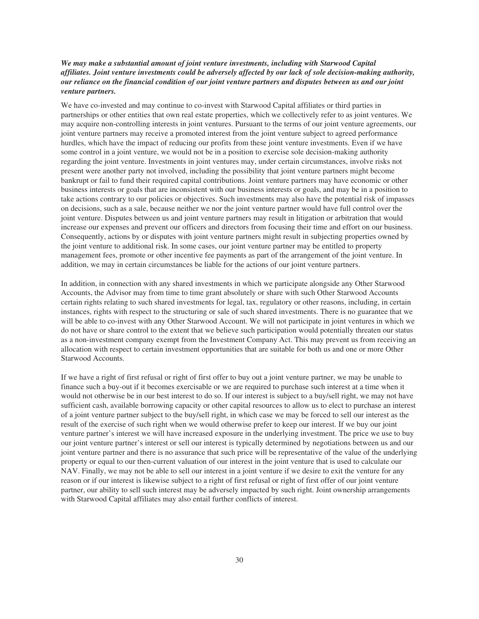# *We may make a substantial amount of joint venture investments, including with Starwood Capital affiliates. Joint venture investments could be adversely affected by our lack of sole decision-making authority, our reliance on the financial condition of our joint venture partners and disputes between us and our joint venture partners.*

We have co-invested and may continue to co-invest with Starwood Capital affiliates or third parties in partnerships or other entities that own real estate properties, which we collectively refer to as joint ventures. We may acquire non-controlling interests in joint ventures. Pursuant to the terms of our joint venture agreements, our joint venture partners may receive a promoted interest from the joint venture subject to agreed performance hurdles, which have the impact of reducing our profits from these joint venture investments. Even if we have some control in a joint venture, we would not be in a position to exercise sole decision-making authority regarding the joint venture. Investments in joint ventures may, under certain circumstances, involve risks not present were another party not involved, including the possibility that joint venture partners might become bankrupt or fail to fund their required capital contributions. Joint venture partners may have economic or other business interests or goals that are inconsistent with our business interests or goals, and may be in a position to take actions contrary to our policies or objectives. Such investments may also have the potential risk of impasses on decisions, such as a sale, because neither we nor the joint venture partner would have full control over the joint venture. Disputes between us and joint venture partners may result in litigation or arbitration that would increase our expenses and prevent our officers and directors from focusing their time and effort on our business. Consequently, actions by or disputes with joint venture partners might result in subjecting properties owned by the joint venture to additional risk. In some cases, our joint venture partner may be entitled to property management fees, promote or other incentive fee payments as part of the arrangement of the joint venture. In addition, we may in certain circumstances be liable for the actions of our joint venture partners.

In addition, in connection with any shared investments in which we participate alongside any Other Starwood Accounts, the Advisor may from time to time grant absolutely or share with such Other Starwood Accounts certain rights relating to such shared investments for legal, tax, regulatory or other reasons, including, in certain instances, rights with respect to the structuring or sale of such shared investments. There is no guarantee that we will be able to co-invest with any Other Starwood Account. We will not participate in joint ventures in which we do not have or share control to the extent that we believe such participation would potentially threaten our status as a non-investment company exempt from the Investment Company Act. This may prevent us from receiving an allocation with respect to certain investment opportunities that are suitable for both us and one or more Other Starwood Accounts.

If we have a right of first refusal or right of first offer to buy out a joint venture partner, we may be unable to finance such a buy-out if it becomes exercisable or we are required to purchase such interest at a time when it would not otherwise be in our best interest to do so. If our interest is subject to a buy/sell right, we may not have sufficient cash, available borrowing capacity or other capital resources to allow us to elect to purchase an interest of a joint venture partner subject to the buy/sell right, in which case we may be forced to sell our interest as the result of the exercise of such right when we would otherwise prefer to keep our interest. If we buy our joint venture partner's interest we will have increased exposure in the underlying investment. The price we use to buy our joint venture partner's interest or sell our interest is typically determined by negotiations between us and our joint venture partner and there is no assurance that such price will be representative of the value of the underlying property or equal to our then-current valuation of our interest in the joint venture that is used to calculate our NAV. Finally, we may not be able to sell our interest in a joint venture if we desire to exit the venture for any reason or if our interest is likewise subject to a right of first refusal or right of first offer of our joint venture partner, our ability to sell such interest may be adversely impacted by such right. Joint ownership arrangements with Starwood Capital affiliates may also entail further conflicts of interest.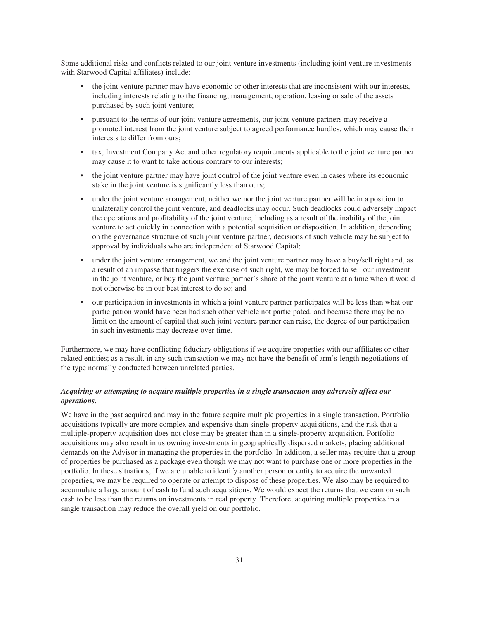Some additional risks and conflicts related to our joint venture investments (including joint venture investments with Starwood Capital affiliates) include:

- the joint venture partner may have economic or other interests that are inconsistent with our interests, including interests relating to the financing, management, operation, leasing or sale of the assets purchased by such joint venture;
- pursuant to the terms of our joint venture agreements, our joint venture partners may receive a promoted interest from the joint venture subject to agreed performance hurdles, which may cause their interests to differ from ours;
- tax, Investment Company Act and other regulatory requirements applicable to the joint venture partner may cause it to want to take actions contrary to our interests;
- the joint venture partner may have joint control of the joint venture even in cases where its economic stake in the joint venture is significantly less than ours;
- under the joint venture arrangement, neither we nor the joint venture partner will be in a position to unilaterally control the joint venture, and deadlocks may occur. Such deadlocks could adversely impact the operations and profitability of the joint venture, including as a result of the inability of the joint venture to act quickly in connection with a potential acquisition or disposition. In addition, depending on the governance structure of such joint venture partner, decisions of such vehicle may be subject to approval by individuals who are independent of Starwood Capital;
- under the joint venture arrangement, we and the joint venture partner may have a buy/sell right and, as a result of an impasse that triggers the exercise of such right, we may be forced to sell our investment in the joint venture, or buy the joint venture partner's share of the joint venture at a time when it would not otherwise be in our best interest to do so; and
- our participation in investments in which a joint venture partner participates will be less than what our participation would have been had such other vehicle not participated, and because there may be no limit on the amount of capital that such joint venture partner can raise, the degree of our participation in such investments may decrease over time.

Furthermore, we may have conflicting fiduciary obligations if we acquire properties with our affiliates or other related entities; as a result, in any such transaction we may not have the benefit of arm's-length negotiations of the type normally conducted between unrelated parties.

# *Acquiring or attempting to acquire multiple properties in a single transaction may adversely affect our operations.*

We have in the past acquired and may in the future acquire multiple properties in a single transaction. Portfolio acquisitions typically are more complex and expensive than single-property acquisitions, and the risk that a multiple-property acquisition does not close may be greater than in a single-property acquisition. Portfolio acquisitions may also result in us owning investments in geographically dispersed markets, placing additional demands on the Advisor in managing the properties in the portfolio. In addition, a seller may require that a group of properties be purchased as a package even though we may not want to purchase one or more properties in the portfolio. In these situations, if we are unable to identify another person or entity to acquire the unwanted properties, we may be required to operate or attempt to dispose of these properties. We also may be required to accumulate a large amount of cash to fund such acquisitions. We would expect the returns that we earn on such cash to be less than the returns on investments in real property. Therefore, acquiring multiple properties in a single transaction may reduce the overall yield on our portfolio.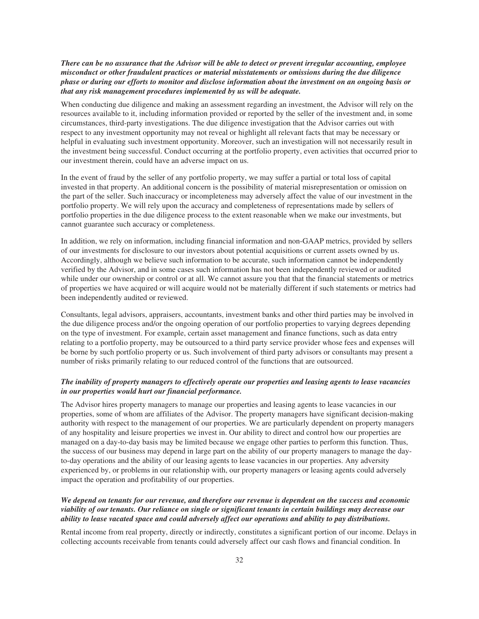# *There can be no assurance that the Advisor will be able to detect or prevent irregular accounting, employee misconduct or other fraudulent practices or material misstatements or omissions during the due diligence phase or during our efforts to monitor and disclose information about the investment on an ongoing basis or that any risk management procedures implemented by us will be adequate.*

When conducting due diligence and making an assessment regarding an investment, the Advisor will rely on the resources available to it, including information provided or reported by the seller of the investment and, in some circumstances, third-party investigations. The due diligence investigation that the Advisor carries out with respect to any investment opportunity may not reveal or highlight all relevant facts that may be necessary or helpful in evaluating such investment opportunity. Moreover, such an investigation will not necessarily result in the investment being successful. Conduct occurring at the portfolio property, even activities that occurred prior to our investment therein, could have an adverse impact on us.

In the event of fraud by the seller of any portfolio property, we may suffer a partial or total loss of capital invested in that property. An additional concern is the possibility of material misrepresentation or omission on the part of the seller. Such inaccuracy or incompleteness may adversely affect the value of our investment in the portfolio property. We will rely upon the accuracy and completeness of representations made by sellers of portfolio properties in the due diligence process to the extent reasonable when we make our investments, but cannot guarantee such accuracy or completeness.

In addition, we rely on information, including financial information and non-GAAP metrics, provided by sellers of our investments for disclosure to our investors about potential acquisitions or current assets owned by us. Accordingly, although we believe such information to be accurate, such information cannot be independently verified by the Advisor, and in some cases such information has not been independently reviewed or audited while under our ownership or control or at all. We cannot assure you that that the financial statements or metrics of properties we have acquired or will acquire would not be materially different if such statements or metrics had been independently audited or reviewed.

Consultants, legal advisors, appraisers, accountants, investment banks and other third parties may be involved in the due diligence process and/or the ongoing operation of our portfolio properties to varying degrees depending on the type of investment. For example, certain asset management and finance functions, such as data entry relating to a portfolio property, may be outsourced to a third party service provider whose fees and expenses will be borne by such portfolio property or us. Such involvement of third party advisors or consultants may present a number of risks primarily relating to our reduced control of the functions that are outsourced.

# *The inability of property managers to effectively operate our properties and leasing agents to lease vacancies in our properties would hurt our financial performance.*

The Advisor hires property managers to manage our properties and leasing agents to lease vacancies in our properties, some of whom are affiliates of the Advisor. The property managers have significant decision-making authority with respect to the management of our properties. We are particularly dependent on property managers of any hospitality and leisure properties we invest in. Our ability to direct and control how our properties are managed on a day-to-day basis may be limited because we engage other parties to perform this function. Thus, the success of our business may depend in large part on the ability of our property managers to manage the dayto-day operations and the ability of our leasing agents to lease vacancies in our properties. Any adversity experienced by, or problems in our relationship with, our property managers or leasing agents could adversely impact the operation and profitability of our properties.

# *We depend on tenants for our revenue, and therefore our revenue is dependent on the success and economic viability of our tenants. Our reliance on single or significant tenants in certain buildings may decrease our ability to lease vacated space and could adversely affect our operations and ability to pay distributions.*

Rental income from real property, directly or indirectly, constitutes a significant portion of our income. Delays in collecting accounts receivable from tenants could adversely affect our cash flows and financial condition. In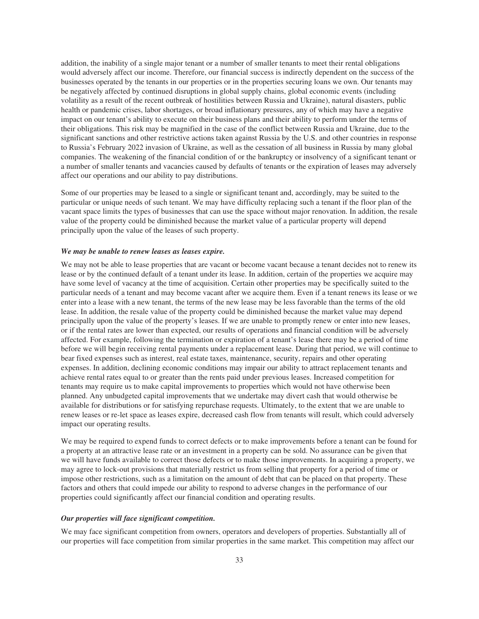addition, the inability of a single major tenant or a number of smaller tenants to meet their rental obligations would adversely affect our income. Therefore, our financial success is indirectly dependent on the success of the businesses operated by the tenants in our properties or in the properties securing loans we own. Our tenants may be negatively affected by continued disruptions in global supply chains, global economic events (including volatility as a result of the recent outbreak of hostilities between Russia and Ukraine), natural disasters, public health or pandemic crises, labor shortages, or broad inflationary pressures, any of which may have a negative impact on our tenant's ability to execute on their business plans and their ability to perform under the terms of their obligations. This risk may be magnified in the case of the conflict between Russia and Ukraine, due to the significant sanctions and other restrictive actions taken against Russia by the U.S. and other countries in response to Russia's February 2022 invasion of Ukraine, as well as the cessation of all business in Russia by many global companies. The weakening of the financial condition of or the bankruptcy or insolvency of a significant tenant or a number of smaller tenants and vacancies caused by defaults of tenants or the expiration of leases may adversely affect our operations and our ability to pay distributions.

Some of our properties may be leased to a single or significant tenant and, accordingly, may be suited to the particular or unique needs of such tenant. We may have difficulty replacing such a tenant if the floor plan of the vacant space limits the types of businesses that can use the space without major renovation. In addition, the resale value of the property could be diminished because the market value of a particular property will depend principally upon the value of the leases of such property.

#### *We may be unable to renew leases as leases expire.*

We may not be able to lease properties that are vacant or become vacant because a tenant decides not to renew its lease or by the continued default of a tenant under its lease. In addition, certain of the properties we acquire may have some level of vacancy at the time of acquisition. Certain other properties may be specifically suited to the particular needs of a tenant and may become vacant after we acquire them. Even if a tenant renews its lease or we enter into a lease with a new tenant, the terms of the new lease may be less favorable than the terms of the old lease. In addition, the resale value of the property could be diminished because the market value may depend principally upon the value of the property's leases. If we are unable to promptly renew or enter into new leases, or if the rental rates are lower than expected, our results of operations and financial condition will be adversely affected. For example, following the termination or expiration of a tenant's lease there may be a period of time before we will begin receiving rental payments under a replacement lease. During that period, we will continue to bear fixed expenses such as interest, real estate taxes, maintenance, security, repairs and other operating expenses. In addition, declining economic conditions may impair our ability to attract replacement tenants and achieve rental rates equal to or greater than the rents paid under previous leases. Increased competition for tenants may require us to make capital improvements to properties which would not have otherwise been planned. Any unbudgeted capital improvements that we undertake may divert cash that would otherwise be available for distributions or for satisfying repurchase requests. Ultimately, to the extent that we are unable to renew leases or re-let space as leases expire, decreased cash flow from tenants will result, which could adversely impact our operating results.

We may be required to expend funds to correct defects or to make improvements before a tenant can be found for a property at an attractive lease rate or an investment in a property can be sold. No assurance can be given that we will have funds available to correct those defects or to make those improvements. In acquiring a property, we may agree to lock-out provisions that materially restrict us from selling that property for a period of time or impose other restrictions, such as a limitation on the amount of debt that can be placed on that property. These factors and others that could impede our ability to respond to adverse changes in the performance of our properties could significantly affect our financial condition and operating results.

#### *Our properties will face significant competition.*

We may face significant competition from owners, operators and developers of properties. Substantially all of our properties will face competition from similar properties in the same market. This competition may affect our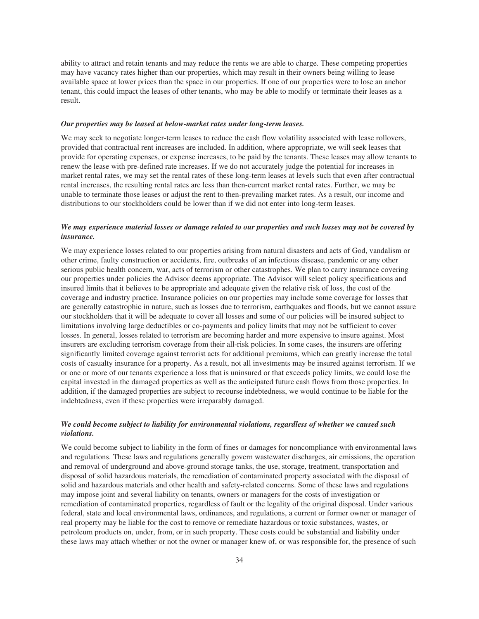ability to attract and retain tenants and may reduce the rents we are able to charge. These competing properties may have vacancy rates higher than our properties, which may result in their owners being willing to lease available space at lower prices than the space in our properties. If one of our properties were to lose an anchor tenant, this could impact the leases of other tenants, who may be able to modify or terminate their leases as a result.

#### *Our properties may be leased at below-market rates under long-term leases.*

We may seek to negotiate longer-term leases to reduce the cash flow volatility associated with lease rollovers, provided that contractual rent increases are included. In addition, where appropriate, we will seek leases that provide for operating expenses, or expense increases, to be paid by the tenants. These leases may allow tenants to renew the lease with pre-defined rate increases. If we do not accurately judge the potential for increases in market rental rates, we may set the rental rates of these long-term leases at levels such that even after contractual rental increases, the resulting rental rates are less than then-current market rental rates. Further, we may be unable to terminate those leases or adjust the rent to then-prevailing market rates. As a result, our income and distributions to our stockholders could be lower than if we did not enter into long-term leases.

### *We may experience material losses or damage related to our properties and such losses may not be covered by insurance.*

We may experience losses related to our properties arising from natural disasters and acts of God, vandalism or other crime, faulty construction or accidents, fire, outbreaks of an infectious disease, pandemic or any other serious public health concern, war, acts of terrorism or other catastrophes. We plan to carry insurance covering our properties under policies the Advisor deems appropriate. The Advisor will select policy specifications and insured limits that it believes to be appropriate and adequate given the relative risk of loss, the cost of the coverage and industry practice. Insurance policies on our properties may include some coverage for losses that are generally catastrophic in nature, such as losses due to terrorism, earthquakes and floods, but we cannot assure our stockholders that it will be adequate to cover all losses and some of our policies will be insured subject to limitations involving large deductibles or co-payments and policy limits that may not be sufficient to cover losses. In general, losses related to terrorism are becoming harder and more expensive to insure against. Most insurers are excluding terrorism coverage from their all-risk policies. In some cases, the insurers are offering significantly limited coverage against terrorist acts for additional premiums, which can greatly increase the total costs of casualty insurance for a property. As a result, not all investments may be insured against terrorism. If we or one or more of our tenants experience a loss that is uninsured or that exceeds policy limits, we could lose the capital invested in the damaged properties as well as the anticipated future cash flows from those properties. In addition, if the damaged properties are subject to recourse indebtedness, we would continue to be liable for the indebtedness, even if these properties were irreparably damaged.

# *We could become subject to liability for environmental violations, regardless of whether we caused such violations.*

We could become subject to liability in the form of fines or damages for noncompliance with environmental laws and regulations. These laws and regulations generally govern wastewater discharges, air emissions, the operation and removal of underground and above-ground storage tanks, the use, storage, treatment, transportation and disposal of solid hazardous materials, the remediation of contaminated property associated with the disposal of solid and hazardous materials and other health and safety-related concerns. Some of these laws and regulations may impose joint and several liability on tenants, owners or managers for the costs of investigation or remediation of contaminated properties, regardless of fault or the legality of the original disposal. Under various federal, state and local environmental laws, ordinances, and regulations, a current or former owner or manager of real property may be liable for the cost to remove or remediate hazardous or toxic substances, wastes, or petroleum products on, under, from, or in such property. These costs could be substantial and liability under these laws may attach whether or not the owner or manager knew of, or was responsible for, the presence of such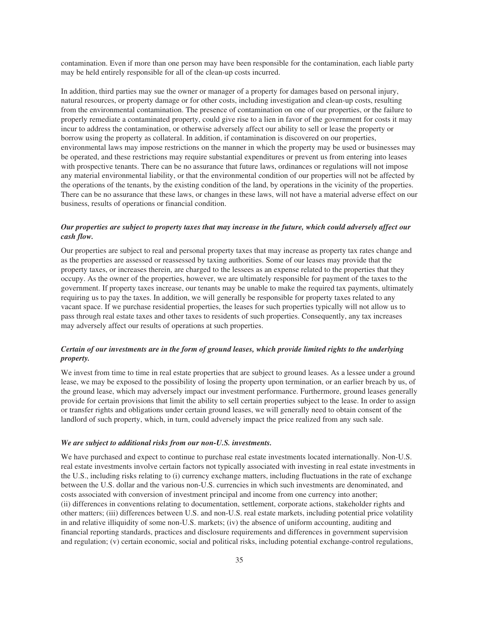contamination. Even if more than one person may have been responsible for the contamination, each liable party may be held entirely responsible for all of the clean-up costs incurred.

In addition, third parties may sue the owner or manager of a property for damages based on personal injury, natural resources, or property damage or for other costs, including investigation and clean-up costs, resulting from the environmental contamination. The presence of contamination on one of our properties, or the failure to properly remediate a contaminated property, could give rise to a lien in favor of the government for costs it may incur to address the contamination, or otherwise adversely affect our ability to sell or lease the property or borrow using the property as collateral. In addition, if contamination is discovered on our properties, environmental laws may impose restrictions on the manner in which the property may be used or businesses may be operated, and these restrictions may require substantial expenditures or prevent us from entering into leases with prospective tenants. There can be no assurance that future laws, ordinances or regulations will not impose any material environmental liability, or that the environmental condition of our properties will not be affected by the operations of the tenants, by the existing condition of the land, by operations in the vicinity of the properties. There can be no assurance that these laws, or changes in these laws, will not have a material adverse effect on our business, results of operations or financial condition.

# *Our properties are subject to property taxes that may increase in the future, which could adversely affect our cash flow.*

Our properties are subject to real and personal property taxes that may increase as property tax rates change and as the properties are assessed or reassessed by taxing authorities. Some of our leases may provide that the property taxes, or increases therein, are charged to the lessees as an expense related to the properties that they occupy. As the owner of the properties, however, we are ultimately responsible for payment of the taxes to the government. If property taxes increase, our tenants may be unable to make the required tax payments, ultimately requiring us to pay the taxes. In addition, we will generally be responsible for property taxes related to any vacant space. If we purchase residential properties, the leases for such properties typically will not allow us to pass through real estate taxes and other taxes to residents of such properties. Consequently, any tax increases may adversely affect our results of operations at such properties.

# *Certain of our investments are in the form of ground leases, which provide limited rights to the underlying property.*

We invest from time to time in real estate properties that are subject to ground leases. As a lessee under a ground lease, we may be exposed to the possibility of losing the property upon termination, or an earlier breach by us, of the ground lease, which may adversely impact our investment performance. Furthermore, ground leases generally provide for certain provisions that limit the ability to sell certain properties subject to the lease. In order to assign or transfer rights and obligations under certain ground leases, we will generally need to obtain consent of the landlord of such property, which, in turn, could adversely impact the price realized from any such sale.

#### *We are subject to additional risks from our non-U.S. investments.*

We have purchased and expect to continue to purchase real estate investments located internationally. Non-U.S. real estate investments involve certain factors not typically associated with investing in real estate investments in the U.S., including risks relating to (i) currency exchange matters, including fluctuations in the rate of exchange between the U.S. dollar and the various non-U.S. currencies in which such investments are denominated, and costs associated with conversion of investment principal and income from one currency into another; (ii) differences in conventions relating to documentation, settlement, corporate actions, stakeholder rights and other matters; (iii) differences between U.S. and non-U.S. real estate markets, including potential price volatility in and relative illiquidity of some non-U.S. markets; (iv) the absence of uniform accounting, auditing and financial reporting standards, practices and disclosure requirements and differences in government supervision and regulation; (v) certain economic, social and political risks, including potential exchange-control regulations,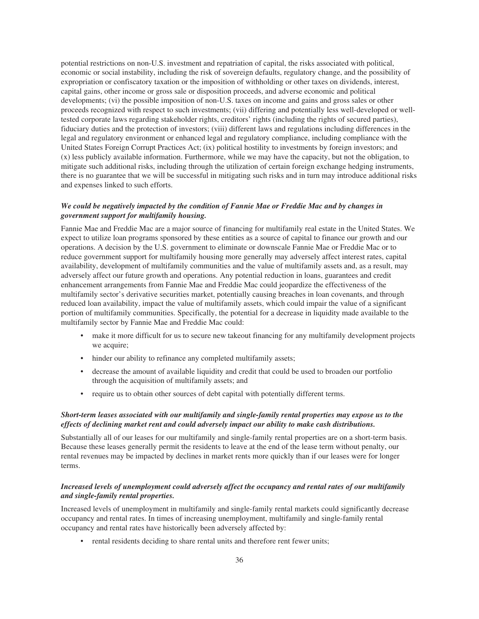potential restrictions on non-U.S. investment and repatriation of capital, the risks associated with political, economic or social instability, including the risk of sovereign defaults, regulatory change, and the possibility of expropriation or confiscatory taxation or the imposition of withholding or other taxes on dividends, interest, capital gains, other income or gross sale or disposition proceeds, and adverse economic and political developments; (vi) the possible imposition of non-U.S. taxes on income and gains and gross sales or other proceeds recognized with respect to such investments; (vii) differing and potentially less well-developed or welltested corporate laws regarding stakeholder rights, creditors' rights (including the rights of secured parties), fiduciary duties and the protection of investors; (viii) different laws and regulations including differences in the legal and regulatory environment or enhanced legal and regulatory compliance, including compliance with the United States Foreign Corrupt Practices Act; (ix) political hostility to investments by foreign investors; and (x) less publicly available information. Furthermore, while we may have the capacity, but not the obligation, to mitigate such additional risks, including through the utilization of certain foreign exchange hedging instruments, there is no guarantee that we will be successful in mitigating such risks and in turn may introduce additional risks and expenses linked to such efforts.

### *We could be negatively impacted by the condition of Fannie Mae or Freddie Mac and by changes in government support for multifamily housing.*

Fannie Mae and Freddie Mac are a major source of financing for multifamily real estate in the United States. We expect to utilize loan programs sponsored by these entities as a source of capital to finance our growth and our operations. A decision by the U.S. government to eliminate or downscale Fannie Mae or Freddie Mac or to reduce government support for multifamily housing more generally may adversely affect interest rates, capital availability, development of multifamily communities and the value of multifamily assets and, as a result, may adversely affect our future growth and operations. Any potential reduction in loans, guarantees and credit enhancement arrangements from Fannie Mae and Freddie Mac could jeopardize the effectiveness of the multifamily sector's derivative securities market, potentially causing breaches in loan covenants, and through reduced loan availability, impact the value of multifamily assets, which could impair the value of a significant portion of multifamily communities. Specifically, the potential for a decrease in liquidity made available to the multifamily sector by Fannie Mae and Freddie Mac could:

- make it more difficult for us to secure new takeout financing for any multifamily development projects we acquire;
- hinder our ability to refinance any completed multifamily assets;
- decrease the amount of available liquidity and credit that could be used to broaden our portfolio through the acquisition of multifamily assets; and
- require us to obtain other sources of debt capital with potentially different terms.

### *Short-term leases associated with our multifamily and single-family rental properties may expose us to the effects of declining market rent and could adversely impact our ability to make cash distributions.*

Substantially all of our leases for our multifamily and single-family rental properties are on a short-term basis. Because these leases generally permit the residents to leave at the end of the lease term without penalty, our rental revenues may be impacted by declines in market rents more quickly than if our leases were for longer terms.

### *Increased levels of unemployment could adversely affect the occupancy and rental rates of our multifamily and single-family rental properties.*

Increased levels of unemployment in multifamily and single-family rental markets could significantly decrease occupancy and rental rates. In times of increasing unemployment, multifamily and single-family rental occupancy and rental rates have historically been adversely affected by:

• rental residents deciding to share rental units and therefore rent fewer units;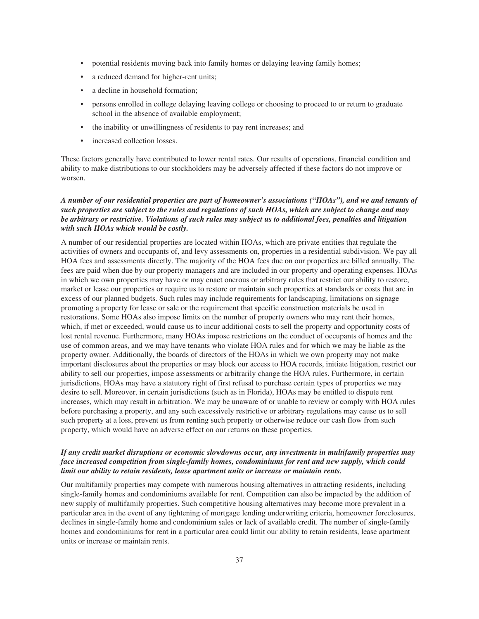- potential residents moving back into family homes or delaying leaving family homes;
- a reduced demand for higher-rent units;
- a decline in household formation;
- persons enrolled in college delaying leaving college or choosing to proceed to or return to graduate school in the absence of available employment;
- the inability or unwillingness of residents to pay rent increases; and
- increased collection losses.

These factors generally have contributed to lower rental rates. Our results of operations, financial condition and ability to make distributions to our stockholders may be adversely affected if these factors do not improve or worsen.

# *A number of our residential properties are part of homeowner's associations ("HOAs"), and we and tenants of such properties are subject to the rules and regulations of such HOAs, which are subject to change and may be arbitrary or restrictive. Violations of such rules may subject us to additional fees, penalties and litigation with such HOAs which would be costly.*

A number of our residential properties are located within HOAs, which are private entities that regulate the activities of owners and occupants of, and levy assessments on, properties in a residential subdivision. We pay all HOA fees and assessments directly. The majority of the HOA fees due on our properties are billed annually. The fees are paid when due by our property managers and are included in our property and operating expenses. HOAs in which we own properties may have or may enact onerous or arbitrary rules that restrict our ability to restore, market or lease our properties or require us to restore or maintain such properties at standards or costs that are in excess of our planned budgets. Such rules may include requirements for landscaping, limitations on signage promoting a property for lease or sale or the requirement that specific construction materials be used in restorations. Some HOAs also impose limits on the number of property owners who may rent their homes, which, if met or exceeded, would cause us to incur additional costs to sell the property and opportunity costs of lost rental revenue. Furthermore, many HOAs impose restrictions on the conduct of occupants of homes and the use of common areas, and we may have tenants who violate HOA rules and for which we may be liable as the property owner. Additionally, the boards of directors of the HOAs in which we own property may not make important disclosures about the properties or may block our access to HOA records, initiate litigation, restrict our ability to sell our properties, impose assessments or arbitrarily change the HOA rules. Furthermore, in certain jurisdictions, HOAs may have a statutory right of first refusal to purchase certain types of properties we may desire to sell. Moreover, in certain jurisdictions (such as in Florida), HOAs may be entitled to dispute rent increases, which may result in arbitration. We may be unaware of or unable to review or comply with HOA rules before purchasing a property, and any such excessively restrictive or arbitrary regulations may cause us to sell such property at a loss, prevent us from renting such property or otherwise reduce our cash flow from such property, which would have an adverse effect on our returns on these properties.

# *If any credit market disruptions or economic slowdowns occur, any investments in multifamily properties may face increased competition from single-family homes, condominiums for rent and new supply, which could limit our ability to retain residents, lease apartment units or increase or maintain rents.*

Our multifamily properties may compete with numerous housing alternatives in attracting residents, including single-family homes and condominiums available for rent. Competition can also be impacted by the addition of new supply of multifamily properties. Such competitive housing alternatives may become more prevalent in a particular area in the event of any tightening of mortgage lending underwriting criteria, homeowner foreclosures, declines in single-family home and condominium sales or lack of available credit. The number of single-family homes and condominiums for rent in a particular area could limit our ability to retain residents, lease apartment units or increase or maintain rents.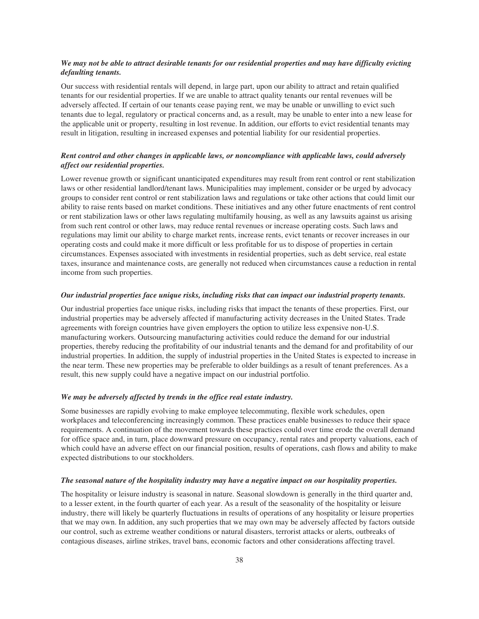# *We may not be able to attract desirable tenants for our residential properties and may have difficulty evicting defaulting tenants.*

Our success with residential rentals will depend, in large part, upon our ability to attract and retain qualified tenants for our residential properties. If we are unable to attract quality tenants our rental revenues will be adversely affected. If certain of our tenants cease paying rent, we may be unable or unwilling to evict such tenants due to legal, regulatory or practical concerns and, as a result, may be unable to enter into a new lease for the applicable unit or property, resulting in lost revenue. In addition, our efforts to evict residential tenants may result in litigation, resulting in increased expenses and potential liability for our residential properties.

# *Rent control and other changes in applicable laws, or noncompliance with applicable laws, could adversely affect our residential properties.*

Lower revenue growth or significant unanticipated expenditures may result from rent control or rent stabilization laws or other residential landlord/tenant laws. Municipalities may implement, consider or be urged by advocacy groups to consider rent control or rent stabilization laws and regulations or take other actions that could limit our ability to raise rents based on market conditions. These initiatives and any other future enactments of rent control or rent stabilization laws or other laws regulating multifamily housing, as well as any lawsuits against us arising from such rent control or other laws, may reduce rental revenues or increase operating costs. Such laws and regulations may limit our ability to charge market rents, increase rents, evict tenants or recover increases in our operating costs and could make it more difficult or less profitable for us to dispose of properties in certain circumstances. Expenses associated with investments in residential properties, such as debt service, real estate taxes, insurance and maintenance costs, are generally not reduced when circumstances cause a reduction in rental income from such properties.

# *Our industrial properties face unique risks, including risks that can impact our industrial property tenants.*

Our industrial properties face unique risks, including risks that impact the tenants of these properties. First, our industrial properties may be adversely affected if manufacturing activity decreases in the United States. Trade agreements with foreign countries have given employers the option to utilize less expensive non-U.S. manufacturing workers. Outsourcing manufacturing activities could reduce the demand for our industrial properties, thereby reducing the profitability of our industrial tenants and the demand for and profitability of our industrial properties. In addition, the supply of industrial properties in the United States is expected to increase in the near term. These new properties may be preferable to older buildings as a result of tenant preferences. As a result, this new supply could have a negative impact on our industrial portfolio.

### *We may be adversely affected by trends in the office real estate industry.*

Some businesses are rapidly evolving to make employee telecommuting, flexible work schedules, open workplaces and teleconferencing increasingly common. These practices enable businesses to reduce their space requirements. A continuation of the movement towards these practices could over time erode the overall demand for office space and, in turn, place downward pressure on occupancy, rental rates and property valuations, each of which could have an adverse effect on our financial position, results of operations, cash flows and ability to make expected distributions to our stockholders.

#### *The seasonal nature of the hospitality industry may have a negative impact on our hospitality properties.*

The hospitality or leisure industry is seasonal in nature. Seasonal slowdown is generally in the third quarter and, to a lesser extent, in the fourth quarter of each year. As a result of the seasonality of the hospitality or leisure industry, there will likely be quarterly fluctuations in results of operations of any hospitality or leisure properties that we may own. In addition, any such properties that we may own may be adversely affected by factors outside our control, such as extreme weather conditions or natural disasters, terrorist attacks or alerts, outbreaks of contagious diseases, airline strikes, travel bans, economic factors and other considerations affecting travel.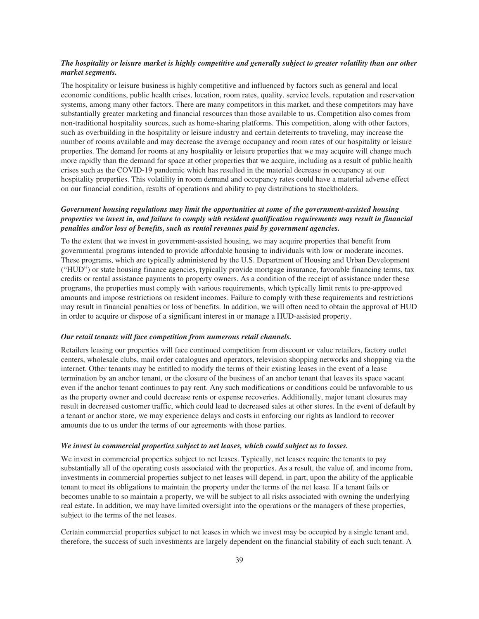## *The hospitality or leisure market is highly competitive and generally subject to greater volatility than our other market segments.*

The hospitality or leisure business is highly competitive and influenced by factors such as general and local economic conditions, public health crises, location, room rates, quality, service levels, reputation and reservation systems, among many other factors. There are many competitors in this market, and these competitors may have substantially greater marketing and financial resources than those available to us. Competition also comes from non-traditional hospitality sources, such as home-sharing platforms. This competition, along with other factors, such as overbuilding in the hospitality or leisure industry and certain deterrents to traveling, may increase the number of rooms available and may decrease the average occupancy and room rates of our hospitality or leisure properties. The demand for rooms at any hospitality or leisure properties that we may acquire will change much more rapidly than the demand for space at other properties that we acquire, including as a result of public health crises such as the COVID-19 pandemic which has resulted in the material decrease in occupancy at our hospitality properties. This volatility in room demand and occupancy rates could have a material adverse effect on our financial condition, results of operations and ability to pay distributions to stockholders.

# *Government housing regulations may limit the opportunities at some of the government-assisted housing properties we invest in, and failure to comply with resident qualification requirements may result in financial penalties and/or loss of benefits, such as rental revenues paid by government agencies.*

To the extent that we invest in government-assisted housing, we may acquire properties that benefit from governmental programs intended to provide affordable housing to individuals with low or moderate incomes. These programs, which are typically administered by the U.S. Department of Housing and Urban Development ("HUD") or state housing finance agencies, typically provide mortgage insurance, favorable financing terms, tax credits or rental assistance payments to property owners. As a condition of the receipt of assistance under these programs, the properties must comply with various requirements, which typically limit rents to pre-approved amounts and impose restrictions on resident incomes. Failure to comply with these requirements and restrictions may result in financial penalties or loss of benefits. In addition, we will often need to obtain the approval of HUD in order to acquire or dispose of a significant interest in or manage a HUD-assisted property.

#### *Our retail tenants will face competition from numerous retail channels.*

Retailers leasing our properties will face continued competition from discount or value retailers, factory outlet centers, wholesale clubs, mail order catalogues and operators, television shopping networks and shopping via the internet. Other tenants may be entitled to modify the terms of their existing leases in the event of a lease termination by an anchor tenant, or the closure of the business of an anchor tenant that leaves its space vacant even if the anchor tenant continues to pay rent. Any such modifications or conditions could be unfavorable to us as the property owner and could decrease rents or expense recoveries. Additionally, major tenant closures may result in decreased customer traffic, which could lead to decreased sales at other stores. In the event of default by a tenant or anchor store, we may experience delays and costs in enforcing our rights as landlord to recover amounts due to us under the terms of our agreements with those parties.

#### *We invest in commercial properties subject to net leases, which could subject us to losses.*

We invest in commercial properties subject to net leases. Typically, net leases require the tenants to pay substantially all of the operating costs associated with the properties. As a result, the value of, and income from, investments in commercial properties subject to net leases will depend, in part, upon the ability of the applicable tenant to meet its obligations to maintain the property under the terms of the net lease. If a tenant fails or becomes unable to so maintain a property, we will be subject to all risks associated with owning the underlying real estate. In addition, we may have limited oversight into the operations or the managers of these properties, subject to the terms of the net leases.

Certain commercial properties subject to net leases in which we invest may be occupied by a single tenant and, therefore, the success of such investments are largely dependent on the financial stability of each such tenant. A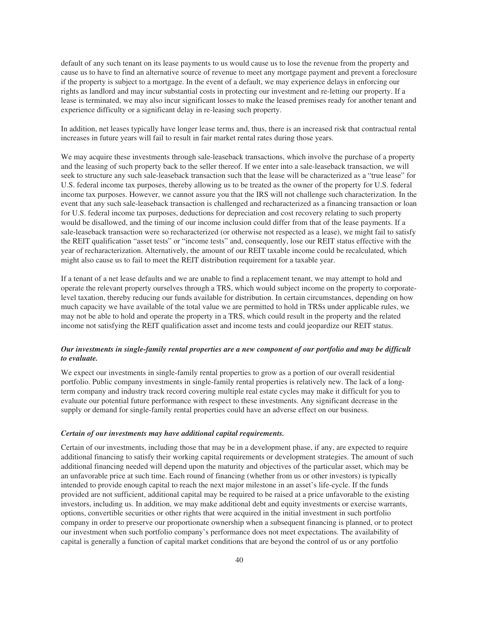default of any such tenant on its lease payments to us would cause us to lose the revenue from the property and cause us to have to find an alternative source of revenue to meet any mortgage payment and prevent a foreclosure if the property is subject to a mortgage. In the event of a default, we may experience delays in enforcing our rights as landlord and may incur substantial costs in protecting our investment and re-letting our property. If a lease is terminated, we may also incur significant losses to make the leased premises ready for another tenant and experience difficulty or a significant delay in re-leasing such property.

In addition, net leases typically have longer lease terms and, thus, there is an increased risk that contractual rental increases in future years will fail to result in fair market rental rates during those years.

We may acquire these investments through sale-leaseback transactions, which involve the purchase of a property and the leasing of such property back to the seller thereof. If we enter into a sale-leaseback transaction, we will seek to structure any such sale-leaseback transaction such that the lease will be characterized as a "true lease" for U.S. federal income tax purposes, thereby allowing us to be treated as the owner of the property for U.S. federal income tax purposes. However, we cannot assure you that the IRS will not challenge such characterization. In the event that any such sale-leaseback transaction is challenged and recharacterized as a financing transaction or loan for U.S. federal income tax purposes, deductions for depreciation and cost recovery relating to such property would be disallowed, and the timing of our income inclusion could differ from that of the lease payments. If a sale-leaseback transaction were so recharacterized (or otherwise not respected as a lease), we might fail to satisfy the REIT qualification "asset tests" or "income tests" and, consequently, lose our REIT status effective with the year of recharacterization. Alternatively, the amount of our REIT taxable income could be recalculated, which might also cause us to fail to meet the REIT distribution requirement for a taxable year.

If a tenant of a net lease defaults and we are unable to find a replacement tenant, we may attempt to hold and operate the relevant property ourselves through a TRS, which would subject income on the property to corporatelevel taxation, thereby reducing our funds available for distribution. In certain circumstances, depending on how much capacity we have available of the total value we are permitted to hold in TRSs under applicable rules, we may not be able to hold and operate the property in a TRS, which could result in the property and the related income not satisfying the REIT qualification asset and income tests and could jeopardize our REIT status.

# *Our investments in single-family rental properties are a new component of our portfolio and may be difficult to evaluate.*

We expect our investments in single-family rental properties to grow as a portion of our overall residential portfolio. Public company investments in single-family rental properties is relatively new. The lack of a longterm company and industry track record covering multiple real estate cycles may make it difficult for you to evaluate our potential future performance with respect to these investments. Any significant decrease in the supply or demand for single-family rental properties could have an adverse effect on our business.

### *Certain of our investments may have additional capital requirements.*

Certain of our investments, including those that may be in a development phase, if any, are expected to require additional financing to satisfy their working capital requirements or development strategies. The amount of such additional financing needed will depend upon the maturity and objectives of the particular asset, which may be an unfavorable price at such time. Each round of financing (whether from us or other investors) is typically intended to provide enough capital to reach the next major milestone in an asset's life-cycle. If the funds provided are not sufficient, additional capital may be required to be raised at a price unfavorable to the existing investors, including us. In addition, we may make additional debt and equity investments or exercise warrants, options, convertible securities or other rights that were acquired in the initial investment in such portfolio company in order to preserve our proportionate ownership when a subsequent financing is planned, or to protect our investment when such portfolio company's performance does not meet expectations. The availability of capital is generally a function of capital market conditions that are beyond the control of us or any portfolio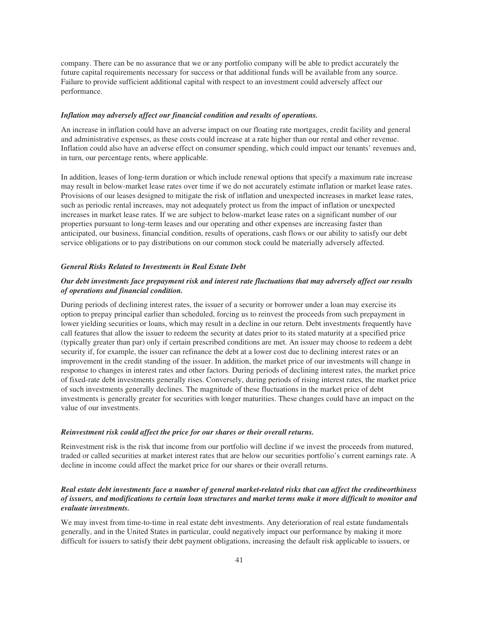company. There can be no assurance that we or any portfolio company will be able to predict accurately the future capital requirements necessary for success or that additional funds will be available from any source. Failure to provide sufficient additional capital with respect to an investment could adversely affect our performance.

#### *Inflation may adversely affect our financial condition and results of operations.*

An increase in inflation could have an adverse impact on our floating rate mortgages, credit facility and general and administrative expenses, as these costs could increase at a rate higher than our rental and other revenue. Inflation could also have an adverse effect on consumer spending, which could impact our tenants' revenues and, in turn, our percentage rents, where applicable.

In addition, leases of long-term duration or which include renewal options that specify a maximum rate increase may result in below-market lease rates over time if we do not accurately estimate inflation or market lease rates. Provisions of our leases designed to mitigate the risk of inflation and unexpected increases in market lease rates, such as periodic rental increases, may not adequately protect us from the impact of inflation or unexpected increases in market lease rates. If we are subject to below-market lease rates on a significant number of our properties pursuant to long-term leases and our operating and other expenses are increasing faster than anticipated, our business, financial condition, results of operations, cash flows or our ability to satisfy our debt service obligations or to pay distributions on our common stock could be materially adversely affected.

#### *General Risks Related to Investments in Real Estate Debt*

### *Our debt investments face prepayment risk and interest rate fluctuations that may adversely affect our results of operations and financial condition.*

During periods of declining interest rates, the issuer of a security or borrower under a loan may exercise its option to prepay principal earlier than scheduled, forcing us to reinvest the proceeds from such prepayment in lower yielding securities or loans, which may result in a decline in our return. Debt investments frequently have call features that allow the issuer to redeem the security at dates prior to its stated maturity at a specified price (typically greater than par) only if certain prescribed conditions are met. An issuer may choose to redeem a debt security if, for example, the issuer can refinance the debt at a lower cost due to declining interest rates or an improvement in the credit standing of the issuer. In addition, the market price of our investments will change in response to changes in interest rates and other factors. During periods of declining interest rates, the market price of fixed-rate debt investments generally rises. Conversely, during periods of rising interest rates, the market price of such investments generally declines. The magnitude of these fluctuations in the market price of debt investments is generally greater for securities with longer maturities. These changes could have an impact on the value of our investments.

#### *Reinvestment risk could affect the price for our shares or their overall returns.*

Reinvestment risk is the risk that income from our portfolio will decline if we invest the proceeds from matured, traded or called securities at market interest rates that are below our securities portfolio's current earnings rate. A decline in income could affect the market price for our shares or their overall returns.

# *Real estate debt investments face a number of general market-related risks that can affect the creditworthiness of issuers, and modifications to certain loan structures and market terms make it more difficult to monitor and evaluate investments.*

We may invest from time-to-time in real estate debt investments. Any deterioration of real estate fundamentals generally, and in the United States in particular, could negatively impact our performance by making it more difficult for issuers to satisfy their debt payment obligations, increasing the default risk applicable to issuers, or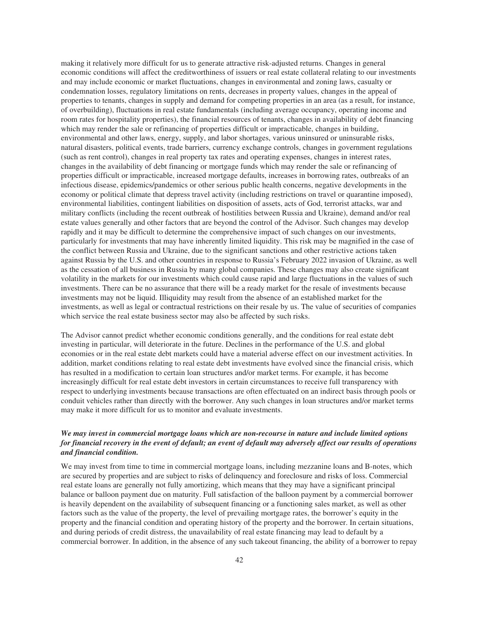making it relatively more difficult for us to generate attractive risk-adjusted returns. Changes in general economic conditions will affect the creditworthiness of issuers or real estate collateral relating to our investments and may include economic or market fluctuations, changes in environmental and zoning laws, casualty or condemnation losses, regulatory limitations on rents, decreases in property values, changes in the appeal of properties to tenants, changes in supply and demand for competing properties in an area (as a result, for instance, of overbuilding), fluctuations in real estate fundamentals (including average occupancy, operating income and room rates for hospitality properties), the financial resources of tenants, changes in availability of debt financing which may render the sale or refinancing of properties difficult or impracticable, changes in building, environmental and other laws, energy, supply, and labor shortages, various uninsured or uninsurable risks, natural disasters, political events, trade barriers, currency exchange controls, changes in government regulations (such as rent control), changes in real property tax rates and operating expenses, changes in interest rates, changes in the availability of debt financing or mortgage funds which may render the sale or refinancing of properties difficult or impracticable, increased mortgage defaults, increases in borrowing rates, outbreaks of an infectious disease, epidemics/pandemics or other serious public health concerns, negative developments in the economy or political climate that depress travel activity (including restrictions on travel or quarantine imposed), environmental liabilities, contingent liabilities on disposition of assets, acts of God, terrorist attacks, war and military conflicts (including the recent outbreak of hostilities between Russia and Ukraine), demand and/or real estate values generally and other factors that are beyond the control of the Advisor. Such changes may develop rapidly and it may be difficult to determine the comprehensive impact of such changes on our investments, particularly for investments that may have inherently limited liquidity. This risk may be magnified in the case of the conflict between Russia and Ukraine, due to the significant sanctions and other restrictive actions taken against Russia by the U.S. and other countries in response to Russia's February 2022 invasion of Ukraine, as well as the cessation of all business in Russia by many global companies. These changes may also create significant volatility in the markets for our investments which could cause rapid and large fluctuations in the values of such investments. There can be no assurance that there will be a ready market for the resale of investments because investments may not be liquid. Illiquidity may result from the absence of an established market for the investments, as well as legal or contractual restrictions on their resale by us. The value of securities of companies which service the real estate business sector may also be affected by such risks.

The Advisor cannot predict whether economic conditions generally, and the conditions for real estate debt investing in particular, will deteriorate in the future. Declines in the performance of the U.S. and global economies or in the real estate debt markets could have a material adverse effect on our investment activities. In addition, market conditions relating to real estate debt investments have evolved since the financial crisis, which has resulted in a modification to certain loan structures and/or market terms. For example, it has become increasingly difficult for real estate debt investors in certain circumstances to receive full transparency with respect to underlying investments because transactions are often effectuated on an indirect basis through pools or conduit vehicles rather than directly with the borrower. Any such changes in loan structures and/or market terms may make it more difficult for us to monitor and evaluate investments.

# *We may invest in commercial mortgage loans which are non-recourse in nature and include limited options for financial recovery in the event of default; an event of default may adversely affect our results of operations and financial condition.*

We may invest from time to time in commercial mortgage loans, including mezzanine loans and B-notes, which are secured by properties and are subject to risks of delinquency and foreclosure and risks of loss. Commercial real estate loans are generally not fully amortizing, which means that they may have a significant principal balance or balloon payment due on maturity. Full satisfaction of the balloon payment by a commercial borrower is heavily dependent on the availability of subsequent financing or a functioning sales market, as well as other factors such as the value of the property, the level of prevailing mortgage rates, the borrower's equity in the property and the financial condition and operating history of the property and the borrower. In certain situations, and during periods of credit distress, the unavailability of real estate financing may lead to default by a commercial borrower. In addition, in the absence of any such takeout financing, the ability of a borrower to repay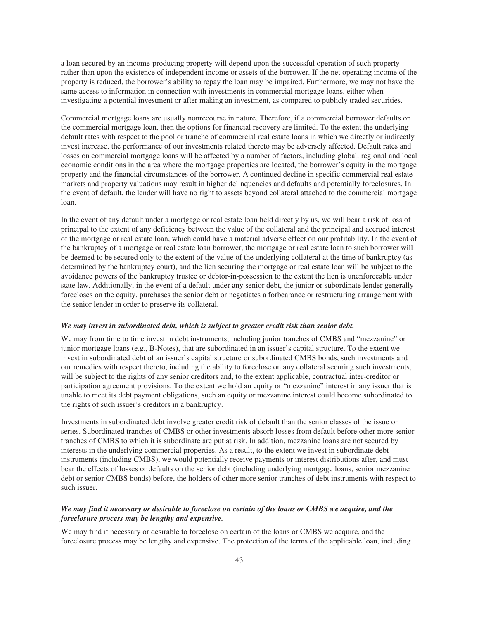a loan secured by an income-producing property will depend upon the successful operation of such property rather than upon the existence of independent income or assets of the borrower. If the net operating income of the property is reduced, the borrower's ability to repay the loan may be impaired. Furthermore, we may not have the same access to information in connection with investments in commercial mortgage loans, either when investigating a potential investment or after making an investment, as compared to publicly traded securities.

Commercial mortgage loans are usually nonrecourse in nature. Therefore, if a commercial borrower defaults on the commercial mortgage loan, then the options for financial recovery are limited. To the extent the underlying default rates with respect to the pool or tranche of commercial real estate loans in which we directly or indirectly invest increase, the performance of our investments related thereto may be adversely affected. Default rates and losses on commercial mortgage loans will be affected by a number of factors, including global, regional and local economic conditions in the area where the mortgage properties are located, the borrower's equity in the mortgage property and the financial circumstances of the borrower. A continued decline in specific commercial real estate markets and property valuations may result in higher delinquencies and defaults and potentially foreclosures. In the event of default, the lender will have no right to assets beyond collateral attached to the commercial mortgage loan.

In the event of any default under a mortgage or real estate loan held directly by us, we will bear a risk of loss of principal to the extent of any deficiency between the value of the collateral and the principal and accrued interest of the mortgage or real estate loan, which could have a material adverse effect on our profitability. In the event of the bankruptcy of a mortgage or real estate loan borrower, the mortgage or real estate loan to such borrower will be deemed to be secured only to the extent of the value of the underlying collateral at the time of bankruptcy (as determined by the bankruptcy court), and the lien securing the mortgage or real estate loan will be subject to the avoidance powers of the bankruptcy trustee or debtor-in-possession to the extent the lien is unenforceable under state law. Additionally, in the event of a default under any senior debt, the junior or subordinate lender generally forecloses on the equity, purchases the senior debt or negotiates a forbearance or restructuring arrangement with the senior lender in order to preserve its collateral.

#### *We may invest in subordinated debt, which is subject to greater credit risk than senior debt.*

We may from time to time invest in debt instruments, including junior tranches of CMBS and "mezzanine" or junior mortgage loans (e.g., B-Notes), that are subordinated in an issuer's capital structure. To the extent we invest in subordinated debt of an issuer's capital structure or subordinated CMBS bonds, such investments and our remedies with respect thereto, including the ability to foreclose on any collateral securing such investments, will be subject to the rights of any senior creditors and, to the extent applicable, contractual inter-creditor or participation agreement provisions. To the extent we hold an equity or "mezzanine" interest in any issuer that is unable to meet its debt payment obligations, such an equity or mezzanine interest could become subordinated to the rights of such issuer's creditors in a bankruptcy.

Investments in subordinated debt involve greater credit risk of default than the senior classes of the issue or series. Subordinated tranches of CMBS or other investments absorb losses from default before other more senior tranches of CMBS to which it is subordinate are put at risk. In addition, mezzanine loans are not secured by interests in the underlying commercial properties. As a result, to the extent we invest in subordinate debt instruments (including CMBS), we would potentially receive payments or interest distributions after, and must bear the effects of losses or defaults on the senior debt (including underlying mortgage loans, senior mezzanine debt or senior CMBS bonds) before, the holders of other more senior tranches of debt instruments with respect to such issuer.

### *We may find it necessary or desirable to foreclose on certain of the loans or CMBS we acquire, and the foreclosure process may be lengthy and expensive.*

We may find it necessary or desirable to foreclose on certain of the loans or CMBS we acquire, and the foreclosure process may be lengthy and expensive. The protection of the terms of the applicable loan, including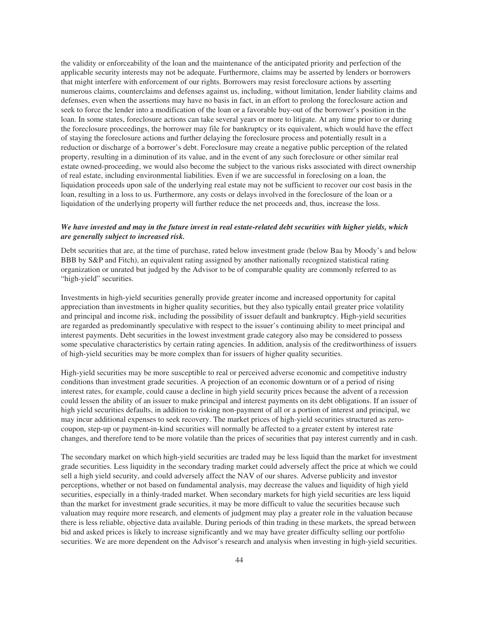the validity or enforceability of the loan and the maintenance of the anticipated priority and perfection of the applicable security interests may not be adequate. Furthermore, claims may be asserted by lenders or borrowers that might interfere with enforcement of our rights. Borrowers may resist foreclosure actions by asserting numerous claims, counterclaims and defenses against us, including, without limitation, lender liability claims and defenses, even when the assertions may have no basis in fact, in an effort to prolong the foreclosure action and seek to force the lender into a modification of the loan or a favorable buy-out of the borrower's position in the loan. In some states, foreclosure actions can take several years or more to litigate. At any time prior to or during the foreclosure proceedings, the borrower may file for bankruptcy or its equivalent, which would have the effect of staying the foreclosure actions and further delaying the foreclosure process and potentially result in a reduction or discharge of a borrower's debt. Foreclosure may create a negative public perception of the related property, resulting in a diminution of its value, and in the event of any such foreclosure or other similar real estate owned-proceeding, we would also become the subject to the various risks associated with direct ownership of real estate, including environmental liabilities. Even if we are successful in foreclosing on a loan, the liquidation proceeds upon sale of the underlying real estate may not be sufficient to recover our cost basis in the loan, resulting in a loss to us. Furthermore, any costs or delays involved in the foreclosure of the loan or a liquidation of the underlying property will further reduce the net proceeds and, thus, increase the loss.

### *We have invested and may in the future invest in real estate-related debt securities with higher yields, which are generally subject to increased risk.*

Debt securities that are, at the time of purchase, rated below investment grade (below Baa by Moody's and below BBB by S&P and Fitch), an equivalent rating assigned by another nationally recognized statistical rating organization or unrated but judged by the Advisor to be of comparable quality are commonly referred to as "high-yield" securities.

Investments in high-yield securities generally provide greater income and increased opportunity for capital appreciation than investments in higher quality securities, but they also typically entail greater price volatility and principal and income risk, including the possibility of issuer default and bankruptcy. High-yield securities are regarded as predominantly speculative with respect to the issuer's continuing ability to meet principal and interest payments. Debt securities in the lowest investment grade category also may be considered to possess some speculative characteristics by certain rating agencies. In addition, analysis of the creditworthiness of issuers of high-yield securities may be more complex than for issuers of higher quality securities.

High-yield securities may be more susceptible to real or perceived adverse economic and competitive industry conditions than investment grade securities. A projection of an economic downturn or of a period of rising interest rates, for example, could cause a decline in high yield security prices because the advent of a recession could lessen the ability of an issuer to make principal and interest payments on its debt obligations. If an issuer of high yield securities defaults, in addition to risking non-payment of all or a portion of interest and principal, we may incur additional expenses to seek recovery. The market prices of high-yield securities structured as zerocoupon, step-up or payment-in-kind securities will normally be affected to a greater extent by interest rate changes, and therefore tend to be more volatile than the prices of securities that pay interest currently and in cash.

The secondary market on which high-yield securities are traded may be less liquid than the market for investment grade securities. Less liquidity in the secondary trading market could adversely affect the price at which we could sell a high yield security, and could adversely affect the NAV of our shares. Adverse publicity and investor perceptions, whether or not based on fundamental analysis, may decrease the values and liquidity of high yield securities, especially in a thinly-traded market. When secondary markets for high yield securities are less liquid than the market for investment grade securities, it may be more difficult to value the securities because such valuation may require more research, and elements of judgment may play a greater role in the valuation because there is less reliable, objective data available. During periods of thin trading in these markets, the spread between bid and asked prices is likely to increase significantly and we may have greater difficulty selling our portfolio securities. We are more dependent on the Advisor's research and analysis when investing in high-yield securities.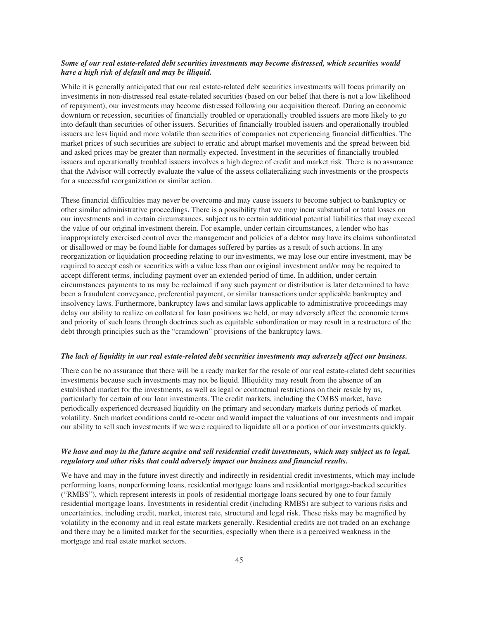### *Some of our real estate-related debt securities investments may become distressed, which securities would have a high risk of default and may be illiquid.*

While it is generally anticipated that our real estate-related debt securities investments will focus primarily on investments in non-distressed real estate-related securities (based on our belief that there is not a low likelihood of repayment), our investments may become distressed following our acquisition thereof. During an economic downturn or recession, securities of financially troubled or operationally troubled issuers are more likely to go into default than securities of other issuers. Securities of financially troubled issuers and operationally troubled issuers are less liquid and more volatile than securities of companies not experiencing financial difficulties. The market prices of such securities are subject to erratic and abrupt market movements and the spread between bid and asked prices may be greater than normally expected. Investment in the securities of financially troubled issuers and operationally troubled issuers involves a high degree of credit and market risk. There is no assurance that the Advisor will correctly evaluate the value of the assets collateralizing such investments or the prospects for a successful reorganization or similar action.

These financial difficulties may never be overcome and may cause issuers to become subject to bankruptcy or other similar administrative proceedings. There is a possibility that we may incur substantial or total losses on our investments and in certain circumstances, subject us to certain additional potential liabilities that may exceed the value of our original investment therein. For example, under certain circumstances, a lender who has inappropriately exercised control over the management and policies of a debtor may have its claims subordinated or disallowed or may be found liable for damages suffered by parties as a result of such actions. In any reorganization or liquidation proceeding relating to our investments, we may lose our entire investment, may be required to accept cash or securities with a value less than our original investment and/or may be required to accept different terms, including payment over an extended period of time. In addition, under certain circumstances payments to us may be reclaimed if any such payment or distribution is later determined to have been a fraudulent conveyance, preferential payment, or similar transactions under applicable bankruptcy and insolvency laws. Furthermore, bankruptcy laws and similar laws applicable to administrative proceedings may delay our ability to realize on collateral for loan positions we held, or may adversely affect the economic terms and priority of such loans through doctrines such as equitable subordination or may result in a restructure of the debt through principles such as the "cramdown" provisions of the bankruptcy laws.

#### *The lack of liquidity in our real estate-related debt securities investments may adversely affect our business.*

There can be no assurance that there will be a ready market for the resale of our real estate-related debt securities investments because such investments may not be liquid. Illiquidity may result from the absence of an established market for the investments, as well as legal or contractual restrictions on their resale by us, particularly for certain of our loan investments. The credit markets, including the CMBS market, have periodically experienced decreased liquidity on the primary and secondary markets during periods of market volatility. Such market conditions could re-occur and would impact the valuations of our investments and impair our ability to sell such investments if we were required to liquidate all or a portion of our investments quickly.

### *We have and may in the future acquire and sell residential credit investments, which may subject us to legal, regulatory and other risks that could adversely impact our business and financial results.*

We have and may in the future invest directly and indirectly in residential credit investments, which may include performing loans, nonperforming loans, residential mortgage loans and residential mortgage-backed securities ("RMBS"), which represent interests in pools of residential mortgage loans secured by one to four family residential mortgage loans. Investments in residential credit (including RMBS) are subject to various risks and uncertainties, including credit, market, interest rate, structural and legal risk. These risks may be magnified by volatility in the economy and in real estate markets generally. Residential credits are not traded on an exchange and there may be a limited market for the securities, especially when there is a perceived weakness in the mortgage and real estate market sectors.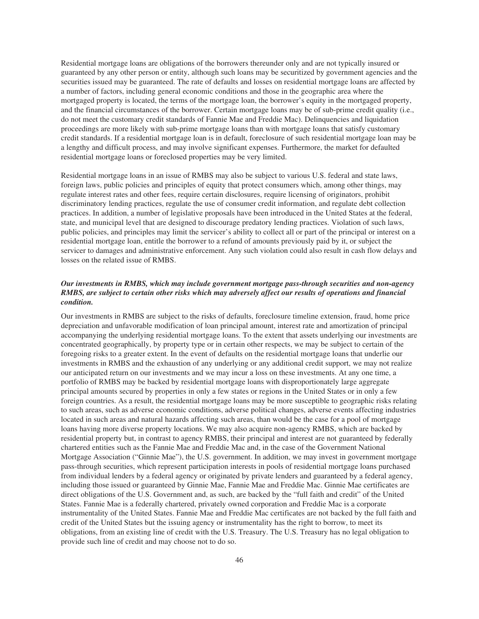Residential mortgage loans are obligations of the borrowers thereunder only and are not typically insured or guaranteed by any other person or entity, although such loans may be securitized by government agencies and the securities issued may be guaranteed. The rate of defaults and losses on residential mortgage loans are affected by a number of factors, including general economic conditions and those in the geographic area where the mortgaged property is located, the terms of the mortgage loan, the borrower's equity in the mortgaged property, and the financial circumstances of the borrower. Certain mortgage loans may be of sub-prime credit quality (i.e., do not meet the customary credit standards of Fannie Mae and Freddie Mac). Delinquencies and liquidation proceedings are more likely with sub-prime mortgage loans than with mortgage loans that satisfy customary credit standards. If a residential mortgage loan is in default, foreclosure of such residential mortgage loan may be a lengthy and difficult process, and may involve significant expenses. Furthermore, the market for defaulted residential mortgage loans or foreclosed properties may be very limited.

Residential mortgage loans in an issue of RMBS may also be subject to various U.S. federal and state laws, foreign laws, public policies and principles of equity that protect consumers which, among other things, may regulate interest rates and other fees, require certain disclosures, require licensing of originators, prohibit discriminatory lending practices, regulate the use of consumer credit information, and regulate debt collection practices. In addition, a number of legislative proposals have been introduced in the United States at the federal, state, and municipal level that are designed to discourage predatory lending practices. Violation of such laws, public policies, and principles may limit the servicer's ability to collect all or part of the principal or interest on a residential mortgage loan, entitle the borrower to a refund of amounts previously paid by it, or subject the servicer to damages and administrative enforcement. Any such violation could also result in cash flow delays and losses on the related issue of RMBS.

# *Our investments in RMBS, which may include government mortgage pass-through securities and non-agency RMBS, are subject to certain other risks which may adversely affect our results of operations and financial condition.*

Our investments in RMBS are subject to the risks of defaults, foreclosure timeline extension, fraud, home price depreciation and unfavorable modification of loan principal amount, interest rate and amortization of principal accompanying the underlying residential mortgage loans. To the extent that assets underlying our investments are concentrated geographically, by property type or in certain other respects, we may be subject to certain of the foregoing risks to a greater extent. In the event of defaults on the residential mortgage loans that underlie our investments in RMBS and the exhaustion of any underlying or any additional credit support, we may not realize our anticipated return on our investments and we may incur a loss on these investments. At any one time, a portfolio of RMBS may be backed by residential mortgage loans with disproportionately large aggregate principal amounts secured by properties in only a few states or regions in the United States or in only a few foreign countries. As a result, the residential mortgage loans may be more susceptible to geographic risks relating to such areas, such as adverse economic conditions, adverse political changes, adverse events affecting industries located in such areas and natural hazards affecting such areas, than would be the case for a pool of mortgage loans having more diverse property locations. We may also acquire non-agency RMBS, which are backed by residential property but, in contrast to agency RMBS, their principal and interest are not guaranteed by federally chartered entities such as the Fannie Mae and Freddie Mac and, in the case of the Government National Mortgage Association ("Ginnie Mae"), the U.S. government. In addition, we may invest in government mortgage pass-through securities, which represent participation interests in pools of residential mortgage loans purchased from individual lenders by a federal agency or originated by private lenders and guaranteed by a federal agency, including those issued or guaranteed by Ginnie Mae, Fannie Mae and Freddie Mac. Ginnie Mae certificates are direct obligations of the U.S. Government and, as such, are backed by the "full faith and credit" of the United States. Fannie Mae is a federally chartered, privately owned corporation and Freddie Mac is a corporate instrumentality of the United States. Fannie Mae and Freddie Mac certificates are not backed by the full faith and credit of the United States but the issuing agency or instrumentality has the right to borrow, to meet its obligations, from an existing line of credit with the U.S. Treasury. The U.S. Treasury has no legal obligation to provide such line of credit and may choose not to do so.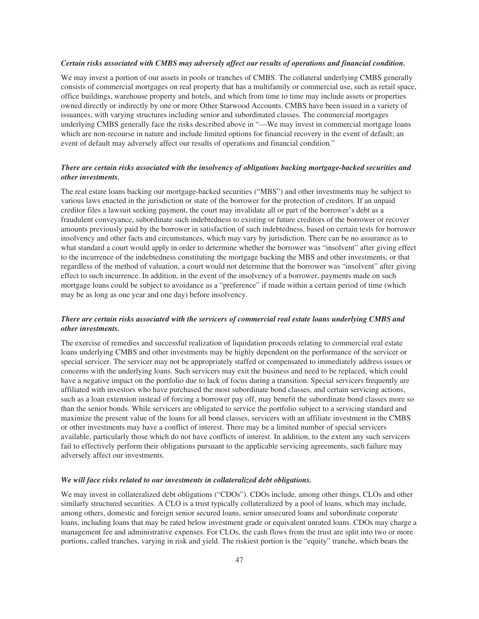#### *Certain risks associated with CMBS may adversely affect our results of operations and financial condition.*

We may invest a portion of our assets in pools or tranches of CMBS. The collateral underlying CMBS generally consists of commercial mortgages on real property that has a multifamily or commercial use, such as retail space, office buildings, warehouse property and hotels, and which from time to time may include assets or properties owned directly or indirectly by one or more Other Starwood Accounts. CMBS have been issued in a variety of issuances, with varying structures including senior and subordinated classes. The commercial mortgages underlying CMBS generally face the risks described above in "—We may invest in commercial mortgage loans which are non-recourse in nature and include limited options for financial recovery in the event of default; an event of default may adversely affect our results of operations and financial condition."

# *There are certain risks associated with the insolvency of obligations backing mortgage-backed securities and other investments.*

The real estate loans backing our mortgage-backed securities ("MBS") and other investments may be subject to various laws enacted in the jurisdiction or state of the borrower for the protection of creditors. If an unpaid creditor files a lawsuit seeking payment, the court may invalidate all or part of the borrower's debt as a fraudulent conveyance, subordinate such indebtedness to existing or future creditors of the borrower or recover amounts previously paid by the borrower in satisfaction of such indebtedness, based on certain tests for borrower insolvency and other facts and circumstances, which may vary by jurisdiction. There can be no assurance as to what standard a court would apply in order to determine whether the borrower was "insolvent" after giving effect to the incurrence of the indebtedness constituting the mortgage backing the MBS and other investments, or that regardless of the method of valuation, a court would not determine that the borrower was "insolvent" after giving effect to such incurrence. In addition, in the event of the insolvency of a borrower, payments made on such mortgage loans could be subject to avoidance as a "preference" if made within a certain period of time (which may be as long as one year and one day) before insolvency.

# *There are certain risks associated with the servicers of commercial real estate loans underlying CMBS and other investments.*

The exercise of remedies and successful realization of liquidation proceeds relating to commercial real estate loans underlying CMBS and other investments may be highly dependent on the performance of the servicer or special servicer. The servicer may not be appropriately staffed or compensated to immediately address issues or concerns with the underlying loans. Such servicers may exit the business and need to be replaced, which could have a negative impact on the portfolio due to lack of focus during a transition. Special servicers frequently are affiliated with investors who have purchased the most subordinate bond classes, and certain servicing actions, such as a loan extension instead of forcing a borrower pay off, may benefit the subordinate bond classes more so than the senior bonds. While servicers are obligated to service the portfolio subject to a servicing standard and maximize the present value of the loans for all bond classes, servicers with an affiliate investment in the CMBS or other investments may have a conflict of interest. There may be a limited number of special servicers available, particularly those which do not have conflicts of interest. In addition, to the extent any such servicers fail to effectively perform their obligations pursuant to the applicable servicing agreements, such failure may adversely affect our investments.

#### *We will face risks related to our investments in collateralized debt obligations.*

We may invest in collateralized debt obligations ("CDOs"). CDOs include, among other things, CLOs and other similarly structured securities. A CLO is a trust typically collateralized by a pool of loans, which may include, among others, domestic and foreign senior secured loans, senior unsecured loans and subordinate corporate loans, including loans that may be rated below investment grade or equivalent unrated loans. CDOs may charge a management fee and administrative expenses. For CLOs, the cash flows from the trust are split into two or more portions, called tranches, varying in risk and yield. The riskiest portion is the "equity" tranche, which bears the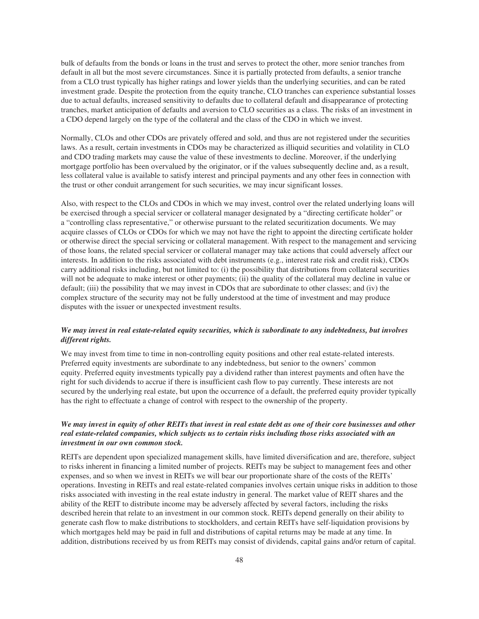bulk of defaults from the bonds or loans in the trust and serves to protect the other, more senior tranches from default in all but the most severe circumstances. Since it is partially protected from defaults, a senior tranche from a CLO trust typically has higher ratings and lower yields than the underlying securities, and can be rated investment grade. Despite the protection from the equity tranche, CLO tranches can experience substantial losses due to actual defaults, increased sensitivity to defaults due to collateral default and disappearance of protecting tranches, market anticipation of defaults and aversion to CLO securities as a class. The risks of an investment in a CDO depend largely on the type of the collateral and the class of the CDO in which we invest.

Normally, CLOs and other CDOs are privately offered and sold, and thus are not registered under the securities laws. As a result, certain investments in CDOs may be characterized as illiquid securities and volatility in CLO and CDO trading markets may cause the value of these investments to decline. Moreover, if the underlying mortgage portfolio has been overvalued by the originator, or if the values subsequently decline and, as a result, less collateral value is available to satisfy interest and principal payments and any other fees in connection with the trust or other conduit arrangement for such securities, we may incur significant losses.

Also, with respect to the CLOs and CDOs in which we may invest, control over the related underlying loans will be exercised through a special servicer or collateral manager designated by a "directing certificate holder" or a "controlling class representative," or otherwise pursuant to the related securitization documents. We may acquire classes of CLOs or CDOs for which we may not have the right to appoint the directing certificate holder or otherwise direct the special servicing or collateral management. With respect to the management and servicing of those loans, the related special servicer or collateral manager may take actions that could adversely affect our interests. In addition to the risks associated with debt instruments (e.g., interest rate risk and credit risk), CDOs carry additional risks including, but not limited to: (i) the possibility that distributions from collateral securities will not be adequate to make interest or other payments; (ii) the quality of the collateral may decline in value or default; (iii) the possibility that we may invest in CDOs that are subordinate to other classes; and (iv) the complex structure of the security may not be fully understood at the time of investment and may produce disputes with the issuer or unexpected investment results.

# *We may invest in real estate-related equity securities, which is subordinate to any indebtedness, but involves different rights.*

We may invest from time to time in non-controlling equity positions and other real estate-related interests. Preferred equity investments are subordinate to any indebtedness, but senior to the owners' common equity. Preferred equity investments typically pay a dividend rather than interest payments and often have the right for such dividends to accrue if there is insufficient cash flow to pay currently. These interests are not secured by the underlying real estate, but upon the occurrence of a default, the preferred equity provider typically has the right to effectuate a change of control with respect to the ownership of the property.

# *We may invest in equity of other REITs that invest in real estate debt as one of their core businesses and other real estate-related companies, which subjects us to certain risks including those risks associated with an investment in our own common stock.*

REITs are dependent upon specialized management skills, have limited diversification and are, therefore, subject to risks inherent in financing a limited number of projects. REITs may be subject to management fees and other expenses, and so when we invest in REITs we will bear our proportionate share of the costs of the REITs' operations. Investing in REITs and real estate-related companies involves certain unique risks in addition to those risks associated with investing in the real estate industry in general. The market value of REIT shares and the ability of the REIT to distribute income may be adversely affected by several factors, including the risks described herein that relate to an investment in our common stock. REITs depend generally on their ability to generate cash flow to make distributions to stockholders, and certain REITs have self-liquidation provisions by which mortgages held may be paid in full and distributions of capital returns may be made at any time. In addition, distributions received by us from REITs may consist of dividends, capital gains and/or return of capital.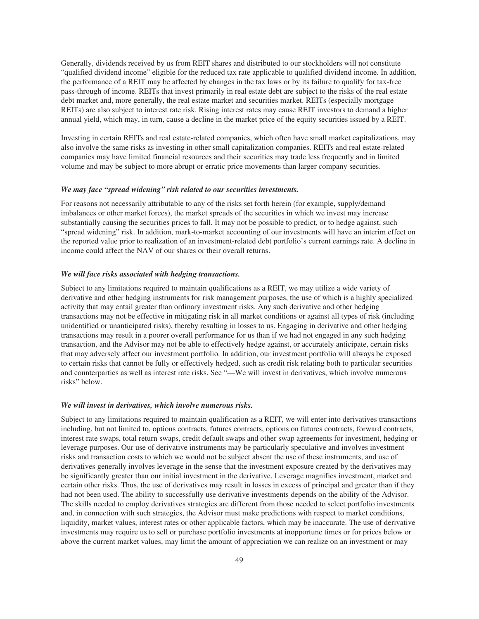Generally, dividends received by us from REIT shares and distributed to our stockholders will not constitute "qualified dividend income" eligible for the reduced tax rate applicable to qualified dividend income. In addition, the performance of a REIT may be affected by changes in the tax laws or by its failure to qualify for tax-free pass-through of income. REITs that invest primarily in real estate debt are subject to the risks of the real estate debt market and, more generally, the real estate market and securities market. REITs (especially mortgage REITs) are also subject to interest rate risk. Rising interest rates may cause REIT investors to demand a higher annual yield, which may, in turn, cause a decline in the market price of the equity securities issued by a REIT.

Investing in certain REITs and real estate-related companies, which often have small market capitalizations, may also involve the same risks as investing in other small capitalization companies. REITs and real estate-related companies may have limited financial resources and their securities may trade less frequently and in limited volume and may be subject to more abrupt or erratic price movements than larger company securities.

#### *We may face "spread widening" risk related to our securities investments.*

For reasons not necessarily attributable to any of the risks set forth herein (for example, supply/demand imbalances or other market forces), the market spreads of the securities in which we invest may increase substantially causing the securities prices to fall. It may not be possible to predict, or to hedge against, such "spread widening" risk. In addition, mark-to-market accounting of our investments will have an interim effect on the reported value prior to realization of an investment-related debt portfolio's current earnings rate. A decline in income could affect the NAV of our shares or their overall returns.

#### *We will face risks associated with hedging transactions.*

Subject to any limitations required to maintain qualifications as a REIT, we may utilize a wide variety of derivative and other hedging instruments for risk management purposes, the use of which is a highly specialized activity that may entail greater than ordinary investment risks. Any such derivative and other hedging transactions may not be effective in mitigating risk in all market conditions or against all types of risk (including unidentified or unanticipated risks), thereby resulting in losses to us. Engaging in derivative and other hedging transactions may result in a poorer overall performance for us than if we had not engaged in any such hedging transaction, and the Advisor may not be able to effectively hedge against, or accurately anticipate, certain risks that may adversely affect our investment portfolio. In addition, our investment portfolio will always be exposed to certain risks that cannot be fully or effectively hedged, such as credit risk relating both to particular securities and counterparties as well as interest rate risks. See "—We will invest in derivatives, which involve numerous risks" below.

#### *We will invest in derivatives, which involve numerous risks.*

Subject to any limitations required to maintain qualification as a REIT, we will enter into derivatives transactions including, but not limited to, options contracts, futures contracts, options on futures contracts, forward contracts, interest rate swaps, total return swaps, credit default swaps and other swap agreements for investment, hedging or leverage purposes. Our use of derivative instruments may be particularly speculative and involves investment risks and transaction costs to which we would not be subject absent the use of these instruments, and use of derivatives generally involves leverage in the sense that the investment exposure created by the derivatives may be significantly greater than our initial investment in the derivative. Leverage magnifies investment, market and certain other risks. Thus, the use of derivatives may result in losses in excess of principal and greater than if they had not been used. The ability to successfully use derivative investments depends on the ability of the Advisor. The skills needed to employ derivatives strategies are different from those needed to select portfolio investments and, in connection with such strategies, the Advisor must make predictions with respect to market conditions, liquidity, market values, interest rates or other applicable factors, which may be inaccurate. The use of derivative investments may require us to sell or purchase portfolio investments at inopportune times or for prices below or above the current market values, may limit the amount of appreciation we can realize on an investment or may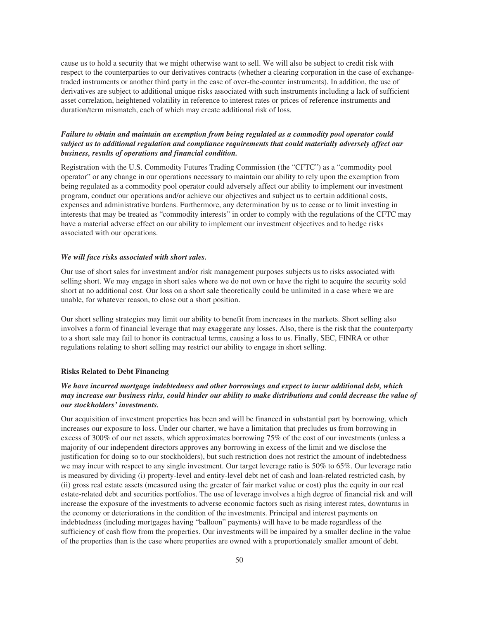cause us to hold a security that we might otherwise want to sell. We will also be subject to credit risk with respect to the counterparties to our derivatives contracts (whether a clearing corporation in the case of exchangetraded instruments or another third party in the case of over-the-counter instruments). In addition, the use of derivatives are subject to additional unique risks associated with such instruments including a lack of sufficient asset correlation, heightened volatility in reference to interest rates or prices of reference instruments and duration/term mismatch, each of which may create additional risk of loss.

# *Failure to obtain and maintain an exemption from being regulated as a commodity pool operator could subject us to additional regulation and compliance requirements that could materially adversely affect our business, results of operations and financial condition.*

Registration with the U.S. Commodity Futures Trading Commission (the "CFTC") as a "commodity pool operator" or any change in our operations necessary to maintain our ability to rely upon the exemption from being regulated as a commodity pool operator could adversely affect our ability to implement our investment program, conduct our operations and/or achieve our objectives and subject us to certain additional costs, expenses and administrative burdens. Furthermore, any determination by us to cease or to limit investing in interests that may be treated as "commodity interests" in order to comply with the regulations of the CFTC may have a material adverse effect on our ability to implement our investment objectives and to hedge risks associated with our operations.

#### *We will face risks associated with short sales.*

Our use of short sales for investment and/or risk management purposes subjects us to risks associated with selling short. We may engage in short sales where we do not own or have the right to acquire the security sold short at no additional cost. Our loss on a short sale theoretically could be unlimited in a case where we are unable, for whatever reason, to close out a short position.

Our short selling strategies may limit our ability to benefit from increases in the markets. Short selling also involves a form of financial leverage that may exaggerate any losses. Also, there is the risk that the counterparty to a short sale may fail to honor its contractual terms, causing a loss to us. Finally, SEC, FINRA or other regulations relating to short selling may restrict our ability to engage in short selling.

#### **Risks Related to Debt Financing**

# *We have incurred mortgage indebtedness and other borrowings and expect to incur additional debt, which may increase our business risks, could hinder our ability to make distributions and could decrease the value of our stockholders' investments.*

Our acquisition of investment properties has been and will be financed in substantial part by borrowing, which increases our exposure to loss. Under our charter, we have a limitation that precludes us from borrowing in excess of 300% of our net assets, which approximates borrowing 75% of the cost of our investments (unless a majority of our independent directors approves any borrowing in excess of the limit and we disclose the justification for doing so to our stockholders), but such restriction does not restrict the amount of indebtedness we may incur with respect to any single investment. Our target leverage ratio is 50% to 65%. Our leverage ratio is measured by dividing (i) property-level and entity-level debt net of cash and loan-related restricted cash, by (ii) gross real estate assets (measured using the greater of fair market value or cost) plus the equity in our real estate-related debt and securities portfolios. The use of leverage involves a high degree of financial risk and will increase the exposure of the investments to adverse economic factors such as rising interest rates, downturns in the economy or deteriorations in the condition of the investments. Principal and interest payments on indebtedness (including mortgages having "balloon" payments) will have to be made regardless of the sufficiency of cash flow from the properties. Our investments will be impaired by a smaller decline in the value of the properties than is the case where properties are owned with a proportionately smaller amount of debt.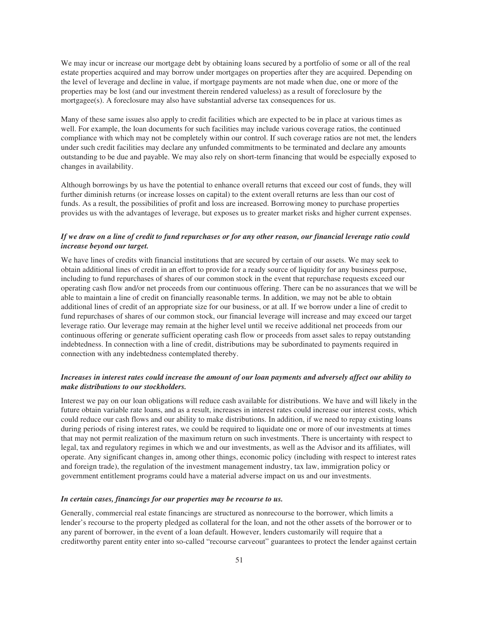We may incur or increase our mortgage debt by obtaining loans secured by a portfolio of some or all of the real estate properties acquired and may borrow under mortgages on properties after they are acquired. Depending on the level of leverage and decline in value, if mortgage payments are not made when due, one or more of the properties may be lost (and our investment therein rendered valueless) as a result of foreclosure by the mortgagee(s). A foreclosure may also have substantial adverse tax consequences for us.

Many of these same issues also apply to credit facilities which are expected to be in place at various times as well. For example, the loan documents for such facilities may include various coverage ratios, the continued compliance with which may not be completely within our control. If such coverage ratios are not met, the lenders under such credit facilities may declare any unfunded commitments to be terminated and declare any amounts outstanding to be due and payable. We may also rely on short-term financing that would be especially exposed to changes in availability.

Although borrowings by us have the potential to enhance overall returns that exceed our cost of funds, they will further diminish returns (or increase losses on capital) to the extent overall returns are less than our cost of funds. As a result, the possibilities of profit and loss are increased. Borrowing money to purchase properties provides us with the advantages of leverage, but exposes us to greater market risks and higher current expenses.

# *If we draw on a line of credit to fund repurchases or for any other reason, our financial leverage ratio could increase beyond our target.*

We have lines of credits with financial institutions that are secured by certain of our assets. We may seek to obtain additional lines of credit in an effort to provide for a ready source of liquidity for any business purpose, including to fund repurchases of shares of our common stock in the event that repurchase requests exceed our operating cash flow and/or net proceeds from our continuous offering. There can be no assurances that we will be able to maintain a line of credit on financially reasonable terms. In addition, we may not be able to obtain additional lines of credit of an appropriate size for our business, or at all. If we borrow under a line of credit to fund repurchases of shares of our common stock, our financial leverage will increase and may exceed our target leverage ratio. Our leverage may remain at the higher level until we receive additional net proceeds from our continuous offering or generate sufficient operating cash flow or proceeds from asset sales to repay outstanding indebtedness. In connection with a line of credit, distributions may be subordinated to payments required in connection with any indebtedness contemplated thereby.

# *Increases in interest rates could increase the amount of our loan payments and adversely affect our ability to make distributions to our stockholders.*

Interest we pay on our loan obligations will reduce cash available for distributions. We have and will likely in the future obtain variable rate loans, and as a result, increases in interest rates could increase our interest costs, which could reduce our cash flows and our ability to make distributions. In addition, if we need to repay existing loans during periods of rising interest rates, we could be required to liquidate one or more of our investments at times that may not permit realization of the maximum return on such investments. There is uncertainty with respect to legal, tax and regulatory regimes in which we and our investments, as well as the Advisor and its affiliates, will operate. Any significant changes in, among other things, economic policy (including with respect to interest rates and foreign trade), the regulation of the investment management industry, tax law, immigration policy or government entitlement programs could have a material adverse impact on us and our investments.

### *In certain cases, financings for our properties may be recourse to us.*

Generally, commercial real estate financings are structured as nonrecourse to the borrower, which limits a lender's recourse to the property pledged as collateral for the loan, and not the other assets of the borrower or to any parent of borrower, in the event of a loan default. However, lenders customarily will require that a creditworthy parent entity enter into so-called "recourse carveout" guarantees to protect the lender against certain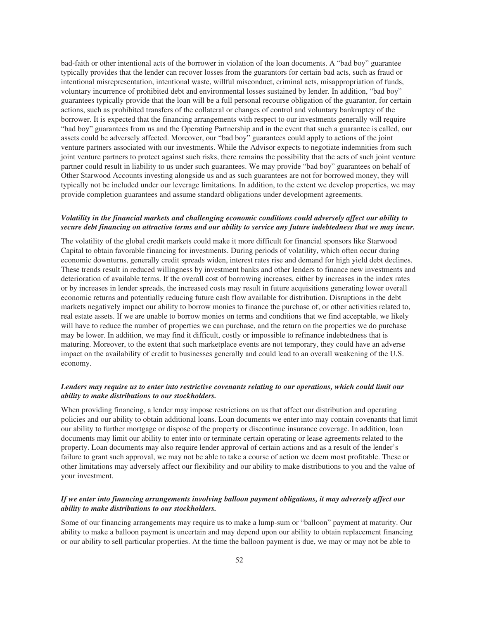bad-faith or other intentional acts of the borrower in violation of the loan documents. A "bad boy" guarantee typically provides that the lender can recover losses from the guarantors for certain bad acts, such as fraud or intentional misrepresentation, intentional waste, willful misconduct, criminal acts, misappropriation of funds, voluntary incurrence of prohibited debt and environmental losses sustained by lender. In addition, "bad boy" guarantees typically provide that the loan will be a full personal recourse obligation of the guarantor, for certain actions, such as prohibited transfers of the collateral or changes of control and voluntary bankruptcy of the borrower. It is expected that the financing arrangements with respect to our investments generally will require "bad boy" guarantees from us and the Operating Partnership and in the event that such a guarantee is called, our assets could be adversely affected. Moreover, our "bad boy" guarantees could apply to actions of the joint venture partners associated with our investments. While the Advisor expects to negotiate indemnities from such joint venture partners to protect against such risks, there remains the possibility that the acts of such joint venture partner could result in liability to us under such guarantees. We may provide "bad boy" guarantees on behalf of Other Starwood Accounts investing alongside us and as such guarantees are not for borrowed money, they will typically not be included under our leverage limitations. In addition, to the extent we develop properties, we may provide completion guarantees and assume standard obligations under development agreements.

### *Volatility in the financial markets and challenging economic conditions could adversely affect our ability to secure debt financing on attractive terms and our ability to service any future indebtedness that we may incur.*

The volatility of the global credit markets could make it more difficult for financial sponsors like Starwood Capital to obtain favorable financing for investments. During periods of volatility, which often occur during economic downturns, generally credit spreads widen, interest rates rise and demand for high yield debt declines. These trends result in reduced willingness by investment banks and other lenders to finance new investments and deterioration of available terms. If the overall cost of borrowing increases, either by increases in the index rates or by increases in lender spreads, the increased costs may result in future acquisitions generating lower overall economic returns and potentially reducing future cash flow available for distribution. Disruptions in the debt markets negatively impact our ability to borrow monies to finance the purchase of, or other activities related to, real estate assets. If we are unable to borrow monies on terms and conditions that we find acceptable, we likely will have to reduce the number of properties we can purchase, and the return on the properties we do purchase may be lower. In addition, we may find it difficult, costly or impossible to refinance indebtedness that is maturing. Moreover, to the extent that such marketplace events are not temporary, they could have an adverse impact on the availability of credit to businesses generally and could lead to an overall weakening of the U.S. economy.

### *Lenders may require us to enter into restrictive covenants relating to our operations, which could limit our ability to make distributions to our stockholders.*

When providing financing, a lender may impose restrictions on us that affect our distribution and operating policies and our ability to obtain additional loans. Loan documents we enter into may contain covenants that limit our ability to further mortgage or dispose of the property or discontinue insurance coverage. In addition, loan documents may limit our ability to enter into or terminate certain operating or lease agreements related to the property. Loan documents may also require lender approval of certain actions and as a result of the lender's failure to grant such approval, we may not be able to take a course of action we deem most profitable. These or other limitations may adversely affect our flexibility and our ability to make distributions to you and the value of your investment.

# *If we enter into financing arrangements involving balloon payment obligations, it may adversely affect our ability to make distributions to our stockholders.*

Some of our financing arrangements may require us to make a lump-sum or "balloon" payment at maturity. Our ability to make a balloon payment is uncertain and may depend upon our ability to obtain replacement financing or our ability to sell particular properties. At the time the balloon payment is due, we may or may not be able to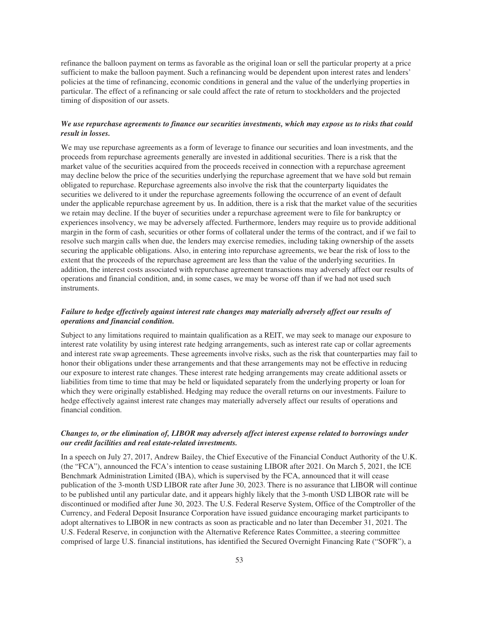refinance the balloon payment on terms as favorable as the original loan or sell the particular property at a price sufficient to make the balloon payment. Such a refinancing would be dependent upon interest rates and lenders' policies at the time of refinancing, economic conditions in general and the value of the underlying properties in particular. The effect of a refinancing or sale could affect the rate of return to stockholders and the projected timing of disposition of our assets.

### *We use repurchase agreements to finance our securities investments, which may expose us to risks that could result in losses.*

We may use repurchase agreements as a form of leverage to finance our securities and loan investments, and the proceeds from repurchase agreements generally are invested in additional securities. There is a risk that the market value of the securities acquired from the proceeds received in connection with a repurchase agreement may decline below the price of the securities underlying the repurchase agreement that we have sold but remain obligated to repurchase. Repurchase agreements also involve the risk that the counterparty liquidates the securities we delivered to it under the repurchase agreements following the occurrence of an event of default under the applicable repurchase agreement by us. In addition, there is a risk that the market value of the securities we retain may decline. If the buyer of securities under a repurchase agreement were to file for bankruptcy or experiences insolvency, we may be adversely affected. Furthermore, lenders may require us to provide additional margin in the form of cash, securities or other forms of collateral under the terms of the contract, and if we fail to resolve such margin calls when due, the lenders may exercise remedies, including taking ownership of the assets securing the applicable obligations. Also, in entering into repurchase agreements, we bear the risk of loss to the extent that the proceeds of the repurchase agreement are less than the value of the underlying securities. In addition, the interest costs associated with repurchase agreement transactions may adversely affect our results of operations and financial condition, and, in some cases, we may be worse off than if we had not used such instruments.

# *Failure to hedge effectively against interest rate changes may materially adversely affect our results of operations and financial condition.*

Subject to any limitations required to maintain qualification as a REIT, we may seek to manage our exposure to interest rate volatility by using interest rate hedging arrangements, such as interest rate cap or collar agreements and interest rate swap agreements. These agreements involve risks, such as the risk that counterparties may fail to honor their obligations under these arrangements and that these arrangements may not be effective in reducing our exposure to interest rate changes. These interest rate hedging arrangements may create additional assets or liabilities from time to time that may be held or liquidated separately from the underlying property or loan for which they were originally established. Hedging may reduce the overall returns on our investments. Failure to hedge effectively against interest rate changes may materially adversely affect our results of operations and financial condition.

# *Changes to, or the elimination of, LIBOR may adversely affect interest expense related to borrowings under our credit facilities and real estate-related investments.*

In a speech on July 27, 2017, Andrew Bailey, the Chief Executive of the Financial Conduct Authority of the U.K. (the "FCA"), announced the FCA's intention to cease sustaining LIBOR after 2021. On March 5, 2021, the ICE Benchmark Administration Limited (IBA), which is supervised by the FCA, announced that it will cease publication of the 3-month USD LIBOR rate after June 30, 2023. There is no assurance that LIBOR will continue to be published until any particular date, and it appears highly likely that the 3-month USD LIBOR rate will be discontinued or modified after June 30, 2023. The U.S. Federal Reserve System, Office of the Comptroller of the Currency, and Federal Deposit Insurance Corporation have issued guidance encouraging market participants to adopt alternatives to LIBOR in new contracts as soon as practicable and no later than December 31, 2021. The U.S. Federal Reserve, in conjunction with the Alternative Reference Rates Committee, a steering committee comprised of large U.S. financial institutions, has identified the Secured Overnight Financing Rate ("SOFR"), a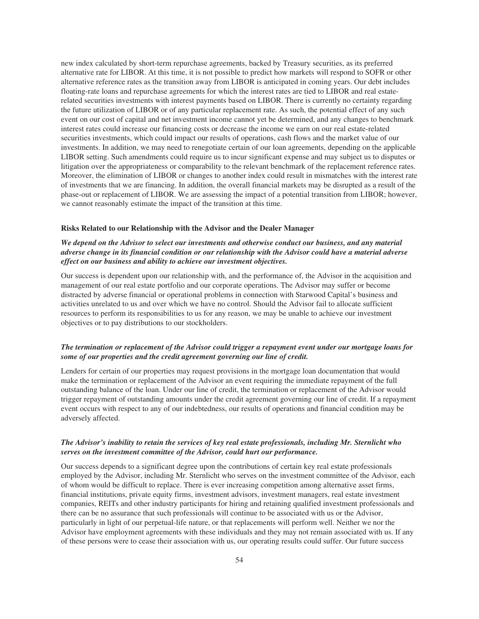new index calculated by short-term repurchase agreements, backed by Treasury securities, as its preferred alternative rate for LIBOR. At this time, it is not possible to predict how markets will respond to SOFR or other alternative reference rates as the transition away from LIBOR is anticipated in coming years. Our debt includes floating-rate loans and repurchase agreements for which the interest rates are tied to LIBOR and real estaterelated securities investments with interest payments based on LIBOR. There is currently no certainty regarding the future utilization of LIBOR or of any particular replacement rate. As such, the potential effect of any such event on our cost of capital and net investment income cannot yet be determined, and any changes to benchmark interest rates could increase our financing costs or decrease the income we earn on our real estate-related securities investments, which could impact our results of operations, cash flows and the market value of our investments. In addition, we may need to renegotiate certain of our loan agreements, depending on the applicable LIBOR setting. Such amendments could require us to incur significant expense and may subject us to disputes or litigation over the appropriateness or comparability to the relevant benchmark of the replacement reference rates. Moreover, the elimination of LIBOR or changes to another index could result in mismatches with the interest rate of investments that we are financing. In addition, the overall financial markets may be disrupted as a result of the phase-out or replacement of LIBOR. We are assessing the impact of a potential transition from LIBOR; however, we cannot reasonably estimate the impact of the transition at this time.

#### **Risks Related to our Relationship with the Advisor and the Dealer Manager**

### *We depend on the Advisor to select our investments and otherwise conduct our business, and any material adverse change in its financial condition or our relationship with the Advisor could have a material adverse effect on our business and ability to achieve our investment objectives.*

Our success is dependent upon our relationship with, and the performance of, the Advisor in the acquisition and management of our real estate portfolio and our corporate operations. The Advisor may suffer or become distracted by adverse financial or operational problems in connection with Starwood Capital's business and activities unrelated to us and over which we have no control. Should the Advisor fail to allocate sufficient resources to perform its responsibilities to us for any reason, we may be unable to achieve our investment objectives or to pay distributions to our stockholders.

### *The termination or replacement of the Advisor could trigger a repayment event under our mortgage loans for some of our properties and the credit agreement governing our line of credit.*

Lenders for certain of our properties may request provisions in the mortgage loan documentation that would make the termination or replacement of the Advisor an event requiring the immediate repayment of the full outstanding balance of the loan. Under our line of credit, the termination or replacement of the Advisor would trigger repayment of outstanding amounts under the credit agreement governing our line of credit. If a repayment event occurs with respect to any of our indebtedness, our results of operations and financial condition may be adversely affected.

### *The Advisor's inability to retain the services of key real estate professionals, including Mr. Sternlicht who serves on the investment committee of the Advisor, could hurt our performance.*

Our success depends to a significant degree upon the contributions of certain key real estate professionals employed by the Advisor, including Mr. Sternlicht who serves on the investment committee of the Advisor, each of whom would be difficult to replace. There is ever increasing competition among alternative asset firms, financial institutions, private equity firms, investment advisors, investment managers, real estate investment companies, REITs and other industry participants for hiring and retaining qualified investment professionals and there can be no assurance that such professionals will continue to be associated with us or the Advisor, particularly in light of our perpetual-life nature, or that replacements will perform well. Neither we nor the Advisor have employment agreements with these individuals and they may not remain associated with us. If any of these persons were to cease their association with us, our operating results could suffer. Our future success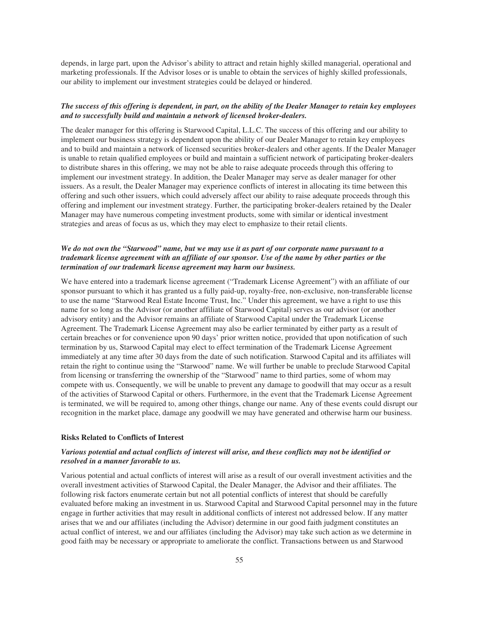depends, in large part, upon the Advisor's ability to attract and retain highly skilled managerial, operational and marketing professionals. If the Advisor loses or is unable to obtain the services of highly skilled professionals, our ability to implement our investment strategies could be delayed or hindered.

### *The success of this offering is dependent, in part, on the ability of the Dealer Manager to retain key employees and to successfully build and maintain a network of licensed broker-dealers.*

The dealer manager for this offering is Starwood Capital, L.L.C. The success of this offering and our ability to implement our business strategy is dependent upon the ability of our Dealer Manager to retain key employees and to build and maintain a network of licensed securities broker-dealers and other agents. If the Dealer Manager is unable to retain qualified employees or build and maintain a sufficient network of participating broker-dealers to distribute shares in this offering, we may not be able to raise adequate proceeds through this offering to implement our investment strategy. In addition, the Dealer Manager may serve as dealer manager for other issuers. As a result, the Dealer Manager may experience conflicts of interest in allocating its time between this offering and such other issuers, which could adversely affect our ability to raise adequate proceeds through this offering and implement our investment strategy. Further, the participating broker-dealers retained by the Dealer Manager may have numerous competing investment products, some with similar or identical investment strategies and areas of focus as us, which they may elect to emphasize to their retail clients.

# *We do not own the "Starwood" name, but we may use it as part of our corporate name pursuant to a trademark license agreement with an affiliate of our sponsor. Use of the name by other parties or the termination of our trademark license agreement may harm our business.*

We have entered into a trademark license agreement ("Trademark License Agreement") with an affiliate of our sponsor pursuant to which it has granted us a fully paid-up, royalty-free, non-exclusive, non-transferable license to use the name "Starwood Real Estate Income Trust, Inc." Under this agreement, we have a right to use this name for so long as the Advisor (or another affiliate of Starwood Capital) serves as our advisor (or another advisory entity) and the Advisor remains an affiliate of Starwood Capital under the Trademark License Agreement. The Trademark License Agreement may also be earlier terminated by either party as a result of certain breaches or for convenience upon 90 days' prior written notice, provided that upon notification of such termination by us, Starwood Capital may elect to effect termination of the Trademark License Agreement immediately at any time after 30 days from the date of such notification. Starwood Capital and its affiliates will retain the right to continue using the "Starwood" name. We will further be unable to preclude Starwood Capital from licensing or transferring the ownership of the "Starwood" name to third parties, some of whom may compete with us. Consequently, we will be unable to prevent any damage to goodwill that may occur as a result of the activities of Starwood Capital or others. Furthermore, in the event that the Trademark License Agreement is terminated, we will be required to, among other things, change our name. Any of these events could disrupt our recognition in the market place, damage any goodwill we may have generated and otherwise harm our business.

### **Risks Related to Conflicts of Interest**

### *Various potential and actual conflicts of interest will arise, and these conflicts may not be identified or resolved in a manner favorable to us.*

Various potential and actual conflicts of interest will arise as a result of our overall investment activities and the overall investment activities of Starwood Capital, the Dealer Manager, the Advisor and their affiliates. The following risk factors enumerate certain but not all potential conflicts of interest that should be carefully evaluated before making an investment in us. Starwood Capital and Starwood Capital personnel may in the future engage in further activities that may result in additional conflicts of interest not addressed below. If any matter arises that we and our affiliates (including the Advisor) determine in our good faith judgment constitutes an actual conflict of interest, we and our affiliates (including the Advisor) may take such action as we determine in good faith may be necessary or appropriate to ameliorate the conflict. Transactions between us and Starwood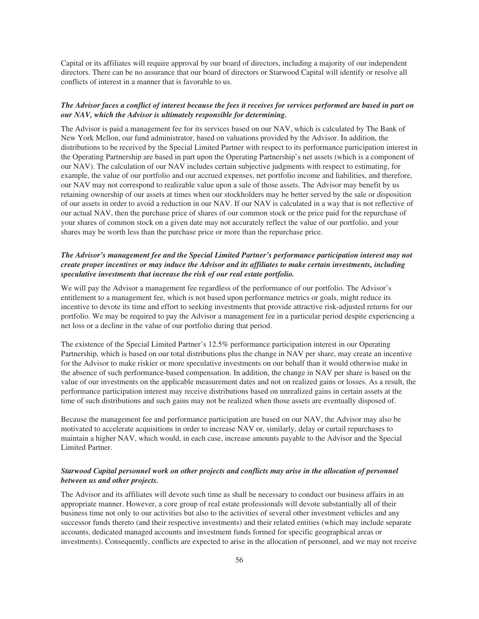Capital or its affiliates will require approval by our board of directors, including a majority of our independent directors. There can be no assurance that our board of directors or Starwood Capital will identify or resolve all conflicts of interest in a manner that is favorable to us.

### *The Advisor faces a conflict of interest because the fees it receives for services performed are based in part on our NAV, which the Advisor is ultimately responsible for determining.*

The Advisor is paid a management fee for its services based on our NAV, which is calculated by The Bank of New York Mellon, our fund administrator, based on valuations provided by the Advisor. In addition, the distributions to be received by the Special Limited Partner with respect to its performance participation interest in the Operating Partnership are based in part upon the Operating Partnership's net assets (which is a component of our NAV). The calculation of our NAV includes certain subjective judgments with respect to estimating, for example, the value of our portfolio and our accrued expenses, net portfolio income and liabilities, and therefore, our NAV may not correspond to realizable value upon a sale of those assets. The Advisor may benefit by us retaining ownership of our assets at times when our stockholders may be better served by the sale or disposition of our assets in order to avoid a reduction in our NAV. If our NAV is calculated in a way that is not reflective of our actual NAV, then the purchase price of shares of our common stock or the price paid for the repurchase of your shares of common stock on a given date may not accurately reflect the value of our portfolio, and your shares may be worth less than the purchase price or more than the repurchase price.

# *The Advisor's management fee and the Special Limited Partner's performance participation interest may not create proper incentives or may induce the Advisor and its affiliates to make certain investments, including speculative investments that increase the risk of our real estate portfolio.*

We will pay the Advisor a management fee regardless of the performance of our portfolio. The Advisor's entitlement to a management fee, which is not based upon performance metrics or goals, might reduce its incentive to devote its time and effort to seeking investments that provide attractive risk-adjusted returns for our portfolio. We may be required to pay the Advisor a management fee in a particular period despite experiencing a net loss or a decline in the value of our portfolio during that period.

The existence of the Special Limited Partner's 12.5% performance participation interest in our Operating Partnership, which is based on our total distributions plus the change in NAV per share, may create an incentive for the Advisor to make riskier or more speculative investments on our behalf than it would otherwise make in the absence of such performance-based compensation. In addition, the change in NAV per share is based on the value of our investments on the applicable measurement dates and not on realized gains or losses. As a result, the performance participation interest may receive distributions based on unrealized gains in certain assets at the time of such distributions and such gains may not be realized when those assets are eventually disposed of.

Because the management fee and performance participation are based on our NAV, the Advisor may also be motivated to accelerate acquisitions in order to increase NAV or, similarly, delay or curtail repurchases to maintain a higher NAV, which would, in each case, increase amounts payable to the Advisor and the Special Limited Partner.

# *Starwood Capital personnel work on other projects and conflicts may arise in the allocation of personnel between us and other projects.*

The Advisor and its affiliates will devote such time as shall be necessary to conduct our business affairs in an appropriate manner. However, a core group of real estate professionals will devote substantially all of their business time not only to our activities but also to the activities of several other investment vehicles and any successor funds thereto (and their respective investments) and their related entities (which may include separate accounts, dedicated managed accounts and investment funds formed for specific geographical areas or investments). Consequently, conflicts are expected to arise in the allocation of personnel, and we may not receive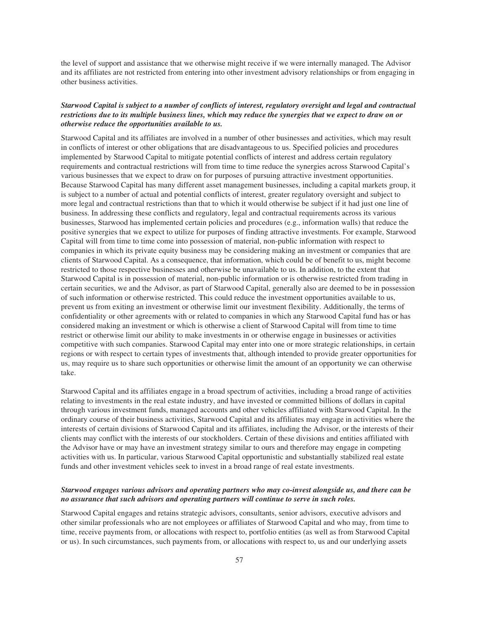the level of support and assistance that we otherwise might receive if we were internally managed. The Advisor and its affiliates are not restricted from entering into other investment advisory relationships or from engaging in other business activities.

# *Starwood Capital is subject to a number of conflicts of interest, regulatory oversight and legal and contractual restrictions due to its multiple business lines, which may reduce the synergies that we expect to draw on or otherwise reduce the opportunities available to us.*

Starwood Capital and its affiliates are involved in a number of other businesses and activities, which may result in conflicts of interest or other obligations that are disadvantageous to us. Specified policies and procedures implemented by Starwood Capital to mitigate potential conflicts of interest and address certain regulatory requirements and contractual restrictions will from time to time reduce the synergies across Starwood Capital's various businesses that we expect to draw on for purposes of pursuing attractive investment opportunities. Because Starwood Capital has many different asset management businesses, including a capital markets group, it is subject to a number of actual and potential conflicts of interest, greater regulatory oversight and subject to more legal and contractual restrictions than that to which it would otherwise be subject if it had just one line of business. In addressing these conflicts and regulatory, legal and contractual requirements across its various businesses, Starwood has implemented certain policies and procedures (e.g., information walls) that reduce the positive synergies that we expect to utilize for purposes of finding attractive investments. For example, Starwood Capital will from time to time come into possession of material, non-public information with respect to companies in which its private equity business may be considering making an investment or companies that are clients of Starwood Capital. As a consequence, that information, which could be of benefit to us, might become restricted to those respective businesses and otherwise be unavailable to us. In addition, to the extent that Starwood Capital is in possession of material, non-public information or is otherwise restricted from trading in certain securities, we and the Advisor, as part of Starwood Capital, generally also are deemed to be in possession of such information or otherwise restricted. This could reduce the investment opportunities available to us, prevent us from exiting an investment or otherwise limit our investment flexibility. Additionally, the terms of confidentiality or other agreements with or related to companies in which any Starwood Capital fund has or has considered making an investment or which is otherwise a client of Starwood Capital will from time to time restrict or otherwise limit our ability to make investments in or otherwise engage in businesses or activities competitive with such companies. Starwood Capital may enter into one or more strategic relationships, in certain regions or with respect to certain types of investments that, although intended to provide greater opportunities for us, may require us to share such opportunities or otherwise limit the amount of an opportunity we can otherwise take.

Starwood Capital and its affiliates engage in a broad spectrum of activities, including a broad range of activities relating to investments in the real estate industry, and have invested or committed billions of dollars in capital through various investment funds, managed accounts and other vehicles affiliated with Starwood Capital. In the ordinary course of their business activities, Starwood Capital and its affiliates may engage in activities where the interests of certain divisions of Starwood Capital and its affiliates, including the Advisor, or the interests of their clients may conflict with the interests of our stockholders. Certain of these divisions and entities affiliated with the Advisor have or may have an investment strategy similar to ours and therefore may engage in competing activities with us. In particular, various Starwood Capital opportunistic and substantially stabilized real estate funds and other investment vehicles seek to invest in a broad range of real estate investments.

### *Starwood engages various advisors and operating partners who may co-invest alongside us, and there can be no assurance that such advisors and operating partners will continue to serve in such roles.*

Starwood Capital engages and retains strategic advisors, consultants, senior advisors, executive advisors and other similar professionals who are not employees or affiliates of Starwood Capital and who may, from time to time, receive payments from, or allocations with respect to, portfolio entities (as well as from Starwood Capital or us). In such circumstances, such payments from, or allocations with respect to, us and our underlying assets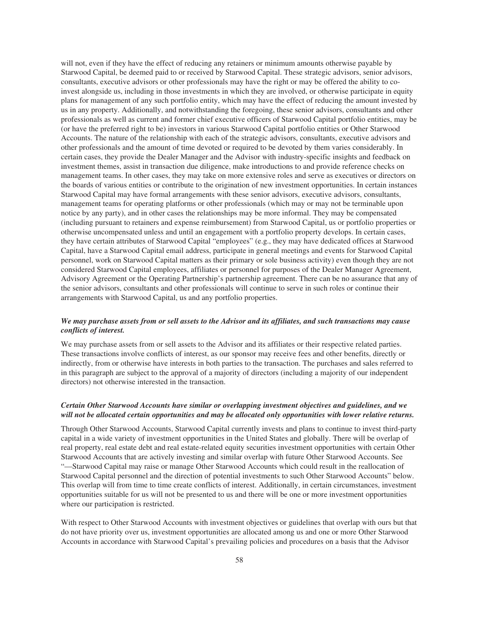will not, even if they have the effect of reducing any retainers or minimum amounts otherwise payable by Starwood Capital, be deemed paid to or received by Starwood Capital. These strategic advisors, senior advisors, consultants, executive advisors or other professionals may have the right or may be offered the ability to coinvest alongside us, including in those investments in which they are involved, or otherwise participate in equity plans for management of any such portfolio entity, which may have the effect of reducing the amount invested by us in any property. Additionally, and notwithstanding the foregoing, these senior advisors, consultants and other professionals as well as current and former chief executive officers of Starwood Capital portfolio entities, may be (or have the preferred right to be) investors in various Starwood Capital portfolio entities or Other Starwood Accounts. The nature of the relationship with each of the strategic advisors, consultants, executive advisors and other professionals and the amount of time devoted or required to be devoted by them varies considerably. In certain cases, they provide the Dealer Manager and the Advisor with industry-specific insights and feedback on investment themes, assist in transaction due diligence, make introductions to and provide reference checks on management teams. In other cases, they may take on more extensive roles and serve as executives or directors on the boards of various entities or contribute to the origination of new investment opportunities. In certain instances Starwood Capital may have formal arrangements with these senior advisors, executive advisors, consultants, management teams for operating platforms or other professionals (which may or may not be terminable upon notice by any party), and in other cases the relationships may be more informal. They may be compensated (including pursuant to retainers and expense reimbursement) from Starwood Capital, us or portfolio properties or otherwise uncompensated unless and until an engagement with a portfolio property develops. In certain cases, they have certain attributes of Starwood Capital "employees" (e.g., they may have dedicated offices at Starwood Capital, have a Starwood Capital email address, participate in general meetings and events for Starwood Capital personnel, work on Starwood Capital matters as their primary or sole business activity) even though they are not considered Starwood Capital employees, affiliates or personnel for purposes of the Dealer Manager Agreement, Advisory Agreement or the Operating Partnership's partnership agreement. There can be no assurance that any of the senior advisors, consultants and other professionals will continue to serve in such roles or continue their arrangements with Starwood Capital, us and any portfolio properties.

### *We may purchase assets from or sell assets to the Advisor and its affiliates, and such transactions may cause conflicts of interest.*

We may purchase assets from or sell assets to the Advisor and its affiliates or their respective related parties. These transactions involve conflicts of interest, as our sponsor may receive fees and other benefits, directly or indirectly, from or otherwise have interests in both parties to the transaction. The purchases and sales referred to in this paragraph are subject to the approval of a majority of directors (including a majority of our independent directors) not otherwise interested in the transaction.

# *Certain Other Starwood Accounts have similar or overlapping investment objectives and guidelines, and we will not be allocated certain opportunities and may be allocated only opportunities with lower relative returns.*

Through Other Starwood Accounts, Starwood Capital currently invests and plans to continue to invest third-party capital in a wide variety of investment opportunities in the United States and globally. There will be overlap of real property, real estate debt and real estate-related equity securities investment opportunities with certain Other Starwood Accounts that are actively investing and similar overlap with future Other Starwood Accounts. See "—Starwood Capital may raise or manage Other Starwood Accounts which could result in the reallocation of Starwood Capital personnel and the direction of potential investments to such Other Starwood Accounts" below. This overlap will from time to time create conflicts of interest. Additionally, in certain circumstances, investment opportunities suitable for us will not be presented to us and there will be one or more investment opportunities where our participation is restricted.

With respect to Other Starwood Accounts with investment objectives or guidelines that overlap with ours but that do not have priority over us, investment opportunities are allocated among us and one or more Other Starwood Accounts in accordance with Starwood Capital's prevailing policies and procedures on a basis that the Advisor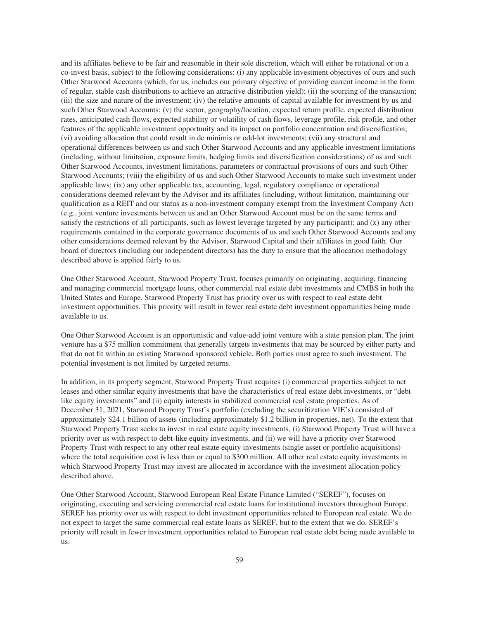and its affiliates believe to be fair and reasonable in their sole discretion, which will either be rotational or on a co-invest basis, subject to the following considerations: (i) any applicable investment objectives of ours and such Other Starwood Accounts (which, for us, includes our primary objective of providing current income in the form of regular, stable cash distributions to achieve an attractive distribution yield); (ii) the sourcing of the transaction; (iii) the size and nature of the investment; (iv) the relative amounts of capital available for investment by us and such Other Starwood Accounts; (v) the sector, geography/location, expected return profile, expected distribution rates, anticipated cash flows, expected stability or volatility of cash flows, leverage profile, risk profile, and other features of the applicable investment opportunity and its impact on portfolio concentration and diversification; (vi) avoiding allocation that could result in de minimis or odd-lot investments; (vii) any structural and operational differences between us and such Other Starwood Accounts and any applicable investment limitations (including, without limitation, exposure limits, hedging limits and diversification considerations) of us and such Other Starwood Accounts, investment limitations, parameters or contractual provisions of ours and such Other Starwood Accounts; (viii) the eligibility of us and such Other Starwood Accounts to make such investment under applicable laws; (ix) any other applicable tax, accounting, legal, regulatory compliance or operational considerations deemed relevant by the Advisor and its affiliates (including, without limitation, maintaining our qualification as a REIT and our status as a non-investment company exempt from the Investment Company Act) (e.g., joint venture investments between us and an Other Starwood Account must be on the same terms and satisfy the restrictions of all participants, such as lowest leverage targeted by any participant); and  $(x)$  any other requirements contained in the corporate governance documents of us and such Other Starwood Accounts and any other considerations deemed relevant by the Advisor, Starwood Capital and their affiliates in good faith. Our board of directors (including our independent directors) has the duty to ensure that the allocation methodology described above is applied fairly to us.

One Other Starwood Account, Starwood Property Trust, focuses primarily on originating, acquiring, financing and managing commercial mortgage loans, other commercial real estate debt investments and CMBS in both the United States and Europe. Starwood Property Trust has priority over us with respect to real estate debt investment opportunities. This priority will result in fewer real estate debt investment opportunities being made available to us.

One Other Starwood Account is an opportunistic and value-add joint venture with a state pension plan. The joint venture has a \$75 million commitment that generally targets investments that may be sourced by either party and that do not fit within an existing Starwood sponsored vehicle. Both parties must agree to such investment. The potential investment is not limited by targeted returns.

In addition, in its property segment, Starwood Property Trust acquires (i) commercial properties subject to net leases and other similar equity investments that have the characteristics of real estate debt investments, or "debt like equity investments" and (ii) equity interests in stabilized commercial real estate properties. As of December 31, 2021, Starwood Property Trust's portfolio (excluding the securitization VIE's) consisted of approximately \$24.1 billion of assets (including approximately \$1.2 billion in properties, net). To the extent that Starwood Property Trust seeks to invest in real estate equity investments, (i) Starwood Property Trust will have a priority over us with respect to debt-like equity investments, and (ii) we will have a priority over Starwood Property Trust with respect to any other real estate equity investments (single asset or portfolio acquisitions) where the total acquisition cost is less than or equal to \$300 million. All other real estate equity investments in which Starwood Property Trust may invest are allocated in accordance with the investment allocation policy described above.

One Other Starwood Account, Starwood European Real Estate Finance Limited ("SEREF"), focuses on originating, executing and servicing commercial real estate loans for institutional investors throughout Europe. SEREF has priority over us with respect to debt investment opportunities related to European real estate. We do not expect to target the same commercial real estate loans as SEREF, but to the extent that we do, SEREF's priority will result in fewer investment opportunities related to European real estate debt being made available to us.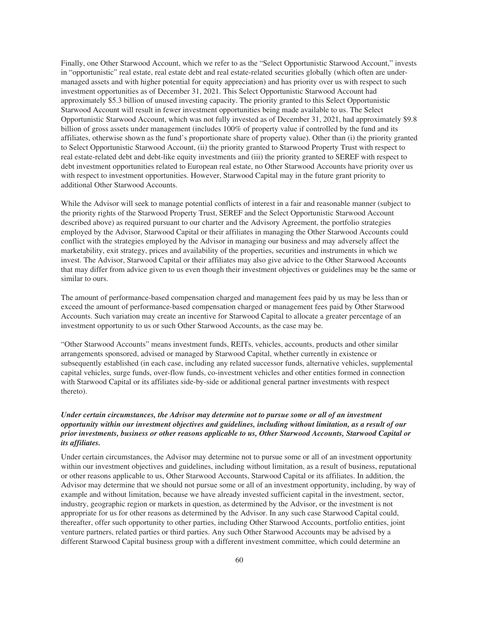Finally, one Other Starwood Account, which we refer to as the "Select Opportunistic Starwood Account," invests in "opportunistic" real estate, real estate debt and real estate-related securities globally (which often are undermanaged assets and with higher potential for equity appreciation) and has priority over us with respect to such investment opportunities as of December 31, 2021. This Select Opportunistic Starwood Account had approximately \$5.3 billion of unused investing capacity. The priority granted to this Select Opportunistic Starwood Account will result in fewer investment opportunities being made available to us. The Select Opportunistic Starwood Account, which was not fully invested as of December 31, 2021, had approximately \$9.8 billion of gross assets under management (includes 100% of property value if controlled by the fund and its affiliates, otherwise shown as the fund's proportionate share of property value). Other than (i) the priority granted to Select Opportunistic Starwood Account, (ii) the priority granted to Starwood Property Trust with respect to real estate-related debt and debt-like equity investments and (iii) the priority granted to SEREF with respect to debt investment opportunities related to European real estate, no Other Starwood Accounts have priority over us with respect to investment opportunities. However, Starwood Capital may in the future grant priority to additional Other Starwood Accounts.

While the Advisor will seek to manage potential conflicts of interest in a fair and reasonable manner (subject to the priority rights of the Starwood Property Trust, SEREF and the Select Opportunistic Starwood Account described above) as required pursuant to our charter and the Advisory Agreement, the portfolio strategies employed by the Advisor, Starwood Capital or their affiliates in managing the Other Starwood Accounts could conflict with the strategies employed by the Advisor in managing our business and may adversely affect the marketability, exit strategy, prices and availability of the properties, securities and instruments in which we invest. The Advisor, Starwood Capital or their affiliates may also give advice to the Other Starwood Accounts that may differ from advice given to us even though their investment objectives or guidelines may be the same or similar to ours.

The amount of performance-based compensation charged and management fees paid by us may be less than or exceed the amount of performance-based compensation charged or management fees paid by Other Starwood Accounts. Such variation may create an incentive for Starwood Capital to allocate a greater percentage of an investment opportunity to us or such Other Starwood Accounts, as the case may be.

"Other Starwood Accounts" means investment funds, REITs, vehicles, accounts, products and other similar arrangements sponsored, advised or managed by Starwood Capital, whether currently in existence or subsequently established (in each case, including any related successor funds, alternative vehicles, supplemental capital vehicles, surge funds, over-flow funds, co-investment vehicles and other entities formed in connection with Starwood Capital or its affiliates side-by-side or additional general partner investments with respect thereto).

# *Under certain circumstances, the Advisor may determine not to pursue some or all of an investment opportunity within our investment objectives and guidelines, including without limitation, as a result of our prior investments, business or other reasons applicable to us, Other Starwood Accounts, Starwood Capital or its affiliates.*

Under certain circumstances, the Advisor may determine not to pursue some or all of an investment opportunity within our investment objectives and guidelines, including without limitation, as a result of business, reputational or other reasons applicable to us, Other Starwood Accounts, Starwood Capital or its affiliates. In addition, the Advisor may determine that we should not pursue some or all of an investment opportunity, including, by way of example and without limitation, because we have already invested sufficient capital in the investment, sector, industry, geographic region or markets in question, as determined by the Advisor, or the investment is not appropriate for us for other reasons as determined by the Advisor. In any such case Starwood Capital could, thereafter, offer such opportunity to other parties, including Other Starwood Accounts, portfolio entities, joint venture partners, related parties or third parties. Any such Other Starwood Accounts may be advised by a different Starwood Capital business group with a different investment committee, which could determine an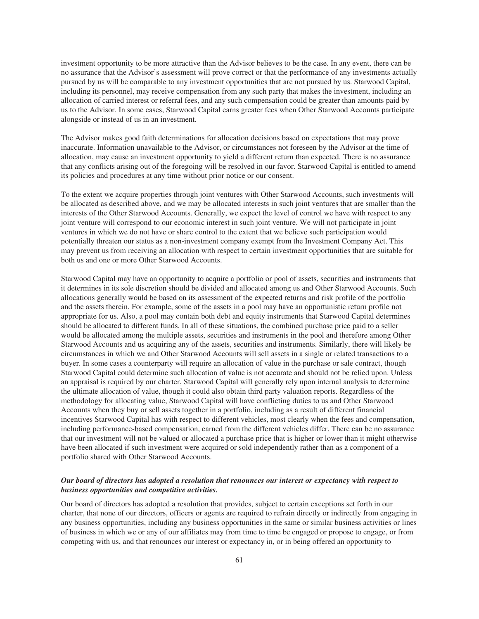investment opportunity to be more attractive than the Advisor believes to be the case. In any event, there can be no assurance that the Advisor's assessment will prove correct or that the performance of any investments actually pursued by us will be comparable to any investment opportunities that are not pursued by us. Starwood Capital, including its personnel, may receive compensation from any such party that makes the investment, including an allocation of carried interest or referral fees, and any such compensation could be greater than amounts paid by us to the Advisor. In some cases, Starwood Capital earns greater fees when Other Starwood Accounts participate alongside or instead of us in an investment.

The Advisor makes good faith determinations for allocation decisions based on expectations that may prove inaccurate. Information unavailable to the Advisor, or circumstances not foreseen by the Advisor at the time of allocation, may cause an investment opportunity to yield a different return than expected. There is no assurance that any conflicts arising out of the foregoing will be resolved in our favor. Starwood Capital is entitled to amend its policies and procedures at any time without prior notice or our consent.

To the extent we acquire properties through joint ventures with Other Starwood Accounts, such investments will be allocated as described above, and we may be allocated interests in such joint ventures that are smaller than the interests of the Other Starwood Accounts. Generally, we expect the level of control we have with respect to any joint venture will correspond to our economic interest in such joint venture. We will not participate in joint ventures in which we do not have or share control to the extent that we believe such participation would potentially threaten our status as a non-investment company exempt from the Investment Company Act. This may prevent us from receiving an allocation with respect to certain investment opportunities that are suitable for both us and one or more Other Starwood Accounts.

Starwood Capital may have an opportunity to acquire a portfolio or pool of assets, securities and instruments that it determines in its sole discretion should be divided and allocated among us and Other Starwood Accounts. Such allocations generally would be based on its assessment of the expected returns and risk profile of the portfolio and the assets therein. For example, some of the assets in a pool may have an opportunistic return profile not appropriate for us. Also, a pool may contain both debt and equity instruments that Starwood Capital determines should be allocated to different funds. In all of these situations, the combined purchase price paid to a seller would be allocated among the multiple assets, securities and instruments in the pool and therefore among Other Starwood Accounts and us acquiring any of the assets, securities and instruments. Similarly, there will likely be circumstances in which we and Other Starwood Accounts will sell assets in a single or related transactions to a buyer. In some cases a counterparty will require an allocation of value in the purchase or sale contract, though Starwood Capital could determine such allocation of value is not accurate and should not be relied upon. Unless an appraisal is required by our charter, Starwood Capital will generally rely upon internal analysis to determine the ultimate allocation of value, though it could also obtain third party valuation reports. Regardless of the methodology for allocating value, Starwood Capital will have conflicting duties to us and Other Starwood Accounts when they buy or sell assets together in a portfolio, including as a result of different financial incentives Starwood Capital has with respect to different vehicles, most clearly when the fees and compensation, including performance-based compensation, earned from the different vehicles differ. There can be no assurance that our investment will not be valued or allocated a purchase price that is higher or lower than it might otherwise have been allocated if such investment were acquired or sold independently rather than as a component of a portfolio shared with Other Starwood Accounts.

### *Our board of directors has adopted a resolution that renounces our interest or expectancy with respect to business opportunities and competitive activities.*

Our board of directors has adopted a resolution that provides, subject to certain exceptions set forth in our charter, that none of our directors, officers or agents are required to refrain directly or indirectly from engaging in any business opportunities, including any business opportunities in the same or similar business activities or lines of business in which we or any of our affiliates may from time to time be engaged or propose to engage, or from competing with us, and that renounces our interest or expectancy in, or in being offered an opportunity to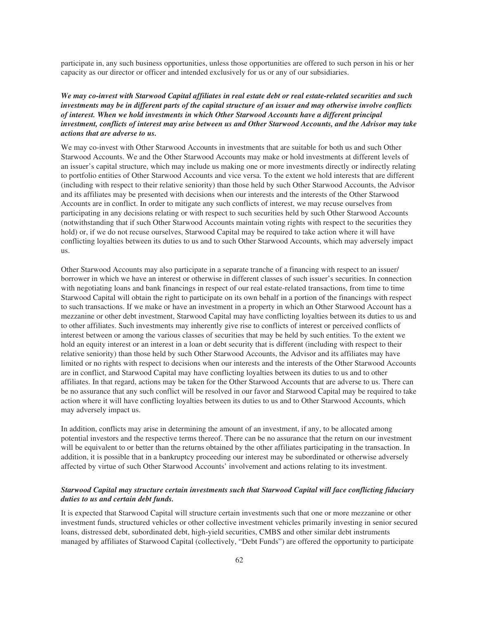participate in, any such business opportunities, unless those opportunities are offered to such person in his or her capacity as our director or officer and intended exclusively for us or any of our subsidiaries.

# *We may co-invest with Starwood Capital affiliates in real estate debt or real estate-related securities and such investments may be in different parts of the capital structure of an issuer and may otherwise involve conflicts of interest. When we hold investments in which Other Starwood Accounts have a different principal investment, conflicts of interest may arise between us and Other Starwood Accounts, and the Advisor may take actions that are adverse to us.*

We may co-invest with Other Starwood Accounts in investments that are suitable for both us and such Other Starwood Accounts. We and the Other Starwood Accounts may make or hold investments at different levels of an issuer's capital structure, which may include us making one or more investments directly or indirectly relating to portfolio entities of Other Starwood Accounts and vice versa. To the extent we hold interests that are different (including with respect to their relative seniority) than those held by such Other Starwood Accounts, the Advisor and its affiliates may be presented with decisions when our interests and the interests of the Other Starwood Accounts are in conflict. In order to mitigate any such conflicts of interest, we may recuse ourselves from participating in any decisions relating or with respect to such securities held by such Other Starwood Accounts (notwithstanding that if such Other Starwood Accounts maintain voting rights with respect to the securities they hold) or, if we do not recuse ourselves, Starwood Capital may be required to take action where it will have conflicting loyalties between its duties to us and to such Other Starwood Accounts, which may adversely impact us.

Other Starwood Accounts may also participate in a separate tranche of a financing with respect to an issuer/ borrower in which we have an interest or otherwise in different classes of such issuer's securities. In connection with negotiating loans and bank financings in respect of our real estate-related transactions, from time to time Starwood Capital will obtain the right to participate on its own behalf in a portion of the financings with respect to such transactions. If we make or have an investment in a property in which an Other Starwood Account has a mezzanine or other debt investment, Starwood Capital may have conflicting loyalties between its duties to us and to other affiliates. Such investments may inherently give rise to conflicts of interest or perceived conflicts of interest between or among the various classes of securities that may be held by such entities. To the extent we hold an equity interest or an interest in a loan or debt security that is different (including with respect to their relative seniority) than those held by such Other Starwood Accounts, the Advisor and its affiliates may have limited or no rights with respect to decisions when our interests and the interests of the Other Starwood Accounts are in conflict, and Starwood Capital may have conflicting loyalties between its duties to us and to other affiliates. In that regard, actions may be taken for the Other Starwood Accounts that are adverse to us. There can be no assurance that any such conflict will be resolved in our favor and Starwood Capital may be required to take action where it will have conflicting loyalties between its duties to us and to Other Starwood Accounts, which may adversely impact us.

In addition, conflicts may arise in determining the amount of an investment, if any, to be allocated among potential investors and the respective terms thereof. There can be no assurance that the return on our investment will be equivalent to or better than the returns obtained by the other affiliates participating in the transaction. In addition, it is possible that in a bankruptcy proceeding our interest may be subordinated or otherwise adversely affected by virtue of such Other Starwood Accounts' involvement and actions relating to its investment.

### *Starwood Capital may structure certain investments such that Starwood Capital will face conflicting fiduciary duties to us and certain debt funds.*

It is expected that Starwood Capital will structure certain investments such that one or more mezzanine or other investment funds, structured vehicles or other collective investment vehicles primarily investing in senior secured loans, distressed debt, subordinated debt, high-yield securities, CMBS and other similar debt instruments managed by affiliates of Starwood Capital (collectively, "Debt Funds") are offered the opportunity to participate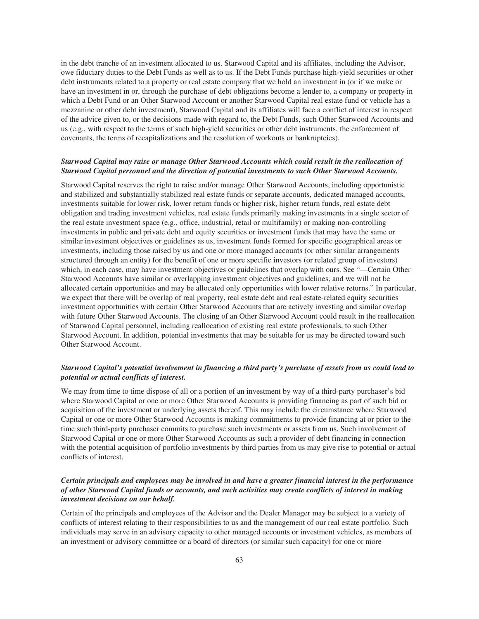in the debt tranche of an investment allocated to us. Starwood Capital and its affiliates, including the Advisor, owe fiduciary duties to the Debt Funds as well as to us. If the Debt Funds purchase high-yield securities or other debt instruments related to a property or real estate company that we hold an investment in (or if we make or have an investment in or, through the purchase of debt obligations become a lender to, a company or property in which a Debt Fund or an Other Starwood Account or another Starwood Capital real estate fund or vehicle has a mezzanine or other debt investment), Starwood Capital and its affiliates will face a conflict of interest in respect of the advice given to, or the decisions made with regard to, the Debt Funds, such Other Starwood Accounts and us (e.g., with respect to the terms of such high-yield securities or other debt instruments, the enforcement of covenants, the terms of recapitalizations and the resolution of workouts or bankruptcies).

### *Starwood Capital may raise or manage Other Starwood Accounts which could result in the reallocation of Starwood Capital personnel and the direction of potential investments to such Other Starwood Accounts.*

Starwood Capital reserves the right to raise and/or manage Other Starwood Accounts, including opportunistic and stabilized and substantially stabilized real estate funds or separate accounts, dedicated managed accounts, investments suitable for lower risk, lower return funds or higher risk, higher return funds, real estate debt obligation and trading investment vehicles, real estate funds primarily making investments in a single sector of the real estate investment space (e.g., office, industrial, retail or multifamily) or making non-controlling investments in public and private debt and equity securities or investment funds that may have the same or similar investment objectives or guidelines as us, investment funds formed for specific geographical areas or investments, including those raised by us and one or more managed accounts (or other similar arrangements structured through an entity) for the benefit of one or more specific investors (or related group of investors) which, in each case, may have investment objectives or guidelines that overlap with ours. See "—Certain Other Starwood Accounts have similar or overlapping investment objectives and guidelines, and we will not be allocated certain opportunities and may be allocated only opportunities with lower relative returns." In particular, we expect that there will be overlap of real property, real estate debt and real estate-related equity securities investment opportunities with certain Other Starwood Accounts that are actively investing and similar overlap with future Other Starwood Accounts. The closing of an Other Starwood Account could result in the reallocation of Starwood Capital personnel, including reallocation of existing real estate professionals, to such Other Starwood Account. In addition, potential investments that may be suitable for us may be directed toward such Other Starwood Account.

# *Starwood Capital's potential involvement in financing a third party's purchase of assets from us could lead to potential or actual conflicts of interest.*

We may from time to time dispose of all or a portion of an investment by way of a third-party purchaser's bid where Starwood Capital or one or more Other Starwood Accounts is providing financing as part of such bid or acquisition of the investment or underlying assets thereof. This may include the circumstance where Starwood Capital or one or more Other Starwood Accounts is making commitments to provide financing at or prior to the time such third-party purchaser commits to purchase such investments or assets from us. Such involvement of Starwood Capital or one or more Other Starwood Accounts as such a provider of debt financing in connection with the potential acquisition of portfolio investments by third parties from us may give rise to potential or actual conflicts of interest.

# *Certain principals and employees may be involved in and have a greater financial interest in the performance of other Starwood Capital funds or accounts, and such activities may create conflicts of interest in making investment decisions on our behalf.*

Certain of the principals and employees of the Advisor and the Dealer Manager may be subject to a variety of conflicts of interest relating to their responsibilities to us and the management of our real estate portfolio. Such individuals may serve in an advisory capacity to other managed accounts or investment vehicles, as members of an investment or advisory committee or a board of directors (or similar such capacity) for one or more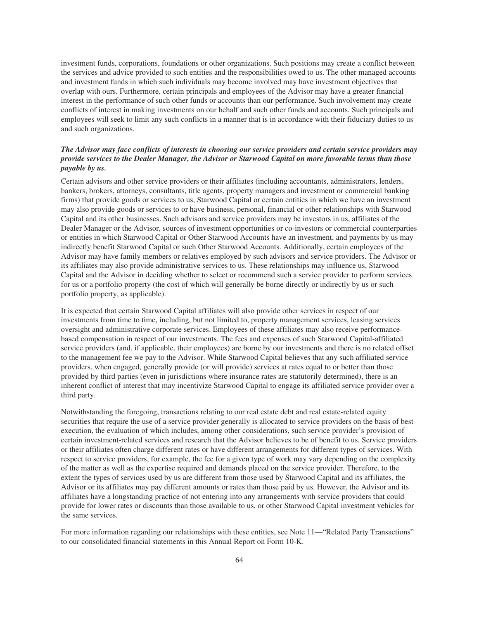investment funds, corporations, foundations or other organizations. Such positions may create a conflict between the services and advice provided to such entities and the responsibilities owed to us. The other managed accounts and investment funds in which such individuals may become involved may have investment objectives that overlap with ours. Furthermore, certain principals and employees of the Advisor may have a greater financial interest in the performance of such other funds or accounts than our performance. Such involvement may create conflicts of interest in making investments on our behalf and such other funds and accounts. Such principals and employees will seek to limit any such conflicts in a manner that is in accordance with their fiduciary duties to us and such organizations.

# *The Advisor may face conflicts of interests in choosing our service providers and certain service providers may provide services to the Dealer Manager, the Advisor or Starwood Capital on more favorable terms than those payable by us.*

Certain advisors and other service providers or their affiliates (including accountants, administrators, lenders, bankers, brokers, attorneys, consultants, title agents, property managers and investment or commercial banking firms) that provide goods or services to us, Starwood Capital or certain entities in which we have an investment may also provide goods or services to or have business, personal, financial or other relationships with Starwood Capital and its other businesses. Such advisors and service providers may be investors in us, affiliates of the Dealer Manager or the Advisor, sources of investment opportunities or co-investors or commercial counterparties or entities in which Starwood Capital or Other Starwood Accounts have an investment, and payments by us may indirectly benefit Starwood Capital or such Other Starwood Accounts. Additionally, certain employees of the Advisor may have family members or relatives employed by such advisors and service providers. The Advisor or its affiliates may also provide administrative services to us. These relationships may influence us, Starwood Capital and the Advisor in deciding whether to select or recommend such a service provider to perform services for us or a portfolio property (the cost of which will generally be borne directly or indirectly by us or such portfolio property, as applicable).

It is expected that certain Starwood Capital affiliates will also provide other services in respect of our investments from time to time, including, but not limited to, property management services, leasing services oversight and administrative corporate services. Employees of these affiliates may also receive performancebased compensation in respect of our investments. The fees and expenses of such Starwood Capital-affiliated service providers (and, if applicable, their employees) are borne by our investments and there is no related offset to the management fee we pay to the Advisor. While Starwood Capital believes that any such affiliated service providers, when engaged, generally provide (or will provide) services at rates equal to or better than those provided by third parties (even in jurisdictions where insurance rates are statutorily determined), there is an inherent conflict of interest that may incentivize Starwood Capital to engage its affiliated service provider over a third party.

Notwithstanding the foregoing, transactions relating to our real estate debt and real estate-related equity securities that require the use of a service provider generally is allocated to service providers on the basis of best execution, the evaluation of which includes, among other considerations, such service provider's provision of certain investment-related services and research that the Advisor believes to be of benefit to us. Service providers or their affiliates often charge different rates or have different arrangements for different types of services. With respect to service providers, for example, the fee for a given type of work may vary depending on the complexity of the matter as well as the expertise required and demands placed on the service provider. Therefore, to the extent the types of services used by us are different from those used by Starwood Capital and its affiliates, the Advisor or its affiliates may pay different amounts or rates than those paid by us. However, the Advisor and its affiliates have a longstanding practice of not entering into any arrangements with service providers that could provide for lower rates or discounts than those available to us, or other Starwood Capital investment vehicles for the same services.

For more information regarding our relationships with these entities, see Note 11—"Related Party Transactions" to our consolidated financial statements in this Annual Report on Form 10-K.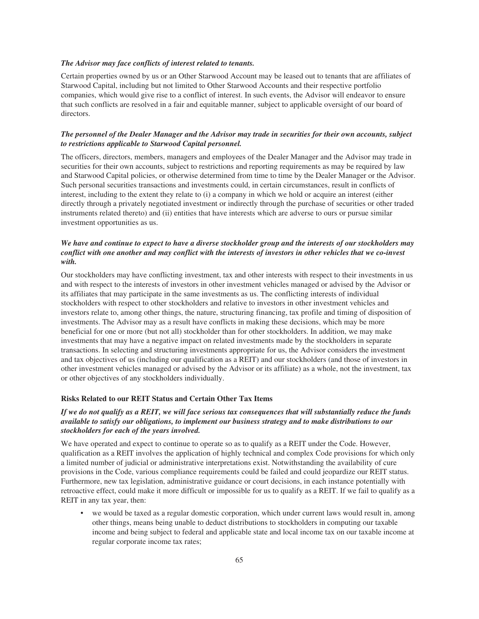### *The Advisor may face conflicts of interest related to tenants.*

Certain properties owned by us or an Other Starwood Account may be leased out to tenants that are affiliates of Starwood Capital, including but not limited to Other Starwood Accounts and their respective portfolio companies, which would give rise to a conflict of interest. In such events, the Advisor will endeavor to ensure that such conflicts are resolved in a fair and equitable manner, subject to applicable oversight of our board of directors.

### *The personnel of the Dealer Manager and the Advisor may trade in securities for their own accounts, subject to restrictions applicable to Starwood Capital personnel.*

The officers, directors, members, managers and employees of the Dealer Manager and the Advisor may trade in securities for their own accounts, subject to restrictions and reporting requirements as may be required by law and Starwood Capital policies, or otherwise determined from time to time by the Dealer Manager or the Advisor. Such personal securities transactions and investments could, in certain circumstances, result in conflicts of interest, including to the extent they relate to (i) a company in which we hold or acquire an interest (either directly through a privately negotiated investment or indirectly through the purchase of securities or other traded instruments related thereto) and (ii) entities that have interests which are adverse to ours or pursue similar investment opportunities as us.

## *We have and continue to expect to have a diverse stockholder group and the interests of our stockholders may conflict with one another and may conflict with the interests of investors in other vehicles that we co-invest with.*

Our stockholders may have conflicting investment, tax and other interests with respect to their investments in us and with respect to the interests of investors in other investment vehicles managed or advised by the Advisor or its affiliates that may participate in the same investments as us. The conflicting interests of individual stockholders with respect to other stockholders and relative to investors in other investment vehicles and investors relate to, among other things, the nature, structuring financing, tax profile and timing of disposition of investments. The Advisor may as a result have conflicts in making these decisions, which may be more beneficial for one or more (but not all) stockholder than for other stockholders. In addition, we may make investments that may have a negative impact on related investments made by the stockholders in separate transactions. In selecting and structuring investments appropriate for us, the Advisor considers the investment and tax objectives of us (including our qualification as a REIT) and our stockholders (and those of investors in other investment vehicles managed or advised by the Advisor or its affiliate) as a whole, not the investment, tax or other objectives of any stockholders individually.

### **Risks Related to our REIT Status and Certain Other Tax Items**

# *If we do not qualify as a REIT, we will face serious tax consequences that will substantially reduce the funds available to satisfy our obligations, to implement our business strategy and to make distributions to our stockholders for each of the years involved.*

We have operated and expect to continue to operate so as to qualify as a REIT under the Code. However, qualification as a REIT involves the application of highly technical and complex Code provisions for which only a limited number of judicial or administrative interpretations exist. Notwithstanding the availability of cure provisions in the Code, various compliance requirements could be failed and could jeopardize our REIT status. Furthermore, new tax legislation, administrative guidance or court decisions, in each instance potentially with retroactive effect, could make it more difficult or impossible for us to qualify as a REIT. If we fail to qualify as a REIT in any tax year, then:

we would be taxed as a regular domestic corporation, which under current laws would result in, among other things, means being unable to deduct distributions to stockholders in computing our taxable income and being subject to federal and applicable state and local income tax on our taxable income at regular corporate income tax rates;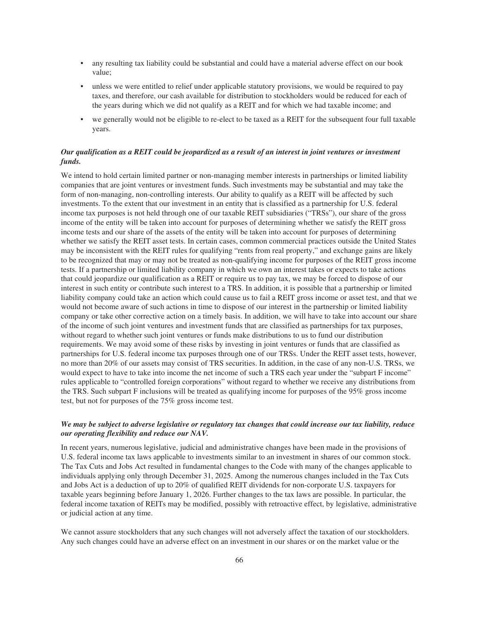- any resulting tax liability could be substantial and could have a material adverse effect on our book value;
- unless we were entitled to relief under applicable statutory provisions, we would be required to pay taxes, and therefore, our cash available for distribution to stockholders would be reduced for each of the years during which we did not qualify as a REIT and for which we had taxable income; and
- we generally would not be eligible to re-elect to be taxed as a REIT for the subsequent four full taxable years.

# *Our qualification as a REIT could be jeopardized as a result of an interest in joint ventures or investment funds.*

We intend to hold certain limited partner or non-managing member interests in partnerships or limited liability companies that are joint ventures or investment funds. Such investments may be substantial and may take the form of non-managing, non-controlling interests. Our ability to qualify as a REIT will be affected by such investments. To the extent that our investment in an entity that is classified as a partnership for U.S. federal income tax purposes is not held through one of our taxable REIT subsidiaries ("TRSs"), our share of the gross income of the entity will be taken into account for purposes of determining whether we satisfy the REIT gross income tests and our share of the assets of the entity will be taken into account for purposes of determining whether we satisfy the REIT asset tests. In certain cases, common commercial practices outside the United States may be inconsistent with the REIT rules for qualifying "rents from real property," and exchange gains are likely to be recognized that may or may not be treated as non-qualifying income for purposes of the REIT gross income tests. If a partnership or limited liability company in which we own an interest takes or expects to take actions that could jeopardize our qualification as a REIT or require us to pay tax, we may be forced to dispose of our interest in such entity or contribute such interest to a TRS. In addition, it is possible that a partnership or limited liability company could take an action which could cause us to fail a REIT gross income or asset test, and that we would not become aware of such actions in time to dispose of our interest in the partnership or limited liability company or take other corrective action on a timely basis. In addition, we will have to take into account our share of the income of such joint ventures and investment funds that are classified as partnerships for tax purposes, without regard to whether such joint ventures or funds make distributions to us to fund our distribution requirements. We may avoid some of these risks by investing in joint ventures or funds that are classified as partnerships for U.S. federal income tax purposes through one of our TRSs. Under the REIT asset tests, however, no more than 20% of our assets may consist of TRS securities. In addition, in the case of any non-U.S. TRSs, we would expect to have to take into income the net income of such a TRS each year under the "subpart F income" rules applicable to "controlled foreign corporations" without regard to whether we receive any distributions from the TRS. Such subpart F inclusions will be treated as qualifying income for purposes of the 95% gross income test, but not for purposes of the 75% gross income test.

# *We may be subject to adverse legislative or regulatory tax changes that could increase our tax liability, reduce our operating flexibility and reduce our NAV.*

In recent years, numerous legislative, judicial and administrative changes have been made in the provisions of U.S. federal income tax laws applicable to investments similar to an investment in shares of our common stock. The Tax Cuts and Jobs Act resulted in fundamental changes to the Code with many of the changes applicable to individuals applying only through December 31, 2025. Among the numerous changes included in the Tax Cuts and Jobs Act is a deduction of up to 20% of qualified REIT dividends for non-corporate U.S. taxpayers for taxable years beginning before January 1, 2026. Further changes to the tax laws are possible. In particular, the federal income taxation of REITs may be modified, possibly with retroactive effect, by legislative, administrative or judicial action at any time.

We cannot assure stockholders that any such changes will not adversely affect the taxation of our stockholders. Any such changes could have an adverse effect on an investment in our shares or on the market value or the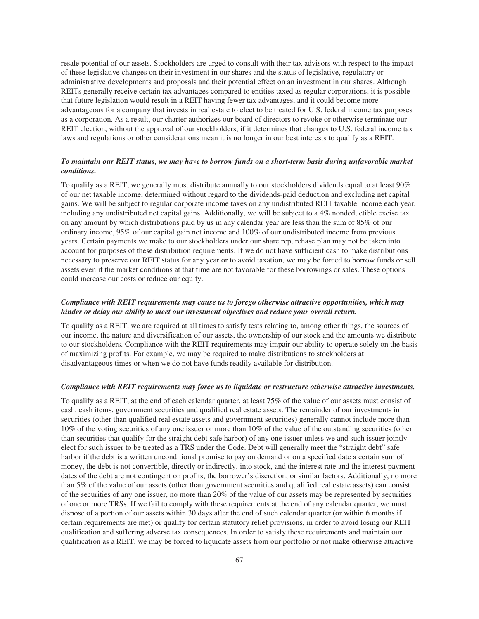resale potential of our assets. Stockholders are urged to consult with their tax advisors with respect to the impact of these legislative changes on their investment in our shares and the status of legislative, regulatory or administrative developments and proposals and their potential effect on an investment in our shares. Although REITs generally receive certain tax advantages compared to entities taxed as regular corporations, it is possible that future legislation would result in a REIT having fewer tax advantages, and it could become more advantageous for a company that invests in real estate to elect to be treated for U.S. federal income tax purposes as a corporation. As a result, our charter authorizes our board of directors to revoke or otherwise terminate our REIT election, without the approval of our stockholders, if it determines that changes to U.S. federal income tax laws and regulations or other considerations mean it is no longer in our best interests to qualify as a REIT.

### *To maintain our REIT status, we may have to borrow funds on a short-term basis during unfavorable market conditions.*

To qualify as a REIT, we generally must distribute annually to our stockholders dividends equal to at least 90% of our net taxable income, determined without regard to the dividends-paid deduction and excluding net capital gains. We will be subject to regular corporate income taxes on any undistributed REIT taxable income each year, including any undistributed net capital gains. Additionally, we will be subject to a 4% nondeductible excise tax on any amount by which distributions paid by us in any calendar year are less than the sum of 85% of our ordinary income, 95% of our capital gain net income and 100% of our undistributed income from previous years. Certain payments we make to our stockholders under our share repurchase plan may not be taken into account for purposes of these distribution requirements. If we do not have sufficient cash to make distributions necessary to preserve our REIT status for any year or to avoid taxation, we may be forced to borrow funds or sell assets even if the market conditions at that time are not favorable for these borrowings or sales. These options could increase our costs or reduce our equity.

### *Compliance with REIT requirements may cause us to forego otherwise attractive opportunities, which may hinder or delay our ability to meet our investment objectives and reduce your overall return.*

To qualify as a REIT, we are required at all times to satisfy tests relating to, among other things, the sources of our income, the nature and diversification of our assets, the ownership of our stock and the amounts we distribute to our stockholders. Compliance with the REIT requirements may impair our ability to operate solely on the basis of maximizing profits. For example, we may be required to make distributions to stockholders at disadvantageous times or when we do not have funds readily available for distribution.

#### *Compliance with REIT requirements may force us to liquidate or restructure otherwise attractive investments.*

To qualify as a REIT, at the end of each calendar quarter, at least 75% of the value of our assets must consist of cash, cash items, government securities and qualified real estate assets. The remainder of our investments in securities (other than qualified real estate assets and government securities) generally cannot include more than 10% of the voting securities of any one issuer or more than 10% of the value of the outstanding securities (other than securities that qualify for the straight debt safe harbor) of any one issuer unless we and such issuer jointly elect for such issuer to be treated as a TRS under the Code. Debt will generally meet the "straight debt" safe harbor if the debt is a written unconditional promise to pay on demand or on a specified date a certain sum of money, the debt is not convertible, directly or indirectly, into stock, and the interest rate and the interest payment dates of the debt are not contingent on profits, the borrower's discretion, or similar factors. Additionally, no more than 5% of the value of our assets (other than government securities and qualified real estate assets) can consist of the securities of any one issuer, no more than 20% of the value of our assets may be represented by securities of one or more TRSs. If we fail to comply with these requirements at the end of any calendar quarter, we must dispose of a portion of our assets within 30 days after the end of such calendar quarter (or within 6 months if certain requirements are met) or qualify for certain statutory relief provisions, in order to avoid losing our REIT qualification and suffering adverse tax consequences. In order to satisfy these requirements and maintain our qualification as a REIT, we may be forced to liquidate assets from our portfolio or not make otherwise attractive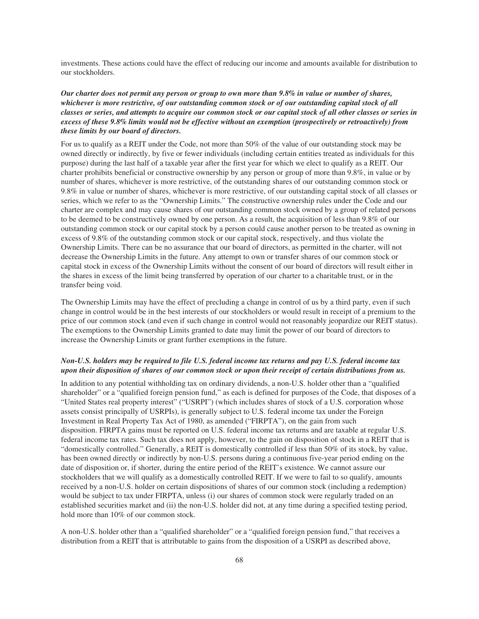investments. These actions could have the effect of reducing our income and amounts available for distribution to our stockholders.

*Our charter does not permit any person or group to own more than 9.8% in value or number of shares, whichever is more restrictive, of our outstanding common stock or of our outstanding capital stock of all classes or series, and attempts to acquire our common stock or our capital stock of all other classes or series in excess of these 9.8% limits would not be effective without an exemption (prospectively or retroactively) from these limits by our board of directors.*

For us to qualify as a REIT under the Code, not more than 50% of the value of our outstanding stock may be owned directly or indirectly, by five or fewer individuals (including certain entities treated as individuals for this purpose) during the last half of a taxable year after the first year for which we elect to qualify as a REIT. Our charter prohibits beneficial or constructive ownership by any person or group of more than 9.8%, in value or by number of shares, whichever is more restrictive, of the outstanding shares of our outstanding common stock or 9.8% in value or number of shares, whichever is more restrictive, of our outstanding capital stock of all classes or series, which we refer to as the "Ownership Limits." The constructive ownership rules under the Code and our charter are complex and may cause shares of our outstanding common stock owned by a group of related persons to be deemed to be constructively owned by one person. As a result, the acquisition of less than 9.8% of our outstanding common stock or our capital stock by a person could cause another person to be treated as owning in excess of 9.8% of the outstanding common stock or our capital stock, respectively, and thus violate the Ownership Limits. There can be no assurance that our board of directors, as permitted in the charter, will not decrease the Ownership Limits in the future. Any attempt to own or transfer shares of our common stock or capital stock in excess of the Ownership Limits without the consent of our board of directors will result either in the shares in excess of the limit being transferred by operation of our charter to a charitable trust, or in the transfer being void.

The Ownership Limits may have the effect of precluding a change in control of us by a third party, even if such change in control would be in the best interests of our stockholders or would result in receipt of a premium to the price of our common stock (and even if such change in control would not reasonably jeopardize our REIT status). The exemptions to the Ownership Limits granted to date may limit the power of our board of directors to increase the Ownership Limits or grant further exemptions in the future.

### *Non-U.S. holders may be required to file U.S. federal income tax returns and pay U.S. federal income tax upon their disposition of shares of our common stock or upon their receipt of certain distributions from us.*

In addition to any potential withholding tax on ordinary dividends, a non-U.S. holder other than a "qualified shareholder" or a "qualified foreign pension fund," as each is defined for purposes of the Code, that disposes of a "United States real property interest" ("USRPI") (which includes shares of stock of a U.S. corporation whose assets consist principally of USRPIs), is generally subject to U.S. federal income tax under the Foreign Investment in Real Property Tax Act of 1980, as amended ("FIRPTA"), on the gain from such disposition. FIRPTA gains must be reported on U.S. federal income tax returns and are taxable at regular U.S. federal income tax rates. Such tax does not apply, however, to the gain on disposition of stock in a REIT that is "domestically controlled." Generally, a REIT is domestically controlled if less than 50% of its stock, by value, has been owned directly or indirectly by non-U.S. persons during a continuous five-year period ending on the date of disposition or, if shorter, during the entire period of the REIT's existence. We cannot assure our stockholders that we will qualify as a domestically controlled REIT. If we were to fail to so qualify, amounts received by a non-U.S. holder on certain dispositions of shares of our common stock (including a redemption) would be subject to tax under FIRPTA, unless (i) our shares of common stock were regularly traded on an established securities market and (ii) the non-U.S. holder did not, at any time during a specified testing period, hold more than 10% of our common stock.

A non-U.S. holder other than a "qualified shareholder" or a "qualified foreign pension fund," that receives a distribution from a REIT that is attributable to gains from the disposition of a USRPI as described above,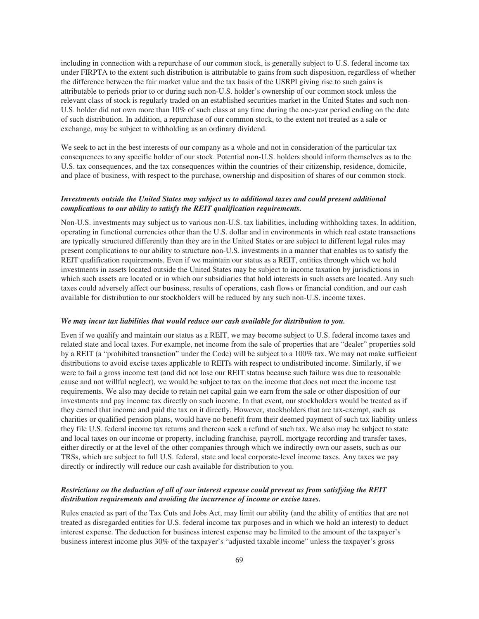including in connection with a repurchase of our common stock, is generally subject to U.S. federal income tax under FIRPTA to the extent such distribution is attributable to gains from such disposition, regardless of whether the difference between the fair market value and the tax basis of the USRPI giving rise to such gains is attributable to periods prior to or during such non-U.S. holder's ownership of our common stock unless the relevant class of stock is regularly traded on an established securities market in the United States and such non-U.S. holder did not own more than 10% of such class at any time during the one-year period ending on the date of such distribution. In addition, a repurchase of our common stock, to the extent not treated as a sale or exchange, may be subject to withholding as an ordinary dividend.

We seek to act in the best interests of our company as a whole and not in consideration of the particular tax consequences to any specific holder of our stock. Potential non-U.S. holders should inform themselves as to the U.S. tax consequences, and the tax consequences within the countries of their citizenship, residence, domicile, and place of business, with respect to the purchase, ownership and disposition of shares of our common stock.

## *Investments outside the United States may subject us to additional taxes and could present additional complications to our ability to satisfy the REIT qualification requirements.*

Non-U.S. investments may subject us to various non-U.S. tax liabilities, including withholding taxes. In addition, operating in functional currencies other than the U.S. dollar and in environments in which real estate transactions are typically structured differently than they are in the United States or are subject to different legal rules may present complications to our ability to structure non-U.S. investments in a manner that enables us to satisfy the REIT qualification requirements. Even if we maintain our status as a REIT, entities through which we hold investments in assets located outside the United States may be subject to income taxation by jurisdictions in which such assets are located or in which our subsidiaries that hold interests in such assets are located. Any such taxes could adversely affect our business, results of operations, cash flows or financial condition, and our cash available for distribution to our stockholders will be reduced by any such non-U.S. income taxes.

#### *We may incur tax liabilities that would reduce our cash available for distribution to you.*

Even if we qualify and maintain our status as a REIT, we may become subject to U.S. federal income taxes and related state and local taxes. For example, net income from the sale of properties that are "dealer" properties sold by a REIT (a "prohibited transaction" under the Code) will be subject to a 100% tax. We may not make sufficient distributions to avoid excise taxes applicable to REITs with respect to undistributed income. Similarly, if we were to fail a gross income test (and did not lose our REIT status because such failure was due to reasonable cause and not willful neglect), we would be subject to tax on the income that does not meet the income test requirements. We also may decide to retain net capital gain we earn from the sale or other disposition of our investments and pay income tax directly on such income. In that event, our stockholders would be treated as if they earned that income and paid the tax on it directly. However, stockholders that are tax-exempt, such as charities or qualified pension plans, would have no benefit from their deemed payment of such tax liability unless they file U.S. federal income tax returns and thereon seek a refund of such tax. We also may be subject to state and local taxes on our income or property, including franchise, payroll, mortgage recording and transfer taxes, either directly or at the level of the other companies through which we indirectly own our assets, such as our TRSs, which are subject to full U.S. federal, state and local corporate-level income taxes. Any taxes we pay directly or indirectly will reduce our cash available for distribution to you.

### *Restrictions on the deduction of all of our interest expense could prevent us from satisfying the REIT distribution requirements and avoiding the incurrence of income or excise taxes.*

Rules enacted as part of the Tax Cuts and Jobs Act, may limit our ability (and the ability of entities that are not treated as disregarded entities for U.S. federal income tax purposes and in which we hold an interest) to deduct interest expense. The deduction for business interest expense may be limited to the amount of the taxpayer's business interest income plus 30% of the taxpayer's "adjusted taxable income" unless the taxpayer's gross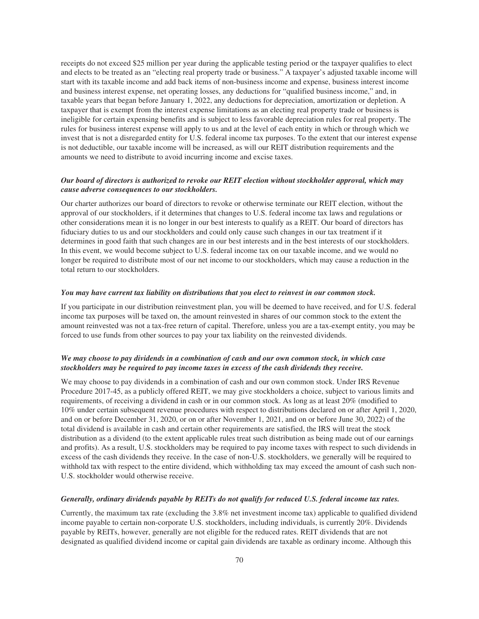receipts do not exceed \$25 million per year during the applicable testing period or the taxpayer qualifies to elect and elects to be treated as an "electing real property trade or business." A taxpayer's adjusted taxable income will start with its taxable income and add back items of non-business income and expense, business interest income and business interest expense, net operating losses, any deductions for "qualified business income," and, in taxable years that began before January 1, 2022, any deductions for depreciation, amortization or depletion. A taxpayer that is exempt from the interest expense limitations as an electing real property trade or business is ineligible for certain expensing benefits and is subject to less favorable depreciation rules for real property. The rules for business interest expense will apply to us and at the level of each entity in which or through which we invest that is not a disregarded entity for U.S. federal income tax purposes. To the extent that our interest expense is not deductible, our taxable income will be increased, as will our REIT distribution requirements and the amounts we need to distribute to avoid incurring income and excise taxes.

### *Our board of directors is authorized to revoke our REIT election without stockholder approval, which may cause adverse consequences to our stockholders.*

Our charter authorizes our board of directors to revoke or otherwise terminate our REIT election, without the approval of our stockholders, if it determines that changes to U.S. federal income tax laws and regulations or other considerations mean it is no longer in our best interests to qualify as a REIT. Our board of directors has fiduciary duties to us and our stockholders and could only cause such changes in our tax treatment if it determines in good faith that such changes are in our best interests and in the best interests of our stockholders. In this event, we would become subject to U.S. federal income tax on our taxable income, and we would no longer be required to distribute most of our net income to our stockholders, which may cause a reduction in the total return to our stockholders.

#### *You may have current tax liability on distributions that you elect to reinvest in our common stock.*

If you participate in our distribution reinvestment plan, you will be deemed to have received, and for U.S. federal income tax purposes will be taxed on, the amount reinvested in shares of our common stock to the extent the amount reinvested was not a tax-free return of capital. Therefore, unless you are a tax-exempt entity, you may be forced to use funds from other sources to pay your tax liability on the reinvested dividends.

# *We may choose to pay dividends in a combination of cash and our own common stock, in which case stockholders may be required to pay income taxes in excess of the cash dividends they receive.*

We may choose to pay dividends in a combination of cash and our own common stock. Under IRS Revenue Procedure 2017-45, as a publicly offered REIT, we may give stockholders a choice, subject to various limits and requirements, of receiving a dividend in cash or in our common stock. As long as at least 20% (modified to 10% under certain subsequent revenue procedures with respect to distributions declared on or after April 1, 2020, and on or before December 31, 2020, or on or after November 1, 2021, and on or before June 30, 2022) of the total dividend is available in cash and certain other requirements are satisfied, the IRS will treat the stock distribution as a dividend (to the extent applicable rules treat such distribution as being made out of our earnings and profits). As a result, U.S. stockholders may be required to pay income taxes with respect to such dividends in excess of the cash dividends they receive. In the case of non-U.S. stockholders, we generally will be required to withhold tax with respect to the entire dividend, which withholding tax may exceed the amount of cash such non-U.S. stockholder would otherwise receive.

### *Generally, ordinary dividends payable by REITs do not qualify for reduced U.S. federal income tax rates.*

Currently, the maximum tax rate (excluding the 3.8% net investment income tax) applicable to qualified dividend income payable to certain non-corporate U.S. stockholders, including individuals, is currently 20%. Dividends payable by REITs, however, generally are not eligible for the reduced rates. REIT dividends that are not designated as qualified dividend income or capital gain dividends are taxable as ordinary income. Although this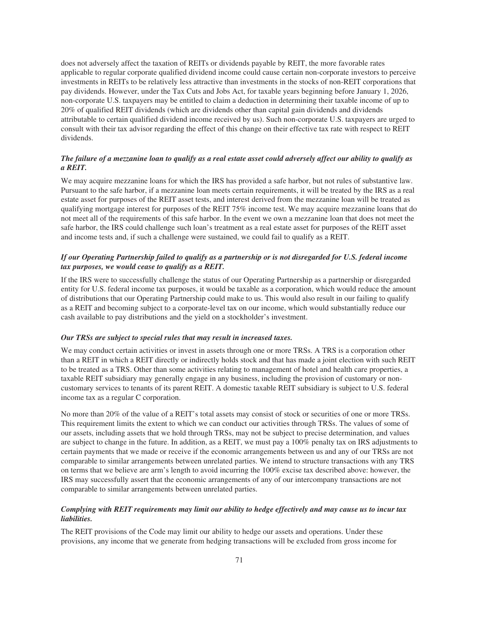does not adversely affect the taxation of REITs or dividends payable by REIT, the more favorable rates applicable to regular corporate qualified dividend income could cause certain non-corporate investors to perceive investments in REITs to be relatively less attractive than investments in the stocks of non-REIT corporations that pay dividends. However, under the Tax Cuts and Jobs Act, for taxable years beginning before January 1, 2026, non-corporate U.S. taxpayers may be entitled to claim a deduction in determining their taxable income of up to 20% of qualified REIT dividends (which are dividends other than capital gain dividends and dividends attributable to certain qualified dividend income received by us). Such non-corporate U.S. taxpayers are urged to consult with their tax advisor regarding the effect of this change on their effective tax rate with respect to REIT dividends.

# *The failure of a mezzanine loan to qualify as a real estate asset could adversely affect our ability to qualify as a REIT.*

We may acquire mezzanine loans for which the IRS has provided a safe harbor, but not rules of substantive law. Pursuant to the safe harbor, if a mezzanine loan meets certain requirements, it will be treated by the IRS as a real estate asset for purposes of the REIT asset tests, and interest derived from the mezzanine loan will be treated as qualifying mortgage interest for purposes of the REIT 75% income test. We may acquire mezzanine loans that do not meet all of the requirements of this safe harbor. In the event we own a mezzanine loan that does not meet the safe harbor, the IRS could challenge such loan's treatment as a real estate asset for purposes of the REIT asset and income tests and, if such a challenge were sustained, we could fail to qualify as a REIT.

## *If our Operating Partnership failed to qualify as a partnership or is not disregarded for U.S. federal income tax purposes, we would cease to qualify as a REIT.*

If the IRS were to successfully challenge the status of our Operating Partnership as a partnership or disregarded entity for U.S. federal income tax purposes, it would be taxable as a corporation, which would reduce the amount of distributions that our Operating Partnership could make to us. This would also result in our failing to qualify as a REIT and becoming subject to a corporate-level tax on our income, which would substantially reduce our cash available to pay distributions and the yield on a stockholder's investment.

#### *Our TRSs are subject to special rules that may result in increased taxes.*

We may conduct certain activities or invest in assets through one or more TRSs. A TRS is a corporation other than a REIT in which a REIT directly or indirectly holds stock and that has made a joint election with such REIT to be treated as a TRS. Other than some activities relating to management of hotel and health care properties, a taxable REIT subsidiary may generally engage in any business, including the provision of customary or noncustomary services to tenants of its parent REIT. A domestic taxable REIT subsidiary is subject to U.S. federal income tax as a regular C corporation.

No more than 20% of the value of a REIT's total assets may consist of stock or securities of one or more TRSs. This requirement limits the extent to which we can conduct our activities through TRSs. The values of some of our assets, including assets that we hold through TRSs, may not be subject to precise determination, and values are subject to change in the future. In addition, as a REIT, we must pay a 100% penalty tax on IRS adjustments to certain payments that we made or receive if the economic arrangements between us and any of our TRSs are not comparable to similar arrangements between unrelated parties. We intend to structure transactions with any TRS on terms that we believe are arm's length to avoid incurring the 100% excise tax described above: however, the IRS may successfully assert that the economic arrangements of any of our intercompany transactions are not comparable to similar arrangements between unrelated parties.

### *Complying with REIT requirements may limit our ability to hedge effectively and may cause us to incur tax liabilities.*

The REIT provisions of the Code may limit our ability to hedge our assets and operations. Under these provisions, any income that we generate from hedging transactions will be excluded from gross income for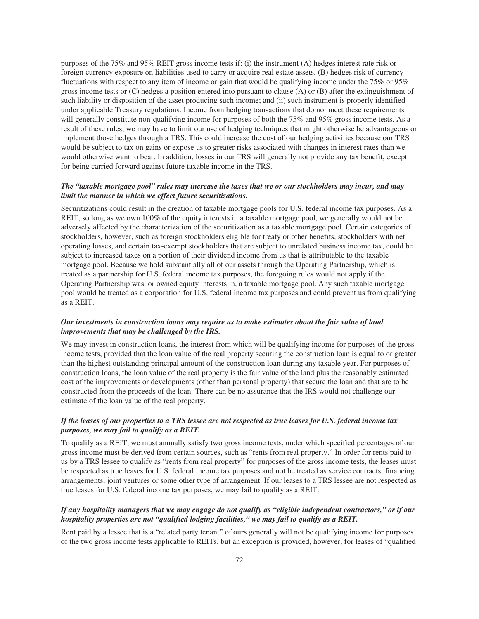purposes of the 75% and 95% REIT gross income tests if: (i) the instrument (A) hedges interest rate risk or foreign currency exposure on liabilities used to carry or acquire real estate assets, (B) hedges risk of currency fluctuations with respect to any item of income or gain that would be qualifying income under the 75% or 95% gross income tests or (C) hedges a position entered into pursuant to clause (A) or (B) after the extinguishment of such liability or disposition of the asset producing such income; and (ii) such instrument is properly identified under applicable Treasury regulations. Income from hedging transactions that do not meet these requirements will generally constitute non-qualifying income for purposes of both the 75% and 95% gross income tests. As a result of these rules, we may have to limit our use of hedging techniques that might otherwise be advantageous or implement those hedges through a TRS. This could increase the cost of our hedging activities because our TRS would be subject to tax on gains or expose us to greater risks associated with changes in interest rates than we would otherwise want to bear. In addition, losses in our TRS will generally not provide any tax benefit, except for being carried forward against future taxable income in the TRS.

### *The "taxable mortgage pool" rules may increase the taxes that we or our stockholders may incur, and may limit the manner in which we effect future securitizations.*

Securitizations could result in the creation of taxable mortgage pools for U.S. federal income tax purposes. As a REIT, so long as we own 100% of the equity interests in a taxable mortgage pool, we generally would not be adversely affected by the characterization of the securitization as a taxable mortgage pool. Certain categories of stockholders, however, such as foreign stockholders eligible for treaty or other benefits, stockholders with net operating losses, and certain tax-exempt stockholders that are subject to unrelated business income tax, could be subject to increased taxes on a portion of their dividend income from us that is attributable to the taxable mortgage pool. Because we hold substantially all of our assets through the Operating Partnership, which is treated as a partnership for U.S. federal income tax purposes, the foregoing rules would not apply if the Operating Partnership was, or owned equity interests in, a taxable mortgage pool. Any such taxable mortgage pool would be treated as a corporation for U.S. federal income tax purposes and could prevent us from qualifying as a REIT.

## *Our investments in construction loans may require us to make estimates about the fair value of land improvements that may be challenged by the IRS.*

We may invest in construction loans, the interest from which will be qualifying income for purposes of the gross income tests, provided that the loan value of the real property securing the construction loan is equal to or greater than the highest outstanding principal amount of the construction loan during any taxable year. For purposes of construction loans, the loan value of the real property is the fair value of the land plus the reasonably estimated cost of the improvements or developments (other than personal property) that secure the loan and that are to be constructed from the proceeds of the loan. There can be no assurance that the IRS would not challenge our estimate of the loan value of the real property.

# *If the leases of our properties to a TRS lessee are not respected as true leases for U.S. federal income tax purposes, we may fail to qualify as a REIT.*

To qualify as a REIT, we must annually satisfy two gross income tests, under which specified percentages of our gross income must be derived from certain sources, such as "rents from real property." In order for rents paid to us by a TRS lessee to qualify as "rents from real property" for purposes of the gross income tests, the leases must be respected as true leases for U.S. federal income tax purposes and not be treated as service contracts, financing arrangements, joint ventures or some other type of arrangement. If our leases to a TRS lessee are not respected as true leases for U.S. federal income tax purposes, we may fail to qualify as a REIT.

## *If any hospitality managers that we may engage do not qualify as "eligible independent contractors," or if our hospitality properties are not "qualified lodging facilities," we may fail to qualify as a REIT.*

Rent paid by a lessee that is a "related party tenant" of ours generally will not be qualifying income for purposes of the two gross income tests applicable to REITs, but an exception is provided, however, for leases of "qualified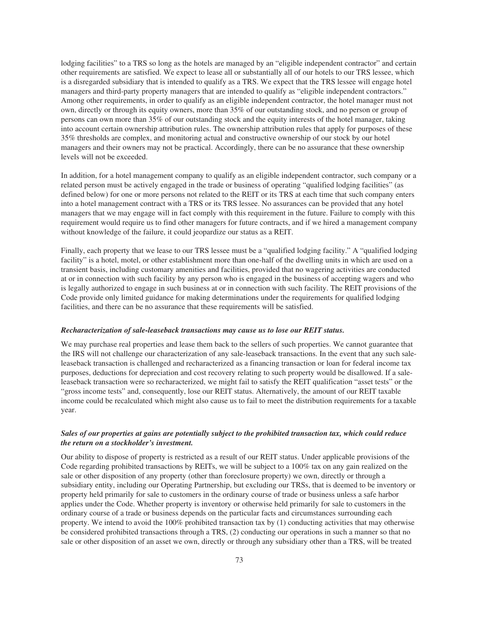lodging facilities" to a TRS so long as the hotels are managed by an "eligible independent contractor" and certain other requirements are satisfied. We expect to lease all or substantially all of our hotels to our TRS lessee, which is a disregarded subsidiary that is intended to qualify as a TRS. We expect that the TRS lessee will engage hotel managers and third-party property managers that are intended to qualify as "eligible independent contractors." Among other requirements, in order to qualify as an eligible independent contractor, the hotel manager must not own, directly or through its equity owners, more than 35% of our outstanding stock, and no person or group of persons can own more than 35% of our outstanding stock and the equity interests of the hotel manager, taking into account certain ownership attribution rules. The ownership attribution rules that apply for purposes of these 35% thresholds are complex, and monitoring actual and constructive ownership of our stock by our hotel managers and their owners may not be practical. Accordingly, there can be no assurance that these ownership levels will not be exceeded.

In addition, for a hotel management company to qualify as an eligible independent contractor, such company or a related person must be actively engaged in the trade or business of operating "qualified lodging facilities" (as defined below) for one or more persons not related to the REIT or its TRS at each time that such company enters into a hotel management contract with a TRS or its TRS lessee. No assurances can be provided that any hotel managers that we may engage will in fact comply with this requirement in the future. Failure to comply with this requirement would require us to find other managers for future contracts, and if we hired a management company without knowledge of the failure, it could jeopardize our status as a REIT.

Finally, each property that we lease to our TRS lessee must be a "qualified lodging facility." A "qualified lodging facility" is a hotel, motel, or other establishment more than one-half of the dwelling units in which are used on a transient basis, including customary amenities and facilities, provided that no wagering activities are conducted at or in connection with such facility by any person who is engaged in the business of accepting wagers and who is legally authorized to engage in such business at or in connection with such facility. The REIT provisions of the Code provide only limited guidance for making determinations under the requirements for qualified lodging facilities, and there can be no assurance that these requirements will be satisfied.

#### *Recharacterization of sale-leaseback transactions may cause us to lose our REIT status.*

We may purchase real properties and lease them back to the sellers of such properties. We cannot guarantee that the IRS will not challenge our characterization of any sale-leaseback transactions. In the event that any such saleleaseback transaction is challenged and recharacterized as a financing transaction or loan for federal income tax purposes, deductions for depreciation and cost recovery relating to such property would be disallowed. If a saleleaseback transaction were so recharacterized, we might fail to satisfy the REIT qualification "asset tests" or the "gross income tests" and, consequently, lose our REIT status. Alternatively, the amount of our REIT taxable income could be recalculated which might also cause us to fail to meet the distribution requirements for a taxable year.

## *Sales of our properties at gains are potentially subject to the prohibited transaction tax, which could reduce the return on a stockholder's investment.*

Our ability to dispose of property is restricted as a result of our REIT status. Under applicable provisions of the Code regarding prohibited transactions by REITs, we will be subject to a 100% tax on any gain realized on the sale or other disposition of any property (other than foreclosure property) we own, directly or through a subsidiary entity, including our Operating Partnership, but excluding our TRSs, that is deemed to be inventory or property held primarily for sale to customers in the ordinary course of trade or business unless a safe harbor applies under the Code. Whether property is inventory or otherwise held primarily for sale to customers in the ordinary course of a trade or business depends on the particular facts and circumstances surrounding each property. We intend to avoid the 100% prohibited transaction tax by (1) conducting activities that may otherwise be considered prohibited transactions through a TRS, (2) conducting our operations in such a manner so that no sale or other disposition of an asset we own, directly or through any subsidiary other than a TRS, will be treated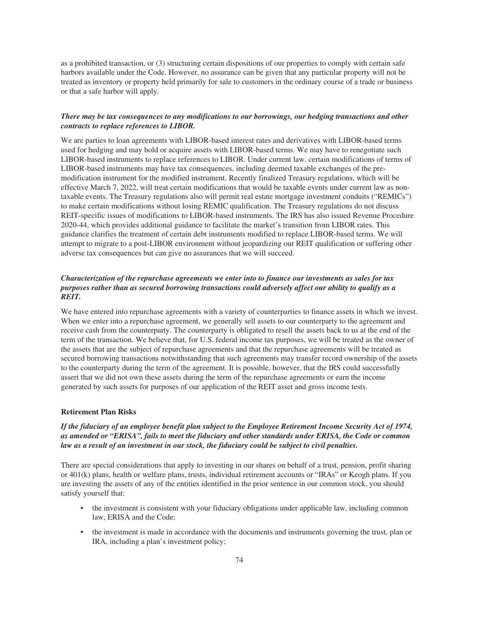as a prohibited transaction, or (3) structuring certain dispositions of our properties to comply with certain safe harbors available under the Code. However, no assurance can be given that any particular property will not be treated as inventory or property held primarily for sale to customers in the ordinary course of a trade or business or that a safe harbor will apply.

## *There may be tax consequences to any modifications to our borrowings, our hedging transactions and other contracts to replace references to LIBOR.*

We are parties to loan agreements with LIBOR-based interest rates and derivatives with LIBOR-based terms used for hedging and may hold or acquire assets with LIBOR-based terms. We may have to renegotiate such LIBOR-based instruments to replace references to LIBOR. Under current law, certain modifications of terms of LIBOR-based instruments may have tax consequences, including deemed taxable exchanges of the premodification instrument for the modified instrument. Recently finalized Treasury regulations, which will be effective March 7, 2022, will treat certain modifications that would be taxable events under current law as nontaxable events. The Treasury regulations also will permit real estate mortgage investment conduits ("REMICs") to make certain modifications without losing REMIC qualification. The Treasury regulations do not discuss REIT-specific issues of modifications to LIBOR-based instruments. The IRS has also issued Revenue Procedure 2020-44, which provides additional guidance to facilitate the market's transition from LIBOR rates. This guidance clarifies the treatment of certain debt instruments modified to replace LIBOR-based terms. We will attempt to migrate to a post-LIBOR environment without jeopardizing our REIT qualification or suffering other adverse tax consequences but can give no assurances that we will succeed.

# *Characterization of the repurchase agreements we enter into to finance our investments as sales for tax purposes rather than as secured borrowing transactions could adversely affect our ability to qualify as a REIT.*

We have entered into repurchase agreements with a variety of counterparties to finance assets in which we invest. When we enter into a repurchase agreement, we generally sell assets to our counterparty to the agreement and receive cash from the counterparty. The counterparty is obligated to resell the assets back to us at the end of the term of the transaction. We believe that, for U.S. federal income tax purposes, we will be treated as the owner of the assets that are the subject of repurchase agreements and that the repurchase agreements will be treated as secured borrowing transactions notwithstanding that such agreements may transfer record ownership of the assets to the counterparty during the term of the agreement. It is possible, however, that the IRS could successfully assert that we did not own these assets during the term of the repurchase agreements or earn the income generated by such assets for purposes of our application of the REIT asset and gross income tests.

### **Retirement Plan Risks**

# *If the fiduciary of an employee benefit plan subject to the Employee Retirement Income Security Act of 1974, as amended or "ERISA", fails to meet the fiduciary and other standards under ERISA, the Code or common law as a result of an investment in our stock, the fiduciary could be subject to civil penalties.*

There are special considerations that apply to investing in our shares on behalf of a trust, pension, profit sharing or 401(k) plans, health or welfare plans, trusts, individual retirement accounts or "IRAs" or Keogh plans. If you are investing the assets of any of the entities identified in the prior sentence in our common stock, you should satisfy yourself that:

- the investment is consistent with your fiduciary obligations under applicable law, including common law, ERISA and the Code;
- the investment is made in accordance with the documents and instruments governing the trust, plan or IRA, including a plan's investment policy;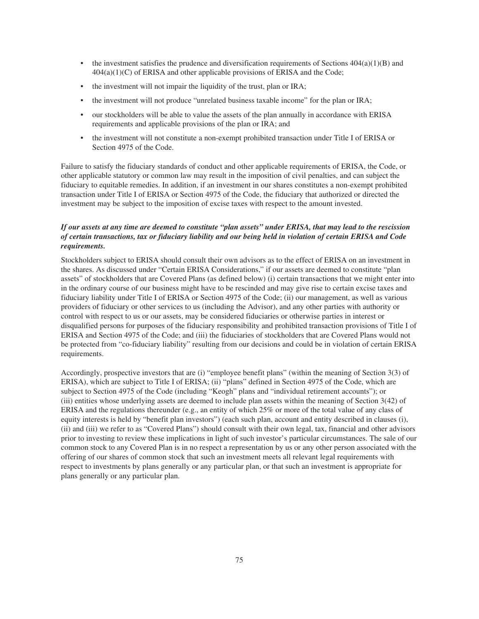- the investment satisfies the prudence and diversification requirements of Sections  $404(a)(1)(B)$  and  $404(a)(1)(C)$  of ERISA and other applicable provisions of ERISA and the Code;
- the investment will not impair the liquidity of the trust, plan or IRA;
- the investment will not produce "unrelated business taxable income" for the plan or IRA;
- our stockholders will be able to value the assets of the plan annually in accordance with ERISA requirements and applicable provisions of the plan or IRA; and
- the investment will not constitute a non-exempt prohibited transaction under Title I of ERISA or Section 4975 of the Code.

Failure to satisfy the fiduciary standards of conduct and other applicable requirements of ERISA, the Code, or other applicable statutory or common law may result in the imposition of civil penalties, and can subject the fiduciary to equitable remedies. In addition, if an investment in our shares constitutes a non-exempt prohibited transaction under Title I of ERISA or Section 4975 of the Code, the fiduciary that authorized or directed the investment may be subject to the imposition of excise taxes with respect to the amount invested.

# *If our assets at any time are deemed to constitute "plan assets" under ERISA, that may lead to the rescission of certain transactions, tax or fiduciary liability and our being held in violation of certain ERISA and Code requirements.*

Stockholders subject to ERISA should consult their own advisors as to the effect of ERISA on an investment in the shares. As discussed under "Certain ERISA Considerations," if our assets are deemed to constitute "plan assets" of stockholders that are Covered Plans (as defined below) (i) certain transactions that we might enter into in the ordinary course of our business might have to be rescinded and may give rise to certain excise taxes and fiduciary liability under Title I of ERISA or Section 4975 of the Code; (ii) our management, as well as various providers of fiduciary or other services to us (including the Advisor), and any other parties with authority or control with respect to us or our assets, may be considered fiduciaries or otherwise parties in interest or disqualified persons for purposes of the fiduciary responsibility and prohibited transaction provisions of Title I of ERISA and Section 4975 of the Code; and (iii) the fiduciaries of stockholders that are Covered Plans would not be protected from "co-fiduciary liability" resulting from our decisions and could be in violation of certain ERISA requirements.

Accordingly, prospective investors that are (i) "employee benefit plans" (within the meaning of Section 3(3) of ERISA), which are subject to Title I of ERISA; (ii) "plans" defined in Section 4975 of the Code, which are subject to Section 4975 of the Code (including "Keogh" plans and "individual retirement accounts"); or (iii) entities whose underlying assets are deemed to include plan assets within the meaning of Section 3(42) of ERISA and the regulations thereunder (e.g., an entity of which 25% or more of the total value of any class of equity interests is held by "benefit plan investors") (each such plan, account and entity described in clauses (i), (ii) and (iii) we refer to as "Covered Plans") should consult with their own legal, tax, financial and other advisors prior to investing to review these implications in light of such investor's particular circumstances. The sale of our common stock to any Covered Plan is in no respect a representation by us or any other person associated with the offering of our shares of common stock that such an investment meets all relevant legal requirements with respect to investments by plans generally or any particular plan, or that such an investment is appropriate for plans generally or any particular plan.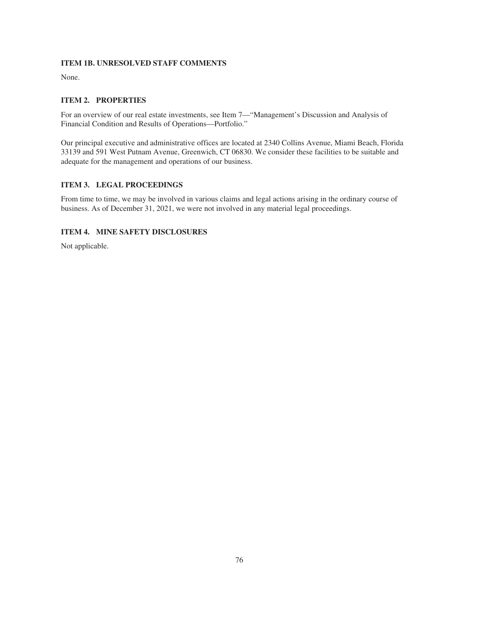# **ITEM 1B. UNRESOLVED STAFF COMMENTS**

None.

# **ITEM 2. PROPERTIES**

For an overview of our real estate investments, see Item 7—"Management's Discussion and Analysis of Financial Condition and Results of Operations—Portfolio."

Our principal executive and administrative offices are located at 2340 Collins Avenue, Miami Beach, Florida 33139 and 591 West Putnam Avenue, Greenwich, CT 06830. We consider these facilities to be suitable and adequate for the management and operations of our business.

# **ITEM 3. LEGAL PROCEEDINGS**

From time to time, we may be involved in various claims and legal actions arising in the ordinary course of business. As of December 31, 2021, we were not involved in any material legal proceedings.

# **ITEM 4. MINE SAFETY DISCLOSURES**

Not applicable.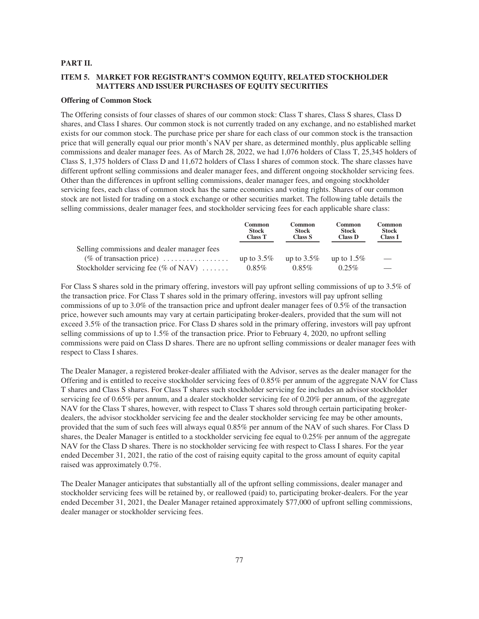### **PART II.**

# **ITEM 5. MARKET FOR REGISTRANT'S COMMON EQUITY, RELATED STOCKHOLDER MATTERS AND ISSUER PURCHASES OF EQUITY SECURITIES**

#### **Offering of Common Stock**

The Offering consists of four classes of shares of our common stock: Class T shares, Class S shares, Class D shares, and Class I shares. Our common stock is not currently traded on any exchange, and no established market exists for our common stock. The purchase price per share for each class of our common stock is the transaction price that will generally equal our prior month's NAV per share, as determined monthly, plus applicable selling commissions and dealer manager fees. As of March 28, 2022, we had 1,076 holders of Class T, 25,345 holders of Class S, 1,375 holders of Class D and 11,672 holders of Class I shares of common stock. The share classes have different upfront selling commissions and dealer manager fees, and different ongoing stockholder servicing fees. Other than the differences in upfront selling commissions, dealer manager fees, and ongoing stockholder servicing fees, each class of common stock has the same economics and voting rights. Shares of our common stock are not listed for trading on a stock exchange or other securities market. The following table details the selling commissions, dealer manager fees, and stockholder servicing fees for each applicable share class:

|                                                      | <b>Common</b><br><b>Stock</b><br><b>Class T</b> | <b>Common</b><br><b>Stock</b><br>Class S | <b>Common</b><br><b>Stock</b><br><b>Class D</b> | <b>Common</b><br><b>Stock</b><br><b>Class I</b> |
|------------------------------------------------------|-------------------------------------------------|------------------------------------------|-------------------------------------------------|-------------------------------------------------|
| Selling commissions and dealer manager fees          |                                                 |                                          |                                                 |                                                 |
| (% of transaction price) $\dots\dots\dots\dots\dots$ | up to $3.5\%$                                   | up to $3.5\%$                            | up to $1.5\%$                                   | $\overline{\phantom{a}}$                        |
| Stockholder servicing fee (% of NAV) $\dots$         | $0.85\%$                                        | $0.85\%$                                 | $0.25\%$                                        |                                                 |

For Class S shares sold in the primary offering, investors will pay upfront selling commissions of up to 3.5% of the transaction price. For Class T shares sold in the primary offering, investors will pay upfront selling commissions of up to 3.0% of the transaction price and upfront dealer manager fees of 0.5% of the transaction price, however such amounts may vary at certain participating broker-dealers, provided that the sum will not exceed 3.5% of the transaction price. For Class D shares sold in the primary offering, investors will pay upfront selling commissions of up to 1.5% of the transaction price. Prior to February 4, 2020, no upfront selling commissions were paid on Class D shares. There are no upfront selling commissions or dealer manager fees with respect to Class I shares.

The Dealer Manager, a registered broker-dealer affiliated with the Advisor, serves as the dealer manager for the Offering and is entitled to receive stockholder servicing fees of 0.85% per annum of the aggregate NAV for Class T shares and Class S shares. For Class T shares such stockholder servicing fee includes an advisor stockholder servicing fee of 0.65% per annum, and a dealer stockholder servicing fee of 0.20% per annum, of the aggregate NAV for the Class T shares, however, with respect to Class T shares sold through certain participating brokerdealers, the advisor stockholder servicing fee and the dealer stockholder servicing fee may be other amounts, provided that the sum of such fees will always equal 0.85% per annum of the NAV of such shares. For Class D shares, the Dealer Manager is entitled to a stockholder servicing fee equal to 0.25% per annum of the aggregate NAV for the Class D shares. There is no stockholder servicing fee with respect to Class I shares. For the year ended December 31, 2021, the ratio of the cost of raising equity capital to the gross amount of equity capital raised was approximately 0.7%.

The Dealer Manager anticipates that substantially all of the upfront selling commissions, dealer manager and stockholder servicing fees will be retained by, or reallowed (paid) to, participating broker-dealers. For the year ended December 31, 2021, the Dealer Manager retained approximately \$77,000 of upfront selling commissions, dealer manager or stockholder servicing fees.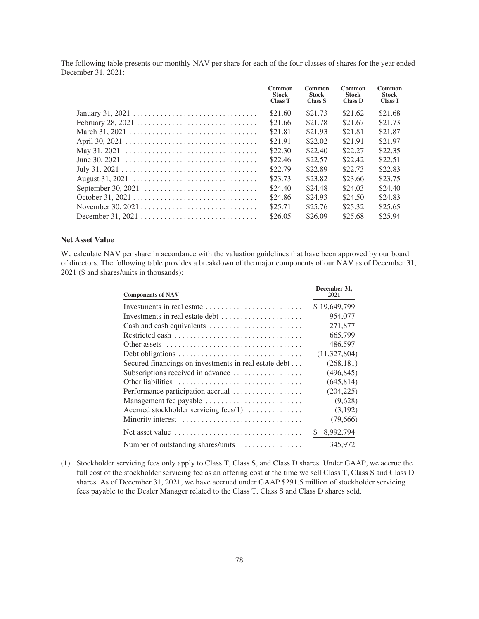The following table presents our monthly NAV per share for each of the four classes of shares for the year ended December 31, 2021:

| Common<br>Stock<br><b>Class T</b> | Common<br>Stock<br><b>Class S</b> | <b>Common</b><br>Stock<br><b>Class D</b> | <b>Common</b><br>Stock<br><b>Class I</b> |
|-----------------------------------|-----------------------------------|------------------------------------------|------------------------------------------|
| \$21.60                           | \$21.73                           | \$21.62                                  | \$21.68                                  |
| \$21.66                           | \$21.78                           | \$21.67                                  | \$21.73                                  |
| \$21.81                           | \$21.93                           | \$21.81                                  | \$21.87                                  |
| \$21.91                           | \$22.02                           | \$21.91                                  | \$21.97                                  |
| \$22.30                           | \$22.40                           | \$22.27                                  | \$22.35                                  |
| \$22.46                           | \$22.57                           | \$22.42                                  | \$22.51                                  |
| \$22.79                           | \$22.89                           | \$22.73                                  | \$22.83                                  |
| \$23.73                           | \$23.82                           | \$23.66                                  | \$23.75                                  |
| \$24.40                           | \$24.48                           | \$24.03                                  | \$24.40                                  |
| \$24.86                           | \$24.93                           | \$24.50                                  | \$24.83                                  |
| \$25.71                           | \$25.76                           | \$25.32                                  | \$25.65                                  |
| \$26.05                           | \$26.09                           | \$25.68                                  | \$25.94                                  |

#### **Net Asset Value**

We calculate NAV per share in accordance with the valuation guidelines that have been approved by our board of directors. The following table provides a breakdown of the major components of our NAV as of December 31, 2021 (\$ and shares/units in thousands):

| <b>Components of NAV</b>                                                               | December 31,<br>2021 |
|----------------------------------------------------------------------------------------|----------------------|
| Investments in real estate                                                             | \$19,649,799         |
| Investments in real estate debt                                                        | 954,077              |
|                                                                                        | 271,877              |
|                                                                                        | 665,799              |
| Other assets $\dots \dots \dots \dots \dots \dots \dots \dots \dots \dots \dots \dots$ | 486,597              |
| Debt obligations                                                                       | (11,327,804)         |
| Secured financings on investments in real estate debt                                  | (268, 181)           |
| Subscriptions received in advance                                                      | (496, 845)           |
|                                                                                        | (645, 814)           |
| Performance participation accrual                                                      | (204, 225)           |
| Management fee payable                                                                 | (9,628)              |
| Accrued stockholder servicing fees(1)                                                  | (3,192)              |
| Minority interest                                                                      | (79,666)             |
| Net asset value $\dots\dots\dots\dots\dots\dots\dots\dots\dots\dots\dots\dots$         | 8,992,794<br>S       |
| Number of outstanding shares/units                                                     | 345,972              |

<sup>(1)</sup> Stockholder servicing fees only apply to Class T, Class S, and Class D shares. Under GAAP, we accrue the full cost of the stockholder servicing fee as an offering cost at the time we sell Class T, Class S and Class D shares. As of December 31, 2021, we have accrued under GAAP \$291.5 million of stockholder servicing fees payable to the Dealer Manager related to the Class T, Class S and Class D shares sold.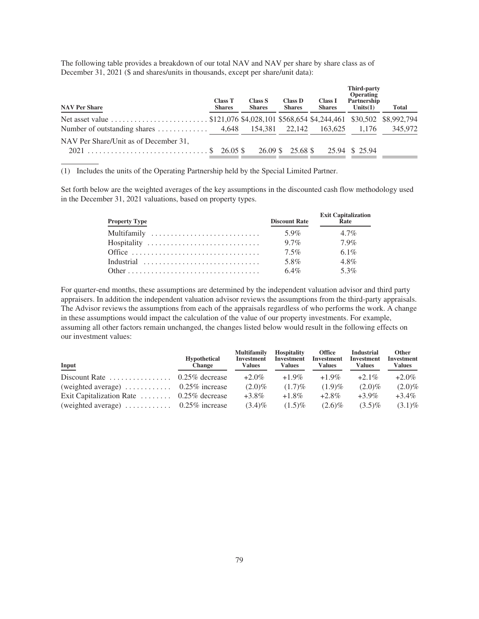The following table provides a breakdown of our total NAV and NAV per share by share class as of December 31, 2021 (\$ and shares/units in thousands, except per share/unit data):

| <b>NAV Per Share</b>                                | <b>Class T</b><br><b>Shares</b> | Class S<br><b>Shares</b> | <b>Class D</b><br><b>Shares</b> | <b>Class I</b><br><b>Shares</b> | <b>Third-party</b><br>Operating<br>Partnership<br>Units $(1)$ | <b>Total</b> |
|-----------------------------------------------------|---------------------------------|--------------------------|---------------------------------|---------------------------------|---------------------------------------------------------------|--------------|
|                                                     |                                 |                          |                                 |                                 |                                                               |              |
|                                                     |                                 |                          |                                 |                                 |                                                               |              |
| NAV Per Share/Unit as of December 31.               |                                 |                          |                                 |                                 |                                                               |              |
| $2021$ \$ 26.05 \$ 26.09 \$ 25.68 \$ 25.94 \$ 25.94 |                                 |                          |                                 |                                 |                                                               |              |

(1) Includes the units of the Operating Partnership held by the Special Limited Partner.

Set forth below are the weighted averages of the key assumptions in the discounted cash flow methodology used in the December 31, 2021 valuations, based on property types.

| <b>Property Type</b>                                          | <b>Discount Rate</b> | <b>Exit Capitalization</b><br>Rate |
|---------------------------------------------------------------|----------------------|------------------------------------|
| Multifamily                                                   | 5.9%                 | 47%                                |
|                                                               | 97%                  | 79%                                |
|                                                               | $7.5\%$              | 6.1%                               |
| Industrial $\ldots \ldots \ldots \ldots \ldots \ldots \ldots$ | 5.8%                 | $4.8\%$                            |
|                                                               | 64%                  | 5 3%                               |

For quarter-end months, these assumptions are determined by the independent valuation advisor and third party appraisers. In addition the independent valuation advisor reviews the assumptions from the third-party appraisals. The Advisor reviews the assumptions from each of the appraisals regardless of who performs the work. A change in these assumptions would impact the calculation of the value of our property investments. For example, assuming all other factors remain unchanged, the changes listed below would result in the following effects on our investment values:

| Input                                                           | <b>Hypothetical</b><br><b>Change</b> | <b>Multifamily</b><br>Investment<br><b>Values</b> | <b>Hospitality</b><br>Investment<br><b>Values</b> | <b>Office</b><br><b>Investment</b><br>Values | <b>Industrial</b><br>Investment<br><b>Values</b> | Other<br>Investment<br>Values |
|-----------------------------------------------------------------|--------------------------------------|---------------------------------------------------|---------------------------------------------------|----------------------------------------------|--------------------------------------------------|-------------------------------|
| Discount Rate $\dots \dots \dots \dots \dots$ 0.25% decrease    |                                      | $+2.0\%$                                          | $+1.9\%$                                          | $+1.9\%$                                     | $+2.1\%$                                         | $+2.0\%$                      |
| (weighted average) $\ldots \ldots \ldots \ldots$ 0.25% increase |                                      | $(2.0)\%$                                         | $(1.7)\%$                                         | $(1.9)\%$                                    | $(2.0)\%$                                        | $(2.0)\%$                     |
| Exit Capitalization Rate  0.25% decrease                        |                                      | $+3.8\%$                                          | $+1.8\%$                                          | $+2.8\%$                                     | $+3.9\%$                                         | $+3.4\%$                      |
| (weighted average) $\ldots \ldots \ldots \ldots$ 0.25% increase |                                      | $(3.4)\%$                                         | $(1.5)\%$                                         | $(2.6)\%$                                    | $(3.5)\%$                                        | $(3.1)\%$                     |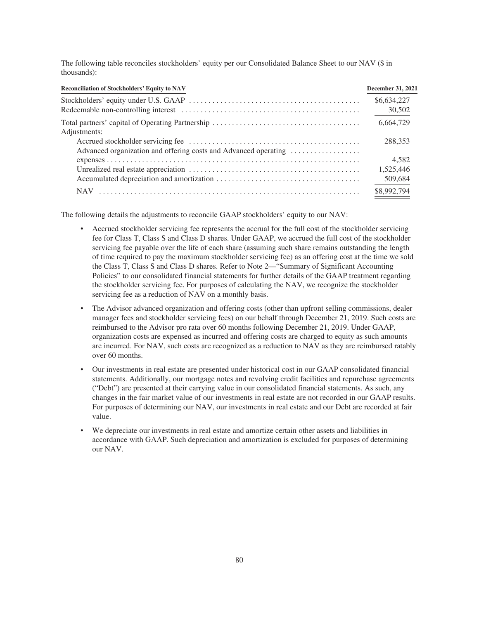The following table reconciles stockholders' equity per our Consolidated Balance Sheet to our NAV (\$ in thousands):

| <b>Reconciliation of Stockholders' Equity to NAV</b>            | December 31, 2021     |
|-----------------------------------------------------------------|-----------------------|
|                                                                 | \$6,634,227<br>30,502 |
| Adjustments:                                                    | 6,664,729             |
| Advanced organization and offering costs and Advanced operating | 288.353               |
|                                                                 | 4.582                 |
|                                                                 | 1,525,446             |
|                                                                 | 509,684               |
|                                                                 | \$8,992,794           |

The following details the adjustments to reconcile GAAP stockholders' equity to our NAV:

- Accrued stockholder servicing fee represents the accrual for the full cost of the stockholder servicing fee for Class T, Class S and Class D shares. Under GAAP, we accrued the full cost of the stockholder servicing fee payable over the life of each share (assuming such share remains outstanding the length of time required to pay the maximum stockholder servicing fee) as an offering cost at the time we sold the Class T, Class S and Class D shares. Refer to Note 2—"Summary of Significant Accounting Policies" to our consolidated financial statements for further details of the GAAP treatment regarding the stockholder servicing fee. For purposes of calculating the NAV, we recognize the stockholder servicing fee as a reduction of NAV on a monthly basis.
- The Advisor advanced organization and offering costs (other than upfront selling commissions, dealer manager fees and stockholder servicing fees) on our behalf through December 21, 2019. Such costs are reimbursed to the Advisor pro rata over 60 months following December 21, 2019. Under GAAP, organization costs are expensed as incurred and offering costs are charged to equity as such amounts are incurred. For NAV, such costs are recognized as a reduction to NAV as they are reimbursed ratably over 60 months.
- Our investments in real estate are presented under historical cost in our GAAP consolidated financial statements. Additionally, our mortgage notes and revolving credit facilities and repurchase agreements ("Debt") are presented at their carrying value in our consolidated financial statements. As such, any changes in the fair market value of our investments in real estate are not recorded in our GAAP results. For purposes of determining our NAV, our investments in real estate and our Debt are recorded at fair value.
- We depreciate our investments in real estate and amortize certain other assets and liabilities in accordance with GAAP. Such depreciation and amortization is excluded for purposes of determining our NAV.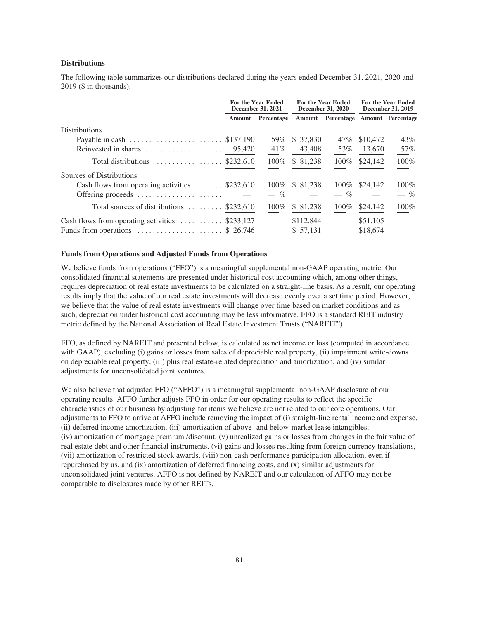### **Distributions**

The following table summarizes our distributions declared during the years ended December 31, 2021, 2020 and 2019 (\$ in thousands).

|                                                                       |           | <b>For the Year Ended</b><br><b>December 31, 2021</b> |           | <b>For the Year Ended</b><br><b>December 31, 2020</b> | <b>For the Year Ended</b><br>December 31, 2019 |                          |
|-----------------------------------------------------------------------|-----------|-------------------------------------------------------|-----------|-------------------------------------------------------|------------------------------------------------|--------------------------|
|                                                                       | Amount    | Percentage                                            |           | Amount Percentage                                     |                                                | <b>Amount</b> Percentage |
| <b>Distributions</b>                                                  |           |                                                       |           |                                                       |                                                |                          |
| Payable in cash $\ldots \ldots \ldots \ldots \ldots \ldots$ \$137,190 |           | 59%                                                   | \$ 37,830 | 47%                                                   | \$10,472                                       | 43%                      |
| Reinvested in shares                                                  | 95,420    | 41\%                                                  | 43,408    | 53%                                                   | 13,670                                         | 57%                      |
| Total distributions                                                   | \$232,610 | $100\%$                                               | \$ 81.238 | $100\%$                                               | \$24,142                                       | $100\%$                  |
| Sources of Distributions                                              |           |                                                       |           |                                                       |                                                |                          |
| Cash flows from operating activities $\dots \dots$ \$232,610          |           | $100\%$                                               | \$ 81,238 | $100\%$                                               | \$24,142                                       | $100\%$                  |
|                                                                       |           | $-$ %                                                 |           | $-$ %                                                 |                                                | $-$ %                    |
| Total sources of distributions $\dots \dots$ \$232,610                |           | $100\%$                                               | \$81,238  | $100\%$                                               | \$24,142                                       | $100\%$                  |
| Cash flows from operating activities $\dots\dots\dots$                | \$233,127 |                                                       | \$112,844 |                                                       | \$51,105                                       |                          |
| Funds from operations $\dots \dots \dots \dots \dots \dots$ \$ 26,746 |           |                                                       | \$57.131  |                                                       | \$18,674                                       |                          |

### **Funds from Operations and Adjusted Funds from Operations**

We believe funds from operations ("FFO") is a meaningful supplemental non-GAAP operating metric. Our consolidated financial statements are presented under historical cost accounting which, among other things, requires depreciation of real estate investments to be calculated on a straight-line basis. As a result, our operating results imply that the value of our real estate investments will decrease evenly over a set time period. However, we believe that the value of real estate investments will change over time based on market conditions and as such, depreciation under historical cost accounting may be less informative. FFO is a standard REIT industry metric defined by the National Association of Real Estate Investment Trusts ("NAREIT").

FFO, as defined by NAREIT and presented below, is calculated as net income or loss (computed in accordance with GAAP), excluding (i) gains or losses from sales of depreciable real property, (ii) impairment write-downs on depreciable real property, (iii) plus real estate-related depreciation and amortization, and (iv) similar adjustments for unconsolidated joint ventures.

We also believe that adjusted FFO ("AFFO") is a meaningful supplemental non-GAAP disclosure of our operating results. AFFO further adjusts FFO in order for our operating results to reflect the specific characteristics of our business by adjusting for items we believe are not related to our core operations. Our adjustments to FFO to arrive at AFFO include removing the impact of (i) straight-line rental income and expense, (ii) deferred income amortization, (iii) amortization of above- and below-market lease intangibles, (iv) amortization of mortgage premium /discount, (v) unrealized gains or losses from changes in the fair value of real estate debt and other financial instruments, (vi) gains and losses resulting from foreign currency translations, (vii) amortization of restricted stock awards, (viii) non-cash performance participation allocation, even if repurchased by us, and (ix) amortization of deferred financing costs, and (x) similar adjustments for unconsolidated joint ventures. AFFO is not defined by NAREIT and our calculation of AFFO may not be comparable to disclosures made by other REITs.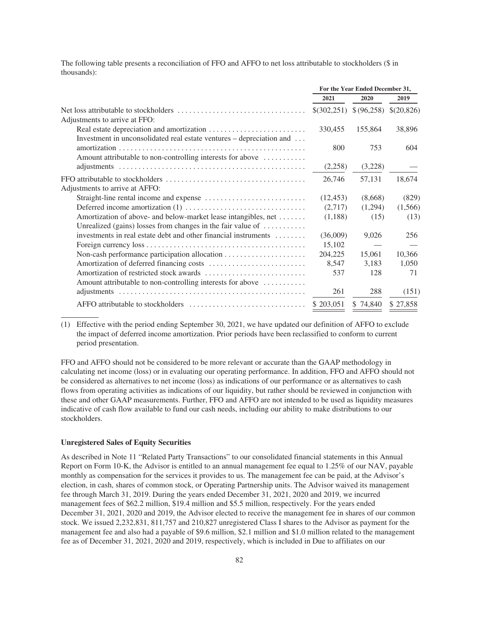The following table presents a reconciliation of FFO and AFFO to net loss attributable to stockholders (\$ in thousands):

|                                                                                                                                                 | For the Year Ended December 31, |            |            |
|-------------------------------------------------------------------------------------------------------------------------------------------------|---------------------------------|------------|------------|
|                                                                                                                                                 | 2021                            | 2020       | 2019       |
| Adjustments to arrive at FFO:                                                                                                                   | \$(302,251)                     | \$(96,258) | \$(20,826) |
| Investment in unconsolidated real estate ventures – depreciation and                                                                            | 330,455                         | 155,864    | 38,896     |
| Amount attributable to non-controlling interests for above                                                                                      | 800                             | 753        | 604        |
|                                                                                                                                                 | (2,258)                         | (3,228)    |            |
| Adjustments to arrive at AFFO:                                                                                                                  | 26,746                          | 57,131     | 18,674     |
|                                                                                                                                                 | (12, 453)                       | (8,668)    | (829)      |
|                                                                                                                                                 | (2,717)                         | (1,294)    | (1,566)    |
| Amortization of above- and below-market lease intangibles, net<br>Unrealized (gains) losses from changes in the fair value of $\dots\dots\dots$ | (1,188)                         | (15)       | (13)       |
| investments in real estate debt and other financial instruments $\dots\dots$                                                                    | (36,009)                        | 9,026      | 256        |
|                                                                                                                                                 | 15,102                          |            |            |
|                                                                                                                                                 | 204,225                         | 15,061     | 10,366     |
|                                                                                                                                                 | 8,547                           | 3,183      | 1,050      |
| Amount attributable to non-controlling interests for above                                                                                      | 537                             | 128        | 71         |
|                                                                                                                                                 | 261                             | 288        | (151)      |
|                                                                                                                                                 | \$203,051                       | \$74,840   | \$27,858   |

(1) Effective with the period ending September 30, 2021, we have updated our definition of AFFO to exclude the impact of deferred income amortization. Prior periods have been reclassified to conform to current period presentation.

FFO and AFFO should not be considered to be more relevant or accurate than the GAAP methodology in calculating net income (loss) or in evaluating our operating performance. In addition, FFO and AFFO should not be considered as alternatives to net income (loss) as indications of our performance or as alternatives to cash flows from operating activities as indications of our liquidity, but rather should be reviewed in conjunction with these and other GAAP measurements. Further, FFO and AFFO are not intended to be used as liquidity measures indicative of cash flow available to fund our cash needs, including our ability to make distributions to our stockholders.

#### **Unregistered Sales of Equity Securities**

As described in Note 11 "Related Party Transactions" to our consolidated financial statements in this Annual Report on Form 10-K, the Advisor is entitled to an annual management fee equal to 1.25% of our NAV, payable monthly as compensation for the services it provides to us. The management fee can be paid, at the Advisor's election, in cash, shares of common stock, or Operating Partnership units. The Advisor waived its management fee through March 31, 2019. During the years ended December 31, 2021, 2020 and 2019, we incurred management fees of \$62.2 million, \$19.4 million and \$5.5 million, respectively. For the years ended December 31, 2021, 2020 and 2019, the Advisor elected to receive the management fee in shares of our common stock. We issued 2,232,831, 811,757 and 210,827 unregistered Class I shares to the Advisor as payment for the management fee and also had a payable of \$9.6 million, \$2.1 million and \$1.0 million related to the management fee as of December 31, 2021, 2020 and 2019, respectively, which is included in Due to affiliates on our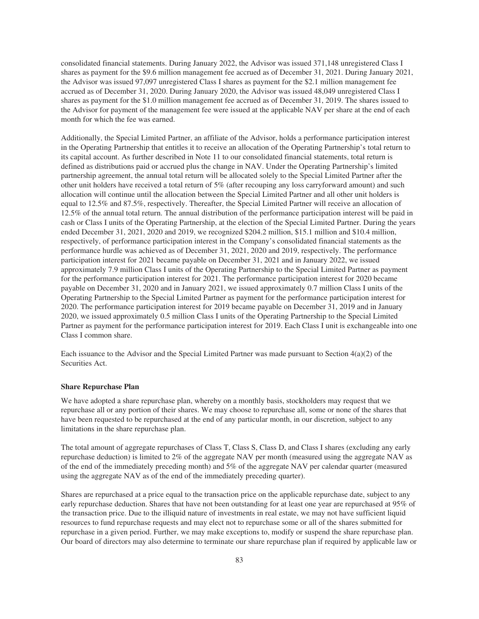consolidated financial statements. During January 2022, the Advisor was issued 371,148 unregistered Class I shares as payment for the \$9.6 million management fee accrued as of December 31, 2021. During January 2021, the Advisor was issued 97,097 unregistered Class I shares as payment for the \$2.1 million management fee accrued as of December 31, 2020. During January 2020, the Advisor was issued 48,049 unregistered Class I shares as payment for the \$1.0 million management fee accrued as of December 31, 2019. The shares issued to the Advisor for payment of the management fee were issued at the applicable NAV per share at the end of each month for which the fee was earned.

Additionally, the Special Limited Partner, an affiliate of the Advisor, holds a performance participation interest in the Operating Partnership that entitles it to receive an allocation of the Operating Partnership's total return to its capital account. As further described in Note 11 to our consolidated financial statements, total return is defined as distributions paid or accrued plus the change in NAV. Under the Operating Partnership's limited partnership agreement, the annual total return will be allocated solely to the Special Limited Partner after the other unit holders have received a total return of 5% (after recouping any loss carryforward amount) and such allocation will continue until the allocation between the Special Limited Partner and all other unit holders is equal to 12.5% and 87.5%, respectively. Thereafter, the Special Limited Partner will receive an allocation of 12.5% of the annual total return. The annual distribution of the performance participation interest will be paid in cash or Class I units of the Operating Partnership, at the election of the Special Limited Partner. During the years ended December 31, 2021, 2020 and 2019, we recognized \$204.2 million, \$15.1 million and \$10.4 million, respectively, of performance participation interest in the Company's consolidated financial statements as the performance hurdle was achieved as of December 31, 2021, 2020 and 2019, respectively. The performance participation interest for 2021 became payable on December 31, 2021 and in January 2022, we issued approximately 7.9 million Class I units of the Operating Partnership to the Special Limited Partner as payment for the performance participation interest for 2021. The performance participation interest for 2020 became payable on December 31, 2020 and in January 2021, we issued approximately 0.7 million Class I units of the Operating Partnership to the Special Limited Partner as payment for the performance participation interest for 2020. The performance participation interest for 2019 became payable on December 31, 2019 and in January 2020, we issued approximately 0.5 million Class I units of the Operating Partnership to the Special Limited Partner as payment for the performance participation interest for 2019. Each Class I unit is exchangeable into one Class I common share.

Each issuance to the Advisor and the Special Limited Partner was made pursuant to Section  $4(a)(2)$  of the Securities Act.

### **Share Repurchase Plan**

We have adopted a share repurchase plan, whereby on a monthly basis, stockholders may request that we repurchase all or any portion of their shares. We may choose to repurchase all, some or none of the shares that have been requested to be repurchased at the end of any particular month, in our discretion, subject to any limitations in the share repurchase plan.

The total amount of aggregate repurchases of Class T, Class S, Class D, and Class I shares (excluding any early repurchase deduction) is limited to 2% of the aggregate NAV per month (measured using the aggregate NAV as of the end of the immediately preceding month) and 5% of the aggregate NAV per calendar quarter (measured using the aggregate NAV as of the end of the immediately preceding quarter).

Shares are repurchased at a price equal to the transaction price on the applicable repurchase date, subject to any early repurchase deduction. Shares that have not been outstanding for at least one year are repurchased at 95% of the transaction price. Due to the illiquid nature of investments in real estate, we may not have sufficient liquid resources to fund repurchase requests and may elect not to repurchase some or all of the shares submitted for repurchase in a given period. Further, we may make exceptions to, modify or suspend the share repurchase plan. Our board of directors may also determine to terminate our share repurchase plan if required by applicable law or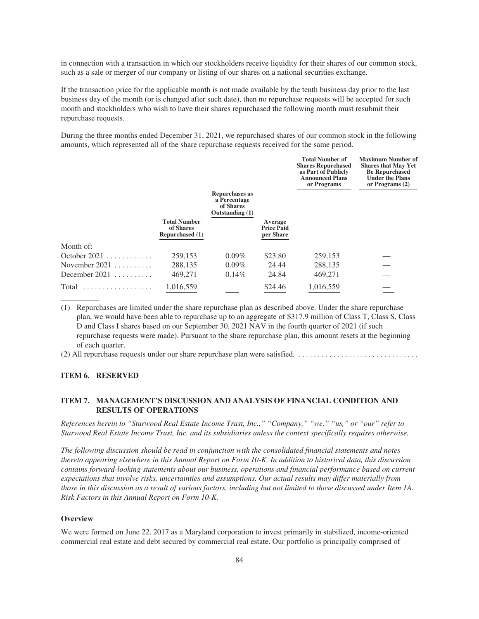in connection with a transaction in which our stockholders receive liquidity for their shares of our common stock, such as a sale or merger of our company or listing of our shares on a national securities exchange.

If the transaction price for the applicable month is not made available by the tenth business day prior to the last business day of the month (or is changed after such date), then no repurchase requests will be accepted for such month and stockholders who wish to have their shares repurchased the following month must resubmit their repurchase requests.

During the three months ended December 31, 2021, we repurchased shares of our common stock in the following amounts, which represented all of the share repurchase requests received for the same period.

|                 |                                                     |                                                                |                                           | <b>Total Number of</b><br><b>Shares Repurchased</b><br>as Part of Publicly<br><b>Announced Plans</b><br>or Programs | <b>Maximum Number of</b><br><b>Shares that May Yet</b><br><b>Be Repurchased</b><br><b>Under the Plans</b><br>or Programs $(2)$ |
|-----------------|-----------------------------------------------------|----------------------------------------------------------------|-------------------------------------------|---------------------------------------------------------------------------------------------------------------------|--------------------------------------------------------------------------------------------------------------------------------|
|                 |                                                     | Repurchases as<br>a Percentage<br>of Shares<br>Outstanding (1) |                                           |                                                                                                                     |                                                                                                                                |
|                 | <b>Total Number</b><br>of Shares<br>Repurchased (1) |                                                                | Average<br><b>Price Paid</b><br>per Share |                                                                                                                     |                                                                                                                                |
| Month of:       |                                                     |                                                                |                                           |                                                                                                                     |                                                                                                                                |
| October 2021    | 259,153                                             | $0.09\%$                                                       | \$23.80                                   | 259,153                                                                                                             |                                                                                                                                |
| November $2021$ | 288,135                                             | $0.09\%$                                                       | 24.44                                     | 288,135                                                                                                             |                                                                                                                                |
| December $2021$ | 469,271                                             | 0.14%                                                          | 24.84                                     | 469,271                                                                                                             |                                                                                                                                |
| Total<br>.      | 1,016,559                                           |                                                                | \$24.46                                   | 1,016,559                                                                                                           |                                                                                                                                |

(1) Repurchases are limited under the share repurchase plan as described above. Under the share repurchase plan, we would have been able to repurchase up to an aggregate of \$317.9 million of Class T, Class S, Class D and Class I shares based on our September 30, 2021 NAV in the fourth quarter of 2021 (if such repurchase requests were made). Pursuant to the share repurchase plan, this amount resets at the beginning of each quarter.

(2) All repurchase requests under our share repurchase plan were satisfied. ..................................

#### **ITEM 6. RESERVED**

# **ITEM 7. MANAGEMENT'S DISCUSSION AND ANALYSIS OF FINANCIAL CONDITION AND RESULTS OF OPERATIONS**

*References herein to "Starwood Real Estate Income Trust, Inc.," "Company," "we," "us," or "our" refer to Starwood Real Estate Income Trust, Inc. and its subsidiaries unless the context specifically requires otherwise.*

*The following discussion should be read in conjunction with the consolidated financial statements and notes thereto appearing elsewhere in this Annual Report on Form 10-K. In addition to historical data, this discussion contains forward-looking statements about our business, operations and financial performance based on current expectations that involve risks, uncertainties and assumptions. Our actual results may differ materially from those in this discussion as a result of various factors, including but not limited to those discussed under Item 1A. Risk Factors in this Annual Report on Form 10-K.*

#### **Overview**

We were formed on June 22, 2017 as a Maryland corporation to invest primarily in stabilized, income-oriented commercial real estate and debt secured by commercial real estate. Our portfolio is principally comprised of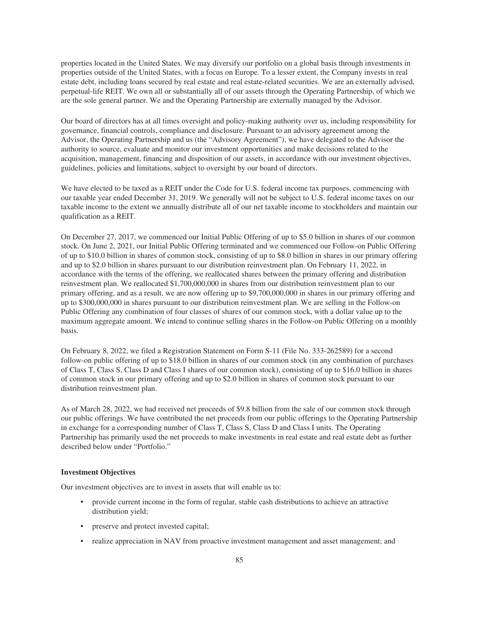properties located in the United States. We may diversify our portfolio on a global basis through investments in properties outside of the United States, with a focus on Europe. To a lesser extent, the Company invests in real estate debt, including loans secured by real estate and real estate-related securities. We are an externally advised, perpetual-life REIT. We own all or substantially all of our assets through the Operating Partnership, of which we are the sole general partner. We and the Operating Partnership are externally managed by the Advisor.

Our board of directors has at all times oversight and policy-making authority over us, including responsibility for governance, financial controls, compliance and disclosure. Pursuant to an advisory agreement among the Advisor, the Operating Partnership and us (the "Advisory Agreement"), we have delegated to the Advisor the authority to source, evaluate and monitor our investment opportunities and make decisions related to the acquisition, management, financing and disposition of our assets, in accordance with our investment objectives, guidelines, policies and limitations, subject to oversight by our board of directors.

We have elected to be taxed as a REIT under the Code for U.S. federal income tax purposes, commencing with our taxable year ended December 31, 2019. We generally will not be subject to U.S. federal income taxes on our taxable income to the extent we annually distribute all of our net taxable income to stockholders and maintain our qualification as a REIT.

On December 27, 2017, we commenced our Initial Public Offering of up to \$5.0 billion in shares of our common stock. On June 2, 2021, our Initial Public Offering terminated and we commenced our Follow-on Public Offering of up to \$10.0 billion in shares of common stock, consisting of up to \$8.0 billion in shares in our primary offering and up to \$2.0 billion in shares pursuant to our distribution reinvestment plan. On February 11, 2022, in accordance with the terms of the offering, we reallocated shares between the primary offering and distribution reinvestment plan. We reallocated \$1,700,000,000 in shares from our distribution reinvestment plan to our primary offering, and as a result, we are now offering up to \$9,700,000,000 in shares in our primary offering and up to \$300,000,000 in shares pursuant to our distribution reinvestment plan. We are selling in the Follow-on Public Offering any combination of four classes of shares of our common stock, with a dollar value up to the maximum aggregate amount. We intend to continue selling shares in the Follow-on Public Offering on a monthly basis.

On February 8, 2022, we filed a Registration Statement on Form S-11 (File No. 333-262589) for a second follow-on public offering of up to \$18.0 billion in shares of our common stock (in any combination of purchases of Class T, Class S, Class D and Class I shares of our common stock), consisting of up to \$16.0 billion in shares of common stock in our primary offering and up to \$2.0 billion in shares of common stock pursuant to our distribution reinvestment plan.

As of March 28, 2022, we had received net proceeds of \$9.8 billion from the sale of our common stock through our public offerings. We have contributed the net proceeds from our public offerings to the Operating Partnership in exchange for a corresponding number of Class T, Class S, Class D and Class I units. The Operating Partnership has primarily used the net proceeds to make investments in real estate and real estate debt as further described below under "Portfolio."

#### **Investment Objectives**

Our investment objectives are to invest in assets that will enable us to:

- provide current income in the form of regular, stable cash distributions to achieve an attractive distribution yield;
- preserve and protect invested capital;
- realize appreciation in NAV from proactive investment management and asset management; and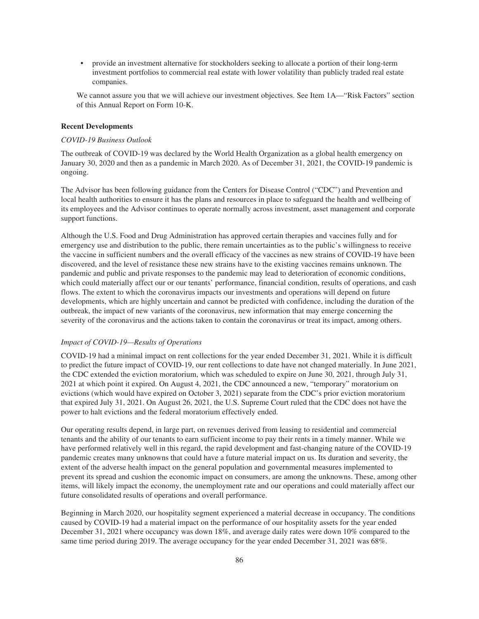• provide an investment alternative for stockholders seeking to allocate a portion of their long-term investment portfolios to commercial real estate with lower volatility than publicly traded real estate companies.

We cannot assure you that we will achieve our investment objectives. See Item  $1A$ —"Risk Factors" section of this Annual Report on Form 10-K.

#### **Recent Developments**

#### *COVID-19 Business Outlook*

The outbreak of COVID-19 was declared by the World Health Organization as a global health emergency on January 30, 2020 and then as a pandemic in March 2020. As of December 31, 2021, the COVID-19 pandemic is ongoing.

The Advisor has been following guidance from the Centers for Disease Control ("CDC") and Prevention and local health authorities to ensure it has the plans and resources in place to safeguard the health and wellbeing of its employees and the Advisor continues to operate normally across investment, asset management and corporate support functions.

Although the U.S. Food and Drug Administration has approved certain therapies and vaccines fully and for emergency use and distribution to the public, there remain uncertainties as to the public's willingness to receive the vaccine in sufficient numbers and the overall efficacy of the vaccines as new strains of COVID-19 have been discovered, and the level of resistance these new strains have to the existing vaccines remains unknown. The pandemic and public and private responses to the pandemic may lead to deterioration of economic conditions, which could materially affect our or our tenants' performance, financial condition, results of operations, and cash flows. The extent to which the coronavirus impacts our investments and operations will depend on future developments, which are highly uncertain and cannot be predicted with confidence, including the duration of the outbreak, the impact of new variants of the coronavirus, new information that may emerge concerning the severity of the coronavirus and the actions taken to contain the coronavirus or treat its impact, among others.

#### *Impact of COVID-19—Results of Operations*

COVID-19 had a minimal impact on rent collections for the year ended December 31, 2021. While it is difficult to predict the future impact of COVID-19, our rent collections to date have not changed materially. In June 2021, the CDC extended the eviction moratorium, which was scheduled to expire on June 30, 2021, through July 31, 2021 at which point it expired. On August 4, 2021, the CDC announced a new, "temporary" moratorium on evictions (which would have expired on October 3, 2021) separate from the CDC's prior eviction moratorium that expired July 31, 2021. On August 26, 2021, the U.S. Supreme Court ruled that the CDC does not have the power to halt evictions and the federal moratorium effectively ended.

Our operating results depend, in large part, on revenues derived from leasing to residential and commercial tenants and the ability of our tenants to earn sufficient income to pay their rents in a timely manner. While we have performed relatively well in this regard, the rapid development and fast-changing nature of the COVID-19 pandemic creates many unknowns that could have a future material impact on us. Its duration and severity, the extent of the adverse health impact on the general population and governmental measures implemented to prevent its spread and cushion the economic impact on consumers, are among the unknowns. These, among other items, will likely impact the economy, the unemployment rate and our operations and could materially affect our future consolidated results of operations and overall performance.

Beginning in March 2020, our hospitality segment experienced a material decrease in occupancy. The conditions caused by COVID-19 had a material impact on the performance of our hospitality assets for the year ended December 31, 2021 where occupancy was down 18%, and average daily rates were down 10% compared to the same time period during 2019. The average occupancy for the year ended December 31, 2021 was 68%.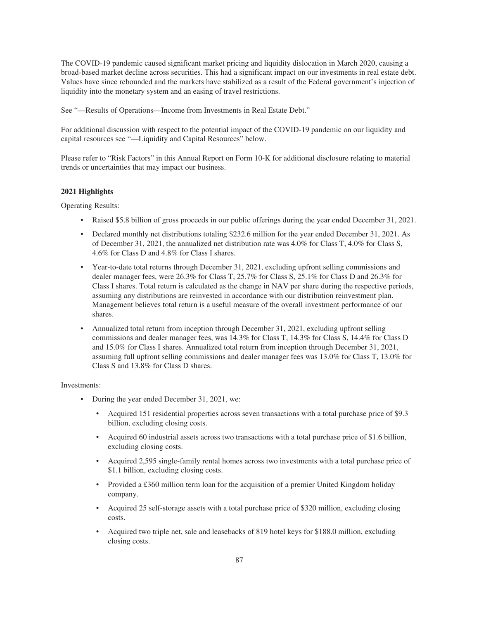The COVID-19 pandemic caused significant market pricing and liquidity dislocation in March 2020, causing a broad-based market decline across securities. This had a significant impact on our investments in real estate debt. Values have since rebounded and the markets have stabilized as a result of the Federal government's injection of liquidity into the monetary system and an easing of travel restrictions.

See "—Results of Operations—Income from Investments in Real Estate Debt."

For additional discussion with respect to the potential impact of the COVID-19 pandemic on our liquidity and capital resources see "—Liquidity and Capital Resources" below.

Please refer to "Risk Factors" in this Annual Report on Form 10-K for additional disclosure relating to material trends or uncertainties that may impact our business.

## **2021 Highlights**

Operating Results:

- Raised \$5.8 billion of gross proceeds in our public offerings during the year ended December 31, 2021.
- Declared monthly net distributions totaling \$232.6 million for the year ended December 31, 2021. As of December 31, 2021, the annualized net distribution rate was 4.0% for Class T, 4.0% for Class S, 4.6% for Class D and 4.8% for Class I shares.
- Year-to-date total returns through December 31, 2021, excluding upfront selling commissions and dealer manager fees, were 26.3% for Class T, 25.7% for Class S, 25.1% for Class D and 26.3% for Class I shares. Total return is calculated as the change in NAV per share during the respective periods, assuming any distributions are reinvested in accordance with our distribution reinvestment plan. Management believes total return is a useful measure of the overall investment performance of our shares.
- Annualized total return from inception through December 31, 2021, excluding upfront selling commissions and dealer manager fees, was 14.3% for Class T, 14.3% for Class S, 14.4% for Class D and 15.0% for Class I shares. Annualized total return from inception through December 31, 2021, assuming full upfront selling commissions and dealer manager fees was 13.0% for Class T, 13.0% for Class S and 13.8% for Class D shares.

#### Investments:

- During the year ended December 31, 2021, we:
	- Acquired 151 residential properties across seven transactions with a total purchase price of \$9.3 billion, excluding closing costs.
	- Acquired 60 industrial assets across two transactions with a total purchase price of \$1.6 billion, excluding closing costs.
	- Acquired 2,595 single-family rental homes across two investments with a total purchase price of \$1.1 billion, excluding closing costs.
	- Provided a £360 million term loan for the acquisition of a premier United Kingdom holiday company.
	- Acquired 25 self-storage assets with a total purchase price of \$320 million, excluding closing costs.
	- Acquired two triple net, sale and leasebacks of 819 hotel keys for \$188.0 million, excluding closing costs.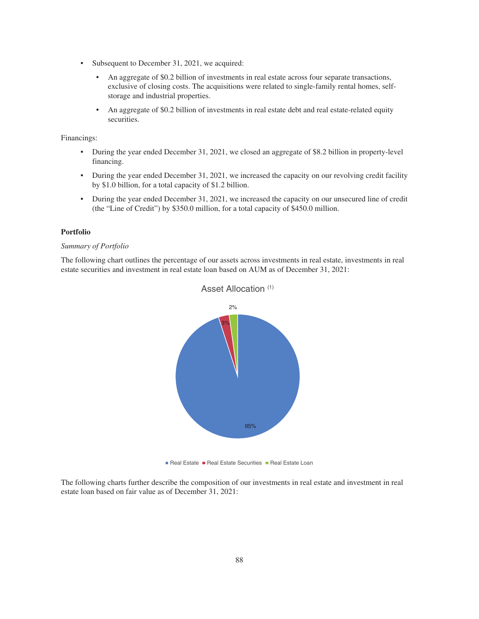- Subsequent to December 31, 2021, we acquired:
	- An aggregate of \$0.2 billion of investments in real estate across four separate transactions, exclusive of closing costs. The acquisitions were related to single-family rental homes, selfstorage and industrial properties.
	- An aggregate of \$0.2 billion of investments in real estate debt and real estate-related equity securities.

# Financings:

- During the year ended December 31, 2021, we closed an aggregate of \$8.2 billion in property-level financing.
- During the year ended December 31, 2021, we increased the capacity on our revolving credit facility by \$1.0 billion, for a total capacity of \$1.2 billion.
- During the year ended December 31, 2021, we increased the capacity on our unsecured line of credit (the "Line of Credit") by \$350.0 million, for a total capacity of \$450.0 million.

# **Portfolio**

## *Summary of Portfolio*

The following chart outlines the percentage of our assets across investments in real estate, investments in real estate securities and investment in real estate loan based on AUM as of December 31, 2021:



Asset Allocation (1)

Real Estate Real Estate Securities Real Estate Loan

The following charts further describe the composition of our investments in real estate and investment in real estate loan based on fair value as of December 31, 2021: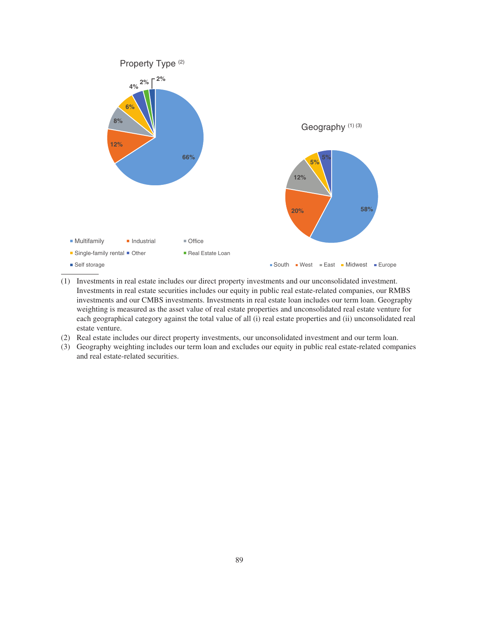

- (1) Investments in real estate includes our direct property investments and our unconsolidated investment. Investments in real estate securities includes our equity in public real estate-related companies, our RMBS investments and our CMBS investments. Investments in real estate loan includes our term loan. Geography weighting is measured as the asset value of real estate properties and unconsolidated real estate venture for each geographical category against the total value of all (i) real estate properties and (ii) unconsolidated real estate venture.
- (2) Real estate includes our direct property investments, our unconsolidated investment and our term loan.
- (3) Geography weighting includes our term loan and excludes our equity in public real estate-related companies and real estate-related securities.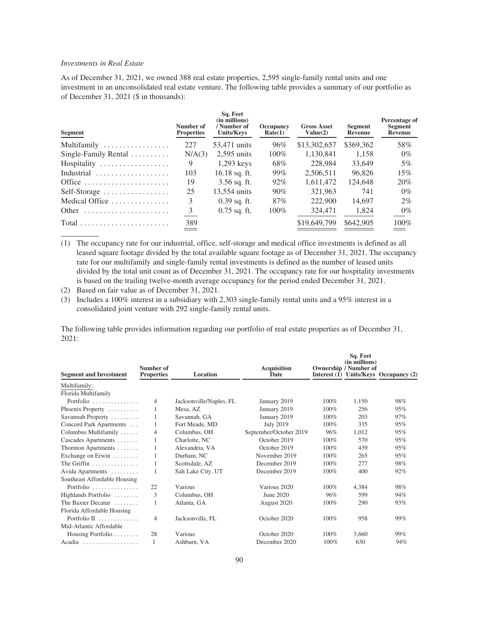### *Investments in Real Estate*

As of December 31, 2021, we owned 388 real estate properties, 2,595 single-family rental units and one investment in an unconsolidated real estate venture. The following table provides a summary of our portfolio as of December 31, 2021 (\$ in thousands):

| <b>Segment</b>                               | Number of<br><b>Properties</b> | Sq. Feet<br>(in millions)<br>/Number of<br><b>Units/Keys</b> | <b>Occupancy</b><br>Rate(1) | <b>Gross Asset</b><br>Value(2) | <b>Segment</b><br>Revenue | Percentage of<br>Segment<br>Revenue |
|----------------------------------------------|--------------------------------|--------------------------------------------------------------|-----------------------------|--------------------------------|---------------------------|-------------------------------------|
| Multifamily                                  | 227                            | 53.471 units                                                 | 96%                         | \$13,302,657                   | \$369,362                 | 58%                                 |
| Single-Family Rental $\dots\dots\dots$       | N/A(3)                         | $2,595$ units                                                | $100\%$                     | 1,130,841                      | 1,158                     | $0\%$                               |
| Hospitality $\dots\dots\dots\dots\dots\dots$ | 9                              | $1,293$ keys                                                 | 68%                         | 228,984                        | 33,649                    | $5\%$                               |
| Industrial                                   | 103                            | $16.18$ sq. ft.                                              | 99%                         | 2,506,511                      | 96,826                    | 15%                                 |
| Office                                       | 19                             | $3.56$ sq. ft.                                               | 92%                         | 1,611,472                      | 124,648                   | 20%                                 |
| Self-Storage                                 | 25                             | 13,554 units                                                 | $90\%$                      | 321,963                        | 741                       | $0\%$                               |
| Medical Office                               | 3                              | $0.39$ sq. ft.                                               | $87\%$                      | 222,900                        | 14.697                    | $2\%$                               |
| Other                                        | 3                              | $0.75$ sq. ft.                                               | $100\%$                     | 324,471                        | 1,824                     | $0\%$                               |
|                                              | 389                            |                                                              |                             | \$19,649,799                   | \$642,905                 | 100%                                |

(1) The occupancy rate for our industrial, office, self-storage and medical office investments is defined as all leased square footage divided by the total available square footage as of December 31, 2021. The occupancy rate for our multifamily and single-family rental investments is defined as the number of leased units divided by the total unit count as of December 31, 2021. The occupancy rate for our hospitality investments is based on the trailing twelve-month average occupancy for the period ended December 31, 2021.

(2) Based on fair value as of December 31, 2021.

(3) Includes a 100% interest in a subsidiary with 2,303 single-family rental units and a 95% interest in a consolidated joint venture with 292 single-family rental units.

The following table provides information regarding our portfolio of real estate properties as of December 31, 2021:

| <b>Segment and Investment</b>           | Number of<br><b>Properties</b> | Location                | <b>Acquisition</b><br>Date |         | Sq. Feet<br>(in millions)<br><b>Ownership / Number of</b> | Interest (1) Units/Keys Occupancy (2) |
|-----------------------------------------|--------------------------------|-------------------------|----------------------------|---------|-----------------------------------------------------------|---------------------------------------|
| Multifamily:                            |                                |                         |                            |         |                                                           |                                       |
| Florida Multifamily                     |                                |                         |                            |         |                                                           |                                       |
| Portfolio                               | $\overline{4}$                 | Jacksonville/Naples, FL | January 2019               | 100%    | 1,150                                                     | 98%                                   |
| Phoenix Property                        | 1                              | Mesa, AZ                | January 2019               | 100%    | 256                                                       | 95%                                   |
| Savannah Property                       | 1                              | Savannah, GA            | January 2019               | 100%    | 203                                                       | 97%                                   |
| Concord Park Apartments                 | 1                              | Fort Meade, MD          | <b>July 2019</b>           | 100%    | 335                                                       | 95%                                   |
| Columbus Multifamily                    | $\overline{4}$                 | Columbus, OH            | September/October 2019     | 96%     | 1,012                                                     | 95%                                   |
| Cascades Apartments                     | 1                              | Charlotte, NC           | October 2019               | 100%    | 570                                                       | 95%                                   |
| Thornton Apartments                     | 1                              | Alexandria, VA          | October 2019               | 100%    | 439                                                       | 95%                                   |
| Exchange on Erwin                       |                                | Durham, NC              | November 2019              | 100%    | 265                                                       | 95%                                   |
| The Griffin $\dots\dots\dots\dots\dots$ | 1                              | Scottsdale, AZ          | December 2019              | 100%    | 277                                                       | 98%                                   |
| Avida Apartments                        | 1                              | Salt Lake City, UT      | December 2019              | 100%    | 400                                                       | 92%                                   |
| Southeast Affordable Housing            |                                |                         |                            |         |                                                           |                                       |
| Portfolio                               | 22                             | Various                 | Various 2020               | 100%    | 4,384                                                     | 98%                                   |
| Highlands Portfolio                     | 3                              | Columbus, OH            | June 2020                  | 96%     | 599                                                       | 94%                                   |
| The Baxter Decatur                      | 1                              | Atlanta, GA             | August 2020                | 100%    | 290                                                       | 93%                                   |
| Florida Affordable Housing              |                                |                         |                            |         |                                                           |                                       |
| Portfolio $II$                          | 4                              | Jacksonville, FL        | October 2020               | 100%    | 958                                                       | 99%                                   |
| Mid-Atlantic Affordable                 |                                |                         |                            |         |                                                           |                                       |
| Housing Portfolio $\ldots \ldots$       | 28                             | Various                 | October 2020               | $100\%$ | 3,660                                                     | 99%                                   |
| Acadia                                  | 1                              | Ashburn, VA             | December 2020              | 100%    | 630                                                       | 94%                                   |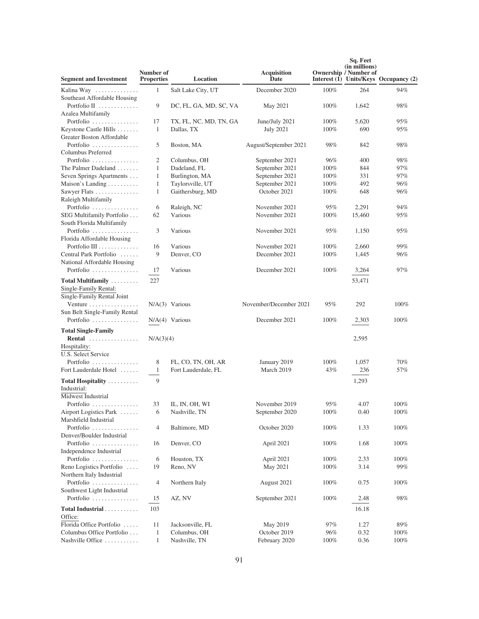| <b>Segment and Investment</b>                                          | Number of<br><b>Properties</b> | <b>Location</b>        | <b>Acquisition</b><br>Date |         | Sq. Feet<br>(in millions)<br><b>Ownership / Number of</b> | Interest $(\overline{1})$ Units/Keys Occupancy $(2)$ |
|------------------------------------------------------------------------|--------------------------------|------------------------|----------------------------|---------|-----------------------------------------------------------|------------------------------------------------------|
| Kalina Way                                                             | $\mathbf{1}$                   | Salt Lake City, UT     | December 2020              | 100%    | 264                                                       | 94%                                                  |
| Southeast Affordable Housing<br>Portfolio II<br>Azalea Multifamily     | 9                              | DC, FL, GA, MD, SC, VA | May 2021                   | $100\%$ | 1,642                                                     | 98%                                                  |
| Portfolio $\ldots \ldots \ldots \ldots$                                | 17                             | TX, FL, NC, MD, TN, GA | June/July 2021             | $100\%$ | 5,620                                                     | 95%                                                  |
| Keystone Castle Hills                                                  | 1                              | Dallas, TX             | <b>July 2021</b>           | 100%    | 690                                                       | 95%                                                  |
| Greater Boston Affordable                                              |                                |                        |                            |         |                                                           |                                                      |
| Portfolio<br>Columbus Preferred                                        | 5                              | Boston, MA             | August/September 2021      | 98%     | 842                                                       | 98%                                                  |
| Portfolio                                                              | $\mathfrak{2}$                 | Columbus, OH           | September 2021             | 96%     | 400                                                       | 98%                                                  |
| The Palmer Dadeland                                                    | $\mathbf{1}$                   | Dadeland, FL           | September 2021             | $100\%$ | 844                                                       | 97%                                                  |
| Seven Springs Apartments                                               | $\mathbf{1}$                   | Burlington, MA         | September 2021             | 100%    | 331                                                       | 97%                                                  |
| Maison's Landing                                                       | $\mathbf{1}$                   | Taylorsville, UT       | September 2021             | 100%    | 492                                                       | 96%                                                  |
| Sawyer Flats                                                           | $\mathbf{1}$                   | Gaithersburg, MD       | October 2021               | $100\%$ | 648                                                       | 96%                                                  |
| Raleigh Multifamily                                                    |                                |                        |                            |         |                                                           |                                                      |
| Portfolio                                                              | 6                              | Raleigh, NC            | November 2021              | 95%     | 2,291                                                     | 94%                                                  |
| SEG Multifamily Portfolio                                              | 62                             | Various                | November 2021              | $100\%$ | 15,460                                                    | 95%                                                  |
| South Florida Multifamily                                              |                                |                        |                            |         |                                                           |                                                      |
| Portfolio<br>Florida Affordable Housing                                | 3                              | Various                | November 2021              | 95%     | 1,150                                                     | 95%                                                  |
| Portfolio III                                                          | 16                             | Various                | November 2021              | 100%    | 2,660                                                     | 99%                                                  |
| Central Park Portfolio                                                 | 9                              | Denver, CO             | December 2021              | 100%    | 1,445                                                     | 96%                                                  |
|                                                                        |                                |                        |                            |         |                                                           |                                                      |
| National Affordable Housing<br>Portfolio $\ldots \ldots \ldots \ldots$ | 17                             | Various                | December 2021              | 100%    | 3,264                                                     | 97%                                                  |
| Total Multifamily                                                      | 227                            |                        |                            |         | 53,471                                                    |                                                      |
| Single-Family Rental:<br>Single-Family Rental Joint                    |                                |                        |                            |         |                                                           |                                                      |
| Venture<br>Sun Belt Single-Family Rental                               |                                | $N/A(3)$ Various       | November/December 2021     | 95%     | 292                                                       | 100%                                                 |
| Portfolio                                                              |                                | $N/A(4)$ Various       | December 2021              | 100%    | 2,303                                                     | 100%                                                 |
| <b>Total Single-Family</b>                                             |                                |                        |                            |         |                                                           |                                                      |
| <b>Rental</b><br>Hospitality:                                          | N/A(3)(4)                      |                        |                            |         | 2,595                                                     |                                                      |
| U.S. Select Service<br>Portfolio $\ldots \ldots \ldots \ldots$         | 8                              | FL, CO, TN, OH, AR     |                            | 100%    |                                                           | 70%                                                  |
|                                                                        |                                |                        | January 2019               |         | 1,057                                                     |                                                      |
| Fort Lauderdale Hotel                                                  | $\mathbf{1}$                   | Fort Lauderdale, FL    | March 2019                 | 43%     | 236                                                       | 57%                                                  |
| Total Hospitality<br>Industrial:                                       | 9                              |                        |                            |         | 1,293                                                     |                                                      |
| Midwest Industrial                                                     |                                |                        |                            |         |                                                           |                                                      |
| Portfolio                                                              | 33                             | IL, IN, OH, WI         | November 2019              | 95%     | 4.07                                                      | 100%                                                 |
| Airport Logistics Park<br>Marshfield Industrial                        | 6                              | Nashville, TN          | September 2020             | 100%    | 0.40                                                      | 100%                                                 |
| Portfolio<br>Denver/Boulder Industrial                                 | $\overline{4}$                 | Baltimore, MD          | October 2020               | 100%    | 1.33                                                      | $100\%$                                              |
| Portfolio<br>Independence Industrial                                   | 16                             | Denver, CO             | April 2021                 | 100%    | 1.68                                                      | 100%                                                 |
| Portfolio                                                              | 6                              | Houston, TX            | April 2021                 | 100%    | 2.33                                                      | 100%                                                 |
| Reno Logistics Portfolio                                               | 19                             | Reno, NV               | May 2021                   | 100%    | 3.14                                                      | 99%                                                  |
| Northern Italy Industrial                                              |                                |                        |                            |         |                                                           |                                                      |
| Portfolio                                                              | $\overline{4}$                 | Northern Italy         | August 2021                | 100%    | 0.75                                                      | 100%                                                 |
| Southwest Light Industrial                                             |                                |                        |                            |         |                                                           |                                                      |
| Portfolio                                                              | 15                             | AZ, NV                 | September 2021             | 100%    | 2.48                                                      | 98%                                                  |
| Total Industrial<br>Office:                                            | 103                            |                        |                            |         | 16.18                                                     |                                                      |
| Florida Office Portfolio                                               | 11                             | Jacksonville, FL       | May 2019                   | 97%     | 1.27                                                      | 89%                                                  |
| Columbus Office Portfolio                                              | $\mathbf{1}$                   | Columbus, OH           | October 2019               | 96%     | 0.32                                                      | 100%                                                 |
| Nashville Office                                                       | $\mathbf{1}$                   | Nashville, TN          | February 2020              | 100%    | 0.36                                                      | $100\%$                                              |
|                                                                        |                                |                        |                            |         |                                                           |                                                      |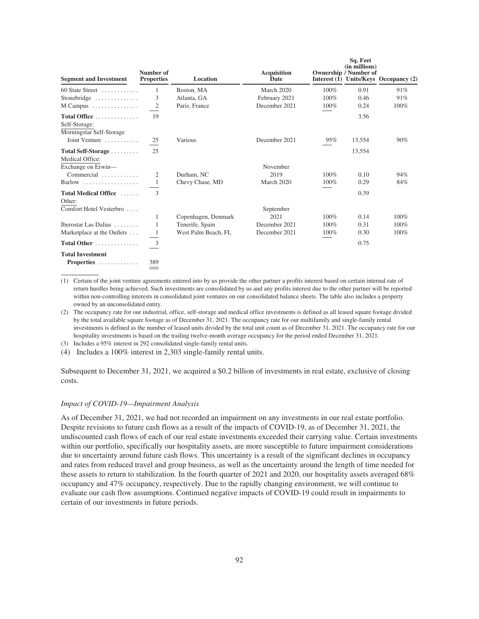| <b>Segment and Investment</b>                             | Number of<br><b>Properties</b> | Location            | <b>Acquisition</b><br><b>Date</b> |         | Sq. Feet<br>(in millions)<br><b>Ownership / Number of</b> | Interest (1) Units/Keys Occupancy (2) |
|-----------------------------------------------------------|--------------------------------|---------------------|-----------------------------------|---------|-----------------------------------------------------------|---------------------------------------|
|                                                           | 1                              | Boston, MA          | March 2020                        | 100%    | 0.91                                                      | 91%                                   |
| Stonebridge $\dots\dots\dots\dots$                        | 3                              | Atlanta, GA         | February 2021                     | 100%    | 0.46                                                      | 91%                                   |
| $M$ Campus                                                |                                | Paris, France       | December 2021                     | 100%    | 0.24                                                      | 100%                                  |
| Total Office<br>Self-Storage:<br>Morningstar Self-Storage | 19                             |                     |                                   |         | 3.56                                                      |                                       |
| Joint Venture $\dots\dots\dots$                           | 25                             | Various             | December 2021                     | 95%     | 13,554                                                    | 90%                                   |
| Total Self-Storage<br>Medical Office:                     | 25                             |                     |                                   |         | 13,554                                                    |                                       |
| Exchange on Erwin-                                        |                                |                     | November                          |         |                                                           |                                       |
| Commercial                                                | 2                              | Durham, NC          | 2019                              | 100%    | 0.10                                                      | 94%                                   |
| Barlow                                                    | -1                             | Chevy Chase, MD     | March 2020                        | 100%    | 0.29                                                      | 84%                                   |
| Total Medical Office<br>Other:                            | 3                              |                     |                                   |         | 0.39                                                      |                                       |
| Comfort Hotel Vesterbro                                   |                                |                     | September                         |         |                                                           |                                       |
|                                                           | 1                              | Copenhagen, Denmark | 2021                              | $100\%$ | 0.14                                                      | 100%                                  |
| Iberostar Las Dalias $\ldots$                             | 1                              | Tenerife, Spain     | December 2021                     | 100%    | 0.31                                                      | 100%                                  |
| Marketplace at the Outlets                                | -1                             | West Palm Beach, FL | December 2021                     | 100%    | 0.30                                                      | 100%                                  |
| Total Other                                               | 3                              |                     |                                   |         | 0.75                                                      |                                       |
| <b>Total Investment</b>                                   |                                |                     |                                   |         |                                                           |                                       |
| Properties                                                | 389                            |                     |                                   |         |                                                           |                                       |

(1) Certain of the joint venture agreements entered into by us provide the other partner a profits interest based on certain internal rate of return hurdles being achieved. Such investments are consolidated by us and any profits interest due to the other partner will be reported within non-controlling interests in consolidated joint ventures on our consolidated balance sheets. The table also includes a property owned by an unconsolidated entity.

(2) The occupancy rate for our industrial, office, self-storage and medical office investments is defined as all leased square footage divided by the total available square footage as of December 31, 2021. The occupancy rate for our multifamily and single-family rental investments is defined as the number of leased units divided by the total unit count as of December 31, 2021. The occupancy rate for our hospitality investments is based on the trailing twelve-month average occupancy for the period ended December 31, 2021.

(3) Includes a 95% interest in 292 consolidated single-family rental units.

(4) Includes a 100% interest in 2,303 single-family rental units.

Subsequent to December 31, 2021, we acquired a \$0.2 billion of investments in real estate, exclusive of closing costs.

#### *Impact of COVID-19—Impairment Analysis*

As of December 31, 2021, we had not recorded an impairment on any investments in our real estate portfolio. Despite revisions to future cash flows as a result of the impacts of COVID-19, as of December 31, 2021, the undiscounted cash flows of each of our real estate investments exceeded their carrying value. Certain investments within our portfolio, specifically our hospitality assets, are more susceptible to future impairment considerations due to uncertainty around future cash flows. This uncertainty is a result of the significant declines in occupancy and rates from reduced travel and group business, as well as the uncertainty around the length of time needed for these assets to return to stabilization. In the fourth quarter of 2021 and 2020, our hospitality assets averaged 68% occupancy and 47% occupancy, respectively. Due to the rapidly changing environment, we will continue to evaluate our cash flow assumptions. Continued negative impacts of COVID-19 could result in impairments to certain of our investments in future periods.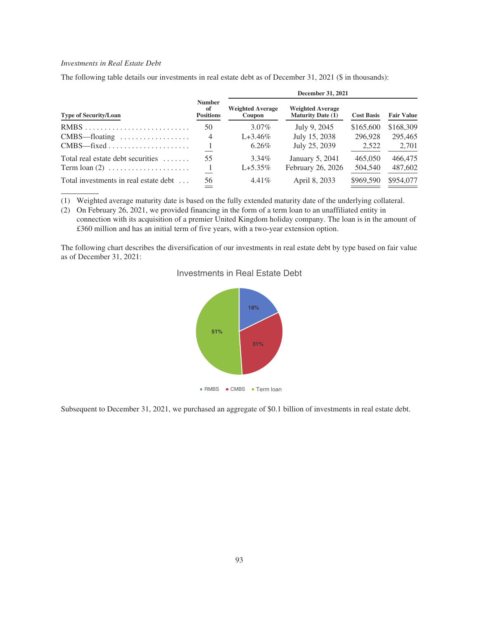### *Investments in Real Estate Debt*

The following table details our investments in real estate debt as of December 31, 2021 (\$ in thousands):

|                                       |                                         | December 31, 2021                 |                                                     |                   |                   |  |  |
|---------------------------------------|-----------------------------------------|-----------------------------------|-----------------------------------------------------|-------------------|-------------------|--|--|
| <b>Type of Security/Loan</b>          | <b>Number</b><br>оf<br><b>Positions</b> | <b>Weighted Average</b><br>Coupon | <b>Weighted Average</b><br><b>Maturity Date (1)</b> | <b>Cost Basis</b> | <b>Fair Value</b> |  |  |
|                                       | 50                                      | $3.07\%$                          | July 9, 2045                                        | \$165,600         | \$168,309         |  |  |
| $CMBS$ —floating                      | 4                                       | $L + 3.46\%$                      | July 15, 2038                                       | 296,928           | 295,465           |  |  |
| $CMBS$ —fixed                         |                                         | $6.26\%$                          | July 25, 2039                                       | 2,522             | 2,701             |  |  |
| Total real estate debt securities     | 55                                      | 3.34%                             | January 5, 2041                                     | 465,050           | 466,475           |  |  |
| Term loan $(2)$                       |                                         | $L + 5.35\%$                      | February 26, 2026                                   | 504,540           | 487,602           |  |  |
| Total investments in real estate debt | 56                                      | $4.41\%$                          | April 8, 2033                                       | \$969,590         | \$954,077         |  |  |

(1) Weighted average maturity date is based on the fully extended maturity date of the underlying collateral.

(2) On February 26, 2021, we provided financing in the form of a term loan to an unaffiliated entity in connection with its acquisition of a premier United Kingdom holiday company. The loan is in the amount of £360 million and has an initial term of five years, with a two-year extension option.

The following chart describes the diversification of our investments in real estate debt by type based on fair value as of December 31, 2021:

### Investments in Real Estate Debt



Subsequent to December 31, 2021, we purchased an aggregate of \$0.1 billion of investments in real estate debt.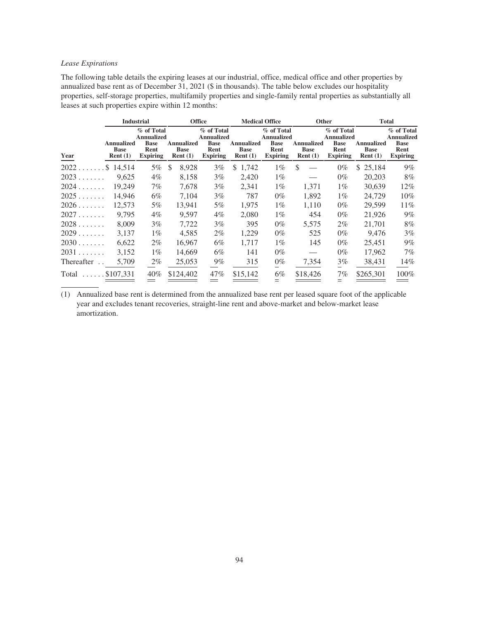### *Lease Expirations*

The following table details the expiring leases at our industrial, office, medical office and other properties by annualized base rent as of December 31, 2021 (\$ in thousands). The table below excludes our hospitality properties, self-storage properties, multifamily properties and single-family rental properties as substantially all leases at such properties expire within 12 months:

|                                 |                                                | <b>Industrial</b>                                                         |                                         | <b>Office</b>                                                             |                                         | <b>Medical Office</b>                                                     |                                                | Other                                                              |                                                | <b>Total</b>                                                       |
|---------------------------------|------------------------------------------------|---------------------------------------------------------------------------|-----------------------------------------|---------------------------------------------------------------------------|-----------------------------------------|---------------------------------------------------------------------------|------------------------------------------------|--------------------------------------------------------------------|------------------------------------------------|--------------------------------------------------------------------|
| Year                            | <b>Annualized</b><br><b>Base</b><br>Rent $(1)$ | % of Total<br><b>Annualized</b><br><b>Base</b><br>Rent<br><b>Expiring</b> | Annualized<br><b>Base</b><br>Rent $(1)$ | % of Total<br><b>Annualized</b><br><b>Base</b><br>Rent<br><b>Expiring</b> | Annualized<br><b>Base</b><br>Rent $(1)$ | % of Total<br><b>Annualized</b><br><b>Base</b><br>Rent<br><b>Expiring</b> | <b>Annualized</b><br><b>Base</b><br>Rent $(1)$ | % of Total<br>Annualized<br><b>Base</b><br>Rent<br><b>Expiring</b> | <b>Annualized</b><br><b>Base</b><br>Rent $(1)$ | % of Total<br>Annualized<br><b>Base</b><br>Rent<br><b>Expiring</b> |
| $2022$ \$ 14,514                |                                                | 5%                                                                        | <sup>\$</sup><br>8,928                  | $3\%$                                                                     | \$1,742                                 | $1\%$                                                                     | \$                                             | $0\%$                                                              | \$25,184                                       | $9\%$                                                              |
| $2023 \ldots \ldots$            | 9,625                                          | $4\%$                                                                     | 8,158                                   | $3\%$                                                                     | 2,420                                   | $1\%$                                                                     |                                                | $0\%$                                                              | 20,203                                         | 8%                                                                 |
| $2024$                          | 19.249                                         | $7\%$                                                                     | 7,678                                   | 3%                                                                        | 2,341                                   | $1\%$                                                                     | 1,371                                          | $1\%$                                                              | 30,639                                         | 12%                                                                |
| 2025                            | 14.946                                         | 6%                                                                        | 7,104                                   | $3\%$                                                                     | 787                                     | $0\%$                                                                     | 1,892                                          | $1\%$                                                              | 24,729                                         | $10\%$                                                             |
| $2026\ldots\ldots$              | 12,573                                         | $5\%$                                                                     | 13,941                                  | 5%                                                                        | 1,975                                   | $1\%$                                                                     | 1,110                                          | $0\%$                                                              | 29,599                                         | $11\%$                                                             |
| 2027                            | 9.795                                          | $4\%$                                                                     | 9,597                                   | $4\%$                                                                     | 2,080                                   | $1\%$                                                                     | 454                                            | $0\%$                                                              | 21,926                                         | $9\%$                                                              |
| 2028                            | 8,009                                          | $3\%$                                                                     | 7,722                                   | $3\%$                                                                     | 395                                     | $0\%$                                                                     | 5,575                                          | $2\%$                                                              | 21,701                                         | 8%                                                                 |
| 2029                            | 3,137                                          | $1\%$                                                                     | 4,585                                   | $2\%$                                                                     | 1,229                                   | $0\%$                                                                     | 525                                            | $0\%$                                                              | 9,476                                          | $3\%$                                                              |
| $2030\ldots\ldots$              | 6,622                                          | $2\%$                                                                     | 16,967                                  | $6\%$                                                                     | 1,717                                   | $1\%$                                                                     | 145                                            | $0\%$                                                              | 25,451                                         | $9\%$                                                              |
| $2031 \ldots \ldots$            | 3,152                                          | $1\%$                                                                     | 14,669                                  | 6%                                                                        | 141                                     | $0\%$                                                                     |                                                | $0\%$                                                              | 17,962                                         | $7\%$                                                              |
| Thereafter<br>$\ddotsc$         | 5,709                                          | $2\%$                                                                     | 25,053                                  | $9\%$                                                                     | 315                                     | $0\%$                                                                     | 7,354                                          | $3\%$                                                              | 38,431                                         | 14%                                                                |
| Total $\ldots \ldots$ \$107,331 |                                                | $40\%$                                                                    | \$124,402                               | 47%                                                                       | \$15,142                                | 6%                                                                        | \$18,426                                       | $7\%$                                                              | \$265,301                                      | 100%                                                               |

(1) Annualized base rent is determined from the annualized base rent per leased square foot of the applicable year and excludes tenant recoveries, straight-line rent and above-market and below-market lease amortization.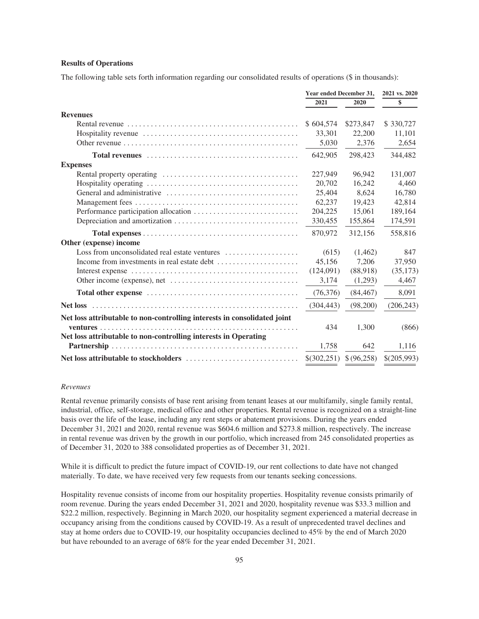### **Results of Operations**

The following table sets forth information regarding our consolidated results of operations (\$ in thousands):

|                                                                          | Year ended December 31, |            | 2021 vs. 2020 |  |
|--------------------------------------------------------------------------|-------------------------|------------|---------------|--|
|                                                                          | 2021                    | 2020       | \$            |  |
| <b>Revenues</b>                                                          |                         |            |               |  |
|                                                                          | \$604,574               | \$273,847  | \$330,727     |  |
|                                                                          | 33,301                  | 22,200     | 11,101        |  |
|                                                                          | 5,030                   | 2,376      | 2,654         |  |
|                                                                          | 642,905                 | 298,423    | 344,482       |  |
| <b>Expenses</b>                                                          |                         |            |               |  |
|                                                                          | 227,949                 | 96,942     | 131,007       |  |
|                                                                          | 20,702                  | 16,242     | 4,460         |  |
|                                                                          | 25,404                  | 8,624      | 16,780        |  |
|                                                                          | 62,237                  | 19.423     | 42.814        |  |
|                                                                          | 204,225                 | 15,061     | 189,164       |  |
|                                                                          | 330,455                 | 155,864    | 174,591       |  |
|                                                                          | 870,972                 | 312,156    | 558,816       |  |
| Other (expense) income                                                   |                         |            |               |  |
| Loss from unconsolidated real estate ventures                            | (615)                   | (1,462)    | 847           |  |
| Income from investments in real estate debt                              | 45.156                  | 7,206      | 37,950        |  |
|                                                                          | (124,091)               | (88,918)   | (35, 173)     |  |
|                                                                          | 3,174                   | (1,293)    | 4,467         |  |
|                                                                          | (76, 376)               | (84, 467)  | 8,091         |  |
| <b>Net loss</b>                                                          | (304, 443)              | (98,200)   | (206, 243)    |  |
| Net loss attributable to non-controlling interests in consolidated joint |                         |            |               |  |
|                                                                          | 434                     | 1,300      | (866)         |  |
| Net loss attributable to non-controlling interests in Operating          |                         |            |               |  |
|                                                                          | 1,758                   | 642        | 1,116         |  |
|                                                                          | \$(302,251)             | \$(96,258) | \$(205,993)   |  |

### *Revenues*

Rental revenue primarily consists of base rent arising from tenant leases at our multifamily, single family rental, industrial, office, self-storage, medical office and other properties. Rental revenue is recognized on a straight-line basis over the life of the lease, including any rent steps or abatement provisions. During the years ended December 31, 2021 and 2020, rental revenue was \$604.6 million and \$273.8 million, respectively. The increase in rental revenue was driven by the growth in our portfolio, which increased from 245 consolidated properties as of December 31, 2020 to 388 consolidated properties as of December 31, 2021.

While it is difficult to predict the future impact of COVID-19, our rent collections to date have not changed materially. To date, we have received very few requests from our tenants seeking concessions.

Hospitality revenue consists of income from our hospitality properties. Hospitality revenue consists primarily of room revenue. During the years ended December 31, 2021 and 2020, hospitality revenue was \$33.3 million and \$22.2 million, respectively. Beginning in March 2020, our hospitality segment experienced a material decrease in occupancy arising from the conditions caused by COVID-19. As a result of unprecedented travel declines and stay at home orders due to COVID-19, our hospitality occupancies declined to 45% by the end of March 2020 but have rebounded to an average of 68% for the year ended December 31, 2021.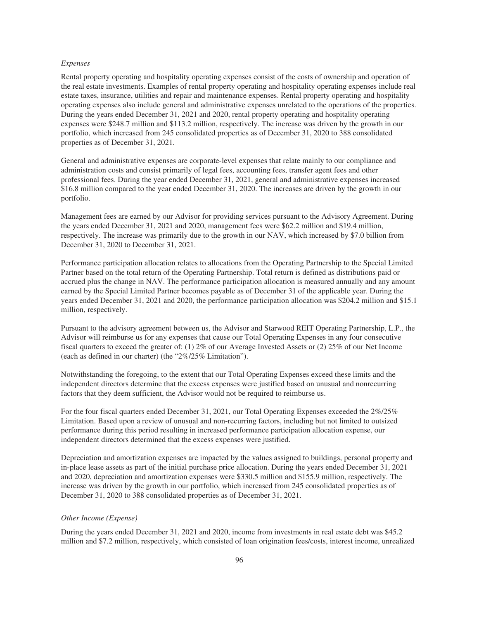#### *Expenses*

Rental property operating and hospitality operating expenses consist of the costs of ownership and operation of the real estate investments. Examples of rental property operating and hospitality operating expenses include real estate taxes, insurance, utilities and repair and maintenance expenses. Rental property operating and hospitality operating expenses also include general and administrative expenses unrelated to the operations of the properties. During the years ended December 31, 2021 and 2020, rental property operating and hospitality operating expenses were \$248.7 million and \$113.2 million, respectively. The increase was driven by the growth in our portfolio, which increased from 245 consolidated properties as of December 31, 2020 to 388 consolidated properties as of December 31, 2021.

General and administrative expenses are corporate-level expenses that relate mainly to our compliance and administration costs and consist primarily of legal fees, accounting fees, transfer agent fees and other professional fees. During the year ended December 31, 2021, general and administrative expenses increased \$16.8 million compared to the year ended December 31, 2020. The increases are driven by the growth in our portfolio.

Management fees are earned by our Advisor for providing services pursuant to the Advisory Agreement. During the years ended December 31, 2021 and 2020, management fees were \$62.2 million and \$19.4 million, respectively. The increase was primarily due to the growth in our NAV, which increased by \$7.0 billion from December 31, 2020 to December 31, 2021.

Performance participation allocation relates to allocations from the Operating Partnership to the Special Limited Partner based on the total return of the Operating Partnership. Total return is defined as distributions paid or accrued plus the change in NAV. The performance participation allocation is measured annually and any amount earned by the Special Limited Partner becomes payable as of December 31 of the applicable year. During the years ended December 31, 2021 and 2020, the performance participation allocation was \$204.2 million and \$15.1 million, respectively.

Pursuant to the advisory agreement between us, the Advisor and Starwood REIT Operating Partnership, L.P., the Advisor will reimburse us for any expenses that cause our Total Operating Expenses in any four consecutive fiscal quarters to exceed the greater of: (1) 2% of our Average Invested Assets or (2) 25% of our Net Income (each as defined in our charter) (the "2%/25% Limitation").

Notwithstanding the foregoing, to the extent that our Total Operating Expenses exceed these limits and the independent directors determine that the excess expenses were justified based on unusual and nonrecurring factors that they deem sufficient, the Advisor would not be required to reimburse us.

For the four fiscal quarters ended December 31, 2021, our Total Operating Expenses exceeded the 2%/25% Limitation. Based upon a review of unusual and non-recurring factors, including but not limited to outsized performance during this period resulting in increased performance participation allocation expense, our independent directors determined that the excess expenses were justified.

Depreciation and amortization expenses are impacted by the values assigned to buildings, personal property and in-place lease assets as part of the initial purchase price allocation. During the years ended December 31, 2021 and 2020, depreciation and amortization expenses were \$330.5 million and \$155.9 million, respectively. The increase was driven by the growth in our portfolio, which increased from 245 consolidated properties as of December 31, 2020 to 388 consolidated properties as of December 31, 2021.

#### *Other Income (Expense)*

During the years ended December 31, 2021 and 2020, income from investments in real estate debt was \$45.2 million and \$7.2 million, respectively, which consisted of loan origination fees/costs, interest income, unrealized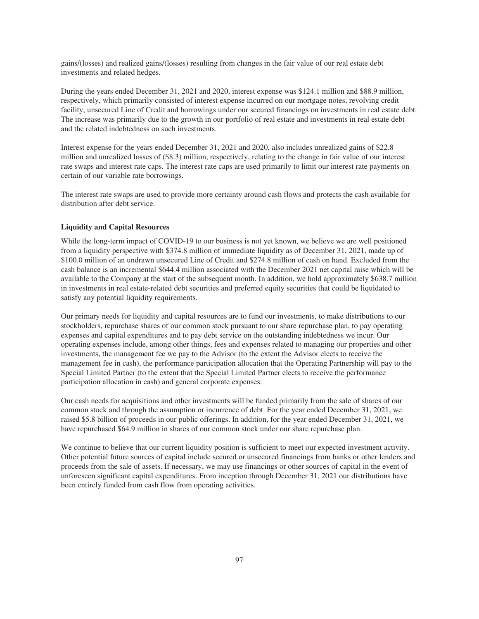gains/(losses) and realized gains/(losses) resulting from changes in the fair value of our real estate debt investments and related hedges.

During the years ended December 31, 2021 and 2020, interest expense was \$124.1 million and \$88.9 million, respectively, which primarily consisted of interest expense incurred on our mortgage notes, revolving credit facility, unsecured Line of Credit and borrowings under our secured financings on investments in real estate debt. The increase was primarily due to the growth in our portfolio of real estate and investments in real estate debt and the related indebtedness on such investments.

Interest expense for the years ended December 31, 2021 and 2020, also includes unrealized gains of \$22.8 million and unrealized losses of (\$8.3) million, respectively, relating to the change in fair value of our interest rate swaps and interest rate caps. The interest rate caps are used primarily to limit our interest rate payments on certain of our variable rate borrowings.

The interest rate swaps are used to provide more certainty around cash flows and protects the cash available for distribution after debt service.

### **Liquidity and Capital Resources**

While the long-term impact of COVID-19 to our business is not yet known, we believe we are well positioned from a liquidity perspective with \$374.8 million of immediate liquidity as of December 31, 2021, made up of \$100.0 million of an undrawn unsecured Line of Credit and \$274.8 million of cash on hand. Excluded from the cash balance is an incremental \$644.4 million associated with the December 2021 net capital raise which will be available to the Company at the start of the subsequent month. In addition, we hold approximately \$638.7 million in investments in real estate-related debt securities and preferred equity securities that could be liquidated to satisfy any potential liquidity requirements.

Our primary needs for liquidity and capital resources are to fund our investments, to make distributions to our stockholders, repurchase shares of our common stock pursuant to our share repurchase plan, to pay operating expenses and capital expenditures and to pay debt service on the outstanding indebtedness we incur. Our operating expenses include, among other things, fees and expenses related to managing our properties and other investments, the management fee we pay to the Advisor (to the extent the Advisor elects to receive the management fee in cash), the performance participation allocation that the Operating Partnership will pay to the Special Limited Partner (to the extent that the Special Limited Partner elects to receive the performance participation allocation in cash) and general corporate expenses.

Our cash needs for acquisitions and other investments will be funded primarily from the sale of shares of our common stock and through the assumption or incurrence of debt. For the year ended December 31, 2021, we raised \$5.8 billion of proceeds in our public offerings. In addition, for the year ended December 31, 2021, we have repurchased \$64.9 million in shares of our common stock under our share repurchase plan.

We continue to believe that our current liquidity position is sufficient to meet our expected investment activity. Other potential future sources of capital include secured or unsecured financings from banks or other lenders and proceeds from the sale of assets. If necessary, we may use financings or other sources of capital in the event of unforeseen significant capital expenditures. From inception through December 31, 2021 our distributions have been entirely funded from cash flow from operating activities.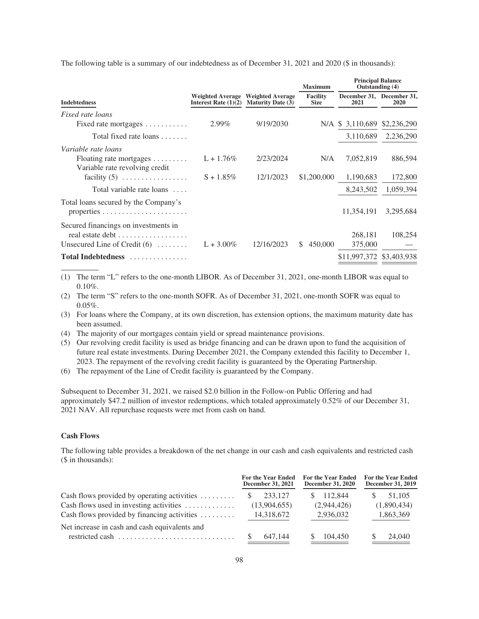The following table is a summary of our indebtedness as of December 31, 2021 and 2020 (\$ in thousands):

|                                                                                                    |                        |                                                               | <b>Maximum</b>                 | <b>Principal Balance</b><br>Outstanding (4) |             |
|----------------------------------------------------------------------------------------------------|------------------------|---------------------------------------------------------------|--------------------------------|---------------------------------------------|-------------|
| <b>Indebtedness</b>                                                                                | Interest Rate $(1)(2)$ | Weighted Average Weighted Average<br><b>Maturity Date (3)</b> | <b>Facility</b><br><b>Size</b> | December 31, December 31,<br>2021           | <b>2020</b> |
| <i>Fixed rate loans</i>                                                                            |                        |                                                               |                                |                                             |             |
| Fixed rate mortgages $\dots\dots\dots\dots$                                                        | $2.99\%$               | 9/19/2030                                                     |                                | N/A \$ 3,110,689 \$2,236,290                |             |
| Total fixed rate loans $\ldots \ldots$                                                             |                        |                                                               |                                | 3,110,689                                   | 2,236,290   |
| Variable rate loans<br>Floating rate mortgages $\dots\dots\dots$<br>Variable rate revolving credit | $L + 1.76\%$           | 2/23/2024                                                     | N/A                            | 7,052,819                                   | 886,594     |
| facility $(5)$                                                                                     | $S + 1.85\%$           | 12/1/2023                                                     | \$1,200,000                    | 1,190,683                                   | 172,800     |
| Total variable rate loans                                                                          |                        |                                                               |                                | 8,243,502                                   | 1,059,394   |
| Total loans secured by the Company's                                                               |                        |                                                               |                                | 11,354,191                                  | 3,295,684   |
| Secured financings on investments in<br>Unsecured Line of Credit $(6)$                             | $L + 3.00\%$           | 12/16/2023                                                    | 450,000<br><sup>\$</sup>       | 268,181<br>375,000                          | 108,254     |
| Total Indebtedness                                                                                 |                        |                                                               |                                | \$11,997,372 \$3,403,938                    |             |

- (1) The term "L" refers to the one-month LIBOR. As of December 31, 2021, one-month LIBOR was equal to 0.10%.
- (2) The term "S" refers to the one-month SOFR. As of December 31, 2021, one-month SOFR was equal to 0.05%.
- (3) For loans where the Company, at its own discretion, has extension options, the maximum maturity date has been assumed.
- (4) The majority of our mortgages contain yield or spread maintenance provisions.
- (5) Our revolving credit facility is used as bridge financing and can be drawn upon to fund the acquisition of future real estate investments. During December 2021, the Company extended this facility to December 1, 2023. The repayment of the revolving credit facility is guaranteed by the Operating Partnership.
- (6) The repayment of the Line of Credit facility is guaranteed by the Company.

Subsequent to December 31, 2021, we raised \$2.0 billion in the Follow-on Public Offering and had approximately \$47.2 million of investor redemptions, which totaled approximately 0.52% of our December 31, 2021 NAV. All repurchase requests were met from cash on hand.

### **Cash Flows**

The following table provides a breakdown of the net change in our cash and cash equivalents and restricted cash (\$ in thousands):

|                                                                | <b>For the Year Ended</b><br>December 31, 2021 | <b>For the Year Ended</b><br>December 31, 2020 | <b>For the Year Ended</b><br>December 31, 2019 |  |
|----------------------------------------------------------------|------------------------------------------------|------------------------------------------------|------------------------------------------------|--|
| Cash flows provided by operating activities $\dots \dots$      | 233,127                                        | \$112.844                                      | 51.105                                         |  |
| Cash flows used in investing activities $\dots\dots\dots\dots$ | (13,904,655)                                   | (2,944,426)                                    | (1,890,434)                                    |  |
| Cash flows provided by financing activities $\dots \dots$      | 14,318,672                                     | 2,936,032                                      | 1,863,369                                      |  |
| Net increase in cash and cash equivalents and                  |                                                |                                                |                                                |  |
|                                                                | 647.144                                        | \$104,450                                      | 24,040                                         |  |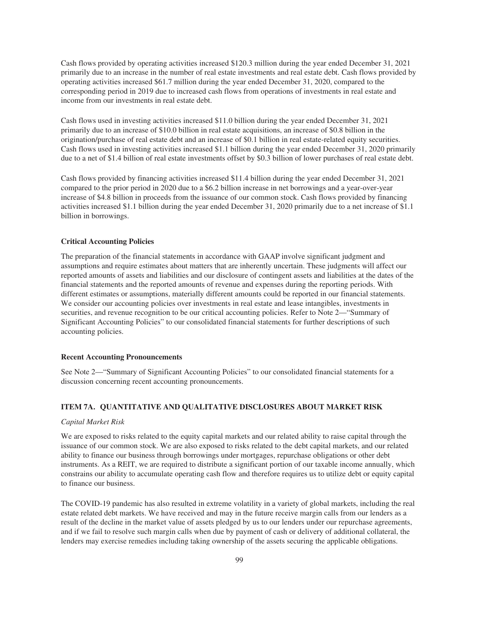Cash flows provided by operating activities increased \$120.3 million during the year ended December 31, 2021 primarily due to an increase in the number of real estate investments and real estate debt. Cash flows provided by operating activities increased \$61.7 million during the year ended December 31, 2020, compared to the corresponding period in 2019 due to increased cash flows from operations of investments in real estate and income from our investments in real estate debt.

Cash flows used in investing activities increased \$11.0 billion during the year ended December 31, 2021 primarily due to an increase of \$10.0 billion in real estate acquisitions, an increase of \$0.8 billion in the origination/purchase of real estate debt and an increase of \$0.1 billion in real estate-related equity securities. Cash flows used in investing activities increased \$1.1 billion during the year ended December 31, 2020 primarily due to a net of \$1.4 billion of real estate investments offset by \$0.3 billion of lower purchases of real estate debt.

Cash flows provided by financing activities increased \$11.4 billion during the year ended December 31, 2021 compared to the prior period in 2020 due to a \$6.2 billion increase in net borrowings and a year-over-year increase of \$4.8 billion in proceeds from the issuance of our common stock. Cash flows provided by financing activities increased \$1.1 billion during the year ended December 31, 2020 primarily due to a net increase of \$1.1 billion in borrowings.

#### **Critical Accounting Policies**

The preparation of the financial statements in accordance with GAAP involve significant judgment and assumptions and require estimates about matters that are inherently uncertain. These judgments will affect our reported amounts of assets and liabilities and our disclosure of contingent assets and liabilities at the dates of the financial statements and the reported amounts of revenue and expenses during the reporting periods. With different estimates or assumptions, materially different amounts could be reported in our financial statements. We consider our accounting policies over investments in real estate and lease intangibles, investments in securities, and revenue recognition to be our critical accounting policies. Refer to Note 2—"Summary of Significant Accounting Policies" to our consolidated financial statements for further descriptions of such accounting policies.

### **Recent Accounting Pronouncements**

See Note 2—"Summary of Significant Accounting Policies" to our consolidated financial statements for a discussion concerning recent accounting pronouncements.

#### **ITEM 7A. QUANTITATIVE AND QUALITATIVE DISCLOSURES ABOUT MARKET RISK**

#### *Capital Market Risk*

We are exposed to risks related to the equity capital markets and our related ability to raise capital through the issuance of our common stock. We are also exposed to risks related to the debt capital markets, and our related ability to finance our business through borrowings under mortgages, repurchase obligations or other debt instruments. As a REIT, we are required to distribute a significant portion of our taxable income annually, which constrains our ability to accumulate operating cash flow and therefore requires us to utilize debt or equity capital to finance our business.

The COVID-19 pandemic has also resulted in extreme volatility in a variety of global markets, including the real estate related debt markets. We have received and may in the future receive margin calls from our lenders as a result of the decline in the market value of assets pledged by us to our lenders under our repurchase agreements, and if we fail to resolve such margin calls when due by payment of cash or delivery of additional collateral, the lenders may exercise remedies including taking ownership of the assets securing the applicable obligations.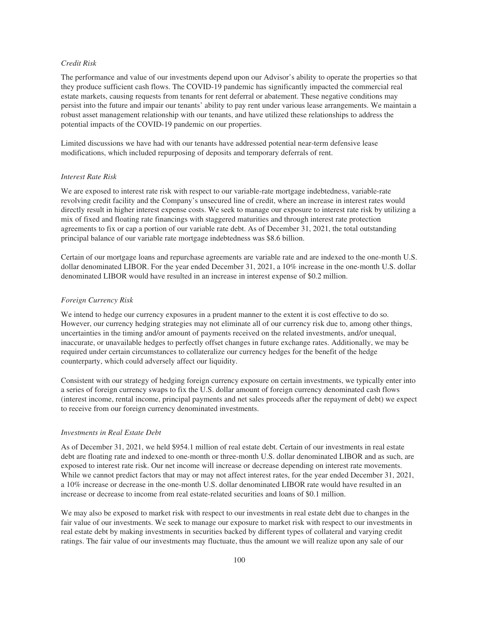#### *Credit Risk*

The performance and value of our investments depend upon our Advisor's ability to operate the properties so that they produce sufficient cash flows. The COVID-19 pandemic has significantly impacted the commercial real estate markets, causing requests from tenants for rent deferral or abatement. These negative conditions may persist into the future and impair our tenants' ability to pay rent under various lease arrangements. We maintain a robust asset management relationship with our tenants, and have utilized these relationships to address the potential impacts of the COVID-19 pandemic on our properties.

Limited discussions we have had with our tenants have addressed potential near-term defensive lease modifications, which included repurposing of deposits and temporary deferrals of rent.

#### *Interest Rate Risk*

We are exposed to interest rate risk with respect to our variable-rate mortgage indebtedness, variable-rate revolving credit facility and the Company's unsecured line of credit, where an increase in interest rates would directly result in higher interest expense costs. We seek to manage our exposure to interest rate risk by utilizing a mix of fixed and floating rate financings with staggered maturities and through interest rate protection agreements to fix or cap a portion of our variable rate debt. As of December 31, 2021, the total outstanding principal balance of our variable rate mortgage indebtedness was \$8.6 billion.

Certain of our mortgage loans and repurchase agreements are variable rate and are indexed to the one-month U.S. dollar denominated LIBOR. For the year ended December 31, 2021, a 10% increase in the one-month U.S. dollar denominated LIBOR would have resulted in an increase in interest expense of \$0.2 million.

#### *Foreign Currency Risk*

We intend to hedge our currency exposures in a prudent manner to the extent it is cost effective to do so. However, our currency hedging strategies may not eliminate all of our currency risk due to, among other things, uncertainties in the timing and/or amount of payments received on the related investments, and/or unequal, inaccurate, or unavailable hedges to perfectly offset changes in future exchange rates. Additionally, we may be required under certain circumstances to collateralize our currency hedges for the benefit of the hedge counterparty, which could adversely affect our liquidity.

Consistent with our strategy of hedging foreign currency exposure on certain investments, we typically enter into a series of foreign currency swaps to fix the U.S. dollar amount of foreign currency denominated cash flows (interest income, rental income, principal payments and net sales proceeds after the repayment of debt) we expect to receive from our foreign currency denominated investments.

#### *Investments in Real Estate Debt*

As of December 31, 2021, we held \$954.1 million of real estate debt. Certain of our investments in real estate debt are floating rate and indexed to one-month or three-month U.S. dollar denominated LIBOR and as such, are exposed to interest rate risk. Our net income will increase or decrease depending on interest rate movements. While we cannot predict factors that may or may not affect interest rates, for the year ended December 31, 2021, a 10% increase or decrease in the one-month U.S. dollar denominated LIBOR rate would have resulted in an increase or decrease to income from real estate-related securities and loans of \$0.1 million.

We may also be exposed to market risk with respect to our investments in real estate debt due to changes in the fair value of our investments. We seek to manage our exposure to market risk with respect to our investments in real estate debt by making investments in securities backed by different types of collateral and varying credit ratings. The fair value of our investments may fluctuate, thus the amount we will realize upon any sale of our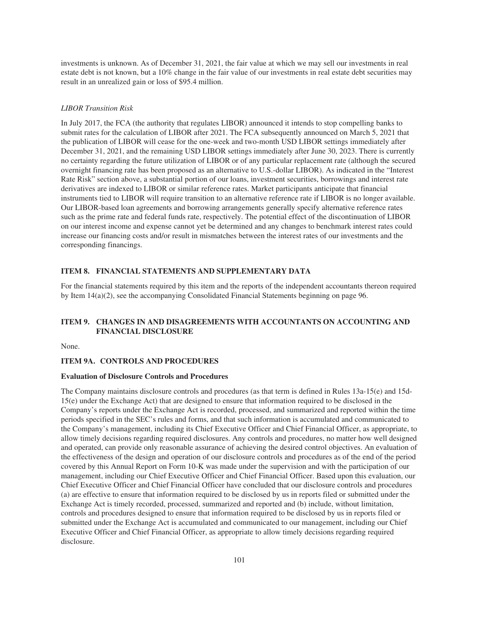investments is unknown. As of December 31, 2021, the fair value at which we may sell our investments in real estate debt is not known, but a 10% change in the fair value of our investments in real estate debt securities may result in an unrealized gain or loss of \$95.4 million.

### *LIBOR Transition Risk*

In July 2017, the FCA (the authority that regulates LIBOR) announced it intends to stop compelling banks to submit rates for the calculation of LIBOR after 2021. The FCA subsequently announced on March 5, 2021 that the publication of LIBOR will cease for the one-week and two-month USD LIBOR settings immediately after December 31, 2021, and the remaining USD LIBOR settings immediately after June 30, 2023. There is currently no certainty regarding the future utilization of LIBOR or of any particular replacement rate (although the secured overnight financing rate has been proposed as an alternative to U.S.-dollar LIBOR). As indicated in the "Interest Rate Risk" section above, a substantial portion of our loans, investment securities, borrowings and interest rate derivatives are indexed to LIBOR or similar reference rates. Market participants anticipate that financial instruments tied to LIBOR will require transition to an alternative reference rate if LIBOR is no longer available. Our LIBOR-based loan agreements and borrowing arrangements generally specify alternative reference rates such as the prime rate and federal funds rate, respectively. The potential effect of the discontinuation of LIBOR on our interest income and expense cannot yet be determined and any changes to benchmark interest rates could increase our financing costs and/or result in mismatches between the interest rates of our investments and the corresponding financings.

## **ITEM 8. FINANCIAL STATEMENTS AND SUPPLEMENTARY DATA**

For the financial statements required by this item and the reports of the independent accountants thereon required by Item 14(a)(2), see the accompanying Consolidated Financial Statements beginning on page 96.

# **ITEM 9. CHANGES IN AND DISAGREEMENTS WITH ACCOUNTANTS ON ACCOUNTING AND FINANCIAL DISCLOSURE**

None.

## **ITEM 9A. CONTROLS AND PROCEDURES**

#### **Evaluation of Disclosure Controls and Procedures**

The Company maintains disclosure controls and procedures (as that term is defined in Rules 13a-15(e) and 15d-15(e) under the Exchange Act) that are designed to ensure that information required to be disclosed in the Company's reports under the Exchange Act is recorded, processed, and summarized and reported within the time periods specified in the SEC's rules and forms, and that such information is accumulated and communicated to the Company's management, including its Chief Executive Officer and Chief Financial Officer, as appropriate, to allow timely decisions regarding required disclosures. Any controls and procedures, no matter how well designed and operated, can provide only reasonable assurance of achieving the desired control objectives. An evaluation of the effectiveness of the design and operation of our disclosure controls and procedures as of the end of the period covered by this Annual Report on Form 10-K was made under the supervision and with the participation of our management, including our Chief Executive Officer and Chief Financial Officer. Based upon this evaluation, our Chief Executive Officer and Chief Financial Officer have concluded that our disclosure controls and procedures (a) are effective to ensure that information required to be disclosed by us in reports filed or submitted under the Exchange Act is timely recorded, processed, summarized and reported and (b) include, without limitation, controls and procedures designed to ensure that information required to be disclosed by us in reports filed or submitted under the Exchange Act is accumulated and communicated to our management, including our Chief Executive Officer and Chief Financial Officer, as appropriate to allow timely decisions regarding required disclosure.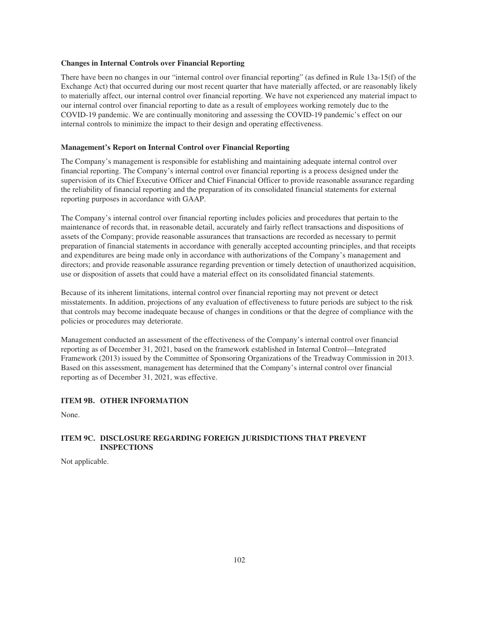#### **Changes in Internal Controls over Financial Reporting**

There have been no changes in our "internal control over financial reporting" (as defined in Rule 13a-15(f) of the Exchange Act) that occurred during our most recent quarter that have materially affected, or are reasonably likely to materially affect, our internal control over financial reporting. We have not experienced any material impact to our internal control over financial reporting to date as a result of employees working remotely due to the COVID-19 pandemic. We are continually monitoring and assessing the COVID-19 pandemic's effect on our internal controls to minimize the impact to their design and operating effectiveness.

### **Management's Report on Internal Control over Financial Reporting**

The Company's management is responsible for establishing and maintaining adequate internal control over financial reporting. The Company's internal control over financial reporting is a process designed under the supervision of its Chief Executive Officer and Chief Financial Officer to provide reasonable assurance regarding the reliability of financial reporting and the preparation of its consolidated financial statements for external reporting purposes in accordance with GAAP.

The Company's internal control over financial reporting includes policies and procedures that pertain to the maintenance of records that, in reasonable detail, accurately and fairly reflect transactions and dispositions of assets of the Company; provide reasonable assurances that transactions are recorded as necessary to permit preparation of financial statements in accordance with generally accepted accounting principles, and that receipts and expenditures are being made only in accordance with authorizations of the Company's management and directors; and provide reasonable assurance regarding prevention or timely detection of unauthorized acquisition, use or disposition of assets that could have a material effect on its consolidated financial statements.

Because of its inherent limitations, internal control over financial reporting may not prevent or detect misstatements. In addition, projections of any evaluation of effectiveness to future periods are subject to the risk that controls may become inadequate because of changes in conditions or that the degree of compliance with the policies or procedures may deteriorate.

Management conducted an assessment of the effectiveness of the Company's internal control over financial reporting as of December 31, 2021, based on the framework established in Internal Control—Integrated Framework (2013) issued by the Committee of Sponsoring Organizations of the Treadway Commission in 2013. Based on this assessment, management has determined that the Company's internal control over financial reporting as of December 31, 2021, was effective.

### **ITEM 9B. OTHER INFORMATION**

None.

# **ITEM 9C. DISCLOSURE REGARDING FOREIGN JURISDICTIONS THAT PREVENT INSPECTIONS**

Not applicable.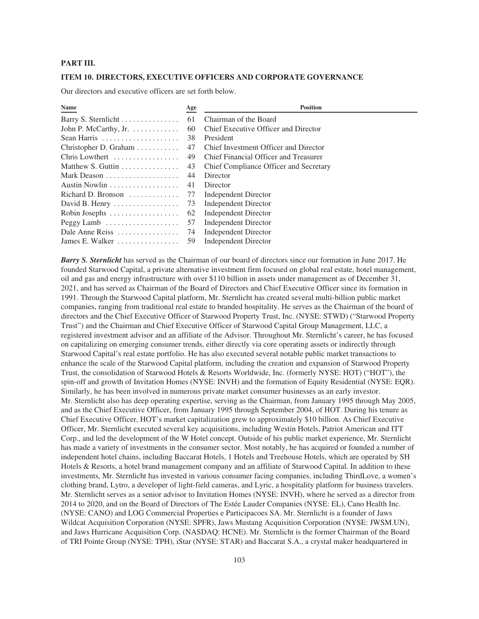# **PART III.**

# **ITEM 10. DIRECTORS, EXECUTIVE OFFICERS AND CORPORATE GOVERNANCE**

Our directors and executive officers are set forth below.

| Name                                               | Age | <b>Position</b>                        |
|----------------------------------------------------|-----|----------------------------------------|
|                                                    | 61  | Chairman of the Board                  |
| John P. McCarthy, Jr. $\dots \dots \dots$          | 60  | Chief Executive Officer and Director   |
| Sean Harris                                        | 38  | President                              |
| Christopher D. Graham                              | 47  | Chief Investment Officer and Director  |
| Chris Lowthert $\dots\dots\dots\dots\dots\dots$    | 49  | Chief Financial Officer and Treasurer  |
| Matthew S. Guttin                                  | 43  | Chief Compliance Officer and Secretary |
| Mark Deason                                        | 44  | Director                               |
| Austin Nowlin                                      | 41  | Director                               |
| Richard D. Bronson                                 | 77  | Independent Director                   |
| David B. Henry $\dots \dots \dots \dots \dots$     | 73  | Independent Director                   |
| Robin Josephs $\dots \dots \dots \dots \dots$      | 62  | Independent Director                   |
| $Peggy$ Lamb $\dots\dots\dots\dots\dots\dots\dots$ | 57  | <b>Independent Director</b>            |
| Dale Anne Reiss                                    | 74  | Independent Director                   |
| James E. Walker $\dots\dots\dots\dots\dots\dots$   | 59  | <b>Independent Director</b>            |

*Barry S. Sternlicht* has served as the Chairman of our board of directors since our formation in June 2017. He founded Starwood Capital, a private alternative investment firm focused on global real estate, hotel management, oil and gas and energy infrastructure with over \$110 billion in assets under management as of December 31, 2021, and has served as Chairman of the Board of Directors and Chief Executive Officer since its formation in 1991. Through the Starwood Capital platform, Mr. Sternlicht has created several multi-billion public market companies, ranging from traditional real estate to branded hospitality. He serves as the Chairman of the board of directors and the Chief Executive Officer of Starwood Property Trust, Inc. (NYSE: STWD) ("Starwood Property Trust") and the Chairman and Chief Executive Officer of Starwood Capital Group Management, LLC, a registered investment advisor and an affiliate of the Advisor. Throughout Mr. Sternlicht's career, he has focused on capitalizing on emerging consumer trends, either directly via core operating assets or indirectly through Starwood Capital's real estate portfolio. He has also executed several notable public market transactions to enhance the scale of the Starwood Capital platform, including the creation and expansion of Starwood Property Trust, the consolidation of Starwood Hotels & Resorts Worldwide, Inc. (formerly NYSE: HOT) ("HOT"), the spin-off and growth of Invitation Homes (NYSE: INVH) and the formation of Equity Residential (NYSE: EQR). Similarly, he has been involved in numerous private market consumer businesses as an early investor. Mr. Sternlicht also has deep operating expertise, serving as the Chairman, from January 1995 through May 2005, and as the Chief Executive Officer, from January 1995 through September 2004, of HOT. During his tenure as Chief Executive Officer, HOT's market capitalization grew to approximately \$10 billion. As Chief Executive Officer, Mr. Sternlicht executed several key acquisitions, including Westin Hotels, Patriot American and ITT Corp., and led the development of the W Hotel concept. Outside of his public market experience, Mr. Sternlicht has made a variety of investments in the consumer sector. Most notably, he has acquired or founded a number of independent hotel chains, including Baccarat Hotels, 1 Hotels and Treehouse Hotels, which are operated by SH Hotels & Resorts, a hotel brand management company and an affiliate of Starwood Capital. In addition to these investments, Mr. Sternlicht has invested in various consumer facing companies, including ThirdLove, a women's clothing brand, Lytro, a developer of light-field cameras, and Lyric, a hospitality platform for business travelers. Mr. Sternlicht serves as a senior advisor to Invitation Homes (NYSE: INVH), where he served as a director from 2014 to 2020, and on the Board of Directors of The Estée Lauder Companies (NYSE: EL), Cano Health Inc. (NYSE: CANO) and LOG Commercial Properties e Participacoes SA. Mr. Sternlicht is a founder of Jaws Wildcat Acquisition Corporation (NYSE: SPFR), Jaws Mustang Acquisition Corporation (NYSE: JWSM.UN), and Jaws Hurricane Acquisition Corp. (NASDAQ: HCNE). Mr. Sternlicht is the former Chairman of the Board of TRI Pointe Group (NYSE: TPH), iStar (NYSE: STAR) and Baccarat S.A., a crystal maker headquartered in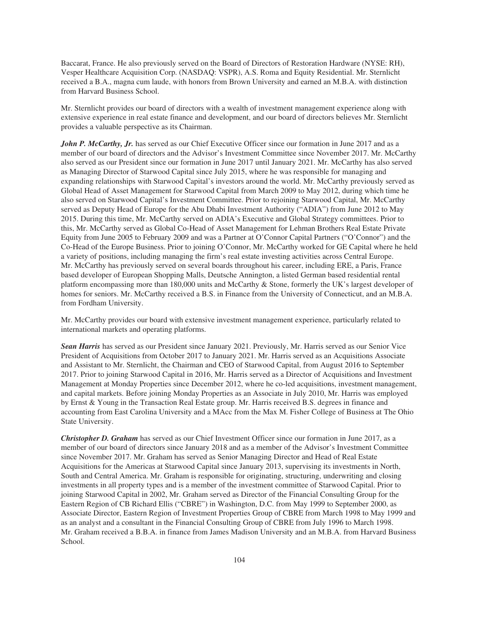Baccarat, France. He also previously served on the Board of Directors of Restoration Hardware (NYSE: RH), Vesper Healthcare Acquisition Corp. (NASDAQ: VSPR), A.S. Roma and Equity Residential. Mr. Sternlicht received a B.A., magna cum laude, with honors from Brown University and earned an M.B.A. with distinction from Harvard Business School.

Mr. Sternlicht provides our board of directors with a wealth of investment management experience along with extensive experience in real estate finance and development, and our board of directors believes Mr. Sternlicht provides a valuable perspective as its Chairman.

*John P. McCarthy, Jr.* has served as our Chief Executive Officer since our formation in June 2017 and as a member of our board of directors and the Advisor's Investment Committee since November 2017. Mr. McCarthy also served as our President since our formation in June 2017 until January 2021. Mr. McCarthy has also served as Managing Director of Starwood Capital since July 2015, where he was responsible for managing and expanding relationships with Starwood Capital's investors around the world. Mr. McCarthy previously served as Global Head of Asset Management for Starwood Capital from March 2009 to May 2012, during which time he also served on Starwood Capital's Investment Committee. Prior to rejoining Starwood Capital, Mr. McCarthy served as Deputy Head of Europe for the Abu Dhabi Investment Authority ("ADIA") from June 2012 to May 2015. During this time, Mr. McCarthy served on ADIA's Executive and Global Strategy committees. Prior to this, Mr. McCarthy served as Global Co-Head of Asset Management for Lehman Brothers Real Estate Private Equity from June 2005 to February 2009 and was a Partner at O'Connor Capital Partners ("O'Connor") and the Co-Head of the Europe Business. Prior to joining O'Connor, Mr. McCarthy worked for GE Capital where he held a variety of positions, including managing the firm's real estate investing activities across Central Europe. Mr. McCarthy has previously served on several boards throughout his career, including ERE, a Paris, France based developer of European Shopping Malls, Deutsche Annington, a listed German based residential rental platform encompassing more than 180,000 units and McCarthy & Stone, formerly the UK's largest developer of homes for seniors. Mr. McCarthy received a B.S. in Finance from the University of Connecticut, and an M.B.A. from Fordham University.

Mr. McCarthy provides our board with extensive investment management experience, particularly related to international markets and operating platforms.

*Sean Harris* has served as our President since January 2021. Previously, Mr. Harris served as our Senior Vice President of Acquisitions from October 2017 to January 2021. Mr. Harris served as an Acquisitions Associate and Assistant to Mr. Sternlicht, the Chairman and CEO of Starwood Capital, from August 2016 to September 2017. Prior to joining Starwood Capital in 2016, Mr. Harris served as a Director of Acquisitions and Investment Management at Monday Properties since December 2012, where he co-led acquisitions, investment management, and capital markets. Before joining Monday Properties as an Associate in July 2010, Mr. Harris was employed by Ernst & Young in the Transaction Real Estate group. Mr. Harris received B.S. degrees in finance and accounting from East Carolina University and a MAcc from the Max M. Fisher College of Business at The Ohio State University.

*Christopher D. Graham* has served as our Chief Investment Officer since our formation in June 2017, as a member of our board of directors since January 2018 and as a member of the Advisor's Investment Committee since November 2017. Mr. Graham has served as Senior Managing Director and Head of Real Estate Acquisitions for the Americas at Starwood Capital since January 2013, supervising its investments in North, South and Central America. Mr. Graham is responsible for originating, structuring, underwriting and closing investments in all property types and is a member of the investment committee of Starwood Capital. Prior to joining Starwood Capital in 2002, Mr. Graham served as Director of the Financial Consulting Group for the Eastern Region of CB Richard Ellis ("CBRE") in Washington, D.C. from May 1999 to September 2000, as Associate Director, Eastern Region of Investment Properties Group of CBRE from March 1998 to May 1999 and as an analyst and a consultant in the Financial Consulting Group of CBRE from July 1996 to March 1998. Mr. Graham received a B.B.A. in finance from James Madison University and an M.B.A. from Harvard Business School.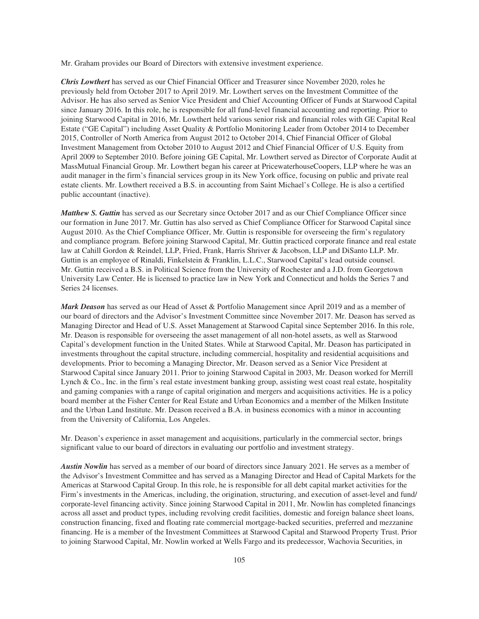Mr. Graham provides our Board of Directors with extensive investment experience.

*Chris Lowthert* has served as our Chief Financial Officer and Treasurer since November 2020, roles he previously held from October 2017 to April 2019. Mr. Lowthert serves on the Investment Committee of the Advisor. He has also served as Senior Vice President and Chief Accounting Officer of Funds at Starwood Capital since January 2016. In this role, he is responsible for all fund-level financial accounting and reporting. Prior to joining Starwood Capital in 2016, Mr. Lowthert held various senior risk and financial roles with GE Capital Real Estate ("GE Capital") including Asset Quality & Portfolio Monitoring Leader from October 2014 to December 2015, Controller of North America from August 2012 to October 2014, Chief Financial Officer of Global Investment Management from October 2010 to August 2012 and Chief Financial Officer of U.S. Equity from April 2009 to September 2010. Before joining GE Capital, Mr. Lowthert served as Director of Corporate Audit at MassMutual Financial Group. Mr. Lowthert began his career at PricewaterhouseCoopers, LLP where he was an audit manager in the firm's financial services group in its New York office, focusing on public and private real estate clients. Mr. Lowthert received a B.S. in accounting from Saint Michael's College. He is also a certified public accountant (inactive).

*Matthew S. Guttin* has served as our Secretary since October 2017 and as our Chief Compliance Officer since our formation in June 2017. Mr. Guttin has also served as Chief Compliance Officer for Starwood Capital since August 2010. As the Chief Compliance Officer, Mr. Guttin is responsible for overseeing the firm's regulatory and compliance program. Before joining Starwood Capital, Mr. Guttin practiced corporate finance and real estate law at Cahill Gordon & Reindel, LLP, Fried, Frank, Harris Shriver & Jacobson, LLP and DiSanto LLP. Mr. Guttin is an employee of Rinaldi, Finkelstein & Franklin, L.L.C., Starwood Capital's lead outside counsel. Mr. Guttin received a B.S. in Political Science from the University of Rochester and a J.D. from Georgetown University Law Center. He is licensed to practice law in New York and Connecticut and holds the Series 7 and Series 24 licenses.

*Mark Deason* has served as our Head of Asset & Portfolio Management since April 2019 and as a member of our board of directors and the Advisor's Investment Committee since November 2017. Mr. Deason has served as Managing Director and Head of U.S. Asset Management at Starwood Capital since September 2016. In this role, Mr. Deason is responsible for overseeing the asset management of all non-hotel assets, as well as Starwood Capital's development function in the United States. While at Starwood Capital, Mr. Deason has participated in investments throughout the capital structure, including commercial, hospitality and residential acquisitions and developments. Prior to becoming a Managing Director, Mr. Deason served as a Senior Vice President at Starwood Capital since January 2011. Prior to joining Starwood Capital in 2003, Mr. Deason worked for Merrill Lynch & Co., Inc. in the firm's real estate investment banking group, assisting west coast real estate, hospitality and gaming companies with a range of capital origination and mergers and acquisitions activities. He is a policy board member at the Fisher Center for Real Estate and Urban Economics and a member of the Milken Institute and the Urban Land Institute. Mr. Deason received a B.A. in business economics with a minor in accounting from the University of California, Los Angeles.

Mr. Deason's experience in asset management and acquisitions, particularly in the commercial sector, brings significant value to our board of directors in evaluating our portfolio and investment strategy.

*Austin Nowlin* has served as a member of our board of directors since January 2021. He serves as a member of the Advisor's Investment Committee and has served as a Managing Director and Head of Capital Markets for the Americas at Starwood Capital Group. In this role, he is responsible for all debt capital market activities for the Firm's investments in the Americas, including, the origination, structuring, and execution of asset-level and fund/ corporate-level financing activity. Since joining Starwood Capital in 2011, Mr. Nowlin has completed financings across all asset and product types, including revolving credit facilities, domestic and foreign balance sheet loans, construction financing, fixed and floating rate commercial mortgage-backed securities, preferred and mezzanine financing. He is a member of the Investment Committees at Starwood Capital and Starwood Property Trust. Prior to joining Starwood Capital, Mr. Nowlin worked at Wells Fargo and its predecessor, Wachovia Securities, in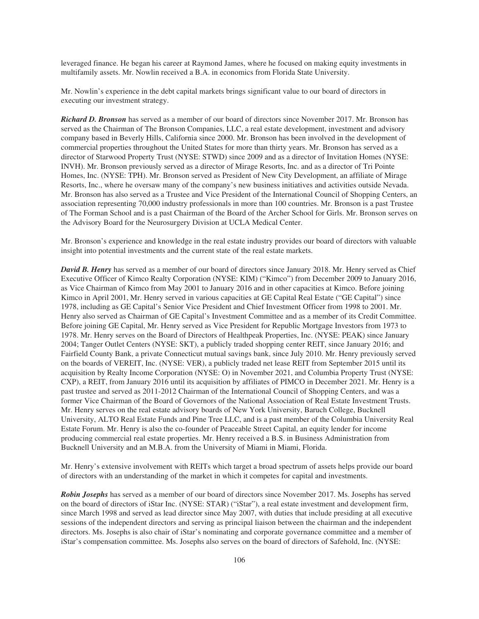leveraged finance. He began his career at Raymond James, where he focused on making equity investments in multifamily assets. Mr. Nowlin received a B.A. in economics from Florida State University.

Mr. Nowlin's experience in the debt capital markets brings significant value to our board of directors in executing our investment strategy.

*Richard D. Bronson* has served as a member of our board of directors since November 2017. Mr. Bronson has served as the Chairman of The Bronson Companies, LLC, a real estate development, investment and advisory company based in Beverly Hills, California since 2000. Mr. Bronson has been involved in the development of commercial properties throughout the United States for more than thirty years. Mr. Bronson has served as a director of Starwood Property Trust (NYSE: STWD) since 2009 and as a director of Invitation Homes (NYSE: INVH). Mr. Bronson previously served as a director of Mirage Resorts, Inc. and as a director of Tri Pointe Homes, Inc. (NYSE: TPH). Mr. Bronson served as President of New City Development, an affiliate of Mirage Resorts, Inc., where he oversaw many of the company's new business initiatives and activities outside Nevada. Mr. Bronson has also served as a Trustee and Vice President of the International Council of Shopping Centers, an association representing 70,000 industry professionals in more than 100 countries. Mr. Bronson is a past Trustee of The Forman School and is a past Chairman of the Board of the Archer School for Girls. Mr. Bronson serves on the Advisory Board for the Neurosurgery Division at UCLA Medical Center.

Mr. Bronson's experience and knowledge in the real estate industry provides our board of directors with valuable insight into potential investments and the current state of the real estate markets.

*David B. Henry* has served as a member of our board of directors since January 2018. Mr. Henry served as Chief Executive Officer of Kimco Realty Corporation (NYSE: KIM) ("Kimco") from December 2009 to January 2016, as Vice Chairman of Kimco from May 2001 to January 2016 and in other capacities at Kimco. Before joining Kimco in April 2001, Mr. Henry served in various capacities at GE Capital Real Estate ("GE Capital") since 1978, including as GE Capital's Senior Vice President and Chief Investment Officer from 1998 to 2001. Mr. Henry also served as Chairman of GE Capital's Investment Committee and as a member of its Credit Committee. Before joining GE Capital, Mr. Henry served as Vice President for Republic Mortgage Investors from 1973 to 1978. Mr. Henry serves on the Board of Directors of Healthpeak Properties, Inc. (NYSE: PEAK) since January 2004; Tanger Outlet Centers (NYSE: SKT), a publicly traded shopping center REIT, since January 2016; and Fairfield County Bank, a private Connecticut mutual savings bank, since July 2010. Mr. Henry previously served on the boards of VEREIT, Inc. (NYSE: VER), a publicly traded net lease REIT from September 2015 until its acquisition by Realty Income Corporation (NYSE: O) in November 2021, and Columbia Property Trust (NYSE: CXP), a REIT, from January 2016 until its acquisition by affiliates of PIMCO in December 2021. Mr. Henry is a past trustee and served as 2011-2012 Chairman of the International Council of Shopping Centers, and was a former Vice Chairman of the Board of Governors of the National Association of Real Estate Investment Trusts. Mr. Henry serves on the real estate advisory boards of New York University, Baruch College, Bucknell University, ALTO Real Estate Funds and Pine Tree LLC, and is a past member of the Columbia University Real Estate Forum. Mr. Henry is also the co-founder of Peaceable Street Capital, an equity lender for income producing commercial real estate properties. Mr. Henry received a B.S. in Business Administration from Bucknell University and an M.B.A. from the University of Miami in Miami, Florida.

Mr. Henry's extensive involvement with REITs which target a broad spectrum of assets helps provide our board of directors with an understanding of the market in which it competes for capital and investments.

*Robin Josephs* has served as a member of our board of directors since November 2017. Ms. Josephs has served on the board of directors of iStar Inc. (NYSE: STAR) ("iStar"), a real estate investment and development firm, since March 1998 and served as lead director since May 2007, with duties that include presiding at all executive sessions of the independent directors and serving as principal liaison between the chairman and the independent directors. Ms. Josephs is also chair of iStar's nominating and corporate governance committee and a member of iStar's compensation committee. Ms. Josephs also serves on the board of directors of Safehold, Inc. (NYSE: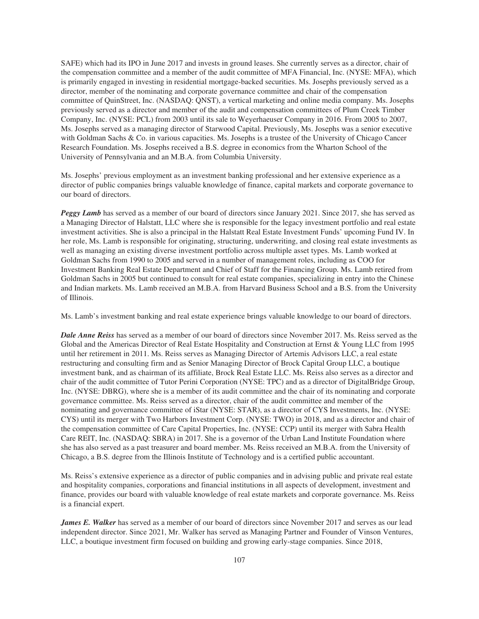SAFE) which had its IPO in June 2017 and invests in ground leases. She currently serves as a director, chair of the compensation committee and a member of the audit committee of MFA Financial, Inc. (NYSE: MFA), which is primarily engaged in investing in residential mortgage-backed securities. Ms. Josephs previously served as a director, member of the nominating and corporate governance committee and chair of the compensation committee of QuinStreet, Inc. (NASDAQ: QNST), a vertical marketing and online media company. Ms. Josephs previously served as a director and member of the audit and compensation committees of Plum Creek Timber Company, Inc. (NYSE: PCL) from 2003 until its sale to Weyerhaeuser Company in 2016. From 2005 to 2007, Ms. Josephs served as a managing director of Starwood Capital. Previously, Ms. Josephs was a senior executive with Goldman Sachs & Co. in various capacities. Ms. Josephs is a trustee of the University of Chicago Cancer Research Foundation. Ms. Josephs received a B.S. degree in economics from the Wharton School of the University of Pennsylvania and an M.B.A. from Columbia University.

Ms. Josephs' previous employment as an investment banking professional and her extensive experience as a director of public companies brings valuable knowledge of finance, capital markets and corporate governance to our board of directors.

*Peggy Lamb* has served as a member of our board of directors since January 2021. Since 2017, she has served as a Managing Director of Halstatt, LLC where she is responsible for the legacy investment portfolio and real estate investment activities. She is also a principal in the Halstatt Real Estate Investment Funds' upcoming Fund IV. In her role, Ms. Lamb is responsible for originating, structuring, underwriting, and closing real estate investments as well as managing an existing diverse investment portfolio across multiple asset types. Ms. Lamb worked at Goldman Sachs from 1990 to 2005 and served in a number of management roles, including as COO for Investment Banking Real Estate Department and Chief of Staff for the Financing Group. Ms. Lamb retired from Goldman Sachs in 2005 but continued to consult for real estate companies, specializing in entry into the Chinese and Indian markets. Ms. Lamb received an M.B.A. from Harvard Business School and a B.S. from the University of Illinois.

Ms. Lamb's investment banking and real estate experience brings valuable knowledge to our board of directors.

*Dale Anne Reiss* has served as a member of our board of directors since November 2017. Ms. Reiss served as the Global and the Americas Director of Real Estate Hospitality and Construction at Ernst & Young LLC from 1995 until her retirement in 2011. Ms. Reiss serves as Managing Director of Artemis Advisors LLC, a real estate restructuring and consulting firm and as Senior Managing Director of Brock Capital Group LLC, a boutique investment bank, and as chairman of its affiliate, Brock Real Estate LLC. Ms. Reiss also serves as a director and chair of the audit committee of Tutor Perini Corporation (NYSE: TPC) and as a director of DigitalBridge Group, Inc. (NYSE: DBRG), where she is a member of its audit committee and the chair of its nominating and corporate governance committee. Ms. Reiss served as a director, chair of the audit committee and member of the nominating and governance committee of iStar (NYSE: STAR), as a director of CYS Investments, Inc. (NYSE: CYS) until its merger with Two Harbors Investment Corp. (NYSE: TWO) in 2018, and as a director and chair of the compensation committee of Care Capital Properties, Inc. (NYSE: CCP) until its merger with Sabra Health Care REIT, Inc. (NASDAQ: SBRA) in 2017. She is a governor of the Urban Land Institute Foundation where she has also served as a past treasurer and board member. Ms. Reiss received an M.B.A. from the University of Chicago, a B.S. degree from the Illinois Institute of Technology and is a certified public accountant.

Ms. Reiss's extensive experience as a director of public companies and in advising public and private real estate and hospitality companies, corporations and financial institutions in all aspects of development, investment and finance, provides our board with valuable knowledge of real estate markets and corporate governance. Ms. Reiss is a financial expert.

*James E. Walker* has served as a member of our board of directors since November 2017 and serves as our lead independent director. Since 2021, Mr. Walker has served as Managing Partner and Founder of Vinson Ventures, LLC, a boutique investment firm focused on building and growing early-stage companies. Since 2018,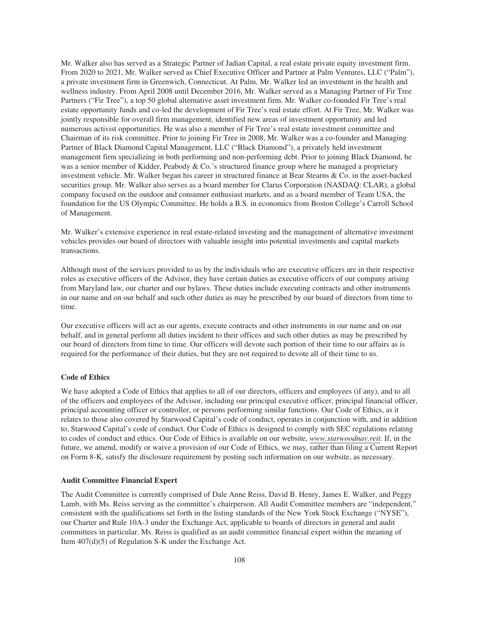Mr. Walker also has served as a Strategic Partner of Jadian Capital, a real estate private equity investment firm. From 2020 to 2021, Mr. Walker served as Chief Executive Officer and Partner at Palm Ventures, LLC ("Palm"), a private investment firm in Greenwich, Connecticut. At Palm, Mr. Walker led an investment in the health and wellness industry. From April 2008 until December 2016, Mr. Walker served as a Managing Partner of Fir Tree Partners ("Fir Tree"), a top 50 global alternative asset investment firm. Mr. Walker co-founded Fir Tree's real estate opportunity funds and co-led the development of Fir Tree's real estate effort. At Fir Tree, Mr. Walker was jointly responsible for overall firm management, identified new areas of investment opportunity and led numerous activist opportunities. He was also a member of Fir Tree's real estate investment committee and Chairman of its risk committee. Prior to joining Fir Tree in 2008, Mr. Walker was a co-founder and Managing Partner of Black Diamond Capital Management, LLC ("Black Diamond"), a privately held investment management firm specializing in both performing and non-performing debt. Prior to joining Black Diamond, he was a senior member of Kidder, Peabody & Co.'s structured finance group where he managed a proprietary investment vehicle. Mr. Walker began his career in structured finance at Bear Stearns & Co. in the asset-backed securities group. Mr. Walker also serves as a board member for Clarus Corporation (NASDAQ: CLAR), a global company focused on the outdoor and consumer enthusiast markets, and as a board member of Team USA, the foundation for the US Olympic Committee. He holds a B.S. in economics from Boston College's Carroll School of Management.

Mr. Walker's extensive experience in real estate-related investing and the management of alternative investment vehicles provides our board of directors with valuable insight into potential investments and capital markets transactions.

Although most of the services provided to us by the individuals who are executive officers are in their respective roles as executive officers of the Advisor, they have certain duties as executive officers of our company arising from Maryland law, our charter and our bylaws. These duties include executing contracts and other instruments in our name and on our behalf and such other duties as may be prescribed by our board of directors from time to time.

Our executive officers will act as our agents, execute contracts and other instruments in our name and on our behalf, and in general perform all duties incident to their offices and such other duties as may be prescribed by our board of directors from time to time. Our officers will devote such portion of their time to our affairs as is required for the performance of their duties, but they are not required to devote all of their time to us.

#### **Code of Ethics**

We have adopted a Code of Ethics that applies to all of our directors, officers and employees (if any), and to all of the officers and employees of the Advisor, including our principal executive officer, principal financial officer, principal accounting officer or controller, or persons performing similar functions. Our Code of Ethics, as it relates to those also covered by Starwood Capital's code of conduct, operates in conjunction with, and in addition to, Starwood Capital's code of conduct. Our Code of Ethics is designed to comply with SEC regulations relating to codes of conduct and ethics. Our Code of Ethics is available on our website, *www.starwoodnav.reit.* If, in the future, we amend, modify or waive a provision of our Code of Ethics, we may, rather than filing a Current Report on Form 8-K, satisfy the disclosure requirement by posting such information on our website, as necessary.

#### **Audit Committee Financial Expert**

The Audit Committee is currently comprised of Dale Anne Reiss, David B. Henry, James E. Walker, and Peggy Lamb, with Ms. Reiss serving as the committee's chairperson. All Audit Committee members are "independent," consistent with the qualifications set forth in the listing standards of the New York Stock Exchange ("NYSE"), our Charter and Rule 10A-3 under the Exchange Act, applicable to boards of directors in general and audit committees in particular. Ms. Reiss is qualified as an audit committee financial expert within the meaning of Item 407(d)(5) of Regulation S-K under the Exchange Act.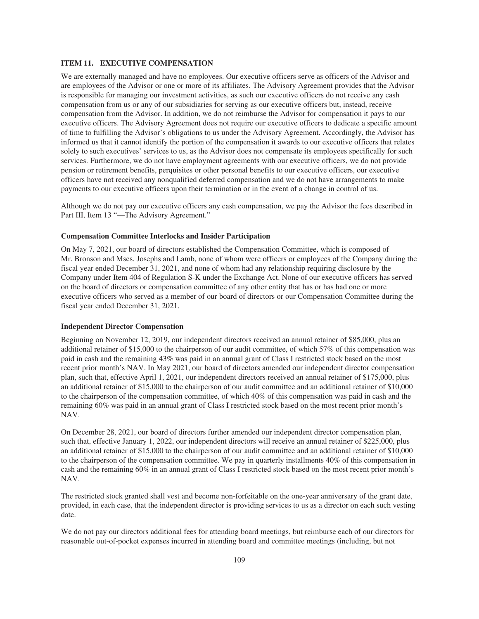#### **ITEM 11. EXECUTIVE COMPENSATION**

We are externally managed and have no employees. Our executive officers serve as officers of the Advisor and are employees of the Advisor or one or more of its affiliates. The Advisory Agreement provides that the Advisor is responsible for managing our investment activities, as such our executive officers do not receive any cash compensation from us or any of our subsidiaries for serving as our executive officers but, instead, receive compensation from the Advisor. In addition, we do not reimburse the Advisor for compensation it pays to our executive officers. The Advisory Agreement does not require our executive officers to dedicate a specific amount of time to fulfilling the Advisor's obligations to us under the Advisory Agreement. Accordingly, the Advisor has informed us that it cannot identify the portion of the compensation it awards to our executive officers that relates solely to such executives' services to us, as the Advisor does not compensate its employees specifically for such services. Furthermore, we do not have employment agreements with our executive officers, we do not provide pension or retirement benefits, perquisites or other personal benefits to our executive officers, our executive officers have not received any nonqualified deferred compensation and we do not have arrangements to make payments to our executive officers upon their termination or in the event of a change in control of us.

Although we do not pay our executive officers any cash compensation, we pay the Advisor the fees described in Part III, Item 13 "-The Advisory Agreement."

#### **Compensation Committee Interlocks and Insider Participation**

On May 7, 2021, our board of directors established the Compensation Committee, which is composed of Mr. Bronson and Mses. Josephs and Lamb, none of whom were officers or employees of the Company during the fiscal year ended December 31, 2021, and none of whom had any relationship requiring disclosure by the Company under Item 404 of Regulation S-K under the Exchange Act. None of our executive officers has served on the board of directors or compensation committee of any other entity that has or has had one or more executive officers who served as a member of our board of directors or our Compensation Committee during the fiscal year ended December 31, 2021.

#### **Independent Director Compensation**

Beginning on November 12, 2019, our independent directors received an annual retainer of \$85,000, plus an additional retainer of \$15,000 to the chairperson of our audit committee, of which 57% of this compensation was paid in cash and the remaining 43% was paid in an annual grant of Class I restricted stock based on the most recent prior month's NAV. In May 2021, our board of directors amended our independent director compensation plan, such that, effective April 1, 2021, our independent directors received an annual retainer of \$175,000, plus an additional retainer of \$15,000 to the chairperson of our audit committee and an additional retainer of \$10,000 to the chairperson of the compensation committee, of which 40% of this compensation was paid in cash and the remaining 60% was paid in an annual grant of Class I restricted stock based on the most recent prior month's NAV.

On December 28, 2021, our board of directors further amended our independent director compensation plan, such that, effective January 1, 2022, our independent directors will receive an annual retainer of \$225,000, plus an additional retainer of \$15,000 to the chairperson of our audit committee and an additional retainer of \$10,000 to the chairperson of the compensation committee. We pay in quarterly installments 40% of this compensation in cash and the remaining 60% in an annual grant of Class I restricted stock based on the most recent prior month's NAV.

The restricted stock granted shall vest and become non-forfeitable on the one-year anniversary of the grant date, provided, in each case, that the independent director is providing services to us as a director on each such vesting date.

We do not pay our directors additional fees for attending board meetings, but reimburse each of our directors for reasonable out-of-pocket expenses incurred in attending board and committee meetings (including, but not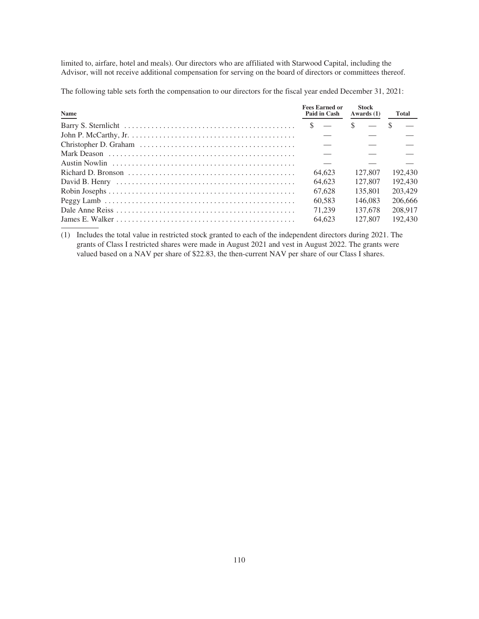limited to, airfare, hotel and meals). Our directors who are affiliated with Starwood Capital, including the Advisor, will not receive additional compensation for serving on the board of directors or committees thereof.

The following table sets forth the compensation to our directors for the fiscal year ended December 31, 2021:

| Name | <b>Fees Earned or</b><br>Paid in Cash | <b>Stock</b><br>Awards $(1)$ | <b>Total</b> |
|------|---------------------------------------|------------------------------|--------------|
|      | <sup>S</sup>                          |                              |              |
|      |                                       |                              |              |
|      |                                       |                              |              |
|      |                                       |                              |              |
|      |                                       |                              |              |
|      | 64.623                                | 127,807                      | 192,430      |
|      | 64.623                                | 127.807                      | 192,430      |
|      | 67.628                                | 135,801                      | 203,429      |
|      | 60.583                                | 146,083                      | 206,666      |
|      | 71.239                                | 137.678                      | 208.917      |
|      | 64.623                                | 127.807                      | 192.430      |

(1) Includes the total value in restricted stock granted to each of the independent directors during 2021. The grants of Class I restricted shares were made in August 2021 and vest in August 2022. The grants were valued based on a NAV per share of \$22.83, the then-current NAV per share of our Class I shares.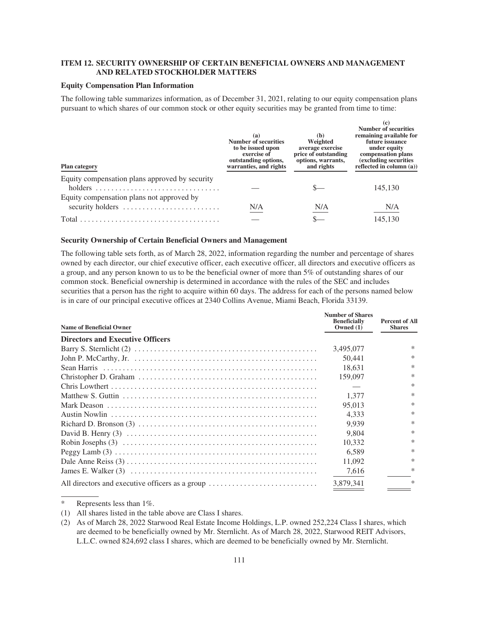# **ITEM 12. SECURITY OWNERSHIP OF CERTAIN BENEFICIAL OWNERS AND MANAGEMENT AND RELATED STOCKHOLDER MATTERS**

### **Equity Compensation Plan Information**

The following table summarizes information, as of December 31, 2021, relating to our equity compensation plans pursuant to which shares of our common stock or other equity securities may be granted from time to time:

| <b>Plan category</b>                           | (a)<br><b>Number of securities</b><br>to be issued upon<br>exercise of<br>outstanding options,<br>warranties, and rights | (b)<br>Weighted<br>average exercise<br>price of outstanding<br>options, warrants,<br>and rights | Number of securities<br>remaining available for<br>future issuance<br>under equity<br>compensation plans<br>(excluding securities)<br>reflected in column (a)) |
|------------------------------------------------|--------------------------------------------------------------------------------------------------------------------------|-------------------------------------------------------------------------------------------------|----------------------------------------------------------------------------------------------------------------------------------------------------------------|
| Equity compensation plans approved by security |                                                                                                                          |                                                                                                 | 145,130                                                                                                                                                        |
| Equity compensation plans not approved by      |                                                                                                                          |                                                                                                 |                                                                                                                                                                |
| security holders                               | N/A                                                                                                                      | N/A                                                                                             | N/A                                                                                                                                                            |
|                                                |                                                                                                                          |                                                                                                 | 145,130                                                                                                                                                        |

# **Security Ownership of Certain Beneficial Owners and Management**

The following table sets forth, as of March 28, 2022, information regarding the number and percentage of shares owned by each director, our chief executive officer, each executive officer, all directors and executive officers as a group, and any person known to us to be the beneficial owner of more than 5% of outstanding shares of our common stock. Beneficial ownership is determined in accordance with the rules of the SEC and includes securities that a person has the right to acquire within 60 days. The address for each of the persons named below is in care of our principal executive offices at 2340 Collins Avenue, Miami Beach, Florida 33139.

| <b>Name of Beneficial Owner</b>                 | <b>Number of Shares</b><br><b>Beneficially</b><br>Owned $(1)$ | <b>Percent of All</b><br><b>Shares</b> |
|-------------------------------------------------|---------------------------------------------------------------|----------------------------------------|
| <b>Directors and Executive Officers</b>         |                                                               |                                        |
|                                                 | 3,495,077                                                     |                                        |
|                                                 | 50.441                                                        |                                        |
|                                                 | 18.631                                                        |                                        |
|                                                 | 159,097                                                       |                                        |
|                                                 |                                                               |                                        |
|                                                 | 1,377                                                         |                                        |
|                                                 | 95,013                                                        |                                        |
|                                                 | 4.333                                                         |                                        |
|                                                 | 9,939                                                         |                                        |
|                                                 | 9,804                                                         |                                        |
|                                                 | 10,332                                                        |                                        |
|                                                 | 6,589                                                         |                                        |
|                                                 | 11,092                                                        |                                        |
|                                                 | 7,616                                                         |                                        |
| All directors and executive officers as a group | 3.879.341                                                     | $\ast$                                 |

Represents less than 1%.

<sup>(1)</sup> All shares listed in the table above are Class I shares.

<sup>(2)</sup> As of March 28, 2022 Starwood Real Estate Income Holdings, L.P. owned 252,224 Class I shares, which are deemed to be beneficially owned by Mr. Sternlicht. As of March 28, 2022, Starwood REIT Advisors, L.L.C. owned 824,692 class I shares, which are deemed to be beneficially owned by Mr. Sternlicht.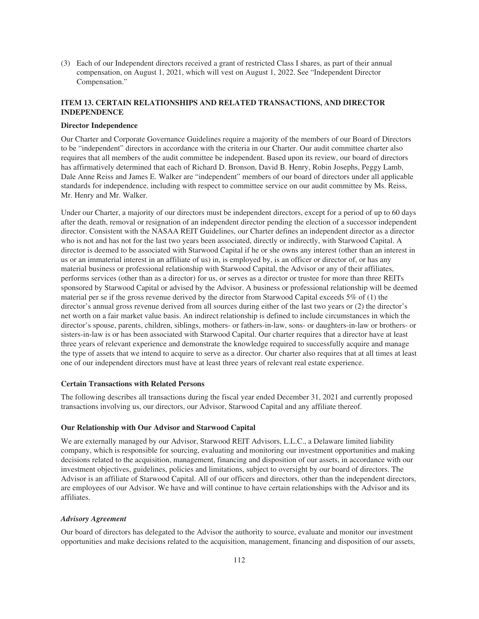(3) Each of our Independent directors received a grant of restricted Class I shares, as part of their annual compensation, on August 1, 2021, which will vest on August 1, 2022. See "Independent Director Compensation."

# **ITEM 13. CERTAIN RELATIONSHIPS AND RELATED TRANSACTIONS, AND DIRECTOR INDEPENDENCE**

#### **Director Independence**

Our Charter and Corporate Governance Guidelines require a majority of the members of our Board of Directors to be "independent" directors in accordance with the criteria in our Charter. Our audit committee charter also requires that all members of the audit committee be independent. Based upon its review, our board of directors has affirmatively determined that each of Richard D. Bronson, David B. Henry, Robin Josephs, Peggy Lamb, Dale Anne Reiss and James E. Walker are "independent" members of our board of directors under all applicable standards for independence, including with respect to committee service on our audit committee by Ms. Reiss, Mr. Henry and Mr. Walker.

Under our Charter, a majority of our directors must be independent directors, except for a period of up to 60 days after the death, removal or resignation of an independent director pending the election of a successor independent director. Consistent with the NASAA REIT Guidelines, our Charter defines an independent director as a director who is not and has not for the last two years been associated, directly or indirectly, with Starwood Capital. A director is deemed to be associated with Starwood Capital if he or she owns any interest (other than an interest in us or an immaterial interest in an affiliate of us) in, is employed by, is an officer or director of, or has any material business or professional relationship with Starwood Capital, the Advisor or any of their affiliates, performs services (other than as a director) for us, or serves as a director or trustee for more than three REITs sponsored by Starwood Capital or advised by the Advisor. A business or professional relationship will be deemed material per se if the gross revenue derived by the director from Starwood Capital exceeds 5% of (1) the director's annual gross revenue derived from all sources during either of the last two years or (2) the director's net worth on a fair market value basis. An indirect relationship is defined to include circumstances in which the director's spouse, parents, children, siblings, mothers- or fathers-in-law, sons- or daughters-in-law or brothers- or sisters-in-law is or has been associated with Starwood Capital. Our charter requires that a director have at least three years of relevant experience and demonstrate the knowledge required to successfully acquire and manage the type of assets that we intend to acquire to serve as a director. Our charter also requires that at all times at least one of our independent directors must have at least three years of relevant real estate experience.

#### **Certain Transactions with Related Persons**

The following describes all transactions during the fiscal year ended December 31, 2021 and currently proposed transactions involving us, our directors, our Advisor, Starwood Capital and any affiliate thereof.

#### **Our Relationship with Our Advisor and Starwood Capital**

We are externally managed by our Advisor, Starwood REIT Advisors, L.L.C., a Delaware limited liability company, which is responsible for sourcing, evaluating and monitoring our investment opportunities and making decisions related to the acquisition, management, financing and disposition of our assets, in accordance with our investment objectives, guidelines, policies and limitations, subject to oversight by our board of directors. The Advisor is an affiliate of Starwood Capital. All of our officers and directors, other than the independent directors, are employees of our Advisor. We have and will continue to have certain relationships with the Advisor and its affiliates.

#### *Advisory Agreement*

Our board of directors has delegated to the Advisor the authority to source, evaluate and monitor our investment opportunities and make decisions related to the acquisition, management, financing and disposition of our assets,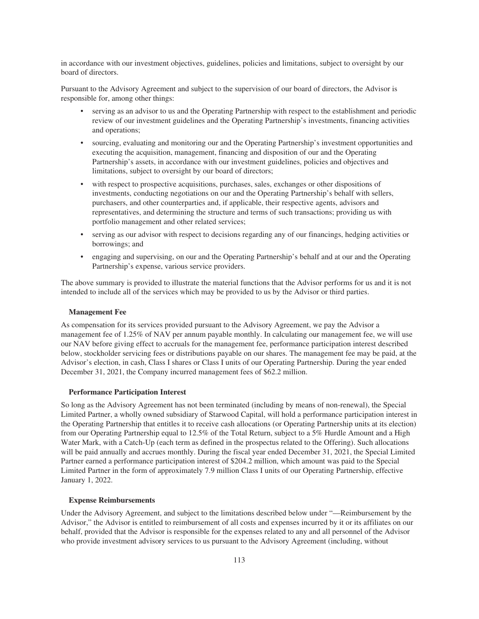in accordance with our investment objectives, guidelines, policies and limitations, subject to oversight by our board of directors.

Pursuant to the Advisory Agreement and subject to the supervision of our board of directors, the Advisor is responsible for, among other things:

- serving as an advisor to us and the Operating Partnership with respect to the establishment and periodic review of our investment guidelines and the Operating Partnership's investments, financing activities and operations;
- sourcing, evaluating and monitoring our and the Operating Partnership's investment opportunities and executing the acquisition, management, financing and disposition of our and the Operating Partnership's assets, in accordance with our investment guidelines, policies and objectives and limitations, subject to oversight by our board of directors;
- with respect to prospective acquisitions, purchases, sales, exchanges or other dispositions of investments, conducting negotiations on our and the Operating Partnership's behalf with sellers, purchasers, and other counterparties and, if applicable, their respective agents, advisors and representatives, and determining the structure and terms of such transactions; providing us with portfolio management and other related services;
- serving as our advisor with respect to decisions regarding any of our financings, hedging activities or borrowings; and
- engaging and supervising, on our and the Operating Partnership's behalf and at our and the Operating Partnership's expense, various service providers.

The above summary is provided to illustrate the material functions that the Advisor performs for us and it is not intended to include all of the services which may be provided to us by the Advisor or third parties.

#### **Management Fee**

As compensation for its services provided pursuant to the Advisory Agreement, we pay the Advisor a management fee of 1.25% of NAV per annum payable monthly. In calculating our management fee, we will use our NAV before giving effect to accruals for the management fee, performance participation interest described below, stockholder servicing fees or distributions payable on our shares. The management fee may be paid, at the Advisor's election, in cash, Class I shares or Class I units of our Operating Partnership. During the year ended December 31, 2021, the Company incurred management fees of \$62.2 million.

#### **Performance Participation Interest**

So long as the Advisory Agreement has not been terminated (including by means of non-renewal), the Special Limited Partner, a wholly owned subsidiary of Starwood Capital, will hold a performance participation interest in the Operating Partnership that entitles it to receive cash allocations (or Operating Partnership units at its election) from our Operating Partnership equal to 12.5% of the Total Return, subject to a 5% Hurdle Amount and a High Water Mark, with a Catch-Up (each term as defined in the prospectus related to the Offering). Such allocations will be paid annually and accrues monthly. During the fiscal year ended December 31, 2021, the Special Limited Partner earned a performance participation interest of \$204.2 million, which amount was paid to the Special Limited Partner in the form of approximately 7.9 million Class I units of our Operating Partnership, effective January 1, 2022.

#### **Expense Reimbursements**

Under the Advisory Agreement, and subject to the limitations described below under "—Reimbursement by the Advisor," the Advisor is entitled to reimbursement of all costs and expenses incurred by it or its affiliates on our behalf, provided that the Advisor is responsible for the expenses related to any and all personnel of the Advisor who provide investment advisory services to us pursuant to the Advisory Agreement (including, without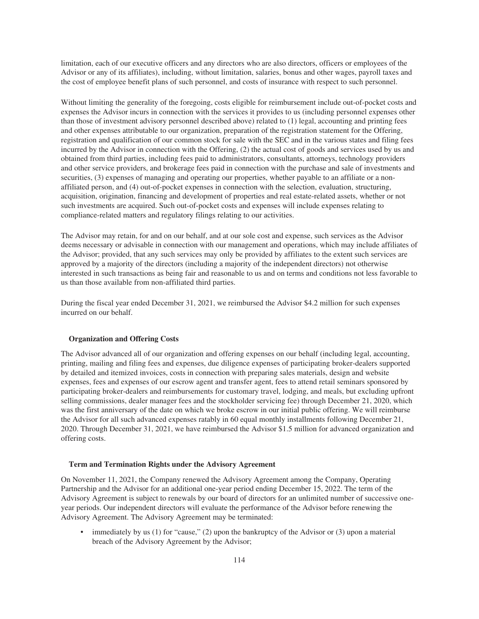limitation, each of our executive officers and any directors who are also directors, officers or employees of the Advisor or any of its affiliates), including, without limitation, salaries, bonus and other wages, payroll taxes and the cost of employee benefit plans of such personnel, and costs of insurance with respect to such personnel.

Without limiting the generality of the foregoing, costs eligible for reimbursement include out-of-pocket costs and expenses the Advisor incurs in connection with the services it provides to us (including personnel expenses other than those of investment advisory personnel described above) related to (1) legal, accounting and printing fees and other expenses attributable to our organization, preparation of the registration statement for the Offering, registration and qualification of our common stock for sale with the SEC and in the various states and filing fees incurred by the Advisor in connection with the Offering, (2) the actual cost of goods and services used by us and obtained from third parties, including fees paid to administrators, consultants, attorneys, technology providers and other service providers, and brokerage fees paid in connection with the purchase and sale of investments and securities, (3) expenses of managing and operating our properties, whether payable to an affiliate or a nonaffiliated person, and (4) out-of-pocket expenses in connection with the selection, evaluation, structuring, acquisition, origination, financing and development of properties and real estate-related assets, whether or not such investments are acquired. Such out-of-pocket costs and expenses will include expenses relating to compliance-related matters and regulatory filings relating to our activities.

The Advisor may retain, for and on our behalf, and at our sole cost and expense, such services as the Advisor deems necessary or advisable in connection with our management and operations, which may include affiliates of the Advisor; provided, that any such services may only be provided by affiliates to the extent such services are approved by a majority of the directors (including a majority of the independent directors) not otherwise interested in such transactions as being fair and reasonable to us and on terms and conditions not less favorable to us than those available from non-affiliated third parties.

During the fiscal year ended December 31, 2021, we reimbursed the Advisor \$4.2 million for such expenses incurred on our behalf.

# **Organization and Offering Costs**

The Advisor advanced all of our organization and offering expenses on our behalf (including legal, accounting, printing, mailing and filing fees and expenses, due diligence expenses of participating broker-dealers supported by detailed and itemized invoices, costs in connection with preparing sales materials, design and website expenses, fees and expenses of our escrow agent and transfer agent, fees to attend retail seminars sponsored by participating broker-dealers and reimbursements for customary travel, lodging, and meals, but excluding upfront selling commissions, dealer manager fees and the stockholder servicing fee) through December 21, 2020, which was the first anniversary of the date on which we broke escrow in our initial public offering. We will reimburse the Advisor for all such advanced expenses ratably in 60 equal monthly installments following December 21, 2020. Through December 31, 2021, we have reimbursed the Advisor \$1.5 million for advanced organization and offering costs.

#### **Term and Termination Rights under the Advisory Agreement**

On November 11, 2021, the Company renewed the Advisory Agreement among the Company, Operating Partnership and the Advisor for an additional one-year period ending December 15, 2022. The term of the Advisory Agreement is subject to renewals by our board of directors for an unlimited number of successive oneyear periods. Our independent directors will evaluate the performance of the Advisor before renewing the Advisory Agreement. The Advisory Agreement may be terminated:

• immediately by us (1) for "cause," (2) upon the bankruptcy of the Advisor or (3) upon a material breach of the Advisory Agreement by the Advisor;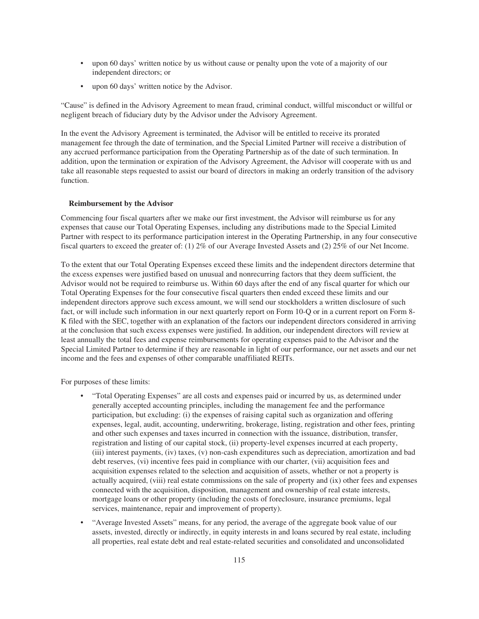- upon 60 days' written notice by us without cause or penalty upon the vote of a majority of our independent directors; or
- upon 60 days' written notice by the Advisor.

"Cause" is defined in the Advisory Agreement to mean fraud, criminal conduct, willful misconduct or willful or negligent breach of fiduciary duty by the Advisor under the Advisory Agreement.

In the event the Advisory Agreement is terminated, the Advisor will be entitled to receive its prorated management fee through the date of termination, and the Special Limited Partner will receive a distribution of any accrued performance participation from the Operating Partnership as of the date of such termination. In addition, upon the termination or expiration of the Advisory Agreement, the Advisor will cooperate with us and take all reasonable steps requested to assist our board of directors in making an orderly transition of the advisory function.

#### **Reimbursement by the Advisor**

Commencing four fiscal quarters after we make our first investment, the Advisor will reimburse us for any expenses that cause our Total Operating Expenses, including any distributions made to the Special Limited Partner with respect to its performance participation interest in the Operating Partnership, in any four consecutive fiscal quarters to exceed the greater of: (1) 2% of our Average Invested Assets and (2) 25% of our Net Income.

To the extent that our Total Operating Expenses exceed these limits and the independent directors determine that the excess expenses were justified based on unusual and nonrecurring factors that they deem sufficient, the Advisor would not be required to reimburse us. Within 60 days after the end of any fiscal quarter for which our Total Operating Expenses for the four consecutive fiscal quarters then ended exceed these limits and our independent directors approve such excess amount, we will send our stockholders a written disclosure of such fact, or will include such information in our next quarterly report on Form 10-Q or in a current report on Form 8- K filed with the SEC, together with an explanation of the factors our independent directors considered in arriving at the conclusion that such excess expenses were justified. In addition, our independent directors will review at least annually the total fees and expense reimbursements for operating expenses paid to the Advisor and the Special Limited Partner to determine if they are reasonable in light of our performance, our net assets and our net income and the fees and expenses of other comparable unaffiliated REITs.

For purposes of these limits:

- "Total Operating Expenses" are all costs and expenses paid or incurred by us, as determined under generally accepted accounting principles, including the management fee and the performance participation, but excluding: (i) the expenses of raising capital such as organization and offering expenses, legal, audit, accounting, underwriting, brokerage, listing, registration and other fees, printing and other such expenses and taxes incurred in connection with the issuance, distribution, transfer, registration and listing of our capital stock, (ii) property-level expenses incurred at each property, (iii) interest payments, (iv) taxes, (v) non-cash expenditures such as depreciation, amortization and bad debt reserves, (vi) incentive fees paid in compliance with our charter, (vii) acquisition fees and acquisition expenses related to the selection and acquisition of assets, whether or not a property is actually acquired, (viii) real estate commissions on the sale of property and (ix) other fees and expenses connected with the acquisition, disposition, management and ownership of real estate interests, mortgage loans or other property (including the costs of foreclosure, insurance premiums, legal services, maintenance, repair and improvement of property).
- "Average Invested Assets" means, for any period, the average of the aggregate book value of our assets, invested, directly or indirectly, in equity interests in and loans secured by real estate, including all properties, real estate debt and real estate-related securities and consolidated and unconsolidated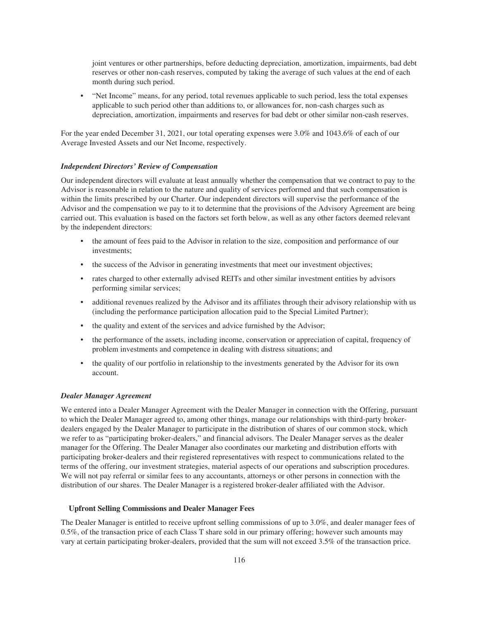joint ventures or other partnerships, before deducting depreciation, amortization, impairments, bad debt reserves or other non-cash reserves, computed by taking the average of such values at the end of each month during such period.

• "Net Income" means, for any period, total revenues applicable to such period, less the total expenses applicable to such period other than additions to, or allowances for, non-cash charges such as depreciation, amortization, impairments and reserves for bad debt or other similar non-cash reserves.

For the year ended December 31, 2021, our total operating expenses were 3.0% and 1043.6% of each of our Average Invested Assets and our Net Income, respectively.

#### *Independent Directors' Review of Compensation*

Our independent directors will evaluate at least annually whether the compensation that we contract to pay to the Advisor is reasonable in relation to the nature and quality of services performed and that such compensation is within the limits prescribed by our Charter. Our independent directors will supervise the performance of the Advisor and the compensation we pay to it to determine that the provisions of the Advisory Agreement are being carried out. This evaluation is based on the factors set forth below, as well as any other factors deemed relevant by the independent directors:

- the amount of fees paid to the Advisor in relation to the size, composition and performance of our investments;
- the success of the Advisor in generating investments that meet our investment objectives;
- rates charged to other externally advised REITs and other similar investment entities by advisors performing similar services;
- additional revenues realized by the Advisor and its affiliates through their advisory relationship with us (including the performance participation allocation paid to the Special Limited Partner);
- the quality and extent of the services and advice furnished by the Advisor;
- the performance of the assets, including income, conservation or appreciation of capital, frequency of problem investments and competence in dealing with distress situations; and
- the quality of our portfolio in relationship to the investments generated by the Advisor for its own account.

#### *Dealer Manager Agreement*

We entered into a Dealer Manager Agreement with the Dealer Manager in connection with the Offering, pursuant to which the Dealer Manager agreed to, among other things, manage our relationships with third-party brokerdealers engaged by the Dealer Manager to participate in the distribution of shares of our common stock, which we refer to as "participating broker-dealers," and financial advisors. The Dealer Manager serves as the dealer manager for the Offering. The Dealer Manager also coordinates our marketing and distribution efforts with participating broker-dealers and their registered representatives with respect to communications related to the terms of the offering, our investment strategies, material aspects of our operations and subscription procedures. We will not pay referral or similar fees to any accountants, attorneys or other persons in connection with the distribution of our shares. The Dealer Manager is a registered broker-dealer affiliated with the Advisor.

#### **Upfront Selling Commissions and Dealer Manager Fees**

The Dealer Manager is entitled to receive upfront selling commissions of up to 3.0%, and dealer manager fees of 0.5%, of the transaction price of each Class T share sold in our primary offering; however such amounts may vary at certain participating broker-dealers, provided that the sum will not exceed 3.5% of the transaction price.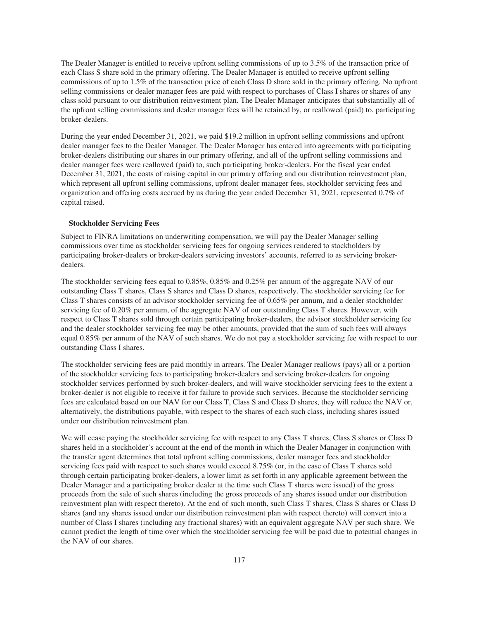The Dealer Manager is entitled to receive upfront selling commissions of up to 3.5% of the transaction price of each Class S share sold in the primary offering. The Dealer Manager is entitled to receive upfront selling commissions of up to 1.5% of the transaction price of each Class D share sold in the primary offering. No upfront selling commissions or dealer manager fees are paid with respect to purchases of Class I shares or shares of any class sold pursuant to our distribution reinvestment plan. The Dealer Manager anticipates that substantially all of the upfront selling commissions and dealer manager fees will be retained by, or reallowed (paid) to, participating broker-dealers.

During the year ended December 31, 2021, we paid \$19.2 million in upfront selling commissions and upfront dealer manager fees to the Dealer Manager. The Dealer Manager has entered into agreements with participating broker-dealers distributing our shares in our primary offering, and all of the upfront selling commissions and dealer manager fees were reallowed (paid) to, such participating broker-dealers. For the fiscal year ended December 31, 2021, the costs of raising capital in our primary offering and our distribution reinvestment plan, which represent all upfront selling commissions, upfront dealer manager fees, stockholder servicing fees and organization and offering costs accrued by us during the year ended December 31, 2021, represented 0.7% of capital raised.

## **Stockholder Servicing Fees**

Subject to FINRA limitations on underwriting compensation, we will pay the Dealer Manager selling commissions over time as stockholder servicing fees for ongoing services rendered to stockholders by participating broker-dealers or broker-dealers servicing investors' accounts, referred to as servicing brokerdealers.

The stockholder servicing fees equal to 0.85%, 0.85% and 0.25% per annum of the aggregate NAV of our outstanding Class T shares, Class S shares and Class D shares, respectively. The stockholder servicing fee for Class T shares consists of an advisor stockholder servicing fee of 0.65% per annum, and a dealer stockholder servicing fee of 0.20% per annum, of the aggregate NAV of our outstanding Class T shares. However, with respect to Class T shares sold through certain participating broker-dealers, the advisor stockholder servicing fee and the dealer stockholder servicing fee may be other amounts, provided that the sum of such fees will always equal 0.85% per annum of the NAV of such shares. We do not pay a stockholder servicing fee with respect to our outstanding Class I shares.

The stockholder servicing fees are paid monthly in arrears. The Dealer Manager reallows (pays) all or a portion of the stockholder servicing fees to participating broker-dealers and servicing broker-dealers for ongoing stockholder services performed by such broker-dealers, and will waive stockholder servicing fees to the extent a broker-dealer is not eligible to receive it for failure to provide such services. Because the stockholder servicing fees are calculated based on our NAV for our Class T, Class S and Class D shares, they will reduce the NAV or, alternatively, the distributions payable, with respect to the shares of each such class, including shares issued under our distribution reinvestment plan.

We will cease paying the stockholder servicing fee with respect to any Class T shares, Class S shares or Class D shares held in a stockholder's account at the end of the month in which the Dealer Manager in conjunction with the transfer agent determines that total upfront selling commissions, dealer manager fees and stockholder servicing fees paid with respect to such shares would exceed 8.75% (or, in the case of Class T shares sold through certain participating broker-dealers, a lower limit as set forth in any applicable agreement between the Dealer Manager and a participating broker dealer at the time such Class T shares were issued) of the gross proceeds from the sale of such shares (including the gross proceeds of any shares issued under our distribution reinvestment plan with respect thereto). At the end of such month, such Class T shares, Class S shares or Class D shares (and any shares issued under our distribution reinvestment plan with respect thereto) will convert into a number of Class I shares (including any fractional shares) with an equivalent aggregate NAV per such share. We cannot predict the length of time over which the stockholder servicing fee will be paid due to potential changes in the NAV of our shares.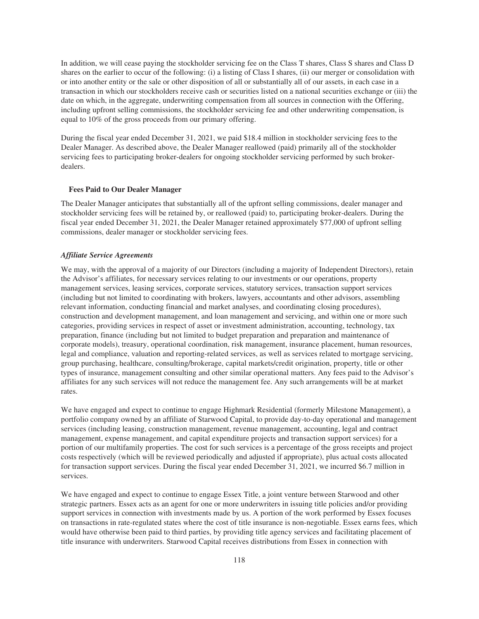In addition, we will cease paying the stockholder servicing fee on the Class T shares, Class S shares and Class D shares on the earlier to occur of the following: (i) a listing of Class I shares, (ii) our merger or consolidation with or into another entity or the sale or other disposition of all or substantially all of our assets, in each case in a transaction in which our stockholders receive cash or securities listed on a national securities exchange or (iii) the date on which, in the aggregate, underwriting compensation from all sources in connection with the Offering, including upfront selling commissions, the stockholder servicing fee and other underwriting compensation, is equal to 10% of the gross proceeds from our primary offering.

During the fiscal year ended December 31, 2021, we paid \$18.4 million in stockholder servicing fees to the Dealer Manager. As described above, the Dealer Manager reallowed (paid) primarily all of the stockholder servicing fees to participating broker-dealers for ongoing stockholder servicing performed by such brokerdealers.

#### **Fees Paid to Our Dealer Manager**

The Dealer Manager anticipates that substantially all of the upfront selling commissions, dealer manager and stockholder servicing fees will be retained by, or reallowed (paid) to, participating broker-dealers. During the fiscal year ended December 31, 2021, the Dealer Manager retained approximately \$77,000 of upfront selling commissions, dealer manager or stockholder servicing fees.

#### *Affiliate Service Agreements*

We may, with the approval of a majority of our Directors (including a majority of Independent Directors), retain the Advisor's affiliates, for necessary services relating to our investments or our operations, property management services, leasing services, corporate services, statutory services, transaction support services (including but not limited to coordinating with brokers, lawyers, accountants and other advisors, assembling relevant information, conducting financial and market analyses, and coordinating closing procedures), construction and development management, and loan management and servicing, and within one or more such categories, providing services in respect of asset or investment administration, accounting, technology, tax preparation, finance (including but not limited to budget preparation and preparation and maintenance of corporate models), treasury, operational coordination, risk management, insurance placement, human resources, legal and compliance, valuation and reporting-related services, as well as services related to mortgage servicing, group purchasing, healthcare, consulting/brokerage, capital markets/credit origination, property, title or other types of insurance, management consulting and other similar operational matters. Any fees paid to the Advisor's affiliates for any such services will not reduce the management fee. Any such arrangements will be at market rates.

We have engaged and expect to continue to engage Highmark Residential (formerly Milestone Management), a portfolio company owned by an affiliate of Starwood Capital, to provide day-to-day operational and management services (including leasing, construction management, revenue management, accounting, legal and contract management, expense management, and capital expenditure projects and transaction support services) for a portion of our multifamily properties. The cost for such services is a percentage of the gross receipts and project costs respectively (which will be reviewed periodically and adjusted if appropriate), plus actual costs allocated for transaction support services. During the fiscal year ended December 31, 2021, we incurred \$6.7 million in services.

We have engaged and expect to continue to engage Essex Title, a joint venture between Starwood and other strategic partners. Essex acts as an agent for one or more underwriters in issuing title policies and/or providing support services in connection with investments made by us. A portion of the work performed by Essex focuses on transactions in rate-regulated states where the cost of title insurance is non-negotiable. Essex earns fees, which would have otherwise been paid to third parties, by providing title agency services and facilitating placement of title insurance with underwriters. Starwood Capital receives distributions from Essex in connection with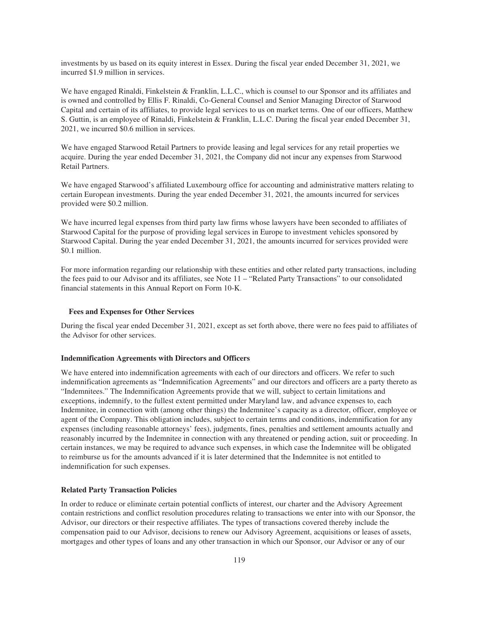investments by us based on its equity interest in Essex. During the fiscal year ended December 31, 2021, we incurred \$1.9 million in services.

We have engaged Rinaldi, Finkelstein & Franklin, L.L.C., which is counsel to our Sponsor and its affiliates and is owned and controlled by Ellis F. Rinaldi, Co-General Counsel and Senior Managing Director of Starwood Capital and certain of its affiliates, to provide legal services to us on market terms. One of our officers, Matthew S. Guttin, is an employee of Rinaldi, Finkelstein & Franklin, L.L.C. During the fiscal year ended December 31, 2021, we incurred \$0.6 million in services.

We have engaged Starwood Retail Partners to provide leasing and legal services for any retail properties we acquire. During the year ended December 31, 2021, the Company did not incur any expenses from Starwood Retail Partners.

We have engaged Starwood's affiliated Luxembourg office for accounting and administrative matters relating to certain European investments. During the year ended December 31, 2021, the amounts incurred for services provided were \$0.2 million.

We have incurred legal expenses from third party law firms whose lawyers have been seconded to affiliates of Starwood Capital for the purpose of providing legal services in Europe to investment vehicles sponsored by Starwood Capital. During the year ended December 31, 2021, the amounts incurred for services provided were \$0.1 million.

For more information regarding our relationship with these entities and other related party transactions, including the fees paid to our Advisor and its affiliates, see Note 11 – "Related Party Transactions" to our consolidated financial statements in this Annual Report on Form 10-K.

#### **Fees and Expenses for Other Services**

During the fiscal year ended December 31, 2021, except as set forth above, there were no fees paid to affiliates of the Advisor for other services.

#### **Indemnification Agreements with Directors and Officers**

We have entered into indemnification agreements with each of our directors and officers. We refer to such indemnification agreements as "Indemnification Agreements" and our directors and officers are a party thereto as "Indemnitees." The Indemnification Agreements provide that we will, subject to certain limitations and exceptions, indemnify, to the fullest extent permitted under Maryland law, and advance expenses to, each Indemnitee, in connection with (among other things) the Indemnitee's capacity as a director, officer, employee or agent of the Company. This obligation includes, subject to certain terms and conditions, indemnification for any expenses (including reasonable attorneys' fees), judgments, fines, penalties and settlement amounts actually and reasonably incurred by the Indemnitee in connection with any threatened or pending action, suit or proceeding. In certain instances, we may be required to advance such expenses, in which case the Indemnitee will be obligated to reimburse us for the amounts advanced if it is later determined that the Indemnitee is not entitled to indemnification for such expenses.

# **Related Party Transaction Policies**

In order to reduce or eliminate certain potential conflicts of interest, our charter and the Advisory Agreement contain restrictions and conflict resolution procedures relating to transactions we enter into with our Sponsor, the Advisor, our directors or their respective affiliates. The types of transactions covered thereby include the compensation paid to our Advisor, decisions to renew our Advisory Agreement, acquisitions or leases of assets, mortgages and other types of loans and any other transaction in which our Sponsor, our Advisor or any of our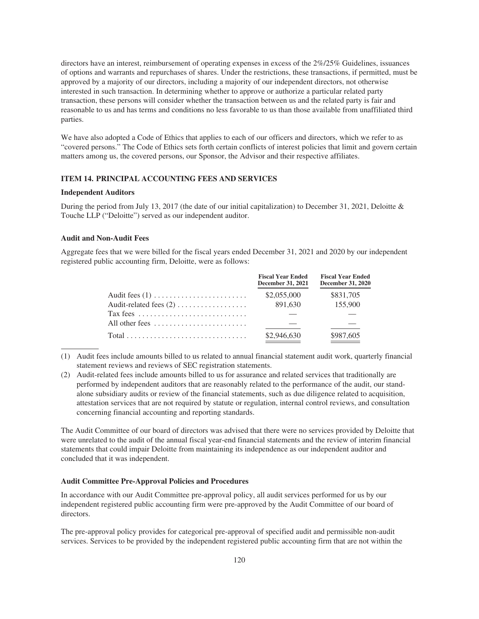directors have an interest, reimbursement of operating expenses in excess of the 2%/25% Guidelines, issuances of options and warrants and repurchases of shares. Under the restrictions, these transactions, if permitted, must be approved by a majority of our directors, including a majority of our independent directors, not otherwise interested in such transaction. In determining whether to approve or authorize a particular related party transaction, these persons will consider whether the transaction between us and the related party is fair and reasonable to us and has terms and conditions no less favorable to us than those available from unaffiliated third parties.

We have also adopted a Code of Ethics that applies to each of our officers and directors, which we refer to as "covered persons." The Code of Ethics sets forth certain conflicts of interest policies that limit and govern certain matters among us, the covered persons, our Sponsor, the Advisor and their respective affiliates.

# **ITEM 14. PRINCIPAL ACCOUNTING FEES AND SERVICES**

#### **Independent Auditors**

During the period from July 13, 2017 (the date of our initial capitalization) to December 31, 2021, Deloitte & Touche LLP ("Deloitte") served as our independent auditor.

# **Audit and Non-Audit Fees**

Aggregate fees that we were billed for the fiscal years ended December 31, 2021 and 2020 by our independent registered public accounting firm, Deloitte, were as follows:

|                | <b>Fiscal Year Ended</b><br>December 31, 2021 | <b>Fiscal Year Ended</b><br><b>December 31, 2020</b> |
|----------------|-----------------------------------------------|------------------------------------------------------|
|                | \$2,055,000                                   | \$831,705                                            |
|                | 891,630                                       | 155,900                                              |
|                |                                               |                                                      |
| All other fees |                                               |                                                      |
|                | \$2,946,630                                   | \$987,605                                            |

- (1) Audit fees include amounts billed to us related to annual financial statement audit work, quarterly financial statement reviews and reviews of SEC registration statements.
- (2) Audit-related fees include amounts billed to us for assurance and related services that traditionally are performed by independent auditors that are reasonably related to the performance of the audit, our standalone subsidiary audits or review of the financial statements, such as due diligence related to acquisition, attestation services that are not required by statute or regulation, internal control reviews, and consultation concerning financial accounting and reporting standards.

The Audit Committee of our board of directors was advised that there were no services provided by Deloitte that were unrelated to the audit of the annual fiscal year-end financial statements and the review of interim financial statements that could impair Deloitte from maintaining its independence as our independent auditor and concluded that it was independent.

### **Audit Committee Pre-Approval Policies and Procedures**

In accordance with our Audit Committee pre-approval policy, all audit services performed for us by our independent registered public accounting firm were pre-approved by the Audit Committee of our board of directors.

The pre-approval policy provides for categorical pre-approval of specified audit and permissible non-audit services. Services to be provided by the independent registered public accounting firm that are not within the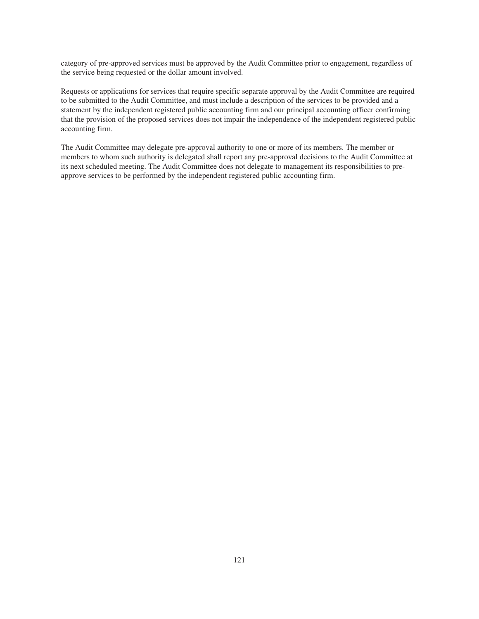category of pre-approved services must be approved by the Audit Committee prior to engagement, regardless of the service being requested or the dollar amount involved.

Requests or applications for services that require specific separate approval by the Audit Committee are required to be submitted to the Audit Committee, and must include a description of the services to be provided and a statement by the independent registered public accounting firm and our principal accounting officer confirming that the provision of the proposed services does not impair the independence of the independent registered public accounting firm.

The Audit Committee may delegate pre-approval authority to one or more of its members. The member or members to whom such authority is delegated shall report any pre-approval decisions to the Audit Committee at its next scheduled meeting. The Audit Committee does not delegate to management its responsibilities to preapprove services to be performed by the independent registered public accounting firm.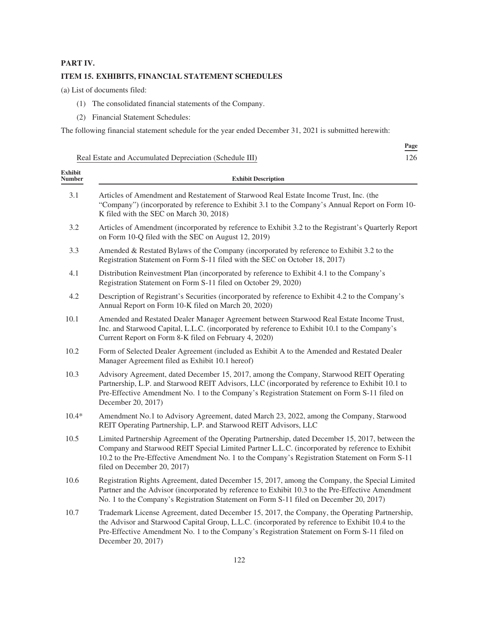# **PART IV.**

# **ITEM 15. EXHIBITS, FINANCIAL STATEMENT SCHEDULES**

(a) List of documents filed:

- (1) The consolidated financial statements of the Company.
- (2) Financial Statement Schedules:

December 20, 2017)

The following financial statement schedule for the year ended December 31, 2021 is submitted herewith:

|                                                         |                            | <u>Page</u> |
|---------------------------------------------------------|----------------------------|-------------|
| Real Estate and Accumulated Depreciation (Schedule III) |                            | 126         |
| Exhibit<br><b>Number</b>                                | <b>Exhibit Description</b> |             |
|                                                         |                            |             |

| 3.1     | Articles of Amendment and Restatement of Starwood Real Estate Income Trust, Inc. (the<br>"Company") (incorporated by reference to Exhibit 3.1 to the Company's Annual Report on Form 10-<br>K filed with the SEC on March 30, 2018)                                                                                                 |
|---------|-------------------------------------------------------------------------------------------------------------------------------------------------------------------------------------------------------------------------------------------------------------------------------------------------------------------------------------|
| 3.2     | Articles of Amendment (incorporated by reference to Exhibit 3.2 to the Registrant's Quarterly Report<br>on Form 10-Q filed with the SEC on August 12, 2019)                                                                                                                                                                         |
| 3.3     | Amended & Restated Bylaws of the Company (incorporated by reference to Exhibit 3.2 to the<br>Registration Statement on Form S-11 filed with the SEC on October 18, 2017)                                                                                                                                                            |
| 4.1     | Distribution Reinvestment Plan (incorporated by reference to Exhibit 4.1 to the Company's<br>Registration Statement on Form S-11 filed on October 29, 2020)                                                                                                                                                                         |
| 4.2     | Description of Registrant's Securities (incorporated by reference to Exhibit 4.2 to the Company's<br>Annual Report on Form 10-K filed on March 20, 2020)                                                                                                                                                                            |
| 10.1    | Amended and Restated Dealer Manager Agreement between Starwood Real Estate Income Trust,<br>Inc. and Starwood Capital, L.L.C. (incorporated by reference to Exhibit 10.1 to the Company's<br>Current Report on Form 8-K filed on February 4, 2020)                                                                                  |
| 10.2    | Form of Selected Dealer Agreement (included as Exhibit A to the Amended and Restated Dealer<br>Manager Agreement filed as Exhibit 10.1 hereof)                                                                                                                                                                                      |
| 10.3    | Advisory Agreement, dated December 15, 2017, among the Company, Starwood REIT Operating<br>Partnership, L.P. and Starwood REIT Advisors, LLC (incorporated by reference to Exhibit 10.1 to<br>Pre-Effective Amendment No. 1 to the Company's Registration Statement on Form S-11 filed on<br>December 20, 2017)                     |
| $10.4*$ | Amendment No.1 to Advisory Agreement, dated March 23, 2022, among the Company, Starwood<br>REIT Operating Partnership, L.P. and Starwood REIT Advisors, LLC                                                                                                                                                                         |
| 10.5    | Limited Partnership Agreement of the Operating Partnership, dated December 15, 2017, between the<br>Company and Starwood REIT Special Limited Partner L.L.C. (incorporated by reference to Exhibit<br>10.2 to the Pre-Effective Amendment No. 1 to the Company's Registration Statement on Form S-11<br>filed on December 20, 2017) |
| 10.6    | Registration Rights Agreement, dated December 15, 2017, among the Company, the Special Limited<br>Partner and the Advisor (incorporated by reference to Exhibit 10.3 to the Pre-Effective Amendment<br>No. 1 to the Company's Registration Statement on Form S-11 filed on December 20, 2017)                                       |
| 10.7    | Trademark License Agreement, dated December 15, 2017, the Company, the Operating Partnership,<br>the Advisor and Starwood Capital Group, L.L.C. (incorporated by reference to Exhibit 10.4 to the<br>Pre-Effective Amendment No. 1 to the Company's Registration Statement on Form S-11 filed on                                    |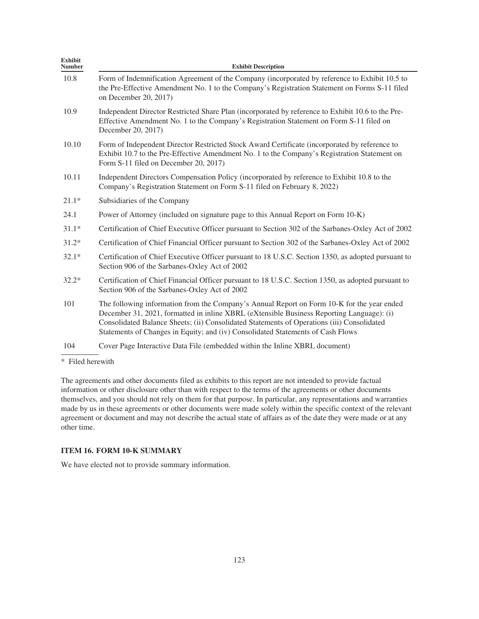| Exhibit<br><b>Number</b> | <b>Exhibit Description</b>                                                                                                                                                                                                                                                                                                                                               |
|--------------------------|--------------------------------------------------------------------------------------------------------------------------------------------------------------------------------------------------------------------------------------------------------------------------------------------------------------------------------------------------------------------------|
| 10.8                     | Form of Indemnification Agreement of the Company (incorporated by reference to Exhibit 10.5 to<br>the Pre-Effective Amendment No. 1 to the Company's Registration Statement on Forms S-11 filed<br>on December 20, 2017)                                                                                                                                                 |
| 10.9                     | Independent Director Restricted Share Plan (incorporated by reference to Exhibit 10.6 to the Pre-<br>Effective Amendment No. 1 to the Company's Registration Statement on Form S-11 filed on<br>December 20, 2017)                                                                                                                                                       |
| 10.10                    | Form of Independent Director Restricted Stock Award Certificate (incorporated by reference to<br>Exhibit 10.7 to the Pre-Effective Amendment No. 1 to the Company's Registration Statement on<br>Form S-11 filed on December 20, 2017)                                                                                                                                   |
| 10.11                    | Independent Directors Compensation Policy (incorporated by reference to Exhibit 10.8 to the<br>Company's Registration Statement on Form S-11 filed on February 8, 2022)                                                                                                                                                                                                  |
| $21.1*$                  | Subsidiaries of the Company                                                                                                                                                                                                                                                                                                                                              |
| 24.1                     | Power of Attorney (included on signature page to this Annual Report on Form 10-K)                                                                                                                                                                                                                                                                                        |
| $31.1*$                  | Certification of Chief Executive Officer pursuant to Section 302 of the Sarbanes-Oxley Act of 2002                                                                                                                                                                                                                                                                       |
| $31.2*$                  | Certification of Chief Financial Officer pursuant to Section 302 of the Sarbanes-Oxley Act of 2002                                                                                                                                                                                                                                                                       |
| $32.1*$                  | Certification of Chief Executive Officer pursuant to 18 U.S.C. Section 1350, as adopted pursuant to<br>Section 906 of the Sarbanes-Oxley Act of 2002                                                                                                                                                                                                                     |
| $32.2*$                  | Certification of Chief Financial Officer pursuant to 18 U.S.C. Section 1350, as adopted pursuant to<br>Section 906 of the Sarbanes-Oxley Act of 2002                                                                                                                                                                                                                     |
| 101                      | The following information from the Company's Annual Report on Form 10-K for the year ended<br>December 31, 2021, formatted in inline XBRL (eXtensible Business Reporting Language): (i)<br>Consolidated Balance Sheets; (ii) Consolidated Statements of Operations (iii) Consolidated<br>Statements of Changes in Equity; and (iv) Consolidated Statements of Cash Flows |
| 104                      | Cover Page Interactive Data File (embedded within the Inline XBRL document)                                                                                                                                                                                                                                                                                              |
| * Filed herewith         |                                                                                                                                                                                                                                                                                                                                                                          |

The agreements and other documents filed as exhibits to this report are not intended to provide factual information or other disclosure other than with respect to the terms of the agreements or other documents themselves, and you should not rely on them for that purpose. In particular, any representations and warranties made by us in these agreements or other documents were made solely within the specific context of the relevant agreement or document and may not describe the actual state of affairs as of the date they were made or at any other time.

# **ITEM 16. FORM 10-K SUMMARY**

We have elected not to provide summary information.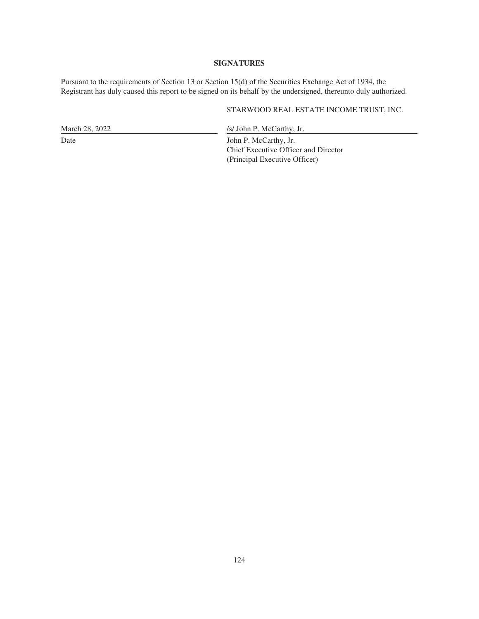# **SIGNATURES**

Pursuant to the requirements of Section 13 or Section 15(d) of the Securities Exchange Act of 1934, the Registrant has duly caused this report to be signed on its behalf by the undersigned, thereunto duly authorized.

STARWOOD REAL ESTATE INCOME TRUST, INC.

March 28, 2022 /s/ John P. McCarthy, Jr.

Date John P. McCarthy, Jr. Chief Executive Officer and Director (Principal Executive Officer)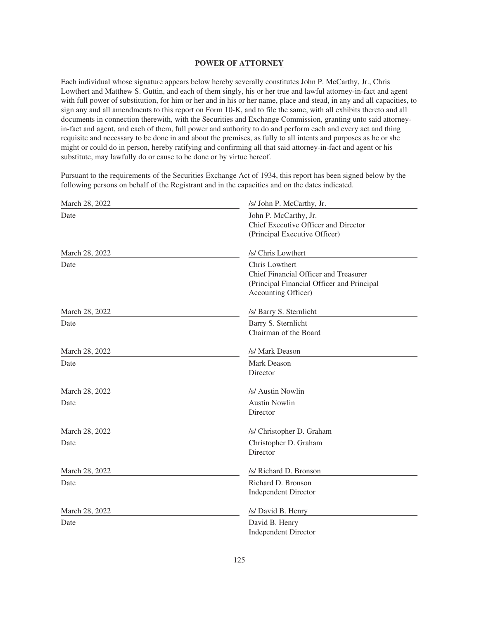### **POWER OF ATTORNEY**

Each individual whose signature appears below hereby severally constitutes John P. McCarthy, Jr., Chris Lowthert and Matthew S. Guttin, and each of them singly, his or her true and lawful attorney-in-fact and agent with full power of substitution, for him or her and in his or her name, place and stead, in any and all capacities, to sign any and all amendments to this report on Form 10-K, and to file the same, with all exhibits thereto and all documents in connection therewith, with the Securities and Exchange Commission, granting unto said attorneyin-fact and agent, and each of them, full power and authority to do and perform each and every act and thing requisite and necessary to be done in and about the premises, as fully to all intents and purposes as he or she might or could do in person, hereby ratifying and confirming all that said attorney-in-fact and agent or his substitute, may lawfully do or cause to be done or by virtue hereof.

Pursuant to the requirements of the Securities Exchange Act of 1934, this report has been signed below by the following persons on behalf of the Registrant and in the capacities and on the dates indicated.

| March 28, 2022 | /s/ John P. McCarthy, Jr.                  |
|----------------|--------------------------------------------|
| Date           | John P. McCarthy, Jr.                      |
|                | Chief Executive Officer and Director       |
|                | (Principal Executive Officer)              |
| March 28, 2022 | /s/ Chris Lowthert                         |
| Date           | <b>Chris Lowthert</b>                      |
|                | Chief Financial Officer and Treasurer      |
|                | (Principal Financial Officer and Principal |
|                | Accounting Officer)                        |
| March 28, 2022 | /s/ Barry S. Sternlicht                    |
| Date           | Barry S. Sternlicht                        |
|                | Chairman of the Board                      |
| March 28, 2022 | /s/ Mark Deason                            |
| Date           | Mark Deason                                |
|                | Director                                   |
| March 28, 2022 | /s/ Austin Nowlin                          |
| Date           | <b>Austin Nowlin</b>                       |
|                | Director                                   |
| March 28, 2022 | /s/ Christopher D. Graham                  |
| Date           | Christopher D. Graham                      |
|                | Director                                   |
| March 28, 2022 | /s/ Richard D. Bronson                     |
| Date           | Richard D. Bronson                         |
|                | <b>Independent Director</b>                |
| March 28, 2022 | /s/ David B. Henry                         |
| Date           | David B. Henry                             |
|                | <b>Independent Director</b>                |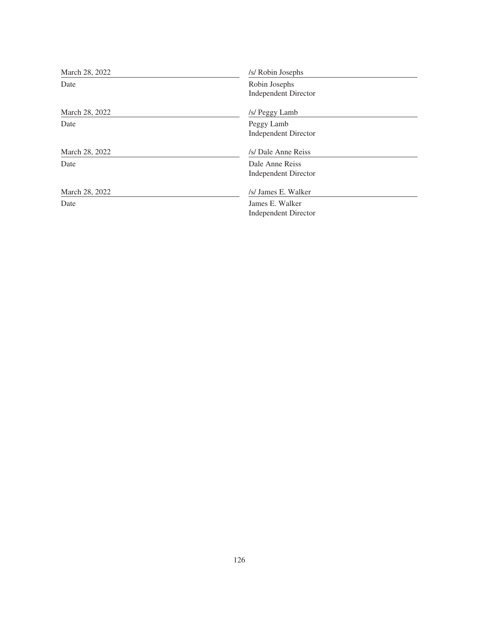| March 28, 2022 | /s/ Robin Josephs           |
|----------------|-----------------------------|
| Date           | Robin Josephs               |
|                | <b>Independent Director</b> |
| March 28, 2022 | /s/ Peggy Lamb              |
| Date           | Peggy Lamb                  |
|                | <b>Independent Director</b> |
| March 28, 2022 | /s/ Dale Anne Reiss         |
| Date           | Dale Anne Reiss             |
|                | <b>Independent Director</b> |
| March 28, 2022 | /s/ James E. Walker         |
| Date           | James E. Walker             |
|                | Independent Director        |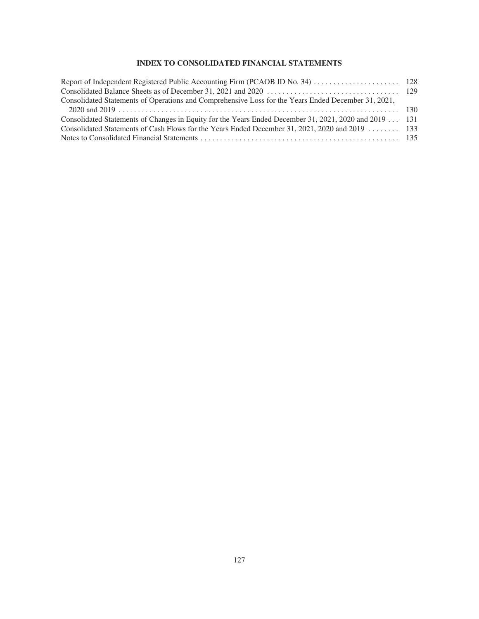# **INDEX TO CONSOLIDATED FINANCIAL STATEMENTS**

| Consolidated Statements of Operations and Comprehensive Loss for the Years Ended December 31, 2021,    |  |
|--------------------------------------------------------------------------------------------------------|--|
|                                                                                                        |  |
| Consolidated Statements of Changes in Equity for the Years Ended December 31, 2021, 2020 and 2019 131  |  |
| Consolidated Statements of Cash Flows for the Years Ended December 31, 2021, 2020 and 2019 $\dots$ 133 |  |
|                                                                                                        |  |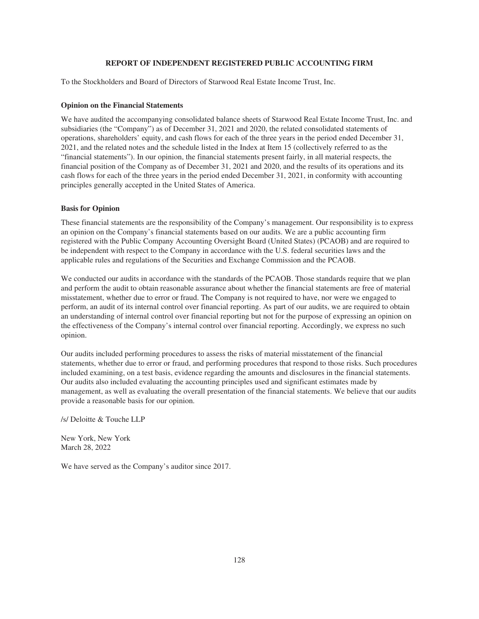## **REPORT OF INDEPENDENT REGISTERED PUBLIC ACCOUNTING FIRM**

<span id="page-133-0"></span>To the Stockholders and Board of Directors of Starwood Real Estate Income Trust, Inc.

#### **Opinion on the Financial Statements**

We have audited the accompanying consolidated balance sheets of Starwood Real Estate Income Trust, Inc. and subsidiaries (the "Company") as of December 31, 2021 and 2020, the related consolidated statements of operations, shareholders' equity, and cash flows for each of the three years in the period ended December 31, 2021, and the related notes and the schedule listed in the Index at Item 15 (collectively referred to as the "financial statements"). In our opinion, the financial statements present fairly, in all material respects, the financial position of the Company as of December 31, 2021 and 2020, and the results of its operations and its cash flows for each of the three years in the period ended December 31, 2021, in conformity with accounting principles generally accepted in the United States of America.

#### **Basis for Opinion**

These financial statements are the responsibility of the Company's management. Our responsibility is to express an opinion on the Company's financial statements based on our audits. We are a public accounting firm registered with the Public Company Accounting Oversight Board (United States) (PCAOB) and are required to be independent with respect to the Company in accordance with the U.S. federal securities laws and the applicable rules and regulations of the Securities and Exchange Commission and the PCAOB.

We conducted our audits in accordance with the standards of the PCAOB. Those standards require that we plan and perform the audit to obtain reasonable assurance about whether the financial statements are free of material misstatement, whether due to error or fraud. The Company is not required to have, nor were we engaged to perform, an audit of its internal control over financial reporting. As part of our audits, we are required to obtain an understanding of internal control over financial reporting but not for the purpose of expressing an opinion on the effectiveness of the Company's internal control over financial reporting. Accordingly, we express no such opinion.

Our audits included performing procedures to assess the risks of material misstatement of the financial statements, whether due to error or fraud, and performing procedures that respond to those risks. Such procedures included examining, on a test basis, evidence regarding the amounts and disclosures in the financial statements. Our audits also included evaluating the accounting principles used and significant estimates made by management, as well as evaluating the overall presentation of the financial statements. We believe that our audits provide a reasonable basis for our opinion.

/s/ Deloitte & Touche LLP

New York, New York March 28, 2022

We have served as the Company's auditor since 2017.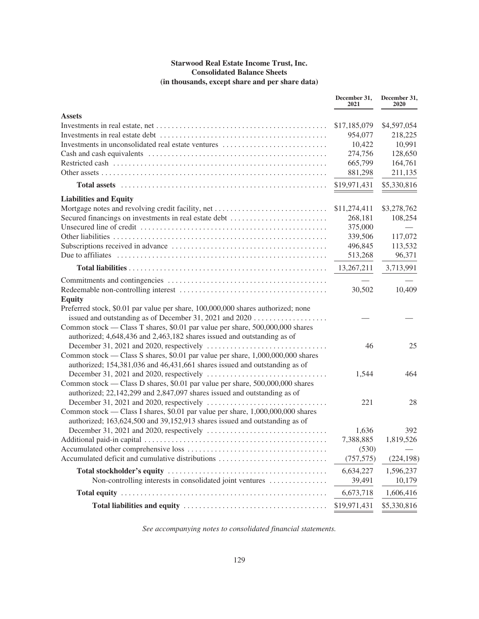# **Starwood Real Estate Income Trust, Inc. Consolidated Balance Sheets (in thousands, except share and per share data)**

<span id="page-134-0"></span>

|                                                                                  | December 31,<br>2021 | December 31,<br>2020 |
|----------------------------------------------------------------------------------|----------------------|----------------------|
| <b>Assets</b>                                                                    |                      |                      |
|                                                                                  | \$17,185,079         | \$4,597,054          |
|                                                                                  | 954,077              | 218,225              |
| Investments in unconsolidated real estate ventures                               | 10,422               | 10,991               |
|                                                                                  | 274,756              | 128,650              |
|                                                                                  | 665,799              | 164,761              |
|                                                                                  | 881,298              | 211,135              |
|                                                                                  | \$19,971,431         | \$5,330,816          |
| <b>Liabilities and Equity</b>                                                    |                      |                      |
| Mortgage notes and revolving credit facility, net                                | \$11,274,411         | \$3,278,762          |
| Secured financings on investments in real estate debt                            | 268,181              | 108,254              |
|                                                                                  | 375,000              |                      |
|                                                                                  | 339,506              | 117,072              |
|                                                                                  | 496,845              | 113,532              |
|                                                                                  | 513,268              | 96,371               |
|                                                                                  | 13,267,211           | 3,713,991            |
|                                                                                  |                      |                      |
|                                                                                  | 30,502               | 10,409               |
| <b>Equity</b>                                                                    |                      |                      |
| Preferred stock, \$0.01 par value per share, 100,000,000 shares authorized; none |                      |                      |
|                                                                                  |                      |                      |
| Common stock — Class T shares, \$0.01 par value per share, 500,000,000 shares    |                      |                      |
| authorized; 4,648,436 and 2,463,182 shares issued and outstanding as of          |                      |                      |
|                                                                                  | 46                   | 25                   |
| Common stock — Class S shares, \$0.01 par value per share, 1,000,000,000 shares  |                      |                      |
| authorized; 154,381,036 and 46,431,661 shares issued and outstanding as of       |                      |                      |
|                                                                                  | 1,544                | 464                  |
| Common stock - Class D shares, \$0.01 par value per share, 500,000,000 shares    |                      |                      |
| authorized; 22,142,299 and 2,847,097 shares issued and outstanding as of         |                      |                      |
|                                                                                  | 221                  | 28                   |
| Common stock — Class I shares, \$0.01 par value per share, 1,000,000,000 shares  |                      |                      |
| authorized; 163,624,500 and 39,152,913 shares issued and outstanding as of       |                      |                      |
|                                                                                  | 1,636                | 392                  |
|                                                                                  | 7,388,885            | 1,819,526            |
|                                                                                  | (530)                |                      |
| Accumulated deficit and cumulative distributions                                 | (757, 575)           | (224, 198)           |
|                                                                                  | 6,634,227            | 1,596,237            |
| Non-controlling interests in consolidated joint ventures                         | 39,491               | 10,179               |
|                                                                                  | 6,673,718            | 1,606,416            |
|                                                                                  | \$19,971,431         | \$5,330,816          |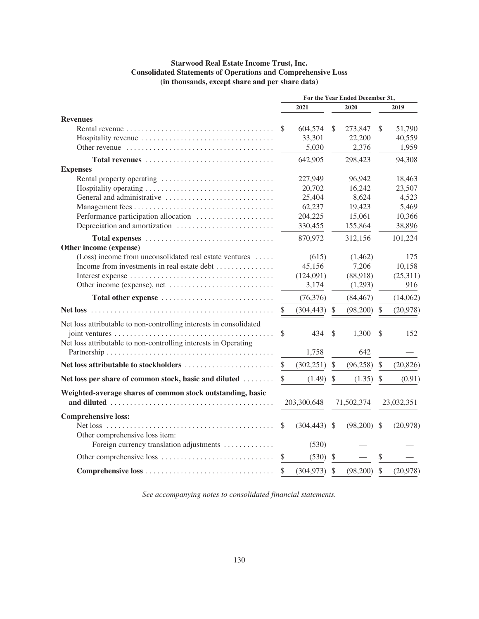| <b>Starwood Real Estate Income Trust, Inc.</b>                      |
|---------------------------------------------------------------------|
| <b>Consolidated Statements of Operations and Comprehensive Loss</b> |
| (in thousands, except share and per share data)                     |

<span id="page-135-0"></span>

|                                                                    | For the Year Ended December 31, |                 |               |               |               |            |
|--------------------------------------------------------------------|---------------------------------|-----------------|---------------|---------------|---------------|------------|
|                                                                    |                                 | 2021            |               | 2020          |               | 2019       |
| <b>Revenues</b>                                                    |                                 |                 |               |               |               |            |
|                                                                    | \$                              | 604,574         | \$            | 273,847       | \$            | 51,790     |
|                                                                    |                                 | 33,301          |               | 22,200        |               | 40,559     |
|                                                                    |                                 | 5,030           |               | 2,376         |               | 1,959      |
| Total revenues                                                     |                                 | 642,905         |               | 298,423       |               | 94,308     |
| <b>Expenses</b>                                                    |                                 |                 |               |               |               |            |
|                                                                    |                                 | 227,949         |               | 96,942        |               | 18,463     |
|                                                                    |                                 | 20,702          |               | 16,242        |               | 23,507     |
| General and administrative                                         |                                 | 25,404          |               | 8,624         |               | 4,523      |
|                                                                    |                                 | 62,237          |               | 19,423        |               | 5,469      |
| Performance participation allocation                               |                                 | 204,225         |               | 15,061        |               | 10,366     |
|                                                                    |                                 | 330,455         |               | 155,864       |               | 38,896     |
|                                                                    |                                 | 870,972         |               | 312,156       |               | 101,224    |
| Other income (expense)                                             |                                 |                 |               |               |               |            |
| (Loss) income from unconsolidated real estate ventures             |                                 | (615)           |               | (1,462)       |               | 175        |
| Income from investments in real estate debt                        |                                 | 45,156          |               | 7,206         |               | 10,158     |
|                                                                    |                                 | (124,091)       |               | (88,918)      |               | (25,311)   |
|                                                                    |                                 | 3,174           |               | (1,293)       |               | 916        |
| Total other expense                                                |                                 | (76,376)        |               | (84, 467)     |               | (14,062)   |
| Net loss                                                           | \$                              | (304, 443)      | \$            | (98,200)      | \$            | (20,978)   |
| Net loss attributable to non-controlling interests in consolidated |                                 |                 |               |               |               |            |
|                                                                    | \$                              | 434             | \$            | 1,300         | <b>S</b>      | 152        |
| Net loss attributable to non-controlling interests in Operating    |                                 |                 |               |               |               |            |
|                                                                    |                                 | 1,758           |               | 642           |               |            |
|                                                                    | \$                              | (302, 251)      | \$            | (96, 258)     | $\mathcal{S}$ | (20, 826)  |
| Net loss per share of common stock, basic and diluted              | \$                              | (1.49)          | S             | (1.35)        | \$            | (0.91)     |
| Weighted-average shares of common stock outstanding, basic         |                                 |                 |               |               |               |            |
|                                                                    |                                 | 203,300,648     |               | 71,502,374    |               | 23,032,351 |
| <b>Comprehensive loss:</b>                                         |                                 |                 |               |               |               |            |
|                                                                    | \$                              | $(304, 443)$ \$ |               | $(98,200)$ \$ |               | (20,978)   |
| Other comprehensive loss item:                                     |                                 |                 |               |               |               |            |
| Foreign currency translation adjustments                           |                                 | (530)           |               |               |               |            |
|                                                                    | \$                              | (530)           | \$            |               | \$            |            |
|                                                                    | \$                              | (304, 973)      | $\mathcal{S}$ | (98,200)      | $\mathcal{S}$ | (20, 978)  |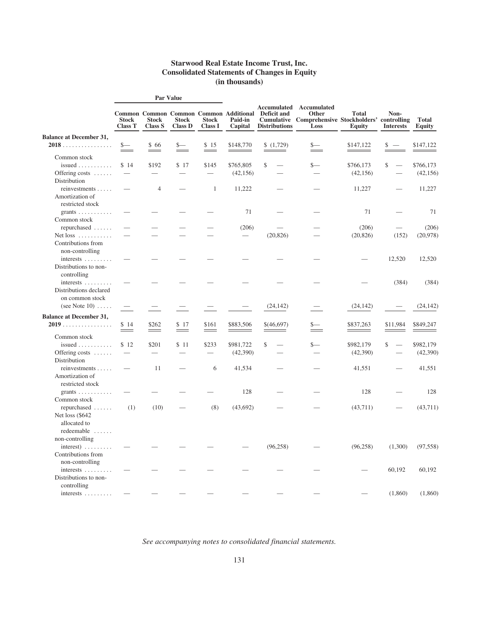# **Starwood Real Estate Income Trust, Inc. Consolidated Statements of Changes in Equity (in thousands)**

<span id="page-136-0"></span>

|                                                                                         |                                |                                  | <b>Par Value</b>               |                                |                        |                                                                                           |                                                                                    |                               |                          |                        |
|-----------------------------------------------------------------------------------------|--------------------------------|----------------------------------|--------------------------------|--------------------------------|------------------------|-------------------------------------------------------------------------------------------|------------------------------------------------------------------------------------|-------------------------------|--------------------------|------------------------|
|                                                                                         | <b>Stock</b><br><b>Class T</b> | <b>Stock</b><br><b>Class S</b>   | <b>Stock</b><br><b>Class D</b> | <b>Stock</b><br><b>Class I</b> | Paid-in<br>Capital     | Accumulated<br>Common Common Common Common Additional Deficit and<br><b>Distributions</b> | Accumulated<br>Other<br>Cumulative Comprehensive Stockholders' controlling<br>Loss | <b>Total</b><br><b>Equity</b> | Non-<br><b>Interests</b> | <b>Total</b><br>Equity |
| <b>Balance at December 31,</b>                                                          |                                |                                  |                                |                                |                        |                                                                                           |                                                                                    |                               |                          |                        |
| $2018$                                                                                  | $s-$                           | \$66<br>$\overline{\phantom{a}}$ | \$-                            | \$15                           | \$148,770              | \$(1,729)                                                                                 | \$—                                                                                | \$147,122                     | \$                       | \$147,122              |
| Common stock                                                                            |                                |                                  |                                |                                |                        |                                                                                           |                                                                                    |                               |                          |                        |
| $is sued \dots \dots \dots$<br>Offering costs $\dots$ .<br>Distribution                 | \$14                           | \$192                            | \$17                           | \$145                          | \$765,805<br>(42, 156) | \$                                                                                        | $S-$                                                                               | \$766,173<br>(42, 156)        | \$                       | \$766,173<br>(42, 156) |
| reinvestments<br>Amortization of<br>restricted stock                                    |                                | $\overline{4}$                   |                                | $\mathbf{1}$                   | 11,222                 |                                                                                           |                                                                                    | 11,227                        |                          | 11,227                 |
| grants $\dots\dots\dots\dots$<br>Common stock                                           |                                |                                  |                                |                                | 71                     |                                                                                           |                                                                                    | 71                            |                          | 71                     |
| repurchased                                                                             |                                |                                  |                                |                                | (206)                  |                                                                                           |                                                                                    | (206)                         |                          | (206)                  |
| Net $loss$<br>Contributions from<br>non-controlling                                     |                                |                                  |                                |                                |                        | (20, 826)                                                                                 |                                                                                    | (20, 826)                     | (152)                    | (20, 978)              |
| interests<br>Distributions to non-<br>controlling                                       |                                |                                  |                                |                                |                        |                                                                                           |                                                                                    |                               | 12,520                   | 12,520                 |
| interests<br>Distributions declared<br>on common stock                                  |                                |                                  |                                |                                |                        |                                                                                           |                                                                                    |                               | (384)                    | (384)                  |
| (see Note $10$ )                                                                        |                                |                                  |                                |                                |                        | (24, 142)                                                                                 |                                                                                    | (24, 142)                     |                          | (24, 142)              |
| <b>Balance at December 31,</b>                                                          |                                |                                  |                                |                                |                        |                                                                                           |                                                                                    |                               |                          |                        |
| 2019                                                                                    | \$14                           | \$262                            | \$17                           | \$161                          | \$883,506              | \$(46,697)                                                                                |                                                                                    | \$837,263                     | \$11,984                 | \$849,247              |
| Common stock<br>$is sued \dots \dots \dots$<br>Offering costs $\dots$ .<br>Distribution | \$12                           | \$201                            | \$11                           | \$233                          | \$981,722<br>(42,390)  | \$                                                                                        | S—                                                                                 | \$982,179<br>(42,390)         | \$                       | \$982,179<br>(42,390)  |
| reinvestments<br>Amortization of<br>restricted stock                                    |                                | 11                               |                                | 6                              | 41,534                 |                                                                                           |                                                                                    | 41,551                        |                          | 41,551                 |
| grants $\ldots \ldots \ldots$<br>Common stock                                           |                                |                                  |                                |                                | 128                    |                                                                                           |                                                                                    | 128                           |                          | 128                    |
| repurchased<br>Net loss (\$642)<br>allocated to<br>redeemable                           | (1)                            | (10)                             |                                | (8)                            | (43,692)               |                                                                                           |                                                                                    | (43,711)                      |                          | (43,711)               |
| non-controlling<br>$interest)$<br>Contributions from<br>non-controlling                 |                                |                                  |                                |                                |                        | (96, 258)                                                                                 |                                                                                    | (96, 258)                     | (1,300)                  | (97, 558)              |
| interests<br>Distributions to non-<br>controlling                                       |                                |                                  |                                |                                |                        |                                                                                           |                                                                                    |                               | 60,192                   | 60,192                 |
| interests                                                                               |                                |                                  |                                |                                |                        |                                                                                           |                                                                                    |                               | (1,860)                  | (1,860)                |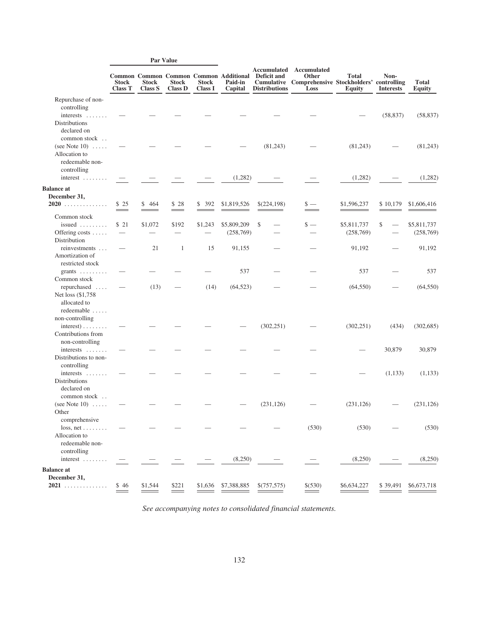|                                                                                             |                                |                                | <b>Par Value</b>               |                                |                    |                                                                                           |                                                                                    |                               |                                 |                        |
|---------------------------------------------------------------------------------------------|--------------------------------|--------------------------------|--------------------------------|--------------------------------|--------------------|-------------------------------------------------------------------------------------------|------------------------------------------------------------------------------------|-------------------------------|---------------------------------|------------------------|
|                                                                                             | <b>Stock</b><br><b>Class T</b> | <b>Stock</b><br><b>Class S</b> | <b>Stock</b><br><b>Class D</b> | <b>Stock</b><br><b>Class I</b> | Paid-in<br>Capital | Accumulated<br>Common Common Common Common Additional Deficit and<br><b>Distributions</b> | Accumulated<br>Other<br>Cumulative Comprehensive Stockholders' controlling<br>Loss | <b>Total</b><br><b>Equity</b> | Non-<br><b>Interests</b>        | <b>Total</b><br>Equity |
| Repurchase of non-<br>controlling                                                           |                                |                                |                                |                                |                    |                                                                                           |                                                                                    |                               |                                 |                        |
| interests $\dots\dots$<br><b>Distributions</b><br>declared on                               |                                |                                |                                |                                |                    |                                                                                           |                                                                                    |                               | (58, 837)                       | (58, 837)              |
| common stock<br>(see Note 10) $\ldots$ .<br>Allocation to<br>redeemable non-<br>controlling |                                |                                |                                |                                |                    | (81,243)                                                                                  |                                                                                    | (81,243)                      |                                 | (81,243)               |
| $interest \dots \dots$                                                                      |                                |                                |                                |                                | (1,282)            |                                                                                           |                                                                                    | (1,282)                       |                                 | (1,282)                |
| <b>Balance</b> at                                                                           |                                |                                |                                |                                |                    |                                                                                           |                                                                                    |                               |                                 |                        |
| December 31,                                                                                |                                |                                |                                |                                |                    |                                                                                           |                                                                                    |                               |                                 |                        |
| $2020$                                                                                      | \$25<br>$=$                    | \$ 464                         | \$28<br>$=$                    | 392<br>\$                      | \$1,819,526        | \$(224,198)                                                                               |                                                                                    | \$1,596,237                   | \$10,179                        | \$1,606,416            |
| Common stock                                                                                |                                |                                |                                |                                |                    |                                                                                           |                                                                                    |                               |                                 |                        |
| $is sued$                                                                                   | \$21                           | \$1,072                        | \$192                          | \$1,243                        | \$5,809,209        | \$                                                                                        | $s-$                                                                               | \$5,811,737                   | \$                              | \$5,811,737            |
| Offering costs<br>Distribution                                                              |                                |                                |                                |                                | (258, 769)         |                                                                                           |                                                                                    | (258,769)                     |                                 | (258, 769)             |
| reinvestments<br>Amortization of                                                            |                                | 21                             | 1                              | 15                             | 91,155             |                                                                                           |                                                                                    | 91,192                        |                                 | 91,192                 |
| restricted stock<br>grants $\dots\dots\dots$                                                |                                |                                |                                |                                | 537                |                                                                                           |                                                                                    | 537                           |                                 | 537                    |
| Common stock                                                                                |                                |                                |                                |                                |                    |                                                                                           |                                                                                    |                               |                                 |                        |
| repurchased<br>Net loss (\$1,758)<br>allocated to<br>redeemable                             |                                | (13)                           |                                | (14)                           | (64, 523)          |                                                                                           |                                                                                    | (64, 550)                     |                                 | (64, 550)              |
| non-controlling                                                                             |                                |                                |                                |                                |                    |                                                                                           |                                                                                    |                               |                                 |                        |
| $interest) \ldots \ldots$                                                                   |                                |                                |                                |                                |                    | (302, 251)                                                                                |                                                                                    | (302, 251)                    | (434)                           | (302, 685)             |
| Contributions from<br>non-controlling                                                       |                                |                                |                                |                                |                    |                                                                                           |                                                                                    |                               |                                 |                        |
| interests<br>Distributions to non-<br>controlling                                           |                                |                                |                                |                                |                    |                                                                                           |                                                                                    |                               | 30,879                          | 30,879                 |
| interests<br>Distributions<br>declared on                                                   |                                |                                |                                |                                |                    |                                                                                           |                                                                                    |                               | (1,133)                         | (1,133)                |
| common stock<br>(see Note $10$ )                                                            |                                |                                |                                |                                |                    | (231, 126)                                                                                |                                                                                    | (231, 126)                    | $\hspace{0.1mm}-\hspace{0.1mm}$ | (231, 126)             |
| Other<br>comprehensive                                                                      |                                |                                |                                |                                |                    |                                                                                           |                                                                                    |                               |                                 |                        |
| $loss, net \ldots \ldots$<br>Allocation to<br>redeemable non-                               |                                |                                |                                |                                |                    |                                                                                           | (530)                                                                              | (530)                         |                                 | (530)                  |
| controlling<br>interest                                                                     |                                |                                |                                |                                | (8,250)            |                                                                                           |                                                                                    | (8,250)                       |                                 | (8,250)                |
| <b>Balance</b> at                                                                           |                                |                                |                                |                                |                    |                                                                                           |                                                                                    |                               |                                 |                        |
| December 31,                                                                                |                                |                                |                                |                                |                    |                                                                                           |                                                                                    |                               |                                 |                        |
| $2021$                                                                                      | \$46                           | \$1,544                        | \$221                          | \$1,636                        | \$7,388,885        | \$(757,575)                                                                               | \$(530)                                                                            | \$6,634,227                   | \$39,491                        | \$6,673,718            |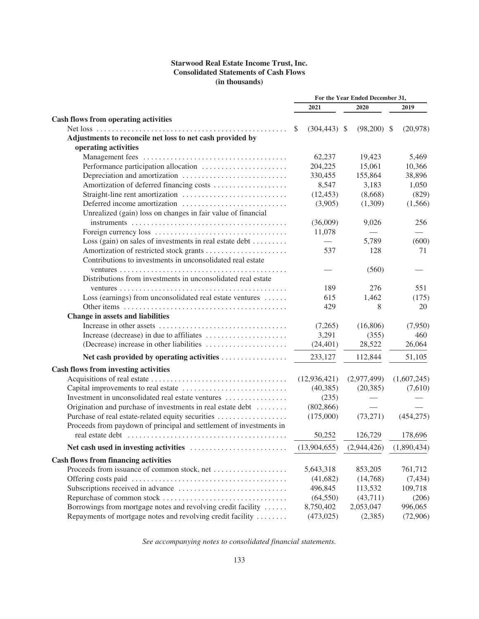# **Starwood Real Estate Income Trust, Inc. Consolidated Statements of Cash Flows (in thousands)**

<span id="page-138-0"></span>

|                                                                     | For the Year Ended December 31, |               |             |
|---------------------------------------------------------------------|---------------------------------|---------------|-------------|
|                                                                     | 2021                            | 2020          | 2019        |
| <b>Cash flows from operating activities</b>                         |                                 |               |             |
|                                                                     | \$<br>$(304, 443)$ \$           | $(98,200)$ \$ | (20,978)    |
| Adjustments to reconcile net loss to net cash provided by           |                                 |               |             |
| operating activities                                                |                                 |               |             |
|                                                                     | 62,237                          | 19,423        | 5,469       |
|                                                                     | 204,225                         | 15,061        | 10,366      |
|                                                                     | 330,455                         | 155,864       | 38,896      |
| Amortization of deferred financing costs                            | 8,547                           | 3,183         | 1,050       |
|                                                                     | (12, 453)                       | (8,668)       | (829)       |
| Deferred income amortization                                        | (3,905)                         | (1,309)       | (1,566)     |
| Unrealized (gain) loss on changes in fair value of financial        |                                 |               |             |
|                                                                     | (36,009)                        | 9,026         | 256         |
|                                                                     | 11,078                          |               |             |
| Loss (gain) on sales of investments in real estate debt             |                                 | 5,789         | (600)       |
|                                                                     | 537                             | 128           | 71          |
| Contributions to investments in unconsolidated real estate          |                                 |               |             |
|                                                                     |                                 | (560)         |             |
| Distributions from investments in unconsolidated real estate        |                                 |               |             |
|                                                                     | 189                             | 276           | 551         |
| Loss (earnings) from unconsolidated real estate ventures            | 615                             | 1,462         | (175)       |
|                                                                     | 429                             | 8             | 20          |
| Change in assets and liabilities                                    |                                 |               |             |
|                                                                     | (7,265)                         | (16,806)      | (7,950)     |
|                                                                     | 3,291                           | (355)         | 460         |
| (Decrease) increase in other liabilities                            | (24, 401)                       | 28,522        | 26,064      |
|                                                                     | 233,127                         | 112,844       | 51,105      |
| <b>Cash flows from investing activities</b>                         |                                 |               |             |
|                                                                     | (12, 936, 421)                  | (2,977,499)   | (1,607,245) |
|                                                                     | (40, 385)                       | (20, 385)     | (7,610)     |
| Investment in unconsolidated real estate ventures                   | (235)                           |               |             |
| Origination and purchase of investments in real estate debt         | (802, 866)                      |               |             |
| Purchase of real estate-related equity securities                   | (175,000)                       | (73,271)      | (454, 275)  |
| Proceeds from paydown of principal and settlement of investments in |                                 |               |             |
|                                                                     | 50,252                          | 126,729       | 178,696     |
|                                                                     | (13,904,655)                    | (2,944,426)   | (1,890,434) |
| <b>Cash flows from financing activities</b>                         |                                 |               |             |
|                                                                     | 5,643,318                       | 853,205       | 761,712     |
|                                                                     | (41,682)                        | (14,768)      | (7, 434)    |
|                                                                     | 496,845                         | 113,532       | 109,718     |
|                                                                     | (64, 550)                       | (43,711)      | (206)       |
| Borrowings from mortgage notes and revolving credit facility        | 8,750,402                       | 2,053,047     | 996,065     |
| Repayments of mortgage notes and revolving credit facility          | (473, 025)                      | (2,385)       | (72,906)    |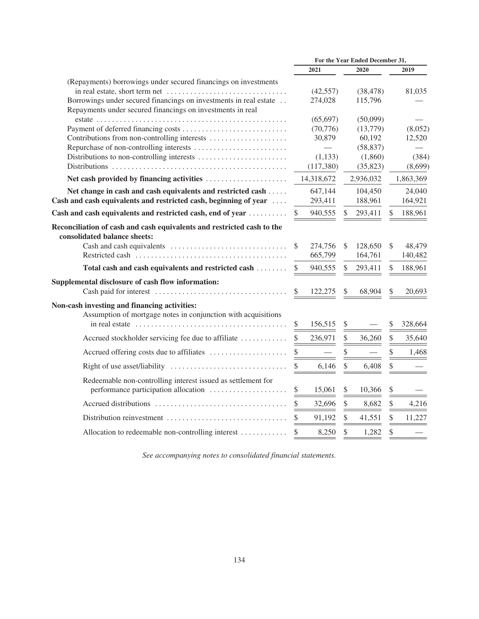|                                                                                                        | For the Year Ended December 31, |                          |                         |
|--------------------------------------------------------------------------------------------------------|---------------------------------|--------------------------|-------------------------|
|                                                                                                        | 2021                            | 2020                     | 2019                    |
| (Repayments) borrowings under secured financings on investments                                        |                                 |                          |                         |
|                                                                                                        | (42, 557)                       | (38, 478)                | 81,035                  |
| Borrowings under secured financings on investments in real estate                                      | 274,028                         | 115,796                  |                         |
| Repayments under secured financings on investments in real                                             |                                 |                          |                         |
|                                                                                                        | (65, 697)                       | (50,099)                 |                         |
|                                                                                                        | (70, 776)                       | (13,779)                 | (8,052)                 |
| Contributions from non-controlling interests                                                           | 30,879                          | 60,192                   | 12,520                  |
|                                                                                                        |                                 | (58, 837)                |                         |
|                                                                                                        | (1, 133)                        | (1,860)                  | (384)                   |
|                                                                                                        | (117,380)                       | (35, 823)                | (8,699)                 |
|                                                                                                        | 14,318,672                      | 2,936,032                | 1,863,369               |
| Net change in cash and cash equivalents and restricted cash                                            | 647,144                         | 104,450                  | 24,040                  |
| Cash and cash equivalents and restricted cash, beginning of year                                       | 293,411                         | 188,961                  | 164,921                 |
| Cash and cash equivalents and restricted cash, end of year                                             | 940,555<br><sup>S</sup>         | $\mathcal{S}$<br>293,411 | \$<br>188,961           |
| Reconciliation of cash and cash equivalents and restricted cash to the<br>consolidated balance sheets: |                                 |                          |                         |
|                                                                                                        | \$<br>274,756                   | 128,650<br>\$            | 48,479<br>\$            |
|                                                                                                        | 665,799                         | 164,761                  | 140,482                 |
| Total cash and cash equivalents and restricted cash                                                    | \$<br>940,555                   | \$<br>293,411            | 188,961<br>S            |
| Supplemental disclosure of cash flow information:                                                      |                                 |                          |                         |
|                                                                                                        | \$<br>122,275                   | 68,904<br>\$             | 20,693                  |
| Non-cash investing and financing activities:                                                           |                                 |                          |                         |
| Assumption of mortgage notes in conjunction with acquisitions                                          |                                 |                          |                         |
|                                                                                                        | \$<br>156,515                   | \$                       | 328,664<br>\$           |
| Accrued stockholder servicing fee due to affiliate                                                     | \$<br>236,971                   | \$<br>36,260             | \$<br>35,640            |
|                                                                                                        | \$                              | \$                       | \$<br>1,468             |
|                                                                                                        | 6,146<br>\$                     | \$<br>6,408              | \$                      |
| Redeemable non-controlling interest issued as settlement for                                           |                                 |                          |                         |
| performance participation allocation                                                                   | \$<br>15,061                    | \$<br>10,366             | \$                      |
|                                                                                                        | 32,696<br>\$                    | \$<br>8,682              | $\mathcal{S}$<br>4,216  |
|                                                                                                        | 91,192<br>\$                    | \$<br>41,551             | $\mathcal{S}$<br>11,227 |
| Allocation to redeemable non-controlling interest                                                      | 8,250<br>\$                     | \$<br>1,282              | \$                      |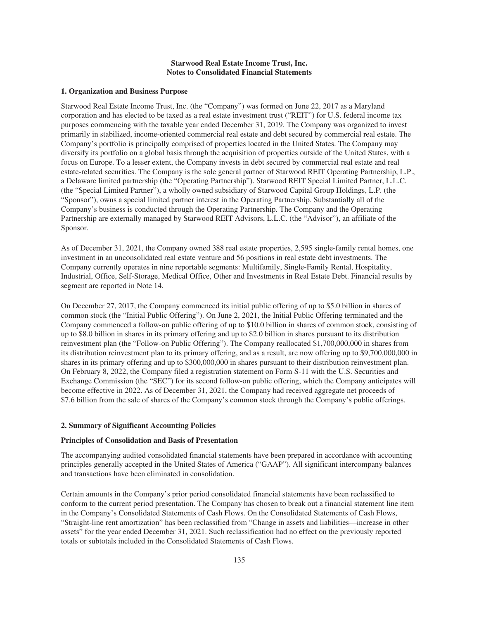### <span id="page-140-0"></span>**1. Organization and Business Purpose**

Starwood Real Estate Income Trust, Inc. (the "Company") was formed on June 22, 2017 as a Maryland corporation and has elected to be taxed as a real estate investment trust ("REIT") for U.S. federal income tax purposes commencing with the taxable year ended December 31, 2019. The Company was organized to invest primarily in stabilized, income-oriented commercial real estate and debt secured by commercial real estate. The Company's portfolio is principally comprised of properties located in the United States. The Company may diversify its portfolio on a global basis through the acquisition of properties outside of the United States, with a focus on Europe. To a lesser extent, the Company invests in debt secured by commercial real estate and real estate-related securities. The Company is the sole general partner of Starwood REIT Operating Partnership, L.P., a Delaware limited partnership (the "Operating Partnership"). Starwood REIT Special Limited Partner, L.L.C. (the "Special Limited Partner"), a wholly owned subsidiary of Starwood Capital Group Holdings, L.P. (the "Sponsor"), owns a special limited partner interest in the Operating Partnership. Substantially all of the Company's business is conducted through the Operating Partnership. The Company and the Operating Partnership are externally managed by Starwood REIT Advisors, L.L.C. (the "Advisor"), an affiliate of the Sponsor.

As of December 31, 2021, the Company owned 388 real estate properties, 2,595 single-family rental homes, one investment in an unconsolidated real estate venture and 56 positions in real estate debt investments. The Company currently operates in nine reportable segments: Multifamily, Single-Family Rental, Hospitality, Industrial, Office, Self-Storage, Medical Office, Other and Investments in Real Estate Debt. Financial results by segment are reported in Note 14.

On December 27, 2017, the Company commenced its initial public offering of up to \$5.0 billion in shares of common stock (the "Initial Public Offering"). On June 2, 2021, the Initial Public Offering terminated and the Company commenced a follow-on public offering of up to \$10.0 billion in shares of common stock, consisting of up to \$8.0 billion in shares in its primary offering and up to \$2.0 billion in shares pursuant to its distribution reinvestment plan (the "Follow-on Public Offering"). The Company reallocated \$1,700,000,000 in shares from its distribution reinvestment plan to its primary offering, and as a result, are now offering up to \$9,700,000,000 in shares in its primary offering and up to \$300,000,000 in shares pursuant to their distribution reinvestment plan. On February 8, 2022, the Company filed a registration statement on Form S-11 with the U.S. Securities and Exchange Commission (the "SEC") for its second follow-on public offering, which the Company anticipates will become effective in 2022. As of December 31, 2021, the Company had received aggregate net proceeds of \$7.6 billion from the sale of shares of the Company's common stock through the Company's public offerings.

## **2. Summary of Significant Accounting Policies**

#### **Principles of Consolidation and Basis of Presentation**

The accompanying audited consolidated financial statements have been prepared in accordance with accounting principles generally accepted in the United States of America ("GAAP"). All significant intercompany balances and transactions have been eliminated in consolidation.

Certain amounts in the Company's prior period consolidated financial statements have been reclassified to conform to the current period presentation. The Company has chosen to break out a financial statement line item in the Company's Consolidated Statements of Cash Flows. On the Consolidated Statements of Cash Flows, "Straight-line rent amortization" has been reclassified from "Change in assets and liabilities—increase in other assets" for the year ended December 31, 2021. Such reclassification had no effect on the previously reported totals or subtotals included in the Consolidated Statements of Cash Flows.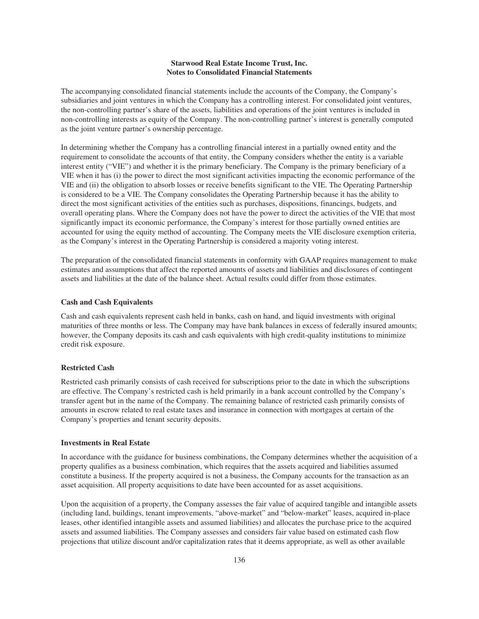The accompanying consolidated financial statements include the accounts of the Company, the Company's subsidiaries and joint ventures in which the Company has a controlling interest. For consolidated joint ventures, the non-controlling partner's share of the assets, liabilities and operations of the joint ventures is included in non-controlling interests as equity of the Company. The non-controlling partner's interest is generally computed as the joint venture partner's ownership percentage.

In determining whether the Company has a controlling financial interest in a partially owned entity and the requirement to consolidate the accounts of that entity, the Company considers whether the entity is a variable interest entity ("VIE") and whether it is the primary beneficiary. The Company is the primary beneficiary of a VIE when it has (i) the power to direct the most significant activities impacting the economic performance of the VIE and (ii) the obligation to absorb losses or receive benefits significant to the VIE. The Operating Partnership is considered to be a VIE. The Company consolidates the Operating Partnership because it has the ability to direct the most significant activities of the entities such as purchases, dispositions, financings, budgets, and overall operating plans. Where the Company does not have the power to direct the activities of the VIE that most significantly impact its economic performance, the Company's interest for those partially owned entities are accounted for using the equity method of accounting. The Company meets the VIE disclosure exemption criteria, as the Company's interest in the Operating Partnership is considered a majority voting interest.

The preparation of the consolidated financial statements in conformity with GAAP requires management to make estimates and assumptions that affect the reported amounts of assets and liabilities and disclosures of contingent assets and liabilities at the date of the balance sheet. Actual results could differ from those estimates.

### **Cash and Cash Equivalents**

Cash and cash equivalents represent cash held in banks, cash on hand, and liquid investments with original maturities of three months or less. The Company may have bank balances in excess of federally insured amounts; however, the Company deposits its cash and cash equivalents with high credit-quality institutions to minimize credit risk exposure.

# **Restricted Cash**

Restricted cash primarily consists of cash received for subscriptions prior to the date in which the subscriptions are effective. The Company's restricted cash is held primarily in a bank account controlled by the Company's transfer agent but in the name of the Company. The remaining balance of restricted cash primarily consists of amounts in escrow related to real estate taxes and insurance in connection with mortgages at certain of the Company's properties and tenant security deposits.

#### **Investments in Real Estate**

In accordance with the guidance for business combinations, the Company determines whether the acquisition of a property qualifies as a business combination, which requires that the assets acquired and liabilities assumed constitute a business. If the property acquired is not a business, the Company accounts for the transaction as an asset acquisition. All property acquisitions to date have been accounted for as asset acquisitions.

Upon the acquisition of a property, the Company assesses the fair value of acquired tangible and intangible assets (including land, buildings, tenant improvements, "above-market" and "below-market" leases, acquired in-place leases, other identified intangible assets and assumed liabilities) and allocates the purchase price to the acquired assets and assumed liabilities. The Company assesses and considers fair value based on estimated cash flow projections that utilize discount and/or capitalization rates that it deems appropriate, as well as other available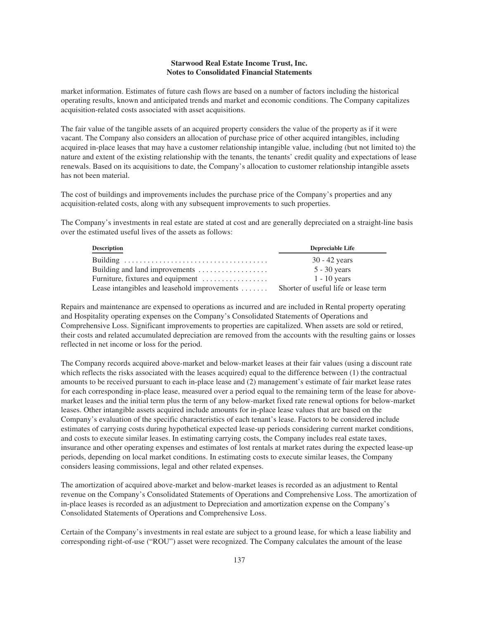market information. Estimates of future cash flows are based on a number of factors including the historical operating results, known and anticipated trends and market and economic conditions. The Company capitalizes acquisition-related costs associated with asset acquisitions.

The fair value of the tangible assets of an acquired property considers the value of the property as if it were vacant. The Company also considers an allocation of purchase price of other acquired intangibles, including acquired in-place leases that may have a customer relationship intangible value, including (but not limited to) the nature and extent of the existing relationship with the tenants, the tenants' credit quality and expectations of lease renewals. Based on its acquisitions to date, the Company's allocation to customer relationship intangible assets has not been material.

The cost of buildings and improvements includes the purchase price of the Company's properties and any acquisition-related costs, along with any subsequent improvements to such properties.

The Company's investments in real estate are stated at cost and are generally depreciated on a straight-line basis over the estimated useful lives of the assets as follows:

| <b>Description</b>                           | Depreciable Life                     |
|----------------------------------------------|--------------------------------------|
|                                              | $30 - 42$ years                      |
| Building and land improvements               | $5 - 30$ years                       |
| Furniture, fixtures and equipment            | $1 - 10$ years                       |
| Lease intangibles and leasehold improvements | Shorter of useful life or lease term |

Repairs and maintenance are expensed to operations as incurred and are included in Rental property operating and Hospitality operating expenses on the Company's Consolidated Statements of Operations and Comprehensive Loss. Significant improvements to properties are capitalized. When assets are sold or retired, their costs and related accumulated depreciation are removed from the accounts with the resulting gains or losses reflected in net income or loss for the period.

The Company records acquired above-market and below-market leases at their fair values (using a discount rate which reflects the risks associated with the leases acquired) equal to the difference between (1) the contractual amounts to be received pursuant to each in-place lease and (2) management's estimate of fair market lease rates for each corresponding in-place lease, measured over a period equal to the remaining term of the lease for abovemarket leases and the initial term plus the term of any below-market fixed rate renewal options for below-market leases. Other intangible assets acquired include amounts for in-place lease values that are based on the Company's evaluation of the specific characteristics of each tenant's lease. Factors to be considered include estimates of carrying costs during hypothetical expected lease-up periods considering current market conditions, and costs to execute similar leases. In estimating carrying costs, the Company includes real estate taxes, insurance and other operating expenses and estimates of lost rentals at market rates during the expected lease-up periods, depending on local market conditions. In estimating costs to execute similar leases, the Company considers leasing commissions, legal and other related expenses.

The amortization of acquired above-market and below-market leases is recorded as an adjustment to Rental revenue on the Company's Consolidated Statements of Operations and Comprehensive Loss. The amortization of in-place leases is recorded as an adjustment to Depreciation and amortization expense on the Company's Consolidated Statements of Operations and Comprehensive Loss.

Certain of the Company's investments in real estate are subject to a ground lease, for which a lease liability and corresponding right-of-use ("ROU") asset were recognized. The Company calculates the amount of the lease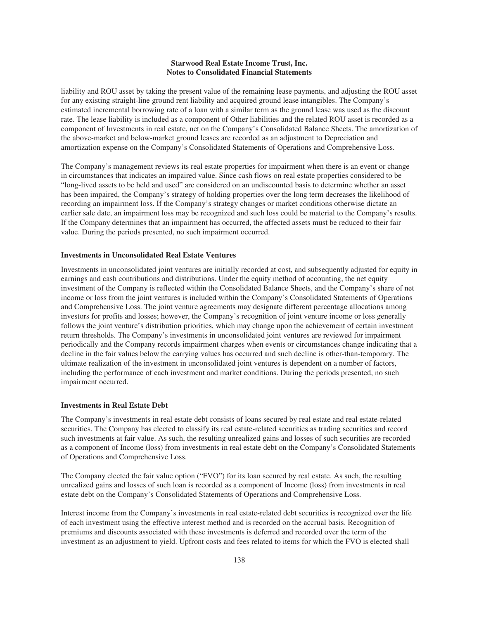liability and ROU asset by taking the present value of the remaining lease payments, and adjusting the ROU asset for any existing straight-line ground rent liability and acquired ground lease intangibles. The Company's estimated incremental borrowing rate of a loan with a similar term as the ground lease was used as the discount rate. The lease liability is included as a component of Other liabilities and the related ROU asset is recorded as a component of Investments in real estate, net on the Company's Consolidated Balance Sheets. The amortization of the above-market and below-market ground leases are recorded as an adjustment to Depreciation and amortization expense on the Company's Consolidated Statements of Operations and Comprehensive Loss.

The Company's management reviews its real estate properties for impairment when there is an event or change in circumstances that indicates an impaired value. Since cash flows on real estate properties considered to be "long-lived assets to be held and used" are considered on an undiscounted basis to determine whether an asset has been impaired, the Company's strategy of holding properties over the long term decreases the likelihood of recording an impairment loss. If the Company's strategy changes or market conditions otherwise dictate an earlier sale date, an impairment loss may be recognized and such loss could be material to the Company's results. If the Company determines that an impairment has occurred, the affected assets must be reduced to their fair value. During the periods presented, no such impairment occurred.

#### **Investments in Unconsolidated Real Estate Ventures**

Investments in unconsolidated joint ventures are initially recorded at cost, and subsequently adjusted for equity in earnings and cash contributions and distributions. Under the equity method of accounting, the net equity investment of the Company is reflected within the Consolidated Balance Sheets, and the Company's share of net income or loss from the joint ventures is included within the Company's Consolidated Statements of Operations and Comprehensive Loss. The joint venture agreements may designate different percentage allocations among investors for profits and losses; however, the Company's recognition of joint venture income or loss generally follows the joint venture's distribution priorities, which may change upon the achievement of certain investment return thresholds. The Company's investments in unconsolidated joint ventures are reviewed for impairment periodically and the Company records impairment charges when events or circumstances change indicating that a decline in the fair values below the carrying values has occurred and such decline is other-than-temporary. The ultimate realization of the investment in unconsolidated joint ventures is dependent on a number of factors, including the performance of each investment and market conditions. During the periods presented, no such impairment occurred.

#### **Investments in Real Estate Debt**

The Company's investments in real estate debt consists of loans secured by real estate and real estate-related securities. The Company has elected to classify its real estate-related securities as trading securities and record such investments at fair value. As such, the resulting unrealized gains and losses of such securities are recorded as a component of Income (loss) from investments in real estate debt on the Company's Consolidated Statements of Operations and Comprehensive Loss.

The Company elected the fair value option ("FVO") for its loan secured by real estate. As such, the resulting unrealized gains and losses of such loan is recorded as a component of Income (loss) from investments in real estate debt on the Company's Consolidated Statements of Operations and Comprehensive Loss.

Interest income from the Company's investments in real estate-related debt securities is recognized over the life of each investment using the effective interest method and is recorded on the accrual basis. Recognition of premiums and discounts associated with these investments is deferred and recorded over the term of the investment as an adjustment to yield. Upfront costs and fees related to items for which the FVO is elected shall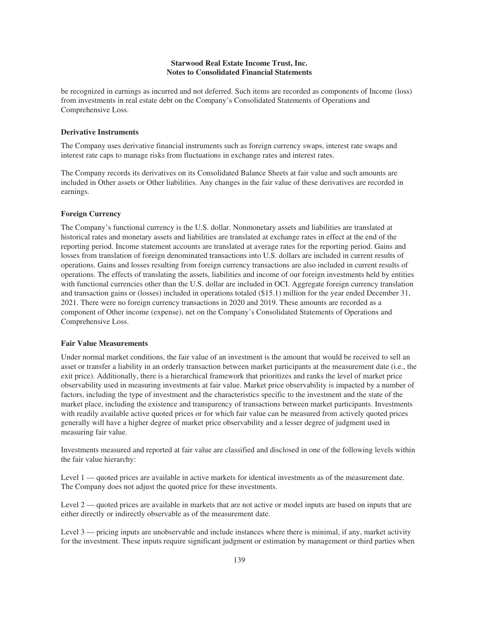be recognized in earnings as incurred and not deferred. Such items are recorded as components of Income (loss) from investments in real estate debt on the Company's Consolidated Statements of Operations and Comprehensive Loss.

#### **Derivative Instruments**

The Company uses derivative financial instruments such as foreign currency swaps, interest rate swaps and interest rate caps to manage risks from fluctuations in exchange rates and interest rates.

The Company records its derivatives on its Consolidated Balance Sheets at fair value and such amounts are included in Other assets or Other liabilities. Any changes in the fair value of these derivatives are recorded in earnings.

#### **Foreign Currency**

The Company's functional currency is the U.S. dollar. Nonmonetary assets and liabilities are translated at historical rates and monetary assets and liabilities are translated at exchange rates in effect at the end of the reporting period. Income statement accounts are translated at average rates for the reporting period. Gains and losses from translation of foreign denominated transactions into U.S. dollars are included in current results of operations. Gains and losses resulting from foreign currency transactions are also included in current results of operations. The effects of translating the assets, liabilities and income of our foreign investments held by entities with functional currencies other than the U.S. dollar are included in OCI. Aggregate foreign currency translation and transaction gains or (losses) included in operations totaled (\$15.1) million for the year ended December 31, 2021. There were no foreign currency transactions in 2020 and 2019. These amounts are recorded as a component of Other income (expense), net on the Company's Consolidated Statements of Operations and Comprehensive Loss.

### **Fair Value Measurements**

Under normal market conditions, the fair value of an investment is the amount that would be received to sell an asset or transfer a liability in an orderly transaction between market participants at the measurement date (i.e., the exit price). Additionally, there is a hierarchical framework that prioritizes and ranks the level of market price observability used in measuring investments at fair value. Market price observability is impacted by a number of factors, including the type of investment and the characteristics specific to the investment and the state of the market place, including the existence and transparency of transactions between market participants. Investments with readily available active quoted prices or for which fair value can be measured from actively quoted prices generally will have a higher degree of market price observability and a lesser degree of judgment used in measuring fair value.

Investments measured and reported at fair value are classified and disclosed in one of the following levels within the fair value hierarchy:

Level 1 — quoted prices are available in active markets for identical investments as of the measurement date. The Company does not adjust the quoted price for these investments.

Level 2 — quoted prices are available in markets that are not active or model inputs are based on inputs that are either directly or indirectly observable as of the measurement date.

Level 3 — pricing inputs are unobservable and include instances where there is minimal, if any, market activity for the investment. These inputs require significant judgment or estimation by management or third parties when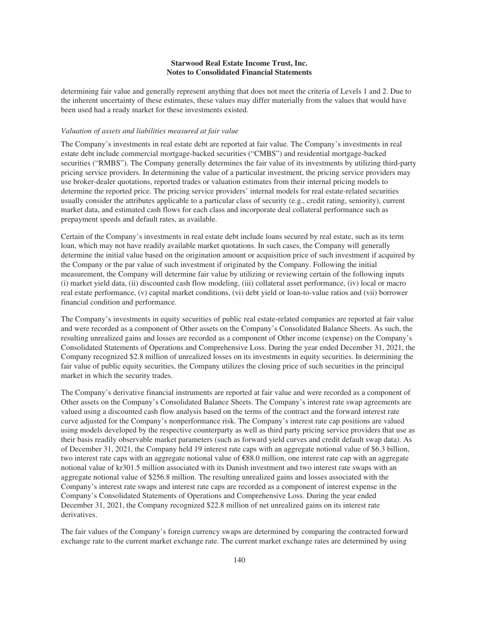determining fair value and generally represent anything that does not meet the criteria of Levels 1 and 2. Due to the inherent uncertainty of these estimates, these values may differ materially from the values that would have been used had a ready market for these investments existed.

#### *Valuation of assets and liabilities measured at fair value*

The Company's investments in real estate debt are reported at fair value. The Company's investments in real estate debt include commercial mortgage-backed securities ("CMBS") and residential mortgage-backed securities ("RMBS"). The Company generally determines the fair value of its investments by utilizing third-party pricing service providers. In determining the value of a particular investment, the pricing service providers may use broker-dealer quotations, reported trades or valuation estimates from their internal pricing models to determine the reported price. The pricing service providers' internal models for real estate-related securities usually consider the attributes applicable to a particular class of security (e.g., credit rating, seniority), current market data, and estimated cash flows for each class and incorporate deal collateral performance such as prepayment speeds and default rates, as available.

Certain of the Company's investments in real estate debt include loans secured by real estate, such as its term loan, which may not have readily available market quotations. In such cases, the Company will generally determine the initial value based on the origination amount or acquisition price of such investment if acquired by the Company or the par value of such investment if originated by the Company. Following the initial measurement, the Company will determine fair value by utilizing or reviewing certain of the following inputs (i) market yield data, (ii) discounted cash flow modeling, (iii) collateral asset performance, (iv) local or macro real estate performance, (v) capital market conditions, (vi) debt yield or loan-to-value ratios and (vii) borrower financial condition and performance.

The Company's investments in equity securities of public real estate-related companies are reported at fair value and were recorded as a component of Other assets on the Company's Consolidated Balance Sheets. As such, the resulting unrealized gains and losses are recorded as a component of Other income (expense) on the Company's Consolidated Statements of Operations and Comprehensive Loss. During the year ended December 31, 2021, the Company recognized \$2.8 million of unrealized losses on its investments in equity securities. In determining the fair value of public equity securities, the Company utilizes the closing price of such securities in the principal market in which the security trades.

The Company's derivative financial instruments are reported at fair value and were recorded as a component of Other assets on the Company's Consolidated Balance Sheets. The Company's interest rate swap agreements are valued using a discounted cash flow analysis based on the terms of the contract and the forward interest rate curve adjusted for the Company's nonperformance risk. The Company's interest rate cap positions are valued using models developed by the respective counterparty as well as third party pricing service providers that use as their basis readily observable market parameters (such as forward yield curves and credit default swap data). As of December 31, 2021, the Company held 19 interest rate caps with an aggregate notional value of \$6.3 billion, two interest rate caps with an aggregate notional value of €88.0 million, one interest rate cap with an aggregate notional value of kr301.5 million associated with its Danish investment and two interest rate swaps with an aggregate notional value of \$256.8 million. The resulting unrealized gains and losses associated with the Company's interest rate swaps and interest rate caps are recorded as a component of interest expense in the Company's Consolidated Statements of Operations and Comprehensive Loss. During the year ended December 31, 2021, the Company recognized \$22.8 million of net unrealized gains on its interest rate derivatives.

The fair values of the Company's foreign currency swaps are determined by comparing the contracted forward exchange rate to the current market exchange rate. The current market exchange rates are determined by using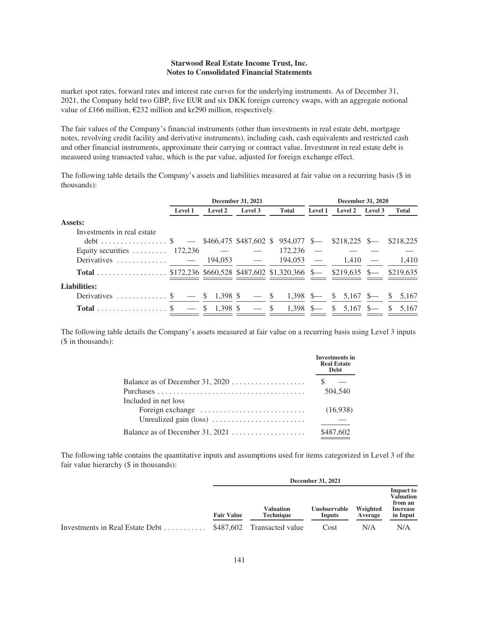market spot rates, forward rates and interest rate curves for the underlying instruments. As of December 31, 2021, the Company held two GBP, five EUR and six DKK foreign currency swaps, with an aggregate notional value of £166 million, €232 million and kr290 million, respectively.

The fair values of the Company's financial instruments (other than investments in real estate debt, mortgage notes, revolving credit facility and derivative instruments), including cash, cash equivalents and restricted cash and other financial instruments, approximate their carrying or contract value. Investment in real estate debt is measured using transacted value, which is the par value, adjusted for foreign exchange effect.

The following table details the Company's assets and liabilities measured at fair value on a recurring basis (\$ in thousands):

|                                                                      |         |                 | <b>December 31, 2021</b> |                 |                | <b>December 31, 2020</b> |         |                         |
|----------------------------------------------------------------------|---------|-----------------|--------------------------|-----------------|----------------|--------------------------|---------|-------------------------|
|                                                                      | Level 1 | <b>Level 2</b>  | Level 3                  | <b>Total</b>    | <b>Level 1</b> | <b>Level 2</b>           | Level 3 | <b>Total</b>            |
| <b>Assets:</b>                                                       |         |                 |                          |                 |                |                          |         |                         |
| Investments in real estate                                           |         |                 |                          |                 |                |                          |         |                         |
| debt \$ - \$466,475 \$487,602 \$ 954,077 \$- \$218,225 \$-           |         |                 |                          |                 |                |                          |         | \$218.225               |
| Equity securities $\dots \dots$                                      | 172,236 | $\sim$ 100 $-$  |                          | 172.236         |                |                          |         |                         |
| Derivatives                                                          |         | $- 194,053$     |                          | $194,053$ —     |                | 1,410                    |         | 1,410                   |
|                                                                      |         |                 |                          |                 |                |                          |         |                         |
| <b>Liabilities:</b>                                                  |         |                 |                          |                 |                |                          |         |                         |
| Derivatives  \$ - \$ 1,398 \$ - \$ 1,398 \$ - \$ 5,167 \$ - \$ 5,167 |         |                 |                          |                 |                |                          |         |                         |
| Total $\mathbb{S}$                                                   |         | $-$ \$ 1,398 \$ |                          | $-$ \$ 1,398 \$ |                | $$5,167$ \$              |         | 5.167<br>$\mathbb{S}^-$ |

The following table details the Company's assets measured at fair value on a recurring basis using Level 3 inputs (\$ in thousands):

|                                 | <b>Investments</b> in<br><b>Real Estate</b><br>Debt |
|---------------------------------|-----------------------------------------------------|
|                                 |                                                     |
|                                 | 504,540                                             |
| Included in net loss            |                                                     |
|                                 | (16,938)                                            |
|                                 |                                                     |
| Balance as of December 31, 2021 | \$487,602                                           |

The following table contains the quantitative inputs and assumptions used for items categorized in Level 3 of the fair value hierarchy (\$ in thousands):

|                                                                  | December 31, 2021 |                               |                        |                     |                                                                                |  |
|------------------------------------------------------------------|-------------------|-------------------------------|------------------------|---------------------|--------------------------------------------------------------------------------|--|
|                                                                  | <b>Fair Value</b> | Valuation<br><b>Technique</b> | Unobservable<br>Inputs | Weighted<br>Average | <b>Impact to</b><br><b>Valuation</b><br>from an<br><b>Increase</b><br>in Input |  |
| Investments in Real Estate Debt $\ldots \ldots \ldots$ \$487.602 |                   | Transacted value              | Cost                   | N/A                 | N/A                                                                            |  |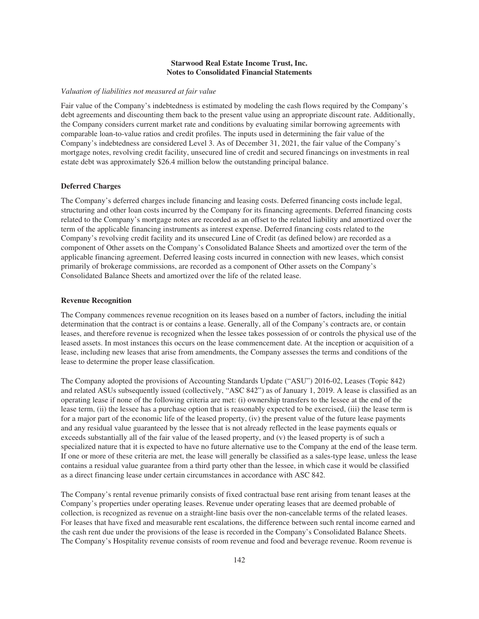#### *Valuation of liabilities not measured at fair value*

Fair value of the Company's indebtedness is estimated by modeling the cash flows required by the Company's debt agreements and discounting them back to the present value using an appropriate discount rate. Additionally, the Company considers current market rate and conditions by evaluating similar borrowing agreements with comparable loan-to-value ratios and credit profiles. The inputs used in determining the fair value of the Company's indebtedness are considered Level 3. As of December 31, 2021, the fair value of the Company's mortgage notes, revolving credit facility, unsecured line of credit and secured financings on investments in real estate debt was approximately \$26.4 million below the outstanding principal balance.

#### **Deferred Charges**

The Company's deferred charges include financing and leasing costs. Deferred financing costs include legal, structuring and other loan costs incurred by the Company for its financing agreements. Deferred financing costs related to the Company's mortgage notes are recorded as an offset to the related liability and amortized over the term of the applicable financing instruments as interest expense. Deferred financing costs related to the Company's revolving credit facility and its unsecured Line of Credit (as defined below) are recorded as a component of Other assets on the Company's Consolidated Balance Sheets and amortized over the term of the applicable financing agreement. Deferred leasing costs incurred in connection with new leases, which consist primarily of brokerage commissions, are recorded as a component of Other assets on the Company's Consolidated Balance Sheets and amortized over the life of the related lease.

#### **Revenue Recognition**

The Company commences revenue recognition on its leases based on a number of factors, including the initial determination that the contract is or contains a lease. Generally, all of the Company's contracts are, or contain leases, and therefore revenue is recognized when the lessee takes possession of or controls the physical use of the leased assets. In most instances this occurs on the lease commencement date. At the inception or acquisition of a lease, including new leases that arise from amendments, the Company assesses the terms and conditions of the lease to determine the proper lease classification.

The Company adopted the provisions of Accounting Standards Update ("ASU") 2016-02, Leases (Topic 842) and related ASUs subsequently issued (collectively, "ASC 842") as of January 1, 2019. A lease is classified as an operating lease if none of the following criteria are met: (i) ownership transfers to the lessee at the end of the lease term, (ii) the lessee has a purchase option that is reasonably expected to be exercised, (iii) the lease term is for a major part of the economic life of the leased property, (iv) the present value of the future lease payments and any residual value guaranteed by the lessee that is not already reflected in the lease payments equals or exceeds substantially all of the fair value of the leased property, and (v) the leased property is of such a specialized nature that it is expected to have no future alternative use to the Company at the end of the lease term. If one or more of these criteria are met, the lease will generally be classified as a sales-type lease, unless the lease contains a residual value guarantee from a third party other than the lessee, in which case it would be classified as a direct financing lease under certain circumstances in accordance with ASC 842.

The Company's rental revenue primarily consists of fixed contractual base rent arising from tenant leases at the Company's properties under operating leases. Revenue under operating leases that are deemed probable of collection, is recognized as revenue on a straight-line basis over the non-cancelable terms of the related leases. For leases that have fixed and measurable rent escalations, the difference between such rental income earned and the cash rent due under the provisions of the lease is recorded in the Company's Consolidated Balance Sheets. The Company's Hospitality revenue consists of room revenue and food and beverage revenue. Room revenue is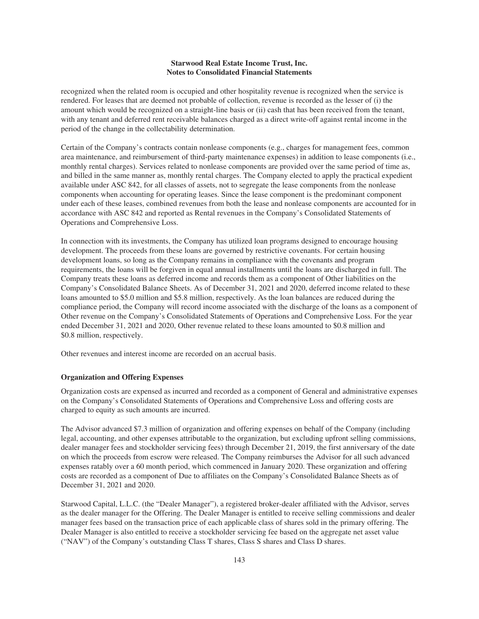recognized when the related room is occupied and other hospitality revenue is recognized when the service is rendered. For leases that are deemed not probable of collection, revenue is recorded as the lesser of (i) the amount which would be recognized on a straight-line basis or (ii) cash that has been received from the tenant, with any tenant and deferred rent receivable balances charged as a direct write-off against rental income in the period of the change in the collectability determination.

Certain of the Company's contracts contain nonlease components (e.g., charges for management fees, common area maintenance, and reimbursement of third-party maintenance expenses) in addition to lease components (i.e., monthly rental charges). Services related to nonlease components are provided over the same period of time as, and billed in the same manner as, monthly rental charges. The Company elected to apply the practical expedient available under ASC 842, for all classes of assets, not to segregate the lease components from the nonlease components when accounting for operating leases. Since the lease component is the predominant component under each of these leases, combined revenues from both the lease and nonlease components are accounted for in accordance with ASC 842 and reported as Rental revenues in the Company's Consolidated Statements of Operations and Comprehensive Loss.

In connection with its investments, the Company has utilized loan programs designed to encourage housing development. The proceeds from these loans are governed by restrictive covenants. For certain housing development loans, so long as the Company remains in compliance with the covenants and program requirements, the loans will be forgiven in equal annual installments until the loans are discharged in full. The Company treats these loans as deferred income and records them as a component of Other liabilities on the Company's Consolidated Balance Sheets. As of December 31, 2021 and 2020, deferred income related to these loans amounted to \$5.0 million and \$5.8 million, respectively. As the loan balances are reduced during the compliance period, the Company will record income associated with the discharge of the loans as a component of Other revenue on the Company's Consolidated Statements of Operations and Comprehensive Loss. For the year ended December 31, 2021 and 2020, Other revenue related to these loans amounted to \$0.8 million and \$0.8 million, respectively.

Other revenues and interest income are recorded on an accrual basis.

#### **Organization and Offering Expenses**

Organization costs are expensed as incurred and recorded as a component of General and administrative expenses on the Company's Consolidated Statements of Operations and Comprehensive Loss and offering costs are charged to equity as such amounts are incurred.

The Advisor advanced \$7.3 million of organization and offering expenses on behalf of the Company (including legal, accounting, and other expenses attributable to the organization, but excluding upfront selling commissions, dealer manager fees and stockholder servicing fees) through December 21, 2019, the first anniversary of the date on which the proceeds from escrow were released. The Company reimburses the Advisor for all such advanced expenses ratably over a 60 month period, which commenced in January 2020. These organization and offering costs are recorded as a component of Due to affiliates on the Company's Consolidated Balance Sheets as of December 31, 2021 and 2020.

Starwood Capital, L.L.C. (the "Dealer Manager"), a registered broker-dealer affiliated with the Advisor, serves as the dealer manager for the Offering. The Dealer Manager is entitled to receive selling commissions and dealer manager fees based on the transaction price of each applicable class of shares sold in the primary offering. The Dealer Manager is also entitled to receive a stockholder servicing fee based on the aggregate net asset value ("NAV") of the Company's outstanding Class T shares, Class S shares and Class D shares.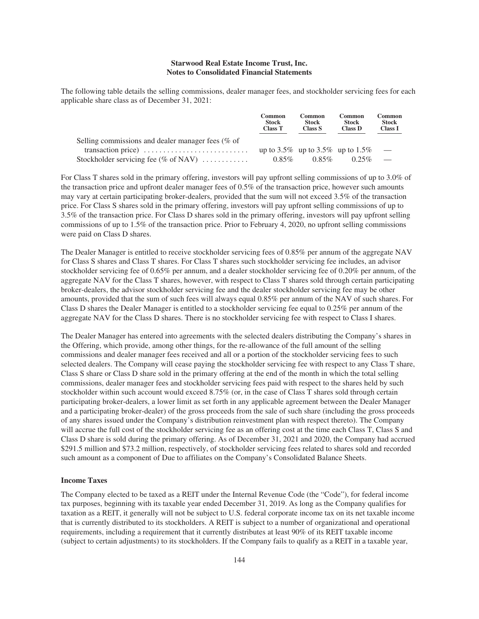The following table details the selling commissions, dealer manager fees, and stockholder servicing fees for each applicable share class as of December 31, 2021:

|                                                                            | Common<br><b>Stock</b><br><b>Class T</b> | Common<br>Stock<br>Class S | <b>Common</b><br>Stock<br><b>Class D</b> | <b>Common</b><br>Stock<br><b>Class I</b> |
|----------------------------------------------------------------------------|------------------------------------------|----------------------------|------------------------------------------|------------------------------------------|
| Selling commissions and dealer manager fees (% of                          |                                          |                            |                                          |                                          |
| transaction price) $\dots \dots \dots \dots \dots \dots \dots \dots \dots$ |                                          |                            | up to 3.5% up to 3.5% up to 1.5%         |                                          |
| Stockholder servicing fee (% of NAV) $\dots\dots\dots$                     | $0.85\%$                                 | $0.85\%$                   | $0.25\%$                                 |                                          |

For Class T shares sold in the primary offering, investors will pay upfront selling commissions of up to 3.0% of the transaction price and upfront dealer manager fees of 0.5% of the transaction price, however such amounts may vary at certain participating broker-dealers, provided that the sum will not exceed 3.5% of the transaction price. For Class S shares sold in the primary offering, investors will pay upfront selling commissions of up to 3.5% of the transaction price. For Class D shares sold in the primary offering, investors will pay upfront selling commissions of up to 1.5% of the transaction price. Prior to February 4, 2020, no upfront selling commissions were paid on Class D shares.

The Dealer Manager is entitled to receive stockholder servicing fees of 0.85% per annum of the aggregate NAV for Class S shares and Class T shares. For Class T shares such stockholder servicing fee includes, an advisor stockholder servicing fee of 0.65% per annum, and a dealer stockholder servicing fee of 0.20% per annum, of the aggregate NAV for the Class T shares, however, with respect to Class T shares sold through certain participating broker-dealers, the advisor stockholder servicing fee and the dealer stockholder servicing fee may be other amounts, provided that the sum of such fees will always equal 0.85% per annum of the NAV of such shares. For Class D shares the Dealer Manager is entitled to a stockholder servicing fee equal to 0.25% per annum of the aggregate NAV for the Class D shares. There is no stockholder servicing fee with respect to Class I shares.

The Dealer Manager has entered into agreements with the selected dealers distributing the Company's shares in the Offering, which provide, among other things, for the re-allowance of the full amount of the selling commissions and dealer manager fees received and all or a portion of the stockholder servicing fees to such selected dealers. The Company will cease paying the stockholder servicing fee with respect to any Class T share, Class S share or Class D share sold in the primary offering at the end of the month in which the total selling commissions, dealer manager fees and stockholder servicing fees paid with respect to the shares held by such stockholder within such account would exceed 8.75% (or, in the case of Class T shares sold through certain participating broker-dealers, a lower limit as set forth in any applicable agreement between the Dealer Manager and a participating broker-dealer) of the gross proceeds from the sale of such share (including the gross proceeds of any shares issued under the Company's distribution reinvestment plan with respect thereto). The Company will accrue the full cost of the stockholder servicing fee as an offering cost at the time each Class T, Class S and Class D share is sold during the primary offering. As of December 31, 2021 and 2020, the Company had accrued \$291.5 million and \$73.2 million, respectively, of stockholder servicing fees related to shares sold and recorded such amount as a component of Due to affiliates on the Company's Consolidated Balance Sheets.

#### **Income Taxes**

The Company elected to be taxed as a REIT under the Internal Revenue Code (the "Code"), for federal income tax purposes, beginning with its taxable year ended December 31, 2019. As long as the Company qualifies for taxation as a REIT, it generally will not be subject to U.S. federal corporate income tax on its net taxable income that is currently distributed to its stockholders. A REIT is subject to a number of organizational and operational requirements, including a requirement that it currently distributes at least 90% of its REIT taxable income (subject to certain adjustments) to its stockholders. If the Company fails to qualify as a REIT in a taxable year,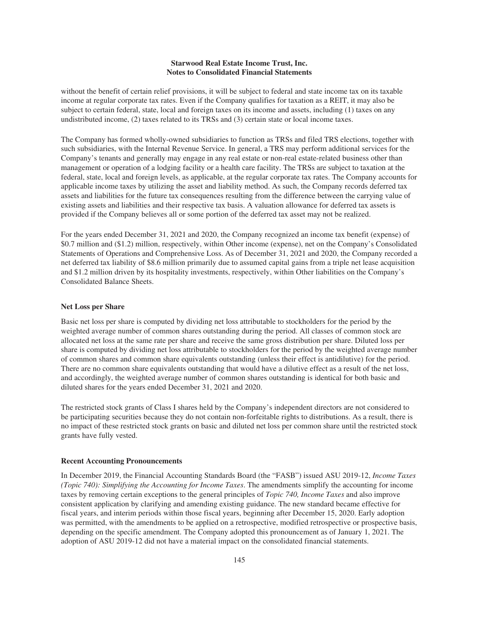without the benefit of certain relief provisions, it will be subject to federal and state income tax on its taxable income at regular corporate tax rates. Even if the Company qualifies for taxation as a REIT, it may also be subject to certain federal, state, local and foreign taxes on its income and assets, including (1) taxes on any undistributed income, (2) taxes related to its TRSs and (3) certain state or local income taxes.

The Company has formed wholly-owned subsidiaries to function as TRSs and filed TRS elections, together with such subsidiaries, with the Internal Revenue Service. In general, a TRS may perform additional services for the Company's tenants and generally may engage in any real estate or non-real estate-related business other than management or operation of a lodging facility or a health care facility. The TRSs are subject to taxation at the federal, state, local and foreign levels, as applicable, at the regular corporate tax rates. The Company accounts for applicable income taxes by utilizing the asset and liability method. As such, the Company records deferred tax assets and liabilities for the future tax consequences resulting from the difference between the carrying value of existing assets and liabilities and their respective tax basis. A valuation allowance for deferred tax assets is provided if the Company believes all or some portion of the deferred tax asset may not be realized.

For the years ended December 31, 2021 and 2020, the Company recognized an income tax benefit (expense) of \$0.7 million and (\$1.2) million, respectively, within Other income (expense), net on the Company's Consolidated Statements of Operations and Comprehensive Loss. As of December 31, 2021 and 2020, the Company recorded a net deferred tax liability of \$8.6 million primarily due to assumed capital gains from a triple net lease acquisition and \$1.2 million driven by its hospitality investments, respectively, within Other liabilities on the Company's Consolidated Balance Sheets.

#### **Net Loss per Share**

Basic net loss per share is computed by dividing net loss attributable to stockholders for the period by the weighted average number of common shares outstanding during the period. All classes of common stock are allocated net loss at the same rate per share and receive the same gross distribution per share. Diluted loss per share is computed by dividing net loss attributable to stockholders for the period by the weighted average number of common shares and common share equivalents outstanding (unless their effect is antidilutive) for the period. There are no common share equivalents outstanding that would have a dilutive effect as a result of the net loss, and accordingly, the weighted average number of common shares outstanding is identical for both basic and diluted shares for the years ended December 31, 2021 and 2020.

The restricted stock grants of Class I shares held by the Company's independent directors are not considered to be participating securities because they do not contain non-forfeitable rights to distributions. As a result, there is no impact of these restricted stock grants on basic and diluted net loss per common share until the restricted stock grants have fully vested.

#### **Recent Accounting Pronouncements**

In December 2019, the Financial Accounting Standards Board (the "FASB") issued ASU 2019-12, *Income Taxes (Topic 740): Simplifying the Accounting for Income Taxes*. The amendments simplify the accounting for income taxes by removing certain exceptions to the general principles of *Topic 740, Income Taxes* and also improve consistent application by clarifying and amending existing guidance. The new standard became effective for fiscal years, and interim periods within those fiscal years, beginning after December 15, 2020. Early adoption was permitted, with the amendments to be applied on a retrospective, modified retrospective or prospective basis, depending on the specific amendment. The Company adopted this pronouncement as of January 1, 2021. The adoption of ASU 2019-12 did not have a material impact on the consolidated financial statements.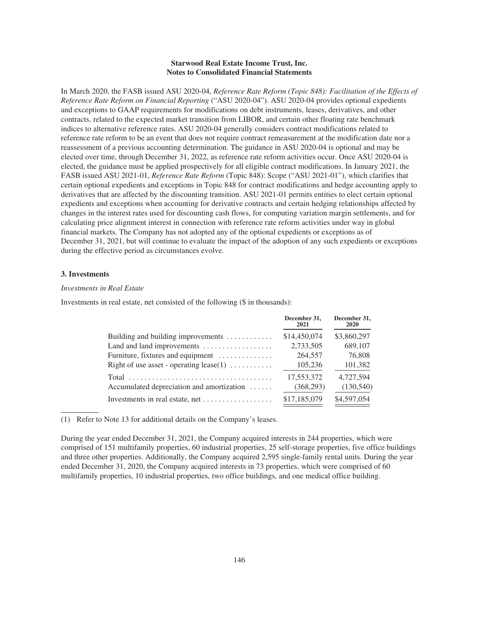In March 2020, the FASB issued ASU 2020-04, *Reference Rate Reform (Topic 848): Facilitation of the Effects of Reference Rate Reform on Financial Reporting* ("ASU 2020-04"). ASU 2020-04 provides optional expedients and exceptions to GAAP requirements for modifications on debt instruments, leases, derivatives, and other contracts, related to the expected market transition from LIBOR, and certain other floating rate benchmark indices to alternative reference rates. ASU 2020-04 generally considers contract modifications related to reference rate reform to be an event that does not require contract remeasurement at the modification date nor a reassessment of a previous accounting determination. The guidance in ASU 2020-04 is optional and may be elected over time, through December 31, 2022, as reference rate reform activities occur. Once ASU 2020-04 is elected, the guidance must be applied prospectively for all eligible contract modifications. In January 2021, the FASB issued ASU 2021-01, *Reference Rate Reform* (Topic 848): Scope ("ASU 2021-01"), which clarifies that certain optional expedients and exceptions in Topic 848 for contract modifications and hedge accounting apply to derivatives that are affected by the discounting transition. ASU 2021-01 permits entities to elect certain optional expedients and exceptions when accounting for derivative contracts and certain hedging relationships affected by changes in the interest rates used for discounting cash flows, for computing variation margin settlements, and for calculating price alignment interest in connection with reference rate reform activities under way in global financial markets. The Company has not adopted any of the optional expedients or exceptions as of December 31, 2021, but will continue to evaluate the impact of the adoption of any such expedients or exceptions during the effective period as circumstances evolve.

#### **3. Investments**

#### *Investments in Real Estate*

Investments in real estate, net consisted of the following (\$ in thousands):

|                                                           | December 31,<br>2021 | December 31,<br>2020 |
|-----------------------------------------------------------|----------------------|----------------------|
| Building and building improvements $\dots\dots\dots\dots$ | \$14,450,074         | \$3,860,297          |
| Land and land improvements                                | 2,733,505            | 689,107              |
| Furniture, fixtures and equipment                         | 264,557              | 76,808               |
| Right of use asset - operating lease $(1)$                | 105,236              | 101,382              |
|                                                           | 17,553,372           | 4,727,594            |
| Accumulated depreciation and amortization                 | (368, 293)           | (130, 540)           |
|                                                           | \$17,185,079         | \$4,597,054          |

(1) Refer to Note 13 for additional details on the Company's leases.

During the year ended December 31, 2021, the Company acquired interests in 244 properties, which were comprised of 151 multifamily properties, 60 industrial properties, 25 self-storage properties, five office buildings and three other properties. Additionally, the Company acquired 2,595 single-family rental units. During the year ended December 31, 2020, the Company acquired interests in 73 properties, which were comprised of 60 multifamily properties, 10 industrial properties, two office buildings, and one medical office building.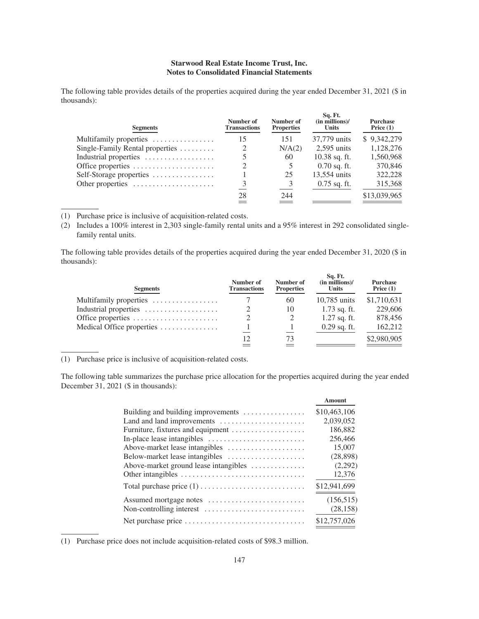The following table provides details of the properties acquired during the year ended December 31, 2021 (\$ in thousands):

| <b>Segments</b>                 | Number of<br><b>Transactions</b> | Number of<br><b>Properties</b> | Sq. Ft.<br>$(in$ millions $)/$<br><b>Units</b> | <b>Purchase</b><br>Price $(1)$ |
|---------------------------------|----------------------------------|--------------------------------|------------------------------------------------|--------------------------------|
| Multifamily properties          | 15                               | 151                            | 37,779 units                                   | \$9,342,279                    |
| Single-Family Rental properties | 2                                | N/A(2)                         | $2,595$ units                                  | 1,128,276                      |
| Industrial properties           |                                  | 60                             | $10.38$ sq. ft.                                | 1,560,968                      |
| Office properties               | 2                                | 5                              | $0.70$ sq. ft.                                 | 370,846                        |
| Self-Storage properties         |                                  | 25                             | 13,554 units                                   | 322,228                        |
| Other properties                | 3                                |                                | $0.75$ sq. ft.                                 | 315,368                        |
|                                 | 28                               | 244                            |                                                | \$13,039,965                   |
|                                 |                                  | $\sim$                         |                                                |                                |

(1) Purchase price is inclusive of acquisition-related costs.

(2) Includes a 100% interest in 2,303 single-family rental units and a 95% interest in 292 consolidated singlefamily rental units.

The following table provides details of the properties acquired during the year ended December 31, 2020 (\$ in thousands):

| <b>Segments</b>           | Number of<br><b>Transactions</b> | Number of<br><b>Properties</b> | Sq. Ft.<br>$(in$ millions $)/$<br><b>Units</b> | <b>Purchase</b><br>Price $(1)$ |
|---------------------------|----------------------------------|--------------------------------|------------------------------------------------|--------------------------------|
| Multifamily properties    |                                  | 60                             | 10,785 units                                   | \$1,710,631                    |
| Industrial properties     |                                  | 10                             | $1.73$ sq. ft.                                 | 229,606                        |
| Office properties         |                                  | 2                              | $1.27$ sq. ft.                                 | 878,456                        |
| Medical Office properties |                                  |                                | $0.29$ sq. ft.                                 | 162,212                        |
|                           | 12                               | 73                             |                                                | \$2,980,905                    |
|                           |                                  |                                |                                                |                                |

(1) Purchase price is inclusive of acquisition-related costs.

The following table summarizes the purchase price allocation for the properties acquired during the year ended December 31, 2021 (\$ in thousands):

|                                       | <b>Amount</b> |
|---------------------------------------|---------------|
| Building and building improvements    | \$10,463,106  |
| Land and land improvements            | 2.039,052     |
| Furniture, fixtures and equipment     | 186,882       |
|                                       | 256,466       |
| Above-market lease intangibles        | 15,007        |
| Below-market lease intangibles        | (28, 898)     |
| Above-market ground lease intangibles | (2,292)       |
|                                       | 12,376        |
|                                       | \$12,941,699  |
|                                       | (156, 515)    |
|                                       | (28, 158)     |
|                                       | \$12,757,026  |

<sup>(1)</sup> Purchase price does not include acquisition-related costs of \$98.3 million.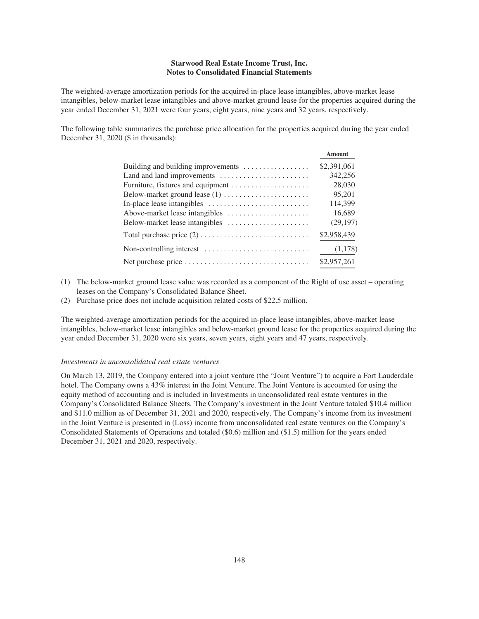The weighted-average amortization periods for the acquired in-place lease intangibles, above-market lease intangibles, below-market lease intangibles and above-market ground lease for the properties acquired during the year ended December 31, 2021 were four years, eight years, nine years and 32 years, respectively.

The following table summarizes the purchase price allocation for the properties acquired during the year ended December 31, 2020 (\$ in thousands):

|                                    | Amount      |
|------------------------------------|-------------|
| Building and building improvements | \$2,391,061 |
| Land and land improvements         | 342,256     |
| Furniture, fixtures and equipment  | 28,030      |
| Below-market ground lease (1)      | 95,201      |
|                                    | 114,399     |
| Above-market lease intangibles     | 16,689      |
| Below-market lease intangibles     | (29, 197)   |
|                                    | \$2,958,439 |
|                                    | (1,178)     |
|                                    | \$2,957,261 |

- (1) The below-market ground lease value was recorded as a component of the Right of use asset operating leases on the Company's Consolidated Balance Sheet.
- (2) Purchase price does not include acquisition related costs of \$22.5 million.

The weighted-average amortization periods for the acquired in-place lease intangibles, above-market lease intangibles, below-market lease intangibles and below-market ground lease for the properties acquired during the year ended December 31, 2020 were six years, seven years, eight years and 47 years, respectively.

### *Investments in unconsolidated real estate ventures*

On March 13, 2019, the Company entered into a joint venture (the "Joint Venture") to acquire a Fort Lauderdale hotel. The Company owns a 43% interest in the Joint Venture. The Joint Venture is accounted for using the equity method of accounting and is included in Investments in unconsolidated real estate ventures in the Company's Consolidated Balance Sheets. The Company's investment in the Joint Venture totaled \$10.4 million and \$11.0 million as of December 31, 2021 and 2020, respectively. The Company's income from its investment in the Joint Venture is presented in (Loss) income from unconsolidated real estate ventures on the Company's Consolidated Statements of Operations and totaled (\$0.6) million and (\$1.5) million for the years ended December 31, 2021 and 2020, respectively.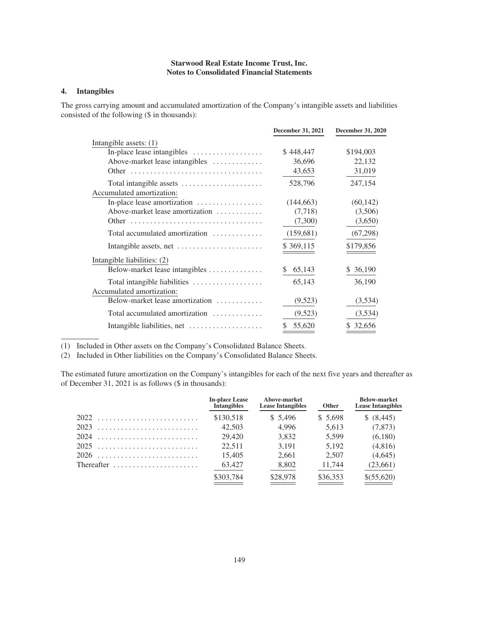### **4. Intangibles**

The gross carrying amount and accumulated amortization of the Company's intangible assets and liabilities consisted of the following (\$ in thousands):

|                                                           | <b>December 31, 2021</b> | <b>December 31, 2020</b> |
|-----------------------------------------------------------|--------------------------|--------------------------|
| Intangible assets: $(1)$                                  |                          |                          |
| In-place lease intangibles                                | \$448,447                | \$194,003                |
| Above-market lease intangibles                            | 36,696                   | 22,132                   |
|                                                           | 43,653                   | 31,019                   |
| Total intangible assets                                   | 528,796                  | 247,154                  |
| Accumulated amortization:                                 |                          |                          |
| In-place lease amortization                               | (144, 663)               | (60, 142)                |
| Above-market lease amortization                           | (7,718)                  | (3,506)                  |
|                                                           | (7,300)                  | (3,650)                  |
| Total accumulated amortization $\dots\dots\dots\dots$     | (159,681)                | (67, 298)                |
| Intangible assets, net                                    | \$369,115                | \$179,856                |
| Intangible liabilities: (2)                               |                          |                          |
| Below-market lease intangibles                            | 65,143<br>\$.            | \$ 36,190                |
| Total intangible liabilities<br>Accumulated amortization: | 65,143                   | 36,190                   |
| Below-market lease amortization                           | (9,523)                  | (3,534)                  |
| Total accumulated amortization $\dots\dots\dots\dots$     | (9,523)                  | (3,534)                  |
| Intangible liabilities, net                               | \$<br>55,620             | \$ 32,656                |

(1) Included in Other assets on the Company's Consolidated Balance Sheets.

(2) Included in Other liabilities on the Company's Consolidated Balance Sheets.

The estimated future amortization on the Company's intangibles for each of the next five years and thereafter as of December 31, 2021 is as follows (\$ in thousands):

|            | <b>In-place Lease</b><br><b>Intangibles</b> | Above-market<br><b>Lease Intangibles</b> | <b>Other</b> | <b>Below-market</b><br><b>Lease Intangibles</b> |
|------------|---------------------------------------------|------------------------------------------|--------------|-------------------------------------------------|
|            | \$130,518                                   | \$5,496                                  | \$5,698      | \$ (8,445)                                      |
|            | 42.503                                      | 4.996                                    | 5.613        | (7,873)                                         |
|            | 29.420                                      | 3.832                                    | 5.599        | (6,180)                                         |
|            | 22.511                                      | 3.191                                    | 5.192        | (4,816)                                         |
|            | 15,405                                      | 2.661                                    | 2.507        | (4,645)                                         |
| Thereafter | 63.427                                      | 8,802                                    | 11.744       | (23,661)                                        |
|            | \$303.784                                   | \$28,978                                 | \$36,353     | \$(55,620)                                      |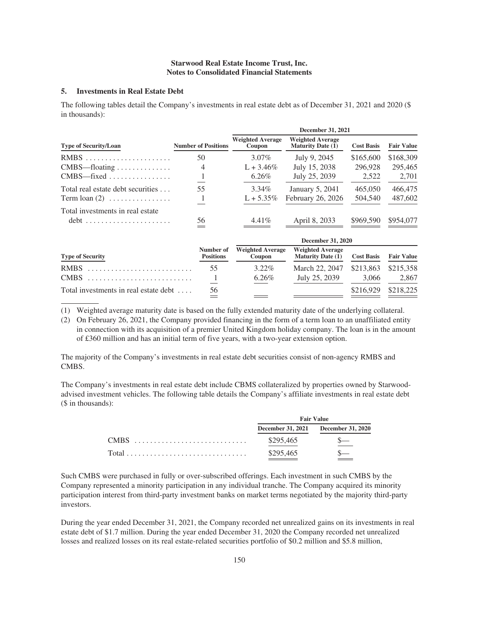# **5. Investments in Real Estate Debt**

The following tables detail the Company's investments in real estate debt as of December 31, 2021 and 2020 (\$ in thousands):

|                                   |                            | December 31, 2021                 |                                                        |                   |                   |  |  |  |
|-----------------------------------|----------------------------|-----------------------------------|--------------------------------------------------------|-------------------|-------------------|--|--|--|
| <b>Type of Security/Loan</b>      | <b>Number of Positions</b> | <b>Weighted Average</b><br>Coupon | <b>Weighted Average</b><br>Maturity Date $(\tilde{1})$ | <b>Cost Basis</b> | <b>Fair Value</b> |  |  |  |
|                                   | 50                         | $3.07\%$                          | July 9, 2045                                           | \$165,600         | \$168,309         |  |  |  |
| $CMBS$ —floating                  | 4                          | $L + 3.46\%$                      | July 15, 2038                                          | 296,928           | 295,465           |  |  |  |
| $CMBS$ —fixed                     |                            | 6.26%                             | July 25, 2039                                          | 2,522             | 2,701             |  |  |  |
| Total real estate debt securities | 55                         | 3.34%                             | January 5, 2041                                        | 465,050           | 466,475           |  |  |  |
| Term loan $(2)$                   | -1                         | $L + 5.35\%$                      | February 26, 2026                                      | 504,540           | 487,602           |  |  |  |
| Total investments in real estate  |                            |                                   |                                                        |                   |                   |  |  |  |
| $debt$                            | 56                         | $4.41\%$                          | April 8, 2033                                          | \$969,590         | \$954,077         |  |  |  |

|                                       |                               | <b>December 31, 2020</b>                 |                                                     |                   |                     |  |
|---------------------------------------|-------------------------------|------------------------------------------|-----------------------------------------------------|-------------------|---------------------|--|
| <b>Type of Security</b>               | Number of<br><b>Positions</b> | <b>Weighted Average</b><br><b>Coupon</b> | <b>Weighted Average</b><br><b>Maturity Date (1)</b> | <b>Cost Basis</b> | <b>Fair Value</b>   |  |
|                                       | 55.                           | $3.22\%$                                 | March 22, 2047 \$213,863 \$215,358                  |                   |                     |  |
|                                       |                               | $6.26\%$                                 | July 25, 2039                                       | 3.066             | 2.867               |  |
| Total investments in real estate debt | 56                            |                                          |                                                     |                   | \$216,929 \$218,225 |  |

(1) Weighted average maturity date is based on the fully extended maturity date of the underlying collateral.

(2) On February 26, 2021, the Company provided financing in the form of a term loan to an unaffiliated entity in connection with its acquisition of a premier United Kingdom holiday company. The loan is in the amount of £360 million and has an initial term of five years, with a two-year extension option.

The majority of the Company's investments in real estate debt securities consist of non-agency RMBS and CMBS.

The Company's investments in real estate debt include CBMS collateralized by properties owned by Starwoodadvised investment vehicles. The following table details the Company's affiliate investments in real estate debt (\$ in thousands):

|                                                                           | <b>Fair Value</b>                   |  |  |
|---------------------------------------------------------------------------|-------------------------------------|--|--|
|                                                                           | December 31, 2021 December 31, 2020 |  |  |
|                                                                           | \$295.465                           |  |  |
| $Total \dots \dots \dots \dots \dots \dots \dots \dots \dots \dots \dots$ | \$295.465                           |  |  |

Such CMBS were purchased in fully or over-subscribed offerings. Each investment in such CMBS by the Company represented a minority participation in any individual tranche. The Company acquired its minority participation interest from third-party investment banks on market terms negotiated by the majority third-party investors.

During the year ended December 31, 2021, the Company recorded net unrealized gains on its investments in real estate debt of \$1.7 million. During the year ended December 31, 2020 the Company recorded net unrealized losses and realized losses on its real estate-related securities portfolio of \$0.2 million and \$5.8 million,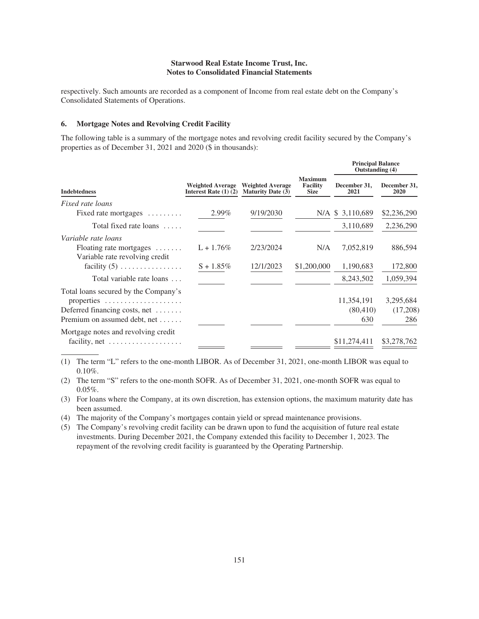respectively. Such amounts are recorded as a component of Income from real estate debt on the Company's Consolidated Statements of Operations.

### **6. Mortgage Notes and Revolving Credit Facility**

The following table is a summary of the mortgage notes and revolving credit facility secured by the Company's properties as of December 31, 2021 and 2020 (\$ in thousands):

|                                                                                                                                                          |                                                      |                                                |                                                  | <b>Principal Balance</b><br>Outstanding (4) |                              |  |
|----------------------------------------------------------------------------------------------------------------------------------------------------------|------------------------------------------------------|------------------------------------------------|--------------------------------------------------|---------------------------------------------|------------------------------|--|
| <b>Indebtedness</b>                                                                                                                                      | <b>Weighted Average</b><br>Interest Rate $(1)$ $(2)$ | <b>Weighted Average</b><br>Maturity Date $(3)$ | <b>Maximum</b><br><b>Facility</b><br><b>Size</b> | December 31,<br>2021                        | December 31,<br>2020         |  |
| Fixed rate loans                                                                                                                                         |                                                      |                                                |                                                  |                                             |                              |  |
| Fixed rate mortgages                                                                                                                                     | 2.99%                                                | 9/19/2030                                      |                                                  | N/A \$ 3,110,689                            | \$2,236,290                  |  |
| Total fixed rate loans $\dots$                                                                                                                           |                                                      |                                                |                                                  | 3,110,689                                   | 2,236,290                    |  |
| Variable rate loans<br>Floating rate mortgages $\dots\dots$<br>Variable rate revolving credit                                                            | $L + 1.76\%$                                         | 2/23/2024                                      | N/A                                              | 7,052,819                                   | 886,594                      |  |
| facility $(5)$                                                                                                                                           | $S + 1.85\%$                                         | 12/1/2023                                      | \$1,200,000                                      | 1,190,683                                   | 172,800                      |  |
| Total variable rate loans                                                                                                                                |                                                      |                                                |                                                  | 8,243,502                                   | 1,059,394                    |  |
| Total loans secured by the Company's<br>properties $\ldots \ldots \ldots \ldots \ldots$<br>Deferred financing costs, net<br>Premium on assumed debt, net |                                                      |                                                |                                                  | 11,354,191<br>(80, 410)<br>630              | 3,295,684<br>(17,208)<br>286 |  |
| Mortgage notes and revolving credit<br>facility, net $\dots \dots \dots \dots \dots \dots$                                                               |                                                      |                                                |                                                  | \$11,274,411                                | \$3,278,762                  |  |

(1) The term "L" refers to the one-month LIBOR. As of December 31, 2021, one-month LIBOR was equal to 0.10%.

- (2) The term "S" refers to the one-month SOFR. As of December 31, 2021, one-month SOFR was equal to  $0.05\%$ .
- (3) For loans where the Company, at its own discretion, has extension options, the maximum maturity date has been assumed.
- (4) The majority of the Company's mortgages contain yield or spread maintenance provisions.
- (5) The Company's revolving credit facility can be drawn upon to fund the acquisition of future real estate investments. During December 2021, the Company extended this facility to December 1, 2023. The repayment of the revolving credit facility is guaranteed by the Operating Partnership.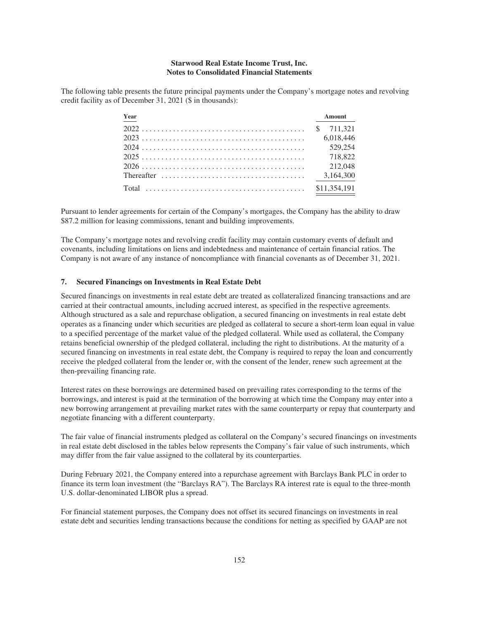The following table presents the future principal payments under the Company's mortgage notes and revolving credit facility as of December 31, 2021 (\$ in thousands):

| Year                                                                                | <b>Amount</b> |
|-------------------------------------------------------------------------------------|---------------|
|                                                                                     |               |
|                                                                                     | 6,018,446     |
|                                                                                     | 529,254       |
|                                                                                     | 718,822       |
|                                                                                     | 212,048       |
| Thereafter $\dots\dots\dots\dots\dots\dots\dots\dots\dots\dots\dots\dots\dots\dots$ | 3,164,300     |
|                                                                                     | \$11,354,191  |

Pursuant to lender agreements for certain of the Company's mortgages, the Company has the ability to draw \$87.2 million for leasing commissions, tenant and building improvements.

The Company's mortgage notes and revolving credit facility may contain customary events of default and covenants, including limitations on liens and indebtedness and maintenance of certain financial ratios. The Company is not aware of any instance of noncompliance with financial covenants as of December 31, 2021.

### **7. Secured Financings on Investments in Real Estate Debt**

Secured financings on investments in real estate debt are treated as collateralized financing transactions and are carried at their contractual amounts, including accrued interest, as specified in the respective agreements. Although structured as a sale and repurchase obligation, a secured financing on investments in real estate debt operates as a financing under which securities are pledged as collateral to secure a short-term loan equal in value to a specified percentage of the market value of the pledged collateral. While used as collateral, the Company retains beneficial ownership of the pledged collateral, including the right to distributions. At the maturity of a secured financing on investments in real estate debt, the Company is required to repay the loan and concurrently receive the pledged collateral from the lender or, with the consent of the lender, renew such agreement at the then-prevailing financing rate.

Interest rates on these borrowings are determined based on prevailing rates corresponding to the terms of the borrowings, and interest is paid at the termination of the borrowing at which time the Company may enter into a new borrowing arrangement at prevailing market rates with the same counterparty or repay that counterparty and negotiate financing with a different counterparty.

The fair value of financial instruments pledged as collateral on the Company's secured financings on investments in real estate debt disclosed in the tables below represents the Company's fair value of such instruments, which may differ from the fair value assigned to the collateral by its counterparties.

During February 2021, the Company entered into a repurchase agreement with Barclays Bank PLC in order to finance its term loan investment (the "Barclays RA"). The Barclays RA interest rate is equal to the three-month U.S. dollar-denominated LIBOR plus a spread.

For financial statement purposes, the Company does not offset its secured financings on investments in real estate debt and securities lending transactions because the conditions for netting as specified by GAAP are not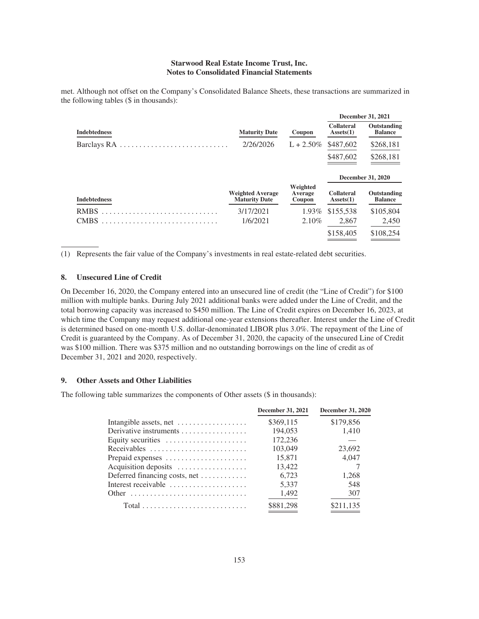met. Although not offset on the Company's Consolidated Balance Sheets, these transactions are summarized in the following tables (\$ in thousands):

|                     |                                                 |                               |                                | <b>December 31, 2021</b>      |
|---------------------|-------------------------------------------------|-------------------------------|--------------------------------|-------------------------------|
| <b>Indebtedness</b> | <b>Maturity Date</b>                            | Coupon                        | <b>Collateral</b><br>Assets(1) | Outstanding<br><b>Balance</b> |
|                     | 2/26/2026                                       | $L + 2.50\%$                  | \$487,602                      | \$268,181                     |
|                     |                                                 |                               | \$487,602                      | \$268,181                     |
|                     |                                                 |                               |                                |                               |
|                     |                                                 |                               |                                | <b>December 31, 2020</b>      |
| <b>Indebtedness</b> | <b>Weighted Average</b><br><b>Maturity Date</b> | Weighted<br>Average<br>Coupon | <b>Collateral</b><br>Assets(1) | Outstanding<br><b>Balance</b> |
| <b>RMBS</b>         | 3/17/2021                                       | $1.93\%$                      | \$155,538                      | \$105,804                     |
| <b>CMBS</b>         | 1/6/2021                                        | $2.10\%$                      | 2,867                          | 2,450                         |
|                     |                                                 |                               | \$158,405                      | \$108,254                     |

(1) Represents the fair value of the Company's investments in real estate-related debt securities.

### **8. Unsecured Line of Credit**

On December 16, 2020, the Company entered into an unsecured line of credit (the "Line of Credit") for \$100 million with multiple banks. During July 2021 additional banks were added under the Line of Credit, and the total borrowing capacity was increased to \$450 million. The Line of Credit expires on December 16, 2023, at which time the Company may request additional one-year extensions thereafter. Interest under the Line of Credit is determined based on one-month U.S. dollar-denominated LIBOR plus 3.0%. The repayment of the Line of Credit is guaranteed by the Company. As of December 31, 2020, the capacity of the unsecured Line of Credit was \$100 million. There was \$375 million and no outstanding borrowings on the line of credit as of December 31, 2021 and 2020, respectively.

### **9. Other Assets and Other Liabilities**

The following table summarizes the components of Other assets (\$ in thousands):

|                                                                     | December 31, 2021 | December 31, 2020 |
|---------------------------------------------------------------------|-------------------|-------------------|
| Intangible assets, net                                              | \$369,115         | \$179,856         |
| Derivative instruments                                              | 194,053           | 1.410             |
| Equity securities                                                   | 172,236           |                   |
| Receivables                                                         | 103,049           | 23,692            |
| Prepaid expenses                                                    | 15.871            | 4.047             |
| Acquisition deposits                                                | 13.422            |                   |
| Deferred financing costs, net                                       | 6.723             | 1,268             |
| Interest receivable $\dots\dots\dots\dots\dots\dots\dots$           | 5,337             | 548               |
| Other                                                               | 1,492             | 307               |
| $Total \dots \dots \dots \dots \dots \dots \dots \dots \dots \dots$ | \$881.298         | \$211,135         |
|                                                                     |                   |                   |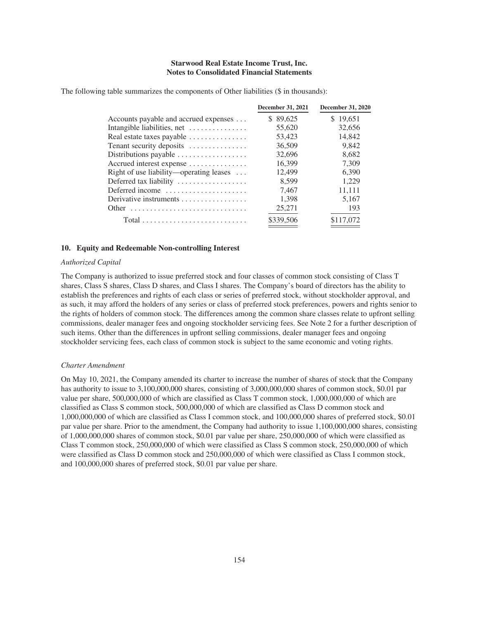**December 31, 2021 December 31, 2020** Accounts payable and accrued expenses ... \$ 89,625 \$ 19,651 Intangible liabilities, net ............... 55,620 32,656 Real estate taxes payable ............... 53,423 14,842 Tenant security deposits ............... 36,509 9,842 Distributions payable .................. 32,696 8,682 Accrued interest expense . . . . . . . . . . . . . . . . 16,399 7,309 Right of use liability—operating leases ... 12,499 6,390 Deferred tax liability .................. 8,599 1,229 Deferred income ..................... 7,467 11,111 Derivative instruments ................. 1,398 5,167 Other .............................. 25,271 193 Total ........................... \$339,506 \$117,072

The following table summarizes the components of Other liabilities (\$ in thousands):

#### **10. Equity and Redeemable Non-controlling Interest**

#### *Authorized Capital*

The Company is authorized to issue preferred stock and four classes of common stock consisting of Class T shares, Class S shares, Class D shares, and Class I shares. The Company's board of directors has the ability to establish the preferences and rights of each class or series of preferred stock, without stockholder approval, and as such, it may afford the holders of any series or class of preferred stock preferences, powers and rights senior to the rights of holders of common stock. The differences among the common share classes relate to upfront selling commissions, dealer manager fees and ongoing stockholder servicing fees. See Note 2 for a further description of such items. Other than the differences in upfront selling commissions, dealer manager fees and ongoing stockholder servicing fees, each class of common stock is subject to the same economic and voting rights.

#### *Charter Amendment*

On May 10, 2021, the Company amended its charter to increase the number of shares of stock that the Company has authority to issue to 3,100,000,000 shares, consisting of 3,000,000,000 shares of common stock, \$0.01 par value per share, 500,000,000 of which are classified as Class T common stock, 1,000,000,000 of which are classified as Class S common stock, 500,000,000 of which are classified as Class D common stock and 1,000,000,000 of which are classified as Class I common stock, and 100,000,000 shares of preferred stock, \$0.01 par value per share. Prior to the amendment, the Company had authority to issue 1,100,000,000 shares, consisting of 1,000,000,000 shares of common stock, \$0.01 par value per share, 250,000,000 of which were classified as Class T common stock, 250,000,000 of which were classified as Class S common stock, 250,000,000 of which were classified as Class D common stock and 250,000,000 of which were classified as Class I common stock, and 100,000,000 shares of preferred stock, \$0.01 par value per share.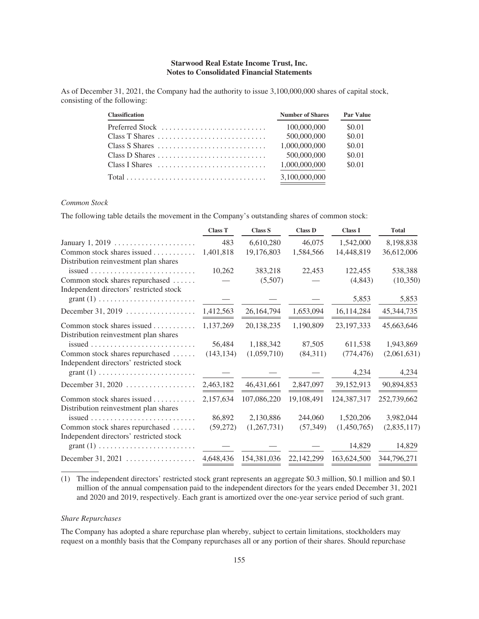As of December 31, 2021, the Company had the authority to issue 3,100,000,000 shares of capital stock, consisting of the following:

| <b>Classification</b>                                                    | <b>Number of Shares</b> | <b>Par Value</b> |
|--------------------------------------------------------------------------|-------------------------|------------------|
| Preferred Stock $\ldots, \ldots, \ldots, \ldots, \ldots, \ldots, \ldots$ | 100,000,000             | \$0.01           |
| Class T Shares                                                           | 500,000,000             | \$0.01           |
| Class S Shares $\ldots$ , $\ldots$ , $\ldots$ , $\ldots$ , $\ldots$      | 1.000.000.000           | \$0.01           |
|                                                                          | 500,000,000             | \$0.01           |
| Class I Shares                                                           | 1,000,000,000           | \$0.01           |
|                                                                          | 3,100,000,000           |                  |

# *Common Stock*

The following table details the movement in the Company's outstanding shares of common stock:

|                                                                                                               | <b>Class T</b> | <b>Class S</b> | <b>Class D</b> | <b>Class I</b> | <b>Total</b> |
|---------------------------------------------------------------------------------------------------------------|----------------|----------------|----------------|----------------|--------------|
|                                                                                                               | 483            | 6,610,280      | 46,075         | 1,542,000      | 8,198,838    |
| Common stock shares issued                                                                                    | 1,401,818      | 19,176,803     | 1,584,566      | 14,448,819     | 36,612,006   |
| Distribution reinvestment plan shares                                                                         | 10,262         | 383,218        | 22,453         | 122,455        | 538,388      |
| Common stock shares repurchased                                                                               |                | (5,507)        |                | (4,843)        | (10,350)     |
| Independent directors' restricted stock<br>$\text{grant (1)} \dots \dots \dots \dots \dots \dots \dots \dots$ |                |                |                | 5,853          | 5,853        |
| December 31, 2019 $\dots\dots\dots\dots\dots\dots\dots$                                                       | 1,412,563      | 26, 164, 794   | 1,653,094      | 16,114,284     | 45, 344, 735 |
| Common stock shares issued                                                                                    | 1,137,269      | 20,138,235     | 1,190,809      | 23, 197, 333   | 45,663,646   |
| Distribution reinvestment plan shares                                                                         | 56,484         | 1,188,342      | 87,505         | 611,538        | 1,943,869    |
| Common stock shares repurchased                                                                               | (143, 134)     | (1,059,710)    | (84,311)       | (774, 476)     | (2,061,631)  |
| Independent directors' restricted stock                                                                       |                |                |                |                |              |
| grant $(1)$                                                                                                   |                |                |                | 4,234          | 4,234        |
| December 31, 2020 $\dots$                                                                                     | 2,463,182      | 46,431,661     | 2,847,097      | 39,152,913     | 90,894,853   |
| Common stock shares issued                                                                                    | 2,157,634      | 107,086,220    | 19,108,491     | 124,387,317    | 252,739,662  |
| Distribution reinvestment plan shares                                                                         |                |                |                |                |              |
|                                                                                                               | 86,892         | 2,130,886      | 244,060        | 1,520,206      | 3,982,044    |
| Common stock shares repurchased                                                                               | (59,272)       | (1,267,731)    | (57, 349)      | (1,450,765)    | (2,835,117)  |
| Independent directors' restricted stock<br>grant $(1)$                                                        |                |                |                | 14,829         | 14,829       |
| December 31, 2021 $\dots$                                                                                     | 4,648,436      | 154,381,036    | 22,142,299     | 163,624,500    | 344,796,271  |

(1) The independent directors' restricted stock grant represents an aggregate \$0.3 million, \$0.1 million and \$0.1 million of the annual compensation paid to the independent directors for the years ended December 31, 2021 and 2020 and 2019, respectively. Each grant is amortized over the one-year service period of such grant.

#### *Share Repurchases*

The Company has adopted a share repurchase plan whereby, subject to certain limitations, stockholders may request on a monthly basis that the Company repurchases all or any portion of their shares. Should repurchase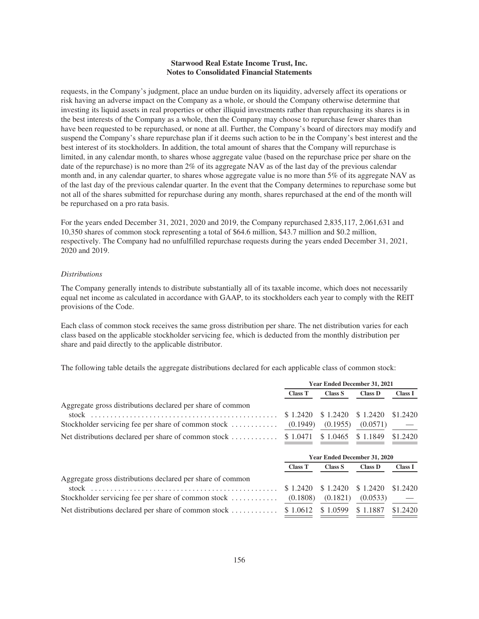requests, in the Company's judgment, place an undue burden on its liquidity, adversely affect its operations or risk having an adverse impact on the Company as a whole, or should the Company otherwise determine that investing its liquid assets in real properties or other illiquid investments rather than repurchasing its shares is in the best interests of the Company as a whole, then the Company may choose to repurchase fewer shares than have been requested to be repurchased, or none at all. Further, the Company's board of directors may modify and suspend the Company's share repurchase plan if it deems such action to be in the Company's best interest and the best interest of its stockholders. In addition, the total amount of shares that the Company will repurchase is limited, in any calendar month, to shares whose aggregate value (based on the repurchase price per share on the date of the repurchase) is no more than 2% of its aggregate NAV as of the last day of the previous calendar month and, in any calendar quarter, to shares whose aggregate value is no more than 5% of its aggregate NAV as of the last day of the previous calendar quarter. In the event that the Company determines to repurchase some but not all of the shares submitted for repurchase during any month, shares repurchased at the end of the month will be repurchased on a pro rata basis.

For the years ended December 31, 2021, 2020 and 2019, the Company repurchased 2,835,117, 2,061,631 and 10,350 shares of common stock representing a total of \$64.6 million, \$43.7 million and \$0.2 million, respectively. The Company had no unfulfilled repurchase requests during the years ended December 31, 2021, 2020 and 2019.

#### *Distributions*

The Company generally intends to distribute substantially all of its taxable income, which does not necessarily equal net income as calculated in accordance with GAAP, to its stockholders each year to comply with the REIT provisions of the Code.

Each class of common stock receives the same gross distribution per share. The net distribution varies for each class based on the applicable stockholder servicing fee, which is deducted from the monthly distribution per share and paid directly to the applicable distributor.

The following table details the aggregate distributions declared for each applicable class of common stock:

|                                                                                                                                                                                           | Year Ended December 31, 2021 |                              |                |                |
|-------------------------------------------------------------------------------------------------------------------------------------------------------------------------------------------|------------------------------|------------------------------|----------------|----------------|
|                                                                                                                                                                                           | <b>Class T</b>               | Class S                      | <b>Class D</b> | <b>Class I</b> |
| Aggregate gross distributions declared per share of common                                                                                                                                |                              |                              |                |                |
|                                                                                                                                                                                           | \$1.2420                     | \$1.2420                     | \$1.2420       | \$1.2420       |
| Stockholder servicing fee per share of common stock                                                                                                                                       | (0.1949)                     | (0.1955)                     | (0.0571)       |                |
|                                                                                                                                                                                           |                              | $$1.0465$ $$1.1849$          |                | \$1,2420       |
|                                                                                                                                                                                           |                              | Year Ended December 31, 2020 |                |                |
|                                                                                                                                                                                           | <b>Class T</b>               | <b>Class S</b>               | <b>Class D</b> | <b>Class I</b> |
| Aggregate gross distributions declared per share of common<br>stock (1.1.2420 \$1.2420 \$1.2420 \$1.2420 \$1.2420 \$1.2420 \$1.2420 \$1.2420 \$1.2420 \$1.2420 \$1.2420 \$1.2420 \$1.2420 |                              |                              |                |                |
|                                                                                                                                                                                           |                              |                              |                |                |

Stockholder servicing fee per share of common stock ............ (0.1808) (0.1821) (0.0533) —

Net distributions declared per share of common stock ...............\$ 1.0612 \$ 1.0599 \$ 1.1887 \$1.2420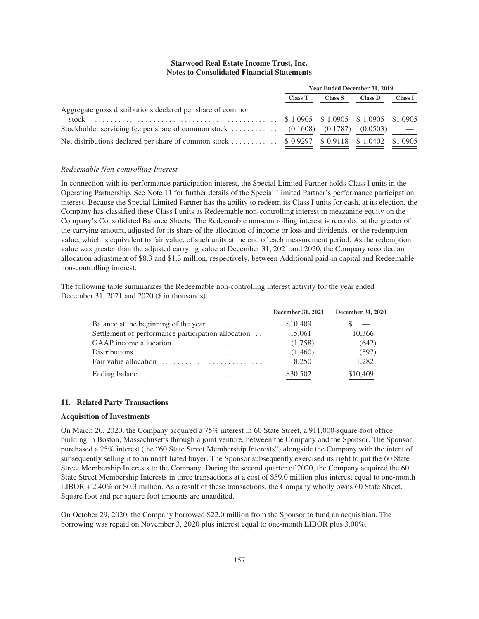|                                                                                        | Year Ended December 31, 2019 |         |                |                |
|----------------------------------------------------------------------------------------|------------------------------|---------|----------------|----------------|
|                                                                                        | <b>Class T</b>               | Class S | <b>Class D</b> | <b>Class I</b> |
| Aggregate gross distributions declared per share of common                             |                              |         |                |                |
|                                                                                        |                              |         |                |                |
| Stockholder servicing fee per share of common stock $\dots$ (0.1608) (0.1787) (0.0503) |                              |         |                |                |
|                                                                                        |                              |         |                |                |

#### *Redeemable Non-controlling Interest*

In connection with its performance participation interest, the Special Limited Partner holds Class I units in the Operating Partnership. See Note 11 for further details of the Special Limited Partner's performance participation interest. Because the Special Limited Partner has the ability to redeem its Class I units for cash, at its election, the Company has classified these Class I units as Redeemable non-controlling interest in mezzanine equity on the Company's Consolidated Balance Sheets. The Redeemable non-controlling interest is recorded at the greater of the carrying amount, adjusted for its share of the allocation of income or loss and dividends, or the redemption value, which is equivalent to fair value, of such units at the end of each measurement period. As the redemption value was greater than the adjusted carrying value at December 31, 2021 and 2020, the Company recorded an allocation adjustment of \$8.3 and \$1.3 million, respectively, between Additional paid-in capital and Redeemable non-controlling interest.

The following table summarizes the Redeemable non-controlling interest activity for the year ended December 31, 2021 and 2020 (\$ in thousands):

|                                                                    | <b>December 31, 2021</b> | <b>December 31, 2020</b> |
|--------------------------------------------------------------------|--------------------------|--------------------------|
| Balance at the beginning of the year                               | \$10,409                 |                          |
| Settlement of performance participation allocation                 | 15,061                   | 10,366                   |
| GAAP income allocation $\dots \dots \dots \dots \dots \dots \dots$ | (1,758)                  | (642)                    |
|                                                                    | (1,460)                  | (597)                    |
| Fair value allocation                                              | 8,250                    | 1,282                    |
|                                                                    | \$30,502                 | \$10,409                 |

#### **11. Related Party Transactions**

#### **Acquisition of Investments**

On March 20, 2020, the Company acquired a 75% interest in 60 State Street, a 911,000-square-foot office building in Boston, Massachusetts through a joint venture, between the Company and the Sponsor. The Sponsor purchased a 25% interest (the "60 State Street Membership Interests") alongside the Company with the intent of subsequently selling it to an unaffiliated buyer. The Sponsor subsequently exercised its right to put the 60 State Street Membership Interests to the Company. During the second quarter of 2020, the Company acquired the 60 State Street Membership Interests in three transactions at a cost of \$59.0 million plus interest equal to one-month LIBOR + 2.40% or \$0.3 million. As a result of these transactions, the Company wholly owns 60 State Street. Square foot and per square foot amounts are unaudited.

On October 29, 2020, the Company borrowed \$22.0 million from the Sponsor to fund an acquisition. The borrowing was repaid on November 3, 2020 plus interest equal to one-month LIBOR plus 3.00%.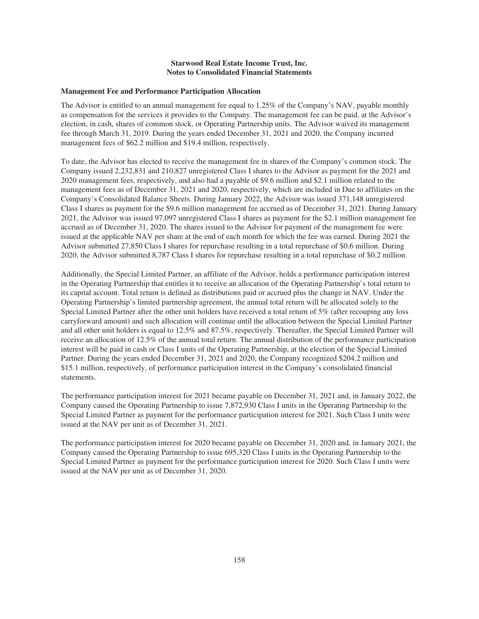#### **Management Fee and Performance Participation Allocation**

The Advisor is entitled to an annual management fee equal to 1.25% of the Company's NAV, payable monthly as compensation for the services it provides to the Company. The management fee can be paid, at the Advisor's election, in cash, shares of common stock, or Operating Partnership units. The Advisor waived its management fee through March 31, 2019. During the years ended December 31, 2021 and 2020, the Company incurred management fees of \$62.2 million and \$19.4 million, respectively.

To date, the Advisor has elected to receive the management fee in shares of the Company's common stock. The Company issued 2,232,831 and 210,827 unregistered Class I shares to the Advisor as payment for the 2021 and 2020 management fees, respectively, and also had a payable of \$9.6 million and \$2.1 million related to the management fees as of December 31, 2021 and 2020, respectively, which are included in Due to affiliates on the Company's Consolidated Balance Sheets. During January 2022, the Advisor was issued 371,148 unregistered Class I shares as payment for the \$9.6 million management fee accrued as of December 31, 2021. During January 2021, the Advisor was issued 97,097 unregistered Class I shares as payment for the \$2.1 million management fee accrued as of December 31, 2020. The shares issued to the Advisor for payment of the management fee were issued at the applicable NAV per share at the end of each month for which the fee was earned. During 2021 the Advisor submitted 27,850 Class I shares for repurchase resulting in a total repurchase of \$0.6 million. During 2020, the Advisor submitted 8,787 Class I shares for repurchase resulting in a total repurchase of \$0.2 million.

Additionally, the Special Limited Partner, an affiliate of the Advisor, holds a performance participation interest in the Operating Partnership that entitles it to receive an allocation of the Operating Partnership's total return to its capital account. Total return is defined as distributions paid or accrued plus the change in NAV. Under the Operating Partnership's limited partnership agreement, the annual total return will be allocated solely to the Special Limited Partner after the other unit holders have received a total return of 5% (after recouping any loss carryforward amount) and such allocation will continue until the allocation between the Special Limited Partner and all other unit holders is equal to 12.5% and 87.5%, respectively. Thereafter, the Special Limited Partner will receive an allocation of 12.5% of the annual total return. The annual distribution of the performance participation interest will be paid in cash or Class I units of the Operating Partnership, at the election of the Special Limited Partner. During the years ended December 31, 2021 and 2020, the Company recognized \$204.2 million and \$15.1 million, respectively, of performance participation interest in the Company's consolidated financial statements.

The performance participation interest for 2021 became payable on December 31, 2021 and, in January 2022, the Company caused the Operating Partnership to issue 7,872,930 Class I units in the Operating Partnership to the Special Limited Partner as payment for the performance participation interest for 2021. Such Class I units were issued at the NAV per unit as of December 31, 2021.

The performance participation interest for 2020 became payable on December 31, 2020 and, in January 2021, the Company caused the Operating Partnership to issue 695,320 Class I units in the Operating Partnership to the Special Limited Partner as payment for the performance participation interest for 2020. Such Class I units were issued at the NAV per unit as of December 31, 2020.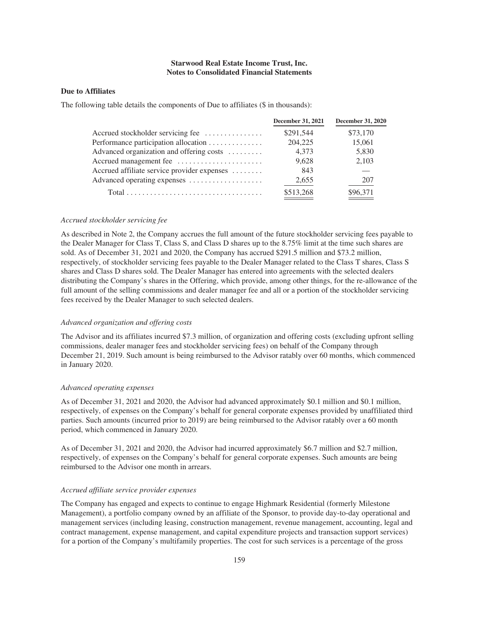### **Due to Affiliates**

The following table details the components of Due to affiliates (\$ in thousands):

|                                                                                       | <b>December 31, 2021</b> | <b>December 31, 2020</b> |
|---------------------------------------------------------------------------------------|--------------------------|--------------------------|
| Accrued stockholder servicing fee                                                     | \$291,544                | \$73,170                 |
| Performance participation allocation                                                  | 204,225                  | 15,061                   |
| Advanced organization and offering costs                                              | 4.373                    | 5,830                    |
| Accrued management fee                                                                | 9.628                    | 2.103                    |
| Accrued affiliate service provider expenses                                           | 843                      |                          |
| Advanced operating expenses                                                           | 2,655                    | 207                      |
| $Total \dots \dots \dots \dots \dots \dots \dots \dots \dots \dots \dots \dots \dots$ | \$513,268                | \$96,371                 |

### *Accrued stockholder servicing fee*

As described in Note 2, the Company accrues the full amount of the future stockholder servicing fees payable to the Dealer Manager for Class T, Class S, and Class D shares up to the 8.75% limit at the time such shares are sold. As of December 31, 2021 and 2020, the Company has accrued \$291.5 million and \$73.2 million, respectively, of stockholder servicing fees payable to the Dealer Manager related to the Class T shares, Class S shares and Class D shares sold. The Dealer Manager has entered into agreements with the selected dealers distributing the Company's shares in the Offering, which provide, among other things, for the re-allowance of the full amount of the selling commissions and dealer manager fee and all or a portion of the stockholder servicing fees received by the Dealer Manager to such selected dealers.

### *Advanced organization and offering costs*

The Advisor and its affiliates incurred \$7.3 million, of organization and offering costs (excluding upfront selling commissions, dealer manager fees and stockholder servicing fees) on behalf of the Company through December 21, 2019. Such amount is being reimbursed to the Advisor ratably over 60 months, which commenced in January 2020.

#### *Advanced operating expenses*

As of December 31, 2021 and 2020, the Advisor had advanced approximately \$0.1 million and \$0.1 million, respectively, of expenses on the Company's behalf for general corporate expenses provided by unaffiliated third parties. Such amounts (incurred prior to 2019) are being reimbursed to the Advisor ratably over a 60 month period, which commenced in January 2020.

As of December 31, 2021 and 2020, the Advisor had incurred approximately \$6.7 million and \$2.7 million, respectively, of expenses on the Company's behalf for general corporate expenses. Such amounts are being reimbursed to the Advisor one month in arrears.

#### *Accrued affiliate service provider expenses*

The Company has engaged and expects to continue to engage Highmark Residential (formerly Milestone Management), a portfolio company owned by an affiliate of the Sponsor, to provide day-to-day operational and management services (including leasing, construction management, revenue management, accounting, legal and contract management, expense management, and capital expenditure projects and transaction support services) for a portion of the Company's multifamily properties. The cost for such services is a percentage of the gross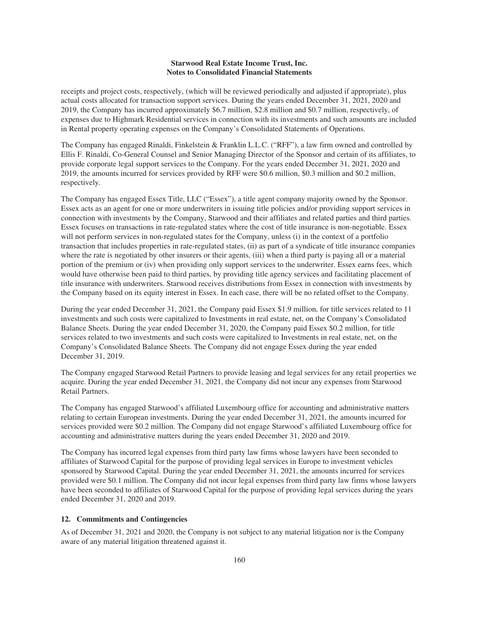receipts and project costs, respectively, (which will be reviewed periodically and adjusted if appropriate), plus actual costs allocated for transaction support services. During the years ended December 31, 2021, 2020 and 2019, the Company has incurred approximately \$6.7 million, \$2.8 million and \$0.7 million, respectively, of expenses due to Highmark Residential services in connection with its investments and such amounts are included in Rental property operating expenses on the Company's Consolidated Statements of Operations.

The Company has engaged Rinaldi, Finkelstein & Franklin L.L.C. ("RFF"), a law firm owned and controlled by Ellis F. Rinaldi, Co-General Counsel and Senior Managing Director of the Sponsor and certain of its affiliates, to provide corporate legal support services to the Company. For the years ended December 31, 2021, 2020 and 2019, the amounts incurred for services provided by RFF were \$0.6 million, \$0.3 million and \$0.2 million, respectively.

The Company has engaged Essex Title, LLC ("Essex"), a title agent company majority owned by the Sponsor. Essex acts as an agent for one or more underwriters in issuing title policies and/or providing support services in connection with investments by the Company, Starwood and their affiliates and related parties and third parties. Essex focuses on transactions in rate-regulated states where the cost of title insurance is non-negotiable. Essex will not perform services in non-regulated states for the Company, unless (i) in the context of a portfolio transaction that includes properties in rate-regulated states, (ii) as part of a syndicate of title insurance companies where the rate is negotiated by other insurers or their agents, (iii) when a third party is paying all or a material portion of the premium or (iv) when providing only support services to the underwriter. Essex earns fees, which would have otherwise been paid to third parties, by providing title agency services and facilitating placement of title insurance with underwriters. Starwood receives distributions from Essex in connection with investments by the Company based on its equity interest in Essex. In each case, there will be no related offset to the Company.

During the year ended December 31, 2021, the Company paid Essex \$1.9 million, for title services related to 11 investments and such costs were capitalized to Investments in real estate, net, on the Company's Consolidated Balance Sheets. During the year ended December 31, 2020, the Company paid Essex \$0.2 million, for title services related to two investments and such costs were capitalized to Investments in real estate, net, on the Company's Consolidated Balance Sheets. The Company did not engage Essex during the year ended December 31, 2019.

The Company engaged Starwood Retail Partners to provide leasing and legal services for any retail properties we acquire. During the year ended December 31, 2021, the Company did not incur any expenses from Starwood Retail Partners.

The Company has engaged Starwood's affiliated Luxembourg office for accounting and administrative matters relating to certain European investments. During the year ended December 31, 2021, the amounts incurred for services provided were \$0.2 million. The Company did not engage Starwood's affiliated Luxembourg office for accounting and administrative matters during the years ended December 31, 2020 and 2019.

The Company has incurred legal expenses from third party law firms whose lawyers have been seconded to affiliates of Starwood Capital for the purpose of providing legal services in Europe to investment vehicles sponsored by Starwood Capital. During the year ended December 31, 2021, the amounts incurred for services provided were \$0.1 million. The Company did not incur legal expenses from third party law firms whose lawyers have been seconded to affiliates of Starwood Capital for the purpose of providing legal services during the years ended December 31, 2020 and 2019.

### **12. Commitments and Contingencies**

As of December 31, 2021 and 2020, the Company is not subject to any material litigation nor is the Company aware of any material litigation threatened against it.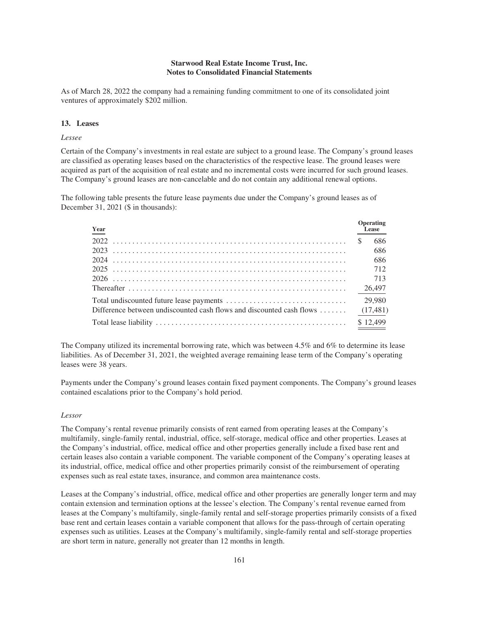As of March 28, 2022 the company had a remaining funding commitment to one of its consolidated joint ventures of approximately \$202 million.

#### **13. Leases**

#### *Lessee*

Certain of the Company's investments in real estate are subject to a ground lease. The Company's ground leases are classified as operating leases based on the characteristics of the respective lease. The ground leases were acquired as part of the acquisition of real estate and no incremental costs were incurred for such ground leases. The Company's ground leases are non-cancelable and do not contain any additional renewal options.

The following table presents the future lease payments due under the Company's ground leases as of December 31, 2021 (\$ in thousands):

| Year                                                                                  | Operating<br>Lease |
|---------------------------------------------------------------------------------------|--------------------|
|                                                                                       | 686                |
|                                                                                       | 686                |
|                                                                                       | 686                |
|                                                                                       | 712                |
|                                                                                       | 713                |
|                                                                                       |                    |
|                                                                                       | 29,980             |
| Difference between undiscounted cash flows and discounted cash flows $\dots$ (17,481) |                    |
|                                                                                       |                    |

The Company utilized its incremental borrowing rate, which was between 4.5% and 6% to determine its lease liabilities. As of December 31, 2021, the weighted average remaining lease term of the Company's operating leases were 38 years.

Payments under the Company's ground leases contain fixed payment components. The Company's ground leases contained escalations prior to the Company's hold period.

#### *Lessor*

The Company's rental revenue primarily consists of rent earned from operating leases at the Company's multifamily, single-family rental, industrial, office, self-storage, medical office and other properties. Leases at the Company's industrial, office, medical office and other properties generally include a fixed base rent and certain leases also contain a variable component. The variable component of the Company's operating leases at its industrial, office, medical office and other properties primarily consist of the reimbursement of operating expenses such as real estate taxes, insurance, and common area maintenance costs.

Leases at the Company's industrial, office, medical office and other properties are generally longer term and may contain extension and termination options at the lessee's election. The Company's rental revenue earned from leases at the Company's multifamily, single-family rental and self-storage properties primarily consists of a fixed base rent and certain leases contain a variable component that allows for the pass-through of certain operating expenses such as utilities. Leases at the Company's multifamily, single-family rental and self-storage properties are short term in nature, generally not greater than 12 months in length.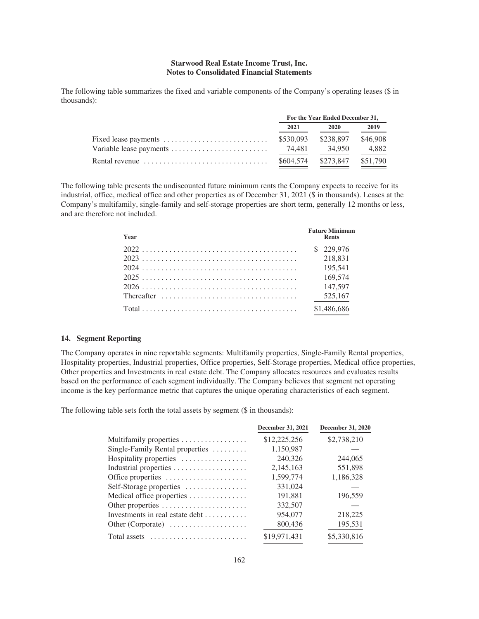The following table summarizes the fixed and variable components of the Company's operating leases (\$ in thousands):

|                      |           | For the Year Ended December 31, |          |
|----------------------|-----------|---------------------------------|----------|
|                      | 2021      | 2020                            | 2019     |
| Fixed lease payments | \$530,093 | \$238.897                       | \$46.908 |
|                      | 74.481    | 34.950                          | 4,882    |
| Rental revenue       |           | \$604,574 \$273,847 \$51,790    |          |

The following table presents the undiscounted future minimum rents the Company expects to receive for its industrial, office, medical office and other properties as of December 31, 2021 (\$ in thousands). Leases at the Company's multifamily, single-family and self-storage properties are short term, generally 12 months or less, and are therefore not included.

| Year                                                                        | <b>Future Minimum</b><br>Rents |
|-----------------------------------------------------------------------------|--------------------------------|
|                                                                             | \$229,976                      |
|                                                                             | 218,831                        |
|                                                                             | 195.541                        |
|                                                                             | 169,574                        |
|                                                                             | 147,597                        |
| Thereafter $\ldots \ldots \ldots \ldots \ldots \ldots \ldots \ldots \ldots$ | 525,167                        |
|                                                                             | \$1,486,686                    |

### **14. Segment Reporting**

The Company operates in nine reportable segments: Multifamily properties, Single-Family Rental properties, Hospitality properties, Industrial properties, Office properties, Self-Storage properties, Medical office properties, Other properties and Investments in real estate debt. The Company allocates resources and evaluates results based on the performance of each segment individually. The Company believes that segment net operating income is the key performance metric that captures the unique operating characteristics of each segment.

The following table sets forth the total assets by segment (\$ in thousands):

|                                                    | December 31, 2021 | <b>December 31, 2020</b> |
|----------------------------------------------------|-------------------|--------------------------|
| Multifamily properties                             | \$12,225,256      | \$2,738,210              |
| Single-Family Rental properties                    | 1,150,987         |                          |
| Hospitality properties                             | 240,326           | 244,065                  |
|                                                    | 2,145,163         | 551,898                  |
| Office properties                                  | 1,599,774         | 1,186,328                |
| Self-Storage properties                            | 331,024           |                          |
| Medical office properties                          | 191,881           | 196,559                  |
| Other properties                                   | 332,507           |                          |
| Investments in real estate debt                    | 954,077           | 218,225                  |
| Other (Corporate) $\dots\dots\dots\dots\dots\dots$ | 800,436           | 195,531                  |
| Total assets                                       | \$19,971,431      | \$5,330,816              |
|                                                    |                   |                          |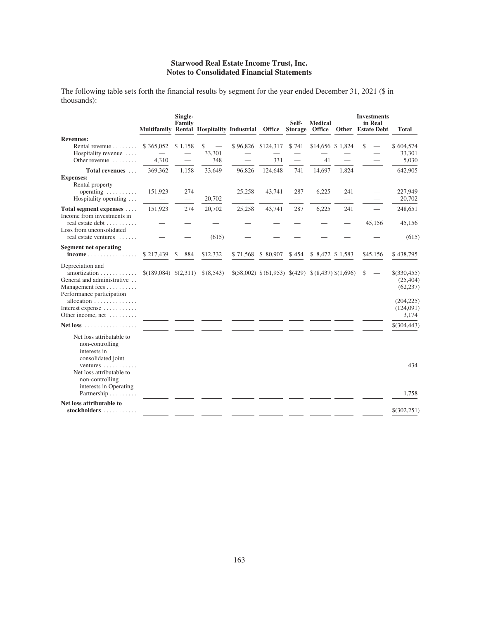The following table sets forth the financial results by segment for the year ended December 31, 2021 (\$ in thousands):

|                                                                                                                                                                                                                                               |                                           | Single-<br><b>Family</b>        |           |          |                                                | Self-                    | <b>Medical</b>    |       | <b>Investments</b><br>in Real |                                                                                            |
|-----------------------------------------------------------------------------------------------------------------------------------------------------------------------------------------------------------------------------------------------|-------------------------------------------|---------------------------------|-----------|----------|------------------------------------------------|--------------------------|-------------------|-------|-------------------------------|--------------------------------------------------------------------------------------------|
|                                                                                                                                                                                                                                               | Multifamily Rental Hospitality Industrial |                                 |           |          | <b>Office</b>                                  | Storage Office           |                   |       | <b>Other</b> Estate Debt      | <b>Total</b>                                                                               |
| <b>Revenues:</b>                                                                                                                                                                                                                              |                                           |                                 |           |          |                                                |                          |                   |       |                               |                                                                                            |
| Rental revenue                                                                                                                                                                                                                                | \$365,052                                 | \$1,158                         | S         | \$96,826 | \$124,317                                      | \$741                    | \$14,656 \$1,824  |       | S                             | \$604,574                                                                                  |
| Hospitality revenue                                                                                                                                                                                                                           |                                           |                                 | 33,301    |          |                                                |                          |                   |       |                               | 33,301                                                                                     |
| Other revenue                                                                                                                                                                                                                                 | 4,310                                     |                                 | 348       |          | 331                                            |                          | 41                |       |                               | 5,030                                                                                      |
| Total revenues                                                                                                                                                                                                                                | 369,362                                   | 1,158                           | 33,649    | 96,826   | 124,648                                        | 741                      | 14,697            | 1,824 |                               | 642,905                                                                                    |
| <b>Expenses:</b>                                                                                                                                                                                                                              |                                           |                                 |           |          |                                                |                          |                   |       |                               |                                                                                            |
| Rental property                                                                                                                                                                                                                               |                                           |                                 |           |          |                                                |                          |                   |       |                               |                                                                                            |
| operating $\dots\dots\dots$                                                                                                                                                                                                                   | 151,923                                   | 274                             |           | 25,258   | 43,741                                         | 287                      | 6,225             | 241   |                               | 227,949                                                                                    |
| Hospitality operating                                                                                                                                                                                                                         |                                           | $\overbrace{\qquad \qquad }^{}$ | 20,702    |          |                                                | $\overline{\phantom{0}}$ |                   |       |                               | 20,702                                                                                     |
| Total segment expenses                                                                                                                                                                                                                        | 151,923                                   | 274                             | 20,702    | 25,258   | 43,741                                         | 287                      | 6,225             | 241   |                               | 248,651                                                                                    |
| Income from investments in                                                                                                                                                                                                                    |                                           |                                 |           |          |                                                |                          |                   |       |                               |                                                                                            |
| real estate debt                                                                                                                                                                                                                              |                                           |                                 |           |          |                                                |                          |                   |       | 45,156                        | 45,156                                                                                     |
| Loss from unconsolidated                                                                                                                                                                                                                      |                                           |                                 |           |          |                                                |                          |                   |       |                               |                                                                                            |
| real estate ventures                                                                                                                                                                                                                          |                                           |                                 | (615)     |          |                                                |                          |                   |       |                               | (615)                                                                                      |
| <b>Segment net operating</b>                                                                                                                                                                                                                  |                                           |                                 |           |          |                                                |                          |                   |       |                               |                                                                                            |
| income                                                                                                                                                                                                                                        | \$217,439                                 | 884<br>\$                       | \$12,332  | \$71,568 | \$80,907                                       | \$454                    | \$ 8,472 \$ 1,583 |       | \$45,156                      | \$438,795                                                                                  |
| Depreciation and<br>amortization<br>General and administrative<br>Management fees<br>Performance participation<br>allocation $\ldots \ldots \ldots \ldots$<br>Interest expense<br>Other income, net<br>Net $loss$<br>Net loss attributable to | \$(189,084) \$(2,311)                     |                                 | \$(8,543) |          | $$(58,002) $(61,953) $(429) $(8,437) $(1,696)$ |                          |                   |       | \$                            | $$$ (330,455)<br>(25, 404)<br>(62, 237)<br>(204, 225)<br>(124,091)<br>3,174<br>\$(304,443) |
| non-controlling<br>interests in<br>consolidated joint<br>ventures $\ldots$ ,<br>Net loss attributable to<br>non-controlling<br>interests in Operating<br>Partnership                                                                          |                                           |                                 |           |          |                                                |                          |                   |       |                               | 434<br>1,758                                                                               |
| Net loss attributable to                                                                                                                                                                                                                      |                                           |                                 |           |          |                                                |                          |                   |       |                               |                                                                                            |
| stockholders                                                                                                                                                                                                                                  |                                           |                                 |           |          |                                                |                          |                   |       |                               | \$(302,251)                                                                                |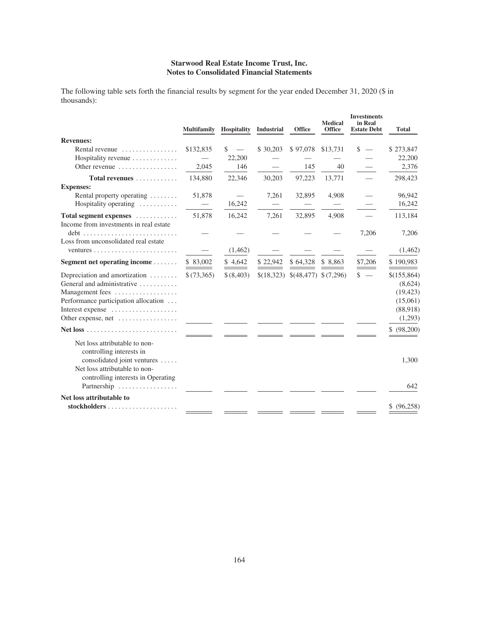The following table sets forth the financial results by segment for the year ended December 31, 2020 (\$ in thousands):

|                                                                                                                                                                                                        | <b>Multifamily</b> | <b>Hospitality</b>  | <b>Industrial</b> | <b>Office</b>         | <b>Medical</b><br><b>Office</b> | <b>Investments</b><br>in Real<br><b>Estate Debt</b> | <b>Total</b>                                                           |
|--------------------------------------------------------------------------------------------------------------------------------------------------------------------------------------------------------|--------------------|---------------------|-------------------|-----------------------|---------------------------------|-----------------------------------------------------|------------------------------------------------------------------------|
| <b>Revenues:</b>                                                                                                                                                                                       |                    |                     |                   |                       |                                 |                                                     |                                                                        |
| Rental revenue                                                                                                                                                                                         | \$132,835          | \$<br>$\frac{1}{2}$ | \$30,203          | \$97,078              | \$13,731                        | \$                                                  | \$273,847                                                              |
| Hospitality revenue $\dots\dots\dots\dots$                                                                                                                                                             |                    | 22,200              |                   |                       |                                 |                                                     | 22,200                                                                 |
| Other revenue                                                                                                                                                                                          | 2,045              | 146                 |                   | 145                   | 40                              |                                                     | 2,376                                                                  |
| Total revenues                                                                                                                                                                                         | 134,880            | 22,346              | 30,203            | 97,223                | 13,771                          |                                                     | 298,423                                                                |
| <b>Expenses:</b>                                                                                                                                                                                       |                    |                     |                   |                       |                                 |                                                     |                                                                        |
| Rental property operating<br>Hospitality operating                                                                                                                                                     | 51,878             | 16,242              | 7,261             | 32,895                | 4,908                           |                                                     | 96,942<br>16,242                                                       |
| Total segment expenses<br>Income from investments in real estate                                                                                                                                       | 51,878             | 16,242              | 7,261             | 32,895                | 4,908                           |                                                     | 113,184                                                                |
|                                                                                                                                                                                                        |                    |                     |                   |                       |                                 | 7,206                                               | 7,206                                                                  |
| Loss from unconsolidated real estate                                                                                                                                                                   |                    | (1,462)             |                   |                       |                                 |                                                     | (1,462)                                                                |
| Segment net operating income                                                                                                                                                                           | \$83,002           | \$4,642             | \$22,942          | \$64,328              | \$8,863                         | \$7,206                                             | \$190,983                                                              |
| Depreciation and amortization<br>General and administrative<br>Management fees<br>Performance participation allocation<br>Interest expense $\dots\dots\dots\dots\dots\dots\dots$<br>Other expense, net | \$(73,365)         | \$ (8,403)          | \$(18,323)        | $$(48,477) \$(7,296)$ |                                 | $s =$                                               | \$(155,864)<br>(8,624)<br>(19, 423)<br>(15,061)<br>(88,918)<br>(1,293) |
|                                                                                                                                                                                                        |                    |                     |                   |                       |                                 |                                                     | \$ (98,200)                                                            |
| Net loss attributable to non-<br>controlling interests in<br>consolidated joint ventures<br>Net loss attributable to non-<br>controlling interests in Operating<br>Partnership                         |                    |                     |                   |                       |                                 |                                                     | 1,300<br>642                                                           |
| Net loss attributable to                                                                                                                                                                               |                    |                     |                   |                       |                                 |                                                     |                                                                        |
|                                                                                                                                                                                                        |                    |                     |                   |                       |                                 |                                                     | (96, 258)<br>\$                                                        |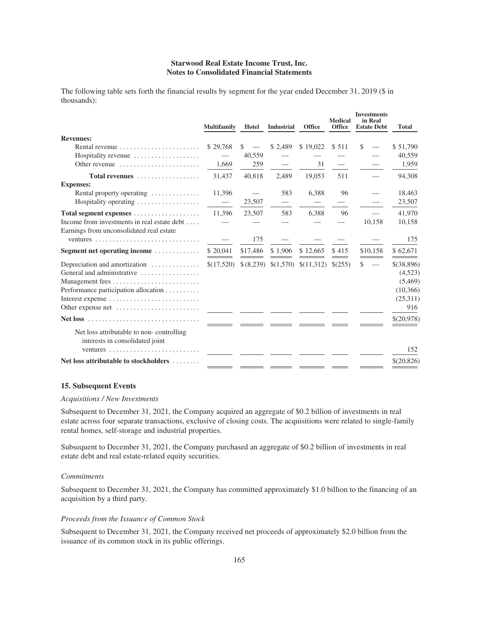The following table sets forth the financial results by segment for the year ended December 31, 2019 (\$ in thousands):

|                                                                             | <b>Multifamily</b> | Hotel      | <b>Industrial</b> | <b>Office</b> | <b>Medical</b><br><b>Office</b> | <b>Investments</b><br>in Real<br><b>Estate Debt</b> | <b>Total</b> |
|-----------------------------------------------------------------------------|--------------------|------------|-------------------|---------------|---------------------------------|-----------------------------------------------------|--------------|
| <b>Revenues:</b>                                                            |                    |            |                   |               |                                 |                                                     |              |
| Rental revenue                                                              | \$29,768           | \$         | \$2,489           | \$19,022      | \$511                           | \$                                                  | \$51,790     |
| Hospitality revenue                                                         |                    | 40,559     |                   |               |                                 |                                                     | 40,559       |
| Other revenue                                                               | 1,669              | 259        |                   | 31            |                                 |                                                     | 1,959        |
| Total revenues                                                              | 31,437             | 40,818     | 2,489             | 19,053        | 511                             |                                                     | 94,308       |
| <b>Expenses:</b>                                                            |                    |            |                   |               |                                 |                                                     |              |
| Rental property operating                                                   | 11,396             |            | 583               | 6,388         | 96                              |                                                     | 18,463       |
| Hospitality operating                                                       |                    | 23,507     |                   |               |                                 |                                                     | 23,507       |
| Total segment expenses                                                      | 11,396             | 23,507     | 583               | 6,388         | 96                              |                                                     | 41,970       |
| Income from investments in real estate debt                                 |                    |            |                   |               |                                 | 10,158                                              | 10,158       |
| Earnings from unconsolidated real estate                                    |                    |            |                   |               |                                 |                                                     |              |
|                                                                             |                    | 175        |                   |               |                                 |                                                     | 175          |
| Segment net operating income                                                | \$ 20,041          | \$17,486   | \$1,906           | \$12,665      | \$415                           | \$10,158                                            | \$62,671     |
| Depreciation and amortization                                               | \$(17,520)         | \$ (8,239) | \$(1,570)         | \$(11,312)    | \$(255)                         | \$<br>$\overline{\phantom{m}}$                      | $$$ (38,896) |
| General and administrative                                                  |                    |            |                   |               |                                 |                                                     | (4,523)      |
|                                                                             |                    |            |                   |               |                                 |                                                     | (5,469)      |
| Performance participation allocation                                        |                    |            |                   |               |                                 |                                                     | (10, 366)    |
| Interest expense                                                            |                    |            |                   |               |                                 |                                                     | (25,311)     |
| Other expense net                                                           |                    |            |                   |               |                                 |                                                     | 916          |
|                                                                             |                    |            |                   |               |                                 |                                                     | \$(20,978)   |
| Net loss attributable to non-controlling<br>interests in consolidated joint |                    |            |                   |               |                                 |                                                     |              |
|                                                                             |                    |            |                   |               |                                 |                                                     | 152          |
| Net loss attributable to stockholders                                       |                    |            |                   |               |                                 |                                                     | \$(20, 826)  |

### **15. Subsequent Events**

# *Acquisitions / New Investments*

Subsequent to December 31, 2021, the Company acquired an aggregate of \$0.2 billion of investments in real estate across four separate transactions, exclusive of closing costs. The acquisitions were related to single-family rental homes, self-storage and industrial properties.

Subsequent to December 31, 2021, the Company purchased an aggregate of \$0.2 billion of investments in real estate debt and real estate-related equity securities.

### *Commitments*

Subsequent to December 31, 2021, the Company has committed approximately \$1.0 billion to the financing of an acquisition by a third party.

#### *Proceeds from the Issuance of Common Stock*

Subsequent to December 31, 2021, the Company received net proceeds of approximately \$2.0 billion from the issuance of its common stock in its public offerings.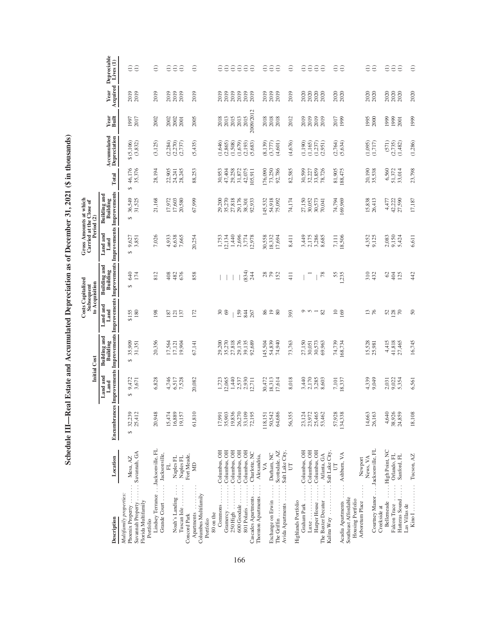Schedule III-Real Estate and Accumulated Depreciation as of December 31, 2021 (\$ in thousands) Schedule III—Real Estate and Accumulated Depreciation as of December 31, 2021 (\$ in thousands)

|                                                                     |                          |                                                                                            |                                     | <b>Initial Cost</b>                    |                  | Costs Capitalized<br>to Acquisition<br>Subsequent |                             | Gross Amounts at which<br>Carried at the Close of<br>Period (2) |                        |                             |           |                  |                            |
|---------------------------------------------------------------------|--------------------------|--------------------------------------------------------------------------------------------|-------------------------------------|----------------------------------------|------------------|---------------------------------------------------|-----------------------------|-----------------------------------------------------------------|------------------------|-----------------------------|-----------|------------------|----------------------------|
|                                                                     |                          |                                                                                            | Land and<br>Land                    | <b>Building and</b><br><b>Building</b> | Land and<br>Land | <b>Building and</b><br>Building                   | Land and<br>Land            | <b>Building and</b><br>Building                                 |                        | Accumulated<br>Depreciation | Year      | Year<br>Acquired | Depreciable<br>d Lives (1) |
| Description                                                         | Location                 | Encumbrances Improvements Improvements Improvements Improvements Improvements Improvements |                                     |                                        |                  |                                                   |                             |                                                                 | Total                  |                             | Built     |                  |                            |
| Phoenix Property<br>Multifamily properties:                         | Mesa, AZ                 | 32,239<br>25,412<br>S                                                                      | 9,472<br>3,671<br>$\leftrightarrow$ | 35,909<br>31,351<br>$\Theta$           | \$155<br>180     | 640<br>$\Theta$                                   | 9,627<br>3,851<br>$\Theta$  | 36,549<br>31,525<br>÷,                                          | 46,176<br>35,376<br>S, | $$ (5,106)$<br>$(3,832)$    | 1997      | 2019             | $\widehat{\epsilon}$       |
| Savannah Property  Savannah, GA<br>Florida Multifamily<br>Portfolio |                          |                                                                                            |                                     |                                        |                  | 174                                               |                             |                                                                 |                        |                             | 2017      | 2019             |                            |
| Lindsey Terrance  Jacksonville, FL                                  |                          | 20,948                                                                                     | 6,828                               | 20,356                                 | 198              | 812                                               | 7,026                       | 21,168                                                          | 28,194                 | (3,125)                     | 2002      | 2019             | $\ominus$                  |
| Grande Court  Jacksonville,                                         |                          |                                                                                            |                                     |                                        |                  |                                                   |                             |                                                                 |                        |                             |           |                  |                            |
|                                                                     |                          | 15,474                                                                                     | 4,746                               | 17,564<br>17,121                       |                  | 408                                               | 4,933                       | 17,972                                                          | 22,905                 | (2, 284)                    | 2002      | 2019             |                            |
| Noah's Landing                                                      | Naples FL                | 16,889                                                                                     | 6,517                               |                                        | $\frac{57}{21}$  | 482                                               | 6,638                       | 17,603                                                          | 24,241                 | (2,270)                     | 2002      | 2019             | eee                        |
| Tuscan Isle $\ldots \ldots$<br>Concord Park                         | Fort Meade,<br>Naples FL | 19,157                                                                                     | 7,528                               | 19,904                                 |                  | 676                                               | 7,665                       | 20,580                                                          | 28,245                 | (2,737)                     | 2001      | 2019             |                            |
| Apartments                                                          | $\overline{M}$           | 61,810                                                                                     | 20,082                              | 67,141                                 | 172              | 858                                               | 20,254                      | 67,999                                                          | 88,253                 | (5,435)                     | 2005      | 2019             | $\ominus$                  |
| Columbus Multifamily<br>Portfolio                                   |                          |                                                                                            |                                     |                                        |                  |                                                   |                             |                                                                 |                        |                             |           |                  |                            |
| 80 on the                                                           |                          |                                                                                            |                                     |                                        |                  |                                                   |                             |                                                                 |                        |                             |           |                  |                            |
| $Commons \ldots$                                                    | Columbus, OH             | 17,991                                                                                     | 1,723                               | 29,200                                 | $30\,$           |                                                   | 1,753                       | 29,200                                                          | 30,953                 | (1,646)                     | 2018      | 2019             |                            |
| Gramercy                                                            | Columbus, OH             | 35,903<br>19,836                                                                           | 2,065                               | 35,270                                 | $69$             |                                                   | 12,134                      | 35,270                                                          | 47,404                 | (2,865)                     | 2013      | 2019             | eeeee                      |
| 250 High                                                            | Columbus, OH             |                                                                                            | 1,440                               | 27,818                                 |                  |                                                   | 1,440                       | 27,818                                                          | 29,258                 | (1,508)                     | 2015      | 2019             |                            |
| 600 Goodale  Columbus, OH                                           |                          | 26,270                                                                                     | 2,537                               | 29,176                                 | 159              |                                                   | 2,696                       | 29,176                                                          | 31,872                 | (1,679)                     | 2013      | 2019             |                            |
| 801 Polaris Columbus, OH                                            |                          | 33,109                                                                                     | 2,930                               | 39,135                                 | 844              | (834)                                             | 3,774                       | 38,301                                                          | 42,075                 | $(2,193)$<br>$(5,683)$      | 2015      | 2019             |                            |
| Cascades Apartments Charlotte, NC                                   |                          | 72,195                                                                                     | 12,711                              | 92,689                                 | 267              | 244                                               | 12,978                      | 92,933                                                          | 105,911                |                             | 2009/2012 | 2019             |                            |
| Thornton Apartments  Alexandria,                                    |                          |                                                                                            |                                     |                                        |                  |                                                   |                             |                                                                 |                        |                             |           |                  |                            |
|                                                                     | $\vee$                   | 118,151                                                                                    | 30,472                              | 145,504                                | 86               | 28                                                | 30,558                      | 45,532                                                          | 176,090                | (8, 139)                    | 2018      | 2019             | $\widehat{\Xi}$            |
| Exchange on Erwin                                                   | Durham, NC               | 50,542                                                                                     | 18,313                              | 54,839                                 | $^{19}$<br>80    |                                                   | 18,332                      | 54,918                                                          | 73,250                 | (3,777)                     | 2018      | 2019             | $\widehat{\Xi}$            |
| Avida Apartments  Salt Lake City,                                   |                          | 64,686                                                                                     | 17,614                              | 74,940                                 |                  | 152                                               | 17,694                      | 75,092                                                          | 92,786                 | (4,601)                     | 2018      | 2019             |                            |
|                                                                     | UT                       | 56,355                                                                                     | 8,018                               | 73,763                                 | 393              | $\frac{11}{4}$                                    | $\frac{411}{5}$<br>$\infty$ | 74,174                                                          | 82,585                 | (4, 676)                    | 2012      | 2019             | $\ominus$                  |
| Highlands Portfolio                                                 |                          |                                                                                            |                                     |                                        |                  |                                                   |                             |                                                                 |                        |                             |           |                  |                            |
| Graham Park                                                         | Columbus, OH             | 23,124                                                                                     | 3,440                               | 27,150                                 | $\circ$          |                                                   | ,449<br>$\sim$              | 27,150                                                          | 30,599                 | (1,190)                     | 2019      | 2020             |                            |
| Luxe Columbus, OH                                                   |                          | 23,972                                                                                     | 2,170                               | 30,051                                 |                  |                                                   | 2,175                       | 30,052                                                          |                        | (1, 165)                    | 2019      | 2020             | eeee                       |
| Harper House Columbus, OH                                           |                          | 25,465<br>53,462                                                                           | 3,285                               | 30,573                                 | $\sim$ $-$       |                                                   | 3,286                       | 30,573                                                          | 32,227<br>33,859       | (1, 237)                    | 2019      | 2020             |                            |
| The Baxter Decatur                                                  | Atlanta, GA              |                                                                                            | 8,603                               | 69,963                                 | 82               | $78$                                              | 8,685                       | 70,041                                                          | 78,726                 | (2,951)                     | 2019      | 2020             |                            |
| Kalina Way  Salt Lake City,                                         |                          |                                                                                            |                                     |                                        |                  |                                                   |                             |                                                                 |                        |                             |           |                  |                            |
|                                                                     | 5                        | 57,928                                                                                     | 7,101                               | 74,739                                 | $\overline{10}$  | 55                                                | 7,111                       | 74,794                                                          | 81,905                 | $(2,764)$<br>$(5,634)$      | 2017      | 2020             | $\widehat{\epsilon}$       |
| Acadia Apartments                                                   | . Ashburn, VA            | 134,338                                                                                    | 18,337                              | 168,734                                | 169              | 1,235                                             | 18,506                      | 169,969                                                         | 188,475                |                             | 1999      | 2020             |                            |
| Southeast Affordable<br>Housing Portfolio                           |                          |                                                                                            |                                     |                                        |                  |                                                   |                             |                                                                 |                        |                             |           |                  |                            |
| Arboretum Place.                                                    | Newport                  |                                                                                            |                                     |                                        |                  |                                                   |                             |                                                                 |                        |                             |           |                  |                            |
|                                                                     | News, VA                 | 14,663                                                                                     | 4,339                               | 15,528                                 |                  | 310                                               | 4,352                       | 15,838                                                          | 20,190                 | (1,095)                     | 1995      | 2020             |                            |
| Courtney Manor Jacksonville, FL                                     |                          | 26,163                                                                                     | 9,049                               | 25,981                                 | 13               | 432                                               | 9,125                       | 26,413                                                          | 35,538                 | (1,717)                     | 2000      | 2020             | $\widehat{\Xi}$            |
| Creekside at                                                        |                          |                                                                                            |                                     |                                        |                  |                                                   |                             |                                                                 |                        |                             |           |                  |                            |
| Bellemeade  High Point, NC                                          |                          | 4,640                                                                                      | 2,031                               | 4,415                                  | 5800             | 62                                                | 2,083                       | 4,477                                                           | 6,560                  | (571)                       | 1999      | 2020             | eee                        |
| Falcon Trace                                                        | Orlando, FL              | 38,926                                                                                     | 9,022                               | 41,818<br>27,465                       |                  | 404                                               | 9,150                       | 42,222                                                          | 51,372                 | (2,735)                     | 1999      | 2020             |                            |
| Hatteras Sound                                                      | Sanford, FL              | 24,859                                                                                     | 5,354                               |                                        |                  | 125                                               | 5,424                       | 27,590                                                          | 33,014                 | (1,482)                     | 2001      | 2020             |                            |
| Kino I<br>Las Villas de                                             | Tucson, AZ               | 18,108                                                                                     | 6,561                               | 16,745                                 | 50               | 42                                                | 6,611                       | 17,187                                                          | 23,798                 | (1, 286)                    | 1999      | 2020             | $\ominus$                  |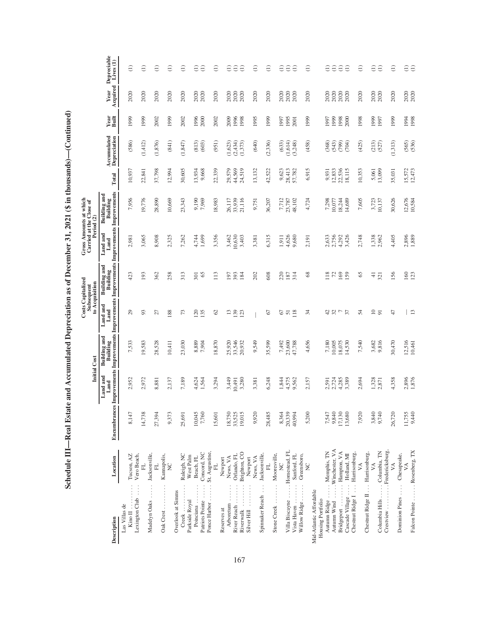Schedule III-Real Estate and Accumulated Depreciation as of December 31, 2021 (\$ in thousands)-(Continued) Schedule III—Real Estate and Accumulated Depreciation as of December 31, 2021 (\$ in thousands)—(Continued)

|                                                                 |                            |                 |          | <b>Initial Cost</b> |                   | Costs Capitalized<br>to Acquisition<br>Subsequent                                                                                                  |                | Gross Amounts at which<br>Carried at the Close of<br>Period (2) |                 |                             |               |              |                              |
|-----------------------------------------------------------------|----------------------------|-----------------|----------|---------------------|-------------------|----------------------------------------------------------------------------------------------------------------------------------------------------|----------------|-----------------------------------------------------------------|-----------------|-----------------------------|---------------|--------------|------------------------------|
|                                                                 |                            |                 | Land and | <b>Building and</b> | Land and          | Land Building Land Building Land Building Land Building<br>Improvements Improvements Improvements Improvements Improvements<br><b>Building and</b> | Land and       | <b>Building and</b>                                             |                 | Accumulated<br>Depreciation | Year<br>Built | Year         | Depreciable<br>1 Lives (1)   |
| Las Villas de<br>Description                                    | Location                   | Encumbrances    |          |                     |                   |                                                                                                                                                    |                |                                                                 | Total           |                             |               | Acquired     |                              |
| Kino II                                                         | Tucson, AZ                 | 8,147           | 2,952    | 7,533               | 29                | 423                                                                                                                                                | 2,981          | 7,956                                                           | 10,937          | (586)                       | 1999          | 2020         | $\ominus$                    |
| Lexington Club                                                  | Vero Beach,                | 14,738          | 2,972    | 19,583              | 93                | 193                                                                                                                                                | 3,065          | 19,776                                                          | 22,841          | (1, 412)                    | 1999          | 2020         | $\ominus$                    |
| Madelyn Oaks                                                    | Jacksonville,<br>己         | 27,394          | 8,881    | 28,528              | 27                | 362                                                                                                                                                | 8,908          | 28,890                                                          | 37,798          | (1, 876)                    | 2002          | 2020         | $\ominus$                    |
| Oak Crest                                                       | Kannapolis,                |                 |          |                     |                   |                                                                                                                                                    |                |                                                                 |                 |                             |               |              |                              |
| Overlook at Simms                                               | $\gtrsim$                  | 9,373           | 2,137    | 10,411              | 188               | 258                                                                                                                                                | ,325<br>$\sim$ | 10,669                                                          | 12,994          | (841)                       | 1999          | 2020         | $\ominus$                    |
| Creek $\dots\dots$                                              | Raleigh, NC                | 25,691          | 7,189    | 23,030              | 73                | 313                                                                                                                                                | 7,262          | 23,343                                                          | 30,605          | (1, 847)                    | 2002          | 2020         | Ξ                            |
| Poinciana<br>Parkside Royal                                     | West Palm<br>Beach, FL     | 10,045          | 4,624    | 8,889               | 20                | 301                                                                                                                                                | ,744           | 9,190                                                           | 13,934          | (813)                       | 1996          | 2020         | Э                            |
| Patriots Pointe                                                 | Concord, NC                | 7,760           | 1,564    | 7,904               | 135               | 65                                                                                                                                                 | 1,699          | 7,969                                                           | 9,668           | (603)                       | 2000          | 2020         | $\ominus$                    |
| Ponce Harbor                                                    | St. Augustine,<br>E        | 15,601          | 3,294    | 18,870              | 2                 | $\frac{13}{2}$                                                                                                                                     | 3,356          | 18,983                                                          | 22,339          | (951)                       | 2002          | 2020         | $\ominus$                    |
| Reserves at                                                     | Newport                    |                 |          |                     |                   |                                                                                                                                                    |                |                                                                 |                 |                             |               |              |                              |
| Arboretum                                                       | News, VA                   | 18,750          | 3,449    | 25,920              | $\overline{13}$   | 197                                                                                                                                                | 3,462          | 26,117                                                          | 29,579          | (1,623)                     | 2009          | 2020         | $\ominus$                    |
| River Reach                                                     | Orlando, FL                | 33,525          | 10,491   | 33,546              | 139               | 393                                                                                                                                                | 10,630         | 33,939                                                          | 44,569          | (2,434)                     | 1996          | 2020         | $\ominus$                    |
| Riverwalk                                                       | Brighton, CO               | 19,015          | 3,280    | 20,932              | 123               | 184                                                                                                                                                | 3,403          | 21,116                                                          | 24,519          | (1,373)                     | 1998          | 2020         | $\ominus$                    |
| Silver Hill $\ldots$                                            | Newport                    |                 |          |                     |                   | 202                                                                                                                                                |                |                                                                 |                 |                             | 1995          |              |                              |
| Spinnaker Reach                                                 | Jacksonville,<br>News, VA  | 9,920           | 3,381    | 9,549               |                   |                                                                                                                                                    | 3,381          | 9,751                                                           | 13,132          | (640)                       |               | 2020         | $\ominus$                    |
|                                                                 |                            | 28,485          | 6,248    | 35,599              | 67                | 608                                                                                                                                                | 6,315          | 36,207                                                          | 42,522          | (2,336)                     | 1999          | 2020         | $\ominus$                    |
| Stone Creek                                                     | Mooresville,               |                 |          |                     |                   |                                                                                                                                                    |                |                                                                 |                 |                             |               |              |                              |
|                                                                 | ž                          | 8,364           | 1,844    | 7,492               | 57                | 220                                                                                                                                                | 1,911          | 7,712                                                           | 9,623           | (633)                       | 1997          | 2020         | $\ominus$                    |
| Villa Biscayne  Homestead, FL                                   |                            | 20,339          | 4,575    | 23,600              |                   | 187                                                                                                                                                | 4,626          | 23,787                                                          | 28,413          | (1, 614)                    | 1995          | 2020         | $\ominus$                    |
| Vista Haven $\dots\dots$<br>Willow Ridge                        | Greensboro,<br>Sanford, FL | 40,994          | 9,562    | 47,788              | 118               | 314                                                                                                                                                | ,680<br>Ö      | 48,102                                                          | 57,782          | (3,248)                     | 2001          | 2020         | $\ominus$                    |
|                                                                 | $\frac{C}{Z}$              | 5,200           | 2,157    | 4,656               | 34                | 8                                                                                                                                                  | 2,191          | 4,724                                                           | 6,915           | (458)                       | 1999          | 2020         | $\ominus$                    |
| Mid-Atlantic Affordable<br>Housing Portfolio                    |                            |                 |          |                     |                   |                                                                                                                                                    |                |                                                                 |                 |                             |               |              |                              |
| Autumn Ridge.                                                   | Memphis, TN                |                 | 2,591    | 7,180               |                   | 118                                                                                                                                                | ,633           | 7,298                                                           | 9,931           | (368)                       | 997           | 2020         |                              |
| Autumn Wind                                                     | Winchester, VA             | 7,547<br>9,840  | 2,724    | 10,005              | 437               | $\mathcal{L}$                                                                                                                                      | 2,756          | 10,077                                                          | 12,833          | (543)                       | 1999          | 2020         | $\widehat{\Xi}\widehat{\Xi}$ |
| Bridgeport  Hampton, VA                                         |                            | 17,130          | 4,285    | 18,075              |                   | 169                                                                                                                                                | 4,292          | 18,244                                                          | 22,536          | (799)                       | 1998          | 2020         | $\widehat{\epsilon}$         |
| Chestnut Ridge I  Harrisonburg,<br>Cascade Village  Holland, MI |                            | 13,680          | 3,389    | 14,530              | 57                | <b>159</b>                                                                                                                                         | ,426<br>$\sim$ | 14,689                                                          | 18,115          | (704)                       | 2000          | 2020         |                              |
|                                                                 | $\vee$                     | 7,920           | 2,694    | 7,540               | 54                | 65                                                                                                                                                 | 2,748          | 7,605                                                           | 10,353          | (425)                       | 1998          | 2020         | $\ominus$                    |
| Chestnut Ridge II Harrisonburg,                                 |                            |                 |          |                     |                   |                                                                                                                                                    |                |                                                                 |                 |                             |               |              |                              |
|                                                                 | $V\rightarrow$             | 3,840           | 1,328    | 9,816<br>3,682      | $\supseteq$<br>51 | $\frac{4}{3}$<br>321                                                                                                                               | 1,338<br>2,962 | 3,723<br>10,137                                                 | 13,099<br>5,061 | (213)                       | 1999<br>1997  | 2020<br>2020 | $\ominus$                    |
| Crestview Fredericksburg,<br>Columbia Hills Columbia, TN        |                            | 9,740           | 2,871    |                     |                   |                                                                                                                                                    |                |                                                                 |                 | (527)                       |               |              | $\ominus$                    |
|                                                                 | $\heartsuit$               | 26,720          | 4,358    | 30,470              | 47                | 156                                                                                                                                                | ,405<br>4      | 30,626                                                          | 35,031          | (1,313)                     | 1999          | 2020         | $\ominus$                    |
| Dominion Pines  Chesapeake,                                     | $\vee$                     |                 | 2,896    | 12,516              |                   |                                                                                                                                                    |                | 12,676                                                          | 15,572          |                             |               |              |                              |
| Falcon Pointe  Rosenberg, TX                                    |                            | 11,755<br>9,440 | 1,876    | 10,461              | 13                | 160<br>123                                                                                                                                         | 2,896<br>1,889 | 10,584                                                          | 12,473          | $(565)$<br>$(536)$          | 1994<br>1998  | 2020         | $\widehat{\Xi}$              |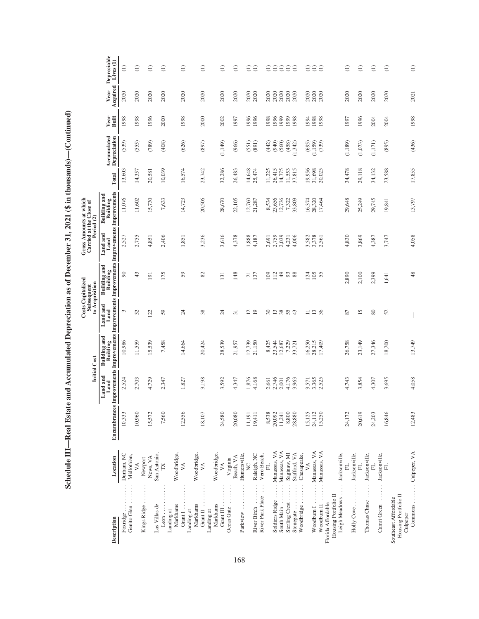| i<br>j<br>ļ                                                                      |
|----------------------------------------------------------------------------------|
|                                                                                  |
| ֚֚֚<br>֕<br>I                                                                    |
| i                                                                                |
| i<br>C                                                                           |
| Í<br>֠                                                                           |
| $\overline{\phantom{a}}$<br>I                                                    |
|                                                                                  |
|                                                                                  |
| ļ<br>$\overline{a}$                                                              |
| $\vdots$<br>$\overline{\phantom{a}}$                                             |
| ֖֖֧ׅ֧ׅׅ֧֧ׅ֧֖֧֧ׅ֧֧֧֧֧֚֚֚֚֚֚֚֚֚֚֚֚֚֚֚֚֚֚֚֚֚֚֚֚֚֚֚֚֚֚֚֡֝֝֬֓֝֬֓֝֬֝֬֓֝֬֝֬֝֬֝֬֝֬֝֬֝֬֝֬ |
| ľ<br>ľ<br>١                                                                      |

|                                                                       |                              |                     |                                     | <b>Initial Cost</b>                                    |                         | Costs Capitalized<br>to Acquisition<br>Subsequent                                      |                  | Gross Amounts at which<br>Carried at the Close of<br>Period (2) |                  |                             |               |                  |                            |
|-----------------------------------------------------------------------|------------------------------|---------------------|-------------------------------------|--------------------------------------------------------|-------------------------|----------------------------------------------------------------------------------------|------------------|-----------------------------------------------------------------|------------------|-----------------------------|---------------|------------------|----------------------------|
| Description                                                           | Location                     | Encumbrances        | Improvements<br>Land and<br>$L$ and | Improvements<br><b>Building and</b><br><b>Building</b> | Land and<br>Land        | Improvements Improvements Improvements Improvements<br><b>Building</b> and<br>Building | Land and<br>Land | <b>Building</b> and<br>Building                                 | Total            | Accumulated<br>Depreciation | Built<br>Year | Acquired<br>Year | Depreciable<br>d Lives (1) |
| Foxridge                                                              | Durham, NC                   | 10,333              | 2,524                               | 10,986                                                 | $\epsilon$              | $\overline{6}$                                                                         | 2,527            | 11,076                                                          | 13,603           | (539)                       | 1998          | 2020             | $\widehat{\Xi}$            |
| Genito Glen                                                           | Midlothian,<br>$\vee$        | 10,960              | 2,703                               | 11,559                                                 | 52                      | 43                                                                                     | 2,755            | 11,602                                                          | 14,357           | (555)                       | 1998          | 2020             | $\ominus$                  |
| Kings Ridge                                                           | News, VA<br>Newport          | 15,572              | 4,729                               | 15,539                                                 | 122                     | 191                                                                                    | 4,851            | 15,730                                                          | 20,581           | (789)                       | 1996          | 2020             | $\ominus$                  |
| Las Villas de                                                         | San Antonio,                 |                     |                                     |                                                        |                         |                                                                                        |                  |                                                                 |                  |                             |               |                  |                            |
| Leon.                                                                 | TX                           | 7,560               | 2,347                               | 7,458                                                  | 59                      | 175                                                                                    | 2,406            | 7,633                                                           | 10,039           | (408)                       | 2000          | 2020             | $\ominus$                  |
| Markhams<br>Grant I.<br>Landing at                                    | Woodbridge,<br>$\vee$        | 12,556              | 1,827                               | 14,664                                                 | $^{24}$                 | 59                                                                                     | 1,851            | 14,723                                                          | 16,574           | (626)                       | 1998          | 2020             | $\ominus$                  |
| Markhams<br>Grant $\Pi$<br>Landing at                                 | Woodbridge,<br>$\vee$        | 18,107              | 3,198                               | 20,424                                                 | 38                      | 82                                                                                     | 3,236            | 20,506                                                          | 23,742           | (897)                       | 2000          | 2020             | $\ominus$                  |
| Markhams<br>Landing at                                                | Woodbridge,                  |                     |                                     |                                                        |                         |                                                                                        |                  |                                                                 |                  |                             |               |                  |                            |
| Grant $\amalg$ .<br>Ocean Gate                                        | Virginia<br>$\aleph$         | 24,580              | 3,592                               | 28,539                                                 | 24                      | 131                                                                                    | 3,616            | 28,670                                                          | 32,286           | (1, 149)                    | 2002          | 2020             | $\ominus$                  |
|                                                                       | Beach, VA                    | 20,080              | 4,347                               | 21,957                                                 | $\overline{31}$         | 148                                                                                    | 4,378            | 22,105                                                          | 26,483           | (966)                       | 1997          | 2020             | $\ominus$                  |
| Parkview                                                              | Hunters ville,<br>ž          | 11,191              | 1,876                               | 12,739                                                 |                         | $\overline{\circ}$                                                                     | 1,888            | 12,760                                                          | 14,648           | (551)                       | 1996          | 2020             | $\ominus$                  |
| River Birch                                                           | Raleigh, NC                  | 19,411              | 4,168                               | 21,150                                                 | $\frac{2}{1}$           | 137                                                                                    | 4,187            | 21,287                                                          | 25,474           | (891)                       | 1996          | 2020             | $\ominus$                  |
| River Park Place                                                      | Vero Beach,                  |                     |                                     |                                                        |                         |                                                                                        |                  |                                                                 |                  |                             |               |                  |                            |
| Soldiers Ridge  Manassas, VA                                          | 리                            | 8,538<br>20,092     | 2,746<br>2,661                      | 8,425<br>23,544                                        | $\boldsymbol{50}$<br>13 | 112<br>109                                                                             | 2,759<br>2,691   | 8,534<br>23,656                                                 | 26,415<br>11,225 | (442)<br>(940)              | 996<br>998    | 2020<br>2020     | $\ominus$<br>$\oplus$      |
| South Main  Manassas, VA                                              |                              | 11,241              | 2,001                               | 12,687                                                 |                         | $49$                                                                                   | 2,039            | 12,736                                                          | 14,775           | (560)                       | 1999          | 2020             |                            |
| Sterling Crest                                                        | Saginaw, MI                  | $8,800$<br>$28,880$ | 4,176                               | 7,229                                                  | 3854                    | 93                                                                                     | 4,231            | 7,322                                                           | 11,553           | (458)                       | 999           | 2020             | $\theta$                   |
| Stonegate<br>Woodbridge                                               | Stafford, VA                 |                     | 3,963                               | 33,721                                                 |                         |                                                                                        | 4,006            | 33,809                                                          | 37,815           | (1,342)                     | 1998          | 2020             |                            |
|                                                                       | Chesapeake,<br>$\frac{1}{2}$ | 15,125              | 3,571                               | 16,250                                                 | Ξ                       | 124                                                                                    | 3,582            | 16,374                                                          | 19,956           | (695)                       | 994           | 2020             | $\widehat{\Xi}$            |
| Woodburn I  Manassas, VA                                              |                              | 24,112              | 3,365                               | 28,215                                                 | $\frac{13}{56}$         | 105<br>55                                                                              | 3,378            | 28,320                                                          | 31,698           | (1, 159)                    | 1998<br>8661  | 2020             | $\widehat{\Xi}$            |
| $\vdots$<br>Housing Portfolio II<br>Florida Affordable<br>Woodburn II | Manassas, VA                 | 15,250              | 2,525                               | 17,409                                                 |                         |                                                                                        | 2,561            | 17,464                                                          | 20,025           | (739)                       |               | 2020             |                            |
| Leigh Meadows                                                         | Jacksonville,                |                     |                                     |                                                        |                         |                                                                                        |                  |                                                                 |                  |                             |               |                  |                            |
|                                                                       |                              | 24,172              | 4,743                               | 26,758                                                 | 87                      | 2,890                                                                                  | 4,830            | 29,648                                                          | 34,478           | (1,189)                     | 1997          | 2020             | $\ominus$                  |
| Holly Cove  Jacksonville,                                             |                              | 20,619              | 3,854                               | 23,149                                                 | $\overline{15}$         | 2,100                                                                                  | 3,869            | 25,249                                                          | 29,118           | (1,073)                     | 1996          | 2020             | $\ominus$                  |
| Thomas Chase                                                          | Jacksonville,                | 24,203              | 4,307                               | 27,346                                                 | $80\,$                  | 2,399                                                                                  | 4,387            | 29,745                                                          | 34,132           | (1,171)                     | 2004          | 2020             | $\ominus$                  |
| Camri Green                                                           | Jacksonville,                |                     |                                     |                                                        |                         |                                                                                        |                  |                                                                 |                  |                             |               |                  |                            |
| Southeast Affordable                                                  | 로                            | 16,846              | 3,695                               | 18,200                                                 | 52                      | 1,641                                                                                  | 3,747            | 19,841                                                          | 23,588           | (895)                       | 2004          | 2020             | $\ominus$                  |
| Housing Portfolio II                                                  |                              |                     |                                     |                                                        |                         |                                                                                        |                  |                                                                 |                  |                             |               |                  |                            |
| Commons  Culpeper, VA<br>Culpeper                                     |                              | 12,483              | 4,058                               | 13,749                                                 |                         | 48                                                                                     | 4,058            | 13,797                                                          | 17,855           | (436)                       | 1998          | 2021             | $\ominus$                  |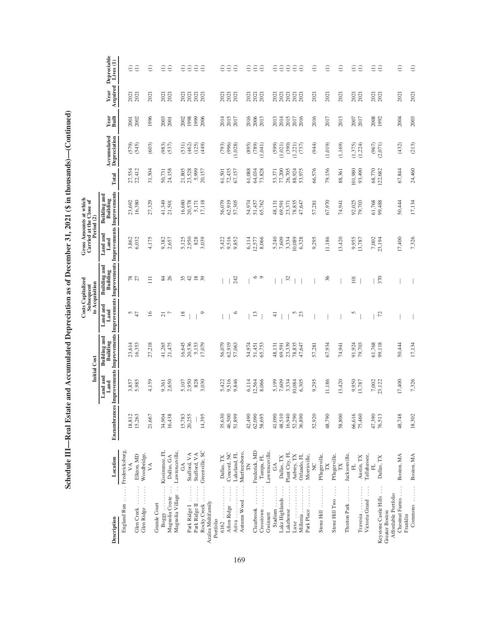Schedule III-Real Estate and Accumulated Depreciation as of December 31, 2021 (\$ in thousands)-(Continued) Schedule III—Real Estate and Accumulated Depreciation as of December 31, 2021 (\$ in thousands)—(Continued)

|                                     |                                 |                  | <b>Initial Cost</b> |                                                                                                                         |                  | Costs Capitalized<br>to Acquisition<br>Subsequent | Period (2)       | Gross Amounts at which<br>Carried at the Close of |                  |                             |               |                  |                            |
|-------------------------------------|---------------------------------|------------------|---------------------|-------------------------------------------------------------------------------------------------------------------------|------------------|---------------------------------------------------|------------------|---------------------------------------------------|------------------|-----------------------------|---------------|------------------|----------------------------|
| Description                         | Location                        | Encumbrances     | Land and<br>Land    | Improvements Improvements Improvements Improvements Improvements Improvements<br><b>Building</b> and<br><b>Building</b> | Land and<br>Land | <b>Building</b> and<br>Building                   | Land and<br>Land | <b>Building and</b><br>Building                   | Total            | Accumulated<br>Depreciation | Year<br>Built | Acquired<br>Year | Depreciable<br>d Lives (1) |
|                                     |                                 |                  |                     |                                                                                                                         |                  |                                                   |                  |                                                   |                  |                             |               |                  |                            |
| England Run                         | Fredericksburg<br>$\vee$        | 18,812           | 3,857               | 23,614                                                                                                                  |                  |                                                   | 3,862            | 23,692                                            | 27,554           | (579)                       | 2001          | 2021             | Э                          |
| Glen Creek                          | Elkton, MD                      | 15,263           | 5,985               | 16,353                                                                                                                  | $rac{47}{5}$     | $\frac{8}{27}$                                    | 6,032            | 16,380                                            | 22,412           | (545)                       | 2002          | 2021             | $\ominus$                  |
| Glen Ridge                          | Woodbridge,<br>$\vee$           | 21,667           | 4,159               | 27,218                                                                                                                  | 16               | $\equiv$                                          | 4,175            | 27,329                                            | 31,504           | (603)                       | 1996          | 2021             | $\ominus$                  |
| Grande Court                        |                                 |                  |                     |                                                                                                                         |                  |                                                   |                  |                                                   |                  |                             |               |                  |                            |
| Boggy                               | Kissimmee, FL                   | 34,904           | 9,361               | 41,265                                                                                                                  | $\overline{z}$   |                                                   | 9,382            | 41,349                                            | 50,731           | (983)                       | 2003          | 2021             | Ξ                          |
| Magnolia Creste                     | Dallas, GA                      | 16,438           | 2,650               | 21,475                                                                                                                  | $\overline{ }$   | 84<br>26                                          | 2,657            | 21,501                                            | 24,158           | (537)                       | 2001          | 2021             | $\ominus$                  |
| Magnolia Village  Lawrenceville,    |                                 |                  |                     |                                                                                                                         |                  |                                                   |                  |                                                   |                  |                             |               |                  |                            |
|                                     | Stafford, VA<br>GA              | 20,255<br>15,783 | 2,950<br>5,107      | 16,645<br>20,536                                                                                                        | $\frac{8}{18}$   | 35                                                | 2,950<br>5,125   | 20,578<br>16,680                                  | 21,805<br>23,528 | (531)<br>(462)              | 1998<br>2002  | 2021<br>2021     | $\ominus$<br>Э             |
| Park Ridge I<br>Park Ridge II       | Stafford, VA                    |                  | 828                 | 5,153                                                                                                                   |                  | $\frac{8}{2}$                                     | 828              | 5,171                                             | 5,999            | (125)                       | 1999          | 2021             | $\ominus$                  |
| Rocky Creek                         | Greenville, SC                  | 14,395           | 3,030               | 17,079                                                                                                                  | Q                | $\mathcal{S}^{\circ}$                             | 3,039            | 17,118                                            | 20,157           | (449)                       | 2006          | 2021             | $\widehat{\epsilon}$       |
| Azalea Multifamily<br>Portfolio     |                                 |                  |                     |                                                                                                                         |                  |                                                   |                  |                                                   |                  |                             |               |                  |                            |
| 6162                                | Dallas, TX                      | 35,630           | 5,422               | 56,079                                                                                                                  |                  |                                                   | 5,422            | 56,079                                            | 61,501           | (793)                       | 2014          | 2021             | Э                          |
| Afton Ridge                         | Concord, NC                     |                  | 9,516               | 62,919                                                                                                                  |                  |                                                   | 9,516            | 62,919                                            | 72,435           | (996)                       | 2015          | 2021             | $\ominus$                  |
| Ariva $\ldots$                      | Lakeland, FL                    | 46,500<br>51,899 | 9,846               | 57,063                                                                                                                  | $\circ$          | 242                                               | 9,852            | 57,305                                            | 67,157           | (1,028)                     | 2017          | 2021             | $\ominus$                  |
| Autumn Wood                         | Murfreesboro,                   |                  |                     |                                                                                                                         |                  |                                                   |                  |                                                   |                  |                             |               |                  |                            |
|                                     | E                               | 42,490           | 6,114               | 54,974                                                                                                                  |                  |                                                   | 6,114            | 54,974                                            | 61,088           | (895)                       | 2016          | 2021             | Э                          |
| Clearbrook                          | Frederick, MD                   | 62,090           | 12,564              | 51,451                                                                                                                  | $\overline{13}$  | 6                                                 | 12,577           | 51,457                                            | 64,034           | (789)                       | 2006          | 2021             | $\ominus$                  |
| Crosstown                           | Tampa, FL                       | 58,695           | 8,066               | 65,753                                                                                                                  |                  | $\circ$                                           | 8,066            | 65,762                                            | 73,828           | (1,041)                     | 2013          | 2021             | $\ominus$                  |
| Gwinnett                            | Lawrenceville,                  |                  |                     |                                                                                                                         |                  |                                                   |                  |                                                   |                  |                             |               |                  |                            |
| Stadium                             | $\mathfrak{S}$                  | 41,090           | 5,199               | 48,131                                                                                                                  | $\frac{1}{4}$    |                                                   | 5,240            | 48,131                                            | 53,371           | (599)                       | 2013          | 2021             | $\ominus$                  |
| Lake Highlands                      | Dallas, TX                      | 48,510           | 7,609               | 69,591                                                                                                                  |                  |                                                   | 7,609            | 69,591                                            | 77,200           | (1,021)                     | 2014          | 2021             | $\ominus$                  |
| Lakehouse                           | Plant City, FL                  | 16,940           | 3,334               | 23,339                                                                                                                  |                  | 32                                                | 3,334            | 23,371                                            | 26,705           | (390)                       | 2015          | 2021             | $\ominus$                  |
|                                     | Aubrey, TX                      | 52,290           | 10,084              | 78,835                                                                                                                  | 5                |                                                   | 0,089            | 78,835                                            | 88,924           | (1,221)                     | 2017          | 2021             | $\widehat{\Xi}$            |
| Millenia                            | Orlando, FL                     | 36,890           | 6,305               | 47,647                                                                                                                  | 23               |                                                   | 6,328            | 47,647                                            | 53,975           | (737)                       | 2016          | 2021             | $\ominus$                  |
| Park Place                          | Morrisville,                    |                  |                     |                                                                                                                         |                  |                                                   |                  |                                                   |                  |                             |               |                  |                            |
|                                     | ğ                               | 52,920           | 9,295               | 57,281                                                                                                                  |                  |                                                   | 9,295            | 57,281                                            | 66,576           | (944)                       | 2016          | 2021             | $\ominus$                  |
| Stone Hill                          | Pflugerville,<br>$\overline{r}$ | 48,790           | 11,186              | 67,934                                                                                                                  |                  | 36                                                | 11,186           | 67,970                                            | 79,156           | (1,019)                     | 2017          | 2021             | $\ominus$                  |
| Stone Hill Two                      | Pflugerville,                   |                  |                     |                                                                                                                         |                  |                                                   |                  |                                                   |                  |                             |               |                  |                            |
|                                     | IX                              | 58,800           | 13,420              | 74,941                                                                                                                  |                  |                                                   | 13,420           | 74,941                                            | 88,361           | (1, 169)                    | 2013          | 2021             | $\ominus$                  |
| Thorton Park                        | Jacksonville,                   |                  |                     |                                                                                                                         |                  |                                                   |                  |                                                   |                  |                             |               |                  |                            |
|                                     | E                               | 66,616           | 9,950               | 91,924                                                                                                                  | 5                | 101                                               | 9,955            | 92,025                                            | 101,980          | (1,375)                     | 2007          | 2021             | $\ominus$                  |
| Travesia $\ldots$<br>Victoria Grand | Tallahassee,<br>Austin, TX      | 75,460           | 13,787              | 79,703                                                                                                                  |                  |                                                   | 13,787           | 79,703                                            | 93,490           | (1, 224)                    | 2017          | 2021             | $\ominus$                  |
|                                     |                                 | 47,390           | $7,002$             | 61,768                                                                                                                  |                  |                                                   | 7,002            | 61,768                                            | 68,770           | (967)                       | 2008          | 2021             | $\ominus$                  |
| Keystone Castle Hills               | Dallas, TX                      | 76,513           | 23,122              | 99,118                                                                                                                  | 72               | 370                                               | 23,194           | 99,488                                            | 122,682          | (2,071)                     | 1992          | 2021             | $\oplus$                   |
| Greater Boston                      |                                 |                  |                     |                                                                                                                         |                  |                                                   |                  |                                                   |                  |                             |               |                  |                            |
| Affordable Portfolio                |                                 |                  |                     |                                                                                                                         |                  |                                                   |                  |                                                   |                  |                             |               |                  |                            |
| Chestnut Farms                      | Boston, MA                      | 48,748           | 17,400              | 50,444                                                                                                                  |                  |                                                   | 17,400           | 50,444                                            | 67,844           | (432)                       | 2004          | 2021             | $\ominus$                  |
| $Commons$<br>Franklin               | Boston, MA                      | 18,302           | 7,326               | 17,134                                                                                                                  |                  |                                                   | 7,326            | 17,134                                            | 24,460           | (213)                       | 2003          | 2021             | $\ominus$                  |
|                                     |                                 |                  |                     |                                                                                                                         |                  |                                                   |                  |                                                   |                  |                             |               |                  |                            |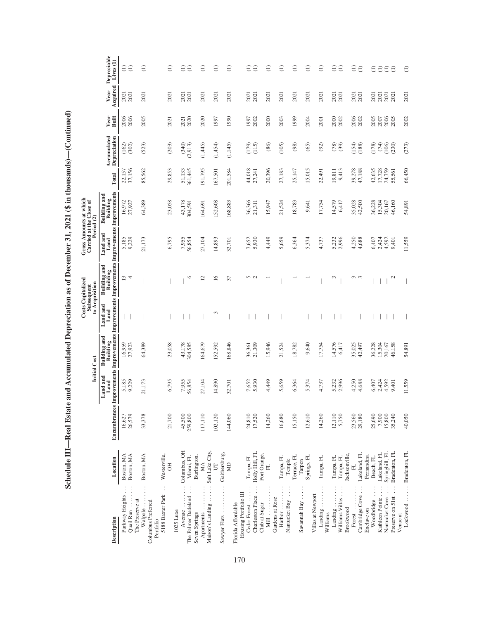| i                        |  |
|--------------------------|--|
|                          |  |
|                          |  |
|                          |  |
| ļ                        |  |
|                          |  |
|                          |  |
| ì                        |  |
| į<br>ĺ                   |  |
| ļ                        |  |
|                          |  |
|                          |  |
|                          |  |
|                          |  |
|                          |  |
| ֠                        |  |
| ׇׇ֚֚֕                    |  |
| ׇ֚                       |  |
|                          |  |
| ֕<br>ׇ֚֓֡                |  |
|                          |  |
|                          |  |
|                          |  |
|                          |  |
|                          |  |
| ļ<br>I                   |  |
|                          |  |
|                          |  |
|                          |  |
|                          |  |
|                          |  |
|                          |  |
|                          |  |
|                          |  |
|                          |  |
| ׇ֚֕֡<br>l                |  |
|                          |  |
|                          |  |
|                          |  |
|                          |  |
|                          |  |
|                          |  |
|                          |  |
|                          |  |
|                          |  |
|                          |  |
|                          |  |
|                          |  |
| ļ                        |  |
| $\overline{1}$           |  |
| l                        |  |
| $\vdots$<br>l            |  |
|                          |  |
| ļ                        |  |
| ׇ֚֕֡                     |  |
|                          |  |
|                          |  |
|                          |  |
| $\overline{\phantom{a}}$ |  |
| į<br>Į                   |  |

|                                                 |                                 |                   | <b>Initial Cost</b> |                                 |                  | Costs Capitalized<br>to Acquisition<br>Subsequent                                                                       |                  | Gross Amounts at which<br>Carried at the Close of<br>Period (2) |                   |                             |               |                  |                              |
|-------------------------------------------------|---------------------------------|-------------------|---------------------|---------------------------------|------------------|-------------------------------------------------------------------------------------------------------------------------|------------------|-----------------------------------------------------------------|-------------------|-----------------------------|---------------|------------------|------------------------------|
| Description                                     | Location                        | Encumbrances      | Land and<br>Land    | <b>Building and</b><br>Building | Land and<br>Land | Improvements Improvements Improvements Improvements Improvements Improvements<br><b>Building and</b><br><b>Building</b> | Land and<br>Land | <b>Building and</b><br><b>Building</b>                          | Total             | Accumulated<br>Depreciation | Built<br>Year | Acquired<br>Year | Depreciable<br>Lives (1)     |
| Parkway Heights                                 | Boston, MA                      | 16,627            | 5,185               | 16,959                          |                  | 13                                                                                                                      | 5,185            | 16,972                                                          | 22,157            | (162)                       | 2006          | 2021             |                              |
| Quail Run                                       | Boston, MA                      | 26,579            | 9,229               | 27,923                          |                  | $\overline{4}$                                                                                                          | 9,229            | 27,927                                                          | 37,156            | (302)                       | 2006          | 2021             | $\widehat{\Xi}$              |
| Walpole<br>The Preserve at                      | Boston, MA                      | 33,378            | 21,173              | 64,389                          |                  |                                                                                                                         | 21,173           | 64,389                                                          | 85,562            | (523)                       | 2005          | 2021             | $\widehat{\Xi}$              |
| Columbus Preferred                              |                                 |                   |                     |                                 |                  |                                                                                                                         |                  |                                                                 |                   |                             |               |                  |                              |
| 5188 Baxter Park<br>Portfolio                   | Westerville,                    |                   |                     |                                 |                  |                                                                                                                         |                  |                                                                 |                   |                             |               |                  |                              |
|                                                 | <b>BO</b>                       | 21,700            | 6,795               | 23,058                          |                  |                                                                                                                         | 6,795            | 23,058                                                          | 29,853            | (203)                       | 2021          | 2021             | $\ominus$                    |
| 1025 Luxe                                       |                                 |                   |                     |                                 |                  |                                                                                                                         |                  |                                                                 |                   |                             |               |                  |                              |
| Avenue  Columbus, OH<br>The Palmer Dadeland     | Miami, FL                       | 45,500<br>259,800 | 7,955<br>56,854     | 43,178<br>304,585               |                  | $\circ$                                                                                                                 | 7,955<br>56,854  | 43,178<br>304,591                                               | 51,133<br>361,445 | (340)<br>(2, 913)           | 2020<br>2021  | 2021<br>2021     | $\ominus$<br>Э               |
| Seven Springs                                   | Burlington,                     |                   |                     |                                 |                  |                                                                                                                         |                  |                                                                 |                   |                             |               |                  |                              |
| Maison's Landing  Salt Lake City,<br>Apartments | MA                              | 117,110           | 27,104              | 164,679                         |                  | 7                                                                                                                       | 27,104           | 164,691                                                         | 191,795           | (1,445)                     | 2020          | 2021             | $\ominus$                    |
|                                                 | $\overline{\phantom{a}}$        | 102,120           | 14,890              | 152,592                         | 3                | $\overline{16}$                                                                                                         | 14,893           | 152,608                                                         | 167,501           | (1,454)                     | 1997          | 2021             | $\ominus$                    |
| Sawyer Flats                                    | Gaithersburg,<br>Ê              | 144,060           | 32,701              | 168,846                         |                  | 57                                                                                                                      | 32,701           | 168,883                                                         | 201,584           | (1,145)                     | 1990          | 2021             | $\ominus$                    |
| Housing Portfolio III<br>Florida Affordable     |                                 |                   |                     |                                 |                  |                                                                                                                         |                  |                                                                 |                   |                             |               |                  |                              |
| Cedar Forest                                    | Tampa, FL                       |                   | 7,652               | 36,361                          |                  |                                                                                                                         | 7,652            | 36,366                                                          | 44,018            | (179)                       | 1997          | 2021             | $\ominus$                    |
| Charleston Place                                | Holly Hill, FL                  | 24,810<br>17,520  | 5,930               | 21,309                          |                  | n a                                                                                                                     | 5,930            | 21,311                                                          | 27,241            | (115)                       | 2002          | 2021             | $\ominus$                    |
| <b>Mill</b><br>Club at Sugar                    | Port Orange,<br>료               | 14,260            | 4,449               | 15,946                          |                  |                                                                                                                         | 4,449            | 15,947                                                          | 20,396            | (86)                        | 2000          | 2021             | $\ominus$                    |
| Gardens at Rose                                 |                                 |                   |                     |                                 |                  |                                                                                                                         |                  |                                                                 |                   |                             |               |                  |                              |
| $Harbor \ldots \ldots$                          | Tampa, FL                       | 16,680            | 5,659               | 21,524                          |                  |                                                                                                                         | 5,659            | 21,524                                                          | 27,183            | (105)                       | 2003          | 2021             | $\widehat{\Xi}$              |
| Nantucket Bay                                   | Terrace, FL<br>Temple           | 15,150            | 6,364               | 18,782                          |                  |                                                                                                                         | 6,364            | 18,783                                                          | 25,147            | (98)                        | 1999          | 2021             | $\widehat{\Xi}$              |
| Savannah Bay $\ldots$                           | Tarpon                          |                   |                     |                                 |                  |                                                                                                                         |                  |                                                                 |                   |                             |               |                  |                              |
| Villas at Newport                               | Springs, FL                     | 12,610            | 5,374               | 9,640                           |                  |                                                                                                                         | 5,374            | 9,641                                                           | 15,015            | (65)                        | 2004          | 2021             | $\ominus$                    |
| Landing $\ldots \ldots$<br>Williams             | Tampa, FL                       | 14,260            | 4,737               | 17,754                          |                  |                                                                                                                         | 4,737            | 17,754                                                          | 22,491            | (92)                        | 2001          | 2021             | $\ominus$                    |
| Landing $\dots\dots$                            | Tampa, FL                       | 12,110            | 5,232               | 14,576                          |                  | 3                                                                                                                       | 5,232            | 14,579                                                          | 19,811            | (78)                        | 2000          | 2021             | $\ominus$                    |
| Williams Villas                                 | Tampa, FL                       | 5,750             | 2,996               | 6,417                           |                  |                                                                                                                         | 2,996            | 6,417                                                           | 9,413             | (39)                        | 2002          | 2021             | $\ominus$                    |
| Brookwood                                       | Jacksonville,                   |                   | 4,250               | 35,025                          |                  |                                                                                                                         | 4,250            | 35,028                                                          | 39,278            | (154)                       | 2006          | 2021             |                              |
| Cambridge Cove<br>Forest $\ldots \ldots$        | Lakeland, FL                    | 23,560<br>29,180  | 4,688               | 42,497                          |                  | $\omega$ $\omega$                                                                                                       | 4,688            | 42,500                                                          | 47,188            | (188)                       | 2002          | 2021             | $\ominus$<br>$\ominus$       |
| Enclave on                                      | Fernandina                      |                   |                     |                                 |                  |                                                                                                                         |                  |                                                                 |                   |                             |               |                  |                              |
| Woodbridge                                      | Beach, FL                       | 25,690            | 6,407               | 36,228                          |                  |                                                                                                                         | 6,407            | 36,228                                                          | 42,635            | (178)                       | 2005          | 2021             | $\ominus$                    |
| Kathleen Pointe<br>Nantucket Cove               | Lakeland, FL                    | 7,900             | 2,424<br>4,592      | 15,304<br>20,167                |                  |                                                                                                                         | 2,424<br>4,592   | 15,304<br>20,167                                                | 17,728            | (74)<br>(106)               | 2006<br>2007  | 2021<br>2021     | $\widehat{\Xi}$<br>$\ominus$ |
| $\vdots$<br>Preserve on 51st                    | Springhill, FL<br>Bradenton, FL | 15,800<br>35,240  | 9,401               | 46,158                          |                  | $\mathcal{L}$                                                                                                           | 9,401            | 46,160                                                          | 24,759<br>55,561  | (230)                       | 2005          | 2021             | $\ominus$                    |
| Venue at                                        |                                 |                   |                     |                                 |                  |                                                                                                                         |                  |                                                                 |                   |                             |               |                  |                              |
| Lockwood  Bradenton, FL                         |                                 | 40,050            | 11,559              | 54,891                          |                  |                                                                                                                         | 11,559           | 54,891                                                          | 66,450            | (273)                       | 2002          | 2021             | $\ominus$                    |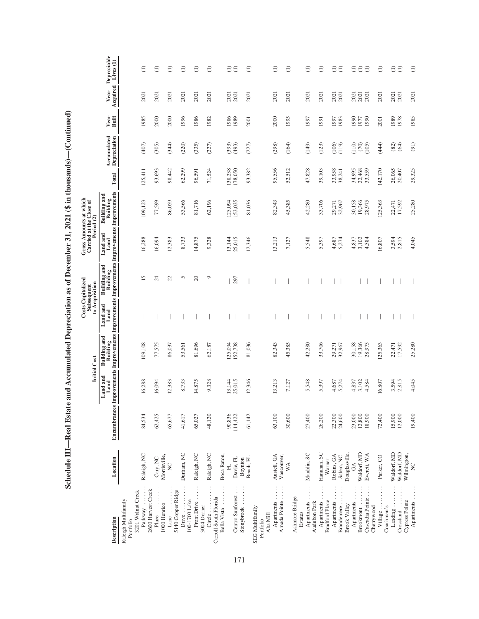| ı<br>i<br>$\overline{ }$<br>ì<br>ì<br>ĺ |
|-----------------------------------------|
| I                                       |
| I<br>١                                  |
|                                         |
| ;                                       |
| $\mathfrak{c}$<br>I                     |
| í<br>ļ                                  |
| I                                       |
|                                         |
| ļ                                       |
| I                                       |
| l                                       |
| ś<br>ľ<br>١                             |

|                                                        |                            |                   |                  | <b>Initial Cost</b> |          | Costs Capitalized<br>to Acquisition<br>Subsequent                                                                                                        | Gross Amounts at which | Carried at the Close of<br>Period (2) |                    |                             |               |                  |                              |
|--------------------------------------------------------|----------------------------|-------------------|------------------|---------------------|----------|----------------------------------------------------------------------------------------------------------------------------------------------------------|------------------------|---------------------------------------|--------------------|-----------------------------|---------------|------------------|------------------------------|
| Description                                            | Location                   | Encumbrances      | Land and         | <b>Building</b> and | Land and | Land Building Land Building Electron Development of the Building Inprovements Improvements Improvements Improvements Improvements<br><b>Building</b> and | Land and               | <b>Building</b> and                   | Total              | Accumulated<br>Depreciation | Year<br>Built | Acquired<br>Year | Depreciable<br>1 Lives (1)   |
| Raleigh Multifamily<br>Portfolio                       |                            |                   |                  |                     |          |                                                                                                                                                          |                        |                                       |                    |                             |               |                  |                              |
| 3201 Walnut Creek<br>2600 Harvest Creek<br>Parkway     | Raleigh, NC                | 84,534            | 16,288           | 109,108             |          | $\overline{15}$                                                                                                                                          | 16,288                 | 109,123                               | 125,411            | (407)                       | 1985          | 202              | Ξ                            |
| Place $\dots$<br>1000 Henrico                          | Morrisville,<br>Cary, NC   | 62,425            | 16,094           | 77,575              |          | $\overline{c}$                                                                                                                                           | 16,094                 | 77,599                                | 93,693             | (305)                       | 2000          | 2021             | Ξ                            |
| Lane $\dots\dots$<br>5140 Copper Ridge                 | $\geq$                     | 65,677            | 12,383           | 86,037              |          | $\mathfrak{a}$                                                                                                                                           | 12,383                 | 86,059                                | 98,442             | (344)                       | 2000          | 2021             | $\ominus$                    |
| Drive<br>100-1700 Lake                                 | Durham, NC                 | 41,617            | 8,733            | 53,561              |          | 5                                                                                                                                                        | 8,733                  | 53,566                                | 62,299             | (220)                       | 1996          | 2021             | $\ominus$                    |
| Front Drive<br>3004 Domer                              | Raleigh, NC                | 65,027            | 14,875           | 81,696              |          | $\Omega$                                                                                                                                                 | 14,875                 | 81,716                                | 96,591             | (335)                       | 1986          | 2021             | $\ominus$                    |
| Circle $\ldots \ldots \ldots$<br>Carroll South Florida | Raleigh, NC                | 48,120            | 9,328            | 62,187              |          | O                                                                                                                                                        | 9,328                  | 62,196                                | 71,524             | (227)                       | 1982          | 2021             | $\ominus$                    |
| Bella Vista                                            | Boca Raton,                |                   |                  |                     |          |                                                                                                                                                          |                        |                                       |                    |                             |               |                  |                              |
| Centro Sunforest                                       | Davie, FL                  | 90,836<br>114,422 | 25,015<br>13,144 | 125,094<br>152,738  |          | 297                                                                                                                                                      | 13,144<br>25,015       | 153,035<br>125,094                    | 138,238<br>178,050 | (393)<br>(493)              | 1986<br>1989  | 2021<br>2021     | $\widehat{\Xi}$<br>$\ominus$ |
| Stonybrook                                             | Beach, FL<br>Boynton       | 61,142            | 12,346           | 81,036              |          |                                                                                                                                                          | 12,346                 | 81,036                                | 93,382             | (227)                       | 2001          | 2021             | $\widehat{E}$                |
| SEG Multifamily<br>Alta Mill<br>Portfolio              |                            |                   |                  |                     |          |                                                                                                                                                          |                        |                                       |                    |                             |               |                  |                              |
| Apartments<br>Arnada Pointe                            | Austell, GA<br>Vancouver,  | 63,100            | 13,213           | 82,343              |          |                                                                                                                                                          | 13,213                 | 82,343                                | 95,556             | (298)                       | 2000          | 2021             | $\ominus$                    |
| Ashmore Bridge<br>Estates                              | $W\Lambda$                 | 30,600            | 7,127            | 45,385              |          |                                                                                                                                                          | 7,127                  | 45,385                                | 52,512             | (164)                       | 1995          | 2021             | $\ominus$                    |
| Apartments<br>Audubon Park                             | Mauldin, SC                | 27,400            | 5,548            | 42,280              |          |                                                                                                                                                          | 5,548                  | 42,280                                | 47,828             | (149)                       | 1997          | 2021             | $\ominus$                    |
| <b>Bradford Place</b><br>Apartments                    | Hanahan, SC<br>Warner      | 26,200            | 5,397            | 33,706              |          |                                                                                                                                                          | 5,397                  | 33,706                                | 39,103             | (123)                       | 1991          | 2021             | $\ominus$                    |
| Apartments                                             | Robins, GA                 | 22,300            | 4,687            | 29,271              |          |                                                                                                                                                          | 4,687                  | 29,271                                | 33,958<br>38,241   | (106)                       | 1997          | 2021             | $\ominus$                    |
| Brandemere<br><b>Brook Valley</b>                      | Douglasville,<br>Salem, NC | 24,600            | 5,274            | 32,967              |          |                                                                                                                                                          | 5,274                  | 32,967                                |                    | (119)                       | 1983          | 2021             | $\widehat{\Xi}$              |
| Apartments                                             | GA                         | 23,000            | 4,837            | 30,158              |          |                                                                                                                                                          | 4,837                  | 30,158                                | 34,995             | (110)                       | 1990          | 2021             | $\ominus$                    |
| Cascadia Pointe<br>Brookmont                           | Waldorf, MD<br>Everett, WA | 12,800<br>18,900  | 3,102<br>4,584   | 19,366<br>28,975    |          |                                                                                                                                                          | 3,102<br>4,584         | 19,366<br>28,975                      | 22,468<br>33,559   | (70)<br>(105)               | 0661<br>1977  | 2021<br>2021     | $\ominus$<br>$\ominus$       |
| Village<br>Cherrywood<br>Coachman's                    | Parker, CO                 | 72,400            | 16,807           | 125,363             |          |                                                                                                                                                          | 16,807                 | 125,363                               | 142,170            | (444)                       | 2001          | 2021             | $\widehat{E}$                |
| Landing $\ldots \ldots \ldots$<br>Crossland            | Waldorf, MD<br>Waldorf, MD | 15,900<br>12,000  | 2,815<br>3,594   | 22,471<br>17,592    |          |                                                                                                                                                          | 2,815<br>3,594         | 17,592<br>22,471                      | 26,065<br>20,407   | (64)<br>(82)                | 1989<br>1978  | 2021<br>2021     | $\ominus$<br>$\ominus$       |
| Apartments<br>Cypress Pointe                           | Wilmington,<br>ğ           | 19,400            | 4,045            | 25,280              |          |                                                                                                                                                          | 4,045                  | 25,280                                | 29,325             | (91)                        | 1985          | 2021             | $\ominus$                    |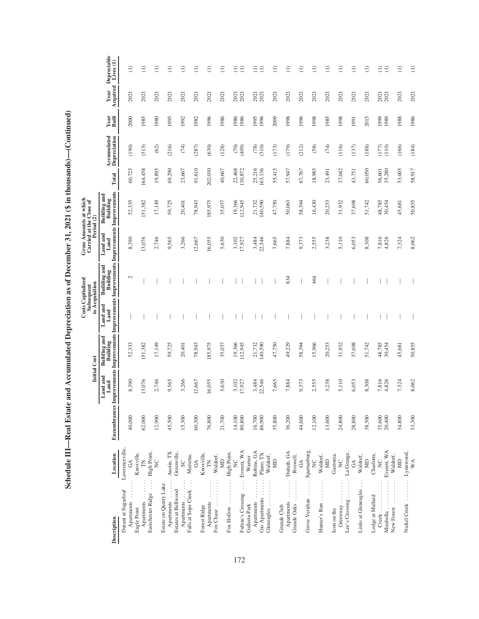Schedule III—Real Estate and Accumulated Depreciation as of December 31, 2021 (\$ in thousands)—(Continued) Schedule III—Real Estate and Accumulated Depreciation as of December 31, 2021 (\$ in thousands)—(Continued)

|                                              |                                  |                  |                     | <b>Initial Cost</b>                    |                     | Costs Capitalized<br>to Acquisition<br>Subsequent                                                                |                  | Gross Amounts at which<br>Carried at the Close of<br>Period (2) |                   |                             |               |                  |                            |
|----------------------------------------------|----------------------------------|------------------|---------------------|----------------------------------------|---------------------|------------------------------------------------------------------------------------------------------------------|------------------|-----------------------------------------------------------------|-------------------|-----------------------------|---------------|------------------|----------------------------|
| Description                                  | Location                         | Encumbrances     | Land and<br>$L$ and | <b>Building</b> and<br><b>Building</b> | Land and<br>$L$ and | Improvements Improvements Improvements Improvements Improvements Improvements<br><b>Building</b> and<br>Building | Land and<br>Land | <b>Building</b> and<br>Building                                 | Total             | Accumulated<br>Depreciation | Year<br>Built | Acquired<br>Year | Depreciable<br>1 Lives (1) |
| Durant at Sugarloaf<br>Apartments            | Lawrenceville,<br>$\mathfrak{S}$ | 40,000           | 8,390               | 52,333                                 |                     | $\mathbf{\sim}$                                                                                                  | 8,390            | 52,335                                                          | 60,725            | (190)                       | 2000          | 2021             | $\ominus$                  |
| $\frac{1}{2}$<br>Apartments<br>Eagle Point   | Knoxville,                       | 62,000           | 13,076              | 151,382                                |                     |                                                                                                                  | 13,076           | 151,382                                                         | 164,458           | (513)                       | 1985          | 2021             | $\ominus$                  |
| Eastchester Ridge                            | High Point,<br>X                 | 12,900           | 2,746               | 17,149                                 |                     |                                                                                                                  | 2,746            | 17,149                                                          | 19,895            | (62)                        | 1980          | 2021             | $\ominus$                  |
| Estate on Quarry Lake<br>Apartments          | Austin, TX                       | 45,500           | 9,565               | 59,725                                 |                     |                                                                                                                  | 9,565            | 59,725                                                          | 69,290            | (216)                       | 1995          | 2021             | Ξ                          |
| Apartments<br>Estates at Bellwood            | Greenville,<br>SC                | 15,300           | 3,266               | 20,401                                 |                     |                                                                                                                  | 3,266            | 20,401                                                          | 23,667            | (74)                        | 1992          | 2021             | Э                          |
| Falls at Sope Creek                          | Marietta,<br>E                   | 60,300           | 12,667              | 78,943                                 |                     |                                                                                                                  | 12,667           | 78,943                                                          | 91,610            | (287)                       | 1982          | 2021             | Ξ                          |
| Apartments<br>Forest Ridge                   | Knoxville,                       | 76,800           | 16,055              | 185,975                                |                     |                                                                                                                  | 16,055           | 185,975                                                         | 202,030           | (630)                       | 1996          | 2021             | $\ominus$                  |
| Fox Chase $\dots\dots$                       | Waldorf,<br>MD                   | 21,700           | 5,630               | 35,037                                 |                     |                                                                                                                  | 5,630            | 35,037                                                          | 40,667            | (128)                       | 1986          | 2021             | $\ominus$                  |
| Fox Hollow  High Point,<br>Fulton's Crossing | Everett, WA<br>ž                 | 14,100<br>80,800 | 3,102<br>17,927     | 19,366<br>112,945                      |                     |                                                                                                                  | 3,102<br>17,927  | 19,366<br>112,945                                               | 22,468<br>130,872 | (70)<br>(409)               | 1986<br>1986  | 2021<br>2021     | $\ominus$<br>$\ominus$     |
| Galleria Park                                | Warner                           |                  |                     |                                        |                     |                                                                                                                  |                  |                                                                 |                   |                             |               |                  |                            |
| Gio Apartments<br>Apartments                 | Robins, GA<br>Plano, TX          | 16,700<br>86,900 | 22,546<br>3,484     | 21,732<br>140,590                      |                     |                                                                                                                  | 22,546<br>3,484  | 21,732<br>140,590                                               | 25,216<br>163,136 | (510)<br>(78)               | 1996<br>1995  | 2021<br>2021     | $\ominus$<br>Э             |
| Gleneagles                                   | Waldorf,<br>$\overline{\rm M}$   | 35,800           | 7,665               | 47,750                                 |                     |                                                                                                                  | 7,665            | 47,750                                                          | 55,415            | (173)                       | 2009          | 2021             | $\ominus$                  |
| Apartments<br>Grande Club                    | Duluth, GA                       | 36,200           | 7,884               | 49,229                                 |                     | 834                                                                                                              | 7,884            | 50,063                                                          | 57,947            | (179)                       | 1998          | 2021             | $\ominus$                  |
| Grande Oaks                                  | Roswell,<br>$\Im$                | 44,600           | 9,373               | 58,394                                 |                     |                                                                                                                  | 9,373            | 58,394                                                          | 67,767            | (212)                       | 1996          | 2021             | Э                          |
| Grove Veridian  Spartanburg,                 | $\frac{C}{C}$                    | 12,100           | 2,555               | 15,966                                 |                     | 464                                                                                                              | 2,555            | 16,430                                                          | 18,985            | (58)                        | 1998          | 2021             | $\ominus$                  |
| Hunter's Run                                 | Waldorf,<br>$\overline{M}$       | 13,600           | 3,238               | 20,253                                 |                     |                                                                                                                  | 3,238            | 20,253                                                          | 23,491            | (74)                        | 1985          | 2021             | $\ominus$                  |
| Icon on the                                  | Gastonia,                        |                  |                     |                                        |                     |                                                                                                                  |                  |                                                                 |                   |                             |               |                  |                            |
| Lee's Crossing<br>Greenway                   | La Grange,<br>$\sum_{i=1}^{n}$   | 24,800           | 5,110               | 31,932                                 |                     |                                                                                                                  | 5,110            | 31,932                                                          | 37,042            | (116)                       | 1998          | 2021             | $\ominus$                  |
|                                              | $\mathfrak{S}$                   | 28,800           | 6,053               | 37,698                                 |                     |                                                                                                                  | 6,053            | 37,698                                                          | 43,751            | (137)                       | 1991          | 2021             | $\ominus$                  |
| Links at Gleneagles                          | Waldorf,<br><b>NID</b>           | 38,500           | 8,308               | 51,742                                 |                     |                                                                                                                  | 8,308            | 51,742                                                          | 60,050            | (188)                       | 2015          | 2021             | $\ominus$                  |
| Lodge at Mallard<br>Creek                    | Charlotte,<br>$\sum_{i=1}^{n}$   | 35,600           | 7,816               | 48,785                                 |                     |                                                                                                                  | 7,816            | 48,785                                                          |                   | (177)                       | 1999          | 2021             | $\ominus$                  |
| Mirabella  Everett, WA                       |                                  | 20,400           | 4,826               | 30,454                                 |                     |                                                                                                                  | 4,826            | 30,454                                                          | 56,601<br>35,280  | (110)                       | 1989          | 2021             | $\ominus$                  |
| New Forest                                   | Waldorf,<br>$\mathbb{R}$         | 34,800           | 7,324               | 45,681                                 |                     |                                                                                                                  | 7,324            | 45,681                                                          | 53,005            | (166)                       | 1988          | 2021             | $\ominus$                  |
| Nickel Creek  Lynnwood,                      | $W\!A$                           | 33,300           | 8,062               | 50,855                                 |                     |                                                                                                                  | 8,062            | 50,855                                                          | 58,917            | (184)                       | 1986          | 2021             | $\ominus$                  |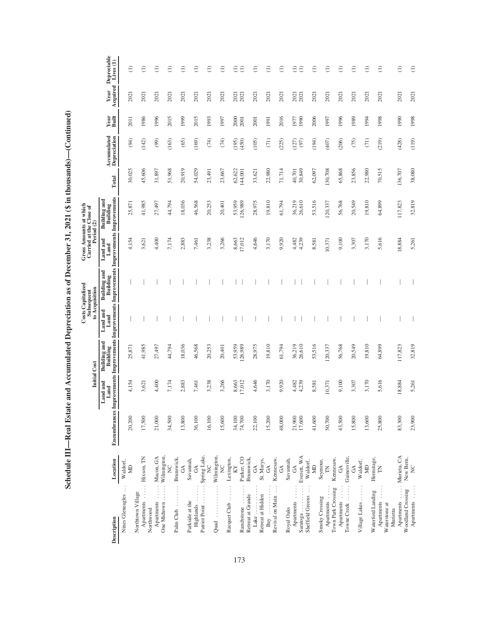Schedule III-Real Estate and Accumulated Depreciation as of December 31, 2021 (\$ in thousands)-(Continued) Schedule III—Real Estate and Accumulated Depreciation as of December 31, 2021 (\$ in thousands)—(Continued)

|                                              |                                 |                                                     | <b>Initial Cost</b>          |                                 |                              | Costs Capitalized<br>to Acquisition<br>Subsequent |                     | Gross Amounts at which<br>Carried at the Close of<br>Period (2) |         |                             |               |                  |                            |
|----------------------------------------------|---------------------------------|-----------------------------------------------------|------------------------------|---------------------------------|------------------------------|---------------------------------------------------|---------------------|-----------------------------------------------------------------|---------|-----------------------------|---------------|------------------|----------------------------|
| Description                                  | Location                        | Encumbrances Improvements Improvements Improvements | Land and<br>$_{\text{Land}}$ | <b>Building</b> and<br>Building | Land and<br>$_{\text{Land}}$ | Improvements<br><b>Building</b> and<br>Building   | Land and<br>$L$ and | Improvements Improvements<br><b>Building</b> and<br>Building    | Total   | Accumulated<br>Depreciation | Year<br>Built | Acquired<br>Year | Depreciable<br>1 Lives (1) |
| Nines Gleneagles                             | Waldorf,                        |                                                     |                              |                                 |                              |                                                   |                     |                                                                 |         |                             |               |                  |                            |
| Northtown Village                            | $\mathbf{\Xi}$                  | 20,200                                              | 4,154                        | 25,871                          |                              |                                                   | 4,154               | 25,871                                                          | 30,025  | (94)                        | 2011          | 2021             | $\ominus$                  |
| Apartments<br>Northwood                      | Hixson, TN                      | 17,500                                              | 3,621                        | 41,985                          |                              |                                                   | 3,621               | 41,985                                                          | 45,606  | (142)                       | 1986          | 2021             | Ξ                          |
| Apartments                                   | $\ldots$ Macon, GA              | 21,000                                              | 4,400                        | 27,497                          |                              |                                                   | 4,400               | 27,497                                                          | 31,897  | (99)                        | 1996          | 2021             | Ξ                          |
| One Midtown Wilmington,                      | ž                               | 34,500                                              | 7,174                        | 44,794                          |                              |                                                   | 7,174               | 44,794                                                          | 51,968  | (163)                       | 2015          | 2021             | Ξ                          |
| Palm Club                                    | Brunswick,<br>$\mathfrak{S}$    | 13,800                                              | 2,883                        | 18,036                          |                              |                                                   | 2,883               | 18,036                                                          | 20,919  | (65)                        | 1999          | 2021             | Ξ                          |
| Parkside at the                              | Savannah,                       |                                                     |                              |                                 |                              |                                                   |                     |                                                                 |         |                             |               |                  |                            |
| Patriot Point  Spring Lake,<br>Highlands     | $\mathbb{G}\mathbb{A}$          | 36,100                                              | 7,461                        | 46,568                          |                              |                                                   | 7,461               | 46,568                                                          | 54,029  | (169)                       | 2015          | 2021             | Ξ                          |
|                                              | $\overline{z}$                  | 16,100                                              | 3,238                        | 20,253                          |                              |                                                   | 3,238               | 20,253                                                          | 23,491  | (74)                        | 1993          | 2021             | Ξ                          |
| Quad  Wilmington,                            | ž                               | 15,600                                              | 3,266                        | 20,401                          |                              |                                                   | 3,266               | 20,401                                                          | 23,667  | (74)                        | 1997          | 2021             | Ξ                          |
| Racquet Club  Lexington,                     | $\mathbf{K}\mathbf{Y}$          |                                                     | 8,663                        | 53,959                          |                              |                                                   | 8,663               | 53,959                                                          | 62,622  | (195)                       | 2000          | 2021             |                            |
| Ranchstone                                   | Parker, CO                      | 34,100<br>74,700                                    | 17,012                       | 126,989                         |                              |                                                   | 17,012              | 126,989                                                         | 144,001 | (450)                       | 2001          | 2021             | Ξ<br>Ξ                     |
| Retreat at Grande                            | Brunswick,                      |                                                     |                              |                                 |                              |                                                   |                     |                                                                 |         |                             |               |                  |                            |
| Lake $\dots\dots$<br>Retreat at Hidden       | St. Marys,<br>GA                | 22,100                                              | 4,646                        | 28,975                          |                              |                                                   | 4,646               | 28,975                                                          | 33,621  | (105)                       | 2001          | 2021             | Ξ                          |
| Bay                                          | $G\Lambda$                      | 15,200                                              | 3,170                        | 19,810                          |                              |                                                   | 3,170               | 19,810                                                          | 22,980  | (71)                        | 1991          | 2021             | Ξ                          |
| Revival on Main                              | Kennesaw,<br>$G\Delta$          | 48,000                                              | 9,920                        | 61,794                          |                              |                                                   | 9,920               | 61,794                                                          | 71,714  | (225)                       | 2016          | 2021             | Ξ                          |
| Royal Oaks                                   | Savannah,                       |                                                     |                              |                                 |                              |                                                   |                     |                                                                 |         |                             |               |                  |                            |
| Apartments                                   | $\mathbb{G}^{\mathbb{A}}$       | 21,900<br>17,600                                    | 4,482                        | 36,219                          |                              |                                                   | .482<br>4           | 36,219                                                          | 40,701  | (127)                       | 1977          | 2021             | Ξ                          |
| Saratoga  Everett, WA<br>Sheffield Greens    | Waldorf,                        |                                                     | 4,239                        | 26,610                          |                              |                                                   | 4,239               | 26,610                                                          | 30,849  | (97)                        | 1990          | 2021             | $\ominus$                  |
|                                              | $\bigoplus$                     | 41,600                                              | 8,581                        | 53,516                          |                              |                                                   | 8,581               | 53,516                                                          | 62,097  | (194)                       | 2006          | 2021             | Ξ                          |
| Apartments<br>Smoky Crossing                 | Seymour,<br>$\overline{\Gamma}$ | 50,700                                              | 10,371                       | 120,337                         |                              |                                                   | 10,371              | 120,337                                                         | 130,708 | (407)                       | 1997          | 2021             | Ξ                          |
| Town Park Crossing                           | Kennesaw,                       |                                                     |                              |                                 |                              |                                                   |                     |                                                                 |         |                             |               |                  |                            |
| Apartments                                   | $\mathfrak{S}$                  | 43,500                                              | 9,100                        | 56,768                          |                              |                                                   | 9,100               | 56,768                                                          | 65,868  | (206)                       | 1996          | 2021             | $\ominus$                  |
| Towne Creek                                  | Gainesville,                    | 15,800                                              | 3,307                        | 20,549                          |                              |                                                   | 3,307               | 20,549                                                          | 23,856  | (75)                        | 1989          | 2021             | Ξ                          |
| Village Lakes                                | Waldorf,<br>$\mathbb{R}$        | 13,600                                              | 3,170                        | 19,810                          |                              |                                                   | 3,170               | 19,810                                                          | 22,980  | (71)                        | 1994          | 2021             | $\ominus$                  |
| Waterford Landing                            | Hermitage,                      |                                                     |                              |                                 |                              |                                                   |                     |                                                                 |         |                             |               |                  |                            |
| Apartments<br>Waterstone at                  | E                               | 25,800                                              | 5,616                        | 64,899                          |                              |                                                   | 5,616               | 64,899                                                          | 70,515  | (219)                       | 1998          | 2021             | $\ominus$                  |
| Murietta                                     |                                 |                                                     |                              |                                 |                              |                                                   |                     |                                                                 |         |                             |               |                  |                            |
| Apartments  Murieta, CA<br>Woodland Crossing | New Bern,                       | 83,300                                              | 18,884                       | 117,823                         |                              |                                                   | 18,884              | 117,823                                                         | 136,707 | (428)                       | 1990          | 2021             | $\ominus$                  |
| Apartments                                   | $\frac{C}{C}$                   | 23,900                                              | 5,261                        | 32,819                          |                              |                                                   | 5,261               | 32,819                                                          | 38,080  | (119)                       | 1998          | 2021             | $\ominus$                  |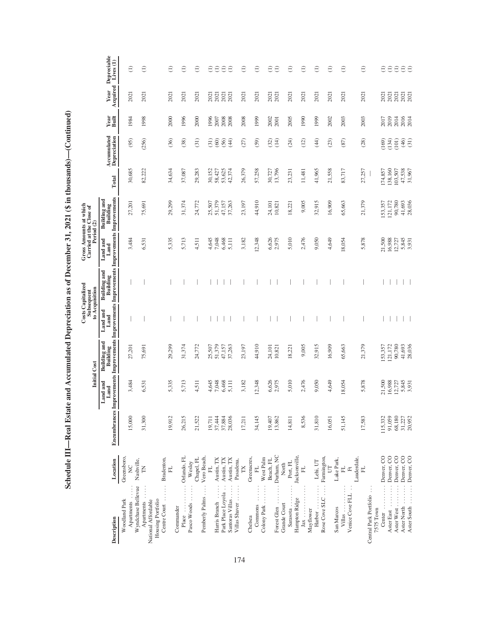Schedule III—Real Estate and Accumulated Depreciation as of December 31, 2021 (\$ in thousands)—(Continued) Schedule III—Real Estate and Accumulated Depreciation as of December 31, 2021 (\$ in thousands)—(Continued)

|                                          |                  |                                                                                            | <b>Initial Cost</b> |                                 |                  | Costs Capitalized<br>to Acquisition<br>Subsequent |                  | Gross Amounts at which<br>Carried at the Close of<br>Period (2) |         |                             |               |                  |                            |
|------------------------------------------|------------------|--------------------------------------------------------------------------------------------|---------------------|---------------------------------|------------------|---------------------------------------------------|------------------|-----------------------------------------------------------------|---------|-----------------------------|---------------|------------------|----------------------------|
| Description                              | Location         | Encumbrances Improvements Improvements Improvements Improvements Improvements Improvements | Land and<br>Land    | <b>Building and</b><br>Building | Land and<br>Land | <b>Building and</b><br>Building                   | Land and<br>Land | <b>Building and</b><br>Building                                 | Total   | Accumulated<br>Depreciation | Year<br>Built | Acquired<br>Year | Depreciable<br>d Lives (1) |
| Woodland Park                            | Greensboro,      |                                                                                            |                     |                                 |                  |                                                   |                  |                                                                 |         |                             |               |                  |                            |
| Apartments                               | ž                | 15,000                                                                                     | 3,484               | 27,201                          |                  |                                                   | 3,484            | 27,201                                                          | 30,685  | (95)                        | 1984          | 2021             | $\ominus$                  |
| Wyndchase Bellevue<br>Apartments         | Nashville,<br>E  | 31,300                                                                                     | 6,531               | 75,691                          |                  |                                                   | 6,531            | 75,691                                                          | 82,222  | (256)                       | 1998          | 2021             | $\widehat{E}$              |
| Housing Portfolio<br>National Affordable |                  |                                                                                            |                     |                                 |                  |                                                   |                  |                                                                 |         |                             |               |                  |                            |
| Centre Court                             | Bradenton,       |                                                                                            |                     |                                 |                  |                                                   |                  |                                                                 |         |                             |               |                  |                            |
|                                          | E                | 19,912                                                                                     | 5,335               | 29,299                          |                  |                                                   | 5,335            | 29,299                                                          | 34,634  | (36)                        | 2000          | 2021             | $\widehat{E}$              |
| Place  Orlando, FL<br>Commander          |                  | 26,215                                                                                     | 5,713               | 31,374                          |                  |                                                   | 5,713            | 31,374                                                          | 37,087  | (38)                        | 1996          | 2021             | $\ominus$                  |
| Pasco Woods                              | Wesley           |                                                                                            |                     |                                 |                  |                                                   |                  |                                                                 |         |                             |               |                  |                            |
|                                          | Chapel, FL       | 21,522                                                                                     | 4,511               | 24,772                          |                  |                                                   | 4,511            | 24,772                                                          | 29,283  | (31)                        | 2000          | 2021             | Э                          |
| Pemberly Palms  Vero Beach,              |                  |                                                                                            |                     |                                 |                  |                                                   |                  |                                                                 |         |                             |               |                  |                            |
|                                          | E                | 19,711                                                                                     | 4,645               | 25,507                          |                  |                                                   | 4,645            | 25,507                                                          | 30,152  | (31)                        | 1996          | 2021             | Э                          |
| Harris Branch                            | Austin, TX       | 37,444<br>37,884<br>28,036                                                                 | 7,048               | 51,379                          |                  |                                                   | 7,048            | 51,379                                                          | 58,427  | (60)                        | 2007          | 2021             | $\ominus$                  |
| Park Place Loyola Austin, TX             |                  |                                                                                            | 6,468               | 47,157                          |                  |                                                   | 6,468            | 47,157                                                          | 53,625  | (56)                        | 2008          | 2021             | $\ominus$                  |
| Santoras Villas                          | Austin, TX       |                                                                                            | 5,111               | 37,263                          |                  |                                                   | 5,111            | 37,263                                                          | 42,374  | (44)                        | 2008          | 2021             | $\ominus$                  |
| Villas Shaver                            | Pasadena,<br>TX  | 17,211                                                                                     | 3,182               | 23,197                          |                  |                                                   | 3,182            | 23,197                                                          | 26,379  | (27)                        | 2008          | 2021             | $\ominus$                  |
|                                          |                  |                                                                                            |                     |                                 |                  |                                                   |                  |                                                                 |         |                             |               |                  |                            |
| Chelsea                                  | Greenacres,      |                                                                                            |                     |                                 |                  |                                                   |                  |                                                                 |         |                             |               |                  |                            |
| $Commons \ldots$                         | West Palm<br>E   | 34,145                                                                                     | 12,348              | 44,910                          |                  |                                                   | 12,348           | 44,910                                                          | 57,258  | (59)                        | 1999          | 2021             | $\ominus$                  |
| Colony Park                              | Beach, FL        | 19,407                                                                                     | 6,626               | 24,101                          |                  |                                                   | 6,626            | 24,101                                                          | 30,727  | (32)                        | 2002          | 2021             | Ξ                          |
| Forest Glen                              | Durham, NC       | 13,862                                                                                     | 2,975               | 10,821                          |                  |                                                   | 2,975            | 10,821                                                          | 13,796  | (14)                        | 2001          | 2021             | $\ominus$                  |
| <b>Grande Court</b>                      | North            |                                                                                            |                     |                                 |                  |                                                   |                  |                                                                 |         |                             |               |                  |                            |
| Sarasota                                 | Port, FL         | 14,811                                                                                     | 5,010               | 18,221                          |                  |                                                   | 5,010            | 18,221                                                          | 23,231  | (24)                        | 2005          | 2021             | $\ominus$                  |
| Hampton Ridge                            | Jacksonville,    |                                                                                            |                     |                                 |                  |                                                   |                  |                                                                 |         |                             |               |                  |                            |
| $Jax \ldots a$                           | E                | 8,536                                                                                      | 2,476               | 9,005                           |                  |                                                   | 2,476            | 9,005                                                           | 11,481  | (12)                        | 1990          | 2021             | $\widehat{\Xi}$            |
| Mayflower                                |                  |                                                                                            |                     |                                 |                  |                                                   |                  |                                                                 |         |                             |               |                  |                            |
| Harbor  Lehi, UT                         |                  | 31,810                                                                                     | 9,050               | 32,915                          |                  |                                                   | 9,050            | 32,915                                                          | 41,965  | (44)                        | 1999          | 2021             | $\ominus$                  |
| Rose Cove SLC  Farmington,               |                  |                                                                                            |                     |                                 |                  |                                                   |                  |                                                                 |         |                             |               |                  |                            |
|                                          | $\Box$           | 16,051                                                                                     | 4,649               | 16,909                          |                  |                                                   | 4,649            | 16,909                                                          | 21,558  | (23)                        | 2002          | 2021             | $\ominus$                  |
| San Marcos                               | Lake Park,       |                                                                                            |                     |                                 |                  |                                                   |                  |                                                                 |         |                             |               |                  |                            |
| Villas $\dots\dots$                      | E                | 51,145                                                                                     | 18,054              | 65,663                          |                  |                                                   | 8,054            | 65,663                                                          | 83,717  | (87)                        | 2003          | 2021             | $\ominus$                  |
| Venice Cove FLL.                         | $\mathbb{E}$     |                                                                                            |                     |                                 |                  |                                                   |                  |                                                                 |         |                             |               |                  |                            |
|                                          | Lauderdale,<br>닌 | 17,583                                                                                     | 5,878               | 21,379                          |                  |                                                   | 5,878            | 21,379                                                          | 27,257  | (28)                        | 2003          | 2021             | $\widehat{c}$              |
|                                          |                  |                                                                                            |                     |                                 |                  |                                                   |                  |                                                                 |         |                             |               |                  |                            |
| Central Park Portfolio<br>7575 Town      |                  |                                                                                            |                     |                                 |                  |                                                   |                  |                                                                 |         |                             |               |                  |                            |
| Center  Denver, CO                       |                  | 115,332                                                                                    | 21,500              | 153,357                         |                  |                                                   | 21,500           | 153,357                                                         | 174,857 | (169)                       | 2017          | 2021             | $\ominus$                  |
| Aster East  Denver, CO                   |                  | 91,059                                                                                     | 16,988              | 121,172                         |                  |                                                   | 16,988           | 121,172                                                         | 138,160 | (134)                       | 2019          | 2021             |                            |
| Aster West  Denver, CO                   |                  | 68,180                                                                                     | 12,727              | 90,780                          |                  |                                                   | 12,727           | 90,780                                                          | 103,507 | (101)                       | 2014          | 2021             |                            |
| Aster North  Denver, CO                  |                  | 31,227                                                                                     | 5,845               | 41,693                          |                  |                                                   | 5,845            | 41,693                                                          | 47,538  | (46)                        | 2016          | 2021             |                            |
| Aster South                              | Denver, CO       | 20,952                                                                                     | 3.931               | 28,036                          |                  |                                                   | 3.931            | 28,036                                                          | 31,967  | (31)                        | 2014          | 2021             | eeee                       |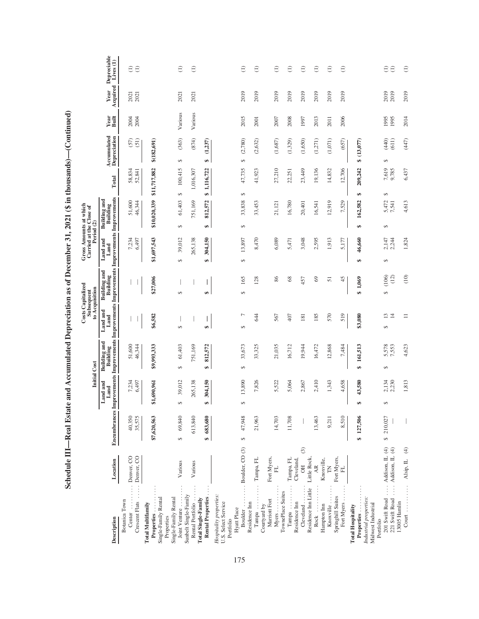|                                                                            |              |                                                                                            | <b>Initial Cost</b> |                                        |                  | <b>Costs Capitalized</b><br>to Acquisition<br>Subsequent | Gross Amounts at which<br>Carried at the Close of<br>Period (2) |                                 |                        |                             |               |                  |                          |
|----------------------------------------------------------------------------|--------------|--------------------------------------------------------------------------------------------|---------------------|----------------------------------------|------------------|----------------------------------------------------------|-----------------------------------------------------------------|---------------------------------|------------------------|-----------------------------|---------------|------------------|--------------------------|
| Description                                                                | Location     | Encumbrances Improvements Improvements Improvements Improvements Improvements Improvements | Land and<br>Land    | <b>Building and</b><br><b>Building</b> | Land and<br>Land | <b>Building</b> and<br>Building                          | Land and<br>Land                                                | <b>Building</b> and<br>Building | Total                  | Accumulated<br>Depreciation | Built<br>Year | Acquired<br>Year | Depreciable<br>Lives (1) |
| Crescent Flats  Denver, CO<br>Botanica Town<br>Center                      | . Denver, CO | 35,575<br>40,350                                                                           | 7,234<br>6,497      | 51,600<br>46,344                       |                  |                                                          | 7,234<br>6,497                                                  | 51,600<br>46,344                | 58,834<br>52,841       | (57)<br>(51)                | 2004<br>2004  | 2021<br>2021     |                          |
| <b>Total Multifamily</b>                                                   |              | \$7,620,563                                                                                | \$1,690,961         | \$9,993,333                            | \$6,582          | \$27,006                                                 | \$1,697,543                                                     | \$10,020,339 \$11,717,882       |                        | \$(182,691)                 |               |                  |                          |
| Single-Family Rental                                                       |              |                                                                                            |                     |                                        |                  |                                                          |                                                                 |                                 |                        |                             |               |                  |                          |
| Properties<br>Single-Family Rental<br>Joint Venture                        | Various      | \$69,840                                                                                   | 39,012              | 61,403                                 |                  |                                                          | 39,012                                                          |                                 | $61,403$ \$ 100,415 \$ | (363)                       | Various       | 2021             |                          |
| Sunbelt Single-Family<br>Rental Portfolio                                  | Various      | 613,840                                                                                    | 265,138             | 751,169                                | I                |                                                          | 265,138                                                         | 751,169                         | 1,016,307              | (874)                       | Various       | 2021             | Э                        |
| Rental Properties.<br><b>Total Single-Family</b>                           |              | \$ 683,680                                                                                 | 304,150             | \$812,572                              |                  |                                                          | \$304,150                                                       | 812,572                         | \$1,116,722            | \$(1,237)                   |               |                  |                          |
| Hospitality properties:<br>J.S. Select Service<br>Hyatt Place<br>Portfolio |              |                                                                                            |                     |                                        |                  |                                                          |                                                                 |                                 |                        |                             |               |                  |                          |

| ì<br>I<br>j<br>ׇׇ֠֕֡                                |
|-----------------------------------------------------|
|                                                     |
| l<br>֕<br>ׇ֚֘<br>I<br>֕<br>$\overline{\phantom{a}}$ |
|                                                     |
| Į<br>ļ<br>֕                                         |
|                                                     |
| I                                                   |
| $\vdots$<br>֠<br>ׇ֚֕֡                               |
| I<br>l<br>١                                         |

| Description                                                                                     | Location                             | Encumbrances     |                | $\frac{1}{2}$ $\frac{1}{2}$ $\frac{1}{2}$ $\frac{1}{2}$ $\frac{1}{2}$ $\frac{1}{2}$ $\frac{1}{2}$ $\frac{1}{2}$ $\frac{1}{2}$ $\frac{1}{2}$ $\frac{1}{2}$ $\frac{1}{2}$ $\frac{1}{2}$ $\frac{1}{2}$ $\frac{1}{2}$ $\frac{1}{2}$ $\frac{1}{2}$ $\frac{1}{2}$ $\frac{1}{2}$ $\frac{1}{2}$ $\frac{1}{2}$ $\frac{1}{2}$ |                      |                     |                     |                     | Total               | Accumuated<br>Depreciation | xear<br>Built | rear<br>Acquired | Deprecian<br>  Lives (1) |
|-------------------------------------------------------------------------------------------------|--------------------------------------|------------------|----------------|---------------------------------------------------------------------------------------------------------------------------------------------------------------------------------------------------------------------------------------------------------------------------------------------------------------------|----------------------|---------------------|---------------------|---------------------|---------------------|----------------------------|---------------|------------------|--------------------------|
| Crescent Flats  Denver, CO<br>Botanica Town<br>Center                                           | Denver, CO                           | 35,575<br>40,350 | 7,234<br>6,497 | 51,600<br>46,344                                                                                                                                                                                                                                                                                                    |                      | T                   | 6,497<br>7,234      | 46,344<br>51,600    | 58,834<br>52,841    | (57)                       | 2004          | 2021             | $\ominus$ $\ominus$      |
| Single-Family Rental<br><b>Total Multifamily</b><br>Properties<br>Properties                    |                                      | \$7,620,563      | \$1,690,961    | \$9,993,333                                                                                                                                                                                                                                                                                                         | \$6,582              | \$27,006            | \$1,697,543         | \$10,020,339        | \$11,717,882        | \$(182,691)                |               |                  |                          |
| Sunbelt Single-Family<br>Single-Family Rental<br>Joint Venture                                  | Various                              | 69,840<br>↔      | 39,012<br>↔    | 61,403<br>S                                                                                                                                                                                                                                                                                                         | $\Theta$             | ÷,                  | 39,012<br>↔         | 61,403<br>↔         | 100,415<br>$\Theta$ | (363)<br>↔                 | Various       | 2021             | $\ominus$                |
| Rental Portfolio<br>Total Single-Family                                                         | Various                              | 613,840          | 265,138        | 751,169                                                                                                                                                                                                                                                                                                             |                      |                     | 265,138             | 751,169             | 1,016,307           | (874)                      | Various       | 2021             | $\ominus$                |
| Rental Properties<br>Hospitality properties:<br>U.S. Select Service<br>Portfolio                |                                      | \$683,680        | 304,150<br>÷   | 812,572<br>÷                                                                                                                                                                                                                                                                                                        | $\mathsf{I}$<br>÷    | $\mathsf{I}$<br>÷   | 304,150<br>÷,       | 812,572<br>₩        | \$1,116,722         | (1,237)<br>÷               |               |                  |                          |
| Boulder<br>Residence Inn<br>Hyatt Place                                                         | Boulder, CO (3)                      | 47,948<br>↔      | 13,890<br>↔    | 33,673<br>↮                                                                                                                                                                                                                                                                                                         | $\overline{ }$<br>₩, | 165<br>↔            | 13,897<br>↮         | 33,838<br>↔         | 47,735<br>↔         | (2,780)<br>÷,              | 2015          | 2019             | $\ominus$                |
| Татра $\ldots$<br>Courty ard by                                                                 | Tampa, FL                            | 21,963           | 7,826          | 33,325                                                                                                                                                                                                                                                                                                              | 644                  | 128                 | 8,470               | 33,453              | 41,923              | (2,632)                    | 2001          | 2019             | $\ominus$                |
| TownePlace Suites<br>Marriott Fort<br>Myers                                                     | Fort Myers,<br>닌                     | 14,703           | 5,522          | 21,035                                                                                                                                                                                                                                                                                                              | 567                  | $86\,$              | 6,089               | 21,121              | 27,210              | (1,687)                    | 2007          | 2019             | $\ominus$                |
| Residence Inn<br>Tampa                                                                          | Tampa, FL<br>Cleveland,              | 11,708           | 5,064          | 16,712                                                                                                                                                                                                                                                                                                              | 407                  | 68                  | 5,471               | 16,780              | 22,251              | (1,329)                    | 2008          | 2019             | $\ominus$                |
| Residence Inn Little<br>Cleveland                                                               | $\odot$<br>Little Rock,<br><b>ED</b> |                  | 2,867          | 19,944                                                                                                                                                                                                                                                                                                              | 181                  | 457                 | 3,048               | 20,401              | 23,449              | (1,650)                    | 1997          | 2019             | $\ominus$                |
| Rock $\dots\dots$                                                                               | AR.                                  | 13,463           | 2,410          | 16,472                                                                                                                                                                                                                                                                                                              | 185                  | $\circ$             | 2,595               | 16,541              | 19,136              | (1,271)                    | 2013          | 2019             | $\ominus$                |
| Springhill Suites<br>Knoxville<br>Hampton Inn                                                   | Fort Myers,<br>Knoxville,<br>E       | 9,211            | 1,343          | 12,868                                                                                                                                                                                                                                                                                                              | 570                  | 5                   | 1,913               | 12,919              | 14,832              | (1,071)                    | 2011          | 2019             | $\ominus$                |
| Fort Myers                                                                                      | 닌                                    | 8,510            | 4,658          | 7,484                                                                                                                                                                                                                                                                                                               | 519                  | 45                  | 5,177               | 7,529               | 12,706              | (657)                      | 2006          | 2019             | $\ominus$                |
| Industrial properties:<br>Properties<br>Midwest Industrial<br><b>Total Hospitality</b>          |                                      | \$127,506        | 43,580<br>÷    | \$161,513                                                                                                                                                                                                                                                                                                           | \$3,080              | \$1,069             | 46,660<br>↮         | 162,582<br>↮        | 209,242<br>÷        | \$(13,077)                 |               |                  |                          |
| 201 Swift Road  Addison, IL (4)<br>221 Swift Road  Addison, IL (4)<br>13005 Hamlin<br>Portfolio |                                      | \$ 210,027       | 2,134<br>÷     | 5,578<br>7,553<br>S                                                                                                                                                                                                                                                                                                 | $\frac{3}{4}$<br>↔   | (106)<br>(12)<br>s, | 2,147<br>2,244<br>↔ | 5,472<br>7,541<br>↔ | 7,619<br>9,785<br>s | (611)<br>(440)<br>S        | 1995          | 2019<br>2019     | $\ominus$<br>Э           |
| Court $\ldots \ldots \ldots$                                                                    | Alsip, IL (4)                        |                  | 1,813          | 4,623                                                                                                                                                                                                                                                                                                               | $\equiv$             | (10)                | 1,824               | 4,613               | 6,437               | (447)                      | 2014          | 2019             | $\ominus$                |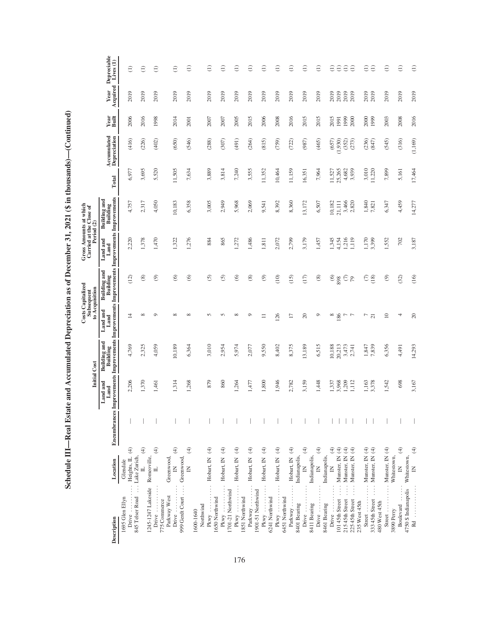|                                              |                                |                          | <b>Initial Cost</b> |                                                                                     | to Acquisition  | Costs Capitalized<br>Subsequent                                           | Gross Amounts at which<br>Carried at the Close of<br>Period (2) |                     |                  |                             |               |              |                           |
|----------------------------------------------|--------------------------------|--------------------------|---------------------|-------------------------------------------------------------------------------------|-----------------|---------------------------------------------------------------------------|-----------------------------------------------------------------|---------------------|------------------|-----------------------------|---------------|--------------|---------------------------|
|                                              |                                |                          | Land and            | Land Building Land<br>Improvements Improvements Improvements<br><b>Building</b> and | Land and        | Building<br>Improvements Improvements Improvements<br><b>Building</b> and | Land and                                                        | <b>Building and</b> |                  | Accumulated<br>Depreciation | Year<br>Built | Year         | Depreciable<br>[Lives (1) |
| 1695 Glen Ellyn<br>Description               | Location<br>Glendale           | Encumbrances I           |                     |                                                                                     |                 |                                                                           |                                                                 |                     | Total            |                             |               | Acquired     |                           |
| Drive                                        | Heights, IL                    | $\bigoplus$              | 2,206               | 4,769                                                                               | 4               | (12)                                                                      | 2,220                                                           | 4,757               | 6,977            | (416)                       | 2006          | 2019         | $\ominus$                 |
| 845 Telser Road                              | Lake Zurich,<br>$\exists$      | $\widehat{\mathfrak{t}}$ | 1,370               | 2,325                                                                               | $\infty$        | $\circledR$                                                               | 1,378                                                           | 2,317               | 3,695            | (226)                       | 2016          | 2019         | $\ominus$                 |
| 1245-1247 Lakeside Romeoville,               |                                |                          |                     |                                                                                     |                 |                                                                           |                                                                 |                     |                  |                             |               |              |                           |
| Drive<br>775 Commerce                        | $\exists$                      | $\bigoplus$              | 1,461               | 4,059                                                                               | Ô               | ම                                                                         | 1,470                                                           | 4,050               | 5,520            | (402)                       | 1998          | 2019         | $\ominus$                 |
| Parkway West                                 | Greenwood,                     |                          |                     |                                                                                     |                 |                                                                           |                                                                 |                     |                  |                             |               |              |                           |
| Drive                                        | Z                              | $\widehat{E}$            | 1,314               | 10,189                                                                              | $\infty$        | $\circledcirc$                                                            | 1,322                                                           | 10,183              | 11,505           | (650)                       | 2014          | 2019         | $\ominus$                 |
| 999 Gerdt Court  Greenwood,                  | $\overline{a}$                 | $\widehat{f}$            | 1,268               | 6,364                                                                               | $\infty$        | ම                                                                         | 1,276                                                           | 6,358               | 7,634            | (546)                       | 2001          | 2019         | $\ominus$                 |
| Northwind<br>1600-1640                       |                                |                          |                     |                                                                                     |                 |                                                                           |                                                                 |                     |                  |                             |               |              |                           |
| $P$ kwy $\ldots$<br>1650 Northwind           | Hobart, IN (4)                 |                          | 879                 | 3,010                                                                               | n               | 6                                                                         | 884                                                             | 3,005               | 3,889            | (288)                       | 2007          | 2019         | $\ominus$                 |
| 1701-21 Northwind<br>Pkwy                    | Hobart, IN (4)                 |                          | 860                 | 2,954                                                                               | S               | ⊙                                                                         | 865                                                             | 2,949               | 3,814            | (307)                       | 2007          | 2019         | $\ominus$                 |
| Pkwy                                         | Hobart, IN (4)                 |                          | 1,264               | 5,974                                                                               | $\infty$        | ⊚                                                                         | 1,272                                                           | 5,968               | 7,240            | (491)                       | 2005          | 2019         | $\ominus$                 |
| Parkway<br>1851 Northwind                    | Hobart, IN (4)                 |                          | $1,477$             | 2,077                                                                               | ᢦ               | ⊛                                                                         | 1,486                                                           | 2,069               | 3,555            | (264)                       | 2015          | 2019         | $\ominus$                 |
| 1901-51 Northwind<br>Pkwy                    | Hobart, IN (4)                 |                          | 1,800               | 9,550                                                                               | $\equiv$        | ම                                                                         | 1,811                                                           | 9,541               | 11,352           | (815)                       | 2006          | 2019         | $\ominus$                 |
| 6241 Northwind                               |                                |                          |                     |                                                                                     |                 |                                                                           |                                                                 |                     |                  |                             |               |              |                           |
| Pkwy $\dots$<br>6451 Northwind               | Hobart, IN (4)                 |                          | 1,946               | 8,402                                                                               | 126             | $\frac{10}{2}$                                                            | 2,072                                                           | 8,392               | 10,464           | (759)                       | 2008          | 2019         | $\ominus$                 |
| Parkway                                      | Hobart, IN (4)                 |                          | 2,782               | 8,375                                                                               | $\overline{17}$ | (15)                                                                      | 2,799                                                           | 8,360               | 11,159           | (722)                       | 2016          | 2019         | $\ominus$                 |
| Drive<br>8401 Bearing                        | Indianapolis,<br>Z             | $\widehat{f}$            | 3,159               | 13,189                                                                              | $\Omega$        | (17)                                                                      | 3,179                                                           | 13,172              | 16,351           | (987)                       | 2015          | 2019         | $\ominus$                 |
| 8411 Bearing                                 | Indianapolis,                  |                          |                     |                                                                                     |                 |                                                                           |                                                                 |                     |                  |                             |               |              |                           |
| Drive                                        | $\mathsf{K}$                   | $\widehat{f}$            | 1,448               | 6,515                                                                               | $\circ$         | ⊛                                                                         | 1,457                                                           | 6,507               | 7,964            | (465)                       | 2015          | 2019         | $\ominus$                 |
| 8461 Bearing                                 | Indianapolis,                  |                          |                     |                                                                                     |                 |                                                                           |                                                                 |                     |                  |                             |               |              |                           |
| $\vdots$<br>101 45th Street<br>Drive         | Munster, IN (4)<br>Z           | $\widehat{t}$            | 3,968<br>1,337      | 20,213<br>10,188                                                                    | 86<br>$\infty$  | $\circledcirc$<br>898                                                     | ,345<br>4,154                                                   | 10,182<br>21,111    | 25,265<br>11,527 | (1,930)<br>(657)            | 2015<br>1991  | 2019<br>2019 | $\ominus$<br>Э            |
| $\vdots$<br>215 45th Street                  | Munster, IN (4)                |                          | 1,209               | 3,473                                                                               |                 | $\epsilon$                                                                | 1,216                                                           | 3,466               | 4,682            | (352)                       | 1999          | 2019         | $\ominus$                 |
| $\vdots$<br>225 45th Street<br>235 West 45th | Munster, IN (4)                |                          | 112                 | 2,741                                                                               | ファ              | $\mathcal{F}$                                                             | 119                                                             | 2,820               | 3,939            | (273)                       | 2000          | 2019         | $\oplus$                  |
| Street                                       | Munster, IN (4)                |                          | 1,163               | 1,847                                                                               | Γ               | E                                                                         | $1,170$                                                         | 1,840               | 3,010            | (236)                       | 2000          | 2019         | $\ominus$                 |
| $\vdots$<br>333 45th Street                  | Munster, IN (4)                |                          | 3,378               | 7,839                                                                               | $\overline{c}$  | (18)                                                                      | 3,399                                                           | 7,821               | 11,220           | (847)                       | 1999          | 2019         | $\ominus$                 |
| 480 West 45th                                |                                |                          |                     |                                                                                     |                 |                                                                           |                                                                 |                     |                  |                             |               |              |                           |
| Street $\ldots \ldots$<br>3890 Perry         | Munster, IN (4)<br>Whitestown, |                          | 1,542               | 6,356                                                                               | $\approx$       | $\circledcirc$                                                            | 1,552                                                           | 6,347               | 7,899            | (545)                       | 2003          | 2019         | $\ominus$                 |
| Boulevard                                    | Z                              | $\widehat{f}$            | 698                 | 4,491                                                                               | 4               | (32)                                                                      | 202                                                             | 4,459               | 5,161            | (316)                       | 2008          | 2019         | $\ominus$                 |
| 4750 S Indianapolis Whitestown,<br>Rd        | $\leq$                         | $\circledagger$          | 3,167               | 14,293                                                                              | $20\,$          | (16)                                                                      | 3,187                                                           | 14,277              | 17,464           | (1, 169)                    | 2016          | 2019         | $\ominus$                 |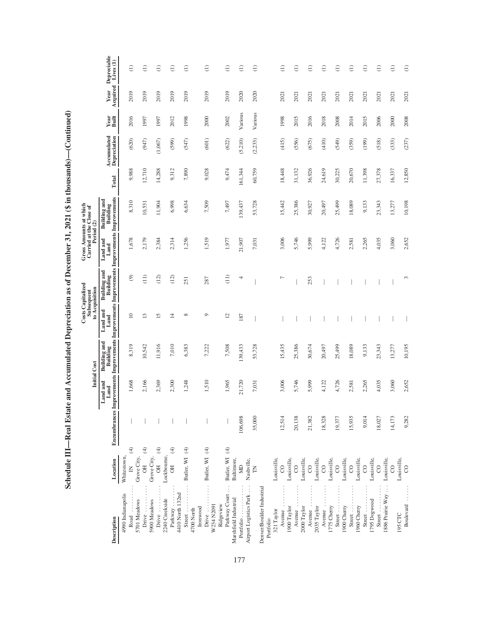|                                                |                              |               | <b>Initial Cost</b>                                        |                                 |                 | Costs Capitalized<br>to Acquisition<br>Subsequent                                                         |          | Gross Amounts at which<br>Carried at the Close of<br>Period (2) |         |                             |               |                  |                                                                       |
|------------------------------------------------|------------------------------|---------------|------------------------------------------------------------|---------------------------------|-----------------|-----------------------------------------------------------------------------------------------------------|----------|-----------------------------------------------------------------|---------|-----------------------------|---------------|------------------|-----------------------------------------------------------------------|
| Description                                    | Location                     |               | Encumbrances Improvements Improvements<br>Land and<br>Land | <b>Building</b> and<br>Building | Land and        | Land Building Land Building<br>Improvements Improvements Improvements Improvements<br><b>Building and</b> | Land and | <b>Building and</b><br>Building                                 | Total   | Accumulated<br>Depreciation | Year<br>Built | Acquired<br>Year | $\begin{array}{c} \text{Depreciable} \\ \text{Lives (1)} \end{array}$ |
| 4990 Indianapolis                              | Whitestown,                  |               |                                                            |                                 |                 |                                                                                                           |          |                                                                 |         |                             |               |                  |                                                                       |
| Road                                           | $\leq$                       | $\widehat{f}$ | 1,668                                                      | 8,319                           | $\approx$       | ම                                                                                                         | 1,678    | 8,310                                                           | 9,988   | (620)                       | 2016          | 2019             | $\ominus$                                                             |
| 5701 Meadows                                   | Grove City,<br>ЭH            |               |                                                            |                                 |                 |                                                                                                           |          |                                                                 | 12,710  |                             | 1997          | 2019             |                                                                       |
| 5900 Meadows<br>Drive                          | Grove City,                  | $\widehat{f}$ | 2,166                                                      | 10,542                          | $\mathbf{r}$    | $\widehat{\Xi}$                                                                                           | 2,179    | 10,531                                                          |         | (947)                       |               |                  | $\ominus$                                                             |
| Drive                                          | ŌН                           | $\widehat{E}$ | 2,369                                                      | 11,916                          | $\overline{15}$ | (12)                                                                                                      | 2,384    | 11,904                                                          | 14,288  | (1,067)                     | 1997          | 2019             | $\ominus$                                                             |
| 2240 Creekside                                 | Lockbourne,                  |               |                                                            |                                 |                 |                                                                                                           |          |                                                                 |         |                             |               |                  |                                                                       |
| 4410 North 132nd<br>Parkway                    | <b>OH</b>                    | $\widehat{f}$ | 2,300                                                      | 7,010                           | $\overline{4}$  | (12)                                                                                                      | 2,314    | 6,998                                                           | 9,312   | (599)                       | 2012          | 2019             | $\ominus$                                                             |
| Street                                         | Butler, WI (4)               |               | 1,248                                                      | 6,383                           | ${}^{\circ}$    | 251                                                                                                       | 1,256    | 6,634                                                           | 7,890   | (547)                       | 1998          | 2019             | $\ominus$                                                             |
| 4700 North                                     |                              |               |                                                            |                                 |                 |                                                                                                           |          |                                                                 |         |                             |               |                  |                                                                       |
| W234 N2091<br>Drive<br>Ironwood                | Butler, WI (4)               |               | 1,510                                                      | 7,222                           | $\circ$         | 287                                                                                                       | 1,519    | 7,509                                                           | 9,028   | (601)                       | 2000          | 2019             | $\widehat{\Xi}$                                                       |
| Ridgeview                                      |                              |               |                                                            |                                 |                 |                                                                                                           |          |                                                                 |         |                             |               |                  |                                                                       |
| Parkway Court<br>Marshfield Industrial         | Butler, WI (4)<br>Baltimore, |               | 1,965                                                      | 7,508                           | $\overline{c}$  | $\widehat{\Xi}$                                                                                           | 1,977    | 7,497                                                           | 9,474   | (622)                       | 2002          | 2019             | $\ominus$                                                             |
| Airport Logistics Park<br>Portfolio $\ldots$ . | Nashville,<br>$\mathbf{E}$   | 106,698       | 21,720                                                     | 139,433                         | 187             | 4                                                                                                         | 21,907   | 139,437                                                         | 161,344 | (5,210)                     | Various       | 2020             | $\ominus$                                                             |
|                                                | E                            | 35,000        | 7,031                                                      | 53,728                          |                 |                                                                                                           | 7,031    | 53,728                                                          | 60,759  | (2, 233)                    | Various       | 2020             | $\ominus$                                                             |
| Denver/Boulder Industrial                      |                              |               |                                                            |                                 |                 |                                                                                                           |          |                                                                 |         |                             |               |                  |                                                                       |
| Portfolio                                      |                              |               |                                                            |                                 |                 |                                                                                                           |          |                                                                 |         |                             |               |                  |                                                                       |
| 321 Taylor                                     | Louisville,                  |               |                                                            |                                 |                 |                                                                                                           |          |                                                                 |         |                             |               |                  |                                                                       |
| Avenue                                         | 8                            | 12,514        | 3,006                                                      | 15,435                          |                 | L                                                                                                         | 3,006    | 15,442                                                          | 18,448  | (415)                       | 1998          | 2021             | $\ominus$                                                             |
| $1900\,{\rm Taylor}$                           | Louisville,                  |               |                                                            |                                 |                 |                                                                                                           |          |                                                                 |         |                             |               |                  |                                                                       |
| Avenue                                         | 8                            | 20,138        | 5,746                                                      | 25,386                          |                 |                                                                                                           | 5,746    | 25,386                                                          | 31,132  | (556)                       | 2015          | 2021             | $\ominus$                                                             |
| $2000\,{\rm Taylor}$<br>Avenue                 | Louisville,<br>$\infty$      | 21,382        | 5,999                                                      | 30,674                          |                 | 253                                                                                                       | 5,999    | 30,927                                                          | 36,926  | (675)                       | 2016          | 2021             | $\ominus$                                                             |
| 2035 Taylor                                    | Louisville,                  |               |                                                            |                                 |                 |                                                                                                           |          |                                                                 |         |                             |               |                  |                                                                       |
| Avenue                                         | $\beta$                      | 18,328        | 4,122                                                      | 20,497                          |                 |                                                                                                           | 4,122    | 20,497                                                          | 24,619  | (410)                       | 2018          | 2021             | $\ominus$                                                             |
| 1775 Cherry                                    | Louisville,                  |               |                                                            |                                 |                 |                                                                                                           |          |                                                                 |         |                             |               |                  |                                                                       |
| Street                                         | 8                            | 19,377        | 4,726                                                      | 25,499                          |                 |                                                                                                           | 4,726    | 25,499                                                          | 30,225  | (549)                       | 2008          | 2021             | $\ominus$                                                             |
| 1900 Cherry                                    | Louisville,                  |               |                                                            |                                 |                 |                                                                                                           |          |                                                                 |         |                             |               |                  |                                                                       |
| Street $\dots$                                 | $\infty$                     | 15,935        | 2,581                                                      | 18,089                          |                 |                                                                                                           | 2,581    | 18,089                                                          | 20,670  | (359)                       | 2014          | 2021             | $\ominus$                                                             |
| 1960 Cherry                                    | Louisville,                  |               |                                                            |                                 |                 |                                                                                                           |          |                                                                 |         |                             |               |                  |                                                                       |
| Street $\dots$                                 | 8                            | 9,014         | 2,265                                                      | 9,133                           |                 |                                                                                                           | 2,265    | 9,133                                                           | 11,398  | (199)                       | 2015          | 2021             | $\ominus$                                                             |
| 1795 Dogwood                                   | Louisville                   |               |                                                            |                                 |                 |                                                                                                           |          |                                                                 |         |                             |               |                  |                                                                       |
| 1886 Prairie Way<br>Street                     | Louisville<br>8              | 18,027        | 4,035                                                      | 23,343                          |                 |                                                                                                           | 4,035    | 23,343                                                          | 27,378  | (518)                       | 2006          | 2021             | $\ominus$                                                             |
|                                                | 8                            | 14,173        | 3,060                                                      | 13,277                          |                 |                                                                                                           | 3,060    | 13,277                                                          | 16,337  | (333)                       | 2000          | 2021             | $\ominus$                                                             |
| 195 CTC                                        | Louisville,                  |               |                                                            |                                 |                 |                                                                                                           |          |                                                                 |         |                             |               |                  |                                                                       |
| Boulevard                                      | 8                            | 9,282         | 2,652                                                      | 10,195                          |                 | 3                                                                                                         | 2,652    | 10,198                                                          | 12,850  | (237)                       | 2008          | 2021             | $\ominus$                                                             |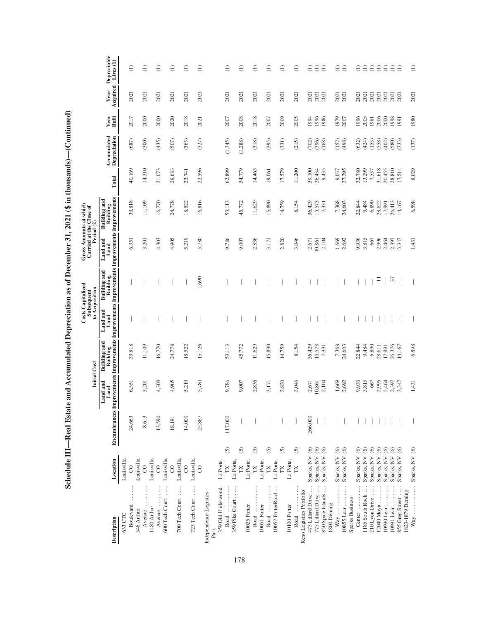|                                                                             |                |                                                          | <b>Initial Cost</b> |                                 |                  | Costs Capitalized<br>to Acquisition<br>Subsequent                         |                  | Gross Amounts at which<br>Carried at the Close of<br>Period (2) |        |                             |               |                  |                            |
|-----------------------------------------------------------------------------|----------------|----------------------------------------------------------|---------------------|---------------------------------|------------------|---------------------------------------------------------------------------|------------------|-----------------------------------------------------------------|--------|-----------------------------|---------------|------------------|----------------------------|
| Description                                                                 | Location       | Encumbrances Improvements Improvements Improvements<br>I | Land and<br>Land    | <b>Building</b> and<br>Building | Land and<br>Land | Improvements Improvements Improvements<br><b>Building and</b><br>Building | Land and<br>Land | <b>Building and</b><br>Building                                 | Total  | Accumulated<br>Depreciation | Built<br>Year | Acquired<br>Year | Depreciable<br>1 Lives (1) |
| 633 CTC                                                                     | Louisville,    |                                                          |                     |                                 |                  |                                                                           |                  |                                                                 |        |                             |               |                  |                            |
| Boulevard                                                                   | $\circ$        | 24,663                                                   | 6,351               | 33,818                          |                  |                                                                           | 6,351            | 33,818                                                          | 40,169 | (687)                       | 2017          | 2021             | $\ominus$                  |
| 346 Arthur                                                                  | Louisville,    |                                                          |                     |                                 |                  |                                                                           |                  |                                                                 |        |                             |               |                  |                            |
| Avenue                                                                      | 8              | 8,613                                                    | 3,201               | 11,109                          |                  |                                                                           | 3,201            | 11,109                                                          | 14,310 | (300)                       | 2000          | 2021             | $\widehat{\Xi}$            |
| 1480 Arthur                                                                 | Louisville,    |                                                          |                     |                                 |                  |                                                                           |                  |                                                                 |        |                             |               |                  |                            |
| Avenue                                                                      | $\infty$       | 13,590                                                   | 4,303               | 16,770                          |                  |                                                                           | 4,303            | 16,770                                                          | 21,073 | (435)                       | 2000          | 2021             | $\ominus$                  |
| 600 Tech Court                                                              | Louisville,    | 18,191                                                   | 4,905               | 24,778                          |                  |                                                                           | 4,905            | 24,778                                                          | 29,683 | (507)                       | 2020          | 2021             | $\ominus$                  |
| 700 Tech Court                                                              | Louisville,    |                                                          |                     |                                 |                  |                                                                           |                  |                                                                 |        |                             |               |                  |                            |
|                                                                             |                | 14,000                                                   | 5,219               | 18,522                          |                  |                                                                           | 5,219            | 18,522                                                          | 23,741 | (363)                       | 2018          | 2021             | $\ominus$                  |
| 725 Tech Court                                                              | Louisville,    |                                                          |                     |                                 |                  |                                                                           |                  |                                                                 |        |                             |               |                  |                            |
| Independence Logistics                                                      | 8              | 25,867                                                   | 5,780               | 15,126                          |                  | 1,690                                                                     | 5,780            | 16,816                                                          | 22,596 | (327)                       | 2021          | 2021             | $\ominus$                  |
| Park                                                                        |                |                                                          |                     |                                 |                  |                                                                           |                  |                                                                 |        |                             |               |                  |                            |
| 359 Old Underwood                                                           | La Porte,      |                                                          |                     |                                 |                  |                                                                           |                  |                                                                 |        |                             |               |                  |                            |
| Road                                                                        | TX             | 117,000<br>$\odot$                                       | 9,786               | 53,113                          |                  |                                                                           | 9,786            | 53,113                                                          | 62,899 | (1,345)                     | 2007          | 2021             | $\ominus$                  |
| 359 Pike Court                                                              | La Porte,      |                                                          |                     |                                 |                  |                                                                           |                  |                                                                 |        |                             |               |                  |                            |
|                                                                             | TX             | $\widehat{\circ}$                                        | 9,007               | 45,772                          |                  |                                                                           | 9,007            | 45,772                                                          | 54,779 | (1, 288)                    | 2008          | 2021             | $\ominus$                  |
| 10025 Porter                                                                | La Porte,      |                                                          |                     |                                 |                  |                                                                           |                  |                                                                 |        |                             |               |                  |                            |
| Road                                                                        | TX             | $\odot$                                                  | 2,836               | 11,629                          |                  |                                                                           | 2,836            | 11,629                                                          | 14,465 | (318)                       | 2018          | 2021             | $\ominus$                  |
| 10051 Porter                                                                | La Porte,      |                                                          |                     |                                 |                  |                                                                           |                  |                                                                 |        |                             |               |                  |                            |
| $\begin{array}{c} \vdots \\ \vdots \\ \vdots \\ \vdots \end{array}$<br>Road | TX             | $\odot$                                                  | 3,171               | 15,890                          |                  |                                                                           | 3,171            | 15,890                                                          | 19,061 | (395)                       | 2007          | 2021             | $\ominus$                  |
| 10052 PorterRoad                                                            | La Porte,      |                                                          |                     |                                 |                  |                                                                           |                  |                                                                 |        |                             |               |                  |                            |
|                                                                             | TX             | $\widehat{c}$                                            | 2,820               | 14,759                          |                  |                                                                           | 2,820            | 14,759                                                          | 17,579 | (331)                       | 2009          | 2021             | $\ominus$                  |
| 10100 Porter                                                                | La Porte,      |                                                          |                     |                                 |                  |                                                                           |                  |                                                                 |        |                             |               |                  |                            |
| Road $\ldots$                                                               | TX             | $\odot$                                                  | 3,046               | 8,154                           |                  |                                                                           | 3,046            | 8,154                                                           | 11,200 | (215)                       | 2005          | 2021             | $\ominus$                  |
| Reno Logistics Portfolio                                                    |                |                                                          |                     |                                 |                  |                                                                           |                  |                                                                 |        |                             |               |                  |                            |
| 475 Lillard Drive                                                           | Sparks, NV (6) | 266,000                                                  | 2,671               | 36,429                          |                  |                                                                           | 2,671            | 36,429                                                          | 39,100 | (702)                       | 1994          | 2021             | $\ominus$                  |
| 775 Lillard Drive                                                           | Sparks, NV (6) |                                                          | 10,861              | 15,573                          |                  |                                                                           | 10,861           | 15,573                                                          | 26,434 | (396)                       | 1996          | 2021             | $\ominus$                  |
| 850 Spice Islands                                                           | Sparks, NV (6) |                                                          | 2,104               | 7,331                           |                  |                                                                           | 2,104            | 7,331                                                           | 9,435  | (168)                       | 1986          | 2021             | $\ominus$                  |
| 1800 Deming                                                                 |                |                                                          |                     |                                 |                  |                                                                           |                  |                                                                 |        |                             |               |                  |                            |
|                                                                             | Sparks, NV (6) |                                                          | 1,669               | 7,368                           |                  |                                                                           | 1,669            | 7,368                                                           | 9,037  | (152)                       | 1979          | 2021             | $\ominus$                  |
| 10855 Lear                                                                  | Sparks, NV (6) |                                                          | 2,692               | 24,603                          |                  |                                                                           | 2,692            | 24,603                                                          | 27,295 | (498)                       | 2007          | 2021             | $\ominus$                  |
| Sparks Business                                                             |                |                                                          |                     |                                 |                  |                                                                           |                  |                                                                 |        |                             |               |                  |                            |
| Center $\dots\dots$                                                         | Sparks, NV     | $\circledcirc$                                           | 9,936               | 22,844                          |                  |                                                                           | 9,936            | 22,844                                                          | 32,780 | (632)                       | 1996          | 2021             | $\ominus$                  |
| 1185 South Rock                                                             | Sparks, NV (6) |                                                          | 3,815               | 9,484                           |                  |                                                                           | 3,815            | 9,484                                                           | 13,299 | (424)                       | 2005          | 2021             | $\ominus$                  |
| 210 Lyon Drive                                                              | Sparks, NV (6) |                                                          | 667                 | 6,890                           |                  |                                                                           | 667              | 6,890                                                           | 7,557  | (153)                       | 1981          | 2021             | $\ominus$                  |
| 12040 Моуа                                                                  | Sparks, NV (6) |                                                          | 2,996               | 28,611                          |                  | Ξ                                                                         | 2,996            | 28,622                                                          | 31,618 | (558)                       | 2006          | 2021             | $\oplus$                   |
| 10990 Lear                                                                  | Sparks, NV (6) |                                                          | 2,464               | 17,991                          |                  |                                                                           | 2,464            | 17,991                                                          | 20,455 | (402)                       | 2000          | 2021             | $\widehat{\Xi}$            |
| 10991 Lear                                                                  | Sparks, NV     | $\circledcirc$                                           | 2,397               | 26,376                          |                  | 57                                                                        | 2,397            | 26,413                                                          | 28,810 | (580)                       | 1998          | 2021             | $\widehat{\Xi}$            |
| 855 Greg Street                                                             | Sparks, NV     | $\odot$                                                  | 3,347               | 14,167                          |                  |                                                                           | 3,347            | 14,167                                                          | 17,514 | (333)                       | 1991          | 2021             | $\ominus$                  |
| 1823-1879 Deming                                                            |                |                                                          |                     |                                 |                  |                                                                           |                  |                                                                 |        |                             |               |                  |                            |
|                                                                             | Sparks, NV (6) |                                                          | 1,431               | 6,598                           |                  |                                                                           | 1,431            | 6,598                                                           | 8,029  | (137)                       | 1980          | 2021             | $\ominus$                  |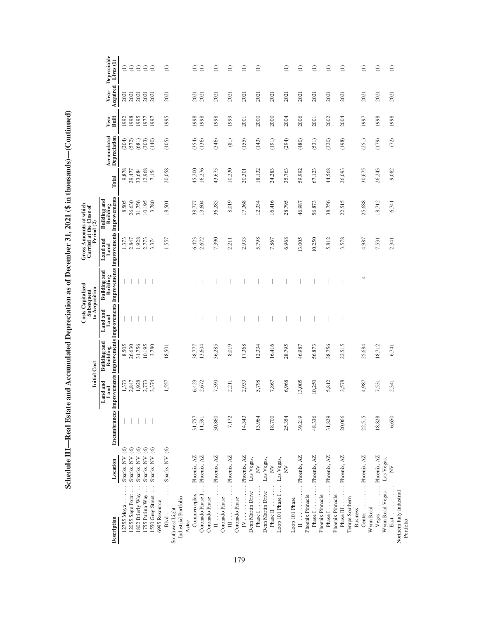| I<br>ì<br>i                        |
|------------------------------------|
|                                    |
| I<br>I                             |
| I                                  |
|                                    |
| $\overline{\phantom{a}}$           |
| $\overline{\phantom{a}}$<br>ļ<br>I |
|                                    |
|                                    |
| ļ<br>$\frac{1}{2}$<br> <br> <br>   |
| $\vdots$<br>l                      |

|                                                                                                                                                                                                                                                                                                                                                                                                      |                              |                    | <b>Initial Cost</b> |                                        |                  | Costs Capitalized<br>to Acquisition<br>Subsequent                                                              | Gross Amounts at which<br>Carried at the Close of<br>Period (2) |                                 |        |                             |               |                  |                            |
|------------------------------------------------------------------------------------------------------------------------------------------------------------------------------------------------------------------------------------------------------------------------------------------------------------------------------------------------------------------------------------------------------|------------------------------|--------------------|---------------------|----------------------------------------|------------------|----------------------------------------------------------------------------------------------------------------|-----------------------------------------------------------------|---------------------------------|--------|-----------------------------|---------------|------------------|----------------------------|
| Description                                                                                                                                                                                                                                                                                                                                                                                          | Location                     | Encumbrances Im    | Land and<br>Land    | <b>Building</b> and<br><b>Building</b> | Land and<br>Land | provements Improvements Improvements Improvements Improvements Improvements<br><b>Building</b> and<br>Building | Land and<br>Land                                                | <b>Building and</b><br>Building | Total  | Accumulated<br>Depreciation | Built<br>Year | Acquired<br>Year | Depreciable<br>d Lives (1) |
| 12755 Моуа                                                                                                                                                                                                                                                                                                                                                                                           | $\circledcirc$<br>Sparks, NV |                    | 1,373               | 8,505                                  |                  |                                                                                                                | 1,373                                                           | 8,505                           | 9,878  | (204)                       | 1992          | 2021             | Ξ                          |
| 12055 Sage Point                                                                                                                                                                                                                                                                                                                                                                                     | Sparks, NV                   | $\circledcirc$     | 2,847               | 26,630                                 |                  |                                                                                                                | 2,847                                                           | 26,630                          | 29,477 | (572)                       | 1998          | 2021             | Э                          |
| 1802 Brierly Way  Sparks, NV (6)                                                                                                                                                                                                                                                                                                                                                                     |                              |                    | 1,928               | 31,756                                 |                  |                                                                                                                | 1,928                                                           | 31,756                          | 33,684 | (681)                       | 1995          | 2021             | $\ominus$                  |
| 1755 Purina Way                                                                                                                                                                                                                                                                                                                                                                                      | Sparks, NV (6)               |                    | 2,773               | 10,195                                 |                  |                                                                                                                | 2,773                                                           | 10,195                          | 12,968 | (303)                       | 1977          | 2021             | $\ominus$                  |
| 1550 Greg Street                                                                                                                                                                                                                                                                                                                                                                                     | Sparks, NV (6)               |                    | 3,374               | 3,780                                  |                  |                                                                                                                | 3,374                                                           | 3,780                           | 7,154  | (140)                       | 1997          | 2021             | $\ominus$                  |
| 6995 Resource                                                                                                                                                                                                                                                                                                                                                                                        |                              |                    |                     |                                        |                  |                                                                                                                |                                                                 |                                 |        |                             |               |                  |                            |
| Byd                                                                                                                                                                                                                                                                                                                                                                                                  | $\ldots$ Sparks, NV (6)      |                    | 1,557               | 18,501                                 |                  |                                                                                                                | 1,557                                                           | 18,501                          | 20,058 | (405)                       | 1995          | 2021             | $\ominus$                  |
| Southwest Light                                                                                                                                                                                                                                                                                                                                                                                      |                              |                    |                     |                                        |                  |                                                                                                                |                                                                 |                                 |        |                             |               |                  |                            |
| Industrial Portfolio                                                                                                                                                                                                                                                                                                                                                                                 |                              |                    |                     |                                        |                  |                                                                                                                |                                                                 |                                 |        |                             |               |                  |                            |
| Aztec                                                                                                                                                                                                                                                                                                                                                                                                |                              |                    |                     |                                        |                  |                                                                                                                |                                                                 |                                 |        |                             |               |                  |                            |
| Commerceplex Phoenix, AZ                                                                                                                                                                                                                                                                                                                                                                             |                              | $31,757$<br>11,591 | 6,423               | 38,777                                 |                  |                                                                                                                | 6,423                                                           | 38,777                          | 45,200 | (354)                       | 1998          | 2021             | $\ominus$                  |
| Coronado Phase I Phoenix, AZ<br>Coronado Phase                                                                                                                                                                                                                                                                                                                                                       |                              |                    | 2,672               | 13,604                                 |                  |                                                                                                                | 2,672                                                           | 13,604                          | 16,276 | (136)                       | 1998          | 2021             | $\ominus$                  |
| $\mathbf{H}^{(1)},\ldots,\ldots$                                                                                                                                                                                                                                                                                                                                                                     | Phoenix, AZ                  | 30,860             | 7,390               | 36,285                                 |                  |                                                                                                                | 7,390                                                           | 36,285                          | 43,675 | (346)                       | 1998          | 2021             | $\ominus$                  |
| Coronado Phase                                                                                                                                                                                                                                                                                                                                                                                       |                              |                    |                     |                                        |                  |                                                                                                                |                                                                 |                                 |        |                             |               |                  |                            |
| $\blacksquare \begin{picture}(20,20) \put(0,0){\dashbox{0.5}(20,0){ }} \put(15,0){\circle{10}} \put(15,0){\circle{10}} \put(15,0){\circle{10}} \put(15,0){\circle{10}} \put(15,0){\circle{10}} \put(15,0){\circle{10}} \put(15,0){\circle{10}} \put(15,0){\circle{10}} \put(15,0){\circle{10}} \put(15,0){\circle{10}} \put(15,0){\circle{10}} \put(15,0){\circle{10}} \put(15,0){\circle{10}} \put$ | Phoenix, AZ                  | 7,172              | 2,211               | 8,019                                  |                  |                                                                                                                | 2,211                                                           | 8,019                           | 10,230 | (81)                        | 1999          | 2021             | $\ominus$                  |
| Coronado Phase                                                                                                                                                                                                                                                                                                                                                                                       |                              |                    |                     |                                        |                  |                                                                                                                |                                                                 |                                 |        |                             |               |                  |                            |
| $\mathbb{N}$ . $\dots$ . $\dots$                                                                                                                                                                                                                                                                                                                                                                     | Phoenix, AZ                  | 14,343             | 2,933               | 17,368                                 |                  |                                                                                                                | 2,933                                                           | 17,368                          | 20,301 | (155)                       | 2001          | 2021             | $\ominus$                  |
| Dean Martin Drive                                                                                                                                                                                                                                                                                                                                                                                    | Las Vegas,                   |                    |                     |                                        |                  |                                                                                                                |                                                                 |                                 |        |                             |               |                  |                            |
| Phase I $\ldots \ldots$                                                                                                                                                                                                                                                                                                                                                                              | $\geq$                       | 13,964             | 5,798               | 12,334                                 |                  |                                                                                                                | 5,798                                                           | 12,334                          | 18,132 | (143)                       | 2000          | 2021             | $\ominus$                  |
| Dean Martin Drive                                                                                                                                                                                                                                                                                                                                                                                    | Las Vegas,                   |                    |                     |                                        |                  |                                                                                                                |                                                                 |                                 |        |                             |               |                  |                            |
| Phase $\Pi$                                                                                                                                                                                                                                                                                                                                                                                          | $\geq$                       | 18,700             | 7,867               | 16,416                                 |                  |                                                                                                                | 7,867                                                           | 16,416                          | 24,283 | (191)                       | 2000          | 2021             |                            |
| Loop 101 Phase I Las Vegas,                                                                                                                                                                                                                                                                                                                                                                          | $\geq$                       | 25,354             | 6,968               | 28,795                                 |                  |                                                                                                                | 6,968                                                           | 28,795                          | 35,763 | (294)                       | 2004          | 2021             | $\ominus$                  |
| Loop 101 Phase                                                                                                                                                                                                                                                                                                                                                                                       |                              |                    |                     |                                        |                  |                                                                                                                |                                                                 |                                 |        |                             |               |                  |                            |
| $\begin{array}{cccccccc}\n\mathbf{H} & \cdots & \cdots & \mathbf{H}\n\end{array}$                                                                                                                                                                                                                                                                                                                    | Phoenix, AZ                  | 39,219             | 13,005              | 46,987                                 |                  |                                                                                                                | 13,005                                                          | 46,987                          | 59,992 | (480)                       | 2006          | 2021             | $\widehat{\Xi}$            |
| Phoenix Pinnacle                                                                                                                                                                                                                                                                                                                                                                                     |                              |                    |                     |                                        |                  |                                                                                                                |                                                                 |                                 |        |                             |               |                  |                            |
| Phase $1$<br>Phoenix Pinnacle                                                                                                                                                                                                                                                                                                                                                                        | Phoenix, AZ                  | 48,336             | 10,250              | 56,873                                 |                  |                                                                                                                | 10,250                                                          | 56,873                          | 67,123 | (531)                       | 2001          | 2021             | $\ominus$                  |
| Phase $1 \ldots \ldots$                                                                                                                                                                                                                                                                                                                                                                              | Phoenix, AZ                  | 31,829             | 5,812               | 38,756                                 |                  |                                                                                                                | 5,812                                                           | 38,756                          | 44,568 | (320)                       | 2002          | 2021             | $\ominus$                  |
| Phoenix Pinnacle                                                                                                                                                                                                                                                                                                                                                                                     |                              |                    |                     |                                        |                  |                                                                                                                |                                                                 |                                 |        |                             |               |                  |                            |
| Phase $\mathbb{II}$                                                                                                                                                                                                                                                                                                                                                                                  | Phoenix, AZ                  | 20,066             | 3,578               | 22,515                                 |                  |                                                                                                                | 3,578                                                           | 22,515                          | 26,093 | (198)                       | 2004          | 2021             | $\widehat{\Xi}$            |
| Tempe Southern<br><b>Business</b>                                                                                                                                                                                                                                                                                                                                                                    |                              |                    |                     |                                        |                  |                                                                                                                |                                                                 |                                 |        |                             |               |                  |                            |
|                                                                                                                                                                                                                                                                                                                                                                                                      |                              |                    | 4,987               |                                        |                  |                                                                                                                | 4,987                                                           |                                 |        |                             | 1997          |                  |                            |
| Center $\dots$<br>Wynn Road                                                                                                                                                                                                                                                                                                                                                                          | $\ldots$ Phoenix, AZ         | 22,515             |                     | 25,684                                 |                  | 4                                                                                                              |                                                                 | 25,688                          | 30,675 | (251)                       |               | 2021             | $\ominus$                  |
| Vegas  Phoenix, AZ                                                                                                                                                                                                                                                                                                                                                                                   |                              | 18,828             | 7,53                | 18,712                                 |                  |                                                                                                                | 7,531                                                           | 18,712                          | 26,243 | (179)                       | 1998          | 2021             | $\widehat{\Xi}$            |
| Wynn Road Vegas                                                                                                                                                                                                                                                                                                                                                                                      | Las Vegas,                   |                    |                     |                                        |                  |                                                                                                                |                                                                 |                                 |        |                             |               |                  |                            |
| East                                                                                                                                                                                                                                                                                                                                                                                                 | $\check{\mathsf{z}}$         | 6,650              | 2,341               | 6,741                                  |                  |                                                                                                                | 2,341                                                           | 6,741                           | 9,082  | (72)                        | 1998          | 2021             | $\ominus$                  |
| Northern Italy Industrial<br>Portfolio                                                                                                                                                                                                                                                                                                                                                               |                              |                    |                     |                                        |                  |                                                                                                                |                                                                 |                                 |        |                             |               |                  |                            |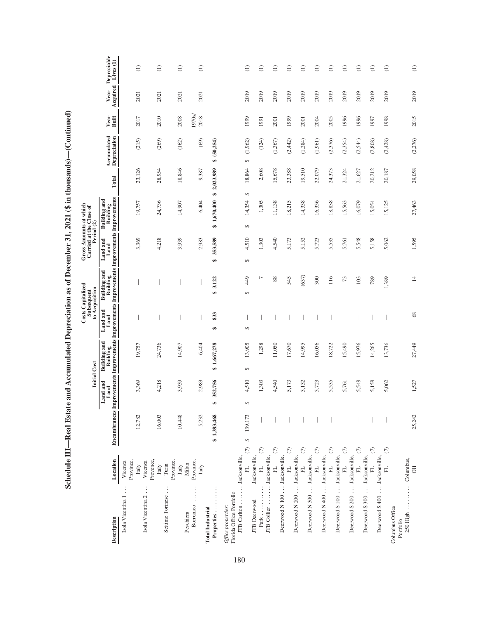| Î              |
|----------------|
|                |
|                |
|                |
|                |
|                |
|                |
|                |
|                |
|                |
| ì              |
|                |
|                |
|                |
|                |
|                |
|                |
|                |
|                |
|                |
|                |
|                |
|                |
|                |
| I              |
|                |
| I              |
|                |
|                |
|                |
|                |
|                |
|                |
|                |
| l              |
|                |
|                |
|                |
|                |
|                |
|                |
|                |
|                |
|                |
|                |
|                |
| l              |
| I              |
|                |
|                |
|                |
|                |
|                |
|                |
|                |
|                |
|                |
|                |
|                |
|                |
|                |
|                |
|                |
|                |
|                |
| ļ              |
| $\overline{1}$ |
|                |
|                |
|                |
|                |
|                |
|                |
|                |
|                |
|                |
|                |
|                |
| j<br>ł         |
|                |

|                                                                              |                                      |                                                                                                                 | <b>Initial Cost</b> |                     |          | Costs Capitalized<br>to Acquisition<br>Subsequent |              | Gross Amounts at which<br>Carried at the Close of<br>Period (2) |                    |                             |                |          |                          |
|------------------------------------------------------------------------------|--------------------------------------|-----------------------------------------------------------------------------------------------------------------|---------------------|---------------------|----------|---------------------------------------------------|--------------|-----------------------------------------------------------------|--------------------|-----------------------------|----------------|----------|--------------------------|
|                                                                              |                                      | Land Building Land Building Land Building Land Building Land Building Building Building Building Building<br>J, | Land and            | <b>Building and</b> | Land and | <b>Building</b> and                               | Land and     | <b>Building</b> and                                             | Total              | Accumulated<br>Depreciation | Year<br>Built  | Year     | Depreciable<br>Lives (1) |
| Description                                                                  | Location                             |                                                                                                                 |                     |                     |          |                                                   |              |                                                                 |                    |                             |                | Acquired |                          |
| Isola Vicentina 1                                                            | Province,<br>Vicenza<br>Italy        | 12,782                                                                                                          | 3,369               | 19,757              |          |                                                   | 3,369        | 19,757                                                          | 23,126             | (215)                       | 2017           | 2021     | $\oplus$                 |
| Isola Vicentina 2                                                            | Vicenza                              |                                                                                                                 |                     |                     |          |                                                   |              |                                                                 |                    |                             |                |          |                          |
| Settimo Torinese                                                             | Provence,<br>Turin<br>$_{\rm Italy}$ | 16,003                                                                                                          | 4,218               | 24,736              |          |                                                   | 4,218        | 24,736                                                          | 28,954             | (269)                       | 2010           | 2021     | $\ominus$                |
| Peschiera                                                                    | Province,<br>Italy                   | 10,448                                                                                                          | 3,939               | 14,907              |          |                                                   | 3,939        | 14,907                                                          | 18,846             | (162)                       | 2008           | 2021     | $\ominus$                |
| Borromeo                                                                     | Province,<br>Milan<br>Italy          | 5,232                                                                                                           | 2,983               | 6,404               |          |                                                   | 2,983        | 6,404                                                           | 9,387              | (69)                        | 1970s/<br>2018 | 2021     | $\ominus$                |
| $\frac{1}{2}$<br>Properties<br><b>Total Industrial</b>                       |                                      | \$1,383,468                                                                                                     | 352,756<br>÷        | 1,667,278<br>₩      | 833<br>↮ | 3,122<br>÷                                        | 353,589<br>÷ | 1,670,400<br>₩                                                  | 2,023,989<br>÷,    | (50, 254)<br>₩              |                |          |                          |
| JTB Carlton  Jacksonville,<br>Florida Office Portfolio<br>Office properties: | $\widehat{C}$                        | 139,173<br>↔                                                                                                    | 4,510<br>$\Theta$   | 13,905<br>↔         | S        | 449<br>$\Theta$                                   | 4,510<br>↔   | 14,354<br>↔                                                     | 18,864<br>$\Theta$ | (1,962)<br>↔                | 1999           | 2019     | $\widehat{E}$            |
| JTB Derwood<br>Park $\ldots \ldots$                                          | $\widehat{C}$<br>Jacksonville,       |                                                                                                                 | 1,303               | 1,298               |          | Γ                                                 | 1,303        | 1,305                                                           | 2,608              | (124)                       | 1991           | 2019     | $\ominus$                |
| JTB Collier  Jacksonville,                                                   | Е<br>E                               |                                                                                                                 | 4,540               | 11,050              |          | 88                                                | 4,540        | 11,138                                                          | 15,678             | (1,367)                     | 2001           | 2019     | $\ominus$                |
| Deerwood N 100  Jacksonville,                                                | 리                                    |                                                                                                                 | 5,173               | 17,670              |          | 545                                               | 5,173        | 18,215                                                          | 23,388             | (2,442)                     | 1999           | 2019     | $\ominus$                |
| Deerwood N 200  Jacksonville,                                                |                                      |                                                                                                                 | 5,152               | 14,995              |          | (637)                                             | 5,152        | 14,358                                                          | 19,510             | (1, 284)                    | 2001           | 2019     | $\ominus$                |
| Deerwood N 300  Jacksonville,                                                | 旵                                    |                                                                                                                 | 5,723               | 16,056              |          | 300                                               | 5,723        | 16,356                                                          | 22,079             | (1,961)                     | 2004           | 2019     | $\widehat{\Xi}$          |
| Deerwood N 400  Jacksonville,                                                | $\widehat{C}$                        |                                                                                                                 | 5,535               | 18,722              |          | 116                                               | 5,535        | 18,838                                                          | 24,373             | (2,376)                     | 2005           | 2019     | $\ominus$                |
| Deerwood S 100  Jacksonville,                                                | $\odot$                              |                                                                                                                 | 5,761               | 15,490              |          | 73                                                | 5,761        | 15,563                                                          | 21,324             | (2,354)                     | 1996           | 2019     | $\ominus$                |
| Deerwood S 200  Jacksonville,                                                | $\widehat{c}$                        |                                                                                                                 | 5,548               | 15,976              |          | 103                                               | 5,548        | 16,079                                                          | 21,627             | (2,544)                     | 1996           | 2019     | $\ominus$                |
| Deerwood S 300  Jacksonville,                                                | $\widehat{C}$                        |                                                                                                                 | 5,158               | 14,265              |          | 789                                               | 5,158        | 15,054                                                          | 20,212             | (2,808)                     | 1997           | 2019     | $\ominus$                |
| Deerwood S 400  Jacksonville,                                                | $\widehat{C}$<br>$\mathbb E$         |                                                                                                                 | 5,062               | 13,736              |          | 1,389                                             | 5,062        | 15,125                                                          | 20,187             | (2,428)                     | 1998           | 2019     | $\ominus$                |
| $250$ High $\ldots \ldots \ldots$<br>Columbus Office<br>Portfolio            | Columbus,<br>$\overline{a}$          | 25,242                                                                                                          | 1,527               | 27,449              | $68$     | $\overline{4}$                                    | 1,595        | 27,463                                                          | 29,058             | (2,276)                     | 2015           | 2019     | $\ominus$                |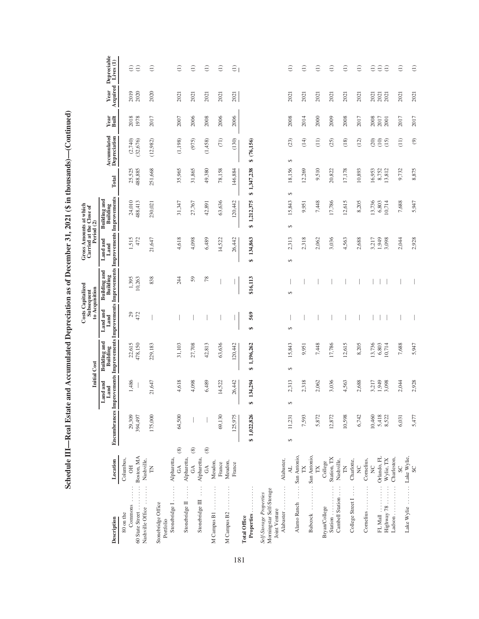| i<br>$\overline{ }$<br>j<br>i<br>$\ddot{\phantom{0}}$ |
|-------------------------------------------------------|
| I                                                     |
| j                                                     |
| i<br>ļ<br>l<br>I<br>I                                 |
|                                                       |
|                                                       |
| ļ<br>l                                                |
|                                                       |
|                                                       |
| ś<br>l<br>١                                           |

|                                                                                                                 |                          |                       |                | <b>Initial Cost</b> |                                        |                  | Costs Capitalized<br>to Acquisition<br>Subsequent                                          |                  | Gross Amounts at which<br>Carried at the Close of<br>Period (2) |             |                             |       |          |                 |
|-----------------------------------------------------------------------------------------------------------------|--------------------------|-----------------------|----------------|---------------------|----------------------------------------|------------------|--------------------------------------------------------------------------------------------|------------------|-----------------------------------------------------------------|-------------|-----------------------------|-------|----------|-----------------|
|                                                                                                                 |                          |                       |                | Land and<br>$L$ and | <b>Building</b> and<br><b>Building</b> | Land and<br>Land | <b>Building</b> and<br>Building                                                            | Land and<br>Land | <b>Building and</b><br><b>Building</b>                          |             | Accumulated<br>Depreciation | Year  | Year     | Depreciable     |
| Description                                                                                                     | Location                 |                       |                |                     |                                        |                  | Encumbrances Improvements Improvements Improvements Improvements Improvements Improvements |                  |                                                                 | Total       |                             | Built | Acquired | Lives (1)       |
| Commons<br>80 on the                                                                                            | Columbus,<br><b>FIO</b>  | 29,309                |                | 1,486               | 22,615                                 | $\mathfrak{S}$   | 1,395                                                                                      | 1,515            | 24,010                                                          | 25,525      | (2,740)                     | 2018  | 2019     |                 |
| 60 State Street  Boston, MA                                                                                     |                          | 394,497               |                |                     | 478,150                                | 472              | 10,263                                                                                     | 472              | 488,413                                                         | 488,885     | (32, 676)                   | 1978  | 2020     | $\widehat{\Xi}$ |
| Nashville Office                                                                                                | Nashville,<br>E          | 175,000               |                |                     | 229,183                                |                  | 838                                                                                        |                  | 230,021                                                         |             |                             | 2017  | 2020     |                 |
| Stonebridge Office                                                                                              |                          |                       |                | 21,647              |                                        |                  |                                                                                            | 21,647           |                                                                 | 251,668     | (12,982)                    |       |          | $\ominus$       |
| Portfolio                                                                                                       |                          |                       |                |                     |                                        |                  |                                                                                            |                  |                                                                 |             |                             |       |          |                 |
| Stonebridge I                                                                                                   | Alpharetta,              |                       |                |                     |                                        |                  |                                                                                            |                  |                                                                 |             |                             |       |          |                 |
| Stonebridge II                                                                                                  | Alpharetta,<br>GA        | 64,500<br>$\circledS$ |                | 4,618               | 31,103                                 |                  | 244                                                                                        | 4,618            | 31,347                                                          | 35,965      | (1, 198)                    | 2007  | 2021     | $\ominus$       |
|                                                                                                                 | GA                       | $\circled{8}$         |                | 4,098               | 27,708                                 |                  | 59                                                                                         | 4,098            | 27,767                                                          | 31,865      | (975)                       | 2006  | 2021     | $\ominus$       |
| Stonebridge III                                                                                                 | Alpharetta,              |                       |                |                     |                                        |                  |                                                                                            |                  |                                                                 |             |                             |       |          |                 |
|                                                                                                                 | $G\mathbb{A}$            | $\circledS$           |                | 6,489               | 42,813                                 |                  | 78                                                                                         | 6,489            | 42,891                                                          | 49,380      | (1,458)                     | 2008  | 2021     | $\ominus$       |
| M Campus B1                                                                                                     | Meudon,<br>France        | 69,130                |                | 14,522              | 63,636                                 |                  |                                                                                            | 14,522           | 63,636                                                          | 78,158      | (71)                        | 2006  | 2021     | $\ominus$       |
| M Campus B2                                                                                                     | Meudon,                  |                       |                |                     |                                        |                  |                                                                                            |                  |                                                                 |             |                             |       |          |                 |
|                                                                                                                 | France                   | 125,975               |                | 26,442              | 120,442                                |                  |                                                                                            | 26,442           | 120,442                                                         | 146,884     | (130)                       | 2006  | 2021     | $\widehat{\Xi}$ |
| Properties<br><b>Total Office</b>                                                                               |                          | \$1,022,826           |                | 134,294<br>æ        | \$1,196,262                            | 569<br>Đ,        | \$16,113                                                                                   | 134,863<br>Đ,    | 1,212,375<br>ĠĤ,                                                | \$1,347,238 | (76, 156)<br>œ              |       |          |                 |
| Morningstar Self-Storage<br>Self-Storage Properties<br>Joint Venture                                            |                          |                       |                |                     |                                        |                  |                                                                                            |                  |                                                                 |             |                             |       |          |                 |
| Alabaster                                                                                                       | Alabaster,               | 11,231<br>↮           |                | 2,313<br>↔          | 15,843<br>↔                            | ↔                | ↔                                                                                          | 2,313<br>↔       | ↔<br>15,843<br>↔                                                | 18,156      | (23)<br>↔                   | 2008  | 2021     | $\ominus$       |
| Alamo Ranch  San Antonio,                                                                                       |                          |                       |                |                     |                                        |                  |                                                                                            |                  |                                                                 |             |                             |       |          |                 |
|                                                                                                                 |                          |                       | 7,593          | 2,318               | 9,951                                  |                  |                                                                                            | 2,318            | 9,951                                                           | 12,269      | (14)                        | 2014  | 2021     | $\ominus$       |
| Babcock                                                                                                         | . San Antonio,           |                       |                |                     |                                        |                  |                                                                                            |                  |                                                                 |             |                             |       |          |                 |
| <b>Bryan/College</b>                                                                                            | College                  |                       | 5,872          | 2,062               | 7,448                                  |                  |                                                                                            | 2,062            | 7,448                                                           | 9,510       | $\frac{1}{2}$               | 2000  | 2021     | $\ominus$       |
| $\begin{array}{l} \text{Station} \; \ldots \; \ldots \; \ldots \\ \text{Cambell Station} \; \ldots \end{array}$ | Station, TX              | 12,872                |                | 3,036               | 17,786                                 |                  |                                                                                            | 3,036            | 17,786                                                          | 20,822      | (25)                        | 2009  | 2021     | $\ominus$       |
|                                                                                                                 | Nashville,<br>E          | 10,598                |                | 4,563               | 12,615                                 |                  |                                                                                            | 4,563            | 12,615                                                          | 17,178      | (18)                        | 2008  | 2021     | $\ominus$       |
| College Street I                                                                                                | Charlotte,               |                       |                |                     |                                        |                  |                                                                                            |                  |                                                                 |             |                             |       |          |                 |
|                                                                                                                 | $\gtrsim$                | 6,742                 |                | 2,688               | 8,205                                  |                  |                                                                                            | 2,688            | 8,205                                                           | 10,893      | (12)                        | 2017  | 2021     | $\ominus$       |
| Cornelius                                                                                                       | Cornelius,               |                       |                |                     |                                        |                  |                                                                                            |                  |                                                                 |             |                             |       |          |                 |
|                                                                                                                 | $\gtrapprox$             | 10,460                |                | 3,217               | 13,736                                 |                  |                                                                                            | 3,217            | 13,736                                                          | 16,953      | (20)                        | 2008  | 2021     | $\ominus$       |
| FL Mall $\dots\dots$                                                                                            | Orlando, FL              |                       | 5,418<br>8,522 | 1,949               | 6,803                                  |                  |                                                                                            | 1,949            | 6,803                                                           | 8,752       | (10)                        | 2017  | 2021     | $\ominus$       |
| Highway 78<br>Ladson                                                                                            | Charleston,<br>Wylie, TX |                       |                | 3,098               | 10,714                                 |                  |                                                                                            | 3,098            | 10,714                                                          | 13,812      | (15)                        | 2001  | 2021     | $\ominus$       |
|                                                                                                                 | SC                       | 6,031                 |                | 2,044               | 7,688                                  |                  |                                                                                            | 2,044            | 7,688                                                           | 9,732       | (11)                        | 2017  | 2021     | $\ominus$       |
| Lake Wylie  Lake Wylie,                                                                                         | SC                       |                       | 5,477          | 2,928               | 5,947                                  |                  |                                                                                            | 2,928            | 5,947                                                           | 8,875       | $\circledcirc$              | 2017  | 2021     | $\widehat{\Xi}$ |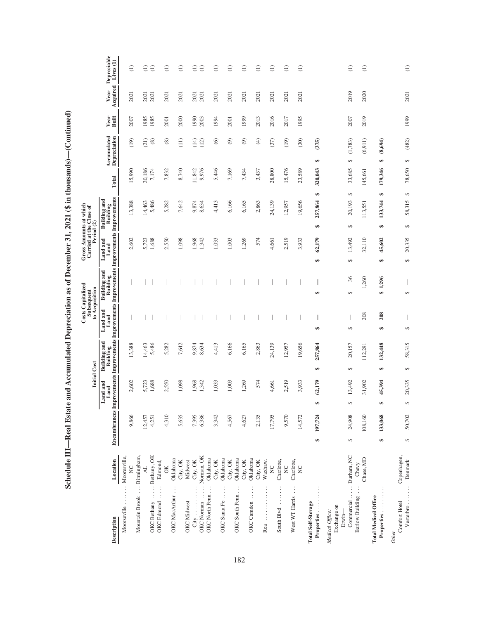|                                            |                        |                             |                  | <b>Initial Cost</b>             |                  | Costs Capitalized<br>to Acquisition<br>Subsequent                                                                             |                    | Gross Amounts at which<br>Carried at the Close of<br>Period (2) |         |                                        |               |                  |                          |
|--------------------------------------------|------------------------|-----------------------------|------------------|---------------------------------|------------------|-------------------------------------------------------------------------------------------------------------------------------|--------------------|-----------------------------------------------------------------|---------|----------------------------------------|---------------|------------------|--------------------------|
| Description                                | Location               |                             | Land and<br>Land | <b>Building</b> and<br>Building | Land and<br>Land | Encumbrances Improvements Improvements Improvements Improvements Improvements Improvements<br><b>Building</b> and<br>Building | Land and<br>Land   | <b>Building and</b><br>Building                                 | Total   | Accumulated<br>Depreciation            | Built<br>Year | Acquired<br>Year | Depreciable<br>Lives (1) |
| Moorseville                                | Mooresville,           |                             |                  |                                 |                  |                                                                                                                               |                    |                                                                 |         |                                        |               |                  |                          |
|                                            |                        | 9,866                       | 2,602            | 13,388                          |                  |                                                                                                                               | 2,602              | 13,388                                                          | 15,990  | (19)                                   | 2007          | 2021             | $\ominus$                |
| Mountain Brook  Birmingham,                | $\overline{A}$         | 12,457                      | 5,723            | 14,463                          |                  |                                                                                                                               | 5,723              | 14,463                                                          | 20,186  | (21)                                   | 1985          | 2021             | $\ominus$                |
| OKC Bethany  Bethany, OK                   |                        | 4,251                       | 1,688            | 5,486                           |                  |                                                                                                                               | 1,688              | 5,486                                                           | 7,174   | $\circledast$                          | 1985          | 2021             | $\ominus$                |
| OKC Edmond                                 | Edmond,                |                             |                  |                                 |                  |                                                                                                                               |                    |                                                                 |         |                                        |               |                  |                          |
|                                            | ΟK                     | 4,310                       | 2,550            | 5,282                           |                  |                                                                                                                               | 2,550              | 5,282                                                           | 7,832   | $^\circledR$                           | 2001          | 2021             | $\ominus$                |
| OKC MacArthur                              | Oklahoma               |                             |                  |                                 |                  |                                                                                                                               |                    |                                                                 |         |                                        |               |                  |                          |
| OKC Midwest                                | Midwest<br>City, OK    | 5,635                       | 1,098            | 7,642                           |                  |                                                                                                                               | 1,098              | 7,642                                                           | 8,740   | $\begin{pmatrix} 1 \\ 1 \end{pmatrix}$ | 2000          | 2021             | $\ominus$                |
|                                            | City, OK               | 7,395                       | 1,968            | 9,874                           |                  |                                                                                                                               | 1,968              | 9,874                                                           | 11,842  | (14)                                   | 1990          | 2021             | $\ominus$                |
| OKC Norman                                 | Norman, OK             | 6,386                       | 1,342            | 8,634                           |                  |                                                                                                                               | 1,342              | 8,634                                                           | 9,976   | (12)                                   | 2003          | 2021             | $\ominus$                |
| OKC North Penn                             | Oklahoma               |                             |                  |                                 |                  |                                                                                                                               |                    |                                                                 |         |                                        |               |                  |                          |
|                                            | City, OK               | 3,342                       | 1,033            | 4,413                           |                  |                                                                                                                               | 1,033              | 4,413                                                           | 5,446   | $\circledcirc$                         | 1994          | 2021             | $\ominus$                |
| OKC Santa Fe                               | Oklahoma               |                             |                  |                                 |                  |                                                                                                                               |                    |                                                                 |         |                                        |               |                  |                          |
|                                            | City, OK               | 4,567                       | 1,003            | 6,166                           |                  |                                                                                                                               | 1,003              | 6,166                                                           | 7,169   | $\circledcirc$                         | 2001          | 2021             | $\ominus$                |
| OKC South Penn                             | Oklahoma               |                             |                  |                                 |                  |                                                                                                                               |                    |                                                                 |         |                                        |               |                  |                          |
|                                            | City, OK               | 4,627                       | 1,269            | 6,165                           |                  |                                                                                                                               | 1,269              | 6,165                                                           | 7,434   | $\circledcirc$                         | 1999          | 2021             | $\ominus$                |
| OKC Camden                                 | Oklahoma               |                             |                  |                                 |                  |                                                                                                                               |                    |                                                                 |         |                                        |               |                  |                          |
|                                            | City, OK               | 2,135                       | 574              | 2,863                           |                  |                                                                                                                               | 574                | 2,863                                                           | 3,437   | $\bigoplus$                            | 2013          | 2021             | $\ominus$                |
| Rea                                        | Waxhaw,                |                             |                  |                                 |                  |                                                                                                                               |                    |                                                                 |         |                                        |               |                  |                          |
|                                            | $\overline{a}$         | 17,795                      | 4,661            | 24,139                          |                  |                                                                                                                               | 4,661              | 24,139                                                          | 28,800  | (37)                                   | 2016          | 2021             | $\ominus$                |
| South Blvd                                 | Charlotte,<br>$\geq$   |                             | 2,519            | 12,957                          |                  |                                                                                                                               | 2,519              | 12,957                                                          | 15,476  |                                        | 2017          | 2021             |                          |
| West WT Harris                             | Charlotte,             | 9,570                       |                  |                                 |                  |                                                                                                                               |                    |                                                                 |         | (19)                                   |               |                  | $\ominus$                |
|                                            | $\frac{C}{Z}$          | 14,572                      | 3,933            | 19,656                          |                  |                                                                                                                               | 3,933              | 19,656                                                          | 23,589  | (30)                                   | 1995          | 2021             | $\widehat{=}$            |
| <b>Total Self-Storage</b>                  |                        |                             |                  |                                 |                  |                                                                                                                               |                    |                                                                 |         |                                        |               |                  |                          |
| Properties.                                |                        | 197,724<br>÷                | 62,179<br>₩      | 257,864<br>⊕                    | ÷                | I<br>GA                                                                                                                       | 62,179<br>÷        | ÷<br>257,864<br>÷                                               | 320,043 | (375)<br>÷                             |               |                  |                          |
| Exchange on<br>Medical Office:             |                        |                             |                  |                                 |                  |                                                                                                                               |                    |                                                                 |         |                                        |               |                  |                          |
| Erwin-                                     |                        |                             |                  |                                 |                  |                                                                                                                               |                    |                                                                 |         |                                        |               |                  |                          |
| Commercial  Durham, NC                     |                        | 24,908<br>$\leftrightarrow$ | 13,492<br>↔      | 20,157<br>$\overline{S}$        | $\Theta$         | 36<br>↔                                                                                                                       | 13,492<br>$\Theta$ | ↔<br>20,193<br>$\Theta$                                         | 33,685  | (1,783)<br>$\Theta$                    | 2007          | 2019             | $\ominus$                |
| Barlow Building                            | Chase, MD<br>Chevy     | 108,160                     | 31,902           | 112,291                         | 208              | 1,260                                                                                                                         | 32,110             | 113,551                                                         | 145,661 | (6, 911)                               | 2019          | 2020             | $\widehat{\Xi}$ (        |
| Properties<br><b>Total Medical Office</b>  |                        | 133,068<br>÷                | 45,394<br>↮      | 132,448<br>÷                    | 208<br>÷         | \$1,296                                                                                                                       | 45,602<br>÷        | ÷<br>133,744<br>÷                                               | 179,346 | (8,694)<br>₩                           |               |                  |                          |
| <b>Other</b>                               |                        |                             |                  |                                 |                  |                                                                                                                               |                    |                                                                 |         |                                        |               |                  |                          |
| Vesterbro $\ldots \ldots$<br>Comfort Hotel | Copenhagen,<br>Denmark | 50,702<br>$\leftrightarrow$ | 20,335<br>↔      | 58,315<br>$\Theta$              | $\Theta$         | $\leftrightarrow$                                                                                                             | 20,335<br>S,       | $\Theta$<br>58,315<br>$\Theta$                                  | 78,650  | (482)<br>$\Theta$                      | 1999          | 2021             | $\ominus$                |